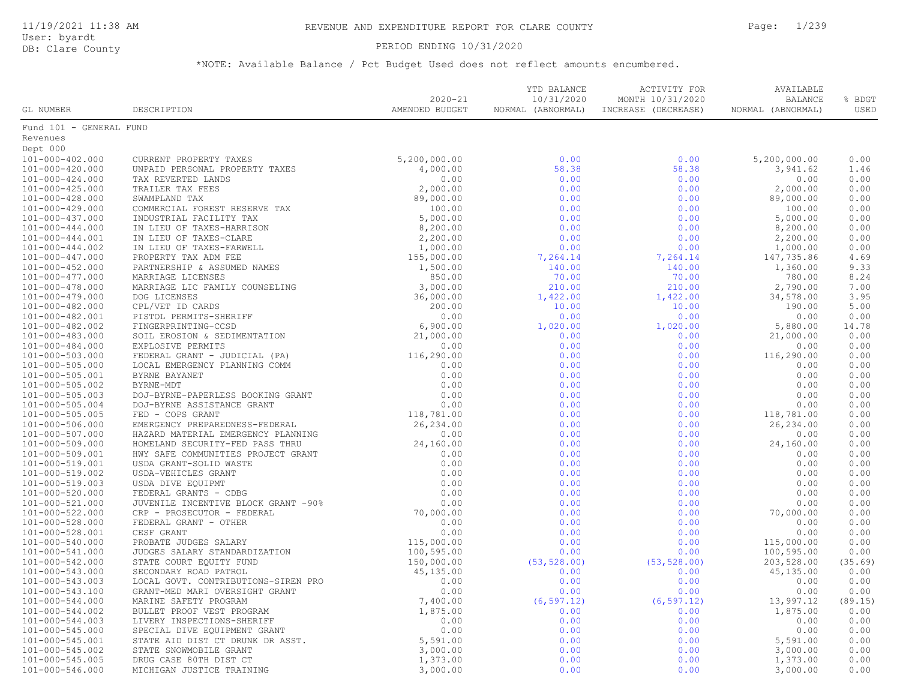### DB: Clare County PERIOD ENDING 10/31/2020

| GL NUMBER               | DESCRIPTION                                                                                                                                                                                                                                               | $2020 - 21$<br>AMENDED BUDGET                                                                                                                                                                                                                                                                             | YTD BALANCE<br>10/31/2020<br>NORMAL (ABNORMAL) | ACTIVITY FOR<br>MONTH 10/31/2020<br>INCREASE (DECREASE) | AVAILABLE<br><b>BALANCE</b><br>NORMAL (ABNORMAL) | % BDGT<br>USED |
|-------------------------|-----------------------------------------------------------------------------------------------------------------------------------------------------------------------------------------------------------------------------------------------------------|-----------------------------------------------------------------------------------------------------------------------------------------------------------------------------------------------------------------------------------------------------------------------------------------------------------|------------------------------------------------|---------------------------------------------------------|--------------------------------------------------|----------------|
| Fund 101 - GENERAL FUND |                                                                                                                                                                                                                                                           |                                                                                                                                                                                                                                                                                                           |                                                |                                                         |                                                  |                |
| Revenues                |                                                                                                                                                                                                                                                           |                                                                                                                                                                                                                                                                                                           |                                                |                                                         |                                                  |                |
| Dept 000                |                                                                                                                                                                                                                                                           |                                                                                                                                                                                                                                                                                                           |                                                |                                                         |                                                  |                |
| 101-000-402.000         | CURRENT PROPERTY TAXES                                                                                                                                                                                                                                    | 5,200,000.00                                                                                                                                                                                                                                                                                              | 0.00                                           | 0.00                                                    | 5,200,000.00                                     | 0.00           |
| 101-000-420.000         | UNPAID PERSONAL PROPERTY TAXES                                                                                                                                                                                                                            | 4,000.00                                                                                                                                                                                                                                                                                                  | 58.38                                          | 58.38                                                   | 3,941.62                                         | 1.46           |
| $101 - 000 - 424.000$   | UNPAID PERSONAL PROPERTY TAXES<br>TRAILER TAX FEES<br>TRAILER TAX FEES<br>SWAMPLAND TAX<br>COMMERCIAL FOREST RESERVE TAX<br>INDUSTRIAL FACILITY TAX<br>IN LIEU OF TAXES-HARRISON<br>IN LIEU OF TAXES-CLARE<br>IN LIEU OF TAXES-FARWELL<br>PROPERTY TAX AD | 0.00                                                                                                                                                                                                                                                                                                      | 0.00                                           | 0.00                                                    | 0.00                                             | 0.00           |
| $101 - 000 - 425.000$   |                                                                                                                                                                                                                                                           | 2,000.00                                                                                                                                                                                                                                                                                                  | 0.00                                           | 0.00                                                    | 2,000.00                                         | 0.00           |
| 101-000-428.000         |                                                                                                                                                                                                                                                           | 89,000.00                                                                                                                                                                                                                                                                                                 | 0.00                                           | 0.00                                                    | 89,000.00                                        | 0.00           |
| 101-000-429.000         |                                                                                                                                                                                                                                                           | 100.00                                                                                                                                                                                                                                                                                                    | 0.00                                           | 0.00                                                    | 100.00                                           | 0.00           |
| 101-000-437.000         |                                                                                                                                                                                                                                                           | 5,000.00                                                                                                                                                                                                                                                                                                  | 0.00                                           | 0.00                                                    | 5,000.00                                         | 0.00           |
| $101 - 000 - 444.000$   |                                                                                                                                                                                                                                                           | 8,200.00                                                                                                                                                                                                                                                                                                  | 0.00                                           | 0.00                                                    | 8,200.00                                         | 0.00           |
| 101-000-444.001         |                                                                                                                                                                                                                                                           | 2,200.00                                                                                                                                                                                                                                                                                                  | 0.00                                           | 0.00                                                    | 2,200.00                                         | 0.00           |
| $101 - 000 - 444.002$   |                                                                                                                                                                                                                                                           | 1,000.00                                                                                                                                                                                                                                                                                                  | 0.00                                           | 0.00                                                    | 1,000.00                                         | 0.00           |
| $101 - 000 - 447.000$   |                                                                                                                                                                                                                                                           | 155,000.00                                                                                                                                                                                                                                                                                                | 7,264.14                                       | 7,264.14                                                | 147,735.86                                       | 4.69           |
| $101 - 000 - 452.000$   |                                                                                                                                                                                                                                                           | 1,500.00                                                                                                                                                                                                                                                                                                  | 140.00                                         | 140.00                                                  | 1,360.00                                         | 9.33           |
| $101 - 000 - 477.000$   |                                                                                                                                                                                                                                                           | 850.00                                                                                                                                                                                                                                                                                                    | 70.00                                          | 70.00                                                   | 780.00                                           | 8.24           |
| 101-000-478.000         |                                                                                                                                                                                                                                                           | 3,000.00                                                                                                                                                                                                                                                                                                  | 210.00                                         | 210.00                                                  | 2,790.00                                         | 7.00           |
| 101-000-479.000         |                                                                                                                                                                                                                                                           | 36,000.00                                                                                                                                                                                                                                                                                                 | 1,422.00                                       | 1,422.00                                                | 34,578.00                                        | 3.95           |
| 101-000-482.000         |                                                                                                                                                                                                                                                           | 200.00                                                                                                                                                                                                                                                                                                    | 10.00                                          | 10.00                                                   | 190.00                                           | 5.00           |
| 101-000-482.001         |                                                                                                                                                                                                                                                           | 0.00                                                                                                                                                                                                                                                                                                      | 0.00                                           | 0.00                                                    | 0.00                                             | 0.00           |
| 101-000-482.002         |                                                                                                                                                                                                                                                           | 6,900.00                                                                                                                                                                                                                                                                                                  | 1,020.00                                       | 1,020.00                                                | 5,880.00                                         | 14.78          |
| 101-000-483.000         |                                                                                                                                                                                                                                                           | 21,000.00                                                                                                                                                                                                                                                                                                 | 0.00                                           | 0.00                                                    | 21,000.00                                        | 0.00           |
| 101-000-484.000         |                                                                                                                                                                                                                                                           | 0.00                                                                                                                                                                                                                                                                                                      | 0.00                                           | 0.00                                                    | 0.00                                             | 0.00           |
| $101 - 000 - 503.000$   | FEDERAL GRANT - JUDICIAL (PA)                                                                                                                                                                                                                             |                                                                                                                                                                                                                                                                                                           | 0.00                                           | 0.00                                                    | 116,290.00                                       | 0.00           |
| 101-000-505.000         | LOCAL EMERGENCY PLANNING COMM                                                                                                                                                                                                                             |                                                                                                                                                                                                                                                                                                           | 0.00                                           | 0.00                                                    | 0.00                                             | 0.00           |
| 101-000-505.001         | BYRNE BAYANET                                                                                                                                                                                                                                             |                                                                                                                                                                                                                                                                                                           | 0.00                                           | 0.00                                                    | 0.00                                             | 0.00           |
| 101-000-505.002         | BYRNE-MDT                                                                                                                                                                                                                                                 |                                                                                                                                                                                                                                                                                                           | 0.00                                           | 0.00                                                    | 0.00                                             | 0.00           |
| 101-000-505.003         | DOJ-BYRNE-PAPERLESS BOOKING GRANT                                                                                                                                                                                                                         | $\begin{array}{r} 0.00 \\ 116,290.00 \\ 0.00 \\ 0.00 \\ 0.00 \\ 0.00 \\ 0.00 \\ 0.00 \\ 0.00 \\ 118,781.00 \\ 0.00 \\ 0.00 \\ 0.00 \\ 0.00 \\ 0.00 \\ 0.00 \\ 0.00 \\ 0.00 \\ 0.00 \\ 0.00 \\ 0.00 \\ 0.00 \\ 0.00 \\ 0.00 \\ 0.00 \\ 0.00 \\ 0.00 \\ 0.00 \\ 0.00 \\ 0.00 \\ 0.00 \\ 0.00 \\ 0.00 \\ 0.$ | 0.00                                           | 0.00                                                    | 0.00                                             | 0.00           |
| 101-000-505.004         | DOJ-BYRNE ASSISTANCE GRANT                                                                                                                                                                                                                                |                                                                                                                                                                                                                                                                                                           | 0.00                                           | 0.00                                                    | 0.00                                             | 0.00           |
| $101 - 000 - 505.005$   |                                                                                                                                                                                                                                                           |                                                                                                                                                                                                                                                                                                           | 0.00                                           | 0.00                                                    | 118,781.00                                       | 0.00           |
| 101-000-506.000         |                                                                                                                                                                                                                                                           |                                                                                                                                                                                                                                                                                                           | 0.00                                           | 0.00                                                    | 26,234.00                                        | 0.00           |
| 101-000-507.000         |                                                                                                                                                                                                                                                           |                                                                                                                                                                                                                                                                                                           | 0.00                                           | 0.00                                                    | 0.00                                             | 0.00           |
| 101-000-509.000         |                                                                                                                                                                                                                                                           |                                                                                                                                                                                                                                                                                                           | 0.00                                           | 0.00                                                    | 24,160.00                                        | 0.00           |
| 101-000-509.001         |                                                                                                                                                                                                                                                           |                                                                                                                                                                                                                                                                                                           | 0.00                                           | 0.00                                                    | 0.00                                             | 0.00           |
| 101-000-519.001         | DOJ-BYRNE ASSISTANT FED - COPS GRANT<br>EMERGENCY PREPAREDNESS-FEDERAL 110, 0010<br>HAZARD MATERIAL EMERGENCY PLANNING 0.00<br>HOMELAND SECURITY-FED PASS THRU 24,160.00<br>HWY SAFE COMMUNITIES PROJECT GRANT 0.00<br>USDA-VEHICLES GRA                  |                                                                                                                                                                                                                                                                                                           | 0.00                                           | 0.00                                                    | 0.00                                             | 0.00           |
| 101-000-519.002         |                                                                                                                                                                                                                                                           |                                                                                                                                                                                                                                                                                                           | 0.00                                           | 0.00                                                    | 0.00                                             | 0.00           |
| 101-000-519.003         |                                                                                                                                                                                                                                                           |                                                                                                                                                                                                                                                                                                           | 0.00                                           | 0.00                                                    | 0.00                                             | 0.00           |
| 101-000-520.000         |                                                                                                                                                                                                                                                           |                                                                                                                                                                                                                                                                                                           | 0.00                                           | 0.00                                                    | 0.00                                             | 0.00           |
| 101-000-521.000         | JUVENILE INCENTIVE BLOCK GRANT -90%                                                                                                                                                                                                                       |                                                                                                                                                                                                                                                                                                           | 0.00                                           | 0.00                                                    | 0.00                                             | 0.00           |
| 101-000-522.000         | CRP - PROSECUTOR - FEDERAL                                                                                                                                                                                                                                | 70,000.00                                                                                                                                                                                                                                                                                                 | 0.00                                           | 0.00                                                    | 70,000.00                                        | 0.00           |
| 101-000-528.000         | FEDERAL GRANT - OTHER                                                                                                                                                                                                                                     | 0.00                                                                                                                                                                                                                                                                                                      | 0.00                                           | 0.00                                                    | 0.00                                             | 0.00           |
| 101-000-528.001         | CESF GRANT                                                                                                                                                                                                                                                | 0.00                                                                                                                                                                                                                                                                                                      | 0.00                                           | 0.00                                                    | 0.00                                             | 0.00           |
| 101-000-540.000         | PROBATE JUDGES SALARY                                                                                                                                                                                                                                     | 115,000.00                                                                                                                                                                                                                                                                                                | 0.00                                           | 0.00                                                    | 115,000.00                                       | 0.00           |
| 101-000-541.000         | JUDGES SALARY STANDARDIZATION                                                                                                                                                                                                                             | 100,595.00                                                                                                                                                                                                                                                                                                | 0.00                                           | 0.00                                                    | 100,595.00                                       | 0.00           |
| 101-000-542.000         | STATE COURT EQUITY FUND                                                                                                                                                                                                                                   | 150,000.00                                                                                                                                                                                                                                                                                                | (53, 528.00)                                   | (53, 528.00)                                            | 203,528.00                                       | (35.69)        |
| 101-000-543.000         | SECONDARY ROAD PATROL                                                                                                                                                                                                                                     | 45,135.00                                                                                                                                                                                                                                                                                                 | 0.00                                           | 0.00                                                    | 45,135.00                                        | 0.00           |
| 101-000-543.003         | LOCAL GOVT. CONTRIBUTIONS-SIREN PRO                                                                                                                                                                                                                       | 0.00                                                                                                                                                                                                                                                                                                      | 0.00                                           | 0.00                                                    | 0.00                                             | 0.00           |
| 101-000-543.100         | GRANT-MED MARI OVERSIGHT GRANT                                                                                                                                                                                                                            | 0.00                                                                                                                                                                                                                                                                                                      | 0.00                                           | 0.00                                                    | 0.00                                             | 0.00           |
| 101-000-544.000         | MARINE SAFETY PROGRAM                                                                                                                                                                                                                                     | 7,400.00                                                                                                                                                                                                                                                                                                  | (6, 597.12)                                    | (6, 597.12)                                             | 13,997.12                                        | (89.15)        |
| 101-000-544.002         | BULLET PROOF VEST PROGRAM                                                                                                                                                                                                                                 | 1,875.00                                                                                                                                                                                                                                                                                                  | 0.00                                           | 0.00                                                    | 1,875.00                                         | 0.00           |
| 101-000-544.003         | LIVERY INSPECTIONS-SHERIFF                                                                                                                                                                                                                                | 0.00                                                                                                                                                                                                                                                                                                      | 0.00                                           | 0.00                                                    | 0.00                                             | 0.00           |
| 101-000-545.000         | SPECIAL DIVE EQUIPMENT GRANT                                                                                                                                                                                                                              | 0.00                                                                                                                                                                                                                                                                                                      | 0.00                                           | 0.00                                                    | 0.00                                             | 0.00           |
| 101-000-545.001         | STATE AID DIST CT DRUNK DR ASST.                                                                                                                                                                                                                          | 5,591.00                                                                                                                                                                                                                                                                                                  | 0.00                                           | 0.00                                                    | 5,591.00                                         | 0.00           |
| 101-000-545.002         | STATE SNOWMOBILE GRANT                                                                                                                                                                                                                                    | 3,000.00                                                                                                                                                                                                                                                                                                  | 0.00                                           | 0.00                                                    | 3,000.00                                         | 0.00           |
| 101-000-545.005         | DRUG CASE 80TH DIST CT                                                                                                                                                                                                                                    | 1,373.00                                                                                                                                                                                                                                                                                                  | 0.00                                           | 0.00                                                    | 1,373.00                                         | 0.00           |
| 101-000-546.000         | MICHIGAN JUSTICE TRAINING                                                                                                                                                                                                                                 | 3,000.00                                                                                                                                                                                                                                                                                                  | 0.00                                           | 0.00                                                    | 3,000.00                                         | 0.00           |
|                         |                                                                                                                                                                                                                                                           |                                                                                                                                                                                                                                                                                                           |                                                |                                                         |                                                  |                |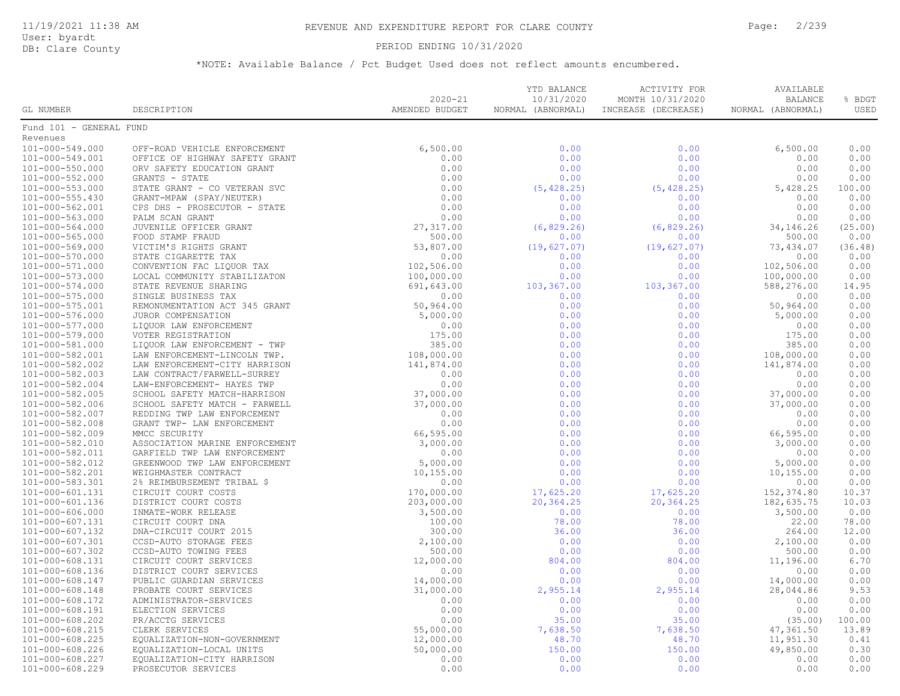### PERIOD ENDING 10/31/2020

|                                    |                                                                                                                                                                                                                                                                                                                                                                                                                                  | $2020 - 21$    | YTD BALANCE<br>10/31/2020 | ACTIVITY FOR<br>MONTH 10/31/2020 | AVAILABLE<br><b>BALANCE</b> | % BDGT          |
|------------------------------------|----------------------------------------------------------------------------------------------------------------------------------------------------------------------------------------------------------------------------------------------------------------------------------------------------------------------------------------------------------------------------------------------------------------------------------|----------------|---------------------------|----------------------------------|-----------------------------|-----------------|
| GL NUMBER                          | DESCRIPTION                                                                                                                                                                                                                                                                                                                                                                                                                      | AMENDED BUDGET | NORMAL (ABNORMAL)         | INCREASE (DECREASE)              | NORMAL (ABNORMAL)           | USED            |
| Fund 101 - GENERAL FUND            |                                                                                                                                                                                                                                                                                                                                                                                                                                  |                |                           |                                  |                             |                 |
| Revenues                           |                                                                                                                                                                                                                                                                                                                                                                                                                                  |                |                           |                                  |                             |                 |
| 101-000-549.000                    | OFF-ROAD VEHICLE ENFORCEMENT                                                                                                                                                                                                                                                                                                                                                                                                     | 6,500.00       | 0.00                      | 0.00                             | 6,500.00                    | 0.00            |
| 101-000-549.001                    | OFFICE OF HIGHWAY SAFETY GRANT                                                                                                                                                                                                                                                                                                                                                                                                   | 0.00           | 0.00                      | 0.00                             | 0.00                        | 0.00            |
| 101-000-550.000                    | $$\mathbb{Z}$$ ANT $$\mathbb{Z}$$ .<br>TE $$\mathbb{Z}$$<br>ORV SAFETY EDUCATION GRANT                                                                                                                                                                                                                                                                                                                                           | 0.00           | 0.00                      | 0.00                             | 0.00                        | 0.00            |
| 101-000-552.000                    | GRANTS - STATE                                                                                                                                                                                                                                                                                                                                                                                                                   | 0.00           | 0.00                      | 0.00                             | 0.00                        | 0.00            |
| $101 - 000 - 553.000$              | STATE GRANT - CO VETERAN SVC                                                                                                                                                                                                                                                                                                                                                                                                     | 0.00           | (5, 428.25)               | (5, 428.25)                      | 5,428.25                    | 100.00          |
| $101 - 000 - 555.430$              | GRANT-MPAW (SPAY/NEUTER)                                                                                                                                                                                                                                                                                                                                                                                                         | 0.00           | 0.00                      | 0.00                             | 0.00                        | 0.00            |
| 101-000-562.001                    |                                                                                                                                                                                                                                                                                                                                                                                                                                  |                |                           | 0.00                             | 0.00                        | 0.00            |
| 101-000-563.000                    |                                                                                                                                                                                                                                                                                                                                                                                                                                  |                |                           | 0.00                             | 0.00                        | 0.00            |
| 101-000-564.000                    |                                                                                                                                                                                                                                                                                                                                                                                                                                  |                |                           | (6, 829.26)                      | 34, 146.26                  | (25.00)         |
| 101-000-565.000                    |                                                                                                                                                                                                                                                                                                                                                                                                                                  |                |                           | 0.00                             | 500.00                      | 0.00            |
| 101-000-569.000                    |                                                                                                                                                                                                                                                                                                                                                                                                                                  |                |                           | (19, 627.07)                     | 73,434.07                   | (36.48)         |
| 101-000-570.000                    |                                                                                                                                                                                                                                                                                                                                                                                                                                  |                |                           | 0.00                             | 0.00                        | 0.00            |
| 101-000-571.000                    |                                                                                                                                                                                                                                                                                                                                                                                                                                  |                |                           | 0.00                             | 102,506.00                  | 0.00            |
| 101-000-573.000                    |                                                                                                                                                                                                                                                                                                                                                                                                                                  |                |                           | 0.00                             | 100,000.00                  | 0.00            |
| 101-000-574.000                    |                                                                                                                                                                                                                                                                                                                                                                                                                                  |                |                           | 103,367.00                       | 588,276.00                  | 14.95           |
| 101-000-575.000                    |                                                                                                                                                                                                                                                                                                                                                                                                                                  |                |                           | 0.00                             | 0.00                        | 0.00            |
| 101-000-575.001                    |                                                                                                                                                                                                                                                                                                                                                                                                                                  |                |                           | 0.00                             | 50,964.00                   | 0.00            |
| 101-000-576.000                    |                                                                                                                                                                                                                                                                                                                                                                                                                                  |                |                           | 0.00                             | 5,000.00                    | 0.00            |
| 101-000-577.000                    |                                                                                                                                                                                                                                                                                                                                                                                                                                  |                |                           | 0.00                             | 0.00                        | 0.00            |
| 101-000-579.000                    |                                                                                                                                                                                                                                                                                                                                                                                                                                  |                |                           | 0.00                             | 175.00                      | 0.00            |
| 101-000-581.000                    |                                                                                                                                                                                                                                                                                                                                                                                                                                  |                |                           | 0.00                             | 385.00                      | 0.00            |
| 101-000-582.001                    |                                                                                                                                                                                                                                                                                                                                                                                                                                  |                |                           | 0.00                             | 108,000.00                  | 0.00            |
| 101-000-582.002                    |                                                                                                                                                                                                                                                                                                                                                                                                                                  |                |                           | 0.00                             | 141,874.00                  | 0.00            |
| 101-000-582.003                    |                                                                                                                                                                                                                                                                                                                                                                                                                                  |                |                           | 0.00                             | 0.00                        | 0.00            |
| 101-000-582.004                    |                                                                                                                                                                                                                                                                                                                                                                                                                                  |                |                           | 0.00                             | 0.00                        | 0.00            |
| 101-000-582.005                    |                                                                                                                                                                                                                                                                                                                                                                                                                                  |                |                           | 0.00                             | 37,000.00                   | 0.00            |
| 101-000-582.006                    |                                                                                                                                                                                                                                                                                                                                                                                                                                  |                |                           | 0.00                             | 37,000.00                   | 0.00            |
| 101-000-582.007                    |                                                                                                                                                                                                                                                                                                                                                                                                                                  |                |                           | 0.00                             | 0.00                        | 0.00            |
| 101-000-582.008                    |                                                                                                                                                                                                                                                                                                                                                                                                                                  |                |                           | 0.00                             | 0.00                        | 0.00            |
| 101-000-582.009                    |                                                                                                                                                                                                                                                                                                                                                                                                                                  |                |                           | 0.00                             | 66,595.00                   | 0.00            |
| 101-000-582.010                    |                                                                                                                                                                                                                                                                                                                                                                                                                                  |                |                           | 0.00                             | 3,000.00                    | 0.00            |
| 101-000-582.011                    |                                                                                                                                                                                                                                                                                                                                                                                                                                  |                |                           | 0.00                             | 0.00                        | 0.00            |
| 101-000-582.012                    |                                                                                                                                                                                                                                                                                                                                                                                                                                  |                |                           | 0.00                             | 5,000.00                    | 0.00            |
| 101-000-582.201                    |                                                                                                                                                                                                                                                                                                                                                                                                                                  |                |                           | 0.00                             | 10,155.00                   | 0.00            |
| 101-000-583.301                    |                                                                                                                                                                                                                                                                                                                                                                                                                                  |                |                           | 0.00                             | 0.00                        | 0.00            |
| 101-000-601.131                    |                                                                                                                                                                                                                                                                                                                                                                                                                                  |                |                           | 17,625.20                        | 152,374.80                  | 10.37           |
| 101-000-601.136                    |                                                                                                                                                                                                                                                                                                                                                                                                                                  |                |                           | 20,364.25                        | 182,635.75                  | 10.03           |
| 101-000-606.000                    |                                                                                                                                                                                                                                                                                                                                                                                                                                  |                |                           | 0.00                             | 3,500.00                    | 0.00            |
| 101-000-607.131                    |                                                                                                                                                                                                                                                                                                                                                                                                                                  |                |                           | 78.00                            | 22.00                       | 78.00           |
| 101-000-607.132                    |                                                                                                                                                                                                                                                                                                                                                                                                                                  |                |                           | 36.00                            | 264.00                      | 12.00           |
| 101-000-607.301                    |                                                                                                                                                                                                                                                                                                                                                                                                                                  |                |                           | 0.00                             | 2,100.00                    | 0.00            |
| 101-000-607.302                    |                                                                                                                                                                                                                                                                                                                                                                                                                                  |                |                           | 0.00<br>804.00                   | 500.00<br>11,196.00         | 0.00<br>6.70    |
| 101-000-608.131                    |                                                                                                                                                                                                                                                                                                                                                                                                                                  |                |                           | 0.00                             |                             | 0.00            |
| 101-000-608.136<br>101-000-608.147 |                                                                                                                                                                                                                                                                                                                                                                                                                                  |                |                           | 0.00                             | 0.00<br>14,000.00           | 0.00            |
| 101-000-608.148                    |                                                                                                                                                                                                                                                                                                                                                                                                                                  |                |                           | 2,955.14                         | 28,044.86                   | 9.53            |
| 101-000-608.172                    |                                                                                                                                                                                                                                                                                                                                                                                                                                  |                |                           | 0.00                             | 0.00                        | 0.00            |
|                                    |                                                                                                                                                                                                                                                                                                                                                                                                                                  |                |                           |                                  |                             |                 |
| 101-000-608.191                    |                                                                                                                                                                                                                                                                                                                                                                                                                                  |                |                           | 0.00<br>35.00                    | 0.00                        | 0.00            |
| 101-000-608.202<br>101-000-608.215 |                                                                                                                                                                                                                                                                                                                                                                                                                                  |                |                           | 7,638.50                         | (35.00)<br>47,361.50        | 100.00<br>13.89 |
| 101-000-608.225                    |                                                                                                                                                                                                                                                                                                                                                                                                                                  |                |                           | 48.70                            | 11,951.30                   | 0.41            |
| 101-000-608.226                    |                                                                                                                                                                                                                                                                                                                                                                                                                                  |                |                           | 150.00                           | 49,850.00                   | 0.30            |
| 101-000-608.227                    |                                                                                                                                                                                                                                                                                                                                                                                                                                  |                |                           | 0.00                             | 0.00                        | 0.00            |
| 101-000-608.229                    | $\begin{tabular}{l c c c} $\mathbf{a} \rightarrow \mathbf{a} \pm \mathbf{0} \ \text{DQCD} $\mathbf{X} \mathbf{B} \mathbf{B} \mathbf{B} \mathbf{B} \mathbf{B} \mathbf{B} \mathbf{B} \mathbf{B} \mathbf{B} \mathbf{B} \mathbf{B} \mathbf{B} \mathbf{B} \mathbf{B} \mathbf{B} \mathbf{B} \mathbf{B} \mathbf{B} \mathbf{B} \mathbf{B} \mathbf{B} \mathbf{B} \mathbf{B} \mathbf{B} \mathbf{B} \mathbf{B} \mathbf{B} \mathbf{B} \math$ |                |                           | 0.00                             | 0.00                        | 0.00            |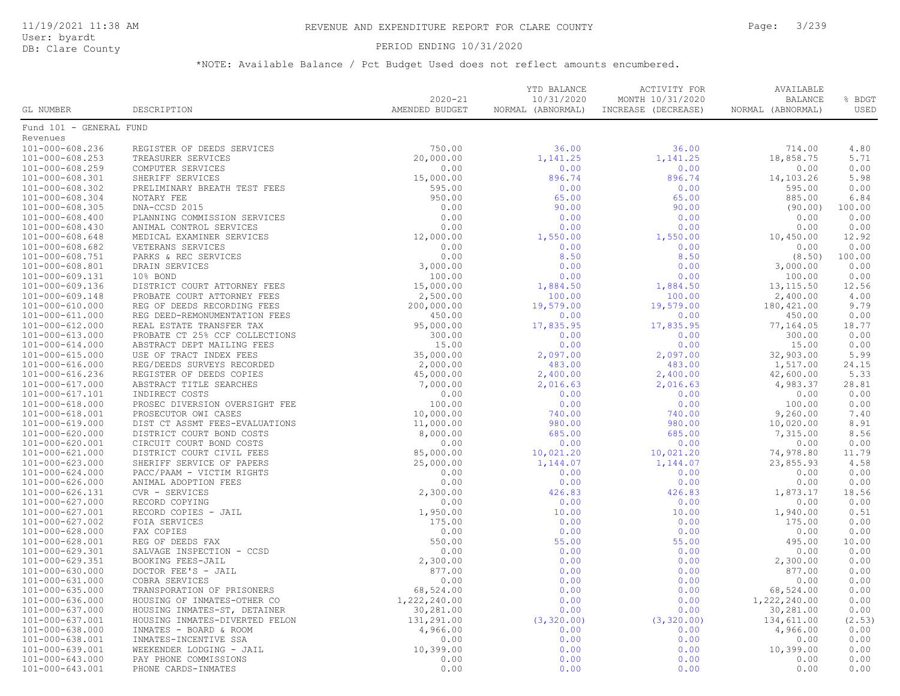#### PERIOD ENDING 10/31/2020

| Fund 101 - GENERAL FUND<br>Revenues<br>$101 - 000 - 608.236$<br>REGISTER OF DEEDS SERVICES<br>750.00<br>36.00<br>36.00<br>714.00<br>4.80<br>101-000-608.253<br>20,000.00<br>1,141.25<br>1,141.25<br>18,858.75<br>5.71<br>TREASURER SERVICES<br>0.00<br>101-000-608.259<br>COMPUTER SERVICES<br>0.00<br>0.00<br>0.00<br>0.00<br>896.74<br>896.74<br>5.98<br>101-000-608.301<br>SHERIFF SERVICES<br>15,000.00<br>14,103.26<br>0.00<br>101-000-608.302<br>PRELIMINARY BREATH TEST FEES<br>595.00<br>0.00<br>0.00<br>595.00<br>950.00<br>6.84<br>101-000-608.304<br>NOTARY FEE<br>65.00<br>65.00<br>885.00<br>DNA-CCSD 2015<br>0.00<br>90.00<br>100.00<br>$101 - 000 - 608.305$<br>90.00<br>(90.00)<br>0.00<br>0.00<br>0.00<br>0.00<br>$101 - 000 - 608.400$<br>PLANNING COMMISSION SERVICES<br>0.00<br>0.00<br>0.00<br>0.00<br>0.00<br>$101 - 000 - 608.430$<br>ANIMAL CONTROL SERVICES<br>0.00<br>12.92<br>$101 - 000 - 608.648$<br>MEDICAL EXAMINER SERVICES<br>12,000.00<br>1,550.00<br>1,550.00<br>10,450.00<br>0.00<br>$101 - 000 - 608.682$<br>VETERANS SERVICES<br>0.00<br>0.00<br>0.00<br>0.00<br>0.00<br>8.50<br>8.50<br>101-000-608.751<br>(8.50)<br>100.00<br>PARKS & REC SERVICES<br>3,000.00<br>0.00<br>0.00<br>101-000-608.801<br>DRAIN SERVICES<br>0.00<br>3,000.00<br>100.00<br>0.00<br>101-000-609.131<br>10% BOND<br>0.00<br>0.00<br>100.00<br>DISTRICT COURT ATTORNEY FEES<br>15,000.00<br>1,884.50<br>13, 115.50<br>12.56<br>101-000-609.136<br>1,884.50<br>4.00<br>101-000-609.148<br>PROBATE COURT ATTORNEY FEES<br>2,500.00<br>100.00<br>100.00<br>2,400.00<br>200,000.00<br>180, 421.00<br>9.79<br>101-000-610.000<br>REG OF DEEDS RECORDING FEES<br>19,579.00<br>19,579.00<br>0.00<br>101-000-611.000<br>REG DEED-REMONUMENTATION FEES<br>450.00<br>0.00<br>0.00<br>450.00<br>18.77<br>$101 - 000 - 612.000$<br>REAL ESTATE TRANSFER TAX<br>95,000.00<br>17,835.95<br>17,835.95<br>77,164.05<br>0.00<br>$101 - 000 - 613.000$<br>PROBATE CT 25% CCF COLLECTIONS<br>300.00<br>0.00<br>0.00<br>300.00<br>15.00<br>0.00<br>0.00<br>0.00<br>15.00<br>$101 - 000 - 614.000$<br>ABSTRACT DEPT MAILING FEES<br>5.99<br>$101 - 000 - 615.000$<br>USE OF TRACT INDEX FEES<br>35,000.00<br>2,097.00<br>2,097.00<br>32,903.00<br>2,000.00<br>24.15<br>101-000-616.000<br>REG/DEEDS SURVEYS RECORDED<br>483.00<br>483.00<br>1,517.00<br>5.33<br>101-000-616.236<br>REGISTER OF DEEDS COPIES<br>45,000.00<br>2,400.00<br>2,400.00<br>42,600.00<br>7,000.00<br>28.81<br>101-000-617.000<br>ABSTRACT TITLE SEARCHES<br>2,016.63<br>2,016.63<br>4,983.37<br>INDIRECT COSTS<br>0.00<br>0.00<br>101-000-617.101<br>0.00<br>0.00<br>0.00<br>0.00<br>$101 - 000 - 618.000$<br>PROSEC DIVERSION OVERSIGHT FEE<br>100.00<br>0.00<br>100.00<br>0.00<br>7.40<br>$101 - 000 - 618.001$<br>PROSECUTOR OWI CASES<br>10,000.00<br>740.00<br>740.00<br>9,260.00<br>8.91<br>101-000-619.000<br>11,000.00<br>980.00<br>980.00<br>10,020.00<br>DIST CT ASSMT FEES-EVALUATIONS<br>685.00<br>685.00<br>8.56<br>101-000-620.000<br>DISTRICT COURT BOND COSTS<br>8,000.00<br>7,315.00<br>0.00<br>101-000-620.001<br>CIRCUIT COURT BOND COSTS<br>0.00<br>0.00<br>0.00<br>0.00<br>85,000.00<br>11.79<br>101-000-621.000<br>DISTRICT COURT CIVIL FEES<br>10,021.20<br>10,021.20<br>74,978.80<br>4.58<br>101-000-623.000<br>SHERIFF SERVICE OF PAPERS<br>25,000.00<br>1,144.07<br>1,144.07<br>23,855.93<br>0.00<br>$101 - 000 - 624.000$<br>0.00<br>0.00<br>0.00<br>PACC/PAAM - VICTIM RIGHTS<br>0.00<br>$101 - 000 - 626.000$<br>0.00<br>0.00<br>0.00<br>ANIMAL ADOPTION FEES<br>0.00<br>0.00<br>101-000-626.131<br>CVR - SERVICES<br>2,300.00<br>426.83<br>426.83<br>18.56<br>1,873.17<br>101-000-627.000<br>RECORD COPYING<br>0.00<br>0.00<br>0.00<br>0.00<br>0.00<br>0.51<br>101-000-627.001<br>1,950.00<br>10.00<br>10.00<br>RECORD COPIES - JAIL<br>1,940.00<br>0.00<br>101-000-627.002<br>FOIA SERVICES<br>175.00<br>0.00<br>0.00<br>175.00<br>0.00<br>101-000-628.000<br>FAX COPIES<br>0.00<br>0.00<br>0.00<br>0.00<br>55.00<br>10.00<br>101-000-628.001<br>REG OF DEEDS FAX<br>550.00<br>55.00<br>495.00<br>0.00<br>101-000-629.301<br>SALVAGE INSPECTION - CCSD<br>0.00<br>0.00<br>0.00<br>0.00<br>2,300.00<br>0.00<br>101-000-629.351<br>BOOKING FEES-JAIL<br>0.00<br>0.00<br>2,300.00<br>877.00<br>0.00<br>0.00<br>101-000-630.000<br>DOCTOR FEE'S - JAIL<br>0.00<br>877.00<br>0.00<br>0.00<br>0.00<br>0.00<br>$101 - 000 - 631.000$<br>COBRA SERVICES<br>0.00<br>68,524.00<br>0.00<br>0.00<br>$101 - 000 - 635.000$<br>TRANSPORATION OF PRISONERS<br>0.00<br>68,524.00<br>0.00<br>101-000-636.000<br>HOUSING OF INMATES-OTHER CO<br>1,222,240.00<br>0.00<br>0.00<br>1,222,240.00<br>0.00<br>101-000-637.000<br>HOUSING INMATES-ST, DETAINER<br>30,281.00<br>0.00<br>0.00<br>30,281.00<br>(2.53)<br>101-000-637.001<br>131,291.00<br>(3, 320.00)<br>(3, 320.00)<br>134,611.00<br>HOUSING INMATES-DIVERTED FELON<br>0.00<br>101-000-638.000<br>4,966.00<br>0.00<br>0.00<br>4,966.00<br>INMATES - BOARD & ROOM<br>0.00<br>101-000-638.001<br>INMATES-INCENTIVE SSA<br>0.00<br>0.00<br>0.00<br>0.00<br>10,399.00<br>0.00<br>0.00<br>101-000-639.001<br>WEEKENDER LODGING - JAIL<br>0.00<br>10,399.00<br>0.00<br>0.00<br>0.00<br>$101 - 000 - 643.000$<br>PAY PHONE COMMISSIONS<br>0.00<br>0.00<br>0.00<br>0.00<br>0.00<br>0.00<br>0.00<br>101-000-643.001<br>PHONE CARDS-INMATES | GL NUMBER | DESCRIPTION | $2020 - 21$<br>AMENDED BUDGET | YTD BALANCE<br>10/31/2020<br>NORMAL (ABNORMAL) | <b>ACTIVITY FOR</b><br>MONTH 10/31/2020<br>INCREASE (DECREASE) | AVAILABLE<br><b>BALANCE</b><br>NORMAL (ABNORMAL) | % BDGT<br>USED |
|-------------------------------------------------------------------------------------------------------------------------------------------------------------------------------------------------------------------------------------------------------------------------------------------------------------------------------------------------------------------------------------------------------------------------------------------------------------------------------------------------------------------------------------------------------------------------------------------------------------------------------------------------------------------------------------------------------------------------------------------------------------------------------------------------------------------------------------------------------------------------------------------------------------------------------------------------------------------------------------------------------------------------------------------------------------------------------------------------------------------------------------------------------------------------------------------------------------------------------------------------------------------------------------------------------------------------------------------------------------------------------------------------------------------------------------------------------------------------------------------------------------------------------------------------------------------------------------------------------------------------------------------------------------------------------------------------------------------------------------------------------------------------------------------------------------------------------------------------------------------------------------------------------------------------------------------------------------------------------------------------------------------------------------------------------------------------------------------------------------------------------------------------------------------------------------------------------------------------------------------------------------------------------------------------------------------------------------------------------------------------------------------------------------------------------------------------------------------------------------------------------------------------------------------------------------------------------------------------------------------------------------------------------------------------------------------------------------------------------------------------------------------------------------------------------------------------------------------------------------------------------------------------------------------------------------------------------------------------------------------------------------------------------------------------------------------------------------------------------------------------------------------------------------------------------------------------------------------------------------------------------------------------------------------------------------------------------------------------------------------------------------------------------------------------------------------------------------------------------------------------------------------------------------------------------------------------------------------------------------------------------------------------------------------------------------------------------------------------------------------------------------------------------------------------------------------------------------------------------------------------------------------------------------------------------------------------------------------------------------------------------------------------------------------------------------------------------------------------------------------------------------------------------------------------------------------------------------------------------------------------------------------------------------------------------------------------------------------------------------------------------------------------------------------------------------------------------------------------------------------------------------------------------------------------------------------------------------------------------------------------------------------------------------------------------------------------------------------------------------------------------------------------------------------------------------------------------------------------------------------------------------------------------------------------------------------------------------------------------------------------------------------------------------------------------------------------------------------------------------------------------------------------------------------------------------------------------------------------------------------------------------------------------------------------------------------------------------------------------------------------|-----------|-------------|-------------------------------|------------------------------------------------|----------------------------------------------------------------|--------------------------------------------------|----------------|
|                                                                                                                                                                                                                                                                                                                                                                                                                                                                                                                                                                                                                                                                                                                                                                                                                                                                                                                                                                                                                                                                                                                                                                                                                                                                                                                                                                                                                                                                                                                                                                                                                                                                                                                                                                                                                                                                                                                                                                                                                                                                                                                                                                                                                                                                                                                                                                                                                                                                                                                                                                                                                                                                                                                                                                                                                                                                                                                                                                                                                                                                                                                                                                                                                                                                                                                                                                                                                                                                                                                                                                                                                                                                                                                                                                                                                                                                                                                                                                                                                                                                                                                                                                                                                                                                                                                                                                                                                                                                                                                                                                                                                                                                                                                                                                                                                                                                                                                                                                                                                                                                                                                                                                                                                                                                                                                                                                         |           |             |                               |                                                |                                                                |                                                  |                |
|                                                                                                                                                                                                                                                                                                                                                                                                                                                                                                                                                                                                                                                                                                                                                                                                                                                                                                                                                                                                                                                                                                                                                                                                                                                                                                                                                                                                                                                                                                                                                                                                                                                                                                                                                                                                                                                                                                                                                                                                                                                                                                                                                                                                                                                                                                                                                                                                                                                                                                                                                                                                                                                                                                                                                                                                                                                                                                                                                                                                                                                                                                                                                                                                                                                                                                                                                                                                                                                                                                                                                                                                                                                                                                                                                                                                                                                                                                                                                                                                                                                                                                                                                                                                                                                                                                                                                                                                                                                                                                                                                                                                                                                                                                                                                                                                                                                                                                                                                                                                                                                                                                                                                                                                                                                                                                                                                                         |           |             |                               |                                                |                                                                |                                                  |                |
|                                                                                                                                                                                                                                                                                                                                                                                                                                                                                                                                                                                                                                                                                                                                                                                                                                                                                                                                                                                                                                                                                                                                                                                                                                                                                                                                                                                                                                                                                                                                                                                                                                                                                                                                                                                                                                                                                                                                                                                                                                                                                                                                                                                                                                                                                                                                                                                                                                                                                                                                                                                                                                                                                                                                                                                                                                                                                                                                                                                                                                                                                                                                                                                                                                                                                                                                                                                                                                                                                                                                                                                                                                                                                                                                                                                                                                                                                                                                                                                                                                                                                                                                                                                                                                                                                                                                                                                                                                                                                                                                                                                                                                                                                                                                                                                                                                                                                                                                                                                                                                                                                                                                                                                                                                                                                                                                                                         |           |             |                               |                                                |                                                                |                                                  |                |
|                                                                                                                                                                                                                                                                                                                                                                                                                                                                                                                                                                                                                                                                                                                                                                                                                                                                                                                                                                                                                                                                                                                                                                                                                                                                                                                                                                                                                                                                                                                                                                                                                                                                                                                                                                                                                                                                                                                                                                                                                                                                                                                                                                                                                                                                                                                                                                                                                                                                                                                                                                                                                                                                                                                                                                                                                                                                                                                                                                                                                                                                                                                                                                                                                                                                                                                                                                                                                                                                                                                                                                                                                                                                                                                                                                                                                                                                                                                                                                                                                                                                                                                                                                                                                                                                                                                                                                                                                                                                                                                                                                                                                                                                                                                                                                                                                                                                                                                                                                                                                                                                                                                                                                                                                                                                                                                                                                         |           |             |                               |                                                |                                                                |                                                  |                |
|                                                                                                                                                                                                                                                                                                                                                                                                                                                                                                                                                                                                                                                                                                                                                                                                                                                                                                                                                                                                                                                                                                                                                                                                                                                                                                                                                                                                                                                                                                                                                                                                                                                                                                                                                                                                                                                                                                                                                                                                                                                                                                                                                                                                                                                                                                                                                                                                                                                                                                                                                                                                                                                                                                                                                                                                                                                                                                                                                                                                                                                                                                                                                                                                                                                                                                                                                                                                                                                                                                                                                                                                                                                                                                                                                                                                                                                                                                                                                                                                                                                                                                                                                                                                                                                                                                                                                                                                                                                                                                                                                                                                                                                                                                                                                                                                                                                                                                                                                                                                                                                                                                                                                                                                                                                                                                                                                                         |           |             |                               |                                                |                                                                |                                                  |                |
|                                                                                                                                                                                                                                                                                                                                                                                                                                                                                                                                                                                                                                                                                                                                                                                                                                                                                                                                                                                                                                                                                                                                                                                                                                                                                                                                                                                                                                                                                                                                                                                                                                                                                                                                                                                                                                                                                                                                                                                                                                                                                                                                                                                                                                                                                                                                                                                                                                                                                                                                                                                                                                                                                                                                                                                                                                                                                                                                                                                                                                                                                                                                                                                                                                                                                                                                                                                                                                                                                                                                                                                                                                                                                                                                                                                                                                                                                                                                                                                                                                                                                                                                                                                                                                                                                                                                                                                                                                                                                                                                                                                                                                                                                                                                                                                                                                                                                                                                                                                                                                                                                                                                                                                                                                                                                                                                                                         |           |             |                               |                                                |                                                                |                                                  |                |
|                                                                                                                                                                                                                                                                                                                                                                                                                                                                                                                                                                                                                                                                                                                                                                                                                                                                                                                                                                                                                                                                                                                                                                                                                                                                                                                                                                                                                                                                                                                                                                                                                                                                                                                                                                                                                                                                                                                                                                                                                                                                                                                                                                                                                                                                                                                                                                                                                                                                                                                                                                                                                                                                                                                                                                                                                                                                                                                                                                                                                                                                                                                                                                                                                                                                                                                                                                                                                                                                                                                                                                                                                                                                                                                                                                                                                                                                                                                                                                                                                                                                                                                                                                                                                                                                                                                                                                                                                                                                                                                                                                                                                                                                                                                                                                                                                                                                                                                                                                                                                                                                                                                                                                                                                                                                                                                                                                         |           |             |                               |                                                |                                                                |                                                  |                |
|                                                                                                                                                                                                                                                                                                                                                                                                                                                                                                                                                                                                                                                                                                                                                                                                                                                                                                                                                                                                                                                                                                                                                                                                                                                                                                                                                                                                                                                                                                                                                                                                                                                                                                                                                                                                                                                                                                                                                                                                                                                                                                                                                                                                                                                                                                                                                                                                                                                                                                                                                                                                                                                                                                                                                                                                                                                                                                                                                                                                                                                                                                                                                                                                                                                                                                                                                                                                                                                                                                                                                                                                                                                                                                                                                                                                                                                                                                                                                                                                                                                                                                                                                                                                                                                                                                                                                                                                                                                                                                                                                                                                                                                                                                                                                                                                                                                                                                                                                                                                                                                                                                                                                                                                                                                                                                                                                                         |           |             |                               |                                                |                                                                |                                                  |                |
|                                                                                                                                                                                                                                                                                                                                                                                                                                                                                                                                                                                                                                                                                                                                                                                                                                                                                                                                                                                                                                                                                                                                                                                                                                                                                                                                                                                                                                                                                                                                                                                                                                                                                                                                                                                                                                                                                                                                                                                                                                                                                                                                                                                                                                                                                                                                                                                                                                                                                                                                                                                                                                                                                                                                                                                                                                                                                                                                                                                                                                                                                                                                                                                                                                                                                                                                                                                                                                                                                                                                                                                                                                                                                                                                                                                                                                                                                                                                                                                                                                                                                                                                                                                                                                                                                                                                                                                                                                                                                                                                                                                                                                                                                                                                                                                                                                                                                                                                                                                                                                                                                                                                                                                                                                                                                                                                                                         |           |             |                               |                                                |                                                                |                                                  |                |
|                                                                                                                                                                                                                                                                                                                                                                                                                                                                                                                                                                                                                                                                                                                                                                                                                                                                                                                                                                                                                                                                                                                                                                                                                                                                                                                                                                                                                                                                                                                                                                                                                                                                                                                                                                                                                                                                                                                                                                                                                                                                                                                                                                                                                                                                                                                                                                                                                                                                                                                                                                                                                                                                                                                                                                                                                                                                                                                                                                                                                                                                                                                                                                                                                                                                                                                                                                                                                                                                                                                                                                                                                                                                                                                                                                                                                                                                                                                                                                                                                                                                                                                                                                                                                                                                                                                                                                                                                                                                                                                                                                                                                                                                                                                                                                                                                                                                                                                                                                                                                                                                                                                                                                                                                                                                                                                                                                         |           |             |                               |                                                |                                                                |                                                  |                |
|                                                                                                                                                                                                                                                                                                                                                                                                                                                                                                                                                                                                                                                                                                                                                                                                                                                                                                                                                                                                                                                                                                                                                                                                                                                                                                                                                                                                                                                                                                                                                                                                                                                                                                                                                                                                                                                                                                                                                                                                                                                                                                                                                                                                                                                                                                                                                                                                                                                                                                                                                                                                                                                                                                                                                                                                                                                                                                                                                                                                                                                                                                                                                                                                                                                                                                                                                                                                                                                                                                                                                                                                                                                                                                                                                                                                                                                                                                                                                                                                                                                                                                                                                                                                                                                                                                                                                                                                                                                                                                                                                                                                                                                                                                                                                                                                                                                                                                                                                                                                                                                                                                                                                                                                                                                                                                                                                                         |           |             |                               |                                                |                                                                |                                                  |                |
|                                                                                                                                                                                                                                                                                                                                                                                                                                                                                                                                                                                                                                                                                                                                                                                                                                                                                                                                                                                                                                                                                                                                                                                                                                                                                                                                                                                                                                                                                                                                                                                                                                                                                                                                                                                                                                                                                                                                                                                                                                                                                                                                                                                                                                                                                                                                                                                                                                                                                                                                                                                                                                                                                                                                                                                                                                                                                                                                                                                                                                                                                                                                                                                                                                                                                                                                                                                                                                                                                                                                                                                                                                                                                                                                                                                                                                                                                                                                                                                                                                                                                                                                                                                                                                                                                                                                                                                                                                                                                                                                                                                                                                                                                                                                                                                                                                                                                                                                                                                                                                                                                                                                                                                                                                                                                                                                                                         |           |             |                               |                                                |                                                                |                                                  |                |
|                                                                                                                                                                                                                                                                                                                                                                                                                                                                                                                                                                                                                                                                                                                                                                                                                                                                                                                                                                                                                                                                                                                                                                                                                                                                                                                                                                                                                                                                                                                                                                                                                                                                                                                                                                                                                                                                                                                                                                                                                                                                                                                                                                                                                                                                                                                                                                                                                                                                                                                                                                                                                                                                                                                                                                                                                                                                                                                                                                                                                                                                                                                                                                                                                                                                                                                                                                                                                                                                                                                                                                                                                                                                                                                                                                                                                                                                                                                                                                                                                                                                                                                                                                                                                                                                                                                                                                                                                                                                                                                                                                                                                                                                                                                                                                                                                                                                                                                                                                                                                                                                                                                                                                                                                                                                                                                                                                         |           |             |                               |                                                |                                                                |                                                  |                |
|                                                                                                                                                                                                                                                                                                                                                                                                                                                                                                                                                                                                                                                                                                                                                                                                                                                                                                                                                                                                                                                                                                                                                                                                                                                                                                                                                                                                                                                                                                                                                                                                                                                                                                                                                                                                                                                                                                                                                                                                                                                                                                                                                                                                                                                                                                                                                                                                                                                                                                                                                                                                                                                                                                                                                                                                                                                                                                                                                                                                                                                                                                                                                                                                                                                                                                                                                                                                                                                                                                                                                                                                                                                                                                                                                                                                                                                                                                                                                                                                                                                                                                                                                                                                                                                                                                                                                                                                                                                                                                                                                                                                                                                                                                                                                                                                                                                                                                                                                                                                                                                                                                                                                                                                                                                                                                                                                                         |           |             |                               |                                                |                                                                |                                                  |                |
|                                                                                                                                                                                                                                                                                                                                                                                                                                                                                                                                                                                                                                                                                                                                                                                                                                                                                                                                                                                                                                                                                                                                                                                                                                                                                                                                                                                                                                                                                                                                                                                                                                                                                                                                                                                                                                                                                                                                                                                                                                                                                                                                                                                                                                                                                                                                                                                                                                                                                                                                                                                                                                                                                                                                                                                                                                                                                                                                                                                                                                                                                                                                                                                                                                                                                                                                                                                                                                                                                                                                                                                                                                                                                                                                                                                                                                                                                                                                                                                                                                                                                                                                                                                                                                                                                                                                                                                                                                                                                                                                                                                                                                                                                                                                                                                                                                                                                                                                                                                                                                                                                                                                                                                                                                                                                                                                                                         |           |             |                               |                                                |                                                                |                                                  |                |
|                                                                                                                                                                                                                                                                                                                                                                                                                                                                                                                                                                                                                                                                                                                                                                                                                                                                                                                                                                                                                                                                                                                                                                                                                                                                                                                                                                                                                                                                                                                                                                                                                                                                                                                                                                                                                                                                                                                                                                                                                                                                                                                                                                                                                                                                                                                                                                                                                                                                                                                                                                                                                                                                                                                                                                                                                                                                                                                                                                                                                                                                                                                                                                                                                                                                                                                                                                                                                                                                                                                                                                                                                                                                                                                                                                                                                                                                                                                                                                                                                                                                                                                                                                                                                                                                                                                                                                                                                                                                                                                                                                                                                                                                                                                                                                                                                                                                                                                                                                                                                                                                                                                                                                                                                                                                                                                                                                         |           |             |                               |                                                |                                                                |                                                  |                |
|                                                                                                                                                                                                                                                                                                                                                                                                                                                                                                                                                                                                                                                                                                                                                                                                                                                                                                                                                                                                                                                                                                                                                                                                                                                                                                                                                                                                                                                                                                                                                                                                                                                                                                                                                                                                                                                                                                                                                                                                                                                                                                                                                                                                                                                                                                                                                                                                                                                                                                                                                                                                                                                                                                                                                                                                                                                                                                                                                                                                                                                                                                                                                                                                                                                                                                                                                                                                                                                                                                                                                                                                                                                                                                                                                                                                                                                                                                                                                                                                                                                                                                                                                                                                                                                                                                                                                                                                                                                                                                                                                                                                                                                                                                                                                                                                                                                                                                                                                                                                                                                                                                                                                                                                                                                                                                                                                                         |           |             |                               |                                                |                                                                |                                                  |                |
|                                                                                                                                                                                                                                                                                                                                                                                                                                                                                                                                                                                                                                                                                                                                                                                                                                                                                                                                                                                                                                                                                                                                                                                                                                                                                                                                                                                                                                                                                                                                                                                                                                                                                                                                                                                                                                                                                                                                                                                                                                                                                                                                                                                                                                                                                                                                                                                                                                                                                                                                                                                                                                                                                                                                                                                                                                                                                                                                                                                                                                                                                                                                                                                                                                                                                                                                                                                                                                                                                                                                                                                                                                                                                                                                                                                                                                                                                                                                                                                                                                                                                                                                                                                                                                                                                                                                                                                                                                                                                                                                                                                                                                                                                                                                                                                                                                                                                                                                                                                                                                                                                                                                                                                                                                                                                                                                                                         |           |             |                               |                                                |                                                                |                                                  |                |
|                                                                                                                                                                                                                                                                                                                                                                                                                                                                                                                                                                                                                                                                                                                                                                                                                                                                                                                                                                                                                                                                                                                                                                                                                                                                                                                                                                                                                                                                                                                                                                                                                                                                                                                                                                                                                                                                                                                                                                                                                                                                                                                                                                                                                                                                                                                                                                                                                                                                                                                                                                                                                                                                                                                                                                                                                                                                                                                                                                                                                                                                                                                                                                                                                                                                                                                                                                                                                                                                                                                                                                                                                                                                                                                                                                                                                                                                                                                                                                                                                                                                                                                                                                                                                                                                                                                                                                                                                                                                                                                                                                                                                                                                                                                                                                                                                                                                                                                                                                                                                                                                                                                                                                                                                                                                                                                                                                         |           |             |                               |                                                |                                                                |                                                  |                |
|                                                                                                                                                                                                                                                                                                                                                                                                                                                                                                                                                                                                                                                                                                                                                                                                                                                                                                                                                                                                                                                                                                                                                                                                                                                                                                                                                                                                                                                                                                                                                                                                                                                                                                                                                                                                                                                                                                                                                                                                                                                                                                                                                                                                                                                                                                                                                                                                                                                                                                                                                                                                                                                                                                                                                                                                                                                                                                                                                                                                                                                                                                                                                                                                                                                                                                                                                                                                                                                                                                                                                                                                                                                                                                                                                                                                                                                                                                                                                                                                                                                                                                                                                                                                                                                                                                                                                                                                                                                                                                                                                                                                                                                                                                                                                                                                                                                                                                                                                                                                                                                                                                                                                                                                                                                                                                                                                                         |           |             |                               |                                                |                                                                |                                                  |                |
|                                                                                                                                                                                                                                                                                                                                                                                                                                                                                                                                                                                                                                                                                                                                                                                                                                                                                                                                                                                                                                                                                                                                                                                                                                                                                                                                                                                                                                                                                                                                                                                                                                                                                                                                                                                                                                                                                                                                                                                                                                                                                                                                                                                                                                                                                                                                                                                                                                                                                                                                                                                                                                                                                                                                                                                                                                                                                                                                                                                                                                                                                                                                                                                                                                                                                                                                                                                                                                                                                                                                                                                                                                                                                                                                                                                                                                                                                                                                                                                                                                                                                                                                                                                                                                                                                                                                                                                                                                                                                                                                                                                                                                                                                                                                                                                                                                                                                                                                                                                                                                                                                                                                                                                                                                                                                                                                                                         |           |             |                               |                                                |                                                                |                                                  |                |
|                                                                                                                                                                                                                                                                                                                                                                                                                                                                                                                                                                                                                                                                                                                                                                                                                                                                                                                                                                                                                                                                                                                                                                                                                                                                                                                                                                                                                                                                                                                                                                                                                                                                                                                                                                                                                                                                                                                                                                                                                                                                                                                                                                                                                                                                                                                                                                                                                                                                                                                                                                                                                                                                                                                                                                                                                                                                                                                                                                                                                                                                                                                                                                                                                                                                                                                                                                                                                                                                                                                                                                                                                                                                                                                                                                                                                                                                                                                                                                                                                                                                                                                                                                                                                                                                                                                                                                                                                                                                                                                                                                                                                                                                                                                                                                                                                                                                                                                                                                                                                                                                                                                                                                                                                                                                                                                                                                         |           |             |                               |                                                |                                                                |                                                  |                |
|                                                                                                                                                                                                                                                                                                                                                                                                                                                                                                                                                                                                                                                                                                                                                                                                                                                                                                                                                                                                                                                                                                                                                                                                                                                                                                                                                                                                                                                                                                                                                                                                                                                                                                                                                                                                                                                                                                                                                                                                                                                                                                                                                                                                                                                                                                                                                                                                                                                                                                                                                                                                                                                                                                                                                                                                                                                                                                                                                                                                                                                                                                                                                                                                                                                                                                                                                                                                                                                                                                                                                                                                                                                                                                                                                                                                                                                                                                                                                                                                                                                                                                                                                                                                                                                                                                                                                                                                                                                                                                                                                                                                                                                                                                                                                                                                                                                                                                                                                                                                                                                                                                                                                                                                                                                                                                                                                                         |           |             |                               |                                                |                                                                |                                                  |                |
|                                                                                                                                                                                                                                                                                                                                                                                                                                                                                                                                                                                                                                                                                                                                                                                                                                                                                                                                                                                                                                                                                                                                                                                                                                                                                                                                                                                                                                                                                                                                                                                                                                                                                                                                                                                                                                                                                                                                                                                                                                                                                                                                                                                                                                                                                                                                                                                                                                                                                                                                                                                                                                                                                                                                                                                                                                                                                                                                                                                                                                                                                                                                                                                                                                                                                                                                                                                                                                                                                                                                                                                                                                                                                                                                                                                                                                                                                                                                                                                                                                                                                                                                                                                                                                                                                                                                                                                                                                                                                                                                                                                                                                                                                                                                                                                                                                                                                                                                                                                                                                                                                                                                                                                                                                                                                                                                                                         |           |             |                               |                                                |                                                                |                                                  |                |
|                                                                                                                                                                                                                                                                                                                                                                                                                                                                                                                                                                                                                                                                                                                                                                                                                                                                                                                                                                                                                                                                                                                                                                                                                                                                                                                                                                                                                                                                                                                                                                                                                                                                                                                                                                                                                                                                                                                                                                                                                                                                                                                                                                                                                                                                                                                                                                                                                                                                                                                                                                                                                                                                                                                                                                                                                                                                                                                                                                                                                                                                                                                                                                                                                                                                                                                                                                                                                                                                                                                                                                                                                                                                                                                                                                                                                                                                                                                                                                                                                                                                                                                                                                                                                                                                                                                                                                                                                                                                                                                                                                                                                                                                                                                                                                                                                                                                                                                                                                                                                                                                                                                                                                                                                                                                                                                                                                         |           |             |                               |                                                |                                                                |                                                  |                |
|                                                                                                                                                                                                                                                                                                                                                                                                                                                                                                                                                                                                                                                                                                                                                                                                                                                                                                                                                                                                                                                                                                                                                                                                                                                                                                                                                                                                                                                                                                                                                                                                                                                                                                                                                                                                                                                                                                                                                                                                                                                                                                                                                                                                                                                                                                                                                                                                                                                                                                                                                                                                                                                                                                                                                                                                                                                                                                                                                                                                                                                                                                                                                                                                                                                                                                                                                                                                                                                                                                                                                                                                                                                                                                                                                                                                                                                                                                                                                                                                                                                                                                                                                                                                                                                                                                                                                                                                                                                                                                                                                                                                                                                                                                                                                                                                                                                                                                                                                                                                                                                                                                                                                                                                                                                                                                                                                                         |           |             |                               |                                                |                                                                |                                                  |                |
|                                                                                                                                                                                                                                                                                                                                                                                                                                                                                                                                                                                                                                                                                                                                                                                                                                                                                                                                                                                                                                                                                                                                                                                                                                                                                                                                                                                                                                                                                                                                                                                                                                                                                                                                                                                                                                                                                                                                                                                                                                                                                                                                                                                                                                                                                                                                                                                                                                                                                                                                                                                                                                                                                                                                                                                                                                                                                                                                                                                                                                                                                                                                                                                                                                                                                                                                                                                                                                                                                                                                                                                                                                                                                                                                                                                                                                                                                                                                                                                                                                                                                                                                                                                                                                                                                                                                                                                                                                                                                                                                                                                                                                                                                                                                                                                                                                                                                                                                                                                                                                                                                                                                                                                                                                                                                                                                                                         |           |             |                               |                                                |                                                                |                                                  |                |
|                                                                                                                                                                                                                                                                                                                                                                                                                                                                                                                                                                                                                                                                                                                                                                                                                                                                                                                                                                                                                                                                                                                                                                                                                                                                                                                                                                                                                                                                                                                                                                                                                                                                                                                                                                                                                                                                                                                                                                                                                                                                                                                                                                                                                                                                                                                                                                                                                                                                                                                                                                                                                                                                                                                                                                                                                                                                                                                                                                                                                                                                                                                                                                                                                                                                                                                                                                                                                                                                                                                                                                                                                                                                                                                                                                                                                                                                                                                                                                                                                                                                                                                                                                                                                                                                                                                                                                                                                                                                                                                                                                                                                                                                                                                                                                                                                                                                                                                                                                                                                                                                                                                                                                                                                                                                                                                                                                         |           |             |                               |                                                |                                                                |                                                  |                |
|                                                                                                                                                                                                                                                                                                                                                                                                                                                                                                                                                                                                                                                                                                                                                                                                                                                                                                                                                                                                                                                                                                                                                                                                                                                                                                                                                                                                                                                                                                                                                                                                                                                                                                                                                                                                                                                                                                                                                                                                                                                                                                                                                                                                                                                                                                                                                                                                                                                                                                                                                                                                                                                                                                                                                                                                                                                                                                                                                                                                                                                                                                                                                                                                                                                                                                                                                                                                                                                                                                                                                                                                                                                                                                                                                                                                                                                                                                                                                                                                                                                                                                                                                                                                                                                                                                                                                                                                                                                                                                                                                                                                                                                                                                                                                                                                                                                                                                                                                                                                                                                                                                                                                                                                                                                                                                                                                                         |           |             |                               |                                                |                                                                |                                                  |                |
|                                                                                                                                                                                                                                                                                                                                                                                                                                                                                                                                                                                                                                                                                                                                                                                                                                                                                                                                                                                                                                                                                                                                                                                                                                                                                                                                                                                                                                                                                                                                                                                                                                                                                                                                                                                                                                                                                                                                                                                                                                                                                                                                                                                                                                                                                                                                                                                                                                                                                                                                                                                                                                                                                                                                                                                                                                                                                                                                                                                                                                                                                                                                                                                                                                                                                                                                                                                                                                                                                                                                                                                                                                                                                                                                                                                                                                                                                                                                                                                                                                                                                                                                                                                                                                                                                                                                                                                                                                                                                                                                                                                                                                                                                                                                                                                                                                                                                                                                                                                                                                                                                                                                                                                                                                                                                                                                                                         |           |             |                               |                                                |                                                                |                                                  |                |
|                                                                                                                                                                                                                                                                                                                                                                                                                                                                                                                                                                                                                                                                                                                                                                                                                                                                                                                                                                                                                                                                                                                                                                                                                                                                                                                                                                                                                                                                                                                                                                                                                                                                                                                                                                                                                                                                                                                                                                                                                                                                                                                                                                                                                                                                                                                                                                                                                                                                                                                                                                                                                                                                                                                                                                                                                                                                                                                                                                                                                                                                                                                                                                                                                                                                                                                                                                                                                                                                                                                                                                                                                                                                                                                                                                                                                                                                                                                                                                                                                                                                                                                                                                                                                                                                                                                                                                                                                                                                                                                                                                                                                                                                                                                                                                                                                                                                                                                                                                                                                                                                                                                                                                                                                                                                                                                                                                         |           |             |                               |                                                |                                                                |                                                  |                |
|                                                                                                                                                                                                                                                                                                                                                                                                                                                                                                                                                                                                                                                                                                                                                                                                                                                                                                                                                                                                                                                                                                                                                                                                                                                                                                                                                                                                                                                                                                                                                                                                                                                                                                                                                                                                                                                                                                                                                                                                                                                                                                                                                                                                                                                                                                                                                                                                                                                                                                                                                                                                                                                                                                                                                                                                                                                                                                                                                                                                                                                                                                                                                                                                                                                                                                                                                                                                                                                                                                                                                                                                                                                                                                                                                                                                                                                                                                                                                                                                                                                                                                                                                                                                                                                                                                                                                                                                                                                                                                                                                                                                                                                                                                                                                                                                                                                                                                                                                                                                                                                                                                                                                                                                                                                                                                                                                                         |           |             |                               |                                                |                                                                |                                                  |                |
|                                                                                                                                                                                                                                                                                                                                                                                                                                                                                                                                                                                                                                                                                                                                                                                                                                                                                                                                                                                                                                                                                                                                                                                                                                                                                                                                                                                                                                                                                                                                                                                                                                                                                                                                                                                                                                                                                                                                                                                                                                                                                                                                                                                                                                                                                                                                                                                                                                                                                                                                                                                                                                                                                                                                                                                                                                                                                                                                                                                                                                                                                                                                                                                                                                                                                                                                                                                                                                                                                                                                                                                                                                                                                                                                                                                                                                                                                                                                                                                                                                                                                                                                                                                                                                                                                                                                                                                                                                                                                                                                                                                                                                                                                                                                                                                                                                                                                                                                                                                                                                                                                                                                                                                                                                                                                                                                                                         |           |             |                               |                                                |                                                                |                                                  |                |
|                                                                                                                                                                                                                                                                                                                                                                                                                                                                                                                                                                                                                                                                                                                                                                                                                                                                                                                                                                                                                                                                                                                                                                                                                                                                                                                                                                                                                                                                                                                                                                                                                                                                                                                                                                                                                                                                                                                                                                                                                                                                                                                                                                                                                                                                                                                                                                                                                                                                                                                                                                                                                                                                                                                                                                                                                                                                                                                                                                                                                                                                                                                                                                                                                                                                                                                                                                                                                                                                                                                                                                                                                                                                                                                                                                                                                                                                                                                                                                                                                                                                                                                                                                                                                                                                                                                                                                                                                                                                                                                                                                                                                                                                                                                                                                                                                                                                                                                                                                                                                                                                                                                                                                                                                                                                                                                                                                         |           |             |                               |                                                |                                                                |                                                  |                |
|                                                                                                                                                                                                                                                                                                                                                                                                                                                                                                                                                                                                                                                                                                                                                                                                                                                                                                                                                                                                                                                                                                                                                                                                                                                                                                                                                                                                                                                                                                                                                                                                                                                                                                                                                                                                                                                                                                                                                                                                                                                                                                                                                                                                                                                                                                                                                                                                                                                                                                                                                                                                                                                                                                                                                                                                                                                                                                                                                                                                                                                                                                                                                                                                                                                                                                                                                                                                                                                                                                                                                                                                                                                                                                                                                                                                                                                                                                                                                                                                                                                                                                                                                                                                                                                                                                                                                                                                                                                                                                                                                                                                                                                                                                                                                                                                                                                                                                                                                                                                                                                                                                                                                                                                                                                                                                                                                                         |           |             |                               |                                                |                                                                |                                                  |                |
|                                                                                                                                                                                                                                                                                                                                                                                                                                                                                                                                                                                                                                                                                                                                                                                                                                                                                                                                                                                                                                                                                                                                                                                                                                                                                                                                                                                                                                                                                                                                                                                                                                                                                                                                                                                                                                                                                                                                                                                                                                                                                                                                                                                                                                                                                                                                                                                                                                                                                                                                                                                                                                                                                                                                                                                                                                                                                                                                                                                                                                                                                                                                                                                                                                                                                                                                                                                                                                                                                                                                                                                                                                                                                                                                                                                                                                                                                                                                                                                                                                                                                                                                                                                                                                                                                                                                                                                                                                                                                                                                                                                                                                                                                                                                                                                                                                                                                                                                                                                                                                                                                                                                                                                                                                                                                                                                                                         |           |             |                               |                                                |                                                                |                                                  |                |
|                                                                                                                                                                                                                                                                                                                                                                                                                                                                                                                                                                                                                                                                                                                                                                                                                                                                                                                                                                                                                                                                                                                                                                                                                                                                                                                                                                                                                                                                                                                                                                                                                                                                                                                                                                                                                                                                                                                                                                                                                                                                                                                                                                                                                                                                                                                                                                                                                                                                                                                                                                                                                                                                                                                                                                                                                                                                                                                                                                                                                                                                                                                                                                                                                                                                                                                                                                                                                                                                                                                                                                                                                                                                                                                                                                                                                                                                                                                                                                                                                                                                                                                                                                                                                                                                                                                                                                                                                                                                                                                                                                                                                                                                                                                                                                                                                                                                                                                                                                                                                                                                                                                                                                                                                                                                                                                                                                         |           |             |                               |                                                |                                                                |                                                  |                |
|                                                                                                                                                                                                                                                                                                                                                                                                                                                                                                                                                                                                                                                                                                                                                                                                                                                                                                                                                                                                                                                                                                                                                                                                                                                                                                                                                                                                                                                                                                                                                                                                                                                                                                                                                                                                                                                                                                                                                                                                                                                                                                                                                                                                                                                                                                                                                                                                                                                                                                                                                                                                                                                                                                                                                                                                                                                                                                                                                                                                                                                                                                                                                                                                                                                                                                                                                                                                                                                                                                                                                                                                                                                                                                                                                                                                                                                                                                                                                                                                                                                                                                                                                                                                                                                                                                                                                                                                                                                                                                                                                                                                                                                                                                                                                                                                                                                                                                                                                                                                                                                                                                                                                                                                                                                                                                                                                                         |           |             |                               |                                                |                                                                |                                                  |                |
|                                                                                                                                                                                                                                                                                                                                                                                                                                                                                                                                                                                                                                                                                                                                                                                                                                                                                                                                                                                                                                                                                                                                                                                                                                                                                                                                                                                                                                                                                                                                                                                                                                                                                                                                                                                                                                                                                                                                                                                                                                                                                                                                                                                                                                                                                                                                                                                                                                                                                                                                                                                                                                                                                                                                                                                                                                                                                                                                                                                                                                                                                                                                                                                                                                                                                                                                                                                                                                                                                                                                                                                                                                                                                                                                                                                                                                                                                                                                                                                                                                                                                                                                                                                                                                                                                                                                                                                                                                                                                                                                                                                                                                                                                                                                                                                                                                                                                                                                                                                                                                                                                                                                                                                                                                                                                                                                                                         |           |             |                               |                                                |                                                                |                                                  |                |
|                                                                                                                                                                                                                                                                                                                                                                                                                                                                                                                                                                                                                                                                                                                                                                                                                                                                                                                                                                                                                                                                                                                                                                                                                                                                                                                                                                                                                                                                                                                                                                                                                                                                                                                                                                                                                                                                                                                                                                                                                                                                                                                                                                                                                                                                                                                                                                                                                                                                                                                                                                                                                                                                                                                                                                                                                                                                                                                                                                                                                                                                                                                                                                                                                                                                                                                                                                                                                                                                                                                                                                                                                                                                                                                                                                                                                                                                                                                                                                                                                                                                                                                                                                                                                                                                                                                                                                                                                                                                                                                                                                                                                                                                                                                                                                                                                                                                                                                                                                                                                                                                                                                                                                                                                                                                                                                                                                         |           |             |                               |                                                |                                                                |                                                  |                |
|                                                                                                                                                                                                                                                                                                                                                                                                                                                                                                                                                                                                                                                                                                                                                                                                                                                                                                                                                                                                                                                                                                                                                                                                                                                                                                                                                                                                                                                                                                                                                                                                                                                                                                                                                                                                                                                                                                                                                                                                                                                                                                                                                                                                                                                                                                                                                                                                                                                                                                                                                                                                                                                                                                                                                                                                                                                                                                                                                                                                                                                                                                                                                                                                                                                                                                                                                                                                                                                                                                                                                                                                                                                                                                                                                                                                                                                                                                                                                                                                                                                                                                                                                                                                                                                                                                                                                                                                                                                                                                                                                                                                                                                                                                                                                                                                                                                                                                                                                                                                                                                                                                                                                                                                                                                                                                                                                                         |           |             |                               |                                                |                                                                |                                                  |                |
|                                                                                                                                                                                                                                                                                                                                                                                                                                                                                                                                                                                                                                                                                                                                                                                                                                                                                                                                                                                                                                                                                                                                                                                                                                                                                                                                                                                                                                                                                                                                                                                                                                                                                                                                                                                                                                                                                                                                                                                                                                                                                                                                                                                                                                                                                                                                                                                                                                                                                                                                                                                                                                                                                                                                                                                                                                                                                                                                                                                                                                                                                                                                                                                                                                                                                                                                                                                                                                                                                                                                                                                                                                                                                                                                                                                                                                                                                                                                                                                                                                                                                                                                                                                                                                                                                                                                                                                                                                                                                                                                                                                                                                                                                                                                                                                                                                                                                                                                                                                                                                                                                                                                                                                                                                                                                                                                                                         |           |             |                               |                                                |                                                                |                                                  |                |
|                                                                                                                                                                                                                                                                                                                                                                                                                                                                                                                                                                                                                                                                                                                                                                                                                                                                                                                                                                                                                                                                                                                                                                                                                                                                                                                                                                                                                                                                                                                                                                                                                                                                                                                                                                                                                                                                                                                                                                                                                                                                                                                                                                                                                                                                                                                                                                                                                                                                                                                                                                                                                                                                                                                                                                                                                                                                                                                                                                                                                                                                                                                                                                                                                                                                                                                                                                                                                                                                                                                                                                                                                                                                                                                                                                                                                                                                                                                                                                                                                                                                                                                                                                                                                                                                                                                                                                                                                                                                                                                                                                                                                                                                                                                                                                                                                                                                                                                                                                                                                                                                                                                                                                                                                                                                                                                                                                         |           |             |                               |                                                |                                                                |                                                  |                |
|                                                                                                                                                                                                                                                                                                                                                                                                                                                                                                                                                                                                                                                                                                                                                                                                                                                                                                                                                                                                                                                                                                                                                                                                                                                                                                                                                                                                                                                                                                                                                                                                                                                                                                                                                                                                                                                                                                                                                                                                                                                                                                                                                                                                                                                                                                                                                                                                                                                                                                                                                                                                                                                                                                                                                                                                                                                                                                                                                                                                                                                                                                                                                                                                                                                                                                                                                                                                                                                                                                                                                                                                                                                                                                                                                                                                                                                                                                                                                                                                                                                                                                                                                                                                                                                                                                                                                                                                                                                                                                                                                                                                                                                                                                                                                                                                                                                                                                                                                                                                                                                                                                                                                                                                                                                                                                                                                                         |           |             |                               |                                                |                                                                |                                                  |                |
|                                                                                                                                                                                                                                                                                                                                                                                                                                                                                                                                                                                                                                                                                                                                                                                                                                                                                                                                                                                                                                                                                                                                                                                                                                                                                                                                                                                                                                                                                                                                                                                                                                                                                                                                                                                                                                                                                                                                                                                                                                                                                                                                                                                                                                                                                                                                                                                                                                                                                                                                                                                                                                                                                                                                                                                                                                                                                                                                                                                                                                                                                                                                                                                                                                                                                                                                                                                                                                                                                                                                                                                                                                                                                                                                                                                                                                                                                                                                                                                                                                                                                                                                                                                                                                                                                                                                                                                                                                                                                                                                                                                                                                                                                                                                                                                                                                                                                                                                                                                                                                                                                                                                                                                                                                                                                                                                                                         |           |             |                               |                                                |                                                                |                                                  |                |
|                                                                                                                                                                                                                                                                                                                                                                                                                                                                                                                                                                                                                                                                                                                                                                                                                                                                                                                                                                                                                                                                                                                                                                                                                                                                                                                                                                                                                                                                                                                                                                                                                                                                                                                                                                                                                                                                                                                                                                                                                                                                                                                                                                                                                                                                                                                                                                                                                                                                                                                                                                                                                                                                                                                                                                                                                                                                                                                                                                                                                                                                                                                                                                                                                                                                                                                                                                                                                                                                                                                                                                                                                                                                                                                                                                                                                                                                                                                                                                                                                                                                                                                                                                                                                                                                                                                                                                                                                                                                                                                                                                                                                                                                                                                                                                                                                                                                                                                                                                                                                                                                                                                                                                                                                                                                                                                                                                         |           |             |                               |                                                |                                                                |                                                  |                |
|                                                                                                                                                                                                                                                                                                                                                                                                                                                                                                                                                                                                                                                                                                                                                                                                                                                                                                                                                                                                                                                                                                                                                                                                                                                                                                                                                                                                                                                                                                                                                                                                                                                                                                                                                                                                                                                                                                                                                                                                                                                                                                                                                                                                                                                                                                                                                                                                                                                                                                                                                                                                                                                                                                                                                                                                                                                                                                                                                                                                                                                                                                                                                                                                                                                                                                                                                                                                                                                                                                                                                                                                                                                                                                                                                                                                                                                                                                                                                                                                                                                                                                                                                                                                                                                                                                                                                                                                                                                                                                                                                                                                                                                                                                                                                                                                                                                                                                                                                                                                                                                                                                                                                                                                                                                                                                                                                                         |           |             |                               |                                                |                                                                |                                                  |                |
|                                                                                                                                                                                                                                                                                                                                                                                                                                                                                                                                                                                                                                                                                                                                                                                                                                                                                                                                                                                                                                                                                                                                                                                                                                                                                                                                                                                                                                                                                                                                                                                                                                                                                                                                                                                                                                                                                                                                                                                                                                                                                                                                                                                                                                                                                                                                                                                                                                                                                                                                                                                                                                                                                                                                                                                                                                                                                                                                                                                                                                                                                                                                                                                                                                                                                                                                                                                                                                                                                                                                                                                                                                                                                                                                                                                                                                                                                                                                                                                                                                                                                                                                                                                                                                                                                                                                                                                                                                                                                                                                                                                                                                                                                                                                                                                                                                                                                                                                                                                                                                                                                                                                                                                                                                                                                                                                                                         |           |             |                               |                                                |                                                                |                                                  |                |
|                                                                                                                                                                                                                                                                                                                                                                                                                                                                                                                                                                                                                                                                                                                                                                                                                                                                                                                                                                                                                                                                                                                                                                                                                                                                                                                                                                                                                                                                                                                                                                                                                                                                                                                                                                                                                                                                                                                                                                                                                                                                                                                                                                                                                                                                                                                                                                                                                                                                                                                                                                                                                                                                                                                                                                                                                                                                                                                                                                                                                                                                                                                                                                                                                                                                                                                                                                                                                                                                                                                                                                                                                                                                                                                                                                                                                                                                                                                                                                                                                                                                                                                                                                                                                                                                                                                                                                                                                                                                                                                                                                                                                                                                                                                                                                                                                                                                                                                                                                                                                                                                                                                                                                                                                                                                                                                                                                         |           |             |                               |                                                |                                                                |                                                  |                |
|                                                                                                                                                                                                                                                                                                                                                                                                                                                                                                                                                                                                                                                                                                                                                                                                                                                                                                                                                                                                                                                                                                                                                                                                                                                                                                                                                                                                                                                                                                                                                                                                                                                                                                                                                                                                                                                                                                                                                                                                                                                                                                                                                                                                                                                                                                                                                                                                                                                                                                                                                                                                                                                                                                                                                                                                                                                                                                                                                                                                                                                                                                                                                                                                                                                                                                                                                                                                                                                                                                                                                                                                                                                                                                                                                                                                                                                                                                                                                                                                                                                                                                                                                                                                                                                                                                                                                                                                                                                                                                                                                                                                                                                                                                                                                                                                                                                                                                                                                                                                                                                                                                                                                                                                                                                                                                                                                                         |           |             |                               |                                                |                                                                |                                                  |                |
|                                                                                                                                                                                                                                                                                                                                                                                                                                                                                                                                                                                                                                                                                                                                                                                                                                                                                                                                                                                                                                                                                                                                                                                                                                                                                                                                                                                                                                                                                                                                                                                                                                                                                                                                                                                                                                                                                                                                                                                                                                                                                                                                                                                                                                                                                                                                                                                                                                                                                                                                                                                                                                                                                                                                                                                                                                                                                                                                                                                                                                                                                                                                                                                                                                                                                                                                                                                                                                                                                                                                                                                                                                                                                                                                                                                                                                                                                                                                                                                                                                                                                                                                                                                                                                                                                                                                                                                                                                                                                                                                                                                                                                                                                                                                                                                                                                                                                                                                                                                                                                                                                                                                                                                                                                                                                                                                                                         |           |             |                               |                                                |                                                                |                                                  |                |
|                                                                                                                                                                                                                                                                                                                                                                                                                                                                                                                                                                                                                                                                                                                                                                                                                                                                                                                                                                                                                                                                                                                                                                                                                                                                                                                                                                                                                                                                                                                                                                                                                                                                                                                                                                                                                                                                                                                                                                                                                                                                                                                                                                                                                                                                                                                                                                                                                                                                                                                                                                                                                                                                                                                                                                                                                                                                                                                                                                                                                                                                                                                                                                                                                                                                                                                                                                                                                                                                                                                                                                                                                                                                                                                                                                                                                                                                                                                                                                                                                                                                                                                                                                                                                                                                                                                                                                                                                                                                                                                                                                                                                                                                                                                                                                                                                                                                                                                                                                                                                                                                                                                                                                                                                                                                                                                                                                         |           |             |                               |                                                |                                                                |                                                  |                |
|                                                                                                                                                                                                                                                                                                                                                                                                                                                                                                                                                                                                                                                                                                                                                                                                                                                                                                                                                                                                                                                                                                                                                                                                                                                                                                                                                                                                                                                                                                                                                                                                                                                                                                                                                                                                                                                                                                                                                                                                                                                                                                                                                                                                                                                                                                                                                                                                                                                                                                                                                                                                                                                                                                                                                                                                                                                                                                                                                                                                                                                                                                                                                                                                                                                                                                                                                                                                                                                                                                                                                                                                                                                                                                                                                                                                                                                                                                                                                                                                                                                                                                                                                                                                                                                                                                                                                                                                                                                                                                                                                                                                                                                                                                                                                                                                                                                                                                                                                                                                                                                                                                                                                                                                                                                                                                                                                                         |           |             |                               |                                                |                                                                |                                                  |                |
|                                                                                                                                                                                                                                                                                                                                                                                                                                                                                                                                                                                                                                                                                                                                                                                                                                                                                                                                                                                                                                                                                                                                                                                                                                                                                                                                                                                                                                                                                                                                                                                                                                                                                                                                                                                                                                                                                                                                                                                                                                                                                                                                                                                                                                                                                                                                                                                                                                                                                                                                                                                                                                                                                                                                                                                                                                                                                                                                                                                                                                                                                                                                                                                                                                                                                                                                                                                                                                                                                                                                                                                                                                                                                                                                                                                                                                                                                                                                                                                                                                                                                                                                                                                                                                                                                                                                                                                                                                                                                                                                                                                                                                                                                                                                                                                                                                                                                                                                                                                                                                                                                                                                                                                                                                                                                                                                                                         |           |             |                               |                                                |                                                                |                                                  |                |
|                                                                                                                                                                                                                                                                                                                                                                                                                                                                                                                                                                                                                                                                                                                                                                                                                                                                                                                                                                                                                                                                                                                                                                                                                                                                                                                                                                                                                                                                                                                                                                                                                                                                                                                                                                                                                                                                                                                                                                                                                                                                                                                                                                                                                                                                                                                                                                                                                                                                                                                                                                                                                                                                                                                                                                                                                                                                                                                                                                                                                                                                                                                                                                                                                                                                                                                                                                                                                                                                                                                                                                                                                                                                                                                                                                                                                                                                                                                                                                                                                                                                                                                                                                                                                                                                                                                                                                                                                                                                                                                                                                                                                                                                                                                                                                                                                                                                                                                                                                                                                                                                                                                                                                                                                                                                                                                                                                         |           |             |                               |                                                |                                                                |                                                  |                |
|                                                                                                                                                                                                                                                                                                                                                                                                                                                                                                                                                                                                                                                                                                                                                                                                                                                                                                                                                                                                                                                                                                                                                                                                                                                                                                                                                                                                                                                                                                                                                                                                                                                                                                                                                                                                                                                                                                                                                                                                                                                                                                                                                                                                                                                                                                                                                                                                                                                                                                                                                                                                                                                                                                                                                                                                                                                                                                                                                                                                                                                                                                                                                                                                                                                                                                                                                                                                                                                                                                                                                                                                                                                                                                                                                                                                                                                                                                                                                                                                                                                                                                                                                                                                                                                                                                                                                                                                                                                                                                                                                                                                                                                                                                                                                                                                                                                                                                                                                                                                                                                                                                                                                                                                                                                                                                                                                                         |           |             |                               |                                                |                                                                |                                                  |                |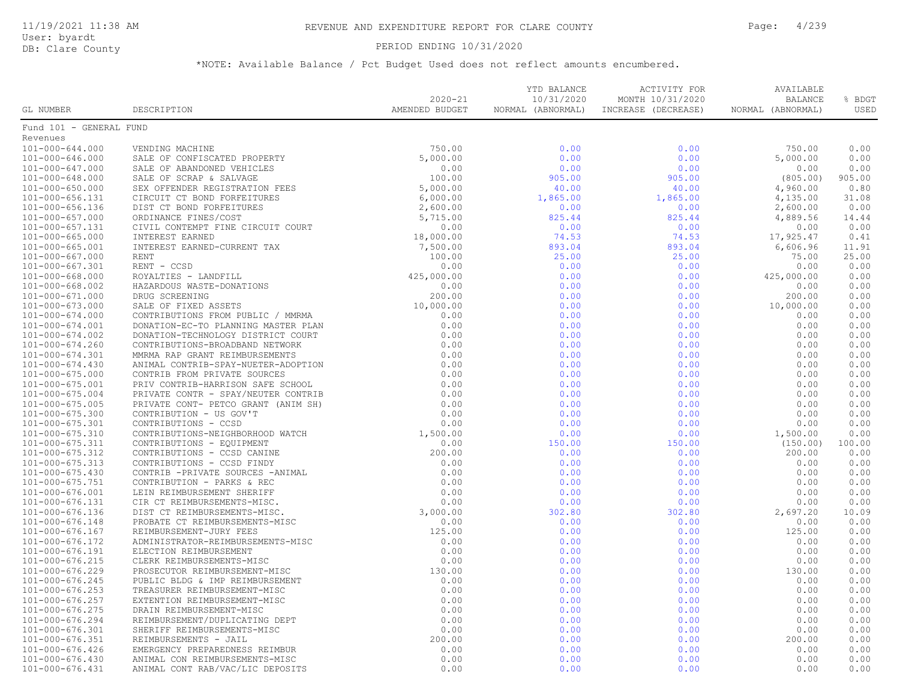### PERIOD ENDING 10/31/2020

|                                    |                                                                                                                                                                                                                               |                               | YTD BALANCE                     | ACTIVITY FOR                            | AVAILABLE                           |                |
|------------------------------------|-------------------------------------------------------------------------------------------------------------------------------------------------------------------------------------------------------------------------------|-------------------------------|---------------------------------|-----------------------------------------|-------------------------------------|----------------|
| GL NUMBER                          | DESCRIPTION                                                                                                                                                                                                                   | $2020 - 21$<br>AMENDED BUDGET | 10/31/2020<br>NORMAL (ABNORMAL) | MONTH 10/31/2020<br>INCREASE (DECREASE) | <b>BALANCE</b><br>NORMAL (ABNORMAL) | % BDGT<br>USED |
| Fund 101 - GENERAL FUND            |                                                                                                                                                                                                                               |                               |                                 |                                         |                                     |                |
| Revenues                           |                                                                                                                                                                                                                               |                               |                                 |                                         |                                     |                |
| 101-000-644.000                    |                                                                                                                                                                                                                               |                               | 0.00                            | 0.00                                    | 750.00                              | 0.00           |
| 101-000-646.000                    |                                                                                                                                                                                                                               |                               | 0.00                            | 0.00                                    | 5,000.00                            | 0.00           |
| 101-000-647.000                    |                                                                                                                                                                                                                               |                               | 0.00                            | 0.00                                    | 0.00                                | 0.00           |
| 101-000-648.000                    |                                                                                                                                                                                                                               |                               | 905.00                          | 905.00                                  | (805.00)                            | 905.00         |
| 101-000-650.000                    |                                                                                                                                                                                                                               |                               | 40.00                           | 40.00                                   | 4,960.00                            | 0.80           |
| 101-000-656.131                    |                                                                                                                                                                                                                               |                               | 1,865.00                        | 1,865.00                                | 4,135.00                            | 31.08          |
| 101-000-656.136                    |                                                                                                                                                                                                                               |                               | 0.00                            | 0.00                                    | 2,600.00                            | 0.00           |
| $101 - 000 - 657.000$              |                                                                                                                                                                                                                               |                               | 825.44                          | 825.44                                  | 4,889.56                            | 14.44          |
| 101-000-657.131                    |                                                                                                                                                                                                                               |                               | 0.00                            | 0.00                                    | 0.00                                | 0.00           |
| $101 - 000 - 665.000$              |                                                                                                                                                                                                                               |                               | 74.53                           | 74.53                                   | 17,925.47                           | 0.41           |
| 101-000-665.001                    |                                                                                                                                                                                                                               |                               | 893.04                          | 893.04                                  | 6,606.96                            | 11.91          |
| $101 - 000 - 667.000$              |                                                                                                                                                                                                                               |                               | 25.00                           | 25.00                                   | 75.00                               | 25.00          |
| 101-000-667.301                    |                                                                                                                                                                                                                               |                               | 0.00                            | 0.00                                    | 0.00                                | 0.00           |
| $101 - 000 - 668.000$              |                                                                                                                                                                                                                               |                               | 0.00                            | 0.00                                    | 425,000.00                          | 0.00           |
| $101 - 000 - 668.002$              |                                                                                                                                                                                                                               |                               | 0.00                            | 0.00                                    | 0.00                                | 0.00           |
| 101-000-671.000                    |                                                                                                                                                                                                                               |                               | 0.00                            | 0.00                                    | 200.00                              | 0.00           |
| $101 - 000 - 673.000$              |                                                                                                                                                                                                                               |                               | 0.00                            | 0.00                                    | 10,000.00                           | 0.00           |
| $101 - 000 - 674.000$              |                                                                                                                                                                                                                               |                               | 0.00                            | 0.00                                    | 0.00                                | 0.00           |
| 101-000-674.001                    |                                                                                                                                                                                                                               |                               | 0.00                            | 0.00                                    | 0.00                                | 0.00           |
| $101 - 000 - 674.002$              |                                                                                                                                                                                                                               |                               | 0.00                            | 0.00                                    | 0.00                                | 0.00           |
| $101 - 000 - 674.260$              |                                                                                                                                                                                                                               |                               | 0.00                            | 0.00                                    | 0.00                                | 0.00           |
| 101-000-674.301                    |                                                                                                                                                                                                                               |                               | 0.00                            | 0.00                                    | 0.00                                | 0.00           |
| $101 - 000 - 674.430$              |                                                                                                                                                                                                                               |                               | 0.00                            | 0.00                                    | 0.00                                | 0.00           |
| $101 - 000 - 675.000$              |                                                                                                                                                                                                                               |                               | 0.00                            | 0.00                                    | 0.00                                | 0.00           |
| 101-000-675.001                    |                                                                                                                                                                                                                               |                               | 0.00                            | 0.00                                    | 0.00                                | 0.00           |
| $101 - 000 - 675.004$              |                                                                                                                                                                                                                               |                               | 0.00                            | 0.00                                    | 0.00                                | 0.00           |
| $101 - 000 - 675.005$              |                                                                                                                                                                                                                               |                               | 0.00                            | 0.00                                    | 0.00                                | 0.00           |
| $101 - 000 - 675.300$              |                                                                                                                                                                                                                               |                               | 0.00                            | 0.00                                    | 0.00                                | 0.00           |
| 101-000-675.301                    |                                                                                                                                                                                                                               |                               | 0.00                            | 0.00                                    | 0.00                                | 0.00           |
| $101 - 000 - 675.310$              |                                                                                                                                                                                                                               |                               | 0.00                            | 0.00                                    | 1,500.00                            | 0.00           |
| 101-000-675.311                    |                                                                                                                                                                                                                               |                               | 150.00                          | 150.00                                  | (150.00)                            | 100.00         |
| 101-000-675.312                    |                                                                                                                                                                                                                               |                               | 0.00                            | 0.00                                    | 200.00                              | 0.00           |
| 101-000-675.313                    |                                                                                                                                                                                                                               |                               | 0.00                            | 0.00                                    | 0.00                                | 0.00           |
| $101 - 000 - 675.430$              |                                                                                                                                                                                                                               |                               | 0.00                            | 0.00                                    | 0.00                                | 0.00           |
| 101-000-675.751                    |                                                                                                                                                                                                                               |                               | 0.00                            | 0.00                                    | 0.00                                | 0.00           |
| 101-000-676.001                    |                                                                                                                                                                                                                               |                               | 0.00                            | 0.00                                    | 0.00                                | 0.00           |
| 101-000-676.131                    |                                                                                                                                                                                                                               |                               | 0.00                            | 0.00                                    | 0.00                                | 0.00           |
| 101-000-676.136                    |                                                                                                                                                                                                                               |                               | 302.80                          | 302.80                                  | 2,697.20                            | 10.09          |
| 101-000-676.148<br>101-000-676.167 |                                                                                                                                                                                                                               |                               | 0.00<br>0.00                    | 0.00<br>0.00                            | 0.00<br>125.00                      | 0.00<br>0.00   |
| 101-000-676.172                    |                                                                                                                                                                                                                               |                               | 0.00                            | 0.00                                    | 0.00                                | 0.00           |
| 101-000-676.191                    |                                                                                                                                                                                                                               |                               | 0.00                            | 0.00                                    | 0.00                                | 0.00           |
| 101-000-676.215                    |                                                                                                                                                                                                                               |                               | 0.00                            | 0.00                                    | 0.00                                | 0.00           |
| 101-000-676.229                    |                                                                                                                                                                                                                               |                               | 0.00                            | 0.00                                    | 130.00                              | 0.00           |
| 101-000-676.245                    |                                                                                                                                                                                                                               |                               | 0.00                            | 0.00                                    | 0.00                                | 0.00           |
| $101 - 000 - 676.253$              |                                                                                                                                                                                                                               |                               | 0.00                            | 0.00                                    | 0.00                                | 0.00           |
| 101-000-676.257                    |                                                                                                                                                                                                                               |                               | 0.00                            | 0.00                                    | 0.00                                | 0.00           |
| $101 - 000 - 676.275$              |                                                                                                                                                                                                                               |                               | 0.00                            | 0.00                                    | 0.00                                | 0.00           |
| 101-000-676.294                    |                                                                                                                                                                                                                               |                               | 0.00                            | 0.00                                    | 0.00                                | 0.00           |
| 101-000-676.301                    |                                                                                                                                                                                                                               |                               | 0.00                            | 0.00                                    | 0.00                                | 0.00           |
| 101-000-676.351                    |                                                                                                                                                                                                                               |                               | 0.00                            | 0.00                                    | 200.00                              | 0.00           |
| $101 - 000 - 676.426$              |                                                                                                                                                                                                                               |                               | 0.00                            | 0.00                                    | 0.00                                | 0.00           |
| 101-000-676.430                    |                                                                                                                                                                                                                               |                               | 0.00                            | 0.00                                    | 0.00                                | 0.00           |
| 101-000-676.431                    | FUND MALE OF RANKLES (FOR AN ARCHIVE SET AN ARCHIVE SALE OF RANKLES (FOR AN ARCHIVE SET AN ARCHIVE SALE OF REPORT ON A CONTINUES (FOR A CONTINUES) (FOR A CONTINUES) (FOR A CONTINUES) (FOR A CONTINUES) (FOR A CONTINUES) (F |                               | 0.00                            | 0.00                                    | 0.00                                | 0.00           |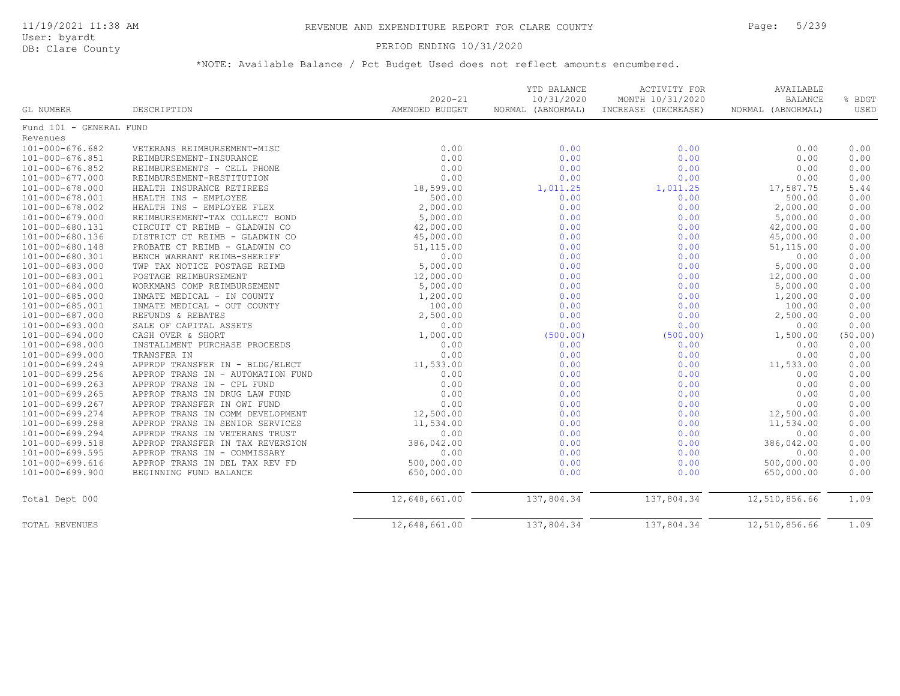### PERIOD ENDING 10/31/2020

|                         |                                   | $2020 - 21$    | YTD BALANCE<br>10/31/2020 | <b>ACTIVITY FOR</b><br>MONTH 10/31/2020 | AVAILABLE<br><b>BALANCE</b> | % BDGT  |
|-------------------------|-----------------------------------|----------------|---------------------------|-----------------------------------------|-----------------------------|---------|
| GL NUMBER               | DESCRIPTION                       | AMENDED BUDGET | NORMAL (ABNORMAL)         | INCREASE (DECREASE)                     | NORMAL (ABNORMAL)           | USED    |
| Fund 101 - GENERAL FUND |                                   |                |                           |                                         |                             |         |
| Revenues                |                                   |                |                           |                                         |                             |         |
| $101 - 000 - 676.682$   | VETERANS REIMBURSEMENT-MISC       | 0.00           | 0.00                      | 0.00                                    | 0.00                        | 0.00    |
| 101-000-676.851         | REIMBURSEMENT-INSURANCE           | 0.00           | 0.00                      | 0.00                                    | 0.00                        | 0.00    |
| $101 - 000 - 676.852$   | REIMBURSEMENTS - CELL PHONE       | 0.00           | 0.00                      | 0.00                                    | 0.00                        | 0.00    |
| 101-000-677.000         | REIMBURSEMENT-RESTITUTION         | 0.00           | 0.00                      | 0.00                                    | 0.00                        | 0.00    |
| 101-000-678.000         | HEALTH INSURANCE RETIREES         | 18,599.00      | 1,011.25                  | 1,011.25                                | 17,587.75                   | 5.44    |
| 101-000-678.001         | HEALTH INS - EMPLOYEE             | 500.00         | 0.00                      | 0.00                                    | 500.00                      | 0.00    |
| 101-000-678.002         | HEALTH INS - EMPLOYEE FLEX        | 2,000.00       | 0.00                      | 0.00                                    | 2,000.00                    | 0.00    |
| 101-000-679.000         | REIMBURSEMENT-TAX COLLECT BOND    | 5,000.00       | 0.00                      | 0.00                                    | 5,000.00                    | 0.00    |
| 101-000-680.131         | CIRCUIT CT REIMB - GLADWIN CO     | 42,000.00      | 0.00                      | 0.00                                    | 42,000.00                   | 0.00    |
| 101-000-680.136         | DISTRICT CT REIMB - GLADWIN CO    | 45,000.00      | 0.00                      | 0.00                                    | 45,000.00                   | 0.00    |
| 101-000-680.148         | PROBATE CT REIMB - GLADWIN CO     | 51,115.00      | 0.00                      | 0.00                                    | 51,115.00                   | 0.00    |
| 101-000-680.301         | BENCH WARRANT REIMB-SHERIFF       | 0.00           | 0.00                      | 0.00                                    | 0.00                        | 0.00    |
| 101-000-683.000         | TWP TAX NOTICE POSTAGE REIMB      | 5,000.00       | 0.00                      | 0.00                                    | 5,000.00                    | 0.00    |
| 101-000-683.001         | POSTAGE REIMBURSEMENT             | 12,000.00      | 0.00                      | 0.00                                    | 12,000.00                   | 0.00    |
| 101-000-684.000         | WORKMANS COMP REIMBURSEMENT       | 5,000.00       | 0.00                      | 0.00                                    | 5,000.00                    | 0.00    |
| 101-000-685.000         | INMATE MEDICAL - IN COUNTY        | 1,200.00       | 0.00                      | 0.00                                    | 1,200.00                    | 0.00    |
| 101-000-685.001         | INMATE MEDICAL - OUT COUNTY       | 100.00         | 0.00                      | 0.00                                    | 100.00                      | 0.00    |
| 101-000-687.000         | REFUNDS & REBATES                 | 2,500.00       | 0.00                      | 0.00                                    | 2,500.00                    | 0.00    |
| 101-000-693.000         | SALE OF CAPITAL ASSETS            | 0.00           | 0.00                      | 0.00                                    | 0.00                        | 0.00    |
| 101-000-694.000         | CASH OVER & SHORT                 | 1,000.00       | (500.00)                  | (500.00)                                | 1,500.00                    | (50.00) |
| 101-000-698.000         | INSTALLMENT PURCHASE PROCEEDS     | 0.00           | 0.00                      | 0.00                                    | 0.00                        | 0.00    |
| 101-000-699.000         | TRANSFER IN                       | 0.00           | 0.00                      | 0.00                                    | 0.00                        | 0.00    |
| 101-000-699.249         | APPROP TRANSFER IN - BLDG/ELECT   | 11,533.00      | 0.00                      | 0.00                                    | 11,533.00                   | 0.00    |
| 101-000-699.256         | APPROP TRANS IN - AUTOMATION FUND | 0.00           | 0.00                      | 0.00                                    | 0.00                        | 0.00    |
| 101-000-699.263         | APPROP TRANS IN - CPL FUND        | 0.00           | 0.00                      | 0.00                                    | 0.00                        | 0.00    |
| $101 - 000 - 699.265$   | APPROP TRANS IN DRUG LAW FUND     | 0.00           | 0.00                      | 0.00                                    | 0.00                        | 0.00    |
| 101-000-699.267         | APPROP TRANSFER IN OWI FUND       | 0.00           | 0.00                      | 0.00                                    | 0.00                        | 0.00    |
| 101-000-699.274         | APPROP TRANS IN COMM DEVELOPMENT  | 12,500.00      | 0.00                      | 0.00                                    | 12,500.00                   | 0.00    |
| 101-000-699.288         | APPROP TRANS IN SENIOR SERVICES   | 11,534.00      | 0.00                      | 0.00                                    | 11,534.00                   | 0.00    |
| 101-000-699.294         | APPROP TRANS IN VETERANS TRUST    | 0.00           | 0.00                      | 0.00                                    | 0.00                        | 0.00    |
| 101-000-699.518         | APPROP TRANSFER IN TAX REVERSION  | 386,042.00     | 0.00                      | 0.00                                    | 386,042.00                  | 0.00    |
| 101-000-699.595         | APPROP TRANS IN - COMMISSARY      | 0.00           | 0.00                      | 0.00                                    | 0.00                        | 0.00    |
| 101-000-699.616         | APPROP TRANS IN DEL TAX REV FD    | 500,000.00     | 0.00                      | 0.00                                    | 500,000.00                  | 0.00    |
| $101 - 000 - 699.900$   | BEGINNING FUND BALANCE            | 650,000.00     | 0.00                      | 0.00                                    | 650,000.00                  | 0.00    |
| Total Dept 000          |                                   | 12,648,661.00  | 137,804.34                | 137,804.34                              | 12,510,856.66               | 1.09    |
| TOTAL REVENUES          |                                   | 12,648,661.00  | 137,804.34                | 137,804.34                              | 12,510,856.66               | 1.09    |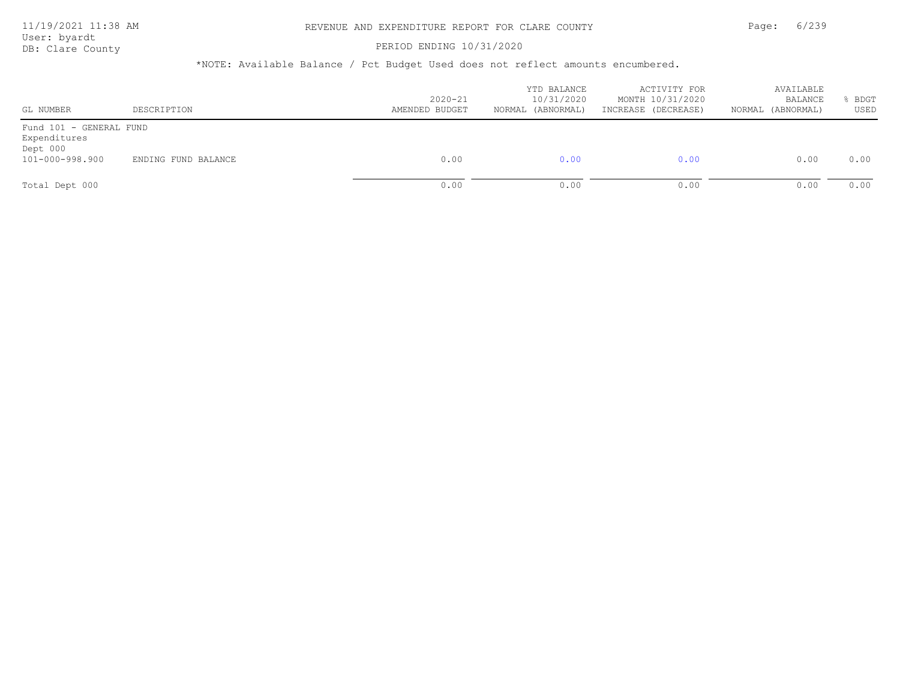#### PERIOD ENDING 10/31/2020

| GL NUMBER                                                              | DESCRIPTION         | $2020 - 21$<br>AMENDED BUDGET | YTD BALANCE<br>10/31/2020<br>(ABNORMAL)<br>NORMAL | ACTIVITY FOR<br>MONTH 10/31/2020<br>INCREASE (DECREASE) | AVAILABLE<br>BALANCE<br>NORMAL (ABNORMAL) | BDGT<br>USED |
|------------------------------------------------------------------------|---------------------|-------------------------------|---------------------------------------------------|---------------------------------------------------------|-------------------------------------------|--------------|
| Fund 101 - GENERAL FUND<br>Expenditures<br>Dept 000<br>101-000-998.900 | ENDING FUND BALANCE | 0.00                          | 0.00                                              | 0.00                                                    | 0.00                                      | 0.00         |
| Total Dept 000                                                         |                     | 0.00                          | 0.00                                              | 0.00                                                    | 0.00                                      | 0.00         |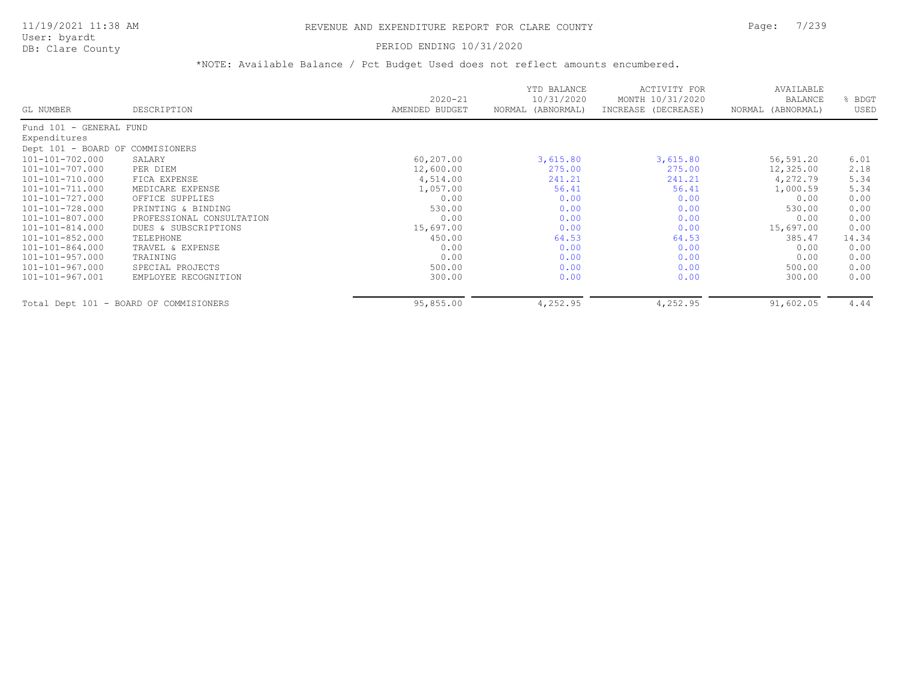User: byardt

# DB: Clare County **DB: Clare County**

| GL NUMBER                        | DESCRIPTION                            | $2020 - 21$<br>AMENDED BUDGET | YTD BALANCE<br>10/31/2020<br>NORMAL (ABNORMAL) | <b>ACTIVITY FOR</b><br>MONTH 10/31/2020<br>INCREASE (DECREASE) | AVAILABLE<br>BALANCE<br>NORMAL (ABNORMAL) | BDGT<br>USED |
|----------------------------------|----------------------------------------|-------------------------------|------------------------------------------------|----------------------------------------------------------------|-------------------------------------------|--------------|
| Fund 101 - GENERAL FUND          |                                        |                               |                                                |                                                                |                                           |              |
| Expenditures                     |                                        |                               |                                                |                                                                |                                           |              |
| Dept 101 - BOARD OF COMMISIONERS |                                        |                               |                                                |                                                                |                                           |              |
| 101-101-702.000                  | SALARY                                 | 60,207.00                     | 3,615.80                                       | 3,615.80                                                       | 56,591.20                                 | 6.01         |
| 101-101-707.000                  | PER DIEM                               | 12,600.00                     | 275.00                                         | 275.00                                                         | 12,325.00                                 | 2.18         |
| 101-101-710.000                  | FICA EXPENSE                           | 4,514.00                      | 241.21                                         | 241.21                                                         | 4,272.79                                  | 5.34         |
| 101-101-711.000                  | MEDICARE EXPENSE                       | 1,057.00                      | 56.41                                          | 56.41                                                          | 1,000.59                                  | 5.34         |
| 101-101-727.000                  | OFFICE SUPPLIES                        | 0.00                          | 0.00                                           | 0.00                                                           | 0.00                                      | 0.00         |
| 101-101-728.000                  | PRINTING & BINDING                     | 530.00                        | 0.00                                           | 0.00                                                           | 530.00                                    | 0.00         |
| 101-101-807.000                  | PROFESSIONAL CONSULTATION              | 0.00                          | 0.00                                           | 0.00                                                           | 0.00                                      | 0.00         |
| 101-101-814.000                  | DUES & SUBSCRIPTIONS                   | 15,697.00                     | 0.00                                           | 0.00                                                           | 15,697.00                                 | 0.00         |
| 101-101-852.000                  | TELEPHONE                              | 450.00                        | 64.53                                          | 64.53                                                          | 385.47                                    | 14.34        |
| 101-101-864.000                  | TRAVEL & EXPENSE                       | 0.00                          | 0.00                                           | 0.00                                                           | 0.00                                      | 0.00         |
| 101-101-957.000                  | TRAINING                               | 0.00                          | 0.00                                           | 0.00                                                           | 0.00                                      | 0.00         |
| 101-101-967.000                  | SPECIAL PROJECTS                       | 500.00                        | 0.00                                           | 0.00                                                           | 500.00                                    | 0.00         |
| 101-101-967.001                  | EMPLOYEE RECOGNITION                   | 300.00                        | 0.00                                           | 0.00                                                           | 300.00                                    | 0.00         |
|                                  | Total Dept 101 - BOARD OF COMMISIONERS | 95,855.00                     | 4,252.95                                       | 4,252.95                                                       | 91,602.05                                 | 4.44         |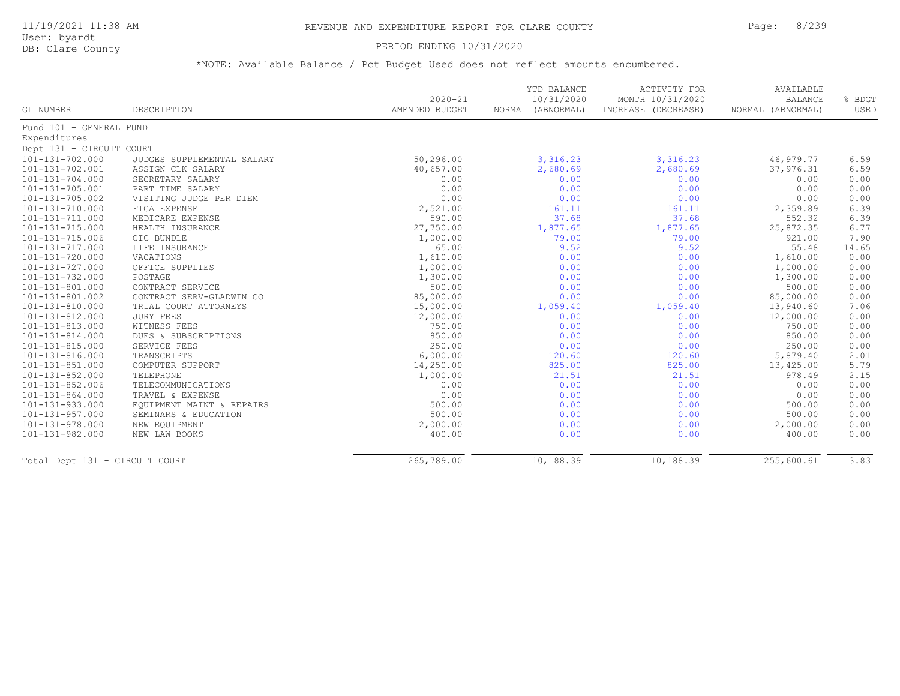#### PERIOD ENDING 10/31/2020

|                                |                            |                | YTD BALANCE       | ACTIVITY FOR        | AVAILABLE         |        |
|--------------------------------|----------------------------|----------------|-------------------|---------------------|-------------------|--------|
|                                |                            | $2020 - 21$    | 10/31/2020        | MONTH 10/31/2020    | <b>BALANCE</b>    | % BDGT |
| <b>GL NUMBER</b>               | DESCRIPTION                | AMENDED BUDGET | NORMAL (ABNORMAL) | INCREASE (DECREASE) | NORMAL (ABNORMAL) | USED   |
| Fund 101 - GENERAL FUND        |                            |                |                   |                     |                   |        |
| Expenditures                   |                            |                |                   |                     |                   |        |
| Dept 131 - CIRCUIT COURT       |                            |                |                   |                     |                   |        |
| 101-131-702.000                | JUDGES SUPPLEMENTAL SALARY | 50,296.00      | 3,316.23          | 3,316.23            | 46,979.77         | 6.59   |
| 101-131-702.001                | ASSIGN CLK SALARY          | 40,657.00      | 2,680.69          | 2,680.69            | 37,976.31         | 6.59   |
| 101-131-704.000                | SECRETARY SALARY           | 0.00           | 0.00              | 0.00                | 0.00              | 0.00   |
| 101-131-705.001                | PART TIME SALARY           | 0.00           | 0.00              | 0.00                | 0.00              | 0.00   |
| 101-131-705.002                | VISITING JUDGE PER DIEM    | 0.00           | 0.00              | 0.00                | 0.00              | 0.00   |
| 101-131-710.000                | FICA EXPENSE               | 2,521.00       | 161.11            | 161.11              | 2,359.89          | 6.39   |
| 101-131-711.000                | MEDICARE EXPENSE           | 590.00         | 37.68             | 37.68               | 552.32            | 6.39   |
| 101-131-715.000                | HEALTH INSURANCE           | 27,750.00      | 1,877.65          | 1,877.65            | 25,872.35         | 6.77   |
| 101-131-715.006                | CIC BUNDLE                 | 1,000.00       | 79.00             | 79.00               | 921.00            | 7.90   |
| 101-131-717.000                | LIFE INSURANCE             | 65.00          | 9.52              | 9.52                | 55.48             | 14.65  |
| 101-131-720.000                | VACATIONS                  | 1,610.00       | 0.00              | 0.00                | 1,610.00          | 0.00   |
| 101-131-727.000                | OFFICE SUPPLIES            | 1,000.00       | 0.00              | 0.00                | 1,000.00          | 0.00   |
| 101-131-732.000                | POSTAGE                    | 1,300.00       | 0.00              | 0.00                | 1,300.00          | 0.00   |
| $101 - 131 - 801.000$          | CONTRACT SERVICE           | 500.00         | 0.00              | 0.00                | 500.00            | 0.00   |
| 101-131-801.002                | CONTRACT SERV-GLADWIN CO   | 85,000.00      | 0.00              | 0.00                | 85,000.00         | 0.00   |
| 101-131-810.000                | TRIAL COURT ATTORNEYS      | 15,000.00      | 1,059.40          | 1,059.40            | 13,940.60         | 7.06   |
| 101-131-812.000                | <b>JURY FEES</b>           | 12,000.00      | 0.00              | 0.00                | 12,000.00         | 0.00   |
| 101-131-813.000                | WITNESS FEES               | 750.00         | 0.00              | 0.00                | 750.00            | 0.00   |
| 101-131-814.000                | DUES & SUBSCRIPTIONS       | 850.00         | 0.00              | 0.00                | 850.00            | 0.00   |
| 101-131-815.000                | SERVICE FEES               | 250.00         | 0.00              | 0.00                | 250.00            | 0.00   |
| 101-131-816.000                | TRANSCRIPTS                | 6,000.00       | 120.60            | 120.60              | 5,879.40          | 2.01   |
| 101-131-851.000                | COMPUTER SUPPORT           | 14,250.00      | 825.00            | 825.00              | 13,425.00         | 5.79   |
| $101 - 131 - 852.000$          | TELEPHONE                  | 1,000.00       | 21.51             | 21.51               | 978.49            | 2.15   |
| 101-131-852.006                | TELECOMMUNICATIONS         | 0.00           | 0.00              | 0.00                | 0.00              | 0.00   |
| 101-131-864.000                | TRAVEL & EXPENSE           | 0.00           | 0.00              | 0.00                | 0.00              | 0.00   |
| 101-131-933.000                | EQUIPMENT MAINT & REPAIRS  | 500.00         | 0.00              | 0.00                | 500.00            | 0.00   |
| 101-131-957.000                | SEMINARS & EDUCATION       | 500.00         | 0.00              | 0.00                | 500.00            | 0.00   |
| 101-131-978.000                | NEW EQUIPMENT              | 2,000.00       | 0.00              | 0.00                | 2,000.00          | 0.00   |
| 101-131-982.000                | NEW LAW BOOKS              | 400.00         | 0.00              | 0.00                | 400.00            | 0.00   |
| Total Dept 131 - CIRCUIT COURT |                            | 265,789.00     | 10,188.39         | 10,188.39           | 255,600.61        | 3.83   |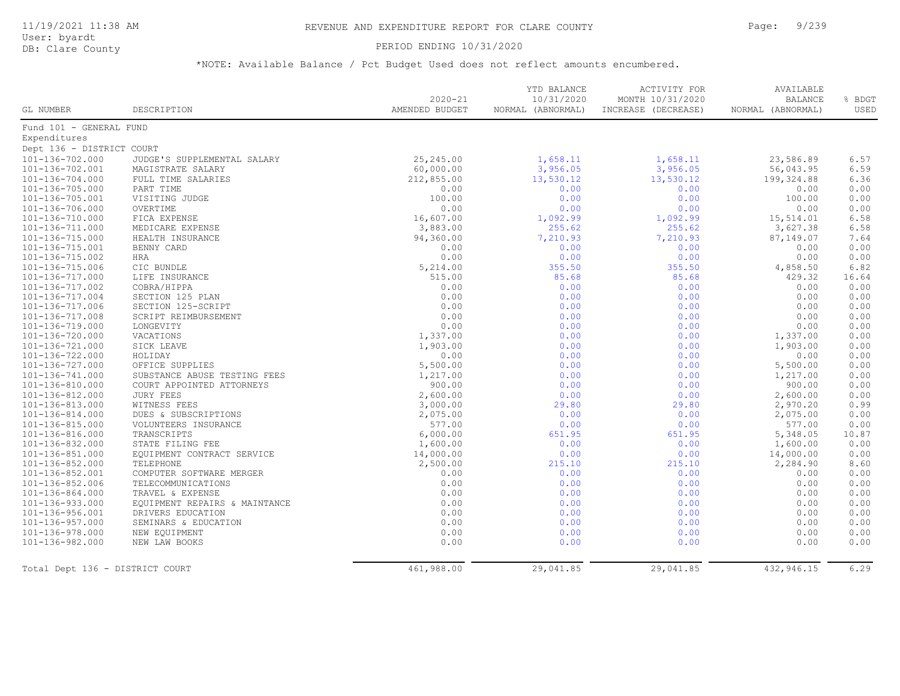### PERIOD ENDING 10/31/2020

|                                 |                                                    | $2020 - 21$    | YTD BALANCE<br>10/31/2020 | ACTIVITY FOR<br>MONTH 10/31/2020 | AVAILABLE<br><b>BALANCE</b> | % BDGT |
|---------------------------------|----------------------------------------------------|----------------|---------------------------|----------------------------------|-----------------------------|--------|
| GL NUMBER                       | DESCRIPTION                                        | AMENDED BUDGET | NORMAL (ABNORMAL)         | INCREASE (DECREASE)              | NORMAL (ABNORMAL)           | USED   |
| Fund 101 - GENERAL FUND         |                                                    |                |                           |                                  |                             |        |
| Expenditures                    |                                                    |                |                           |                                  |                             |        |
| Dept 136 - DISTRICT COURT       |                                                    |                |                           |                                  |                             |        |
| 101-136-702.000                 | JUDGE'S SUPPLEMENTAL SALARY                        | 25,245.00      | 1,658.11                  | 1,658.11                         | 23,586.89                   | 6.57   |
| 101-136-702.001                 | MAGISTRATE SALARY                                  | 60,000.00      | 3,956.05                  | 3,956.05                         | 56,043.95                   | 6.59   |
| 101-136-704.000                 | FULL TIME SALARIES                                 | 212,855.00     | 13,530.12                 | 13,530.12                        | 199,324.88                  | 6.36   |
| 101-136-705.000                 | PART TIME                                          | 0.00           | 0.00                      | 0.00                             | 0.00                        | 0.00   |
| 101-136-705.001                 | VISITING JUDGE                                     | 100.00         | 0.00                      | 0.00                             | 100.00                      | 0.00   |
| 101-136-706.000                 | OVERTIME                                           | 0.00           | 0.00                      | 0.00                             | 0.00                        | 0.00   |
| 101-136-710.000                 | FICA EXPENSE                                       | 16,607.00      | 1,092.99                  | 1,092.99                         | 15,514.01                   | 6.58   |
| 101-136-711.000                 | MEDICARE EXPENSE                                   | 3,883.00       | 255.62                    | 255.62                           | 3,627.38                    | 6.58   |
| 101-136-715.000                 | HEALTH INSURANCE                                   | 94,360.00      | 7,210.93                  | 7,210.93                         | 87,149.07                   | 7.64   |
| 101-136-715.001                 | BENNY CARD                                         | 0.00           | 0.00                      | 0.00                             | 0.00                        | 0.00   |
| 101-136-715.002                 | <b>HRA</b>                                         | 0.00           | 0.00                      | 0.00                             | 0.00                        | 0.00   |
| 101-136-715.006                 | CIC BUNDLE                                         | 5,214.00       | 355.50                    | 355.50                           | 4,858.50                    | 6.82   |
| 101-136-717.000                 | LIFE INSURANCE                                     | 515.00         | 85.68                     | 85.68                            | 429.32                      | 16.64  |
| 101-136-717.002                 | COBRA/HIPPA                                        | 0.00           | 0.00                      | 0.00                             | 0.00                        | 0.00   |
| 101-136-717.004                 | SECTION 125 PLAN                                   | 0.00           | 0.00                      | 0.00                             | 0.00                        | 0.00   |
| 101-136-717.006                 | SECTION 125-SCRIPT                                 | 0.00           | 0.00                      | 0.00                             | 0.00                        | 0.00   |
| 101-136-717.008                 | SCRIPT REIMBURSEMENT                               | 0.00           | 0.00                      | 0.00                             | 0.00                        | 0.00   |
| 101-136-719.000                 | LONGEVITY                                          | 0.00           | 0.00                      | 0.00                             | 0.00                        | 0.00   |
| 101-136-720.000                 | VACATIONS                                          | 1,337.00       | 0.00                      | 0.00                             | 1,337.00                    | 0.00   |
| 101-136-721.000                 | SICK LEAVE                                         | 1,903.00       | 0.00                      | 0.00                             | 1,903.00                    | 0.00   |
| 101-136-722.000                 | HOLIDAY                                            | 0.00           | 0.00                      | 0.00                             | 0.00                        | 0.00   |
| 101-136-727.000                 | OFFICE SUPPLIES                                    | 5,500.00       | 0.00                      | 0.00                             | 5,500.00                    | 0.00   |
| 101-136-741.000                 | SUBSTANCE ABUSE TESTING FEES                       | 1,217.00       | 0.00                      | 0.00                             | 1,217.00                    | 0.00   |
| 101-136-810.000                 | COURT APPOINTED ATTORNEYS                          | 900.00         | 0.00                      | 0.00                             | 900.00                      | 0.00   |
| 101-136-812.000                 | <b>JURY FEES</b>                                   | 2,600.00       | 0.00                      | 0.00                             | 2,600.00                    | 0.00   |
| 101-136-813.000                 | WITNESS FEES                                       | 3,000.00       | 29.80                     | 29.80                            | 2,970.20                    | 0.99   |
| 101-136-814.000                 | DUES & SUBSCRIPTIONS                               | 2,075.00       | 0.00                      | 0.00                             | 2,075.00                    | 0.00   |
| 101-136-815.000                 | VOLUNTEERS INSURANCE                               | 577.00         | 0.00                      | 0.00                             | 577.00                      | 0.00   |
| 101-136-816.000                 | TRANSCRIPTS                                        | 6,000.00       | 651.95                    | 651.95                           | 5,348.05                    | 10.87  |
| 101-136-832.000                 | STATE FILING FEE                                   | 1,600.00       | 0.00                      | 0.00                             | 1,600.00                    | 0.00   |
| 101-136-851.000                 | EQUIPMENT CONTRACT SERVICE                         | 14,000.00      | 0.00                      | 0.00                             | 14,000.00                   | 0.00   |
| $101 - 136 - 852.000$           | TELEPHONE                                          | 2,500.00       | 215.10                    | 215.10                           | 2,284.90                    | 8.60   |
| 101-136-852.001                 | COMPUTER SOFTWARE MERGER                           | 0.00           | 0.00                      | 0.00                             | 0.00                        | 0.00   |
| 101-136-852.006                 | TELECOMMUNICATIONS                                 | 0.00           | 0.00                      | 0.00                             | 0.00                        | 0.00   |
| 101-136-864.000                 | TRAVEL & EXPENSE                                   | 0.00           | 0.00                      | 0.00                             | 0.00                        | 0.00   |
| 101-136-933.000                 |                                                    | 0.00           | 0.00                      | 0.00                             | 0.00                        | 0.00   |
| 101-136-956.001                 | EQUIPMENT REPAIRS & MAINTANCE<br>DRIVERS EDUCATION | 0.00           | 0.00                      | 0.00                             | 0.00                        | 0.00   |
| $101 - 136 - 957.000$           |                                                    | 0.00           | 0.00                      | 0.00                             | 0.00                        | 0.00   |
| 101-136-978.000                 | SEMINARS & EDUCATION                               | 0.00           | 0.00                      | 0.00                             | 0.00                        | 0.00   |
|                                 | NEW EQUIPMENT                                      |                |                           |                                  |                             | 0.00   |
| 101-136-982.000                 | NEW LAW BOOKS                                      | 0.00           | 0.00                      | 0.00                             | 0.00                        |        |
| Total Dept 136 - DISTRICT COURT |                                                    | 461,988.00     | 29,041.85                 | 29,041.85                        | 432,946.15                  | 6.29   |
|                                 |                                                    |                |                           |                                  |                             |        |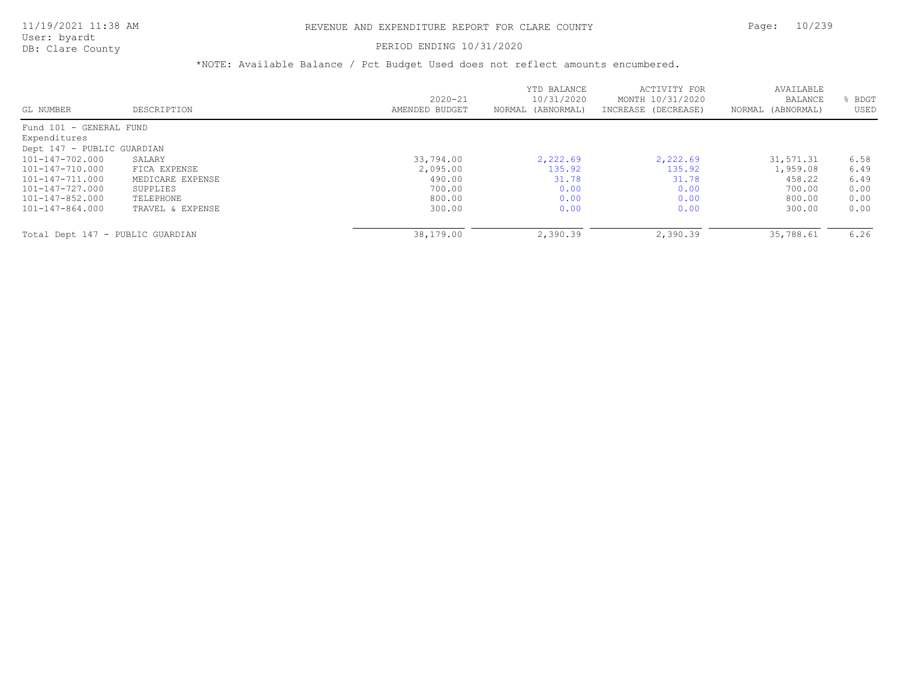#### PERIOD ENDING 10/31/2020

|                                  |                  | $2020 - 21$    | YTD BALANCE<br>10/31/2020 | ACTIVITY FOR<br>MONTH 10/31/2020 | AVAILABLE<br>BALANCE | BDGT |
|----------------------------------|------------------|----------------|---------------------------|----------------------------------|----------------------|------|
| GL NUMBER                        | DESCRIPTION      | AMENDED BUDGET | NORMAL (ABNORMAL)         | INCREASE (DECREASE)              | NORMAL (ABNORMAL)    | USED |
| Fund 101 - GENERAL FUND          |                  |                |                           |                                  |                      |      |
| Expenditures                     |                  |                |                           |                                  |                      |      |
| Dept 147 - PUBLIC GUARDIAN       |                  |                |                           |                                  |                      |      |
| 101-147-702.000                  | SALARY           | 33,794.00      | 2,222.69                  | 2,222.69                         | 31,571.31            | 6.58 |
| 101-147-710.000                  | FICA EXPENSE     | 2,095.00       | 135.92                    | 135.92                           | 1,959.08             | 6.49 |
| 101-147-711.000                  | MEDICARE EXPENSE | 490.00         | 31.78                     | 31.78                            | 458.22               | 6.49 |
| 101-147-727.000                  | SUPPLIES         | 700.00         | 0.00                      | 0.00                             | 700.00               | 0.00 |
| 101-147-852.000                  | TELEPHONE        | 800.00         | 0.00                      | 0.00                             | 800.00               | 0.00 |
| 101-147-864.000                  | TRAVEL & EXPENSE | 300.00         | 0.00                      | 0.00                             | 300.00               | 0.00 |
| Total Dept 147 - PUBLIC GUARDIAN |                  | 38,179.00      | 2,390.39                  | 2,390.39                         | 35,788.61            | 6.26 |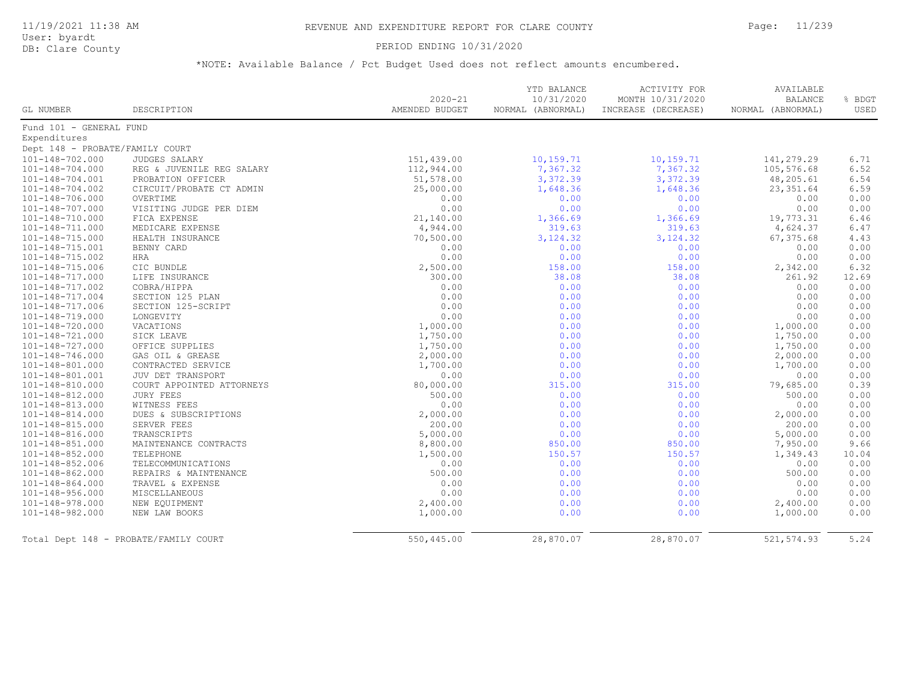### PERIOD ENDING 10/31/2020

| GL NUMBER                       | DESCRIPTION                           | $2020 - 21$<br>AMENDED BUDGET | YTD BALANCE<br>10/31/2020<br>NORMAL (ABNORMAL) | <b>ACTIVITY FOR</b><br>MONTH 10/31/2020<br>INCREASE (DECREASE) | AVAILABLE<br><b>BALANCE</b><br>NORMAL (ABNORMAL) | % BDGT<br>USED |
|---------------------------------|---------------------------------------|-------------------------------|------------------------------------------------|----------------------------------------------------------------|--------------------------------------------------|----------------|
| Fund 101 - GENERAL FUND         |                                       |                               |                                                |                                                                |                                                  |                |
| Expenditures                    |                                       |                               |                                                |                                                                |                                                  |                |
| Dept 148 - PROBATE/FAMILY COURT |                                       |                               |                                                |                                                                |                                                  |                |
| 101-148-702.000                 | <b>JUDGES SALARY</b>                  | 151,439.00                    | 10,159.71                                      | 10,159.71                                                      | 141,279.29                                       | 6.71           |
| 101-148-704.000                 | REG & JUVENILE REG SALARY             | 112,944.00                    | 7,367.32                                       | 7,367.32                                                       | 105,576.68                                       | 6.52           |
| 101-148-704.001                 | PROBATION OFFICER                     | 51,578.00                     | 3,372.39                                       | 3,372.39                                                       | 48,205.61                                        | 6.54           |
| 101-148-704.002                 | CIRCUIT/PROBATE CT ADMIN              | 25,000.00                     | 1,648.36                                       | 1,648.36                                                       | 23, 351.64                                       | 6.59           |
| 101-148-706.000                 | OVERTIME                              | 0.00                          | 0.00                                           | 0.00                                                           | 0.00                                             | 0.00           |
| 101-148-707.000                 | VISITING JUDGE PER DIEM               | 0.00                          | 0.00                                           | 0.00                                                           | 0.00                                             | 0.00           |
| 101-148-710.000                 | FICA EXPENSE                          | 21,140.00                     | 1,366.69                                       | 1,366.69                                                       | 19,773.31                                        | 6.46           |
| 101-148-711.000                 | MEDICARE EXPENSE                      | 4,944.00                      | 319.63                                         | 319.63                                                         | 4,624.37                                         | 6.47           |
| 101-148-715.000                 | HEALTH INSURANCE                      | 70,500.00                     | 3, 124.32                                      | 3, 124.32                                                      | 67,375.68                                        | 4.43           |
| 101-148-715.001                 | BENNY CARD                            | 0.00                          | 0.00                                           | 0.00                                                           | 0.00                                             | 0.00           |
| 101-148-715.002                 | HRA                                   | 0.00                          | 0.00                                           | 0.00                                                           | 0.00                                             | 0.00           |
| 101-148-715.006                 | CIC BUNDLE                            | 2,500.00                      | 158.00                                         | 158.00                                                         | 2,342.00                                         | 6.32           |
| 101-148-717.000                 | LIFE INSURANCE                        | 300.00                        | 38.08                                          | 38.08                                                          | 261.92                                           | 12.69          |
| 101-148-717.002                 | COBRA/HIPPA                           | 0.00                          | 0.00                                           | 0.00                                                           | 0.00                                             | 0.00           |
| 101-148-717.004                 | SECTION 125 PLAN                      | 0.00                          | 0.00                                           | 0.00                                                           | 0.00                                             | 0.00           |
| 101-148-717.006                 | SECTION 125-SCRIPT                    | 0.00                          | 0.00                                           | 0.00                                                           | 0.00                                             | 0.00           |
| 101-148-719.000                 | LONGEVITY                             | 0.00                          | 0.00                                           | 0.00                                                           | 0.00                                             | 0.00           |
| 101-148-720.000                 | VACATIONS                             | 1,000.00                      | 0.00                                           | 0.00                                                           | 1,000.00                                         | 0.00           |
| 101-148-721.000                 | SICK LEAVE                            | 1,750.00                      | 0.00                                           | 0.00                                                           | 1,750.00                                         | 0.00           |
| 101-148-727.000                 | OFFICE SUPPLIES                       | 1,750.00                      | 0.00                                           | 0.00                                                           | 1,750.00                                         | 0.00           |
| 101-148-746.000                 | GAS OIL & GREASE                      | 2,000.00                      | 0.00                                           | 0.00                                                           | 2,000.00                                         | 0.00           |
| 101-148-801.000                 | CONTRACTED SERVICE                    | 1,700.00                      | 0.00                                           | 0.00                                                           | 1,700.00                                         | 0.00           |
| 101-148-801.001                 | JUV DET TRANSPORT                     | 0.00                          | 0.00                                           | 0.00                                                           | 0.00                                             | 0.00           |
| 101-148-810.000                 | COURT APPOINTED ATTORNEYS             | 80,000.00                     | 315.00                                         | 315.00                                                         | 79,685.00                                        | 0.39           |
| 101-148-812.000                 | <b>JURY FEES</b>                      | 500.00                        | 0.00                                           | 0.00                                                           | 500.00                                           | 0.00           |
| 101-148-813.000                 | WITNESS FEES                          | 0.00                          | 0.00                                           | 0.00                                                           | 0.00                                             | 0.00           |
| 101-148-814.000                 | DUES & SUBSCRIPTIONS                  | 2,000.00                      | 0.00                                           | 0.00                                                           | 2,000.00                                         | 0.00           |
| 101-148-815.000                 | SERVER FEES                           | 200.00                        | 0.00                                           | 0.00                                                           | 200.00                                           | 0.00           |
| 101-148-816.000                 | TRANSCRIPTS                           | 5,000.00                      | 0.00                                           | 0.00                                                           | 5,000.00                                         | 0.00           |
| 101-148-851.000                 | MAINTENANCE CONTRACTS                 | 8,800.00                      | 850.00                                         | 850.00                                                         | 7,950.00                                         | 9.66           |
| 101-148-852.000                 | TELEPHONE                             | 1,500.00                      | 150.57                                         | 150.57                                                         | 1,349.43                                         | 10.04          |
| 101-148-852.006                 | TELECOMMUNICATIONS                    | 0.00                          | 0.00                                           | 0.00                                                           | 0.00                                             | 0.00           |
| 101-148-862.000                 | REPAIRS & MAINTENANCE                 | 500.00                        | 0.00                                           | 0.00                                                           | 500.00                                           | 0.00           |
| 101-148-864.000                 | TRAVEL & EXPENSE                      | 0.00                          | 0.00                                           | 0.00                                                           | 0.00                                             | 0.00           |
| $101 - 148 - 956.000$           | MISCELLANEOUS                         | 0.00                          | 0.00                                           | 0.00                                                           | 0.00                                             | 0.00           |
| 101-148-978.000                 | NEW EQUIPMENT                         | 2,400.00                      | 0.00                                           | 0.00                                                           | 2,400.00                                         | 0.00           |
| 101-148-982.000                 | NEW LAW BOOKS                         | 1,000.00                      | 0.00                                           | 0.00                                                           | 1,000.00                                         | 0.00           |
|                                 | Total Dept 148 - PROBATE/FAMILY COURT | 550,445.00                    | 28,870.07                                      | 28,870.07                                                      | 521, 574.93                                      | 5.24           |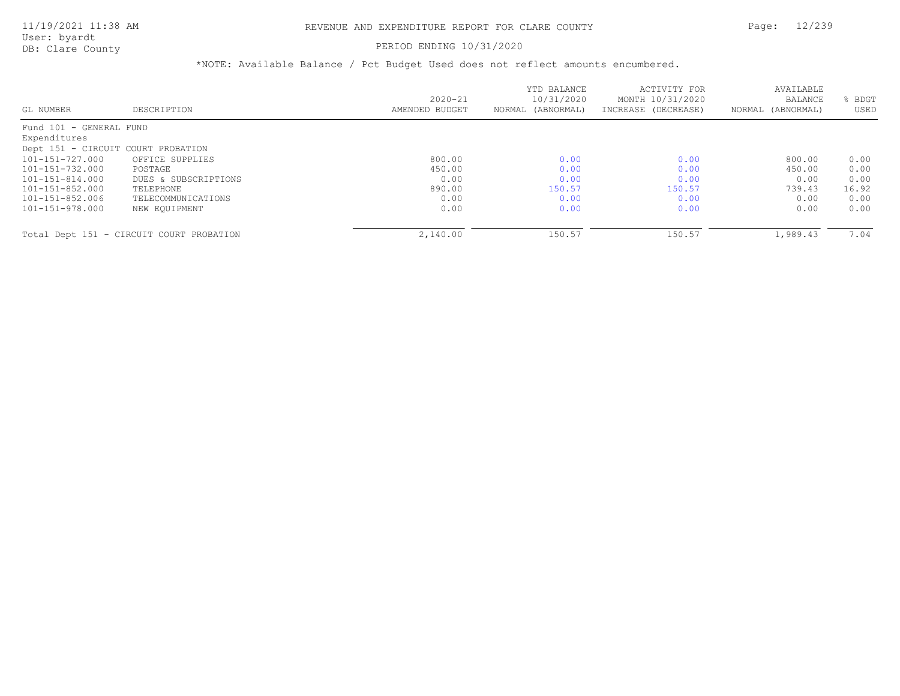### PERIOD ENDING 10/31/2020

|                                    |                                          | $2020 - 21$    | YTD BALANCE<br>10/31/2020 | ACTIVITY FOR<br>MONTH 10/31/2020 | AVAILABLE<br><b>BALANCE</b> | BDGT  |
|------------------------------------|------------------------------------------|----------------|---------------------------|----------------------------------|-----------------------------|-------|
| GL NUMBER                          | DESCRIPTION                              | AMENDED BUDGET | NORMAL (ABNORMAL)         | INCREASE (DECREASE)              | NORMAL (ABNORMAL)           | USED  |
| Fund 101 - GENERAL FUND            |                                          |                |                           |                                  |                             |       |
| Expenditures                       |                                          |                |                           |                                  |                             |       |
| Dept 151 - CIRCUIT COURT PROBATION |                                          |                |                           |                                  |                             |       |
| 101-151-727.000                    | OFFICE SUPPLIES                          | 800.00         | 0.00                      | 0.00                             | 800.00                      | 0.00  |
| 101-151-732.000                    | POSTAGE                                  | 450.00         | 0.00                      | 0.00                             | 450.00                      | 0.00  |
| 101-151-814.000                    | DUES & SUBSCRIPTIONS                     | 0.00           | 0.00                      | 0.00                             | 0.00                        | 0.00  |
| 101-151-852.000                    | TELEPHONE                                | 890.00         | 150.57                    | 150.57                           | 739.43                      | 16.92 |
| 101-151-852.006                    | TELECOMMUNICATIONS                       | 0.00           | 0.00                      | 0.00                             | 0.00                        | 0.00  |
| 101-151-978.000                    | NEW EOUIPMENT                            | 0.00           | 0.00                      | 0.00                             | 0.00                        | 0.00  |
|                                    |                                          |                |                           |                                  |                             |       |
|                                    | Total Dept 151 - CIRCUIT COURT PROBATION | 2,140.00       | 150.57                    | 150.57                           | 1,989.43                    | 7.04  |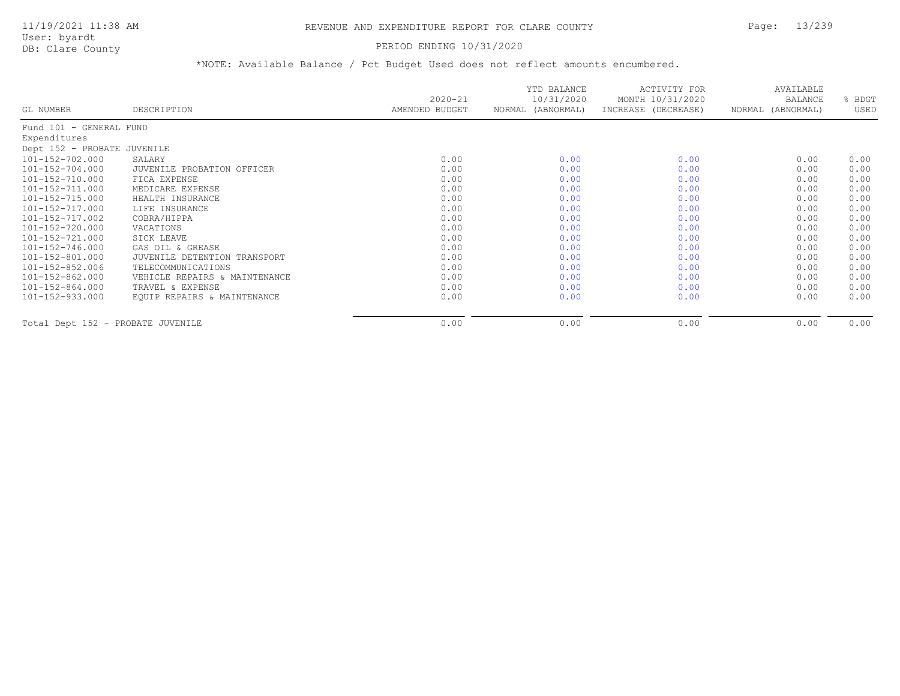### PERIOD ENDING 10/31/2020

|                                   |                               | $2020 - 21$    | YTD BALANCE<br>10/31/2020 | ACTIVITY FOR<br>MONTH 10/31/2020 | AVAILABLE<br><b>BALANCE</b> | BDGT |
|-----------------------------------|-------------------------------|----------------|---------------------------|----------------------------------|-----------------------------|------|
| GL NUMBER                         | DESCRIPTION                   | AMENDED BUDGET | NORMAL (ABNORMAL)         | INCREASE (DECREASE)              | NORMAL (ABNORMAL)           | USED |
| Fund 101 - GENERAL FUND           |                               |                |                           |                                  |                             |      |
| Expenditures                      |                               |                |                           |                                  |                             |      |
| Dept 152 - PROBATE JUVENILE       |                               |                |                           |                                  |                             |      |
| 101-152-702.000                   | SALARY                        | 0.00           | 0.00                      | 0.00                             | 0.00                        | 0.00 |
| $101 - 152 - 704.000$             | JUVENILE PROBATION OFFICER    | 0.00           | 0.00                      | 0.00                             | 0.00                        | 0.00 |
| 101-152-710.000                   | FICA EXPENSE                  | 0.00           | 0.00                      | 0.00                             | 0.00                        | 0.00 |
| 101-152-711.000                   | MEDICARE EXPENSE              | 0.00           | 0.00                      | 0.00                             | 0.00                        | 0.00 |
| $101 - 152 - 715.000$             | HEALTH INSURANCE              | 0.00           | 0.00                      | 0.00                             | 0.00                        | 0.00 |
| 101-152-717.000                   | LIFE INSURANCE                | 0.00           | 0.00                      | 0.00                             | 0.00                        | 0.00 |
| 101-152-717.002                   | COBRA/HIPPA                   | 0.00           | 0.00                      | 0.00                             | 0.00                        | 0.00 |
| 101-152-720.000                   | VACATIONS                     | 0.00           | 0.00                      | 0.00                             | 0.00                        | 0.00 |
| $101 - 152 - 721.000$             | SICK LEAVE                    | 0.00           | 0.00                      | 0.00                             | 0.00                        | 0.00 |
| $101 - 152 - 746.000$             | GAS OIL & GREASE              | 0.00           | 0.00                      | 0.00                             | 0.00                        | 0.00 |
| 101-152-801.000                   | JUVENILE DETENTION TRANSPORT  | 0.00           | 0.00                      | 0.00                             | 0.00                        | 0.00 |
| $101 - 152 - 852.006$             | TELECOMMUNICATIONS            | 0.00           | 0.00                      | 0.00                             | 0.00                        | 0.00 |
| 101-152-862.000                   | VEHICLE REPAIRS & MAINTENANCE | 0.00           | 0.00                      | 0.00                             | 0.00                        | 0.00 |
| 101-152-864.000                   | TRAVEL & EXPENSE              | 0.00           | 0.00                      | 0.00                             | 0.00                        | 0.00 |
| 101-152-933.000                   | EQUIP REPAIRS & MAINTENANCE   | 0.00           | 0.00                      | 0.00                             | 0.00                        | 0.00 |
| Total Dept 152 - PROBATE JUVENILE |                               | 0.00           | 0.00                      | 0.00                             | 0.00                        | 0.00 |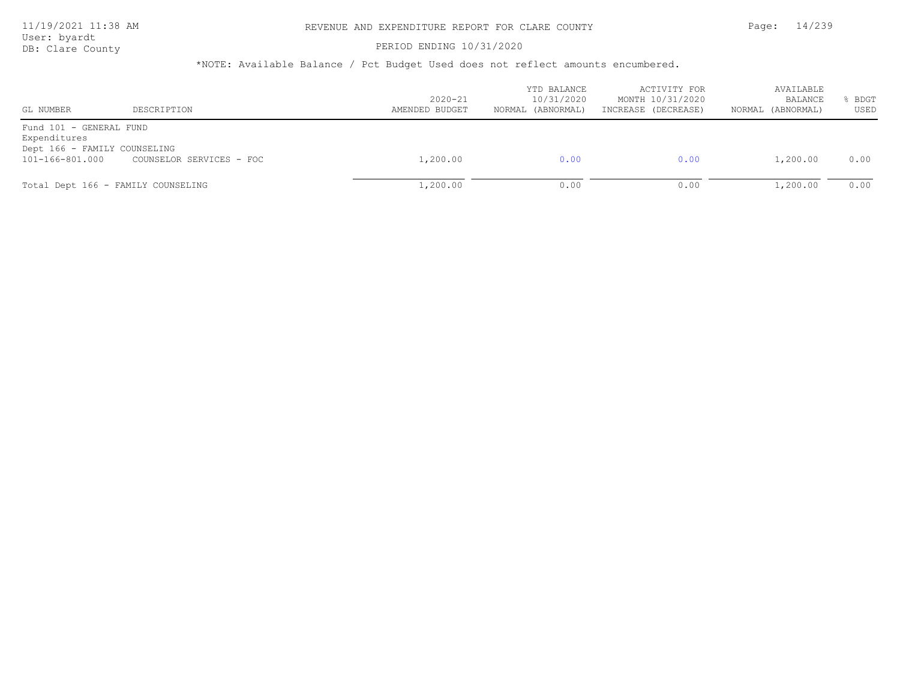### 11/19/2021 11:38 AM REVENUE AND EXPENDITURE REPORT FOR CLARE COUNTY Page: 14/239

User: byardt<br>DB: Clare County

#### PERIOD ENDING 10/31/2020

| GL NUMBER                                                                                  | DESCRIPTION                        | $2020 - 21$<br>AMENDED BUDGET | YTD BALANCE<br>10/31/2020<br>NORMAL (ABNORMAL) | ACTIVITY FOR<br>MONTH 10/31/2020<br>INCREASE (DECREASE) | AVAILABLE<br>BALANCE<br>NORMAL (ABNORMAL) | BDGT<br>USED |
|--------------------------------------------------------------------------------------------|------------------------------------|-------------------------------|------------------------------------------------|---------------------------------------------------------|-------------------------------------------|--------------|
| Fund 101 - GENERAL FUND<br>Expenditures<br>Dept 166 - FAMILY COUNSELING<br>101-166-801.000 | COUNSELOR SERVICES - FOC           | 1,200.00                      | 0.00                                           | 0.00                                                    | 1,200.00                                  | 0.00         |
|                                                                                            | Total Dept 166 - FAMILY COUNSELING | 1,200.00                      | 0.00                                           | 0.00                                                    | 1,200.00                                  | 0.00         |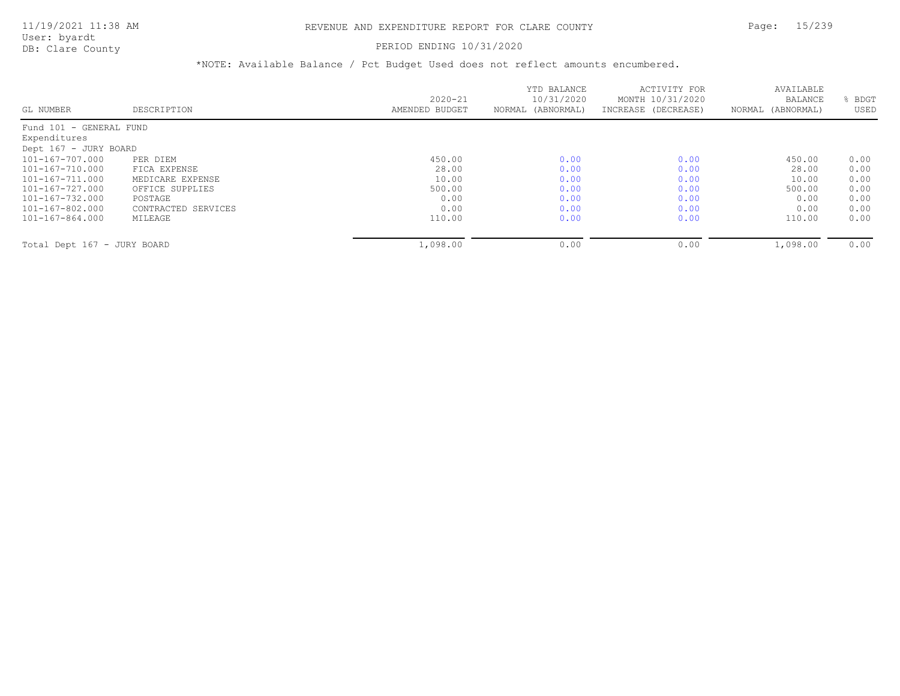#### PERIOD ENDING 10/31/2020

| <b>BALANCE</b><br>BDGT<br>USED<br>NORMAL (ABNORMAL)                      |
|--------------------------------------------------------------------------|
|                                                                          |
|                                                                          |
|                                                                          |
|                                                                          |
|                                                                          |
| 0.00                                                                     |
| 0.00                                                                     |
| 0.00                                                                     |
| 0.00                                                                     |
| 0.00                                                                     |
| 0.00                                                                     |
| 0.00                                                                     |
| 0.00                                                                     |
| 450.00<br>28.00<br>10.00<br>500.00<br>0.00<br>0.00<br>110.00<br>1,098.00 |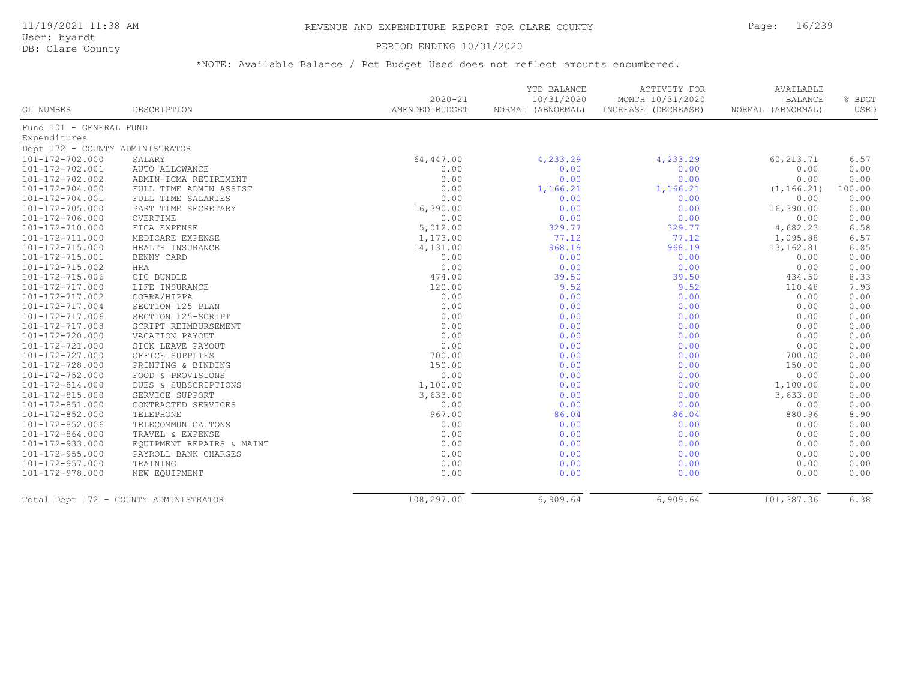### PERIOD ENDING 10/31/2020

|                                 |                                       | $2020 - 21$    | YTD BALANCE<br>10/31/2020 | <b>ACTIVITY FOR</b><br>MONTH 10/31/2020 | AVAILABLE<br><b>BALANCE</b> | % BDGT |
|---------------------------------|---------------------------------------|----------------|---------------------------|-----------------------------------------|-----------------------------|--------|
| GL NUMBER                       | DESCRIPTION                           | AMENDED BUDGET | NORMAL (ABNORMAL)         | INCREASE (DECREASE)                     | NORMAL (ABNORMAL)           | USED   |
| Fund 101 - GENERAL FUND         |                                       |                |                           |                                         |                             |        |
| Expenditures                    |                                       |                |                           |                                         |                             |        |
| Dept 172 - COUNTY ADMINISTRATOR |                                       |                |                           |                                         |                             |        |
| 101-172-702.000                 | SALARY                                | 64,447.00      | 4,233.29                  | 4,233.29                                | 60,213.71                   | 6.57   |
| 101-172-702.001                 | AUTO ALLOWANCE                        | 0.00           | 0.00                      | 0.00                                    | 0.00                        | 0.00   |
| 101-172-702.002                 | ADMIN-ICMA RETIREMENT                 | 0.00           | 0.00                      | 0.00                                    | 0.00                        | 0.00   |
| 101-172-704.000                 | FULL TIME ADMIN ASSIST                | 0.00           | 1,166.21                  | 1,166.21                                | (1, 166.21)                 | 100.00 |
| 101-172-704.001                 | FULL TIME SALARIES                    | 0.00           | 0.00                      | 0.00                                    | 0.00                        | 0.00   |
| 101-172-705.000                 | PART TIME SECRETARY                   | 16,390.00      | 0.00                      | 0.00                                    | 16,390.00                   | 0.00   |
| 101-172-706.000                 | OVERTIME                              | 0.00           | 0.00                      | 0.00                                    | 0.00                        | 0.00   |
| 101-172-710.000                 | FICA EXPENSE                          | 5,012.00       | 329.77                    | 329.77                                  | 4,682.23                    | 6.58   |
| 101-172-711.000                 | MEDICARE EXPENSE                      | 1,173.00       | 77.12                     | 77.12                                   | 1,095.88                    | 6.57   |
| 101-172-715.000                 | HEALTH INSURANCE                      | 14,131.00      | 968.19                    | 968.19                                  | 13,162.81                   | 6.85   |
| 101-172-715.001                 | BENNY CARD                            | 0.00           | 0.00                      | 0.00                                    | 0.00                        | 0.00   |
| 101-172-715.002                 | HRA                                   | 0.00           | 0.00                      | 0.00                                    | 0.00                        | 0.00   |
| 101-172-715.006                 | CIC BUNDLE                            | 474.00         | 39.50                     | 39.50                                   | 434.50                      | 8.33   |
| 101-172-717.000                 | LIFE INSURANCE                        | 120.00         | 9.52                      | 9.52                                    | 110.48                      | 7.93   |
| 101-172-717.002                 | COBRA/HIPPA                           | 0.00           | 0.00                      | 0.00                                    | 0.00                        | 0.00   |
| 101-172-717.004                 | SECTION 125 PLAN                      | 0.00           | 0.00                      | 0.00                                    | 0.00                        | 0.00   |
| 101-172-717.006                 | SECTION 125-SCRIPT                    | 0.00           | 0.00                      | 0.00                                    | 0.00                        | 0.00   |
| 101-172-717.008                 | SCRIPT REIMBURSEMENT                  | 0.00           | 0.00                      | 0.00                                    | 0.00                        | 0.00   |
| 101-172-720.000                 | VACATION PAYOUT                       | 0.00           | 0.00                      | 0.00                                    | 0.00                        | 0.00   |
| 101-172-721.000                 | SICK LEAVE PAYOUT                     | 0.00           | 0.00                      | 0.00                                    | 0.00                        | 0.00   |
| 101-172-727.000                 | OFFICE SUPPLIES                       | 700.00         | 0.00                      | 0.00                                    | 700.00                      | 0.00   |
| 101-172-728.000                 | PRINTING & BINDING                    | 150.00         | 0.00                      | 0.00                                    | 150.00                      | 0.00   |
| 101-172-752.000                 | FOOD & PROVISIONS                     | 0.00           | 0.00                      | 0.00                                    | 0.00                        | 0.00   |
| 101-172-814.000                 | DUES & SUBSCRIPTIONS                  | 1,100.00       | 0.00                      | 0.00                                    | 1,100.00                    | 0.00   |
| 101-172-815.000                 | SERVICE SUPPORT                       | 3,633.00       | 0.00                      | 0.00                                    | 3,633.00                    | 0.00   |
| 101-172-851.000                 | CONTRACTED SERVICES                   | 0.00           | 0.00                      | 0.00                                    | 0.00                        | 0.00   |
| 101-172-852.000                 | TELEPHONE                             | 967.00         | 86.04                     | 86.04                                   | 880.96                      | 8.90   |
| 101-172-852.006                 | TELECOMMUNICAITONS                    | 0.00           | 0.00                      | 0.00                                    | 0.00                        | 0.00   |
| 101-172-864.000                 | TRAVEL & EXPENSE                      | 0.00           | 0.00                      | 0.00                                    | 0.00                        | 0.00   |
| 101-172-933.000                 | EQUIPMENT REPAIRS & MAINT             | 0.00           | 0.00                      | 0.00                                    | 0.00                        | 0.00   |
| 101-172-955.000                 | PAYROLL BANK CHARGES                  | 0.00           | 0.00                      | 0.00                                    | 0.00                        | 0.00   |
| 101-172-957.000                 | TRAINING                              | 0.00           | 0.00                      | 0.00                                    | 0.00                        | 0.00   |
| 101-172-978.000                 | NEW EQUIPMENT                         | 0.00           | 0.00                      | 0.00                                    | 0.00                        | 0.00   |
|                                 |                                       |                |                           |                                         |                             |        |
|                                 | Total Dept 172 - COUNTY ADMINISTRATOR | 108,297.00     | 6,909.64                  | 6,909.64                                | 101,387.36                  | 6.38   |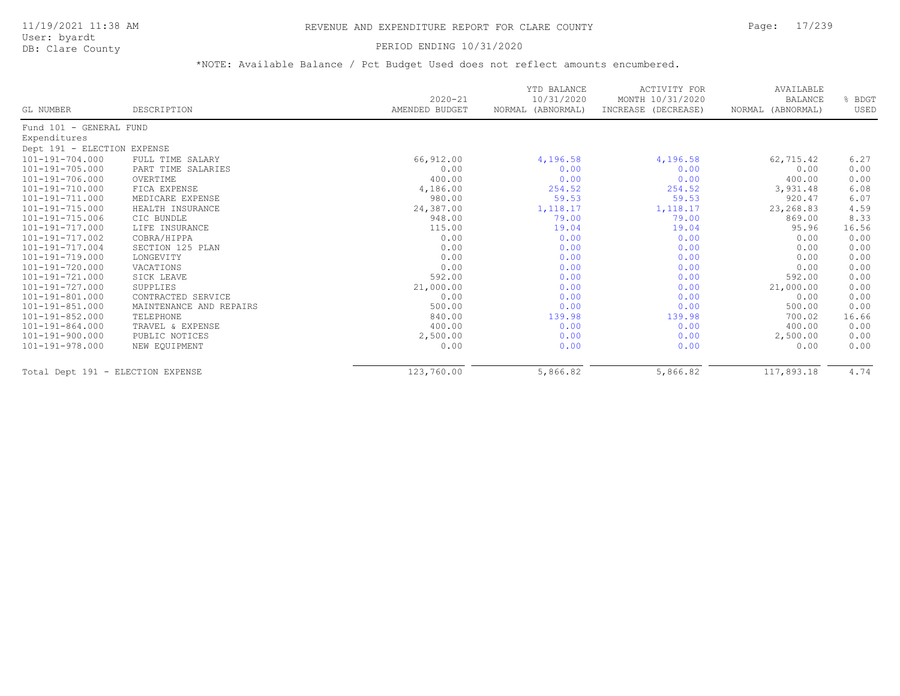User: byardt

# DB: Clare County **PERIOD ENDING 10/31/2020**

| GL NUMBER                         | DESCRIPTION             | $2020 - 21$<br>AMENDED BUDGET | YTD BALANCE<br>10/31/2020<br>NORMAL (ABNORMAL) | ACTIVITY FOR<br>MONTH 10/31/2020<br>INCREASE (DECREASE) | AVAILABLE<br><b>BALANCE</b><br>NORMAL (ABNORMAL) | % BDGT<br>USED |
|-----------------------------------|-------------------------|-------------------------------|------------------------------------------------|---------------------------------------------------------|--------------------------------------------------|----------------|
| Fund 101 - GENERAL FUND           |                         |                               |                                                |                                                         |                                                  |                |
| Expenditures                      |                         |                               |                                                |                                                         |                                                  |                |
| Dept 191 - ELECTION EXPENSE       |                         |                               |                                                |                                                         |                                                  |                |
| 101-191-704.000                   | FULL TIME SALARY        | 66,912.00                     | 4,196.58                                       | 4,196.58                                                | 62,715.42                                        | 6.27           |
| $101 - 191 - 705.000$             | PART TIME SALARIES      | 0.00                          | 0.00                                           | 0.00                                                    | 0.00                                             | 0.00           |
| $101 - 191 - 706.000$             | OVERTIME                | 400.00                        | 0.00                                           | 0.00                                                    | 400.00                                           | 0.00           |
| 101-191-710.000                   | FICA EXPENSE            | 4,186.00                      | 254.52                                         | 254.52                                                  | 3,931.48                                         | 6.08           |
| 101-191-711.000                   | MEDICARE EXPENSE        | 980.00                        | 59.53                                          | 59.53                                                   | 920.47                                           | 6.07           |
| 101-191-715.000                   | HEALTH INSURANCE        | 24,387.00                     | 1, 118.17                                      | 1,118.17                                                | 23,268.83                                        | 4.59           |
| 101-191-715.006                   | CIC BUNDLE              | 948.00                        | 79.00                                          | 79.00                                                   | 869.00                                           | 8.33           |
| 101-191-717.000                   | LIFE INSURANCE          | 115.00                        | 19.04                                          | 19.04                                                   | 95.96                                            | 16.56          |
| 101-191-717.002                   | COBRA/HIPPA             | 0.00                          | 0.00                                           | 0.00                                                    | 0.00                                             | 0.00           |
| 101-191-717.004                   | SECTION 125 PLAN        | 0.00                          | 0.00                                           | 0.00                                                    | 0.00                                             | 0.00           |
| 101-191-719.000                   | LONGEVITY               | 0.00                          | 0.00                                           | 0.00                                                    | 0.00                                             | 0.00           |
| 101-191-720.000                   | VACATIONS               | 0.00                          | 0.00                                           | 0.00                                                    | 0.00                                             | 0.00           |
| 101-191-721.000                   | SICK LEAVE              | 592.00                        | 0.00                                           | 0.00                                                    | 592.00                                           | 0.00           |
| 101-191-727.000                   | SUPPLIES                | 21,000.00                     | 0.00                                           | 0.00                                                    | 21,000.00                                        | 0.00           |
| 101-191-801.000                   | CONTRACTED SERVICE      | 0.00                          | 0.00                                           | 0.00                                                    | 0.00                                             | 0.00           |
| $101 - 191 - 851.000$             | MAINTENANCE AND REPAIRS | 500.00                        | 0.00                                           | 0.00                                                    | 500.00                                           | 0.00           |
| $101 - 191 - 852.000$             | TELEPHONE               | 840.00                        | 139.98                                         | 139.98                                                  | 700.02                                           | 16.66          |
| 101-191-864.000                   | TRAVEL & EXPENSE        | 400.00                        | 0.00                                           | 0.00                                                    | 400.00                                           | 0.00           |
| 101-191-900.000                   | PUBLIC NOTICES          | 2,500.00                      | 0.00                                           | 0.00                                                    | 2,500.00                                         | 0.00           |
| 101-191-978.000                   | NEW EQUIPMENT           | 0.00                          | 0.00                                           | 0.00                                                    | 0.00                                             | 0.00           |
| Total Dept 191 - ELECTION EXPENSE |                         | 123,760.00                    | 5,866.82                                       | 5,866.82                                                | 117,893.18                                       | 4.74           |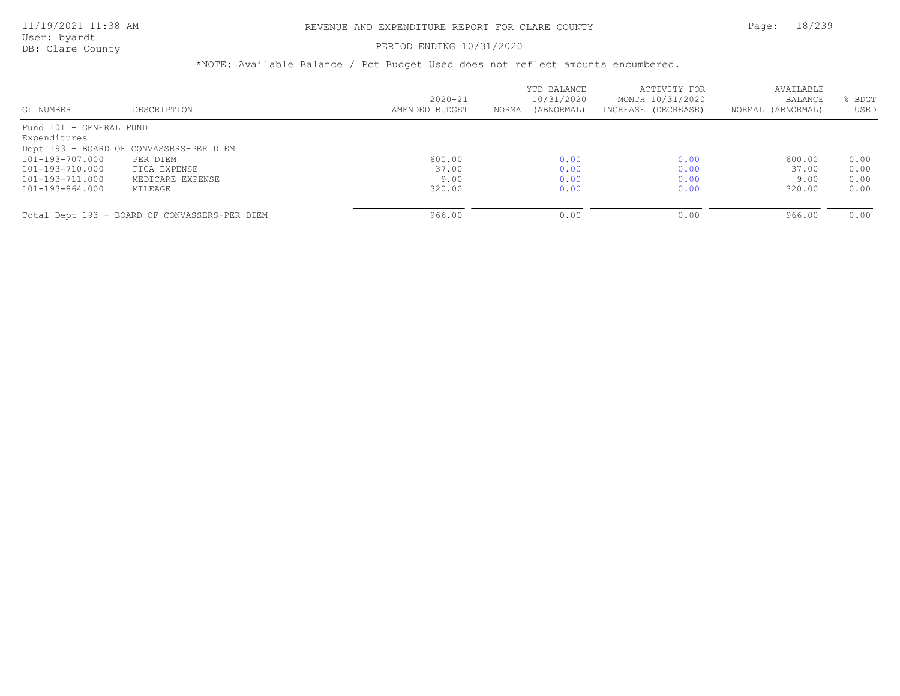#### PERIOD ENDING 10/31/2020

|                         |                                               |                | YTD BALANCE       | ACTIVITY FOR        | AVAILABLE         |      |
|-------------------------|-----------------------------------------------|----------------|-------------------|---------------------|-------------------|------|
|                         |                                               | $2020 - 21$    | 10/31/2020        | MONTH 10/31/2020    | BALANCE           | BDGT |
| GL NUMBER               | DESCRIPTION                                   | AMENDED BUDGET | NORMAL (ABNORMAL) | INCREASE (DECREASE) | NORMAL (ABNORMAL) | USED |
| Fund 101 - GENERAL FUND |                                               |                |                   |                     |                   |      |
| Expenditures            |                                               |                |                   |                     |                   |      |
|                         | Dept 193 - BOARD OF CONVASSERS-PER DIEM       |                |                   |                     |                   |      |
| 101-193-707.000         | PER DIEM                                      | 600.00         | 0.00              | 0.00                | 600.00            | 0.00 |
| 101-193-710.000         | FICA EXPENSE                                  | 37.00          | 0.00              | 0.00                | 37.00             | 0.00 |
| 101-193-711.000         | MEDICARE EXPENSE                              | 9.00           | 0.00              | 0.00                | 9.00              | 0.00 |
| 101-193-864.000         | MILEAGE                                       | 320.00         | 0.00              | 0.00                | 320.00            | 0.00 |
|                         |                                               |                |                   |                     |                   |      |
|                         | Total Dept 193 - BOARD OF CONVASSERS-PER DIEM | 966.00         | 0.00              | 0.00                | 966.00            | 0.00 |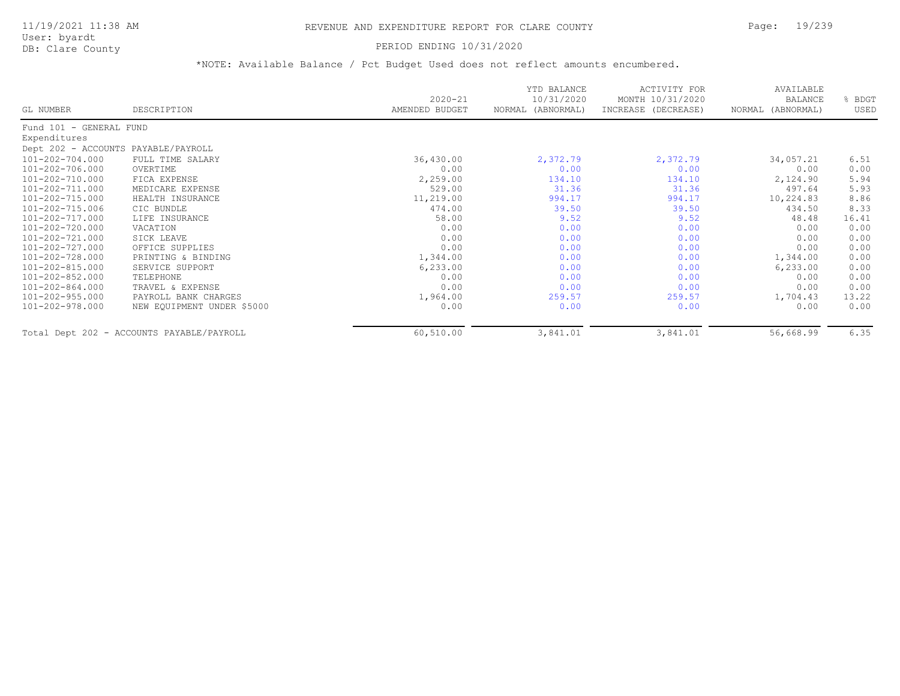User: byardt

# DB: Clare County **PERIOD ENDING 10/31/2020**

|                                     |                                           | $2020 - 21$    | YTD BALANCE<br>10/31/2020 | <b>ACTIVITY FOR</b><br>MONTH 10/31/2020 | AVAILABLE<br><b>BALANCE</b> | % BDGT |
|-------------------------------------|-------------------------------------------|----------------|---------------------------|-----------------------------------------|-----------------------------|--------|
| GL NUMBER                           | DESCRIPTION                               | AMENDED BUDGET | NORMAL (ABNORMAL)         | INCREASE (DECREASE)                     | NORMAL (ABNORMAL)           | USED   |
| Fund 101 - GENERAL FUND             |                                           |                |                           |                                         |                             |        |
| Expenditures                        |                                           |                |                           |                                         |                             |        |
| Dept 202 - ACCOUNTS PAYABLE/PAYROLL |                                           |                |                           |                                         |                             |        |
| 101-202-704.000                     | FULL TIME SALARY                          | 36,430.00      | 2,372.79                  | 2,372.79                                | 34,057.21                   | 6.51   |
| 101-202-706.000                     | OVERTIME                                  | 0.00           | 0.00                      | 0.00                                    | 0.00                        | 0.00   |
| 101-202-710.000                     | FICA EXPENSE                              | 2,259.00       | 134.10                    | 134.10                                  | 2,124.90                    | 5.94   |
| 101-202-711.000                     | MEDICARE EXPENSE                          | 529.00         | 31.36                     | 31.36                                   | 497.64                      | 5.93   |
| 101-202-715.000                     | HEALTH INSURANCE                          | 11,219.00      | 994.17                    | 994.17                                  | 10,224.83                   | 8.86   |
| 101-202-715.006                     | CIC BUNDLE                                | 474.00         | 39.50                     | 39.50                                   | 434.50                      | 8.33   |
| 101-202-717.000                     | LIFE INSURANCE                            | 58.00          | 9.52                      | 9.52                                    | 48.48                       | 16.41  |
| 101-202-720.000                     | VACATION                                  | 0.00           | 0.00                      | 0.00                                    | 0.00                        | 0.00   |
| 101-202-721.000                     | SICK LEAVE                                | 0.00           | 0.00                      | 0.00                                    | 0.00                        | 0.00   |
| 101-202-727.000                     | OFFICE SUPPLIES                           | 0.00           | 0.00                      | 0.00                                    | 0.00                        | 0.00   |
| 101-202-728.000                     | PRINTING & BINDING                        | 1,344.00       | 0.00                      | 0.00                                    | 1,344.00                    | 0.00   |
| 101-202-815.000                     | SERVICE SUPPORT                           | 6, 233.00      | 0.00                      | 0.00                                    | 6, 233.00                   | 0.00   |
| 101-202-852.000                     | TELEPHONE                                 | 0.00           | 0.00                      | 0.00                                    | 0.00                        | 0.00   |
| 101-202-864.000                     | TRAVEL & EXPENSE                          | 0.00           | 0.00                      | 0.00                                    | 0.00                        | 0.00   |
| 101-202-955.000                     | PAYROLL BANK CHARGES                      | 1,964.00       | 259.57                    | 259.57                                  | 1,704.43                    | 13.22  |
| 101-202-978.000                     | NEW EQUIPMENT UNDER \$5000                | 0.00           | 0.00                      | 0.00                                    | 0.00                        | 0.00   |
|                                     | Total Dept 202 - ACCOUNTS PAYABLE/PAYROLL | 60,510.00      | 3,841.01                  | 3,841.01                                | 56,668.99                   | 6.35   |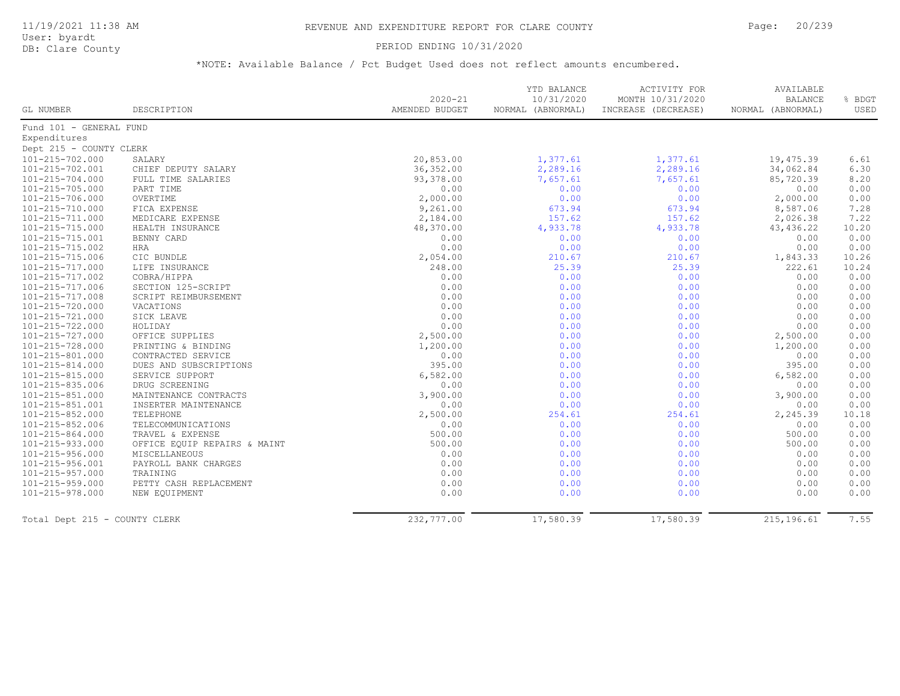#### PERIOD ENDING 10/31/2020

|                               |                              | $2020 - 21$    | YTD BALANCE<br>10/31/2020 | ACTIVITY FOR<br>MONTH 10/31/2020 | AVAILABLE<br><b>BALANCE</b> | % BDGT |
|-------------------------------|------------------------------|----------------|---------------------------|----------------------------------|-----------------------------|--------|
| GL NUMBER                     | DESCRIPTION                  | AMENDED BUDGET | NORMAL (ABNORMAL)         | INCREASE (DECREASE)              | NORMAL (ABNORMAL)           | USED   |
| Fund 101 - GENERAL FUND       |                              |                |                           |                                  |                             |        |
| Expenditures                  |                              |                |                           |                                  |                             |        |
| Dept 215 - COUNTY CLERK       |                              |                |                           |                                  |                             |        |
| 101-215-702.000               | SALARY                       | 20,853.00      | 1,377.61                  | 1,377.61                         | 19,475.39                   | 6.61   |
| 101-215-702.001               | CHIEF DEPUTY SALARY          | 36, 352.00     | 2,289.16                  | 2,289.16                         | 34,062.84                   | 6.30   |
| $101 - 215 - 704.000$         | FULL TIME SALARIES           | 93,378.00      | 7,657.61                  | 7,657.61                         | 85,720.39                   | 8.20   |
| 101-215-705.000               | PART TIME                    | 0.00           | 0.00                      | 0.00                             | 0.00                        | 0.00   |
| 101-215-706.000               | OVERTIME                     | 2,000.00       | 0.00                      | 0.00                             | 2,000.00                    | 0.00   |
| 101-215-710.000               | FICA EXPENSE                 | 9,261.00       | 673.94                    | 673.94                           | 8,587.06                    | 7.28   |
| 101-215-711.000               | MEDICARE EXPENSE             | 2,184.00       | 157.62                    | 157.62                           | 2,026.38                    | 7.22   |
| 101-215-715.000               | HEALTH INSURANCE             | 48,370.00      | 4,933.78                  | 4,933.78                         | 43, 436.22                  | 10.20  |
| 101-215-715.001               | BENNY CARD                   | 0.00           | 0.00                      | 0.00                             | 0.00                        | 0.00   |
| 101-215-715.002               | HRA                          | 0.00           | 0.00                      | 0.00                             | 0.00                        | 0.00   |
| 101-215-715.006               | CIC BUNDLE                   | 2,054.00       | 210.67                    | 210.67                           | 1,843.33                    | 10.26  |
| 101-215-717.000               | LIFE INSURANCE               | 248.00         | 25.39                     | 25.39                            | 222.61                      | 10.24  |
| 101-215-717.002               | COBRA/HIPPA                  | 0.00           | 0.00                      | 0.00                             | 0.00                        | 0.00   |
| 101-215-717.006               | SECTION 125-SCRIPT           | 0.00           | 0.00                      | 0.00                             | 0.00                        | 0.00   |
| 101-215-717.008               | SCRIPT REIMBURSEMENT         | 0.00           | 0.00                      | 0.00                             | 0.00                        | 0.00   |
| 101-215-720.000               | VACATIONS                    | 0.00           | 0.00                      | 0.00                             | 0.00                        | 0.00   |
| 101-215-721.000               | SICK LEAVE                   | 0.00           | 0.00                      | 0.00                             | 0.00                        | 0.00   |
| 101-215-722.000               | HOLIDAY                      | 0.00           | 0.00                      | 0.00                             | 0.00                        | 0.00   |
| 101-215-727.000               | OFFICE SUPPLIES              | 2,500.00       | 0.00                      | 0.00                             | 2,500.00                    | 0.00   |
| 101-215-728.000               | PRINTING & BINDING           | 1,200.00       | 0.00                      | 0.00                             | 1,200.00                    | 0.00   |
| 101-215-801.000               | CONTRACTED SERVICE           | 0.00           | 0.00                      | 0.00                             | 0.00                        | 0.00   |
| 101-215-814.000               | DUES AND SUBSCRIPTIONS       | 395.00         | 0.00                      | 0.00                             | 395.00                      | 0.00   |
| $101 - 215 - 815.000$         | SERVICE SUPPORT              | 6,582.00       | 0.00                      | 0.00                             | 6,582.00                    | 0.00   |
| 101-215-835.006               | DRUG SCREENING               | 0.00           | 0.00                      | 0.00                             | 0.00                        | 0.00   |
| 101-215-851.000               | MAINTENANCE CONTRACTS        | 3,900.00       | 0.00                      | 0.00                             | 3,900.00                    | 0.00   |
| 101-215-851.001               | INSERTER MAINTENANCE         | 0.00           | 0.00                      | 0.00                             | 0.00                        | 0.00   |
| 101-215-852.000               | TELEPHONE                    | 2,500.00       | 254.61                    | 254.61                           | 2,245.39                    | 10.18  |
| 101-215-852.006               | TELECOMMUNICATIONS           | 0.00           | 0.00                      | 0.00                             | 0.00                        | 0.00   |
| 101-215-864.000               | TRAVEL & EXPENSE             | 500.00         | 0.00                      | 0.00                             | 500.00                      | 0.00   |
| 101-215-933.000               | OFFICE EQUIP REPAIRS & MAINT | 500.00         | 0.00                      | 0.00                             | 500.00                      | 0.00   |
| 101-215-956.000               | MISCELLANEOUS                | 0.00           | 0.00                      | 0.00                             | 0.00                        | 0.00   |
| 101-215-956.001               | PAYROLL BANK CHARGES         | 0.00           | 0.00                      | 0.00                             | 0.00                        | 0.00   |
| 101-215-957.000               | TRAINING                     | 0.00           | 0.00                      | 0.00                             | 0.00                        | 0.00   |
| 101-215-959.000               | PETTY CASH REPLACEMENT       | 0.00           | 0.00                      | 0.00                             | 0.00                        | 0.00   |
| 101-215-978.000               | NEW EOUIPMENT                | 0.00           | 0.00                      | 0.00                             | 0.00                        | 0.00   |
|                               |                              |                |                           |                                  |                             |        |
| Total Dept 215 - COUNTY CLERK |                              | 232,777.00     | 17,580.39                 | 17,580.39                        | 215, 196.61                 | 7.55   |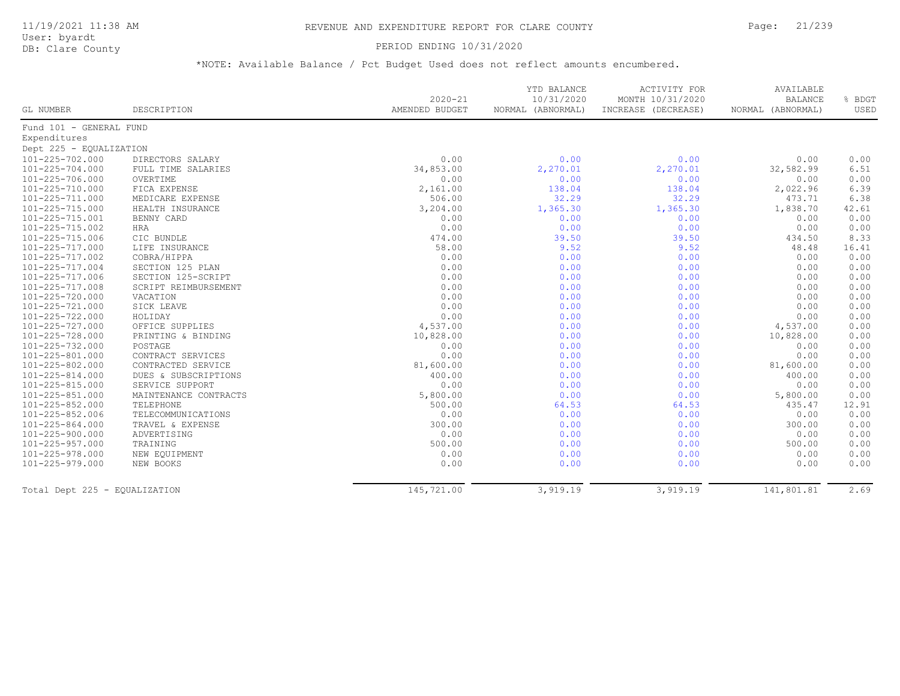#### PERIOD ENDING 10/31/2020

|                               |                       |                               | YTD BALANCE                     | ACTIVITY FOR                            | AVAILABLE                           |                |
|-------------------------------|-----------------------|-------------------------------|---------------------------------|-----------------------------------------|-------------------------------------|----------------|
| GL NUMBER                     | DESCRIPTION           | $2020 - 21$<br>AMENDED BUDGET | 10/31/2020<br>NORMAL (ABNORMAL) | MONTH 10/31/2020<br>INCREASE (DECREASE) | <b>BALANCE</b><br>NORMAL (ABNORMAL) | % BDGT<br>USED |
| Fund 101 - GENERAL FUND       |                       |                               |                                 |                                         |                                     |                |
| Expenditures                  |                       |                               |                                 |                                         |                                     |                |
| Dept 225 - EQUALIZATION       |                       |                               |                                 |                                         |                                     |                |
| 101-225-702.000               | DIRECTORS SALARY      | 0.00                          | 0.00                            | 0.00                                    | 0.00                                | 0.00           |
| 101-225-704.000               | FULL TIME SALARIES    | 34,853.00                     | 2,270.01                        | 2,270.01                                | 32,582.99                           | 6.51           |
| 101-225-706.000               | OVERTIME              | 0.00                          | 0.00                            | 0.00                                    | 0.00                                | 0.00           |
| 101-225-710.000               | FICA EXPENSE          | 2,161.00                      | 138.04                          | 138.04                                  | 2,022.96                            | 6.39           |
| 101-225-711.000               | MEDICARE EXPENSE      | 506.00                        | 32.29                           | 32.29                                   | 473.71                              | 6.38           |
| 101-225-715.000               | HEALTH INSURANCE      | 3,204.00                      | 1,365.30                        | 1,365.30                                | 1,838.70                            | 42.61          |
| 101-225-715.001               | BENNY CARD            | 0.00                          | 0.00                            | 0.00                                    | 0.00                                | 0.00           |
| 101-225-715.002               | HRA                   | 0.00                          | 0.00                            | 0.00                                    | 0.00                                | 0.00           |
| 101-225-715.006               | CIC BUNDLE            | 474.00                        | 39.50                           | 39.50                                   | 434.50                              | 8.33           |
| 101-225-717.000               | LIFE INSURANCE        | 58.00                         | 9.52                            | 9.52                                    | 48.48                               | 16.41          |
| 101-225-717.002               | COBRA/HIPPA           | 0.00                          | 0.00                            | 0.00                                    | 0.00                                | 0.00           |
| 101-225-717.004               | SECTION 125 PLAN      | 0.00                          | 0.00                            | 0.00                                    | 0.00                                | 0.00           |
| 101-225-717.006               | SECTION 125-SCRIPT    | 0.00                          | 0.00                            | 0.00                                    | 0.00                                | 0.00           |
| 101-225-717.008               | SCRIPT REIMBURSEMENT  | 0.00                          | 0.00                            | 0.00                                    | 0.00                                | 0.00           |
| 101-225-720.000               | VACATION              | 0.00                          | 0.00                            | 0.00                                    | 0.00                                | 0.00           |
| 101-225-721.000               | SICK LEAVE            | 0.00                          | 0.00                            | 0.00                                    | 0.00                                | 0.00           |
| 101-225-722.000               | HOLIDAY               | 0.00                          | 0.00                            | 0.00                                    | 0.00                                | 0.00           |
| 101-225-727.000               | OFFICE SUPPLIES       | 4,537.00                      | 0.00                            | 0.00                                    | 4,537.00                            | 0.00           |
| 101-225-728.000               | PRINTING & BINDING    | 10,828.00                     | 0.00                            | 0.00                                    | 10,828.00                           | 0.00           |
| 101-225-732.000               | POSTAGE               | 0.00                          | 0.00                            | 0.00                                    | 0.00                                | 0.00           |
| 101-225-801.000               | CONTRACT SERVICES     | 0.00                          | 0.00                            | 0.00                                    | 0.00                                | 0.00           |
| 101-225-802.000               | CONTRACTED SERVICE    | 81,600.00                     | 0.00                            | 0.00                                    | 81,600.00                           | 0.00           |
| 101-225-814.000               | DUES & SUBSCRIPTIONS  | 400.00                        | 0.00                            | 0.00                                    | 400.00                              | 0.00           |
| 101-225-815.000               | SERVICE SUPPORT       | 0.00                          | 0.00                            | 0.00                                    | 0.00                                | 0.00           |
| 101-225-851.000               | MAINTENANCE CONTRACTS | 5,800.00                      | 0.00                            | 0.00                                    | 5,800.00                            | 0.00           |
| 101-225-852.000               | TELEPHONE             | 500.00                        | 64.53                           | 64.53                                   | 435.47                              | 12.91          |
| 101-225-852.006               | TELECOMMUNICATIONS    | 0.00                          | 0.00                            | 0.00                                    | 0.00                                | 0.00           |
| 101-225-864.000               | TRAVEL & EXPENSE      | 300.00                        | 0.00                            | 0.00                                    | 300.00                              | 0.00           |
| 101-225-900.000               | ADVERTISING           | 0.00                          | 0.00                            | 0.00                                    | 0.00                                | 0.00           |
| 101-225-957.000               | TRAINING              | 500.00                        | 0.00                            | 0.00                                    | 500.00                              | 0.00           |
| 101-225-978.000               | NEW EQUIPMENT         | 0.00                          | 0.00                            | 0.00                                    | 0.00                                | 0.00           |
| 101-225-979.000               | NEW BOOKS             | 0.00                          | 0.00                            | 0.00                                    | 0.00                                | 0.00           |
|                               |                       |                               |                                 |                                         |                                     |                |
| Total Dept 225 - EQUALIZATION |                       | 145,721.00                    | 3,919.19                        | 3,919.19                                | 141,801.81                          | 2.69           |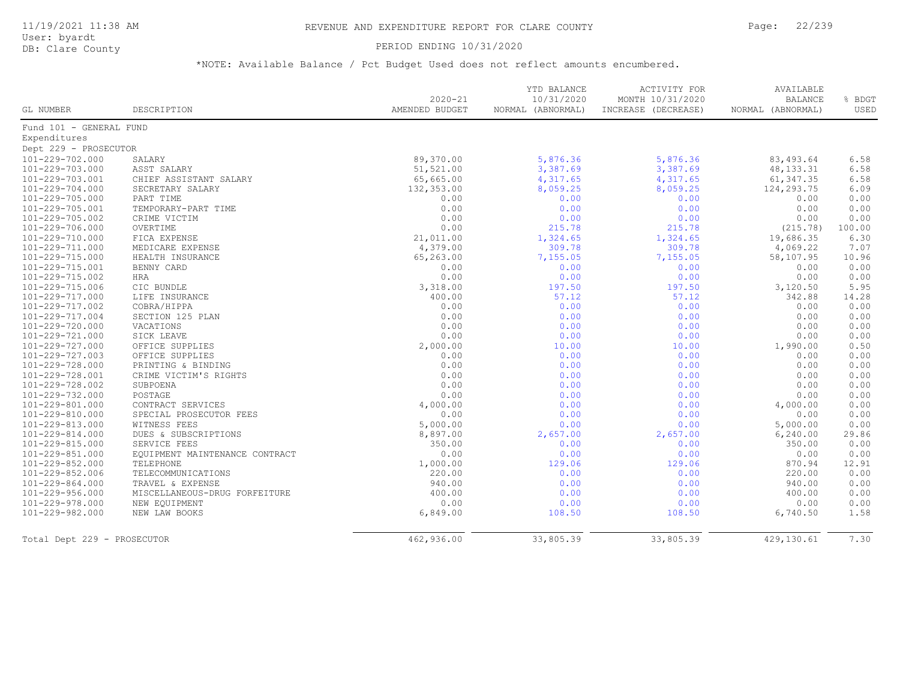### PERIOD ENDING 10/31/2020

| GL NUMBER                   | DESCRIPTION                    | $2020 - 21$<br>AMENDED BUDGET | YTD BALANCE<br>10/31/2020<br>NORMAL (ABNORMAL) | <b>ACTIVITY FOR</b><br>MONTH 10/31/2020<br>INCREASE (DECREASE) | AVAILABLE<br><b>BALANCE</b><br>NORMAL (ABNORMAL) | % BDGT<br><b>USED</b> |
|-----------------------------|--------------------------------|-------------------------------|------------------------------------------------|----------------------------------------------------------------|--------------------------------------------------|-----------------------|
| Fund 101 - GENERAL FUND     |                                |                               |                                                |                                                                |                                                  |                       |
| Expenditures                |                                |                               |                                                |                                                                |                                                  |                       |
| Dept 229 - PROSECUTOR       |                                |                               |                                                |                                                                |                                                  |                       |
| 101-229-702.000             | SALARY                         | 89,370.00                     | 5,876.36                                       | 5,876.36                                                       | 83,493.64                                        | 6.58                  |
| 101-229-703.000             | ASST SALARY                    | 51,521.00                     | 3,387.69                                       | 3,387.69                                                       | 48, 133. 31                                      | 6.58                  |
| 101-229-703.001             | CHIEF ASSISTANT SALARY         | 65,665.00                     | 4,317.65                                       | 4,317.65                                                       | 61, 347.35                                       | 6.58                  |
| 101-229-704.000             | SECRETARY SALARY               | 132,353.00                    | 8,059.25                                       | 8,059.25                                                       | 124,293.75                                       | 6.09                  |
| 101-229-705.000             | PART TIME                      | 0.00                          | 0.00                                           | 0.00                                                           | 0.00                                             | 0.00                  |
| 101-229-705.001             | TEMPORARY-PART TIME            | 0.00                          | 0.00                                           | 0.00                                                           | 0.00                                             | 0.00                  |
| 101-229-705.002             | CRIME VICTIM                   | 0.00                          | 0.00                                           | 0.00                                                           | 0.00                                             | 0.00                  |
| 101-229-706.000             | OVERTIME                       | 0.00                          | 215.78                                         | 215.78                                                         | (215.78)                                         | 100.00                |
| 101-229-710.000             | FICA EXPENSE                   | 21,011.00                     | 1,324.65                                       | 1,324.65                                                       | 19,686.35                                        | 6.30                  |
| 101-229-711.000             | MEDICARE EXPENSE               | 4,379.00                      | 309.78                                         | 309.78                                                         | 4,069.22                                         | 7.07                  |
| 101-229-715.000             | HEALTH INSURANCE               | 65,263.00                     | 7,155.05                                       | 7,155.05                                                       | 58,107.95                                        | 10.96                 |
| 101-229-715.001             | BENNY CARD                     | 0.00                          | 0.00                                           | 0.00                                                           | 0.00                                             | 0.00                  |
| 101-229-715.002             | <b>HRA</b>                     | 0.00                          | 0.00                                           | 0.00                                                           | 0.00                                             | 0.00                  |
| 101-229-715.006             | CIC BUNDLE                     | 3,318.00                      | 197.50                                         | 197.50                                                         | 3,120.50                                         | 5.95                  |
| 101-229-717.000             | LIFE INSURANCE                 | 400.00                        | 57.12                                          | 57.12                                                          | 342.88                                           | 14.28                 |
| 101-229-717.002             | COBRA/HIPPA                    | 0.00                          | 0.00                                           | 0.00                                                           | 0.00                                             | 0.00                  |
| 101-229-717.004             | SECTION 125 PLAN               | 0.00                          | 0.00                                           | 0.00                                                           | 0.00                                             | 0.00                  |
| 101-229-720.000             | VACATIONS                      | 0.00                          | 0.00                                           | 0.00                                                           | 0.00                                             | 0.00                  |
| 101-229-721.000             | SICK LEAVE                     | 0.00                          | 0.00                                           | 0.00                                                           | 0.00                                             | 0.00                  |
| 101-229-727.000             | OFFICE SUPPLIES                | 2,000.00                      | 10.00                                          | 10.00                                                          | 1,990.00                                         | 0.50                  |
| 101-229-727.003             | OFFICE SUPPLIES                | 0.00                          | 0.00                                           | 0.00                                                           | 0.00                                             | 0.00                  |
| 101-229-728.000             | PRINTING & BINDING             | 0.00                          | 0.00                                           | 0.00                                                           | 0.00                                             | 0.00                  |
| 101-229-728.001             | CRIME VICTIM'S RIGHTS          | 0.00                          | 0.00                                           | 0.00                                                           | 0.00                                             | 0.00                  |
| 101-229-728.002             | SUBPOENA                       | 0.00                          | 0.00                                           | 0.00                                                           | 0.00                                             | 0.00                  |
| 101-229-732.000             | POSTAGE                        | 0.00                          | 0.00                                           | 0.00                                                           | 0.00                                             | 0.00                  |
| 101-229-801.000             | CONTRACT SERVICES              | 4,000.00                      | 0.00                                           | 0.00                                                           | 4,000.00                                         | 0.00                  |
| 101-229-810.000             | SPECIAL PROSECUTOR FEES        | 0.00                          | 0.00                                           | 0.00                                                           | 0.00                                             | 0.00                  |
| 101-229-813.000             | WITNESS FEES                   | 5,000.00                      | 0.00                                           | 0.00                                                           | 5,000.00                                         | 0.00                  |
| 101-229-814.000             | DUES & SUBSCRIPTIONS           | 8,897.00                      | 2,657.00                                       | 2,657.00                                                       | 6, 240.00                                        | 29.86                 |
| 101-229-815.000             | SERVICE FEES                   | 350.00                        | 0.00                                           | 0.00                                                           | 350.00                                           | 0.00                  |
| 101-229-851.000             | EQUIPMENT MAINTENANCE CONTRACT | 0.00                          | 0.00                                           | 0.00                                                           | 0.00                                             | 0.00                  |
| 101-229-852.000             | TELEPHONE                      | 1,000.00                      | 129.06                                         | 129.06                                                         | 870.94                                           | 12.91                 |
| 101-229-852.006             | TELECOMMUNICATIONS             | 220.00                        | 0.00                                           | 0.00                                                           | 220.00                                           | 0.00                  |
| 101-229-864.000             | TRAVEL & EXPENSE               | 940.00                        | 0.00                                           | 0.00                                                           | 940.00                                           | 0.00                  |
| $101 - 229 - 956.000$       | MISCELLANEOUS-DRUG FORFEITURE  | 400.00                        | 0.00                                           | 0.00                                                           | 400.00                                           | 0.00                  |
| 101-229-978.000             | NEW EQUIPMENT                  | 0.00                          | 0.00                                           | 0.00                                                           | 0.00                                             | 0.00                  |
| 101-229-982.000             | NEW LAW BOOKS                  | 6,849.00                      | 108.50                                         | 108.50                                                         | 6,740.50                                         | 1.58                  |
| Total Dept 229 - PROSECUTOR |                                | 462,936.00                    | 33,805.39                                      | 33,805.39                                                      | 429,130.61                                       | 7.30                  |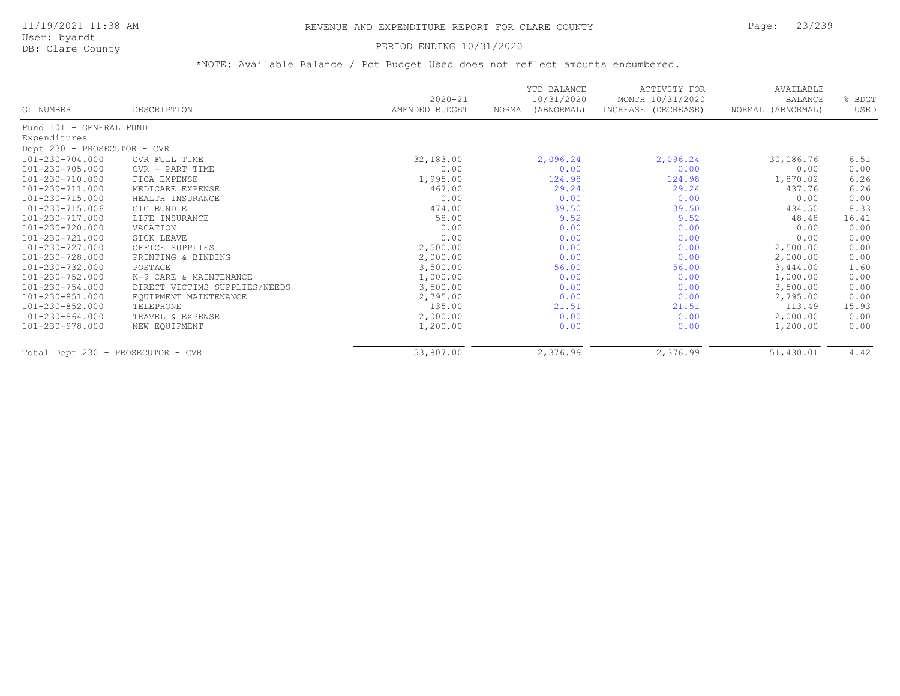### PERIOD ENDING 10/31/2020

| GL NUMBER                         | DESCRIPTION                   | $2020 - 21$<br>AMENDED BUDGET | YTD BALANCE<br>10/31/2020<br>NORMAL (ABNORMAL) | <b>ACTIVITY FOR</b><br>MONTH 10/31/2020<br>INCREASE (DECREASE) | AVAILABLE<br>BALANCE<br>NORMAL (ABNORMAL) | % BDGT<br>USED |
|-----------------------------------|-------------------------------|-------------------------------|------------------------------------------------|----------------------------------------------------------------|-------------------------------------------|----------------|
|                                   |                               |                               |                                                |                                                                |                                           |                |
| Fund 101 - GENERAL FUND           |                               |                               |                                                |                                                                |                                           |                |
| Expenditures                      |                               |                               |                                                |                                                                |                                           |                |
| Dept 230 - PROSECUTOR - CVR       |                               |                               |                                                |                                                                |                                           |                |
| 101-230-704.000                   | CVR FULL TIME                 | 32,183.00                     | 2,096.24                                       | 2,096.24                                                       | 30,086.76                                 | 6.51           |
| 101-230-705.000                   | CVR - PART TIME               | 0.00                          | 0.00                                           | 0.00                                                           | 0.00                                      | 0.00           |
| 101-230-710.000                   | FICA EXPENSE                  | 1,995.00                      | 124.98                                         | 124.98                                                         | 1,870.02                                  | 6.26           |
| 101-230-711.000                   | MEDICARE EXPENSE              | 467.00                        | 29.24                                          | 29.24                                                          | 437.76                                    | 6.26           |
| 101-230-715.000                   | HEALTH INSURANCE              | 0.00                          | 0.00                                           | 0.00                                                           | 0.00                                      | 0.00           |
| 101-230-715.006                   | CIC BUNDLE                    | 474.00                        | 39.50                                          | 39.50                                                          | 434.50                                    | 8.33           |
| 101-230-717.000                   | LIFE INSURANCE                | 58.00                         | 9.52                                           | 9.52                                                           | 48.48                                     | 16.41          |
| 101-230-720.000                   | VACATION                      | 0.00                          | 0.00                                           | 0.00                                                           | 0.00                                      | 0.00           |
| 101-230-721.000                   | SICK LEAVE                    | 0.00                          | 0.00                                           | 0.00                                                           | 0.00                                      | 0.00           |
| 101-230-727.000                   | OFFICE SUPPLIES               | 2,500.00                      | 0.00                                           | 0.00                                                           | 2,500.00                                  | 0.00           |
| 101-230-728.000                   | PRINTING & BINDING            | 2,000.00                      | 0.00                                           | 0.00                                                           | 2,000.00                                  | 0.00           |
| 101-230-732.000                   | POSTAGE                       | 3,500.00                      | 56.00                                          | 56.00                                                          | 3,444.00                                  | 1.60           |
| 101-230-752.000                   | K-9 CARE & MAINTENANCE        | 1,000.00                      | 0.00                                           | 0.00                                                           | 1,000.00                                  | 0.00           |
| 101-230-754.000                   | DIRECT VICTIMS SUPPLIES/NEEDS | 3,500.00                      | 0.00                                           | 0.00                                                           | 3,500.00                                  | 0.00           |
| 101-230-851.000                   | EQUIPMENT MAINTENANCE         | 2,795.00                      | 0.00                                           | 0.00                                                           | 2,795.00                                  | 0.00           |
| 101-230-852.000                   | TELEPHONE                     | 135.00                        | 21.51                                          | 21.51                                                          | 113.49                                    | 15.93          |
| 101-230-864.000                   | TRAVEL & EXPENSE              | 2,000.00                      | 0.00                                           | 0.00                                                           | 2,000.00                                  | 0.00           |
| 101-230-978.000                   | NEW EOUIPMENT                 | 1,200.00                      | 0.00                                           | 0.00                                                           | 1,200.00                                  | 0.00           |
| Total Dept 230 - PROSECUTOR - CVR |                               | 53,807.00                     | 2,376.99                                       | 2,376.99                                                       | 51,430.01                                 | 4.42           |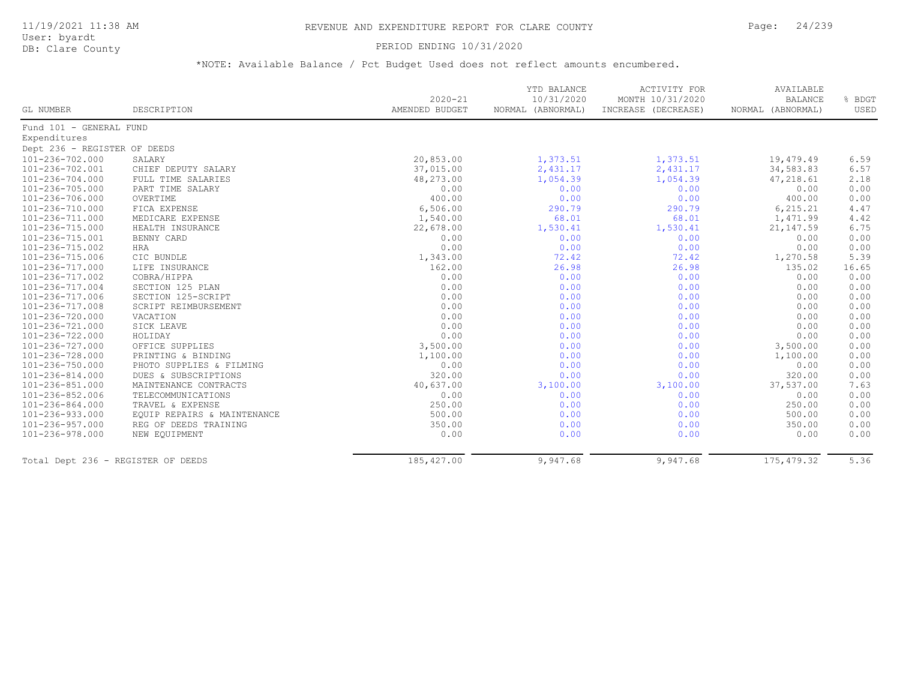### PERIOD ENDING 10/31/2020

|                                    |                             |                               | YTD BALANCE                     | ACTIVITY FOR                            | AVAILABLE                           |                |
|------------------------------------|-----------------------------|-------------------------------|---------------------------------|-----------------------------------------|-------------------------------------|----------------|
| GL NUMBER                          | DESCRIPTION                 | $2020 - 21$<br>AMENDED BUDGET | 10/31/2020<br>NORMAL (ABNORMAL) | MONTH 10/31/2020<br>INCREASE (DECREASE) | <b>BALANCE</b><br>NORMAL (ABNORMAL) | % BDGT<br>USED |
|                                    |                             |                               |                                 |                                         |                                     |                |
| Fund 101 - GENERAL FUND            |                             |                               |                                 |                                         |                                     |                |
| Expenditures                       |                             |                               |                                 |                                         |                                     |                |
| Dept 236 - REGISTER OF DEEDS       |                             |                               |                                 |                                         |                                     |                |
| 101-236-702.000                    | SALARY                      | 20,853.00                     | 1,373.51                        | 1,373.51                                | 19,479.49                           | 6.59           |
| 101-236-702.001                    | CHIEF DEPUTY SALARY         | 37,015.00                     | 2,431.17                        | 2,431.17                                | 34,583.83                           | 6.57           |
| 101-236-704.000                    | FULL TIME SALARIES          | 48,273.00                     | 1,054.39                        | 1,054.39                                | 47,218.61                           | 2.18           |
| 101-236-705.000                    | PART TIME SALARY            | 0.00                          | 0.00                            | 0.00                                    | 0.00                                | 0.00           |
| 101-236-706.000                    | OVERTIME                    | 400.00                        | 0.00                            | 0.00                                    | 400.00                              | 0.00           |
| 101-236-710.000                    | FICA EXPENSE                | 6,506.00                      | 290.79                          | 290.79                                  | 6, 215.21                           | 4.47           |
| 101-236-711.000                    | MEDICARE EXPENSE            | 1,540.00                      | 68.01                           | 68.01                                   | 1,471.99                            | 4.42           |
| 101-236-715.000                    | HEALTH INSURANCE            | 22,678.00                     | 1,530.41                        | 1,530.41                                | 21, 147.59                          | 6.75           |
| 101-236-715.001                    | BENNY CARD                  | 0.00                          | 0.00                            | 0.00                                    | 0.00                                | 0.00           |
| 101-236-715.002                    | <b>HRA</b>                  | 0.00                          | 0.00                            | 0.00                                    | 0.00                                | 0.00           |
| 101-236-715.006                    | CIC BUNDLE                  | 1,343.00                      | 72.42                           | 72.42                                   | 1,270.58                            | 5.39           |
| 101-236-717.000                    | LIFE INSURANCE              | 162.00                        | 26.98                           | 26.98                                   | 135.02                              | 16.65          |
| 101-236-717.002                    | COBRA/HIPPA                 | 0.00                          | 0.00                            | 0.00                                    | 0.00                                | 0.00           |
| 101-236-717.004                    | SECTION 125 PLAN            | 0.00                          | 0.00                            | 0.00                                    | 0.00                                | 0.00           |
| 101-236-717.006                    | SECTION 125-SCRIPT          | 0.00                          | 0.00                            | 0.00                                    | 0.00                                | 0.00           |
| 101-236-717.008                    | SCRIPT REIMBURSEMENT        | 0.00                          | 0.00                            | 0.00                                    | 0.00                                | 0.00           |
| 101-236-720.000                    | VACATION                    | 0.00                          | 0.00                            | 0.00                                    | 0.00                                | 0.00           |
| 101-236-721.000                    | SICK LEAVE                  | 0.00                          | 0.00                            | 0.00                                    | 0.00                                | 0.00           |
| 101-236-722.000                    | HOLIDAY                     | 0.00                          | 0.00                            | 0.00                                    | 0.00                                | 0.00           |
| 101-236-727.000                    | OFFICE SUPPLIES             | 3,500.00                      | 0.00                            | 0.00                                    | 3,500.00                            | 0.00           |
| 101-236-728.000                    | PRINTING & BINDING          | 1,100.00                      | 0.00                            | 0.00                                    | 1,100.00                            | 0.00           |
| 101-236-750.000                    | PHOTO SUPPLIES & FILMING    | 0.00                          | 0.00                            | 0.00                                    | 0.00                                | 0.00           |
| 101-236-814.000                    | DUES & SUBSCRIPTIONS        | 320.00                        | 0.00                            | 0.00                                    | 320.00                              | 0.00           |
| 101-236-851.000                    | MAINTENANCE CONTRACTS       | 40,637.00                     | 3,100.00                        | 3,100.00                                | 37,537.00                           | 7.63           |
| 101-236-852.006                    | TELECOMMUNICATIONS          | 0.00                          | 0.00                            | 0.00                                    | 0.00                                | 0.00           |
| 101-236-864.000                    | TRAVEL & EXPENSE            | 250.00                        | 0.00                            | 0.00                                    | 250.00                              | 0.00           |
| 101-236-933.000                    | EQUIP REPAIRS & MAINTENANCE | 500.00                        | 0.00                            | 0.00                                    | 500.00                              | 0.00           |
| 101-236-957.000                    | REG OF DEEDS TRAINING       | 350.00                        | 0.00                            | 0.00                                    | 350.00                              | 0.00           |
| 101-236-978.000                    | NEW EQUIPMENT               | 0.00                          | 0.00                            | 0.00                                    | 0.00                                | 0.00           |
| Total Dept 236 - REGISTER OF DEEDS |                             | 185,427.00                    | 9,947.68                        | 9,947.68                                | 175, 479.32                         | 5.36           |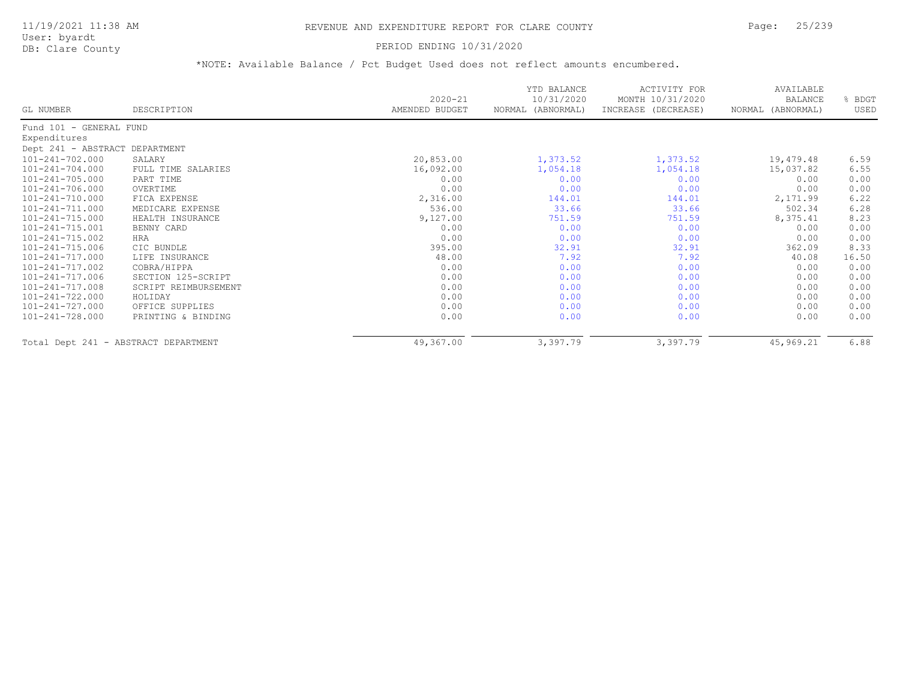User: byardt

# DB: Clare County **DB: Clare County**

| GL NUMBER                      | DESCRIPTION                          | $2020 - 21$<br>AMENDED BUDGET | YTD BALANCE<br>10/31/2020<br>NORMAL (ABNORMAL) | <b>ACTIVITY FOR</b><br>MONTH 10/31/2020<br>INCREASE (DECREASE) | AVAILABLE<br>BALANCE<br>NORMAL (ABNORMAL) | % BDGT<br>USED |
|--------------------------------|--------------------------------------|-------------------------------|------------------------------------------------|----------------------------------------------------------------|-------------------------------------------|----------------|
|                                |                                      |                               |                                                |                                                                |                                           |                |
| Fund 101 - GENERAL FUND        |                                      |                               |                                                |                                                                |                                           |                |
| Expenditures                   |                                      |                               |                                                |                                                                |                                           |                |
| Dept 241 - ABSTRACT DEPARTMENT |                                      |                               |                                                |                                                                |                                           |                |
| 101-241-702.000                | SALARY                               | 20,853.00                     | 1,373.52                                       | 1,373.52                                                       | 19,479.48                                 | 6.59           |
| $101 - 241 - 704.000$          | FULL TIME SALARIES                   | 16,092.00                     | 1,054.18                                       | 1,054.18                                                       | 15,037.82                                 | 6.55           |
| $101 - 241 - 705.000$          | PART TIME                            | 0.00                          | 0.00                                           | 0.00                                                           | 0.00                                      | 0.00           |
| 101-241-706.000                | OVERTIME                             | 0.00                          | 0.00                                           | 0.00                                                           | 0.00                                      | 0.00           |
| 101-241-710.000                | FICA EXPENSE                         | 2,316.00                      | 144.01                                         | 144.01                                                         | 2,171.99                                  | 6.22           |
| 101-241-711.000                | MEDICARE EXPENSE                     | 536.00                        | 33.66                                          | 33.66                                                          | 502.34                                    | 6.28           |
| $101 - 241 - 715.000$          | HEALTH INSURANCE                     | 9,127.00                      | 751.59                                         | 751.59                                                         | 8,375.41                                  | 8.23           |
| 101-241-715.001                | BENNY CARD                           | 0.00                          | 0.00                                           | 0.00                                                           | 0.00                                      | 0.00           |
| 101-241-715.002                | HRA                                  | 0.00                          | 0.00                                           | 0.00                                                           | 0.00                                      | 0.00           |
| 101-241-715.006                | CIC BUNDLE                           | 395.00                        | 32.91                                          | 32.91                                                          | 362.09                                    | 8.33           |
| 101-241-717.000                | LIFE INSURANCE                       | 48.00                         | 7.92                                           | 7.92                                                           | 40.08                                     | 16.50          |
| 101-241-717.002                | COBRA/HIPPA                          | 0.00                          | 0.00                                           | 0.00                                                           | 0.00                                      | 0.00           |
| 101-241-717.006                | SECTION 125-SCRIPT                   | 0.00                          | 0.00                                           | 0.00                                                           | 0.00                                      | 0.00           |
| 101-241-717.008                | SCRIPT REIMBURSEMENT                 | 0.00                          | 0.00                                           | 0.00                                                           | 0.00                                      | 0.00           |
| 101-241-722.000                | HOLIDAY                              | 0.00                          | 0.00                                           | 0.00                                                           | 0.00                                      | 0.00           |
| 101-241-727.000                | OFFICE SUPPLIES                      | 0.00                          | 0.00                                           | 0.00                                                           | 0.00                                      | 0.00           |
| 101-241-728.000                | PRINTING & BINDING                   | 0.00                          | 0.00                                           | 0.00                                                           | 0.00                                      | 0.00           |
|                                | Total Dept 241 - ABSTRACT DEPARTMENT | 49,367.00                     | 3,397.79                                       | 3,397.79                                                       | 45,969.21                                 | 6.88           |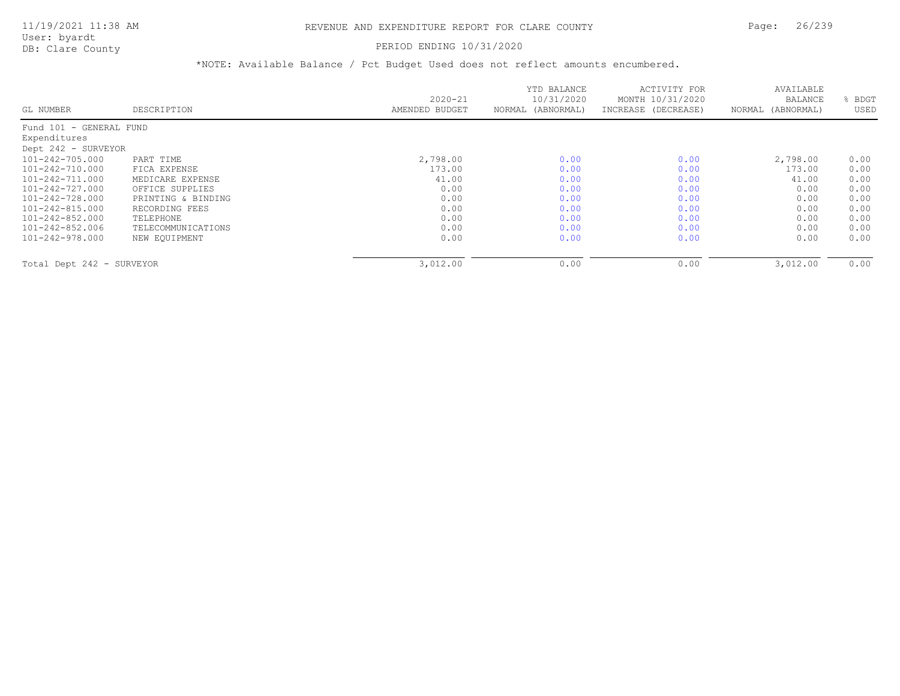#### PERIOD ENDING 10/31/2020

|                           |                    |                | YTD BALANCE       | ACTIVITY FOR        | AVAILABLE         |             |
|---------------------------|--------------------|----------------|-------------------|---------------------|-------------------|-------------|
|                           |                    | $2020 - 21$    | 10/31/2020        | MONTH 10/31/2020    | BALANCE           | <b>BDGT</b> |
| GL NUMBER                 | DESCRIPTION        | AMENDED BUDGET | NORMAL (ABNORMAL) | INCREASE (DECREASE) | NORMAL (ABNORMAL) | USED        |
| Fund 101 - GENERAL FUND   |                    |                |                   |                     |                   |             |
| Expenditures              |                    |                |                   |                     |                   |             |
| Dept 242 - SURVEYOR       |                    |                |                   |                     |                   |             |
| 101-242-705.000           | PART TIME          | 2,798.00       | 0.00              | 0.00                | 2,798.00          | 0.00        |
| 101-242-710.000           | FICA EXPENSE       | 173.00         | 0.00              | 0.00                | 173.00            | 0.00        |
| 101-242-711.000           | MEDICARE EXPENSE   | 41.00          | 0.00              | 0.00                | 41.00             | 0.00        |
| 101-242-727.000           | OFFICE SUPPLIES    | 0.00           | 0.00              | 0.00                | 0.00              | 0.00        |
| 101-242-728.000           | PRINTING & BINDING | 0.00           | 0.00              | 0.00                | 0.00              | 0.00        |
| 101-242-815.000           | RECORDING FEES     | 0.00           | 0.00              | 0.00                | 0.00              | 0.00        |
| 101-242-852.000           | TELEPHONE          | 0.00           | 0.00              | 0.00                | 0.00              | 0.00        |
| 101-242-852.006           | TELECOMMUNICATIONS | 0.00           | 0.00              | 0.00                | 0.00              | 0.00        |
| 101-242-978.000           | NEW EQUIPMENT      | 0.00           | 0.00              | 0.00                | 0.00              | 0.00        |
| Total Dept 242 - SURVEYOR |                    | 3,012.00       | 0.00              | 0.00                | 3,012.00          | 0.00        |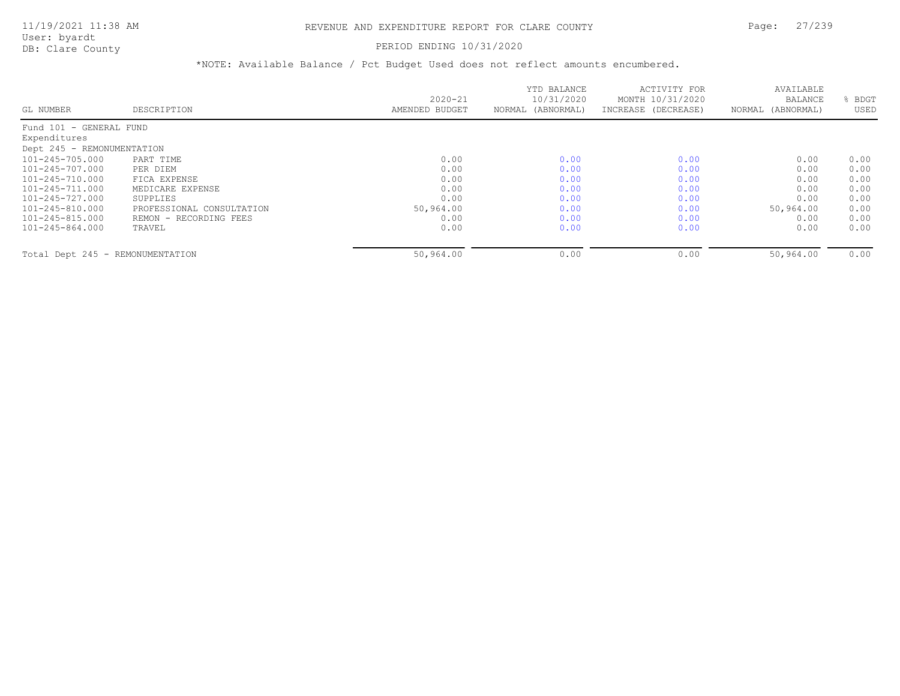#### PERIOD ENDING 10/31/2020

|                                  |                           |                | YTD BALANCE       | ACTIVITY FOR        | AVAILABLE         |      |
|----------------------------------|---------------------------|----------------|-------------------|---------------------|-------------------|------|
|                                  |                           | $2020 - 21$    | 10/31/2020        | MONTH 10/31/2020    | BALANCE           | BDGT |
| GL NUMBER                        | DESCRIPTION               | AMENDED BUDGET | NORMAL (ABNORMAL) | INCREASE (DECREASE) | NORMAL (ABNORMAL) | USED |
| Fund 101 - GENERAL FUND          |                           |                |                   |                     |                   |      |
| Expenditures                     |                           |                |                   |                     |                   |      |
| Dept 245 - REMONUMENTATION       |                           |                |                   |                     |                   |      |
| 101-245-705.000                  | PART TIME                 | 0.00           | 0.00              | 0.00                | 0.00              | 0.00 |
| 101-245-707.000                  | PER DIEM                  | 0.00           | 0.00              | 0.00                | 0.00              | 0.00 |
| 101-245-710.000                  | FICA EXPENSE              | 0.00           | 0.00              | 0.00                | 0.00              | 0.00 |
| 101-245-711.000                  | MEDICARE EXPENSE          | 0.00           | 0.00              | 0.00                | 0.00              | 0.00 |
| 101-245-727.000                  | SUPPLIES                  | 0.00           | 0.00              | 0.00                | 0.00              | 0.00 |
| 101-245-810.000                  | PROFESSIONAL CONSULTATION | 50,964.00      | 0.00              | 0.00                | 50,964.00         | 0.00 |
| 101-245-815.000                  | REMON - RECORDING FEES    | 0.00           | 0.00              | 0.00                | 0.00              | 0.00 |
| 101-245-864.000                  | TRAVEL                    | 0.00           | 0.00              | 0.00                | 0.00              | 0.00 |
| Total Dept 245 - REMONUMENTATION |                           | 50,964.00      | 0.00              | 0.00                | 50,964.00         | 0.00 |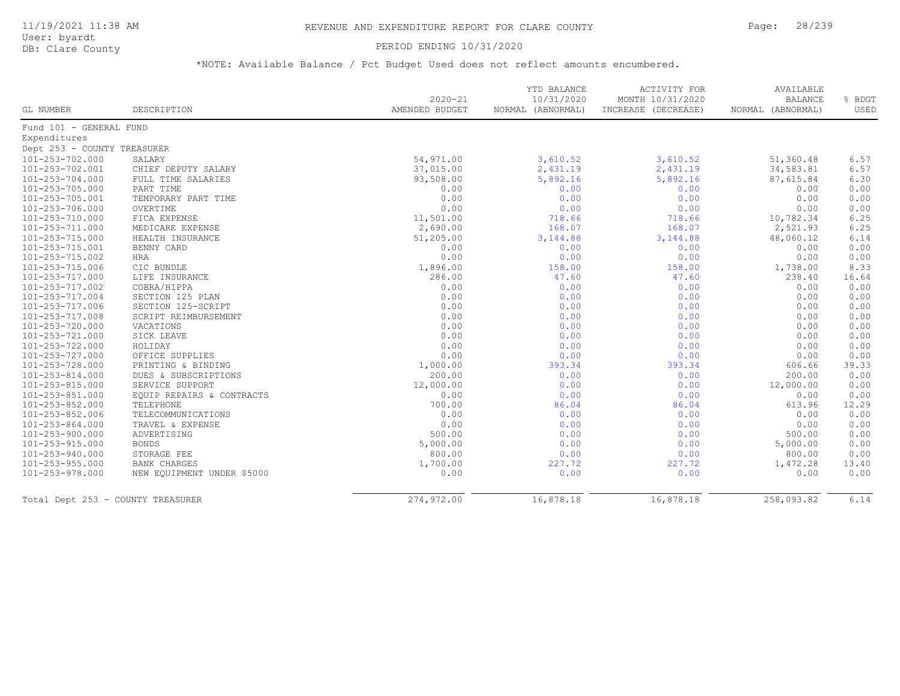#### PERIOD ENDING 10/31/2020

|                                   |                            | $2020 - 21$    | YTD BALANCE<br>10/31/2020 | ACTIVITY FOR<br>MONTH 10/31/2020 | AVAILABLE<br><b>BALANCE</b> | % BDGT |
|-----------------------------------|----------------------------|----------------|---------------------------|----------------------------------|-----------------------------|--------|
| GL NUMBER                         | DESCRIPTION                | AMENDED BUDGET | NORMAL (ABNORMAL)         | INCREASE (DECREASE)              | NORMAL (ABNORMAL)           | USED   |
| Fund 101 - GENERAL FUND           |                            |                |                           |                                  |                             |        |
| Expenditures                      |                            |                |                           |                                  |                             |        |
| Dept 253 - COUNTY TREASURER       |                            |                |                           |                                  |                             |        |
| 101-253-702.000                   | SALARY                     | 54,971.00      | 3,610.52                  | 3,610.52                         | 51,360.48                   | 6.57   |
| 101-253-702.001                   | CHIEF DEPUTY SALARY        | 37,015.00      | 2,431.19                  | 2,431.19                         | 34,583.81                   | 6.57   |
| 101-253-704.000                   | FULL TIME SALARIES         | 93,508.00      | 5,892.16                  | 5,892.16                         | 87,615.84                   | 6.30   |
| 101-253-705.000                   | PART TIME                  | 0.00           | 0.00                      | 0.00                             | 0.00                        | 0.00   |
| 101-253-705.001                   | TEMPORARY PART TIME        | 0.00           | 0.00                      | 0.00                             | 0.00                        | 0.00   |
| 101-253-706.000                   | OVERTIME                   | 0.00           | 0.00                      | 0.00                             | 0.00                        | 0.00   |
| 101-253-710.000                   | FICA EXPENSE               | 11,501.00      | 718.66                    | 718.66                           | 10,782.34                   | 6.25   |
| $101 - 253 - 711.000$             | MEDICARE EXPENSE           | 2,690.00       | 168.07                    | 168.07                           | 2,521.93                    | 6.25   |
| 101-253-715.000                   | HEALTH INSURANCE           | 51,205.00      | 3, 144.88                 | 3, 144.88                        | 48,060.12                   | 6.14   |
| 101-253-715.001                   | BENNY CARD                 | 0.00           | 0.00                      | 0.00                             | 0.00                        | 0.00   |
| 101-253-715.002                   | HRA                        | 0.00           | 0.00                      | 0.00                             | 0.00                        | 0.00   |
| 101-253-715.006                   | CIC BUNDLE                 | 1,896.00       | 158.00                    | 158.00                           | 1,738.00                    | 8.33   |
| 101-253-717.000                   | LIFE INSURANCE             | 286.00         | 47.60                     | 47.60                            | 238.40                      | 16.64  |
| 101-253-717.002                   | COBRA/HIPPA                | 0.00           | 0.00                      | 0.00                             | 0.00                        | 0.00   |
| 101-253-717.004                   | SECTION 125 PLAN           | 0.00           | 0.00                      | 0.00                             | 0.00                        | 0.00   |
| 101-253-717.006                   | SECTION 125-SCRIPT         | 0.00           | 0.00                      | 0.00                             | 0.00                        | 0.00   |
| 101-253-717.008                   | SCRIPT REIMBURSEMENT       | 0.00           | 0.00                      | 0.00                             | 0.00                        | 0.00   |
| 101-253-720.000                   | VACATIONS                  | 0.00           | 0.00                      | 0.00                             | 0.00                        | 0.00   |
| 101-253-721.000                   | SICK LEAVE                 | 0.00           | 0.00                      | 0.00                             | 0.00                        | 0.00   |
| 101-253-722.000                   | HOLIDAY                    | 0.00           | 0.00                      | 0.00                             | 0.00                        | 0.00   |
| 101-253-727.000                   | OFFICE SUPPLIES            | 0.00           | 0.00                      | 0.00                             | 0.00                        | 0.00   |
| 101-253-728.000                   | PRINTING & BINDING         | 1,000.00       | 393.34                    | 393.34                           | 606.66                      | 39.33  |
| 101-253-814.000                   | DUES & SUBSCRIPTIONS       | 200.00         | 0.00                      | 0.00                             | 200.00                      | 0.00   |
| 101-253-815.000                   | SERVICE SUPPORT            | 12,000.00      | 0.00                      | 0.00                             | 12,000.00                   | 0.00   |
| 101-253-851.000                   | EQUIP REPAIRS & CONTRACTS  | 0.00           | 0.00                      | 0.00                             | 0.00                        | 0.00   |
| 101-253-852.000                   | TELEPHONE                  | 700.00         | 86.04                     | 86.04                            | 613.96                      | 12.29  |
| 101-253-852.006                   | TELECOMMUNICATIONS         | 0.00           | 0.00                      | 0.00                             | 0.00                        | 0.00   |
| 101-253-864.000                   | TRAVEL & EXPENSE           | 0.00           | 0.00                      | 0.00                             | 0.00                        | 0.00   |
| 101-253-900.000                   | ADVERTISING                | 500.00         | 0.00                      | 0.00                             | 500.00                      | 0.00   |
| 101-253-915.000                   | <b>BONDS</b>               | 5,000.00       | 0.00                      | 0.00                             | 5,000.00                    | 0.00   |
| 101-253-940.000                   | STORAGE FEE                | 800.00         | 0.00                      | 0.00                             | 800.00                      | 0.00   |
| 101-253-955.000                   | <b>BANK CHARGES</b>        | 1,700.00       | 227.72                    | 227.72                           | 1,472.28                    | 13.40  |
| 101-253-978.000                   | NEW EQUIPMENT UNDER \$5000 | 0.00           | 0.00                      | 0.00                             | 0.00                        | 0.00   |
| Total Dept 253 - COUNTY TREASURER |                            | 274,972.00     | 16,878.18                 | 16,878.18                        | 258,093.82                  | 6.14   |
|                                   |                            |                |                           |                                  |                             |        |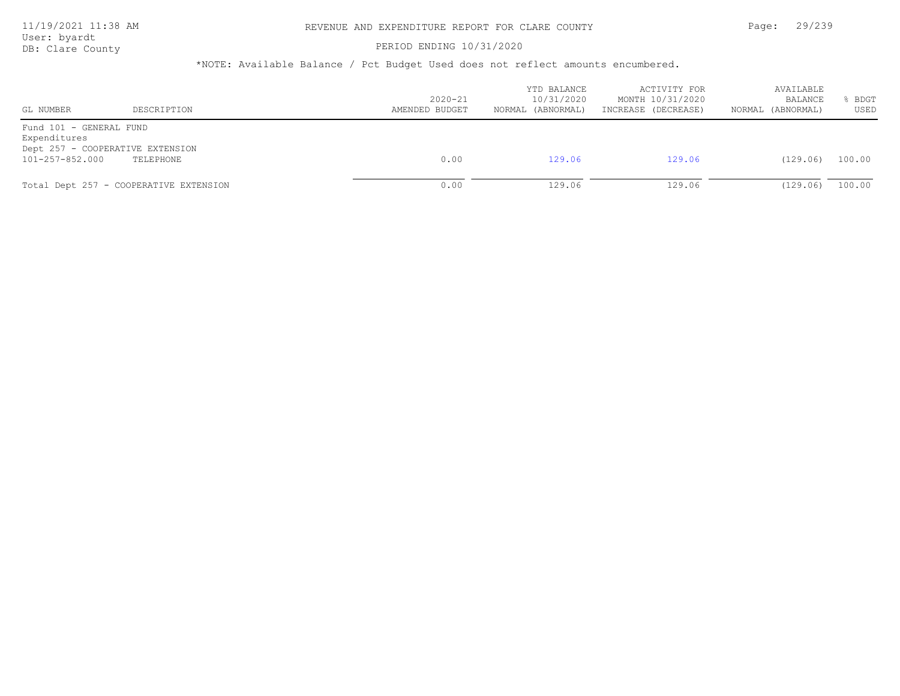User: byardt

# DB: Clare County **DB: Clare County**

| GL NUMBER                                                                                      | DESCRIPTION                            | $2020 - 21$<br>AMENDED BUDGET | YTD BALANCE<br>10/31/2020<br>NORMAL (ABNORMAL) | ACTIVITY FOR<br>MONTH 10/31/2020<br>INCREASE (DECREASE) | AVAILABLE<br>BALANCE<br>(ABNORMAL)<br>NORMAL | BDGT<br>USED |
|------------------------------------------------------------------------------------------------|----------------------------------------|-------------------------------|------------------------------------------------|---------------------------------------------------------|----------------------------------------------|--------------|
| Fund 101 - GENERAL FUND<br>Expenditures<br>Dept 257 - COOPERATIVE EXTENSION<br>101-257-852.000 | TELEPHONE                              | 0.00                          | 129.06                                         | 129.06                                                  | (129.06)                                     | 100.00       |
|                                                                                                | Total Dept 257 - COOPERATIVE EXTENSION | 0.00                          | 129.06                                         | 129.06                                                  | (129.06)                                     | 100.00       |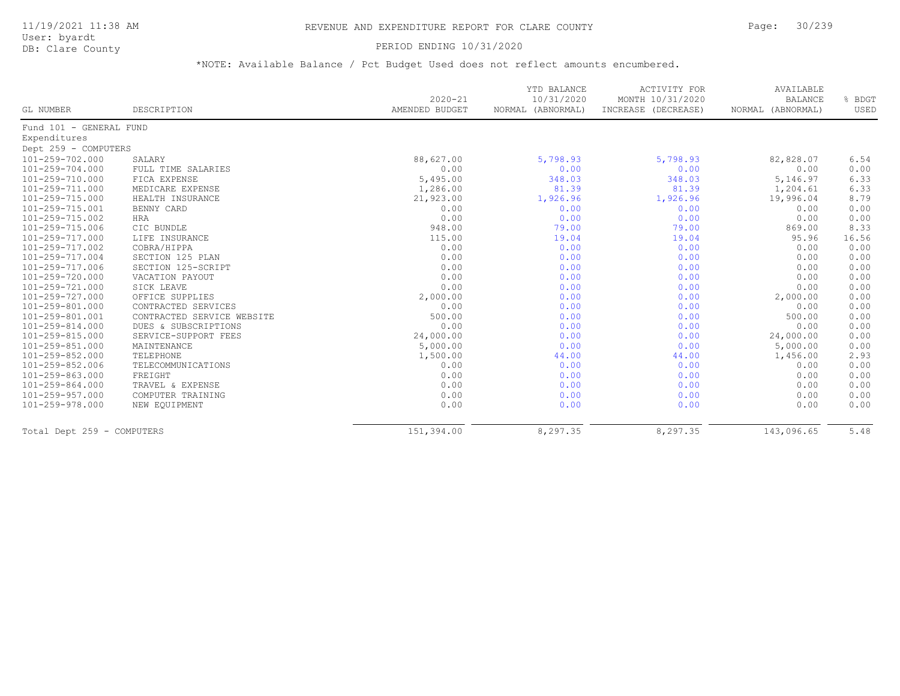### 11/19/2021 11:38 AM REVENUE AND EXPENDITURE REPORT FOR CLARE COUNTY Page: 30/239

User: byardt<br>DB: Clare County

#### PERIOD ENDING 10/31/2020

| GL NUMBER                  | DESCRIPTION                | $2020 - 21$<br>AMENDED BUDGET | YTD BALANCE<br>10/31/2020<br>NORMAL (ABNORMAL) | <b>ACTIVITY FOR</b><br>MONTH 10/31/2020<br>INCREASE (DECREASE) | AVAILABLE<br><b>BALANCE</b><br>NORMAL (ABNORMAL) | % BDGT<br>USED |
|----------------------------|----------------------------|-------------------------------|------------------------------------------------|----------------------------------------------------------------|--------------------------------------------------|----------------|
| Fund 101 - GENERAL FUND    |                            |                               |                                                |                                                                |                                                  |                |
| Expenditures               |                            |                               |                                                |                                                                |                                                  |                |
| Dept 259 - COMPUTERS       |                            |                               |                                                |                                                                |                                                  |                |
| 101-259-702.000            | SALARY                     | 88,627.00                     | 5,798.93                                       | 5,798.93                                                       | 82,828.07                                        | 6.54           |
| 101-259-704.000            | FULL TIME SALARIES         | 0.00                          | 0.00                                           | 0.00                                                           | 0.00                                             | 0.00           |
| 101-259-710.000            | FICA EXPENSE               | 5,495.00                      | 348.03                                         | 348.03                                                         | 5,146.97                                         | 6.33           |
| 101-259-711.000            | MEDICARE EXPENSE           | 1,286.00                      | 81.39                                          | 81.39                                                          | 1,204.61                                         | 6.33           |
| 101-259-715.000            | HEALTH INSURANCE           | 21,923.00                     | 1,926.96                                       | 1,926.96                                                       | 19,996.04                                        | 8.79           |
| 101-259-715.001            | BENNY CARD                 | 0.00                          | 0.00                                           | 0.00                                                           | 0.00                                             | 0.00           |
| 101-259-715.002            | <b>HRA</b>                 | 0.00                          | 0.00                                           | 0.00                                                           | 0.00                                             | 0.00           |
| 101-259-715.006            | CIC BUNDLE                 | 948.00                        | 79.00                                          | 79.00                                                          | 869.00                                           | 8.33           |
| 101-259-717.000            | LIFE INSURANCE             | 115.00                        | 19.04                                          | 19.04                                                          | 95.96                                            | 16.56          |
| 101-259-717.002            | COBRA/HIPPA                | 0.00                          | 0.00                                           | 0.00                                                           | 0.00                                             | 0.00           |
| 101-259-717.004            | SECTION 125 PLAN           | 0.00                          | 0.00                                           | 0.00                                                           | 0.00                                             | 0.00           |
| 101-259-717.006            | SECTION 125-SCRIPT         | 0.00                          | 0.00                                           | 0.00                                                           | 0.00                                             | 0.00           |
| 101-259-720.000            | VACATION PAYOUT            | 0.00                          | 0.00                                           | 0.00                                                           | 0.00                                             | 0.00           |
| 101-259-721.000            | SICK LEAVE                 | 0.00                          | 0.00                                           | 0.00                                                           | 0.00                                             | 0.00           |
| 101-259-727.000            | OFFICE SUPPLIES            | 2,000.00                      | 0.00                                           | 0.00                                                           | 2,000.00                                         | 0.00           |
| 101-259-801.000            | CONTRACTED SERVICES        | 0.00                          | 0.00                                           | 0.00                                                           | 0.00                                             | 0.00           |
| 101-259-801.001            | CONTRACTED SERVICE WEBSITE | 500.00                        | 0.00                                           | 0.00                                                           | 500.00                                           | 0.00           |
| 101-259-814.000            | DUES & SUBSCRIPTIONS       | 0.00                          | 0.00                                           | 0.00                                                           | 0.00                                             | 0.00           |
| 101-259-815.000            | SERVICE-SUPPORT FEES       | 24,000.00                     | 0.00                                           | 0.00                                                           | 24,000.00                                        | 0.00           |
| 101-259-851.000            | MAINTENANCE                | 5,000.00                      | 0.00                                           | 0.00                                                           | 5,000.00                                         | 0.00           |
| 101-259-852.000            | TELEPHONE                  | 1,500.00                      | 44.00                                          | 44.00                                                          | 1,456.00                                         | 2.93           |
| 101-259-852.006            | TELECOMMUNICATIONS         | 0.00                          | 0.00                                           | 0.00                                                           | 0.00                                             | 0.00           |
| 101-259-863.000            | FREIGHT                    | 0.00                          | 0.00                                           | 0.00                                                           | 0.00                                             | 0.00           |
| 101-259-864.000            | TRAVEL & EXPENSE           | 0.00                          | 0.00                                           | 0.00                                                           | 0.00                                             | 0.00           |
| 101-259-957.000            | COMPUTER TRAINING          | 0.00                          | 0.00                                           | 0.00                                                           | 0.00                                             | 0.00           |
| 101-259-978.000            | NEW EQUIPMENT              | 0.00                          | 0.00                                           | 0.00                                                           | 0.00                                             | 0.00           |
| Total Dept 259 - COMPUTERS |                            | 151,394.00                    | 8,297.35                                       | 8,297.35                                                       | 143,096.65                                       | 5.48           |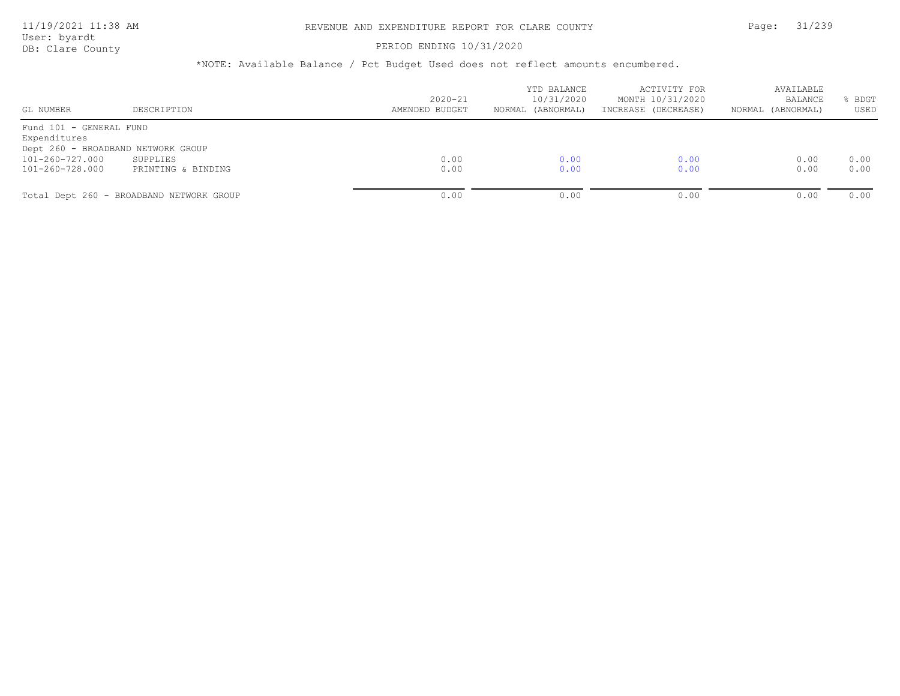### PERIOD ENDING 10/31/2020

| GL NUMBER               | DESCRIPTION                              | $2020 - 21$<br>AMENDED BUDGET | YTD BALANCE<br>10/31/2020<br>NORMAL (ABNORMAL) | ACTIVITY FOR<br>MONTH 10/31/2020<br>INCREASE (DECREASE) | AVAILABLE<br><b>BALANCE</b><br>NORMAL (ABNORMAL) | BDGT<br>USED |
|-------------------------|------------------------------------------|-------------------------------|------------------------------------------------|---------------------------------------------------------|--------------------------------------------------|--------------|
| Fund 101 - GENERAL FUND |                                          |                               |                                                |                                                         |                                                  |              |
| Expenditures            |                                          |                               |                                                |                                                         |                                                  |              |
|                         | Dept 260 - BROADBAND NETWORK GROUP       |                               |                                                |                                                         |                                                  |              |
| 101-260-727.000         | SUPPLIES                                 | 0.00                          | 0.00                                           | 0.00                                                    | 0.00                                             | 0.00         |
| 101-260-728.000         | PRINTING & BINDING                       | 0.00                          | 0.00                                           | 0.00                                                    | 0.00                                             | 0.00         |
|                         | Total Dept 260 - BROADBAND NETWORK GROUP | 0.00                          | 0.00                                           | 0.00                                                    | 0.00                                             | 0.00         |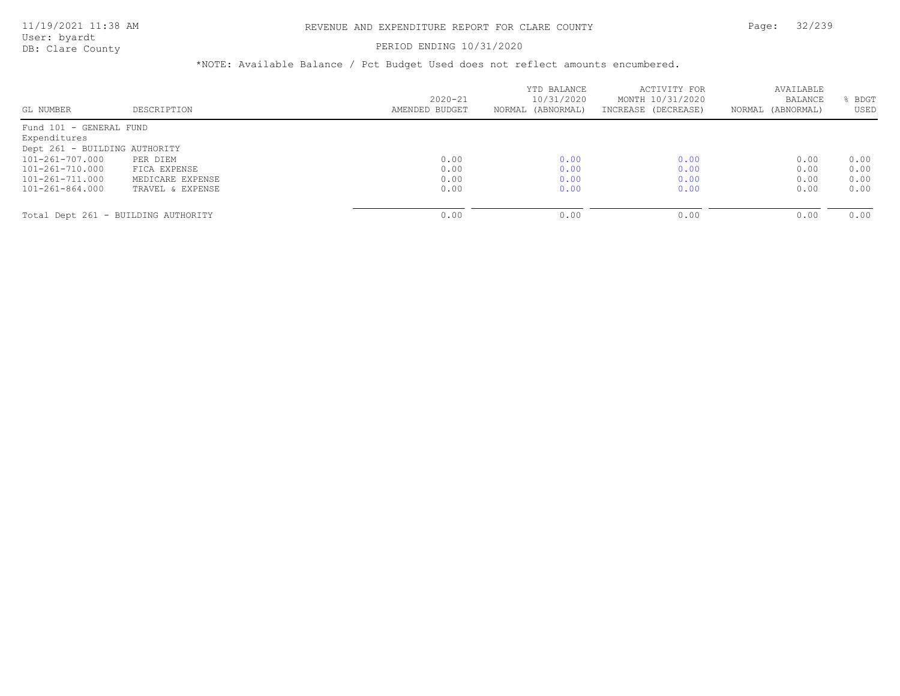#### PERIOD ENDING 10/31/2020

|                                     |                  |                | YTD BALANCE       | ACTIVITY FOR        | AVAILABLE         |      |
|-------------------------------------|------------------|----------------|-------------------|---------------------|-------------------|------|
|                                     |                  | $2020 - 21$    | 10/31/2020        | MONTH 10/31/2020    | <b>BALANCE</b>    | BDGT |
| GL NUMBER                           | DESCRIPTION      | AMENDED BUDGET | NORMAL (ABNORMAL) | INCREASE (DECREASE) | NORMAL (ABNORMAL) | USED |
| Fund 101 - GENERAL FUND             |                  |                |                   |                     |                   |      |
| Expenditures                        |                  |                |                   |                     |                   |      |
| Dept 261 - BUILDING AUTHORITY       |                  |                |                   |                     |                   |      |
| 101-261-707.000                     | PER DIEM         | 0.00           | 0.00              | 0.00                | 0.00              | 0.00 |
| 101-261-710.000                     | FICA EXPENSE     | 0.00           | 0.00              | 0.00                | 0.00              | 0.00 |
| $101 - 261 - 711.000$               | MEDICARE EXPENSE | 0.00           | 0.00              | 0.00                | 0.00              | 0.00 |
| 101-261-864.000                     | TRAVEL & EXPENSE | 0.00           | 0.00              | 0.00                | 0.00              | 0.00 |
|                                     |                  |                |                   |                     |                   |      |
| Total Dept 261 - BUILDING AUTHORITY |                  | 0.00           | 0.00              | 0.00                | 0.00              | 0.00 |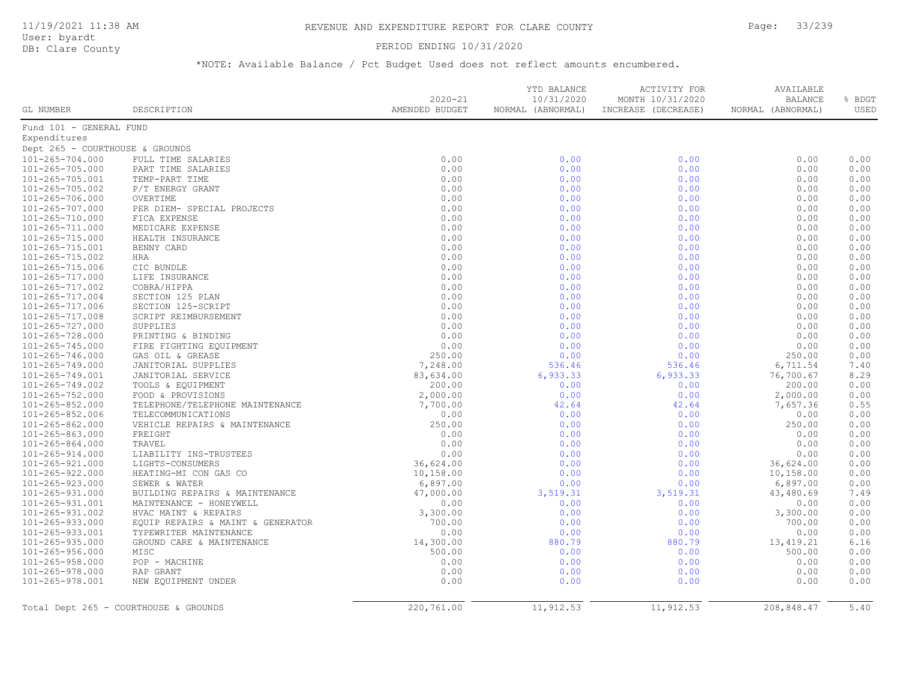User: byardt

# DB: Clare County **PERIOD ENDING 10/31/2020**

| GL NUMBER                       | DESCRIPTION                           | $2020 - 21$<br>AMENDED BUDGET | YTD BALANCE<br>10/31/2020<br>NORMAL (ABNORMAL) | ACTIVITY FOR<br>MONTH 10/31/2020<br>INCREASE (DECREASE) | AVAILABLE<br><b>BALANCE</b><br>NORMAL (ABNORMAL) | % BDGT<br>USED |
|---------------------------------|---------------------------------------|-------------------------------|------------------------------------------------|---------------------------------------------------------|--------------------------------------------------|----------------|
| Fund 101 - GENERAL FUND         |                                       |                               |                                                |                                                         |                                                  |                |
| Expenditures                    |                                       |                               |                                                |                                                         |                                                  |                |
| Dept 265 - COURTHOUSE & GROUNDS |                                       |                               |                                                |                                                         |                                                  |                |
| 101-265-704.000                 | FULL TIME SALARIES                    | 0.00                          | 0.00                                           | 0.00                                                    | 0.00                                             | 0.00           |
| 101-265-705.000                 | PART TIME SALARIES                    | 0.00                          | 0.00                                           | 0.00                                                    | 0.00                                             | 0.00           |
| $101 - 265 - 705.001$           | TEMP-PART TIME                        | 0.00                          | 0.00                                           | 0.00                                                    | 0.00                                             | 0.00           |
| 101-265-705.002                 | P/T ENERGY GRANT                      | 0.00                          | 0.00                                           | 0.00                                                    | 0.00                                             | 0.00           |
| 101-265-706.000                 | OVERTIME                              | 0.00                          | 0.00                                           | 0.00                                                    | 0.00                                             | 0.00           |
| $101 - 265 - 707.000$           | PER DIEM- SPECIAL PROJECTS            | 0.00                          | 0.00                                           | 0.00                                                    | 0.00                                             | 0.00           |
| $101 - 265 - 710.000$           | FICA EXPENSE                          | 0.00                          | 0.00                                           | 0.00                                                    | 0.00                                             | 0.00           |
| 101-265-711.000                 | MEDICARE EXPENSE                      | 0.00                          | 0.00                                           | 0.00                                                    | 0.00                                             | 0.00           |
| 101-265-715.000                 | HEALTH INSURANCE                      | 0.00                          | 0.00                                           | 0.00                                                    | 0.00                                             | 0.00           |
| 101-265-715.001                 | BENNY CARD                            | 0.00                          | 0.00                                           | 0.00                                                    | 0.00                                             | 0.00           |
| $101 - 265 - 715.002$           | HRA                                   | 0.00                          | 0.00                                           | 0.00                                                    | 0.00                                             | 0.00           |
| 101-265-715.006                 | CIC BUNDLE                            | 0.00                          | 0.00                                           | 0.00                                                    | 0.00                                             | 0.00           |
| $101 - 265 - 717.000$           | LIFE INSURANCE                        | 0.00                          | 0.00                                           | 0.00                                                    | 0.00                                             | 0.00           |
| 101-265-717.002                 | COBRA/HIPPA                           | 0.00                          | 0.00                                           | 0.00                                                    | 0.00                                             | 0.00           |
| $101 - 265 - 717.004$           | SECTION 125 PLAN                      | 0.00                          | 0.00                                           | 0.00                                                    | 0.00                                             | 0.00           |
| 101-265-717.006                 | SECTION 125-SCRIPT                    | 0.00                          | 0.00                                           | 0.00                                                    | 0.00                                             | 0.00           |
| $101 - 265 - 717.008$           | SCRIPT REIMBURSEMENT                  | 0.00                          | 0.00                                           | 0.00                                                    | 0.00                                             | 0.00           |
| 101-265-727.000                 | SUPPLIES                              | 0.00                          | 0.00                                           | 0.00                                                    | 0.00                                             | 0.00           |
| 101-265-728.000                 | PRINTING & BINDING                    | 0.00                          | 0.00                                           | 0.00                                                    | 0.00                                             | 0.00           |
| $101 - 265 - 745.000$           | FIRE FIGHTING EQUIPMENT               | 0.00                          | 0.00                                           | 0.00                                                    | 0.00                                             | 0.00           |
| $101 - 265 - 746.000$           | GAS OIL & GREASE                      | 250.00                        | 0.00                                           | 0.00                                                    | 250.00                                           | 0.00           |
| 101-265-749.000                 | JANITORIAL SUPPLIES                   | 7,248.00                      | 536.46                                         | 536.46                                                  | 6,711.54                                         | 7.40           |
| 101-265-749.001                 | JANITORIAL SERVICE                    | 83,634.00                     | 6,933.33                                       | 6,933.33                                                | 76,700.67                                        | 8.29           |
| $101 - 265 - 749.002$           | TOOLS & EQUIPMENT                     | 200.00                        | 0.00                                           | 0.00                                                    | 200.00                                           | 0.00           |
| $101 - 265 - 752.000$           | FOOD & PROVISIONS                     | 2,000.00                      | 0.00                                           | 0.00                                                    | 2,000.00                                         | 0.00           |
| $101 - 265 - 852.000$           | TELEPHONE/TELEPHONE MAINTENANCE       | 7,700.00                      | 42.64                                          | 42.64                                                   | 7,657.36                                         | 0.55           |
| 101-265-852.006                 | TELECOMMUNICATIONS                    | 0.00                          | 0.00                                           | 0.00                                                    | 0.00                                             | 0.00           |
| 101-265-862.000                 | VEHICLE REPAIRS & MAINTENANCE         | 250.00                        | 0.00                                           | 0.00                                                    | 250.00                                           | 0.00           |
| $101 - 265 - 863.000$           | FREIGHT                               | 0.00                          | 0.00                                           | 0.00                                                    | 0.00                                             | 0.00           |
| $101 - 265 - 864.000$           | TRAVEL                                | 0.00                          | 0.00                                           | 0.00                                                    | 0.00                                             | 0.00           |
| 101-265-914.000                 | LIABILITY INS-TRUSTEES                | 0.00                          | 0.00                                           | 0.00                                                    | 0.00                                             | 0.00           |
| 101-265-921.000                 | LIGHTS-CONSUMERS                      | 36,624.00                     | 0.00                                           | 0.00                                                    | 36,624.00                                        | 0.00           |
| $101 - 265 - 922.000$           | HEATING-MI CON GAS CO                 | 10,158.00                     | 0.00                                           | 0.00                                                    | 10,158.00                                        | 0.00           |
| 101-265-923.000                 | SEWER & WATER                         | 6,897.00                      | 0.00                                           | 0.00                                                    | 6,897.00                                         | 0.00           |
| 101-265-931.000                 | BUILDING REPAIRS & MAINTENANCE        | 47,000.00                     | 3,519.31                                       | 3,519.31                                                | 43,480.69                                        | 7.49           |
| 101-265-931.001                 | MAINTENANCE - HONEYWELL               | 0.00                          | 0.00                                           | 0.00                                                    | 0.00                                             | 0.00           |
| 101-265-931.002                 | HVAC MAINT & REPAIRS                  | 3,300.00                      | 0.00                                           | 0.00                                                    | 3,300.00                                         | 0.00           |
| $101 - 265 - 933.000$           | EQUIP REPAIRS & MAINT & GENERATOR     | 700.00                        | 0.00                                           | 0.00                                                    | 700.00                                           | 0.00           |
| 101-265-933.001                 | TYPEWRITER MAINTENANCE                | 0.00                          | 0.00                                           | 0.00                                                    | 0.00                                             | 0.00           |
| $101 - 265 - 935.000$           | GROUND CARE & MAINTENANCE             | 14,300.00                     | 880.79                                         | 880.79                                                  | 13, 419.21                                       | 6.16           |
| $101 - 265 - 956.000$           | MISC                                  | 500.00                        | 0.00                                           | 0.00                                                    | 500.00                                           | 0.00           |
| $101 - 265 - 958.000$           | POP - MACHINE                         | 0.00                          | 0.00                                           | 0.00                                                    | 0.00                                             | 0.00           |
| $101 - 265 - 978.000$           | RAP GRANT                             | 0.00                          | 0.00                                           | 0.00                                                    | 0.00                                             | 0.00           |
| 101-265-978.001                 | NEW EQUIPMENT UNDER                   | 0.00                          | 0.00                                           | 0.00                                                    | 0.00                                             | 0.00           |
|                                 | Total Dept 265 - COURTHOUSE & GROUNDS | 220,761.00                    | 11,912.53                                      | 11,912.53                                               | 208,848.47                                       | 5.40           |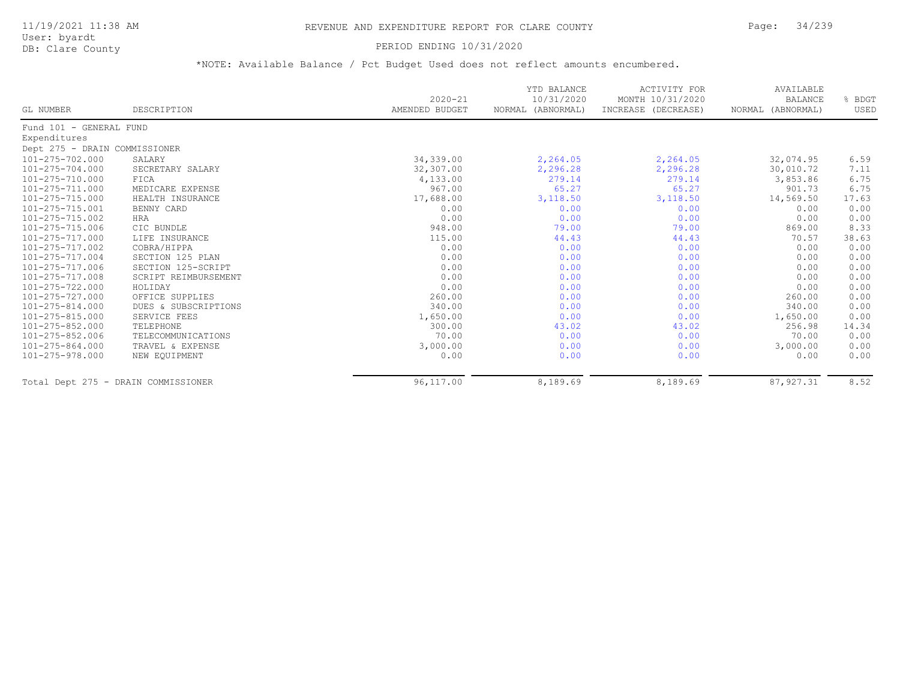#### PERIOD ENDING 10/31/2020

| GL NUMBER                     | DESCRIPTION                         | $2020 - 21$<br>AMENDED BUDGET | YTD BALANCE<br>10/31/2020<br>NORMAL (ABNORMAL) | ACTIVITY FOR<br>MONTH 10/31/2020<br>INCREASE (DECREASE) | AVAILABLE<br><b>BALANCE</b><br>NORMAL (ABNORMAL) | % BDGT<br>USED |
|-------------------------------|-------------------------------------|-------------------------------|------------------------------------------------|---------------------------------------------------------|--------------------------------------------------|----------------|
| Fund 101 - GENERAL FUND       |                                     |                               |                                                |                                                         |                                                  |                |
| Expenditures                  |                                     |                               |                                                |                                                         |                                                  |                |
| Dept 275 - DRAIN COMMISSIONER |                                     |                               |                                                |                                                         |                                                  |                |
| 101-275-702.000               | SALARY                              | 34,339.00                     | 2,264.05                                       | 2,264.05                                                | 32,074.95                                        | 6.59           |
| $101 - 275 - 704.000$         | SECRETARY SALARY                    | 32,307.00                     | 2,296.28                                       | 2,296.28                                                | 30,010.72                                        | 7.11           |
| 101-275-710.000               | FICA                                | 4,133.00                      | 279.14                                         | 279.14                                                  | 3,853.86                                         | 6.75           |
| 101-275-711.000               | MEDICARE EXPENSE                    | 967.00                        | 65.27                                          | 65.27                                                   | 901.73                                           | 6.75           |
| $101 - 275 - 715.000$         | HEALTH INSURANCE                    | 17,688.00                     | 3,118.50                                       | 3,118.50                                                | 14,569.50                                        | 17.63          |
| 101-275-715.001               | BENNY CARD                          | 0.00                          | 0.00                                           | 0.00                                                    | 0.00                                             | 0.00           |
| 101-275-715.002               | HRA                                 | 0.00                          | 0.00                                           | 0.00                                                    | 0.00                                             | 0.00           |
| 101-275-715.006               | CIC BUNDLE                          | 948.00                        | 79.00                                          | 79.00                                                   | 869.00                                           | 8.33           |
| 101-275-717.000               | LIFE INSURANCE                      | 115.00                        | 44.43                                          | 44.43                                                   | 70.57                                            | 38.63          |
| 101-275-717.002               | COBRA/HIPPA                         | 0.00                          | 0.00                                           | 0.00                                                    | 0.00                                             | 0.00           |
| 101-275-717.004               | SECTION 125 PLAN                    | 0.00                          | 0.00                                           | 0.00                                                    | 0.00                                             | 0.00           |
| 101-275-717.006               | SECTION 125-SCRIPT                  | 0.00                          | 0.00                                           | 0.00                                                    | 0.00                                             | 0.00           |
| 101-275-717.008               | SCRIPT REIMBURSEMENT                | 0.00                          | 0.00                                           | 0.00                                                    | 0.00                                             | 0.00           |
| 101-275-722.000               | HOLIDAY                             | 0.00                          | 0.00                                           | 0.00                                                    | 0.00                                             | 0.00           |
| 101-275-727.000               | OFFICE SUPPLIES                     | 260.00                        | 0.00                                           | 0.00                                                    | 260.00                                           | 0.00           |
| 101-275-814.000               | DUES & SUBSCRIPTIONS                | 340.00                        | 0.00                                           | 0.00                                                    | 340.00                                           | 0.00           |
| 101-275-815.000               | SERVICE FEES                        | 1,650.00                      | 0.00                                           | 0.00                                                    | 1,650.00                                         | 0.00           |
| 101-275-852.000               | TELEPHONE                           | 300.00                        | 43.02                                          | 43.02                                                   | 256.98                                           | 14.34          |
| 101-275-852.006               | TELECOMMUNICATIONS                  | 70.00                         | 0.00                                           | 0.00                                                    | 70.00                                            | 0.00           |
| 101-275-864.000               | TRAVEL & EXPENSE                    | 3,000.00                      | 0.00                                           | 0.00                                                    | 3,000.00                                         | 0.00           |
| 101-275-978.000               | NEW EQUIPMENT                       | 0.00                          | 0.00                                           | 0.00                                                    | 0.00                                             | 0.00           |
|                               | Total Dept 275 - DRAIN COMMISSIONER | 96,117.00                     | 8,189.69                                       | 8,189.69                                                | 87,927.31                                        | 8.52           |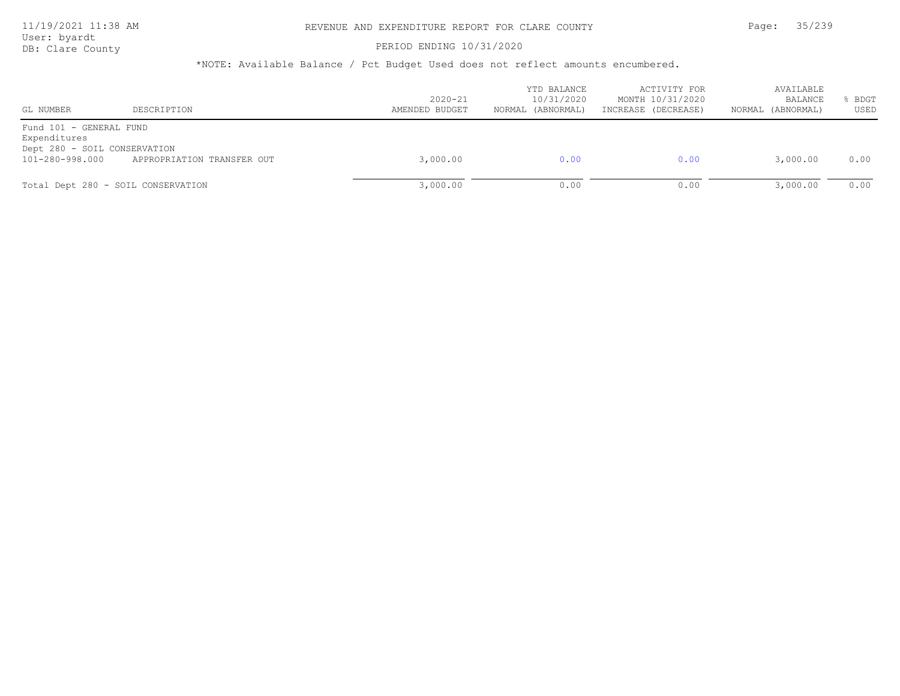User: byardt

# DB: Clare County **PERIOD ENDING 10/31/2020**

| GL NUMBER                                                                                  | DESCRIPTION                | $2020 - 21$<br>AMENDED BUDGET | YTD BALANCE<br>10/31/2020<br>NORMAL (ABNORMAL) | ACTIVITY FOR<br>MONTH 10/31/2020<br>INCREASE (DECREASE) | AVAILABLE<br>BALANCE<br>(ABNORMAL)<br>NORMAL | BDGT<br>USED |
|--------------------------------------------------------------------------------------------|----------------------------|-------------------------------|------------------------------------------------|---------------------------------------------------------|----------------------------------------------|--------------|
| Fund 101 - GENERAL FUND<br>Expenditures<br>Dept 280 - SOIL CONSERVATION<br>101-280-998.000 | APPROPRIATION TRANSFER OUT | 3,000.00                      | 0.00                                           | 0.00                                                    | 3,000.00                                     | 0.00         |
| Total Dept 280 - SOIL CONSERVATION                                                         |                            | 3,000.00                      | 0.00                                           | 0.00                                                    | 3,000.00                                     | 0.00         |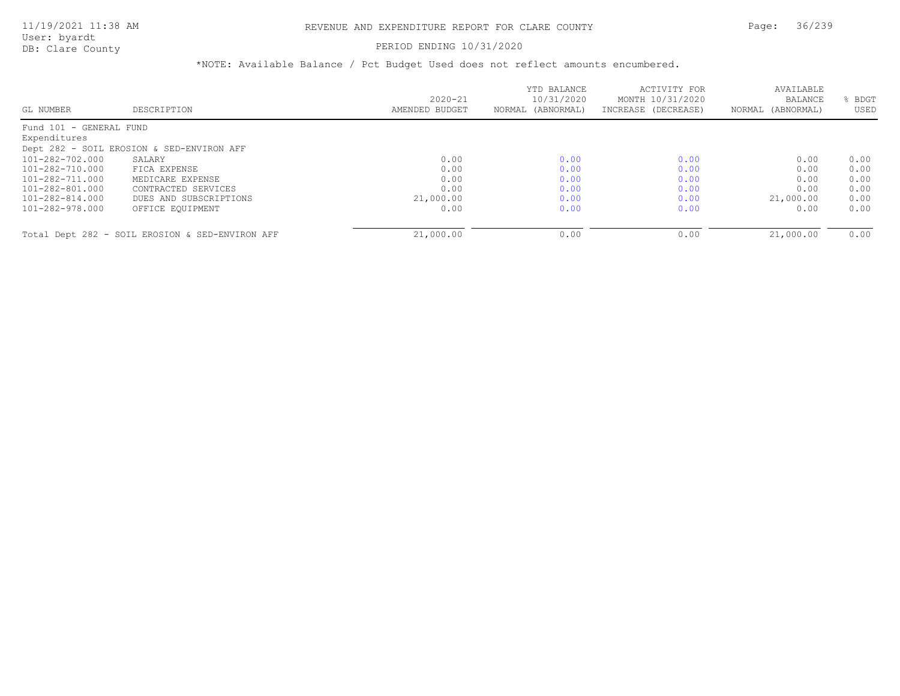### PERIOD ENDING 10/31/2020

| GL NUMBER               | DESCRIPTION                                     | $2020 - 21$<br>AMENDED BUDGET | YTD BALANCE<br>10/31/2020<br>NORMAL (ABNORMAL) | ACTIVITY FOR<br>MONTH 10/31/2020<br>INCREASE (DECREASE) | AVAILABLE<br>BALANCE<br>NORMAL (ABNORMAL) | BDGT<br>USED |
|-------------------------|-------------------------------------------------|-------------------------------|------------------------------------------------|---------------------------------------------------------|-------------------------------------------|--------------|
| Fund 101 - GENERAL FUND |                                                 |                               |                                                |                                                         |                                           |              |
| Expenditures            |                                                 |                               |                                                |                                                         |                                           |              |
|                         | Dept 282 - SOIL EROSION & SED-ENVIRON AFF       |                               |                                                |                                                         |                                           |              |
| 101-282-702.000         | SALARY                                          | 0.00                          | 0.00                                           | 0.00                                                    | 0.00                                      | 0.00         |
| 101-282-710.000         | FICA EXPENSE                                    | 0.00                          | 0.00                                           | 0.00                                                    | 0.00                                      | 0.00         |
| 101-282-711.000         | MEDICARE EXPENSE                                | 0.00                          | 0.00                                           | 0.00                                                    | 0.00                                      | 0.00         |
| 101-282-801.000         | CONTRACTED SERVICES                             | 0.00                          | 0.00                                           | 0.00                                                    | 0.00                                      | 0.00         |
| 101-282-814.000         | DUES AND SUBSCRIPTIONS                          | 21,000.00                     | 0.00                                           | 0.00                                                    | 21,000.00                                 | 0.00         |
| 101-282-978.000         | OFFICE EQUIPMENT                                | 0.00                          | 0.00                                           | 0.00                                                    | 0.00                                      | 0.00         |
|                         |                                                 |                               |                                                |                                                         |                                           |              |
|                         | Total Dept 282 - SOIL EROSION & SED-ENVIRON AFF | 21,000.00                     | 0.00                                           | 0.00                                                    | 21,000.00                                 | 0.00         |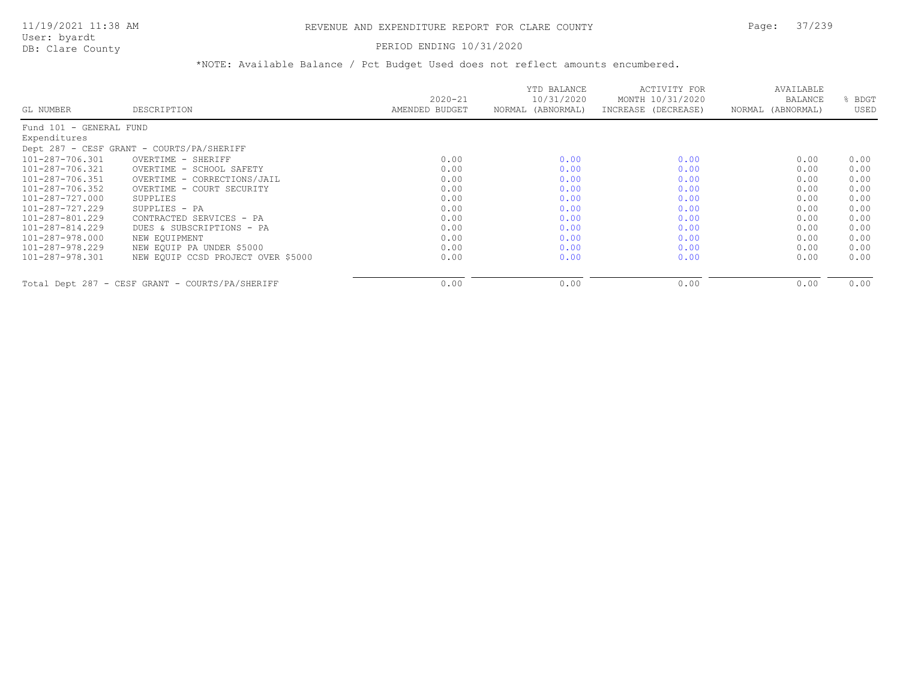#### PERIOD ENDING 10/31/2020

|                         |                                                 | $2020 - 21$    | YTD BALANCE<br>10/31/2020 | ACTIVITY FOR<br>MONTH 10/31/2020 | AVAILABLE<br><b>BALANCE</b> | BDGT |
|-------------------------|-------------------------------------------------|----------------|---------------------------|----------------------------------|-----------------------------|------|
| GL NUMBER               | DESCRIPTION                                     | AMENDED BUDGET | NORMAL (ABNORMAL)         | INCREASE (DECREASE)              | NORMAL (ABNORMAL)           | USED |
| Fund 101 - GENERAL FUND |                                                 |                |                           |                                  |                             |      |
| Expenditures            |                                                 |                |                           |                                  |                             |      |
|                         | Dept 287 - CESF GRANT - COURTS/PA/SHERIFF       |                |                           |                                  |                             |      |
| 101-287-706.301         | OVERTIME - SHERIFF                              | 0.00           | 0.00                      | 0.00                             | 0.00                        | 0.00 |
| 101-287-706.321         | OVERTIME - SCHOOL SAFETY                        | 0.00           | 0.00                      | 0.00                             | 0.00                        | 0.00 |
| 101-287-706.351         | OVERTIME - CORRECTIONS/JAIL                     | 0.00           | 0.00                      | 0.00                             | 0.00                        | 0.00 |
| 101-287-706.352         | OVERTIME - COURT SECURITY                       | 0.00           | 0.00                      | 0.00                             | 0.00                        | 0.00 |
| 101-287-727.000         | SUPPLIES                                        | 0.00           | 0.00                      | 0.00                             | 0.00                        | 0.00 |
| 101-287-727.229         | SUPPLIES - PA                                   | 0.00           | 0.00                      | 0.00                             | 0.00                        | 0.00 |
| 101-287-801.229         | CONTRACTED SERVICES - PA                        | 0.00           | 0.00                      | 0.00                             | 0.00                        | 0.00 |
| 101-287-814.229         | DUES & SUBSCRIPTIONS - PA                       | 0.00           | 0.00                      | 0.00                             | 0.00                        | 0.00 |
| 101-287-978.000         | NEW EQUIPMENT                                   | 0.00           | 0.00                      | 0.00                             | 0.00                        | 0.00 |
| 101-287-978.229         | NEW EQUIP PA UNDER \$5000                       | 0.00           | 0.00                      | 0.00                             | 0.00                        | 0.00 |
| 101-287-978.301         | NEW EQUIP CCSD PROJECT OVER \$5000              | 0.00           | 0.00                      | 0.00                             | 0.00                        | 0.00 |
|                         | Total Dept 287 - CESF GRANT - COURTS/PA/SHERIFF | 0.00           | 0.00                      | 0.00                             | 0.00                        | 0.00 |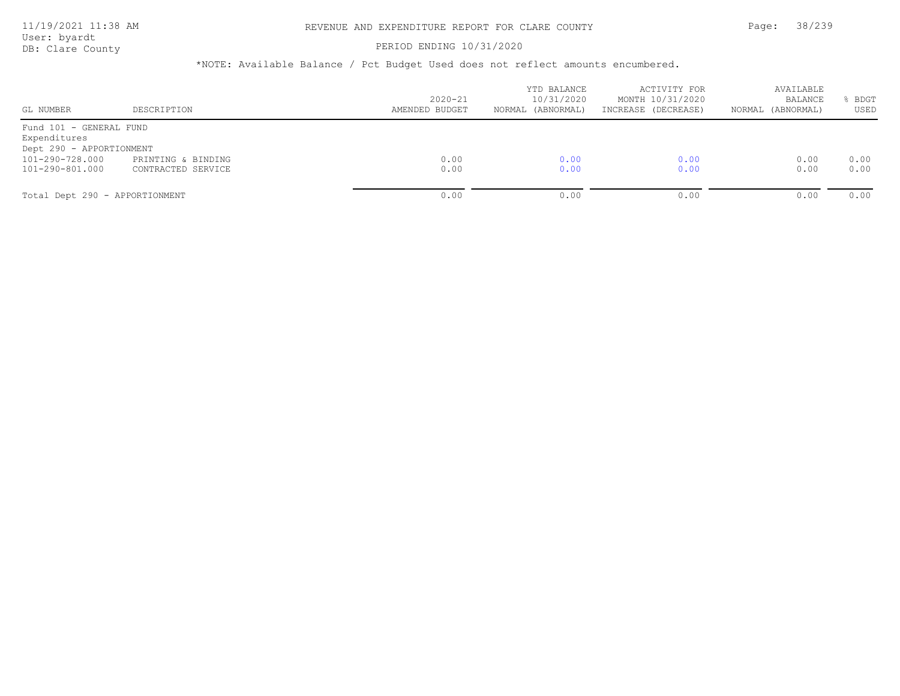### PERIOD ENDING 10/31/2020

| GL NUMBER                                   | DESCRIPTION        | $2020 - 21$<br>AMENDED BUDGET | YTD BALANCE<br>10/31/2020<br>NORMAL (ABNORMAL) | ACTIVITY FOR<br>MONTH 10/31/2020<br>INCREASE (DECREASE) | AVAILABLE<br>BALANCE<br>NORMAL (ABNORMAL) | BDGT<br>USED |
|---------------------------------------------|--------------------|-------------------------------|------------------------------------------------|---------------------------------------------------------|-------------------------------------------|--------------|
| Fund 101 - GENERAL FUND<br>Expenditures     |                    |                               |                                                |                                                         |                                           |              |
| Dept 290 - APPORTIONMENT<br>101-290-728.000 | PRINTING & BINDING | 0.00                          | 0.00                                           | 0.00                                                    | 0.00                                      | 0.00         |
| 101-290-801.000                             | CONTRACTED SERVICE | 0.00                          | 0.00                                           | 0.00                                                    | 0.00                                      | 0.00         |
| Total Dept 290 - APPORTIONMENT              |                    | 0.00                          | 0.00                                           | 0.00                                                    | 0.00                                      | 0.00         |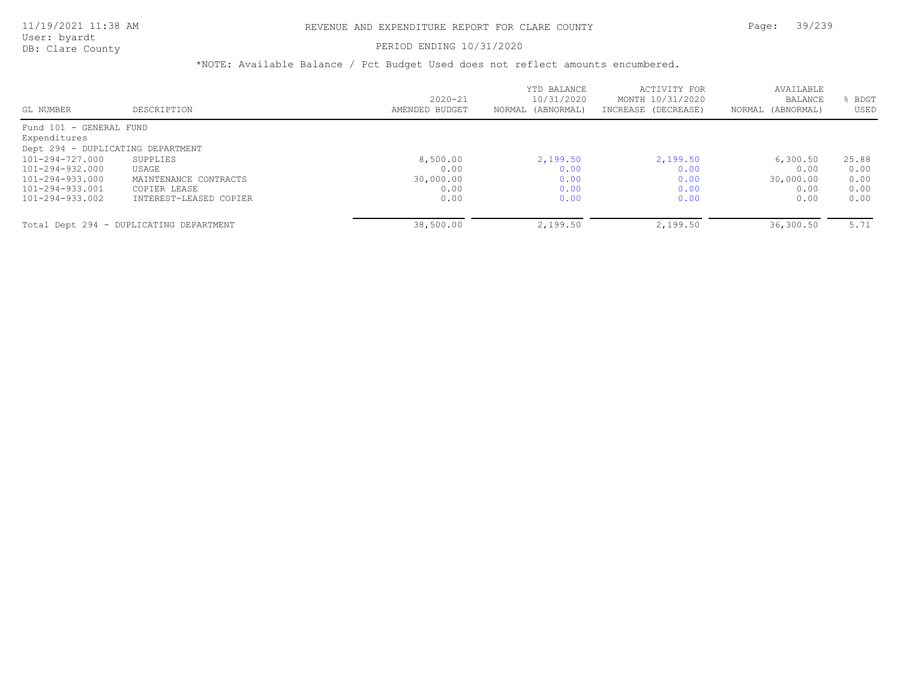### 11/19/2021 11:38 AM REVENUE AND EXPENDITURE REPORT FOR CLARE COUNTY Page: 39/239

User: byardt

# DB: Clare County **PERIOD ENDING 10/31/2020**

| GL NUMBER                         | DESCRIPTION                             | $2020 - 21$<br>AMENDED BUDGET | YTD BALANCE<br>10/31/2020<br>NORMAL (ABNORMAL) | ACTIVITY FOR<br>MONTH 10/31/2020<br>INCREASE (DECREASE) | AVAILABLE<br><b>BALANCE</b><br>NORMAL (ABNORMAL) | BDGT<br>USED |
|-----------------------------------|-----------------------------------------|-------------------------------|------------------------------------------------|---------------------------------------------------------|--------------------------------------------------|--------------|
| Fund 101 - GENERAL FUND           |                                         |                               |                                                |                                                         |                                                  |              |
| Expenditures                      |                                         |                               |                                                |                                                         |                                                  |              |
| Dept 294 - DUPLICATING DEPARTMENT |                                         |                               |                                                |                                                         |                                                  |              |
| $101 - 294 - 727.000$             | SUPPLIES                                | 8,500.00                      | 2,199.50                                       | 2,199.50                                                | 6,300.50                                         | 25.88        |
| 101-294-932.000                   | USAGE                                   | 0.00                          | 0.00                                           | 0.00                                                    | 0.00                                             | 0.00         |
| 101-294-933.000                   | MAINTENANCE CONTRACTS                   | 30,000.00                     | 0.00                                           | 0.00                                                    | 30,000.00                                        | 0.00         |
| 101-294-933.001                   | COPIER LEASE                            | 0.00                          | 0.00                                           | 0.00                                                    | 0.00                                             | 0.00         |
| 101-294-933.002                   | INTEREST-LEASED COPIER                  | 0.00                          | 0.00                                           | 0.00                                                    | 0.00                                             | 0.00         |
|                                   | Total Dept 294 - DUPLICATING DEPARTMENT | 38,500.00                     | 2,199.50                                       | 2,199.50                                                | 36,300.50                                        | 5.71         |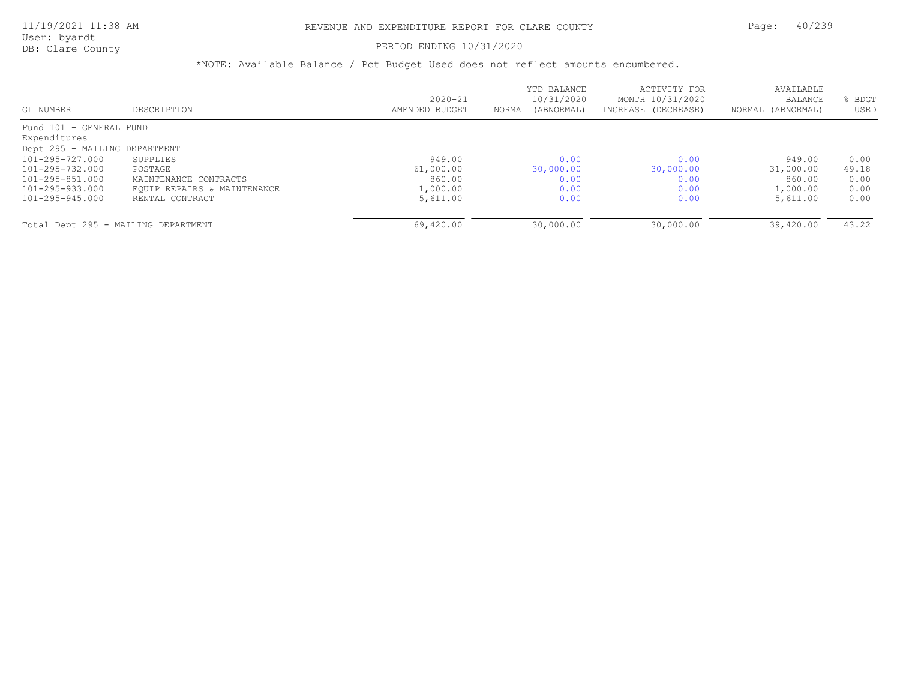User: byardt

# DB: Clare County **PERIOD ENDING 10/31/2020**

| GL NUMBER                           | DESCRIPTION                 | $2020 - 21$<br>AMENDED BUDGET | YTD BALANCE<br>10/31/2020<br>NORMAL (ABNORMAL) | ACTIVITY FOR<br>MONTH 10/31/2020<br>INCREASE (DECREASE) | AVAILABLE<br>BALANCE<br>(ABNORMAL)<br>NORMAL | <b>BDGT</b><br>USED |
|-------------------------------------|-----------------------------|-------------------------------|------------------------------------------------|---------------------------------------------------------|----------------------------------------------|---------------------|
| Fund 101 - GENERAL FUND             |                             |                               |                                                |                                                         |                                              |                     |
| Expenditures                        |                             |                               |                                                |                                                         |                                              |                     |
| Dept 295 - MAILING DEPARTMENT       |                             |                               |                                                |                                                         |                                              |                     |
| $101 - 295 - 727.000$               | SUPPLIES                    | 949.00                        | 0.00                                           | 0.00                                                    | 949.00                                       | 0.00                |
| 101-295-732.000                     | POSTAGE                     | 61,000.00                     | 30,000.00                                      | 30,000.00                                               | 31,000.00                                    | 49.18               |
| 101-295-851.000                     | MAINTENANCE CONTRACTS       | 860.00                        | 0.00                                           | 0.00                                                    | 860.00                                       | 0.00                |
| 101-295-933.000                     | EQUIP REPAIRS & MAINTENANCE | 1,000.00                      | 0.00                                           | 0.00                                                    | 1,000.00                                     | 0.00                |
| 101-295-945.000                     | RENTAL CONTRACT             | 5,611.00                      | 0.00                                           | 0.00                                                    | 5,611.00                                     | 0.00                |
| Total Dept 295 - MAILING DEPARTMENT |                             | 69,420.00                     | 30,000.00                                      | 30,000.00                                               | 39,420.00                                    | 43.22               |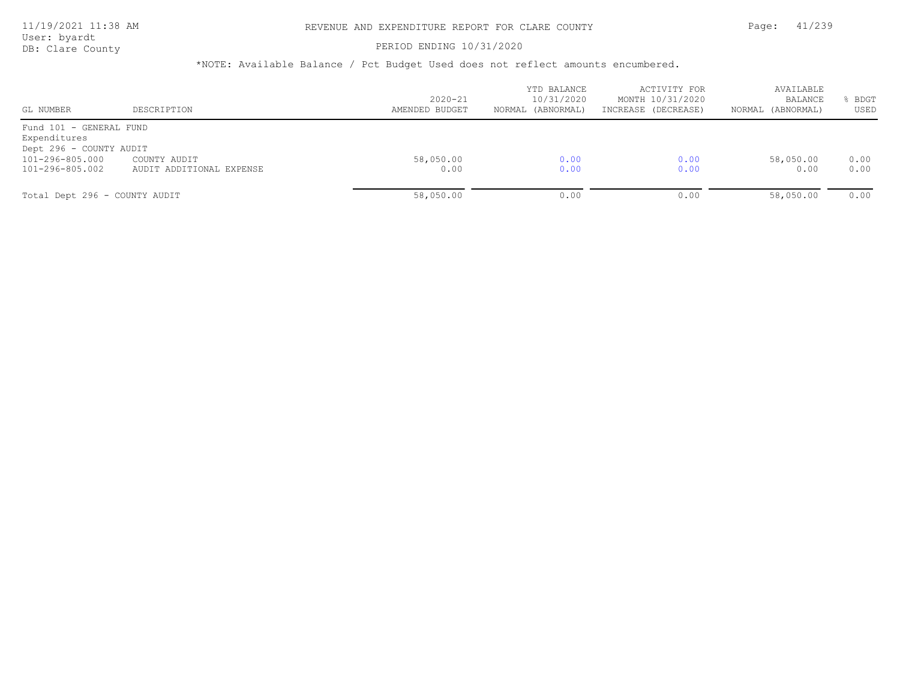PERIOD ENDING 10/31/2020

| GL NUMBER                                                                                                | DESCRIPTION                              | $2020 - 21$<br>AMENDED BUDGET | YTD BALANCE<br>10/31/2020<br>NORMAL (ABNORMAL) | ACTIVITY FOR<br>MONTH 10/31/2020<br>INCREASE (DECREASE) | AVAILABLE<br>BALANCE<br>NORMAL (ABNORMAL) | BDGT<br>USED |
|----------------------------------------------------------------------------------------------------------|------------------------------------------|-------------------------------|------------------------------------------------|---------------------------------------------------------|-------------------------------------------|--------------|
| Fund 101 - GENERAL FUND<br>Expenditures<br>Dept 296 - COUNTY AUDIT<br>101-296-805.000<br>101-296-805.002 | COUNTY AUDIT<br>AUDIT ADDITIONAL EXPENSE | 58,050.00<br>0.00             | 0.00<br>0.00                                   | 0.00<br>0.00                                            | 58,050.00<br>0.00                         | 0.00<br>0.00 |
| Total Dept 296 - COUNTY AUDIT                                                                            |                                          | 58,050.00                     | 0.00                                           | 0.00                                                    | 58,050.00                                 | 0.00         |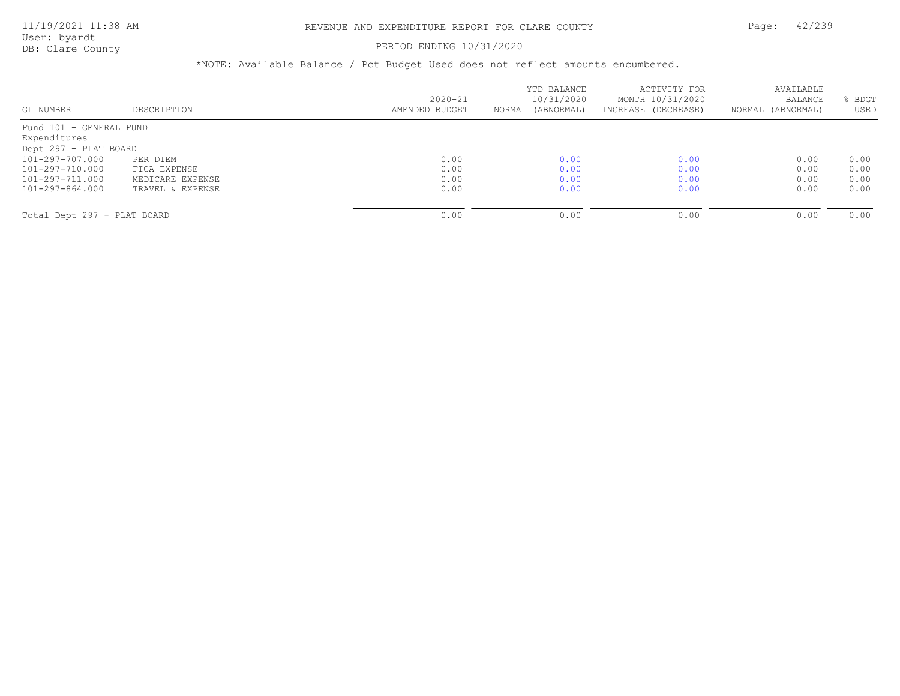### PERIOD ENDING 10/31/2020

| GL NUMBER                   | DESCRIPTION      | $2020 - 21$<br>AMENDED BUDGET | YTD BALANCE<br>10/31/2020<br>NORMAL (ABNORMAL) | ACTIVITY FOR<br>MONTH 10/31/2020<br>INCREASE (DECREASE) | AVAILABLE<br><b>BALANCE</b><br>NORMAL (ABNORMAL) | BDGT<br>USED |
|-----------------------------|------------------|-------------------------------|------------------------------------------------|---------------------------------------------------------|--------------------------------------------------|--------------|
|                             |                  |                               |                                                |                                                         |                                                  |              |
| Fund 101 - GENERAL FUND     |                  |                               |                                                |                                                         |                                                  |              |
| Expenditures                |                  |                               |                                                |                                                         |                                                  |              |
| Dept 297 - PLAT BOARD       |                  |                               |                                                |                                                         |                                                  |              |
| 101-297-707.000             | PER DIEM         | 0.00                          | 0.00                                           | 0.00                                                    | 0.00                                             | 0.00         |
| 101-297-710.000             | FICA EXPENSE     | 0.00                          | 0.00                                           | 0.00                                                    | 0.00                                             | 0.00         |
| 101-297-711.000             | MEDICARE EXPENSE | 0.00                          | 0.00                                           | 0.00                                                    | 0.00                                             | 0.00         |
| 101-297-864.000             | TRAVEL & EXPENSE | 0.00                          | 0.00                                           | 0.00                                                    | 0.00                                             | 0.00         |
|                             |                  |                               |                                                |                                                         |                                                  |              |
| Total Dept 297 - PLAT BOARD |                  | 0.00                          | 0.00                                           | 0.00                                                    | 0.00                                             | 0.00         |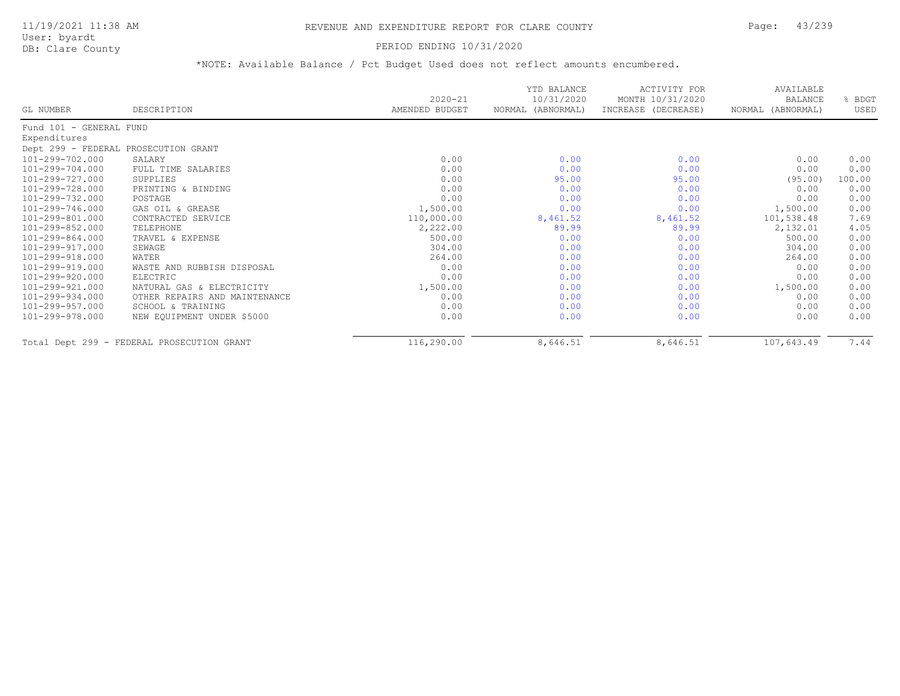### PERIOD ENDING 10/31/2020

|                         |                                            | $2020 - 21$    | YTD BALANCE<br>10/31/2020 | ACTIVITY FOR<br>MONTH 10/31/2020 | AVAILABLE<br><b>BALANCE</b> | % BDGT |
|-------------------------|--------------------------------------------|----------------|---------------------------|----------------------------------|-----------------------------|--------|
| GL NUMBER               | DESCRIPTION                                | AMENDED BUDGET | NORMAL (ABNORMAL)         | INCREASE (DECREASE)              | NORMAL (ABNORMAL)           | USED   |
| Fund 101 - GENERAL FUND |                                            |                |                           |                                  |                             |        |
| Expenditures            |                                            |                |                           |                                  |                             |        |
|                         | Dept 299 - FEDERAL PROSECUTION GRANT       |                |                           |                                  |                             |        |
| $101 - 299 - 702.000$   | SALARY                                     | 0.00           | 0.00                      | 0.00                             | 0.00                        | 0.00   |
| 101-299-704.000         | FULL TIME SALARIES                         | 0.00           | 0.00                      | 0.00                             | 0.00                        | 0.00   |
| 101-299-727.000         | SUPPLIES                                   | 0.00           | 95.00                     | 95.00                            | (95.00)                     | 100.00 |
| 101-299-728.000         | PRINTING & BINDING                         | 0.00           | 0.00                      | 0.00                             | 0.00                        | 0.00   |
| 101-299-732.000         | POSTAGE                                    | 0.00           | 0.00                      | 0.00                             | 0.00                        | 0.00   |
| 101-299-746.000         | GAS OIL & GREASE                           | 1,500.00       | 0.00                      | 0.00                             | 1,500.00                    | 0.00   |
| 101-299-801.000         | CONTRACTED SERVICE                         | 110,000.00     | 8,461.52                  | 8,461.52                         | 101,538.48                  | 7.69   |
| 101-299-852.000         | TELEPHONE                                  | 2,222.00       | 89.99                     | 89.99                            | 2,132.01                    | 4.05   |
| 101-299-864.000         | TRAVEL & EXPENSE                           | 500.00         | 0.00                      | 0.00                             | 500.00                      | 0.00   |
| 101-299-917.000         | SEWAGE                                     | 304.00         | 0.00                      | 0.00                             | 304.00                      | 0.00   |
| 101-299-918.000         | WATER                                      | 264.00         | 0.00                      | 0.00                             | 264.00                      | 0.00   |
| 101-299-919.000         | WASTE AND RUBBISH DISPOSAL                 | 0.00           | 0.00                      | 0.00                             | 0.00                        | 0.00   |
| 101-299-920.000         | ELECTRIC                                   | 0.00           | 0.00                      | 0.00                             | 0.00                        | 0.00   |
| 101-299-921.000         | NATURAL GAS & ELECTRICITY                  | 1,500.00       | 0.00                      | 0.00                             | 1,500.00                    | 0.00   |
| 101-299-934.000         | OTHER REPAIRS AND MAINTENANCE              | 0.00           | 0.00                      | 0.00                             | 0.00                        | 0.00   |
| 101-299-957.000         | SCHOOL & TRAINING                          | 0.00           | 0.00                      | 0.00                             | 0.00                        | 0.00   |
| 101-299-978.000         | NEW EQUIPMENT UNDER \$5000                 | 0.00           | 0.00                      | 0.00                             | 0.00                        | 0.00   |
|                         | Total Dept 299 - FEDERAL PROSECUTION GRANT | 116,290.00     | 8,646.51                  | 8,646.51                         | 107,643.49                  | 7.44   |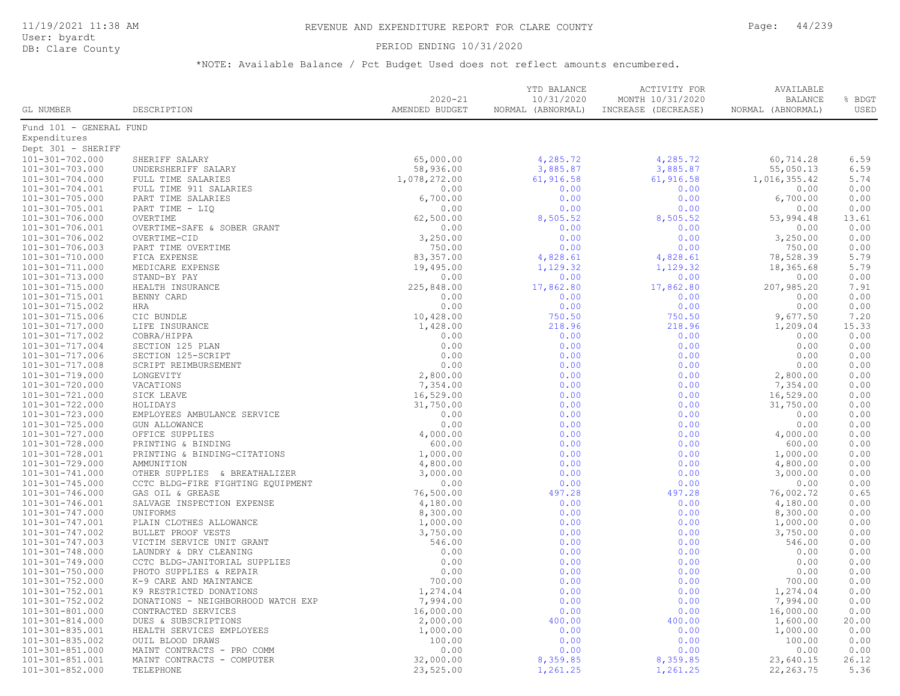#### PERIOD ENDING 10/31/2020

|                                                |                                                     | $2020 - 21$            | YTD BALANCE<br>10/31/2020 | ACTIVITY FOR<br>MONTH 10/31/2020 | AVAILABLE<br><b>BALANCE</b> | % BDGT       |
|------------------------------------------------|-----------------------------------------------------|------------------------|---------------------------|----------------------------------|-----------------------------|--------------|
| GL NUMBER                                      | DESCRIPTION                                         | AMENDED BUDGET         | NORMAL (ABNORMAL)         | INCREASE (DECREASE)              | NORMAL (ABNORMAL)           | USED         |
| Fund 101 - GENERAL FUND                        |                                                     |                        |                           |                                  |                             |              |
| Expenditures                                   |                                                     |                        |                           |                                  |                             |              |
| Dept 301 - SHERIFF                             |                                                     |                        |                           |                                  |                             |              |
| 101-301-702.000                                | SHERIFF SALARY                                      | 65,000.00              | 4,285.72                  | 4,285.72                         | 60,714.28                   | 6.59         |
| 101-301-703.000                                | UNDERSHERIFF SALARY                                 | 58,936.00              | 3,885.87                  | 3,885.87                         | 55,050.13                   | 6.59         |
| $101 - 301 - 704.000$                          | FULL TIME SALARIES                                  | 1,078,272.00           | 61,916.58                 | 61,916.58                        | 1,016,355.42                | 5.74         |
| 101-301-704.001                                | FULL TIME 911 SALARIES                              | 0.00                   | 0.00                      | 0.00                             | 0.00                        | 0.00         |
| $101 - 301 - 705.000$                          | PART TIME SALARIES                                  | 6,700.00               | 0.00                      | 0.00                             | 6,700.00                    | 0.00         |
| 101-301-705.001                                | PART TIME - LIQ                                     | 0.00                   | 0.00                      | 0.00                             | 0.00                        | 0.00         |
| $101 - 301 - 706.000$                          | OVERTIME                                            | 62,500.00              | 8,505.52                  | 8,505.52                         | 53,994.48                   | 13.61        |
| 101-301-706.001                                | OVERTIME-SAFE & SOBER GRANT                         | 0.00                   | 0.00                      | 0.00                             | 0.00                        | 0.00         |
| 101-301-706.002                                | OVERTIME-CID                                        | 3,250.00               | 0.00                      | 0.00                             | 3,250.00                    | 0.00         |
| 101-301-706.003                                | PART TIME OVERTIME                                  | 750.00                 | 0.00                      | 0.00                             | 750.00                      | 0.00         |
| $101 - 301 - 710.000$                          | FICA EXPENSE                                        | 83, 357.00             | 4,828.61                  | 4,828.61                         | 78,528.39                   | 5.79         |
| $101 - 301 - 711.000$                          | MEDICARE EXPENSE                                    | 19,495.00              | 1,129.32                  | 1,129.32                         | 18,365.68                   | 5.79         |
| 101-301-713.000                                | STAND-BY PAY                                        | 0.00                   | 0.00                      | 0.00                             | 0.00                        | 0.00         |
| 101-301-715.000                                | HEALTH INSURANCE                                    | 225,848.00             | 17,862.80                 | 17,862.80                        | 207,985.20                  | 7.91         |
| 101-301-715.001                                | BENNY CARD                                          | 0.00                   | 0.00                      | 0.00                             | 0.00                        | 0.00         |
| $101 - 301 - 715.002$                          | HRA                                                 | 0.00                   | 0.00                      | 0.00                             | 0.00                        | 0.00         |
| $101 - 301 - 715.006$                          | CIC BUNDLE                                          | 10,428.00              | 750.50                    | 750.50                           | 9,677.50                    | 7.20         |
| 101-301-717.000                                | LIFE INSURANCE                                      | 1,428.00               | 218.96                    | 218.96                           | 1,209.04                    | 15.33        |
| $101 - 301 - 717.002$                          | COBRA/HIPPA                                         | 0.00                   | 0.00                      | 0.00                             | 0.00                        | 0.00         |
| 101-301-717.004                                | SECTION 125 PLAN                                    | 0.00                   | 0.00                      | 0.00                             | 0.00                        | 0.00         |
| 101-301-717.006                                | SECTION 125-SCRIPT                                  | 0.00                   | 0.00                      | 0.00                             | 0.00                        | 0.00         |
| 101-301-717.008                                | SCRIPT REIMBURSEMENT                                | 0.00                   | 0.00                      | 0.00                             | 0.00                        | 0.00         |
| $101 - 301 - 719.000$                          | LONGEVITY                                           | 2,800.00               | 0.00                      | 0.00                             | 2,800.00                    | 0.00         |
| 101-301-720.000                                | VACATIONS                                           | 7,354.00               | 0.00                      | 0.00                             | 7,354.00                    | 0.00         |
| $101 - 301 - 721.000$                          | SICK LEAVE<br>HOLIDAYS                              | 16,529.00<br>31,750.00 | 0.00<br>0.00              | 0.00<br>0.00                     | 16,529.00<br>31,750.00      | 0.00<br>0.00 |
| 101-301-722.000                                |                                                     | 0.00                   | 0.00                      | 0.00                             | 0.00                        | 0.00         |
| $101 - 301 - 723.000$<br>$101 - 301 - 725.000$ | EMPLOYEES AMBULANCE SERVICE<br><b>GUN ALLOWANCE</b> | 0.00                   | 0.00                      | 0.00                             | 0.00                        | 0.00         |
| $101 - 301 - 727.000$                          | OFFICE SUPPLIES                                     | 4,000.00               | 0.00                      | 0.00                             | 4,000.00                    | 0.00         |
| $101 - 301 - 728.000$                          | PRINTING & BINDING                                  | 600.00                 | 0.00                      | 0.00                             | 600.00                      | 0.00         |
| 101-301-728.001                                | PRINTING & BINDING-CITATIONS                        | 1,000.00               | 0.00                      | 0.00                             | 1,000.00                    | 0.00         |
| 101-301-729.000                                | AMMUNITION                                          | 4,800.00               | 0.00                      | 0.00                             | 4,800.00                    | 0.00         |
| $101 - 301 - 741.000$                          | OTHER SUPPLIES & BREATHALIZER                       | 3,000.00               | 0.00                      | 0.00                             | 3,000.00                    | 0.00         |
| 101-301-745.000                                | CCTC BLDG-FIRE FIGHTING EQUIPMENT                   | 0.00                   | 0.00                      | 0.00                             | 0.00                        | 0.00         |
| $101 - 301 - 746.000$                          | GAS OIL & GREASE                                    | 76,500.00              | 497.28                    | 497.28                           | 76,002.72                   | 0.65         |
| 101-301-746.001                                | SALVAGE INSPECTION EXPENSE                          | 4,180.00               | 0.00                      | 0.00                             | 4,180.00                    | 0.00         |
| $101 - 301 - 747.000$                          | UNIFORMS                                            | 8,300.00               | 0.00                      | 0.00                             | 8,300.00                    | 0.00         |
| $101 - 301 - 747.001$                          | PLAIN CLOTHES ALLOWANCE                             | 1,000.00               | 0.00                      | 0.00                             | 1,000.00                    | 0.00         |
| $101 - 301 - 747.002$                          | BULLET PROOF VESTS                                  | 3,750.00               | 0.00                      | 0.00                             | 3,750.00                    | 0.00         |
| $101 - 301 - 747.003$                          | VICTIM SERVICE UNIT GRANT                           | 546.00                 | 0.00                      | 0.00                             | 546.00                      | 0.00         |
| $101 - 301 - 748.000$                          | LAUNDRY & DRY CLEANING                              | 0.00                   | 0.00                      | 0.00                             | 0.00                        | 0.00         |
| 101-301-749.000                                | CCTC BLDG-JANITORIAL SUPPLIES                       | 0.00                   | 0.00                      | 0.00                             | 0.00                        | 0.00         |
| 101-301-750.000                                | PHOTO SUPPLIES & REPAIR                             | 0.00                   | 0.00                      | 0.00                             | 0.00                        | 0.00         |
| 101-301-752.000                                | K-9 CARE AND MAINTANCE                              | 700.00                 | 0.00                      | 0.00                             | 700.00                      | 0.00         |
| 101-301-752.001                                | K9 RESTRICTED DONATIONS                             | 1,274.04               | 0.00                      | 0.00                             | 1,274.04                    | 0.00         |
| 101-301-752.002                                | DONATIONS - NEIGHBORHOOD WATCH EXP                  | 7,994.00               | 0.00                      | 0.00                             | 7,994.00                    | 0.00         |
| 101-301-801.000                                | CONTRACTED SERVICES                                 | 16,000.00              | 0.00                      | 0.00                             | 16,000.00                   | 0.00         |
| $101 - 301 - 814.000$                          | DUES & SUBSCRIPTIONS                                | 2,000.00               | 400.00                    | 400.00                           | 1,600.00                    | 20.00        |
| $101 - 301 - 835.001$                          | HEALTH SERVICES EMPLOYEES                           | 1,000.00               | 0.00                      | 0.00                             | 1,000.00                    | 0.00         |
| 101-301-835.002                                | OUIL BLOOD DRAWS                                    | 100.00                 | 0.00                      | 0.00                             | 100.00                      | 0.00         |
| $101 - 301 - 851.000$                          | MAINT CONTRACTS - PRO COMM                          | 0.00                   | 0.00                      | 0.00                             | 0.00                        | 0.00         |
| 101-301-851.001                                | MAINT CONTRACTS - COMPUTER                          | 32,000.00              | 8,359.85                  | 8,359.85                         | 23,640.15                   | 26.12        |
| $101 - 301 - 852.000$                          | TELEPHONE                                           | 23,525.00              | 1,261.25                  | 1,261.25                         | 22, 263.75                  | 5.36         |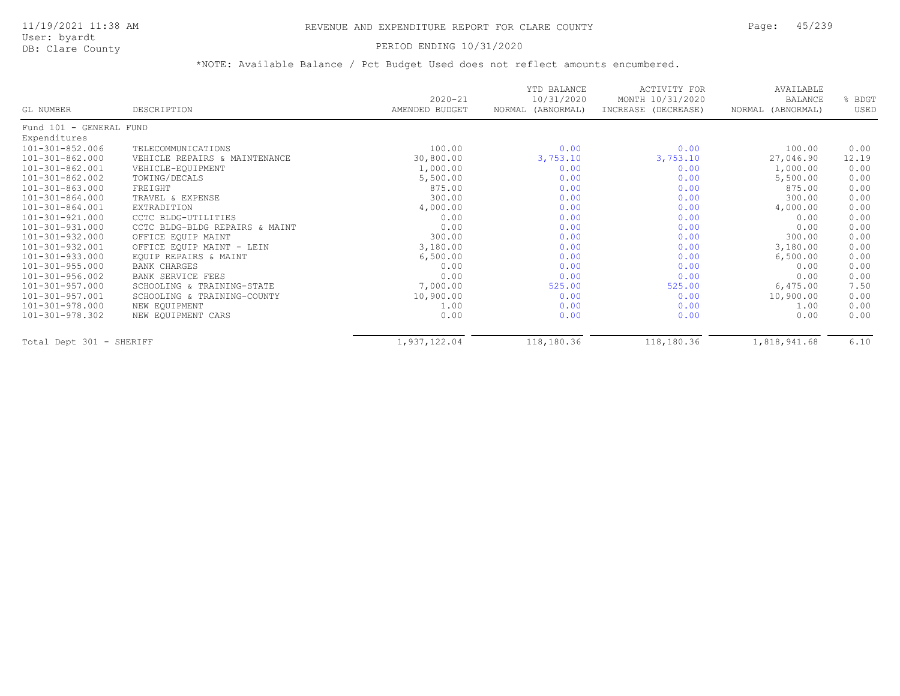#### DB: Clare County PERIOD ENDING 10/31/2020

| GL NUMBER                | DESCRIPTION                    | $2020 - 21$<br>AMENDED BUDGET | YTD BALANCE<br>10/31/2020<br>NORMAL (ABNORMAL) | ACTIVITY FOR<br>MONTH 10/31/2020<br>INCREASE (DECREASE) | AVAILABLE<br><b>BALANCE</b><br>NORMAL (ABNORMAL) | BDGT<br>USED |
|--------------------------|--------------------------------|-------------------------------|------------------------------------------------|---------------------------------------------------------|--------------------------------------------------|--------------|
|                          |                                |                               |                                                |                                                         |                                                  |              |
| Fund 101 - GENERAL FUND  |                                |                               |                                                |                                                         |                                                  |              |
| Expenditures             |                                |                               |                                                |                                                         |                                                  |              |
| 101-301-852.006          | TELECOMMUNICATIONS             | 100.00                        | 0.00                                           | 0.00                                                    | 100.00                                           | 0.00         |
| 101-301-862.000          | VEHICLE REPAIRS & MAINTENANCE  | 30,800.00                     | 3,753.10                                       | 3,753.10                                                | 27,046.90                                        | 12.19        |
| 101-301-862.001          | VEHICLE-EQUIPMENT              | 1,000.00                      | 0.00                                           | 0.00                                                    | 1,000.00                                         | 0.00         |
| $101 - 301 - 862.002$    | TOWING/DECALS                  | 5,500.00                      | 0.00                                           | 0.00                                                    | 5,500.00                                         | 0.00         |
| 101-301-863.000          | FREIGHT                        | 875.00                        | 0.00                                           | 0.00                                                    | 875.00                                           | 0.00         |
| 101-301-864.000          | TRAVEL & EXPENSE               | 300.00                        | 0.00                                           | 0.00                                                    | 300.00                                           | 0.00         |
| 101-301-864.001          | EXTRADITION                    | 4,000.00                      | 0.00                                           | 0.00                                                    | 4,000.00                                         | 0.00         |
| 101-301-921.000          | CCTC BLDG-UTILITIES            | 0.00                          | 0.00                                           | 0.00                                                    | 0.00                                             | 0.00         |
| 101-301-931.000          | CCTC BLDG-BLDG REPAIRS & MAINT | 0.00                          | 0.00                                           | 0.00                                                    | 0.00                                             | 0.00         |
| 101-301-932.000          | OFFICE EQUIP MAINT             | 300.00                        | 0.00                                           | 0.00                                                    | 300.00                                           | 0.00         |
| 101-301-932.001          | OFFICE EQUIP MAINT - LEIN      | 3,180.00                      | 0.00                                           | 0.00                                                    | 3,180.00                                         | 0.00         |
| 101-301-933.000          | EQUIP REPAIRS & MAINT          | 6,500.00                      | 0.00                                           | 0.00                                                    | 6,500.00                                         | 0.00         |
| 101-301-955.000          | <b>BANK CHARGES</b>            | 0.00                          | 0.00                                           | 0.00                                                    | 0.00                                             | 0.00         |
| 101-301-956.002          | BANK SERVICE FEES              | 0.00                          | 0.00                                           | 0.00                                                    | 0.00                                             | 0.00         |
| 101-301-957.000          | SCHOOLING & TRAINING-STATE     | 7,000.00                      | 525.00                                         | 525.00                                                  | 6,475.00                                         | 7.50         |
| $101 - 301 - 957.001$    | SCHOOLING & TRAINING-COUNTY    | 10,900.00                     | 0.00                                           | 0.00                                                    | 10,900.00                                        | 0.00         |
| 101-301-978.000          | NEW EQUIPMENT                  | 1.00                          | 0.00                                           | 0.00                                                    | 1.00                                             | 0.00         |
| 101-301-978.302          | NEW EQUIPMENT CARS             | 0.00                          | 0.00                                           | 0.00                                                    | 0.00                                             | 0.00         |
| Total Dept 301 - SHERIFF |                                | 1,937,122.04                  | 118,180.36                                     | 118,180.36                                              | 1,818,941.68                                     | 6.10         |
|                          |                                |                               |                                                |                                                         |                                                  |              |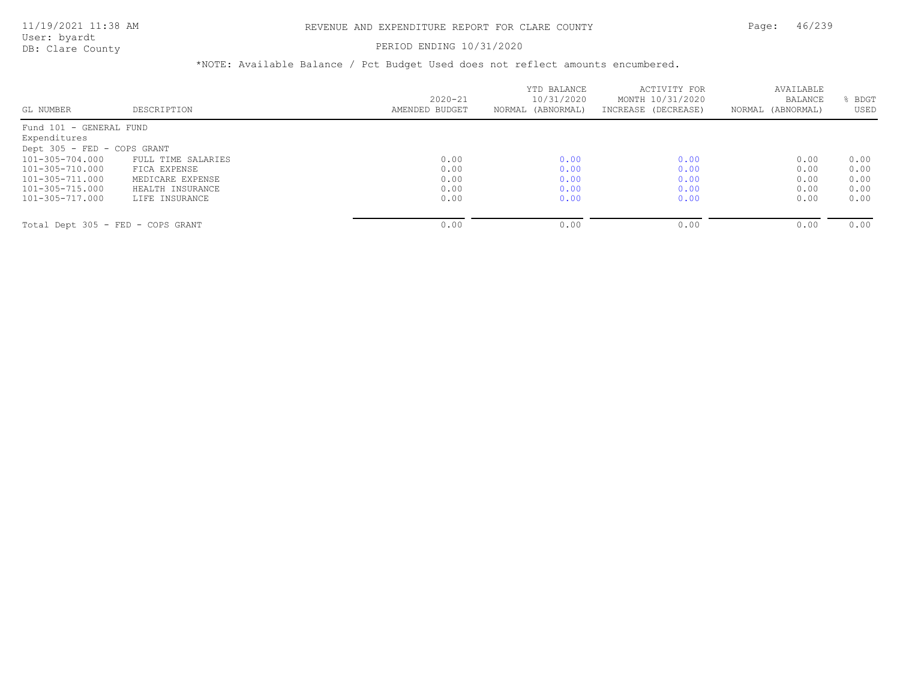User: byardt

# DB: Clare County **PERIOD ENDING 10/31/2020**

| GL NUMBER                         | DESCRIPTION        | $2020 - 21$<br>AMENDED BUDGET | YTD BALANCE<br>10/31/2020<br>NORMAL (ABNORMAL) | ACTIVITY FOR<br>MONTH 10/31/2020<br>INCREASE (DECREASE) | AVAILABLE<br>BALANCE<br>NORMAL (ABNORMAL) | BDGT<br>USED |
|-----------------------------------|--------------------|-------------------------------|------------------------------------------------|---------------------------------------------------------|-------------------------------------------|--------------|
| Fund 101 - GENERAL FUND           |                    |                               |                                                |                                                         |                                           |              |
| Expenditures                      |                    |                               |                                                |                                                         |                                           |              |
| Dept 305 - FED - COPS GRANT       |                    |                               |                                                |                                                         |                                           |              |
| 101-305-704.000                   | FULL TIME SALARIES | 0.00                          | 0.00                                           | 0.00                                                    | 0.00                                      | 0.00         |
| 101-305-710.000                   | FICA EXPENSE       | 0.00                          | 0.00                                           | 0.00                                                    | 0.00                                      | 0.00         |
| 101-305-711.000                   | MEDICARE EXPENSE   | 0.00                          | 0.00                                           | 0.00                                                    | 0.00                                      | 0.00         |
| 101-305-715.000                   | HEALTH INSURANCE   | 0.00                          | 0.00                                           | 0.00                                                    | 0.00                                      | 0.00         |
| 101-305-717.000                   | LIFE INSURANCE     | 0.00                          | 0.00                                           | 0.00                                                    | 0.00                                      | 0.00         |
|                                   |                    |                               |                                                |                                                         |                                           | 0.00         |
| Total Dept 305 - FED - COPS GRANT |                    | 0.00                          | 0.00                                           | 0.00                                                    | 0.00                                      |              |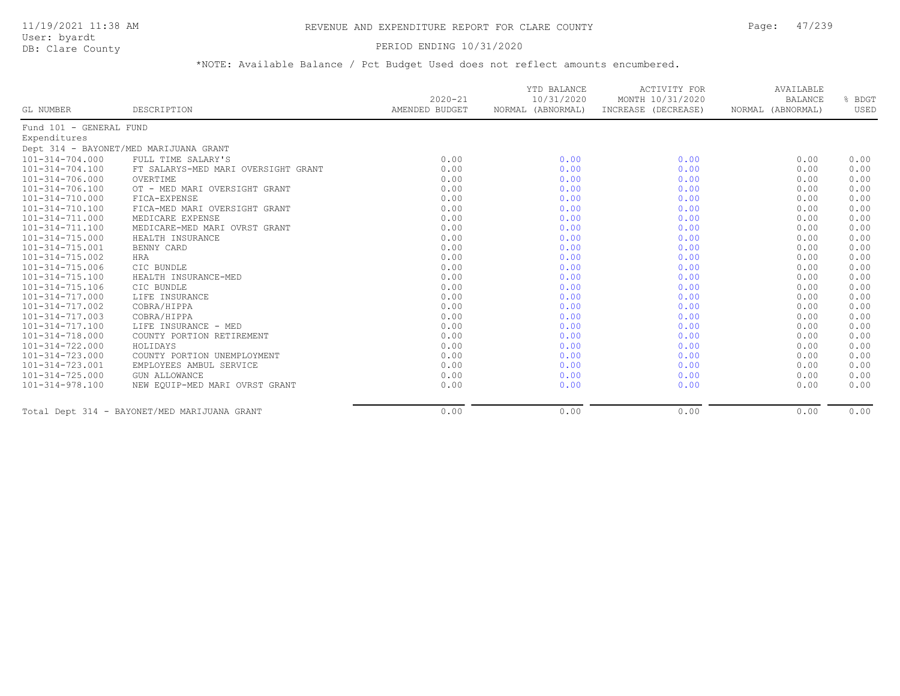User: byardt

# DB: Clare County **PERIOD ENDING 10/31/2020**

| GL NUMBER               | DESCRIPTION                                  | $2020 - 21$<br>AMENDED BUDGET | YTD BALANCE<br>10/31/2020<br>NORMAL (ABNORMAL) | <b>ACTIVITY FOR</b><br>MONTH 10/31/2020<br>INCREASE (DECREASE) | AVAILABLE<br>BALANCE<br>NORMAL (ABNORMAL) | % BDGT<br>USED |
|-------------------------|----------------------------------------------|-------------------------------|------------------------------------------------|----------------------------------------------------------------|-------------------------------------------|----------------|
| Fund 101 - GENERAL FUND |                                              |                               |                                                |                                                                |                                           |                |
| Expenditures            |                                              |                               |                                                |                                                                |                                           |                |
|                         | Dept 314 - BAYONET/MED MARIJUANA GRANT       |                               |                                                |                                                                |                                           |                |
| 101-314-704.000         | FULL TIME SALARY'S                           | 0.00                          | 0.00                                           | 0.00                                                           | 0.00                                      | 0.00           |
| 101-314-704.100         | FT SALARYS-MED MARI OVERSIGHT GRANT          | 0.00                          | 0.00                                           | 0.00                                                           | 0.00                                      | 0.00           |
| 101-314-706.000         | OVERTIME                                     | 0.00                          | 0.00                                           | 0.00                                                           | 0.00                                      | 0.00           |
| 101-314-706.100         | OT - MED MARI OVERSIGHT GRANT                | 0.00                          | 0.00                                           | 0.00                                                           | 0.00                                      | 0.00           |
| 101-314-710.000         | FICA-EXPENSE                                 | 0.00                          | 0.00                                           | 0.00                                                           | 0.00                                      | 0.00           |
| 101-314-710.100         | FICA-MED MARI OVERSIGHT GRANT                | 0.00                          | 0.00                                           | 0.00                                                           | 0.00                                      | 0.00           |
| 101-314-711.000         | MEDICARE EXPENSE                             | 0.00                          | 0.00                                           | 0.00                                                           | 0.00                                      | 0.00           |
| $101 - 314 - 711.100$   | MEDICARE-MED MARI OVRST GRANT                | 0.00                          | 0.00                                           | 0.00                                                           | 0.00                                      | 0.00           |
| 101-314-715.000         | HEALTH INSURANCE                             | 0.00                          | 0.00                                           | 0.00                                                           | 0.00                                      | 0.00           |
| 101-314-715.001         | BENNY CARD                                   | 0.00                          | 0.00                                           | 0.00                                                           | 0.00                                      | 0.00           |
| 101-314-715.002         | HRA                                          | 0.00                          | 0.00                                           | 0.00                                                           | 0.00                                      | 0.00           |
| 101-314-715.006         | CIC BUNDLE                                   | 0.00                          | 0.00                                           | 0.00                                                           | 0.00                                      | 0.00           |
| 101-314-715.100         | HEALTH INSURANCE-MED                         | 0.00                          | 0.00                                           | 0.00                                                           | 0.00                                      | 0.00           |
| 101-314-715.106         | CIC BUNDLE                                   | 0.00                          | 0.00                                           | 0.00                                                           | 0.00                                      | 0.00           |
| 101-314-717.000         | LIFE INSURANCE                               | 0.00                          | 0.00                                           | 0.00                                                           | 0.00                                      | 0.00           |
| 101-314-717.002         | COBRA/HIPPA                                  | 0.00                          | 0.00                                           | 0.00                                                           | 0.00                                      | 0.00           |
| 101-314-717.003         | COBRA/HIPPA                                  | 0.00                          | 0.00                                           | 0.00                                                           | 0.00                                      | 0.00           |
| 101-314-717.100         | LIFE INSURANCE - MED                         | 0.00                          | 0.00                                           | 0.00                                                           | 0.00                                      | 0.00           |
| 101-314-718.000         | COUNTY PORTION RETIREMENT                    | 0.00                          | 0.00                                           | 0.00                                                           | 0.00                                      | 0.00           |
| 101-314-722.000         | HOLIDAYS                                     | 0.00                          | 0.00                                           | 0.00                                                           | 0.00                                      | 0.00           |
| 101-314-723.000         | COUNTY PORTION UNEMPLOYMENT                  | 0.00                          | 0.00                                           | 0.00                                                           | 0.00                                      | 0.00           |
| 101-314-723.001         | EMPLOYEES AMBUL SERVICE                      | 0.00                          | 0.00                                           | 0.00                                                           | 0.00                                      | 0.00           |
| $101 - 314 - 725.000$   | <b>GUN ALLOWANCE</b>                         | 0.00                          | 0.00                                           | 0.00                                                           | 0.00                                      | 0.00           |
| 101-314-978.100         | NEW EOUIP-MED MARI OVRST GRANT               | 0.00                          | 0.00                                           | 0.00                                                           | 0.00                                      | 0.00           |
|                         | Total Dept 314 - BAYONET/MED MARIJUANA GRANT | 0.00                          | 0.00                                           | 0.00                                                           | 0.00                                      | 0.00           |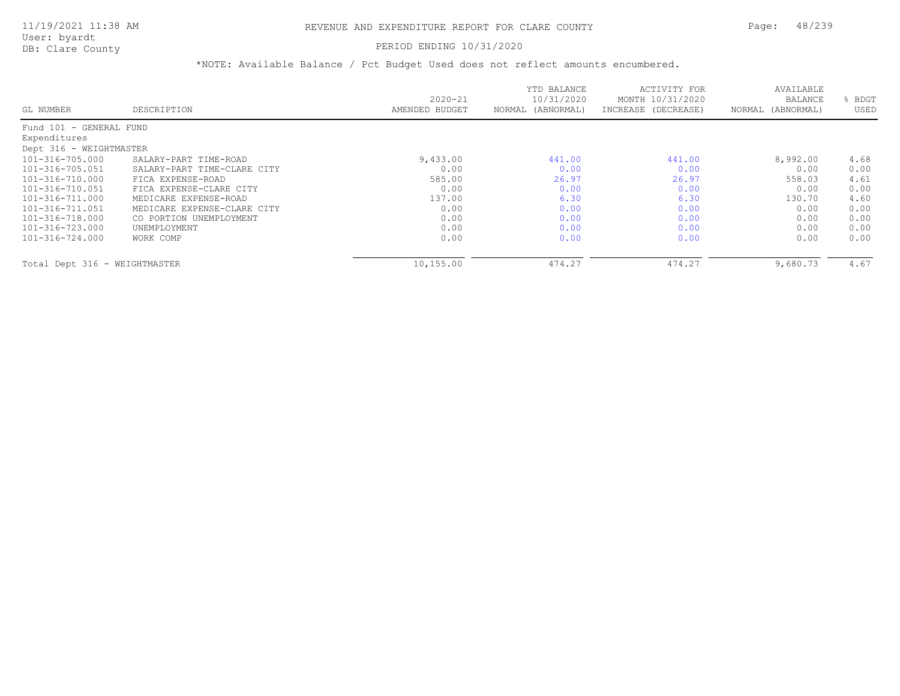### DB: Clare County PERIOD ENDING 10/31/2020

|                               |                             |                | YTD BALANCE       | ACTIVITY FOR        | AVAILABLE         |      |
|-------------------------------|-----------------------------|----------------|-------------------|---------------------|-------------------|------|
|                               |                             | $2020 - 21$    | 10/31/2020        | MONTH 10/31/2020    | <b>BALANCE</b>    | BDGT |
| GL NUMBER                     | DESCRIPTION                 | AMENDED BUDGET | NORMAL (ABNORMAL) | INCREASE (DECREASE) | NORMAL (ABNORMAL) | USED |
| Fund 101 - GENERAL FUND       |                             |                |                   |                     |                   |      |
| Expenditures                  |                             |                |                   |                     |                   |      |
| Dept 316 - WEIGHTMASTER       |                             |                |                   |                     |                   |      |
| 101-316-705.000               | SALARY-PART TIME-ROAD       | 9,433.00       | 441.00            | 441.00              | 8,992.00          | 4.68 |
| 101-316-705.051               | SALARY-PART TIME-CLARE CITY | 0.00           | 0.00              | 0.00                | 0.00              | 0.00 |
| 101-316-710.000               | FICA EXPENSE-ROAD           | 585.00         | 26.97             | 26.97               | 558.03            | 4.61 |
| 101-316-710.051               | FICA EXPENSE-CLARE CITY     | 0.00           | 0.00              | 0.00                | 0.00              | 0.00 |
| 101-316-711.000               | MEDICARE EXPENSE-ROAD       | 137.00         | 6.30              | 6.30                | 130.70            | 4.60 |
| 101-316-711.051               | MEDICARE EXPENSE-CLARE CITY | 0.00           | 0.00              | 0.00                | 0.00              | 0.00 |
| 101-316-718.000               | CO PORTION UNEMPLOYMENT     | 0.00           | 0.00              | 0.00                | 0.00              | 0.00 |
| 101-316-723.000               | UNEMPLOYMENT                | 0.00           | 0.00              | 0.00                | 0.00              | 0.00 |
| 101-316-724.000               | WORK COMP                   | 0.00           | 0.00              | 0.00                | 0.00              | 0.00 |
| Total Dept 316 - WEIGHTMASTER |                             | 10,155.00      | 474.27            | 474.27              | 9,680.73          | 4.67 |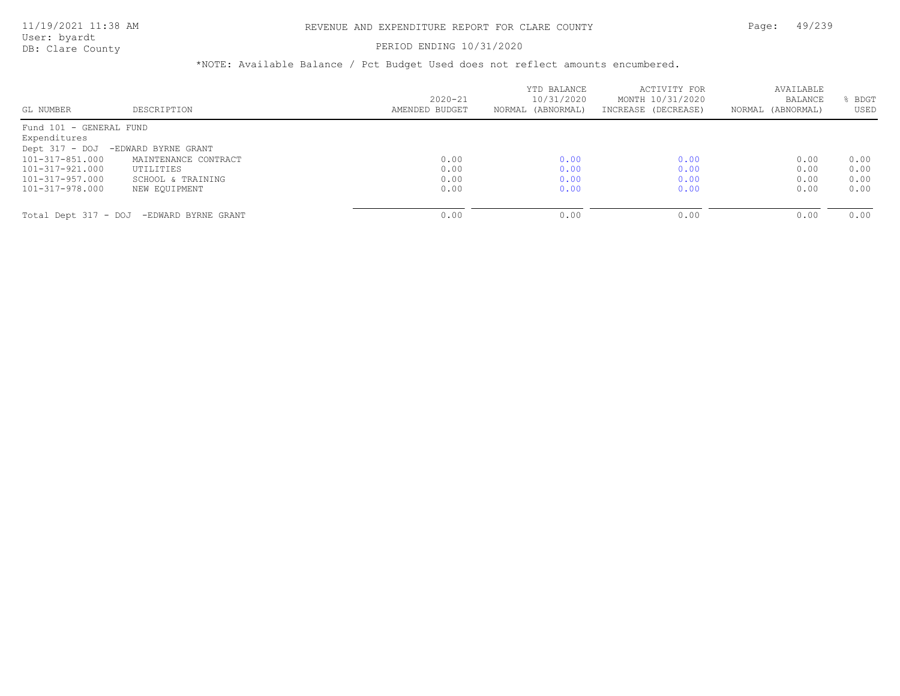### PERIOD ENDING 10/31/2020

|                         |                                          | $2020 - 21$    | YTD BALANCE<br>10/31/2020 | ACTIVITY FOR<br>MONTH 10/31/2020 | AVAILABLE<br><b>BALANCE</b> | BDGT |
|-------------------------|------------------------------------------|----------------|---------------------------|----------------------------------|-----------------------------|------|
| GL NUMBER               | DESCRIPTION                              | AMENDED BUDGET | NORMAL (ABNORMAL)         | INCREASE (DECREASE)              | NORMAL (ABNORMAL)           | USED |
| Fund 101 - GENERAL FUND |                                          |                |                           |                                  |                             |      |
| Expenditures            |                                          |                |                           |                                  |                             |      |
| Dept 317 - DOJ          | -EDWARD BYRNE GRANT                      |                |                           |                                  |                             |      |
| $101 - 317 - 851$ , 000 | MAINTENANCE CONTRACT                     | 0.00           | 0.00                      | 0.00                             | 0.00                        | 0.00 |
| 101-317-921.000         | UTILITIES                                | 0.00           | 0.00                      | 0.00                             | 0.00                        | 0.00 |
| 101-317-957.000         | SCHOOL & TRAINING                        | 0.00           | 0.00                      | 0.00                             | 0.00                        | 0.00 |
| 101-317-978.000         | NEW EOUIPMENT                            | 0.00           | 0.00                      | 0.00                             | 0.00                        | 0.00 |
|                         | Total Dept 317 - DOJ -EDWARD BYRNE GRANT | 0.00           | 0.00                      | 0.00                             | 0.00                        | 0.00 |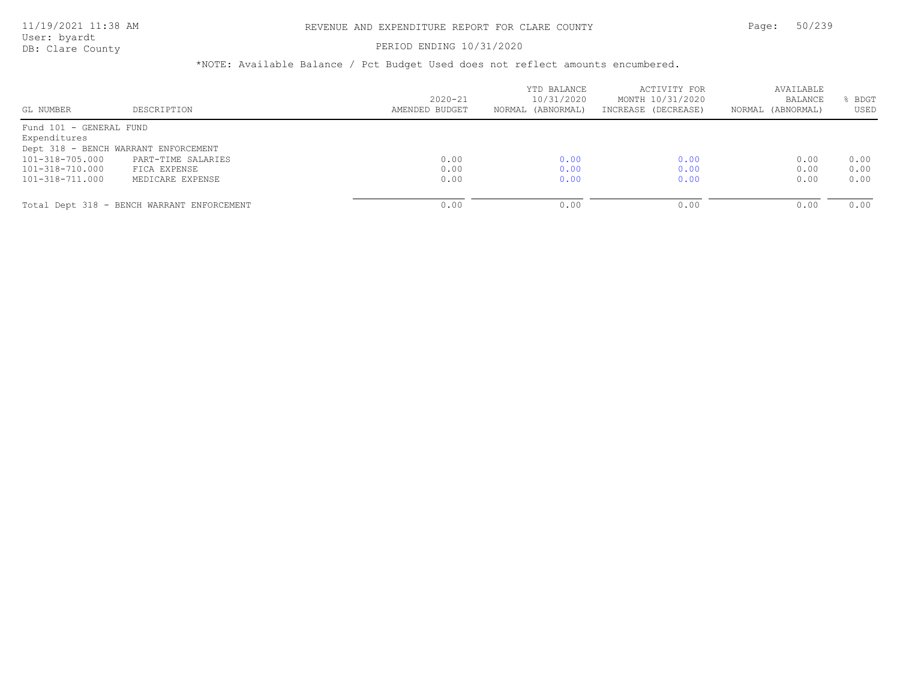#### PERIOD ENDING 10/31/2020

| GL NUMBER               | DESCRIPTION                                | $2020 - 21$<br>AMENDED BUDGET | YTD BALANCE<br>10/31/2020<br>NORMAL (ABNORMAL) | ACTIVITY FOR<br>MONTH 10/31/2020<br>INCREASE (DECREASE) | AVAILABLE<br>BALANCE<br>NORMAL (ABNORMAL) | BDGT<br>USED |
|-------------------------|--------------------------------------------|-------------------------------|------------------------------------------------|---------------------------------------------------------|-------------------------------------------|--------------|
| Fund 101 - GENERAL FUND |                                            |                               |                                                |                                                         |                                           |              |
| Expenditures            |                                            |                               |                                                |                                                         |                                           |              |
|                         | Dept 318 - BENCH WARRANT ENFORCEMENT       |                               |                                                |                                                         |                                           |              |
| 101-318-705.000         | PART-TIME SALARIES                         | 0.00                          | 0.00                                           | 0.00                                                    | 0.00                                      | 0.00         |
| 101-318-710.000         | FICA EXPENSE                               | 0.00                          | 0.00                                           | 0.00                                                    | 0.00                                      | 0.00         |
| 101-318-711.000         | MEDICARE EXPENSE                           | 0.00                          | 0.00                                           | 0.00                                                    | 0.00                                      | 0.00         |
|                         |                                            |                               |                                                |                                                         |                                           |              |
|                         | Total Dept 318 - BENCH WARRANT ENFORCEMENT | 0.00                          | 0.00                                           | 0.00                                                    | 0.00                                      | 0.00         |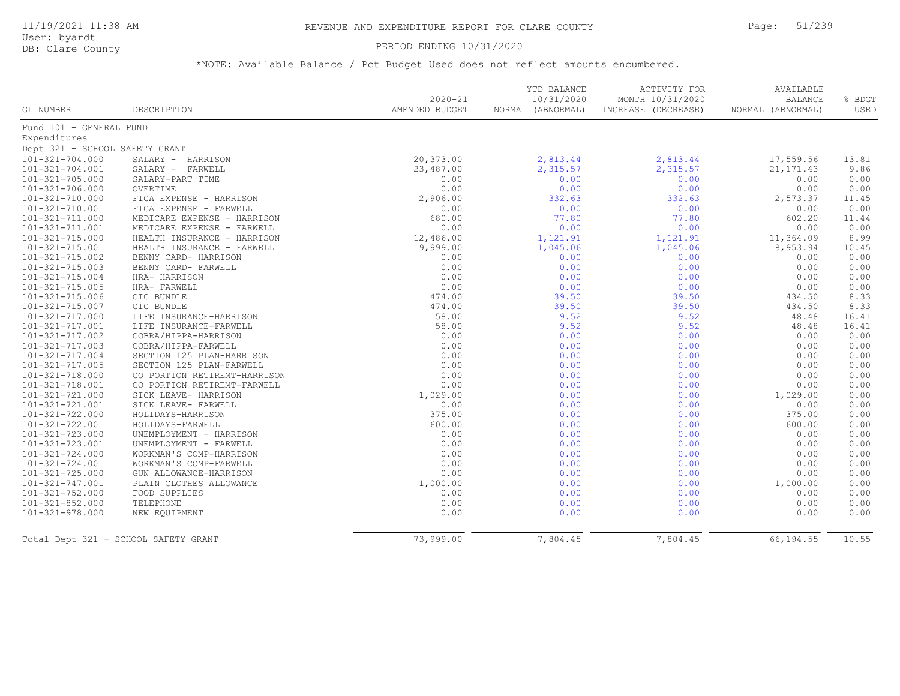### PERIOD ENDING 10/31/2020

| GL NUMBER                      | DESCRIPTION                          | $2020 - 21$<br>AMENDED BUDGET | YTD BALANCE<br>10/31/2020<br>NORMAL (ABNORMAL) | <b>ACTIVITY FOR</b><br>MONTH 10/31/2020<br>INCREASE (DECREASE) | AVAILABLE<br><b>BALANCE</b><br>NORMAL (ABNORMAL) | % BDGT<br><b>USED</b> |
|--------------------------------|--------------------------------------|-------------------------------|------------------------------------------------|----------------------------------------------------------------|--------------------------------------------------|-----------------------|
| Fund 101 - GENERAL FUND        |                                      |                               |                                                |                                                                |                                                  |                       |
| Expenditures                   |                                      |                               |                                                |                                                                |                                                  |                       |
| Dept 321 - SCHOOL SAFETY GRANT |                                      |                               |                                                |                                                                |                                                  |                       |
| 101-321-704.000                | SALARY - HARRISON                    | 20,373.00                     | 2,813.44                                       | 2,813.44                                                       | 17,559.56                                        | 13.81                 |
| 101-321-704.001                | SALARY - FARWELL                     | 23,487.00                     | 2,315.57                                       | 2,315.57                                                       | 21, 171.43                                       | 9.86                  |
| 101-321-705.000                | SALARY-PART TIME                     | 0.00                          | 0.00                                           | 0.00                                                           | 0.00                                             | 0.00                  |
| 101-321-706.000                | OVERTIME                             | 0.00                          | 0.00                                           | 0.00                                                           | 0.00                                             | 0.00                  |
| 101-321-710.000                | FICA EXPENSE - HARRISON              | 2,906.00                      | 332.63                                         | 332.63                                                         | 2,573.37                                         | 11.45                 |
| 101-321-710.001                | FICA EXPENSE - FARWELL               | 0.00                          | 0.00                                           | 0.00                                                           | 0.00                                             | 0.00                  |
| 101-321-711.000                | MEDICARE EXPENSE - HARRISON          | 680.00                        | 77.80                                          | 77.80                                                          | 602.20                                           | 11.44                 |
| 101-321-711.001                | MEDICARE EXPENSE - FARWELL           | 0.00                          | 0.00                                           | 0.00                                                           | 0.00                                             | 0.00                  |
| 101-321-715.000                | HEALTH INSURANCE - HARRISON          | 12,486.00                     | 1,121.91                                       | 1,121.91                                                       | 11,364.09                                        | 8.99                  |
| 101-321-715.001                | HEALTH INSURANCE - FARWELL           | 9,999.00                      | 1,045.06                                       | 1,045.06                                                       | 8,953.94                                         | 10.45                 |
| 101-321-715.002                | BENNY CARD- HARRISON                 | 0.00                          | 0.00                                           | 0.00                                                           | 0.00                                             | 0.00                  |
| 101-321-715.003                | BENNY CARD- FARWELL                  | 0.00                          | 0.00                                           | 0.00                                                           | 0.00                                             | 0.00                  |
| 101-321-715.004                | HRA- HARRISON                        | 0.00                          | 0.00                                           | 0.00                                                           | 0.00                                             | 0.00                  |
| $101 - 321 - 715.005$          | HRA- FARWELL                         | 0.00                          | 0.00                                           | 0.00                                                           | 0.00                                             | 0.00                  |
| 101-321-715.006                | CIC BUNDLE                           | 474.00                        | 39.50                                          | 39.50                                                          | 434.50                                           | 8.33                  |
| $101 - 321 - 715.007$          | CIC BUNDLE                           | 474.00                        | 39.50                                          | 39.50                                                          | 434.50                                           | 8.33                  |
| 101-321-717.000                | LIFE INSURANCE-HARRISON              | 58.00                         | 9.52                                           | 9.52                                                           | 48.48                                            | 16.41                 |
| 101-321-717.001                | LIFE INSURANCE-FARWELL               | 58.00                         | 9.52                                           | 9.52                                                           | 48.48                                            | 16.41                 |
| 101-321-717.002                | COBRA/HIPPA-HARRISON                 | 0.00                          | 0.00                                           | 0.00                                                           | 0.00                                             | 0.00                  |
| 101-321-717.003                | COBRA/HIPPA-FARWELL                  | 0.00                          | 0.00                                           | 0.00                                                           | 0.00                                             | 0.00                  |
| 101-321-717.004                | SECTION 125 PLAN-HARRISON            | 0.00                          | 0.00                                           | 0.00                                                           | 0.00                                             | 0.00                  |
| $101 - 321 - 717.005$          | SECTION 125 PLAN-FARWELL             | 0.00                          | 0.00                                           | 0.00                                                           | 0.00                                             | 0.00                  |
| 101-321-718.000                | CO PORTION RETIREMT-HARRISON         | 0.00                          | 0.00                                           | 0.00                                                           | 0.00                                             | 0.00                  |
| 101-321-718.001                | CO PORTION RETIREMT-FARWELL          | 0.00                          | 0.00                                           | 0.00                                                           | 0.00                                             | 0.00                  |
| 101-321-721.000                | SICK LEAVE- HARRISON                 | 1,029.00                      | 0.00                                           | 0.00                                                           | 1,029.00                                         | 0.00                  |
| 101-321-721.001                | SICK LEAVE- FARWELL                  | 0.00                          | 0.00                                           | 0.00                                                           | 0.00                                             | 0.00                  |
| 101-321-722.000                | HOLIDAYS-HARRISON                    | 375.00                        | 0.00                                           | 0.00                                                           | 375.00                                           | 0.00                  |
| 101-321-722.001                | HOLIDAYS-FARWELL                     | 600.00                        | 0.00                                           | 0.00                                                           | 600.00                                           | 0.00                  |
| 101-321-723.000                | UNEMPLOYMENT - HARRISON              | 0.00                          | 0.00                                           | 0.00                                                           | 0.00                                             | 0.00                  |
| 101-321-723.001                | UNEMPLOYMENT - FARWELL               | 0.00                          | 0.00                                           | 0.00                                                           | 0.00                                             | 0.00                  |
| 101-321-724.000                | WORKMAN'S COMP-HARRISON              | 0.00                          | 0.00                                           | 0.00                                                           | 0.00                                             | 0.00                  |
| 101-321-724.001                | WORKMAN'S COMP-FARWELL               | 0.00                          | 0.00                                           | 0.00                                                           | 0.00                                             | 0.00                  |
| $101 - 321 - 725.000$          | GUN ALLOWANCE-HARRISON               | 0.00                          | 0.00                                           | 0.00                                                           | 0.00                                             | 0.00                  |
| 101-321-747.001                | PLAIN CLOTHES ALLOWANCE              | 1,000.00                      | 0.00                                           | 0.00                                                           | 1,000.00                                         | 0.00                  |
| $101 - 321 - 752.000$          | FOOD SUPPLIES                        | 0.00                          | 0.00                                           | 0.00                                                           | 0.00                                             | 0.00                  |
| 101-321-852.000                | TELEPHONE                            | 0.00                          | 0.00                                           | 0.00                                                           | 0.00                                             | 0.00                  |
| 101-321-978.000                | NEW EQUIPMENT                        | 0.00                          | 0.00                                           | 0.00                                                           | 0.00                                             | 0.00                  |
|                                | Total Dept 321 - SCHOOL SAFETY GRANT | 73,999.00                     | 7,804.45                                       | 7,804.45                                                       | 66,194.55                                        | 10.55                 |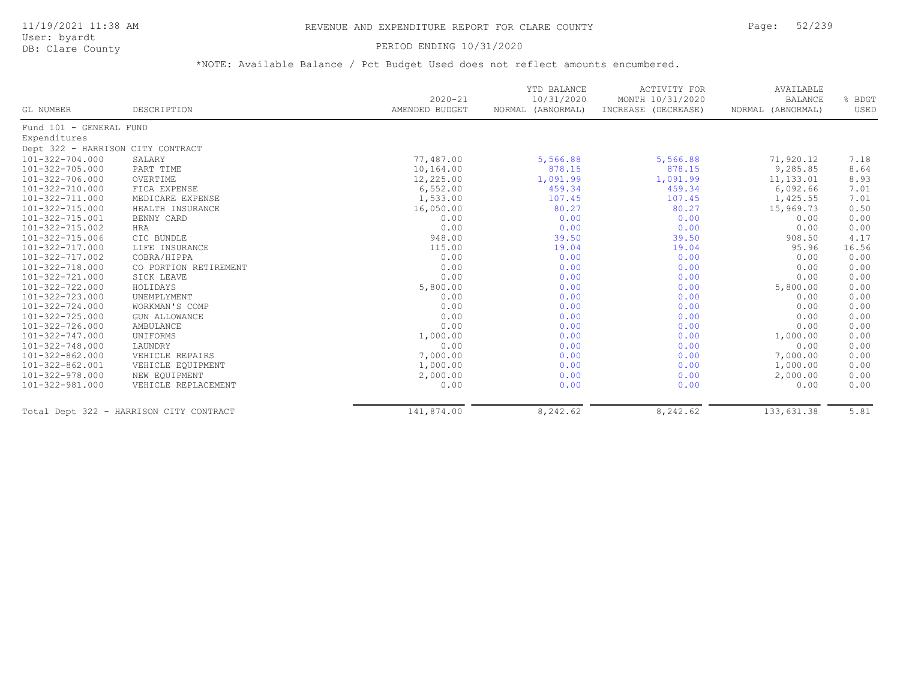### 11/19/2021 11:38 AM REVENUE AND EXPENDITURE REPORT FOR CLARE COUNTY Page: 52/239

User: byardt

# DB: Clare County **DB: Clare County**

|                                   |                                         | $2020 - 21$    | YTD BALANCE<br>10/31/2020 | <b>ACTIVITY FOR</b><br>MONTH 10/31/2020 | AVAILABLE<br><b>BALANCE</b> | % BDGT |
|-----------------------------------|-----------------------------------------|----------------|---------------------------|-----------------------------------------|-----------------------------|--------|
| GL NUMBER                         | DESCRIPTION                             | AMENDED BUDGET | NORMAL (ABNORMAL)         | INCREASE (DECREASE)                     | NORMAL (ABNORMAL)           | USED   |
| Fund 101 - GENERAL FUND           |                                         |                |                           |                                         |                             |        |
| Expenditures                      |                                         |                |                           |                                         |                             |        |
| Dept 322 - HARRISON CITY CONTRACT |                                         |                |                           |                                         |                             |        |
| 101-322-704.000                   | SALARY                                  | 77,487.00      | 5,566.88                  | 5,566.88                                | 71,920.12                   | 7.18   |
| 101-322-705.000                   | PART TIME                               | 10,164.00      | 878.15                    | 878.15                                  | 9,285.85                    | 8.64   |
| 101-322-706.000                   | OVERTIME                                | 12,225.00      | 1,091.99                  | 1,091.99                                | 11, 133.01                  | 8.93   |
| 101-322-710.000                   | FICA EXPENSE                            | 6,552.00       | 459.34                    | 459.34                                  | 6,092.66                    | 7.01   |
| 101-322-711.000                   | MEDICARE EXPENSE                        | 1,533.00       | 107.45                    | 107.45                                  | 1,425.55                    | 7.01   |
| 101-322-715.000                   | HEALTH INSURANCE                        | 16,050.00      | 80.27                     | 80.27                                   | 15,969.73                   | 0.50   |
| 101-322-715.001                   | BENNY CARD                              | 0.00           | 0.00                      | 0.00                                    | 0.00                        | 0.00   |
| 101-322-715.002                   | HRA                                     | 0.00           | 0.00                      | 0.00                                    | 0.00                        | 0.00   |
| 101-322-715.006                   | CIC BUNDLE                              | 948.00         | 39.50                     | 39.50                                   | 908.50                      | 4.17   |
| $101 - 322 - 717.000$             | LIFE INSURANCE                          | 115.00         | 19.04                     | 19.04                                   | 95.96                       | 16.56  |
| 101-322-717.002                   | COBRA/HIPPA                             | 0.00           | 0.00                      | 0.00                                    | 0.00                        | 0.00   |
| 101-322-718.000                   | CO PORTION RETIREMENT                   | 0.00           | 0.00                      | 0.00                                    | 0.00                        | 0.00   |
| 101-322-721.000                   | SICK LEAVE                              | 0.00           | 0.00                      | 0.00                                    | 0.00                        | 0.00   |
| 101-322-722.000                   | HOLIDAYS                                | 5,800.00       | 0.00                      | 0.00                                    | 5,800.00                    | 0.00   |
| 101-322-723.000                   | UNEMPLYMENT                             | 0.00           | 0.00                      | 0.00                                    | 0.00                        | 0.00   |
| 101-322-724.000                   | WORKMAN'S COMP                          | 0.00           | 0.00                      | 0.00                                    | 0.00                        | 0.00   |
| $101 - 322 - 725.000$             | <b>GUN ALLOWANCE</b>                    | 0.00           | 0.00                      | 0.00                                    | 0.00                        | 0.00   |
| $101 - 322 - 726.000$             | AMBULANCE                               | 0.00           | 0.00                      | 0.00                                    | 0.00                        | 0.00   |
| $101 - 322 - 747.000$             | UNIFORMS                                | 1,000.00       | 0.00                      | 0.00                                    | 1,000.00                    | 0.00   |
| 101-322-748.000                   | LAUNDRY                                 | 0.00           | 0.00                      | 0.00                                    | 0.00                        | 0.00   |
| $101 - 322 - 862.000$             | VEHICLE REPAIRS                         | 7,000.00       | 0.00                      | 0.00                                    | 7,000.00                    | 0.00   |
| 101-322-862.001                   | VEHICLE EQUIPMENT                       | 1,000.00       | 0.00                      | 0.00                                    | 1,000.00                    | 0.00   |
| 101-322-978.000                   | NEW EQUIPMENT                           | 2,000.00       | 0.00                      | 0.00                                    | 2,000.00                    | 0.00   |
| 101-322-981.000                   | VEHICLE REPLACEMENT                     | 0.00           | 0.00                      | 0.00                                    | 0.00                        | 0.00   |
|                                   | Total Dept 322 - HARRISON CITY CONTRACT | 141,874.00     | 8,242.62                  | 8,242.62                                | 133,631.38                  | 5.81   |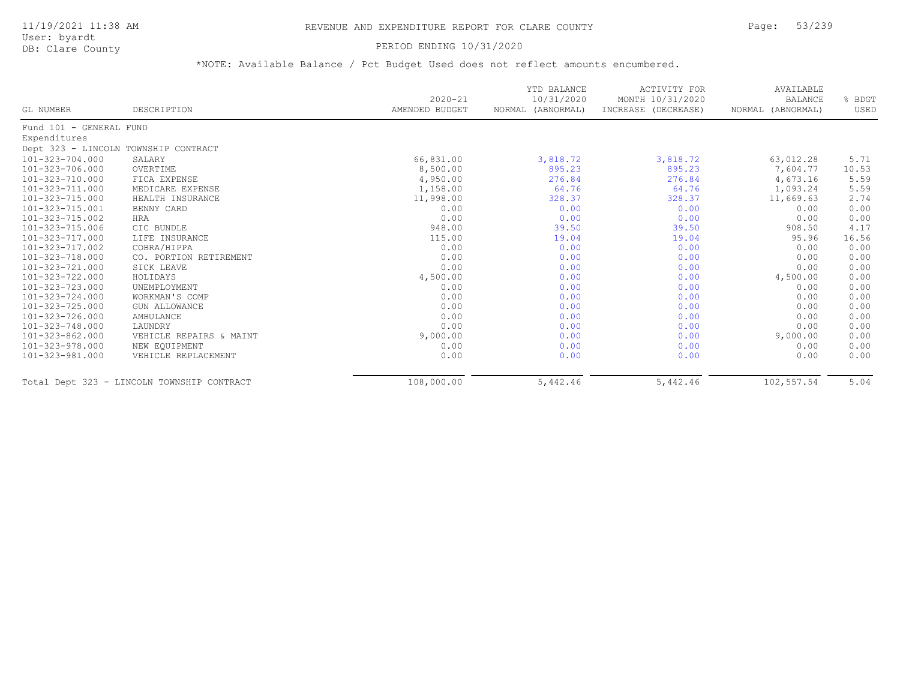#### PERIOD ENDING 10/31/2020

| GL NUMBER               | DESCRIPTION                                | $2020 - 21$<br>AMENDED BUDGET | YTD BALANCE<br>10/31/2020<br>(ABNORMAL)<br>NORMAL | ACTIVITY FOR<br>MONTH 10/31/2020<br>INCREASE (DECREASE) | AVAILABLE<br><b>BALANCE</b><br>NORMAL (ABNORMAL) | % BDGT<br>USED |
|-------------------------|--------------------------------------------|-------------------------------|---------------------------------------------------|---------------------------------------------------------|--------------------------------------------------|----------------|
| Fund 101 - GENERAL FUND |                                            |                               |                                                   |                                                         |                                                  |                |
| Expenditures            |                                            |                               |                                                   |                                                         |                                                  |                |
|                         | Dept 323 - LINCOLN TOWNSHIP CONTRACT       |                               |                                                   |                                                         |                                                  |                |
| 101-323-704.000         | SALARY                                     | 66,831.00                     | 3,818.72                                          | 3,818.72                                                | 63,012.28                                        | 5.71           |
| 101-323-706.000         | OVERTIME                                   | 8,500.00                      | 895.23                                            | 895.23                                                  | 7,604.77                                         | 10.53          |
| 101-323-710.000         | FICA EXPENSE                               | 4,950.00                      | 276.84                                            | 276.84                                                  | 4,673.16                                         | 5.59           |
| 101-323-711.000         | MEDICARE EXPENSE                           | 1,158.00                      | 64.76                                             | 64.76                                                   | 1,093.24                                         | 5.59           |
| 101-323-715.000         | HEALTH INSURANCE                           | 11,998.00                     | 328.37                                            | 328.37                                                  | 11,669.63                                        | 2.74           |
| 101-323-715.001         | BENNY CARD                                 | 0.00                          | 0.00                                              | 0.00                                                    | 0.00                                             | 0.00           |
| 101-323-715.002         | <b>HRA</b>                                 | 0.00                          | 0.00                                              | 0.00                                                    | 0.00                                             | 0.00           |
| 101-323-715.006         | CIC BUNDLE                                 | 948.00                        | 39.50                                             | 39.50                                                   | 908.50                                           | 4.17           |
| 101-323-717.000         | LIFE INSURANCE                             | 115.00                        | 19.04                                             | 19.04                                                   | 95.96                                            | 16.56          |
| 101-323-717.002         | COBRA/HIPPA                                | 0.00                          | 0.00                                              | 0.00                                                    | 0.00                                             | 0.00           |
| 101-323-718.000         | CO. PORTION RETIREMENT                     | 0.00                          | 0.00                                              | 0.00                                                    | 0.00                                             | 0.00           |
| 101-323-721.000         | SICK LEAVE                                 | 0.00                          | 0.00                                              | 0.00                                                    | 0.00                                             | 0.00           |
| 101-323-722.000         | HOLIDAYS                                   | 4,500.00                      | 0.00                                              | 0.00                                                    | 4,500.00                                         | 0.00           |
| 101-323-723.000         | UNEMPLOYMENT                               | 0.00                          | 0.00                                              | 0.00                                                    | 0.00                                             | 0.00           |
| 101-323-724.000         | WORKMAN'S COMP                             | 0.00                          | 0.00                                              | 0.00                                                    | 0.00                                             | 0.00           |
| 101-323-725.000         | <b>GUN ALLOWANCE</b>                       | 0.00                          | 0.00                                              | 0.00                                                    | 0.00                                             | 0.00           |
| 101-323-726.000         | AMBULANCE                                  | 0.00                          | 0.00                                              | 0.00                                                    | 0.00                                             | 0.00           |
| 101-323-748.000         | LAUNDRY                                    | 0.00                          | 0.00                                              | 0.00                                                    | 0.00                                             | 0.00           |
| 101-323-862.000         | VEHICLE REPAIRS & MAINT                    | 9,000.00                      | 0.00                                              | 0.00                                                    | 9,000.00                                         | 0.00           |
| 101-323-978.000         | NEW EQUIPMENT                              | 0.00                          | 0.00                                              | 0.00                                                    | 0.00                                             | 0.00           |
| 101-323-981.000         | VEHICLE REPLACEMENT                        | 0.00                          | 0.00                                              | 0.00                                                    | 0.00                                             | 0.00           |
|                         | Total Dept 323 - LINCOLN TOWNSHIP CONTRACT | 108,000.00                    | 5,442.46                                          | 5,442.46                                                | 102,557.54                                       | 5.04           |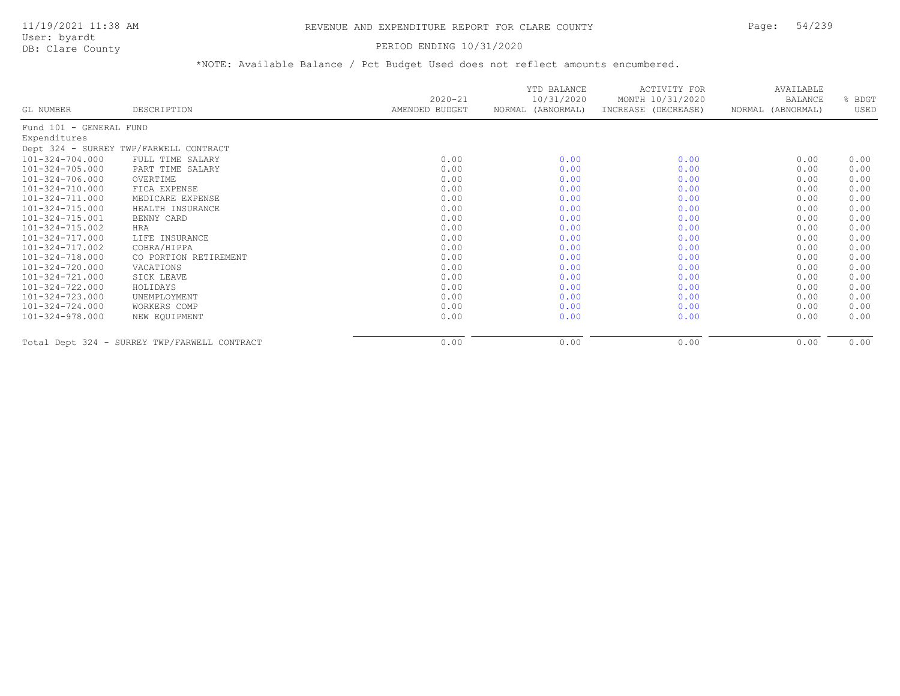#### DB: Clare County PERIOD ENDING 10/31/2020

| GL NUMBER               | DESCRIPTION                                  | $2020 - 21$<br>AMENDED BUDGET | YTD BALANCE<br>10/31/2020<br>NORMAL (ABNORMAL) | ACTIVITY FOR<br>MONTH 10/31/2020<br>INCREASE (DECREASE) | AVAILABLE<br><b>BALANCE</b><br>NORMAL (ABNORMAL) | % BDGT<br>USED |
|-------------------------|----------------------------------------------|-------------------------------|------------------------------------------------|---------------------------------------------------------|--------------------------------------------------|----------------|
| Fund 101 - GENERAL FUND |                                              |                               |                                                |                                                         |                                                  |                |
| Expenditures            |                                              |                               |                                                |                                                         |                                                  |                |
|                         | Dept 324 - SURREY TWP/FARWELL CONTRACT       |                               |                                                |                                                         |                                                  |                |
| 101-324-704.000         | FULL TIME SALARY                             | 0.00                          | 0.00                                           | 0.00                                                    | 0.00                                             | 0.00           |
| $101 - 324 - 705.000$   | PART TIME SALARY                             | 0.00                          | 0.00                                           | 0.00                                                    | 0.00                                             | 0.00           |
| 101-324-706.000         | OVERTIME                                     | 0.00                          | 0.00                                           | 0.00                                                    | 0.00                                             | 0.00           |
| 101-324-710.000         | FICA EXPENSE                                 | 0.00                          | 0.00                                           | 0.00                                                    | 0.00                                             | 0.00           |
| 101-324-711.000         | MEDICARE EXPENSE                             | 0.00                          | 0.00                                           | 0.00                                                    | 0.00                                             | 0.00           |
| 101-324-715.000         | HEALTH INSURANCE                             | 0.00                          | 0.00                                           | 0.00                                                    | 0.00                                             | 0.00           |
| 101-324-715.001         | BENNY CARD                                   | 0.00                          | 0.00                                           | 0.00                                                    | 0.00                                             | 0.00           |
| 101-324-715.002         | HRA                                          | 0.00                          | 0.00                                           | 0.00                                                    | 0.00                                             | 0.00           |
| 101-324-717.000         | LIFE INSURANCE                               | 0.00                          | 0.00                                           | 0.00                                                    | 0.00                                             | 0.00           |
| 101-324-717.002         | COBRA/HIPPA                                  | 0.00                          | 0.00                                           | 0.00                                                    | 0.00                                             | 0.00           |
| 101-324-718.000         | CO PORTION RETIREMENT                        | 0.00                          | 0.00                                           | 0.00                                                    | 0.00                                             | 0.00           |
| 101-324-720.000         | VACATIONS                                    | 0.00                          | 0.00                                           | 0.00                                                    | 0.00                                             | 0.00           |
| 101-324-721.000         | SICK LEAVE                                   | 0.00                          | 0.00                                           | 0.00                                                    | 0.00                                             | 0.00           |
| 101-324-722.000         | HOLIDAYS                                     | 0.00                          | 0.00                                           | 0.00                                                    | 0.00                                             | 0.00           |
| 101-324-723.000         | UNEMPLOYMENT                                 | 0.00                          | 0.00                                           | 0.00                                                    | 0.00                                             | 0.00           |
| 101-324-724.000         | WORKERS COMP                                 | 0.00                          | 0.00                                           | 0.00                                                    | 0.00                                             | 0.00           |
| $101 - 324 - 978.000$   | NEW EQUIPMENT                                | 0.00                          | 0.00                                           | 0.00                                                    | 0.00                                             | 0.00           |
|                         | Total Dept 324 - SURREY TWP/FARWELL CONTRACT | 0.00                          | 0.00                                           | 0.00                                                    | 0.00                                             | 0.00           |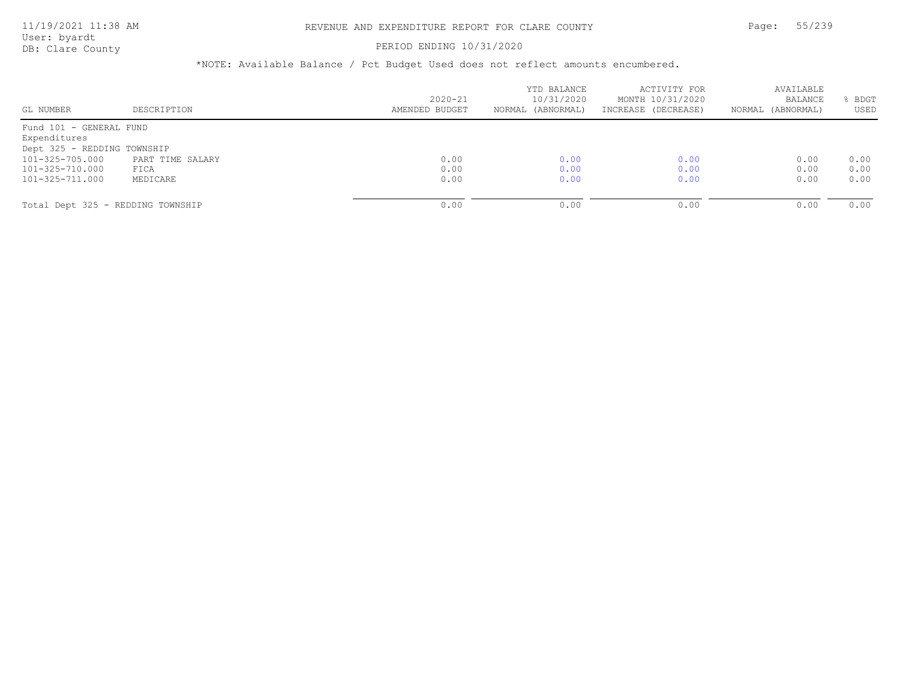User: byardt

# DB: Clare County **PERIOD ENDING 10/31/2020**

| GL NUMBER                         | DESCRIPTION      | $2020 - 21$<br>AMENDED BUDGET | YTD BALANCE<br>10/31/2020<br>NORMAL (ABNORMAL) | ACTIVITY FOR<br>MONTH 10/31/2020<br>INCREASE (DECREASE) | AVAILABLE<br>BALANCE<br>(ABNORMAL)<br>NORMAL | BDGT<br>USED |
|-----------------------------------|------------------|-------------------------------|------------------------------------------------|---------------------------------------------------------|----------------------------------------------|--------------|
| Fund 101 - GENERAL FUND           |                  |                               |                                                |                                                         |                                              |              |
| Expenditures                      |                  |                               |                                                |                                                         |                                              |              |
| Dept 325 - REDDING TOWNSHIP       |                  |                               |                                                |                                                         |                                              |              |
| 101-325-705.000                   | PART TIME SALARY | 0.00                          | 0.00                                           | 0.00                                                    | 0.00                                         | 0.00         |
| 101-325-710.000                   | FICA             | 0.00                          | 0.00                                           | 0.00                                                    | 0.00                                         | 0.00         |
| 101-325-711.000                   | MEDICARE         | 0.00                          | 0.00                                           | 0.00                                                    | 0.00                                         | 0.00         |
| Total Dept 325 - REDDING TOWNSHIP |                  | 0.00                          | 0.00                                           | 0.00                                                    | 0.00                                         | 0.00         |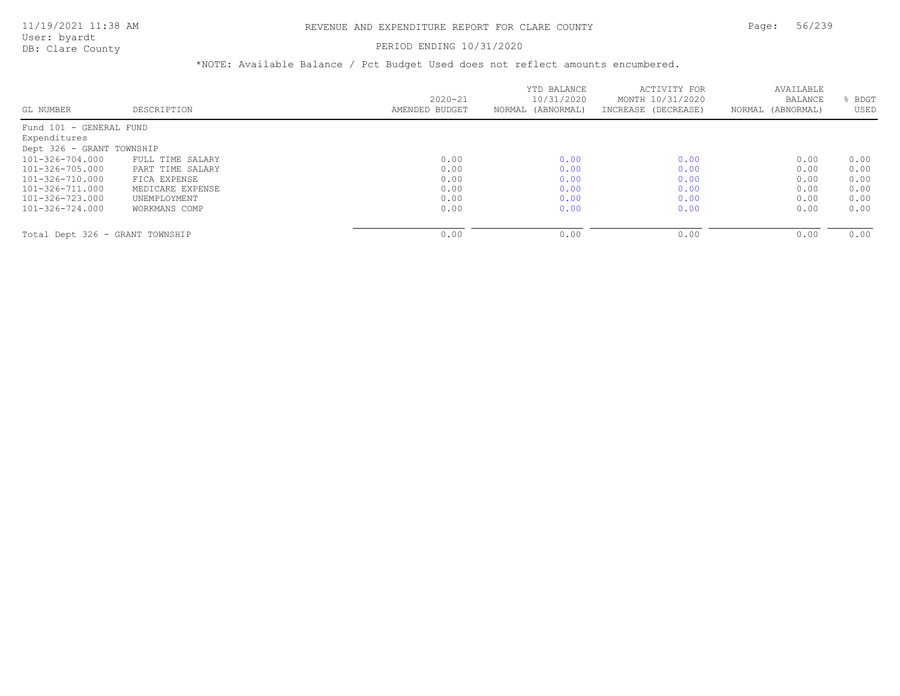#### PERIOD ENDING 10/31/2020

|                                 |                  |                | YTD BALANCE       | ACTIVITY FOR        | AVAILABLE         |      |
|---------------------------------|------------------|----------------|-------------------|---------------------|-------------------|------|
|                                 |                  | $2020 - 21$    | 10/31/2020        | MONTH 10/31/2020    | <b>BALANCE</b>    | BDGT |
| GL NUMBER                       | DESCRIPTION      | AMENDED BUDGET | NORMAL (ABNORMAL) | INCREASE (DECREASE) | NORMAL (ABNORMAL) | USED |
| Fund 101 - GENERAL FUND         |                  |                |                   |                     |                   |      |
| Expenditures                    |                  |                |                   |                     |                   |      |
| Dept 326 - GRANT TOWNSHIP       |                  |                |                   |                     |                   |      |
| 101-326-704.000                 | FULL TIME SALARY | 0.00           | 0.00              | 0.00                | 0.00              | 0.00 |
| 101-326-705.000                 | PART TIME SALARY | 0.00           | 0.00              | 0.00                | 0.00              | 0.00 |
| 101-326-710.000                 | FICA EXPENSE     | 0.00           | 0.00              | 0.00                | 0.00              | 0.00 |
| 101-326-711.000                 | MEDICARE EXPENSE | 0.00           | 0.00              | 0.00                | 0.00              | 0.00 |
| 101-326-723.000                 | UNEMPLOYMENT     | 0.00           | 0.00              | 0.00                | 0.00              | 0.00 |
| 101-326-724.000                 | WORKMANS COMP    | 0.00           | 0.00              | 0.00                | 0.00              | 0.00 |
|                                 |                  |                |                   |                     |                   |      |
| Total Dept 326 - GRANT TOWNSHIP |                  | 0.00           | 0.00              | 0.00                | 0.00              | 0.00 |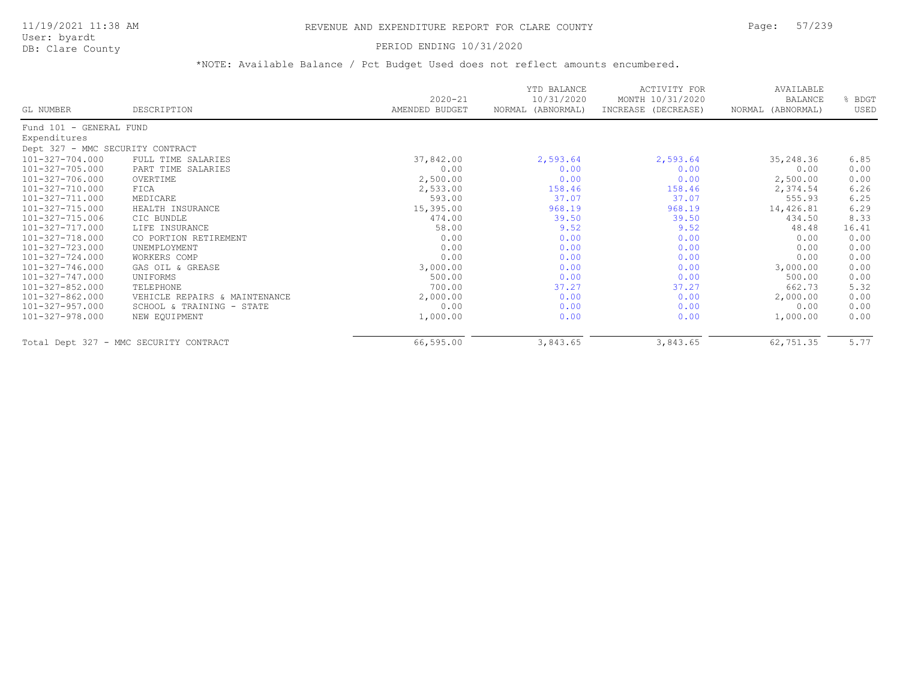### 11/19/2021 11:38 AM REVENUE AND EXPENDITURE REPORT FOR CLARE COUNTY Page: 57/239

User: byardt<br>DB: Clare County

#### PERIOD ENDING 10/31/2020

| GL NUMBER                        | DESCRIPTION                            | $2020 - 21$<br>AMENDED BUDGET | YTD BALANCE<br>10/31/2020<br>NORMAL (ABNORMAL) | <b>ACTIVITY FOR</b><br>MONTH 10/31/2020<br>INCREASE (DECREASE) | AVAILABLE<br><b>BALANCE</b><br>NORMAL (ABNORMAL) | % BDGT<br>USED |
|----------------------------------|----------------------------------------|-------------------------------|------------------------------------------------|----------------------------------------------------------------|--------------------------------------------------|----------------|
|                                  |                                        |                               |                                                |                                                                |                                                  |                |
| Fund 101 - GENERAL FUND          |                                        |                               |                                                |                                                                |                                                  |                |
| Expenditures                     |                                        |                               |                                                |                                                                |                                                  |                |
| Dept 327 - MMC SECURITY CONTRACT |                                        |                               |                                                |                                                                |                                                  |                |
| 101-327-704.000                  | FULL TIME SALARIES                     | 37,842.00                     | 2,593.64                                       | 2,593.64                                                       | 35,248.36                                        | 6.85           |
| 101-327-705.000                  | PART TIME SALARIES                     | 0.00                          | 0.00                                           | 0.00                                                           | 0.00                                             | 0.00           |
| 101-327-706.000                  | OVERTIME                               | 2,500.00                      | 0.00                                           | 0.00                                                           | 2,500.00                                         | 0.00           |
| 101-327-710.000                  | FICA                                   | 2,533.00                      | 158.46                                         | 158.46                                                         | 2,374.54                                         | 6.26           |
| 101-327-711.000                  | MEDICARE                               | 593.00                        | 37.07                                          | 37.07                                                          | 555.93                                           | 6.25           |
| 101-327-715.000                  | HEALTH INSURANCE                       | 15,395.00                     | 968.19                                         | 968.19                                                         | 14,426.81                                        | 6.29           |
| 101-327-715.006                  | CIC BUNDLE                             | 474.00                        | 39.50                                          | 39.50                                                          | 434.50                                           | 8.33           |
| 101-327-717.000                  | LIFE INSURANCE                         | 58.00                         | 9.52                                           | 9.52                                                           | 48.48                                            | 16.41          |
| 101-327-718.000                  | CO PORTION RETIREMENT                  | 0.00                          | 0.00                                           | 0.00                                                           | 0.00                                             | 0.00           |
| 101-327-723.000                  | UNEMPLOYMENT                           | 0.00                          | 0.00                                           | 0.00                                                           | 0.00                                             | 0.00           |
| 101-327-724.000                  | WORKERS COMP                           | 0.00                          | 0.00                                           | 0.00                                                           | 0.00                                             | 0.00           |
| 101-327-746.000                  | GAS OIL & GREASE                       | 3,000.00                      | 0.00                                           | 0.00                                                           | 3,000.00                                         | 0.00           |
| 101-327-747.000                  | UNIFORMS                               | 500.00                        | 0.00                                           | 0.00                                                           | 500.00                                           | 0.00           |
| 101-327-852.000                  | TELEPHONE                              | 700.00                        | 37.27                                          | 37.27                                                          | 662.73                                           | 5.32           |
| 101-327-862.000                  | VEHICLE REPAIRS & MAINTENANCE          | 2,000.00                      | 0.00                                           | 0.00                                                           | 2,000.00                                         | 0.00           |
| 101-327-957.000                  | SCHOOL & TRAINING - STATE              | 0.00                          | 0.00                                           | 0.00                                                           | 0.00                                             | 0.00           |
| 101-327-978.000                  | NEW EQUIPMENT                          | 1,000.00                      | 0.00                                           | 0.00                                                           | 1,000.00                                         | 0.00           |
|                                  | Total Dept 327 - MMC SECURITY CONTRACT | 66,595.00                     | 3,843.65                                       | 3,843.65                                                       | 62,751.35                                        | 5.77           |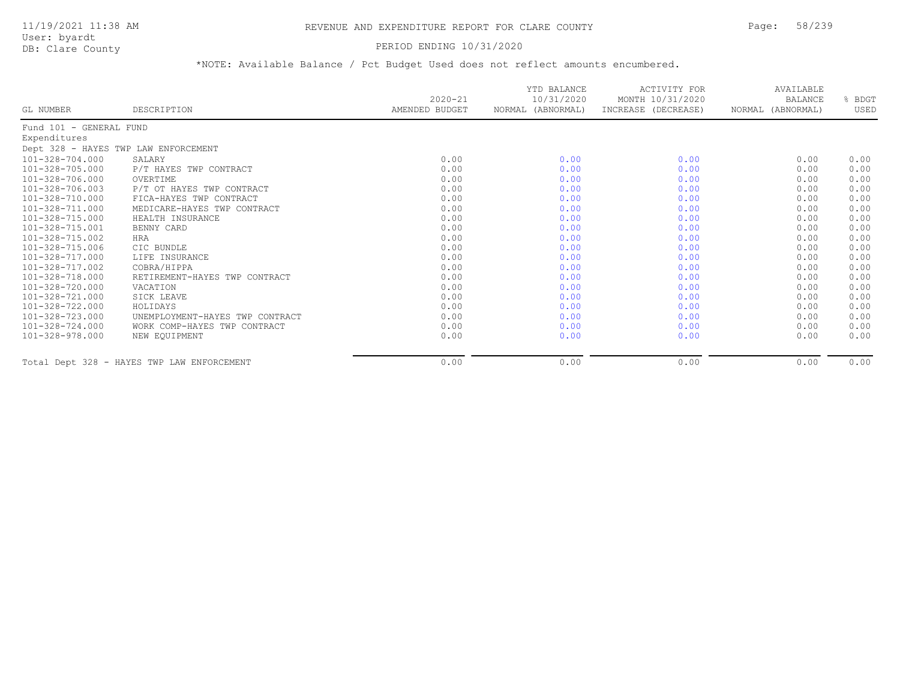#### PERIOD ENDING 10/31/2020

| GL NUMBER               | DESCRIPTION                                | $2020 - 21$<br>AMENDED BUDGET | YTD BALANCE<br>10/31/2020<br>NORMAL (ABNORMAL) | ACTIVITY FOR<br>MONTH 10/31/2020<br>INCREASE (DECREASE) | AVAILABLE<br><b>BALANCE</b><br>NORMAL (ABNORMAL) | BDGT<br>USED |
|-------------------------|--------------------------------------------|-------------------------------|------------------------------------------------|---------------------------------------------------------|--------------------------------------------------|--------------|
| Fund 101 - GENERAL FUND |                                            |                               |                                                |                                                         |                                                  |              |
| Expenditures            |                                            |                               |                                                |                                                         |                                                  |              |
|                         | Dept 328 - HAYES TWP LAW ENFORCEMENT       |                               |                                                |                                                         |                                                  |              |
| 101-328-704.000         | SALARY                                     | 0.00                          | 0.00                                           | 0.00                                                    | 0.00                                             | 0.00         |
| $101 - 328 - 705.000$   | P/T HAYES TWP CONTRACT                     | 0.00                          | 0.00                                           | 0.00                                                    | 0.00                                             | 0.00         |
| 101-328-706.000         | OVERTIME                                   | 0.00                          | 0.00                                           | 0.00                                                    | 0.00                                             | 0.00         |
| 101-328-706.003         | P/T OT HAYES TWP CONTRACT                  | 0.00                          | 0.00                                           | 0.00                                                    | 0.00                                             | 0.00         |
| 101-328-710.000         | FICA-HAYES TWP CONTRACT                    | 0.00                          | 0.00                                           | 0.00                                                    | 0.00                                             | 0.00         |
| 101-328-711.000         | MEDICARE-HAYES TWP CONTRACT                | 0.00                          | 0.00                                           | 0.00                                                    | 0.00                                             | 0.00         |
| 101-328-715.000         | HEALTH INSURANCE                           | 0.00                          | 0.00                                           | 0.00                                                    | 0.00                                             | 0.00         |
| 101-328-715.001         | BENNY CARD                                 | 0.00                          | 0.00                                           | 0.00                                                    | 0.00                                             | 0.00         |
| 101-328-715.002         | HRA                                        | 0.00                          | 0.00                                           | 0.00                                                    | 0.00                                             | 0.00         |
| 101-328-715.006         | CIC BUNDLE                                 | 0.00                          | 0.00                                           | 0.00                                                    | 0.00                                             | 0.00         |
| 101-328-717.000         | LIFE INSURANCE                             | 0.00                          | 0.00                                           | 0.00                                                    | 0.00                                             | 0.00         |
| 101-328-717.002         | COBRA/HIPPA                                | 0.00                          | 0.00                                           | 0.00                                                    | 0.00                                             | 0.00         |
| 101-328-718.000         | RETIREMENT-HAYES TWP CONTRACT              | 0.00                          | 0.00                                           | 0.00                                                    | 0.00                                             | 0.00         |
| 101-328-720.000         | VACATION                                   | 0.00                          | 0.00                                           | 0.00                                                    | 0.00                                             | 0.00         |
| 101-328-721.000         | SICK LEAVE                                 | 0.00                          | 0.00                                           | 0.00                                                    | 0.00                                             | 0.00         |
| 101-328-722.000         | HOLIDAYS                                   | 0.00                          | 0.00                                           | 0.00                                                    | 0.00                                             | 0.00         |
| 101-328-723.000         | UNEMPLOYMENT-HAYES TWP CONTRACT            | 0.00                          | 0.00                                           | 0.00                                                    | 0.00                                             | 0.00         |
| 101-328-724.000         | WORK COMP-HAYES TWP CONTRACT               | 0.00                          | 0.00                                           | 0.00                                                    | 0.00                                             | 0.00         |
| 101-328-978.000         | NEW EQUIPMENT                              | 0.00                          | 0.00                                           | 0.00                                                    | 0.00                                             | 0.00         |
|                         | Total Dept 328 - HAYES TWP LAW ENFORCEMENT | 0.00                          | 0.00                                           | 0.00                                                    | 0.00                                             | 0.00         |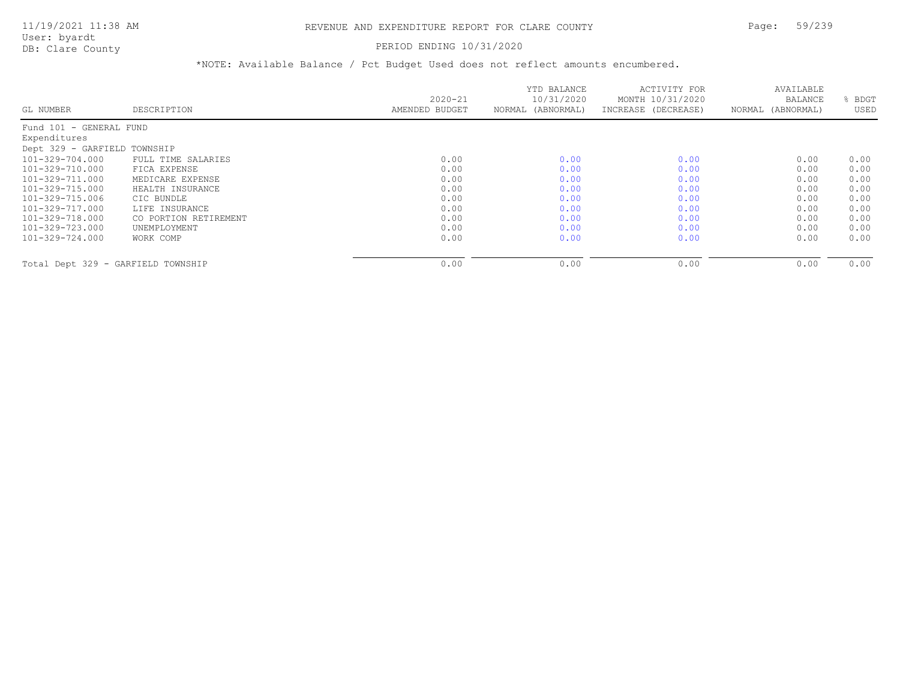#### PERIOD ENDING 10/31/2020

|                                    |                       | $2020 - 21$    | YTD BALANCE<br>10/31/2020 | ACTIVITY FOR<br>MONTH 10/31/2020 | AVAILABLE<br>BALANCE | BDGT |
|------------------------------------|-----------------------|----------------|---------------------------|----------------------------------|----------------------|------|
| GL NUMBER                          | DESCRIPTION           | AMENDED BUDGET | NORMAL (ABNORMAL)         | INCREASE (DECREASE)              | NORMAL (ABNORMAL)    | USED |
| Fund 101 - GENERAL FUND            |                       |                |                           |                                  |                      |      |
| Expenditures                       |                       |                |                           |                                  |                      |      |
| Dept 329 - GARFIELD TOWNSHIP       |                       |                |                           |                                  |                      |      |
| 101-329-704.000                    | FULL TIME SALARIES    | 0.00           | 0.00                      | 0.00                             | 0.00                 | 0.00 |
| 101-329-710.000                    | FICA EXPENSE          | 0.00           | 0.00                      | 0.00                             | 0.00                 | 0.00 |
| 101-329-711.000                    | MEDICARE EXPENSE      | 0.00           | 0.00                      | 0.00                             | 0.00                 | 0.00 |
| 101-329-715.000                    | HEALTH INSURANCE      | 0.00           | 0.00                      | 0.00                             | 0.00                 | 0.00 |
| 101-329-715.006                    | CIC BUNDLE            | 0.00           | 0.00                      | 0.00                             | 0.00                 | 0.00 |
| 101-329-717.000                    | LIFE INSURANCE        | 0.00           | 0.00                      | 0.00                             | 0.00                 | 0.00 |
| 101-329-718.000                    | CO PORTION RETIREMENT | 0.00           | 0.00                      | 0.00                             | 0.00                 | 0.00 |
| 101-329-723.000                    | UNEMPLOYMENT          | 0.00           | 0.00                      | 0.00                             | 0.00                 | 0.00 |
| 101-329-724.000                    | WORK COMP             | 0.00           | 0.00                      | 0.00                             | 0.00                 | 0.00 |
| Total Dept 329 - GARFIELD TOWNSHIP |                       | 0.00           | 0.00                      | 0.00                             | 0.00                 | 0.00 |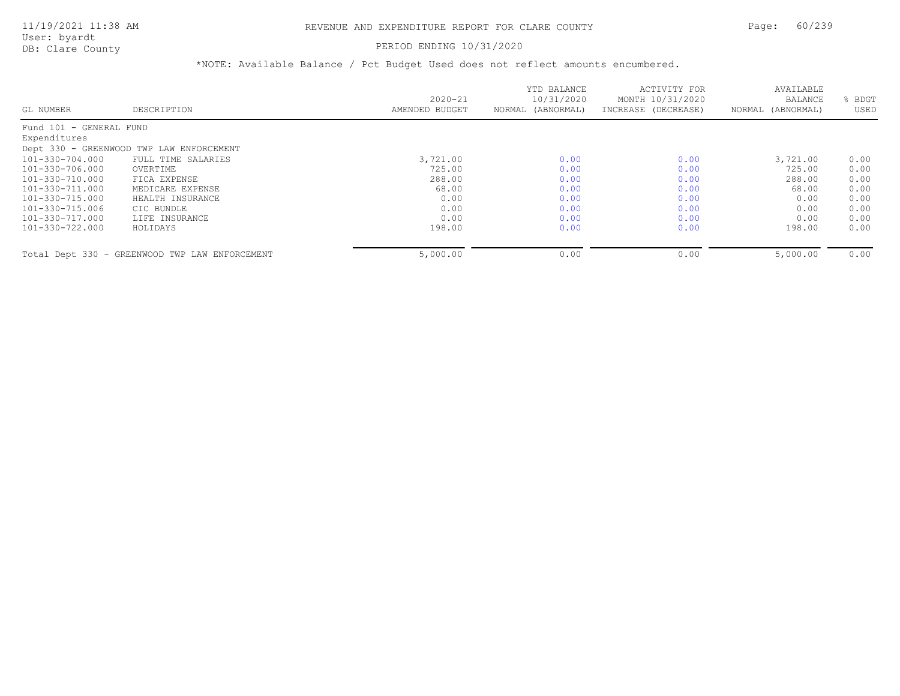#### PERIOD ENDING 10/31/2020

|                         |                                                |                | YTD BALANCE       | ACTIVITY FOR        | AVAILABLE         |      |
|-------------------------|------------------------------------------------|----------------|-------------------|---------------------|-------------------|------|
|                         |                                                | $2020 - 21$    | 10/31/2020        | MONTH 10/31/2020    | <b>BALANCE</b>    | BDGT |
| GL NUMBER               | DESCRIPTION                                    | AMENDED BUDGET | NORMAL (ABNORMAL) | INCREASE (DECREASE) | NORMAL (ABNORMAL) | USED |
| Fund 101 - GENERAL FUND |                                                |                |                   |                     |                   |      |
| Expenditures            |                                                |                |                   |                     |                   |      |
|                         | Dept 330 - GREENWOOD TWP LAW ENFORCEMENT       |                |                   |                     |                   |      |
| 101-330-704.000         | FULL TIME SALARIES                             | 3,721.00       | 0.00              | 0.00                | 3,721.00          | 0.00 |
| 101-330-706.000         | OVERTIME                                       | 725.00         | 0.00              | 0.00                | 725.00            | 0.00 |
| 101-330-710.000         | FICA EXPENSE                                   | 288.00         | 0.00              | 0.00                | 288.00            | 0.00 |
| 101-330-711.000         | MEDICARE EXPENSE                               | 68.00          | 0.00              | 0.00                | 68.00             | 0.00 |
| 101-330-715.000         | HEALTH INSURANCE                               | 0.00           | 0.00              | 0.00                | 0.00              | 0.00 |
| 101-330-715.006         | CIC BUNDLE                                     | 0.00           | 0.00              | 0.00                | 0.00              | 0.00 |
| 101-330-717.000         | LIFE INSURANCE                                 | 0.00           | 0.00              | 0.00                | 0.00              | 0.00 |
| 101-330-722.000         | HOLIDAYS                                       | 198.00         | 0.00              | 0.00                | 198.00            | 0.00 |
|                         | Total Dept 330 - GREENWOOD TWP LAW ENFORCEMENT | 5,000.00       | 0.00              | 0.00                | 5,000.00          | 0.00 |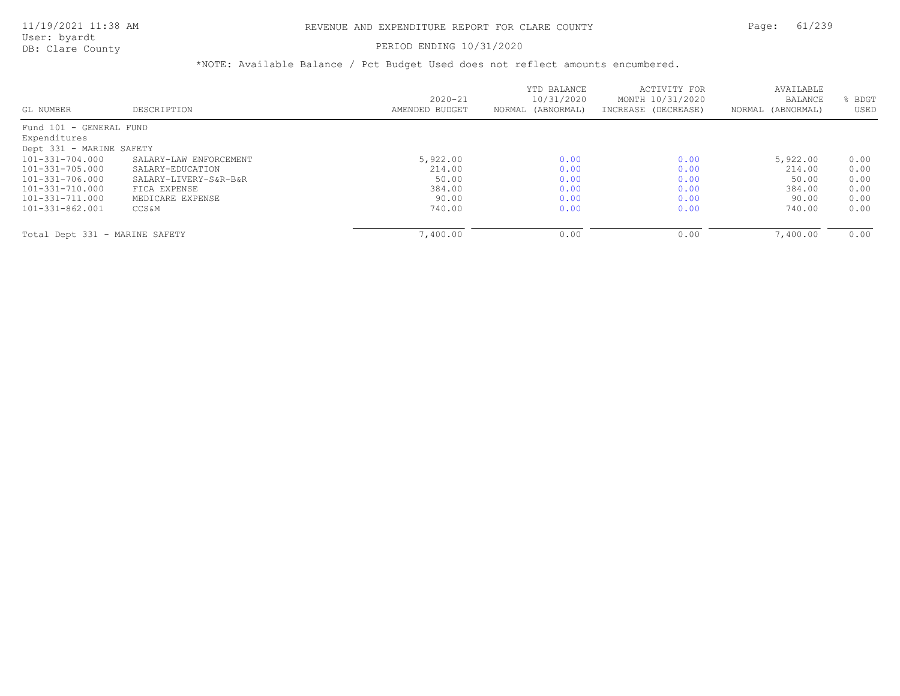### PERIOD ENDING 10/31/2020

|                                |                        | $2020 - 21$    | YTD BALANCE<br>10/31/2020 | ACTIVITY FOR<br>MONTH 10/31/2020 | AVAILABLE<br><b>BALANCE</b> | BDGT |
|--------------------------------|------------------------|----------------|---------------------------|----------------------------------|-----------------------------|------|
| GL NUMBER                      | DESCRIPTION            | AMENDED BUDGET | NORMAL (ABNORMAL)         | INCREASE (DECREASE)              | NORMAL (ABNORMAL)           | USED |
| Fund 101 - GENERAL FUND        |                        |                |                           |                                  |                             |      |
| Expenditures                   |                        |                |                           |                                  |                             |      |
| Dept 331 - MARINE SAFETY       |                        |                |                           |                                  |                             |      |
| 101-331-704.000                | SALARY-LAW ENFORCEMENT | 5,922.00       | 0.00                      | 0.00                             | 5,922.00                    | 0.00 |
| 101-331-705.000                | SALARY-EDUCATION       | 214.00         | 0.00                      | 0.00                             | 214.00                      | 0.00 |
| 101-331-706.000                | SALARY-LIVERY-S&R-B&R  | 50.00          | 0.00                      | 0.00                             | 50.00                       | 0.00 |
| 101-331-710.000                | FICA EXPENSE           | 384.00         | 0.00                      | 0.00                             | 384.00                      | 0.00 |
| 101-331-711.000                | MEDICARE EXPENSE       | 90.00          | 0.00                      | 0.00                             | 90.00                       | 0.00 |
| 101-331-862.001                | <b>CCS&amp;M</b>       | 740.00         | 0.00                      | 0.00                             | 740.00                      | 0.00 |
|                                |                        |                |                           |                                  |                             |      |
| Total Dept 331 - MARINE SAFETY |                        | 7,400.00       | 0.00                      | 0.00                             | 7,400.00                    | 0.00 |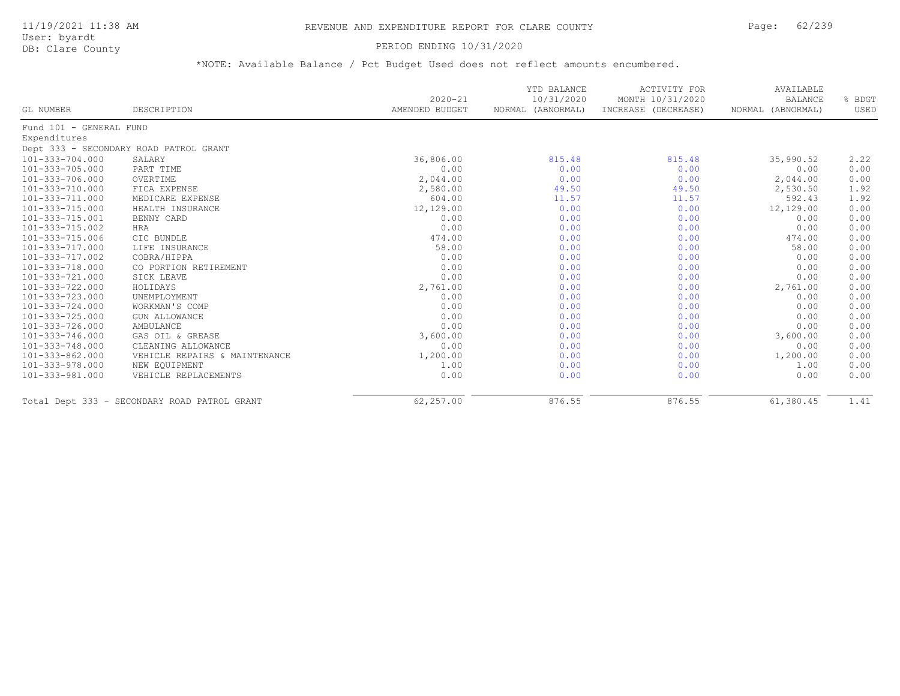### 11/19/2021 11:38 AM REVENUE AND EXPENDITURE REPORT FOR CLARE COUNTY Page: 62/239

User: byardt<br>DB: Clare County

#### PERIOD ENDING 10/31/2020

| GL NUMBER               | DESCRIPTION                                  | $2020 - 21$<br>AMENDED BUDGET | YTD BALANCE<br>10/31/2020<br>NORMAL (ABNORMAL) | <b>ACTIVITY FOR</b><br>MONTH 10/31/2020<br>INCREASE (DECREASE) | AVAILABLE<br><b>BALANCE</b><br>NORMAL (ABNORMAL) | % BDGT<br>USED |
|-------------------------|----------------------------------------------|-------------------------------|------------------------------------------------|----------------------------------------------------------------|--------------------------------------------------|----------------|
|                         |                                              |                               |                                                |                                                                |                                                  |                |
| Fund 101 - GENERAL FUND |                                              |                               |                                                |                                                                |                                                  |                |
| Expenditures            |                                              |                               |                                                |                                                                |                                                  |                |
|                         | Dept 333 - SECONDARY ROAD PATROL GRANT       |                               |                                                |                                                                |                                                  |                |
| 101-333-704.000         | SALARY                                       | 36,806.00                     | 815.48                                         | 815.48                                                         | 35,990.52                                        | 2.22           |
| 101-333-705.000         | PART TIME                                    | 0.00                          | 0.00                                           | 0.00                                                           | 0.00                                             | 0.00           |
| 101-333-706.000         | OVERTIME                                     | 2,044.00                      | 0.00                                           | 0.00                                                           | 2,044.00                                         | 0.00           |
| 101-333-710.000         | FICA EXPENSE                                 | 2,580.00                      | 49.50                                          | 49.50                                                          | 2,530.50                                         | 1.92           |
| 101-333-711.000         | MEDICARE EXPENSE                             | 604.00                        | 11.57                                          | 11.57                                                          | 592.43                                           | 1.92           |
| 101-333-715.000         | HEALTH INSURANCE                             | 12,129.00                     | 0.00                                           | 0.00                                                           | 12,129.00                                        | 0.00           |
| 101-333-715.001         | BENNY CARD                                   | 0.00                          | 0.00                                           | 0.00                                                           | 0.00                                             | 0.00           |
| 101-333-715.002         | HRA                                          | 0.00                          | 0.00                                           | 0.00                                                           | 0.00                                             | 0.00           |
| 101-333-715.006         | CIC BUNDLE                                   | 474.00                        | 0.00                                           | 0.00                                                           | 474.00                                           | 0.00           |
| 101-333-717.000         | LIFE INSURANCE                               | 58.00                         | 0.00                                           | 0.00                                                           | 58.00                                            | 0.00           |
| 101-333-717.002         | COBRA/HIPPA                                  | 0.00                          | 0.00                                           | 0.00                                                           | 0.00                                             | 0.00           |
| 101-333-718.000         | CO PORTION RETIREMENT                        | 0.00                          | 0.00                                           | 0.00                                                           | 0.00                                             | 0.00           |
| 101-333-721.000         | SICK LEAVE                                   | 0.00                          | 0.00                                           | 0.00                                                           | 0.00                                             | 0.00           |
| 101-333-722.000         | HOLIDAYS                                     | 2,761.00                      | 0.00                                           | 0.00                                                           | 2,761.00                                         | 0.00           |
| 101-333-723.000         | UNEMPLOYMENT                                 | 0.00                          | 0.00                                           | 0.00                                                           | 0.00                                             | 0.00           |
| 101-333-724.000         | WORKMAN'S COMP                               | 0.00                          | 0.00                                           | 0.00                                                           | 0.00                                             | 0.00           |
| 101-333-725.000         | <b>GUN ALLOWANCE</b>                         | 0.00                          | 0.00                                           | 0.00                                                           | 0.00                                             | 0.00           |
| 101-333-726.000         | AMBULANCE                                    | 0.00                          | 0.00                                           | 0.00                                                           | 0.00                                             | 0.00           |
| 101-333-746.000         | GAS OIL & GREASE                             | 3,600.00                      | 0.00                                           | 0.00                                                           | 3,600.00                                         | 0.00           |
| 101-333-748.000         | CLEANING ALLOWANCE                           | 0.00                          | 0.00                                           | 0.00                                                           | 0.00                                             | 0.00           |
| 101-333-862.000         | VEHICLE REPAIRS & MAINTENANCE                | 1,200.00                      | 0.00                                           | 0.00                                                           | 1,200.00                                         | 0.00           |
| 101-333-978.000         | NEW EQUIPMENT                                | 1.00                          | 0.00                                           | 0.00                                                           | 1.00                                             | 0.00           |
| 101-333-981.000         | VEHICLE REPLACEMENTS                         | 0.00                          | 0.00                                           | 0.00                                                           | 0.00                                             | 0.00           |
|                         | Total Dept 333 - SECONDARY ROAD PATROL GRANT | 62,257.00                     | 876.55                                         | 876.55                                                         | 61,380.45                                        | 1.41           |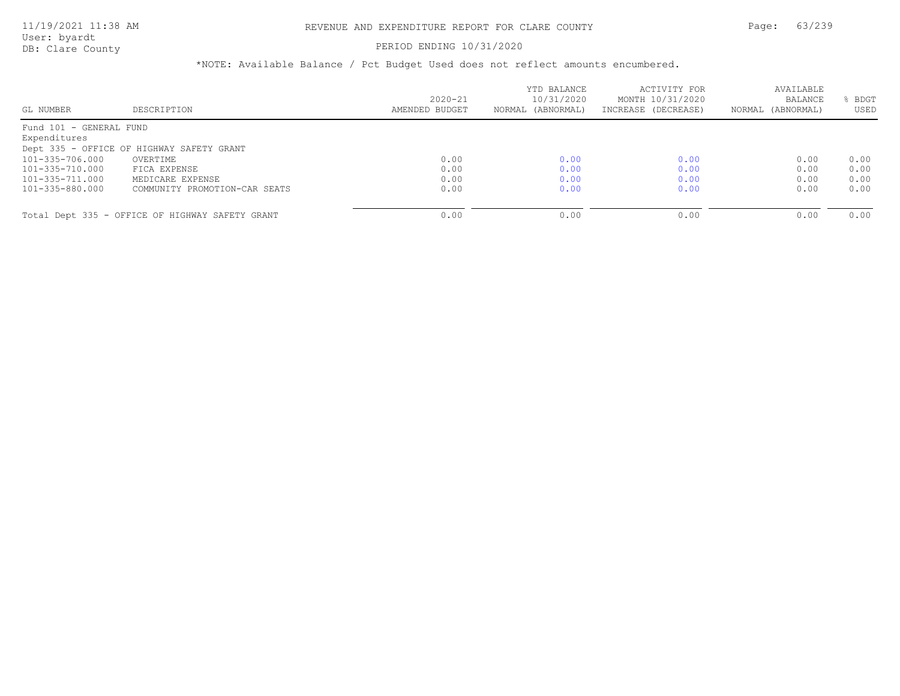#### PERIOD ENDING 10/31/2020

| GL NUMBER               | DESCRIPTION                                     | $2020 - 21$<br>AMENDED BUDGET | YTD BALANCE<br>10/31/2020<br>NORMAL (ABNORMAL) | ACTIVITY FOR<br>MONTH 10/31/2020<br>INCREASE (DECREASE) | AVAILABLE<br><b>BALANCE</b><br>NORMAL (ABNORMAL) | BDGT<br>USED |
|-------------------------|-------------------------------------------------|-------------------------------|------------------------------------------------|---------------------------------------------------------|--------------------------------------------------|--------------|
| Fund 101 - GENERAL FUND |                                                 |                               |                                                |                                                         |                                                  |              |
| Expenditures            |                                                 |                               |                                                |                                                         |                                                  |              |
|                         | Dept 335 - OFFICE OF HIGHWAY SAFETY GRANT       |                               |                                                |                                                         |                                                  |              |
| 101-335-706.000         | OVERTIME                                        | 0.00                          | 0.00                                           | 0.00                                                    | 0.00                                             | 0.00         |
| 101-335-710.000         | FICA EXPENSE                                    | 0.00                          | 0.00                                           | 0.00                                                    | 0.00                                             | 0.00         |
| 101-335-711.000         | MEDICARE EXPENSE                                | 0.00                          | 0.00                                           | 0.00                                                    | 0.00                                             | 0.00         |
| 101-335-880.000         | COMMUNITY PROMOTION-CAR SEATS                   | 0.00                          | 0.00                                           | 0.00                                                    | 0.00                                             | 0.00         |
|                         |                                                 |                               |                                                |                                                         |                                                  |              |
|                         | Total Dept 335 - OFFICE OF HIGHWAY SAFETY GRANT | 0.00                          | 0.00                                           | 0.00                                                    | 0.00                                             | 0.00         |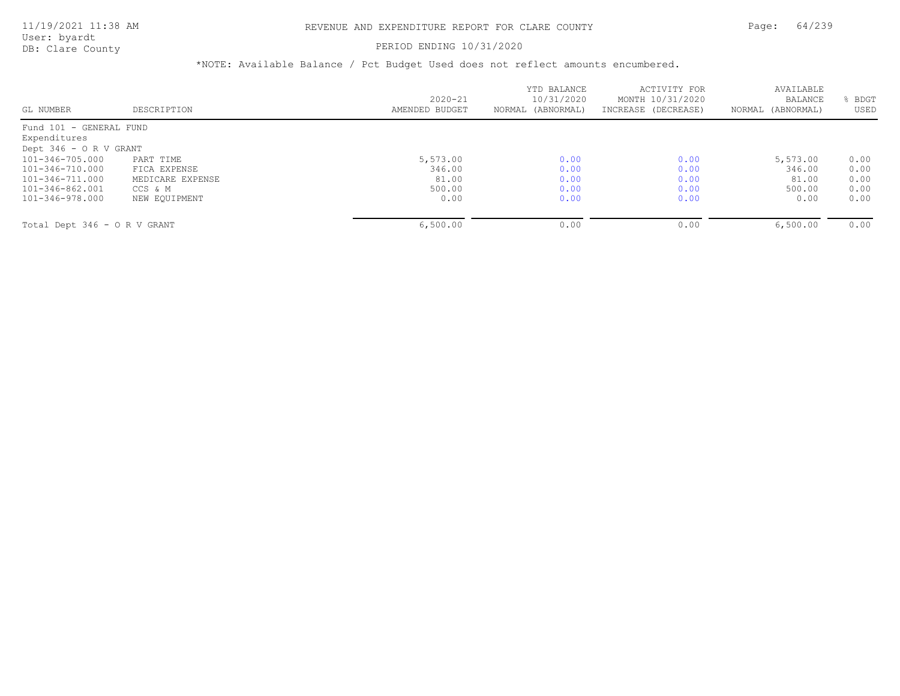User: byardt

# DB: Clare County **PERIOD ENDING 10/31/2020**

| GL NUMBER                    | DESCRIPTION      | $2020 - 21$<br>AMENDED BUDGET | YTD BALANCE<br>10/31/2020<br>NORMAL (ABNORMAL) | ACTIVITY FOR<br>MONTH 10/31/2020<br>INCREASE (DECREASE) | AVAILABLE<br><b>BALANCE</b><br>(ABNORMAL)<br>NORMAL | BDGT<br>USED |
|------------------------------|------------------|-------------------------------|------------------------------------------------|---------------------------------------------------------|-----------------------------------------------------|--------------|
| Fund 101 - GENERAL FUND      |                  |                               |                                                |                                                         |                                                     |              |
| Expenditures                 |                  |                               |                                                |                                                         |                                                     |              |
| Dept $346 - 0 R V$ GRANT     |                  |                               |                                                |                                                         |                                                     |              |
| $101 - 346 - 705.000$        | PART TIME        | 5,573.00                      | 0.00                                           | 0.00                                                    | 5,573.00                                            | 0.00         |
| 101-346-710.000              | FICA EXPENSE     | 346.00                        | 0.00                                           | 0.00                                                    | 346.00                                              | 0.00         |
| 101-346-711.000              | MEDICARE EXPENSE | 81.00                         | 0.00                                           | 0.00                                                    | 81.00                                               | 0.00         |
| 101-346-862.001              | CCS & M          | 500.00                        | 0.00                                           | 0.00                                                    | 500.00                                              | 0.00         |
| 101-346-978.000              | NEW EOUIPMENT    | 0.00                          | 0.00                                           | 0.00                                                    | 0.00                                                | 0.00         |
| Total Dept 346 - O R V GRANT |                  | 6,500.00                      | 0.00                                           | 0.00                                                    | 6,500.00                                            | 0.00         |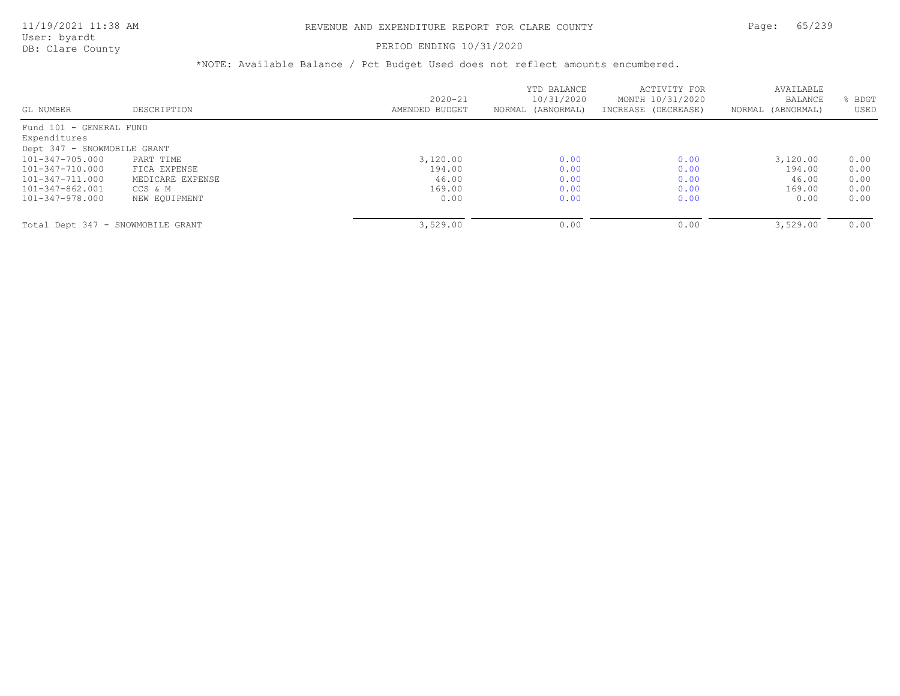#### PERIOD ENDING 10/31/2020

|                                   |                  | $2020 - 21$    | YTD BALANCE<br>10/31/2020 | ACTIVITY FOR                            | AVAILABLE                    |              |
|-----------------------------------|------------------|----------------|---------------------------|-----------------------------------------|------------------------------|--------------|
| GL NUMBER                         | DESCRIPTION      | AMENDED BUDGET | NORMAL (ABNORMAL)         | MONTH 10/31/2020<br>INCREASE (DECREASE) | BALANCE<br>NORMAL (ABNORMAL) | BDGT<br>USED |
| Fund 101 - GENERAL FUND           |                  |                |                           |                                         |                              |              |
| Expenditures                      |                  |                |                           |                                         |                              |              |
| Dept 347 - SNOWMOBILE GRANT       |                  |                |                           |                                         |                              |              |
| $101 - 347 - 705.000$             | PART TIME        | 3,120.00       | 0.00                      | 0.00                                    | 3,120.00                     | 0.00         |
| 101-347-710.000                   | FICA EXPENSE     | 194.00         | 0.00                      | 0.00                                    | 194.00                       | 0.00         |
| $101 - 347 - 711.000$             | MEDICARE EXPENSE | 46.00          | 0.00                      | 0.00                                    | 46.00                        | 0.00         |
| 101-347-862.001                   | CCS & M          | 169.00         | 0.00                      | 0.00                                    | 169.00                       | 0.00         |
| 101-347-978.000                   | NEW EOUIPMENT    | 0.00           | 0.00                      | 0.00                                    | 0.00                         | 0.00         |
| Total Dept 347 - SNOWMOBILE GRANT |                  | 3,529.00       | 0.00                      | 0.00                                    | 3,529.00                     | 0.00         |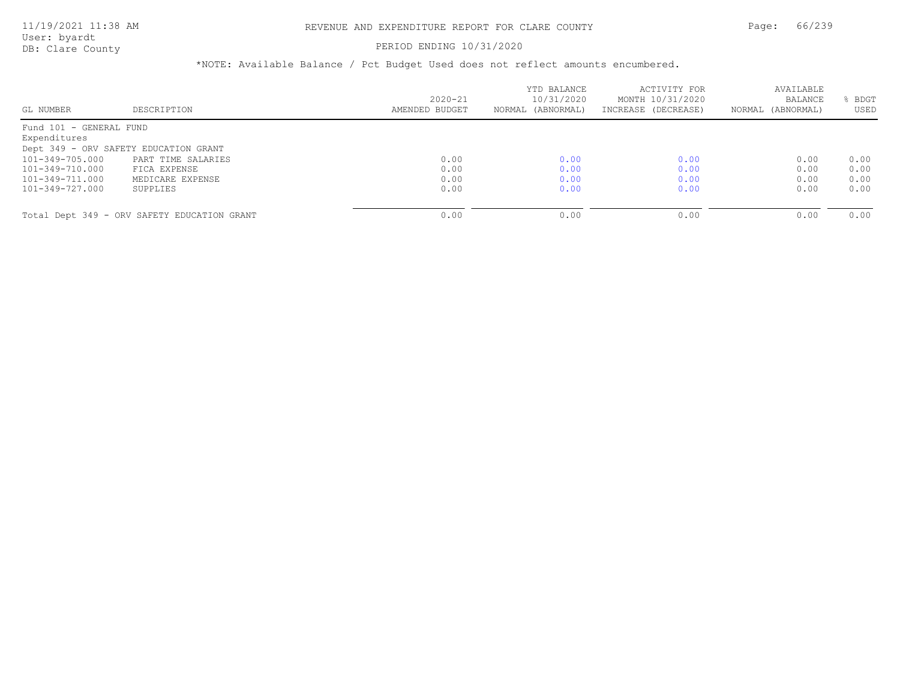#### PERIOD ENDING 10/31/2020

| GL NUMBER                               | DESCRIPTION                                 | $2020 - 21$<br>AMENDED BUDGET | YTD BALANCE<br>10/31/2020<br>NORMAL (ABNORMAL) | ACTIVITY FOR<br>MONTH 10/31/2020<br>INCREASE (DECREASE) | AVAILABLE<br><b>BALANCE</b><br>NORMAL (ABNORMAL) | BDGT<br>USED |
|-----------------------------------------|---------------------------------------------|-------------------------------|------------------------------------------------|---------------------------------------------------------|--------------------------------------------------|--------------|
| Fund 101 - GENERAL FUND<br>Expenditures |                                             |                               |                                                |                                                         |                                                  |              |
|                                         | Dept 349 - ORV SAFETY EDUCATION GRANT       |                               |                                                |                                                         |                                                  |              |
| 101-349-705.000                         | PART TIME SALARIES                          | 0.00                          | 0.00                                           | 0.00                                                    | 0.00                                             | 0.00         |
| 101-349-710.000                         | FICA EXPENSE                                | 0.00                          | 0.00                                           | 0.00                                                    | 0.00                                             | 0.00         |
| 101-349-711.000                         | MEDICARE EXPENSE                            | 0.00                          | 0.00                                           | 0.00                                                    | 0.00                                             | 0.00         |
| 101-349-727.000                         | SUPPLIES                                    | 0.00                          | 0.00                                           | 0.00                                                    | 0.00                                             | 0.00         |
|                                         |                                             |                               |                                                |                                                         |                                                  |              |
|                                         | Total Dept 349 - ORV SAFETY EDUCATION GRANT | 0.00                          | 0.00                                           | 0.00                                                    | 0.00                                             | 0.00         |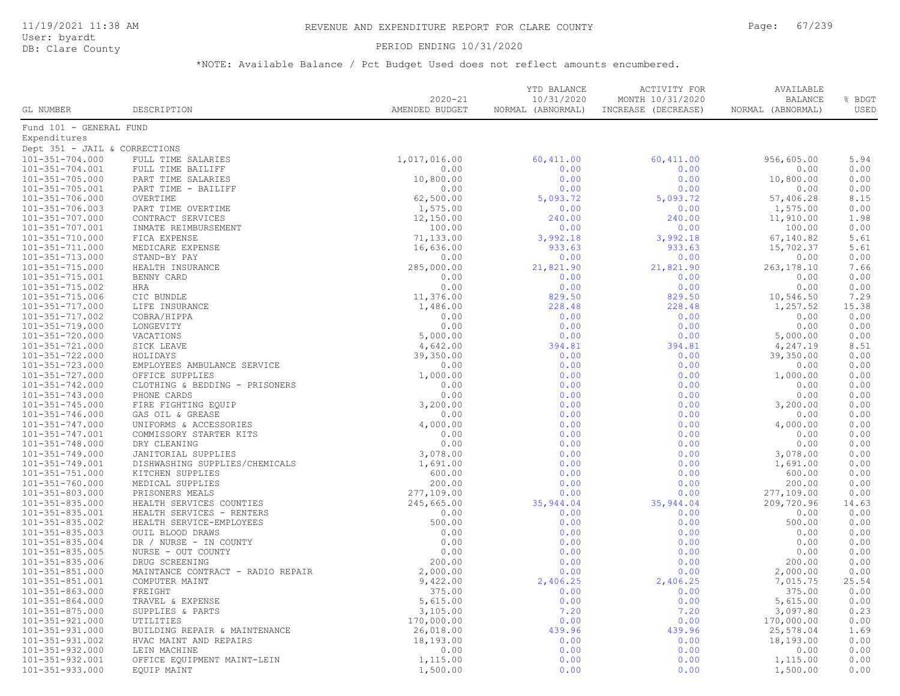### 11/19/2021 11:38 AM REVENUE AND EXPENDITURE REPORT FOR CLARE COUNTY Page: 67/239

User: byardt<br>DB: Clare County

PERIOD ENDING 10/31/2020

|                                                |                                   |                               | YTD BALANCE                     | ACTIVITY FOR                            | AVAILABLE                           |                |
|------------------------------------------------|-----------------------------------|-------------------------------|---------------------------------|-----------------------------------------|-------------------------------------|----------------|
| GL NUMBER                                      | DESCRIPTION                       | $2020 - 21$<br>AMENDED BUDGET | 10/31/2020<br>NORMAL (ABNORMAL) | MONTH 10/31/2020<br>INCREASE (DECREASE) | <b>BALANCE</b><br>NORMAL (ABNORMAL) | % BDGT<br>USED |
|                                                |                                   |                               |                                 |                                         |                                     |                |
| Fund 101 - GENERAL FUND                        |                                   |                               |                                 |                                         |                                     |                |
| Expenditures                                   |                                   |                               |                                 |                                         |                                     |                |
| Dept 351 - JAIL & CORRECTIONS                  |                                   |                               |                                 |                                         |                                     |                |
| 101-351-704.000                                | FULL TIME SALARIES                | 1,017,016.00                  | 60,411.00                       | 60,411.00                               | 956,605.00                          | 5.94           |
| $101 - 351 - 704.001$                          | FULL TIME BAILIFF                 | 0.00                          | 0.00                            | 0.00                                    | 0.00                                | 0.00           |
| $101 - 351 - 705.000$                          | PART TIME SALARIES                | 10,800.00                     | 0.00                            | 0.00                                    | 10,800.00                           | 0.00           |
| $101 - 351 - 705.001$                          | PART TIME - BAILIFF               | 0.00                          | 0.00                            | 0.00                                    | 0.00                                | 0.00           |
| 101-351-706.000                                | OVERTIME                          | 62,500.00                     | 5,093.72                        | 5,093.72                                | 57,406.28                           | 8.15           |
| 101-351-706.003                                | PART TIME OVERTIME                | 1,575.00                      | 0.00                            | 0.00                                    | 1,575.00                            | 0.00           |
| 101-351-707.000                                | CONTRACT SERVICES                 | 12,150.00                     | 240.00                          | 240.00                                  | 11,910.00                           | 1.98           |
| 101-351-707.001                                | INMATE REIMBURSEMENT              | 100.00                        | 0.00                            | 0.00                                    | 100.00                              | 0.00           |
| $101 - 351 - 710.000$                          | FICA EXPENSE                      | 71,133.00                     | 3,992.18                        | 3,992.18                                | 67,140.82                           | 5.61           |
| 101-351-711.000                                | MEDICARE EXPENSE                  | 16,636.00                     | 933.63                          | 933.63                                  | 15,702.37                           | 5.61           |
| $101 - 351 - 713.000$                          | STAND-BY PAY                      | 0.00                          | 0.00                            | 0.00                                    | 0.00                                | 0.00<br>7.66   |
| $101 - 351 - 715.000$                          | HEALTH INSURANCE<br>BENNY CARD    | 285,000.00<br>0.00            | 21,821.90<br>0.00               | 21,821.90<br>0.00                       | 263, 178.10<br>0.00                 | 0.00           |
| $101 - 351 - 715.001$                          | <b>HRA</b>                        | 0.00                          | 0.00                            | 0.00                                    | 0.00                                | 0.00           |
| $101 - 351 - 715.002$<br>$101 - 351 - 715.006$ | CIC BUNDLE                        | 11,376.00                     | 829.50                          | 829.50                                  | 10,546.50                           | 7.29           |
| 101-351-717.000                                | LIFE INSURANCE                    | 1,486.00                      | 228.48                          | 228.48                                  | 1,257.52                            | 15.38          |
| 101-351-717.002                                | COBRA/HIPPA                       | 0.00                          | 0.00                            | 0.00                                    | 0.00                                | 0.00           |
| 101-351-719.000                                | LONGEVITY                         | 0.00                          | 0.00                            | 0.00                                    | 0.00                                | 0.00           |
| $101 - 351 - 720.000$                          | VACATIONS                         | 5,000.00                      | 0.00                            | 0.00                                    | 5,000.00                            | 0.00           |
| 101-351-721.000                                | SICK LEAVE                        | 4,642.00                      | 394.81                          | 394.81                                  | 4,247.19                            | 8.51           |
| $101 - 351 - 722.000$                          | HOLIDAYS                          | 39,350.00                     | 0.00                            | 0.00                                    | 39,350.00                           | 0.00           |
| 101-351-723.000                                | EMPLOYEES AMBULANCE SERVICE       | 0.00                          | 0.00                            | 0.00                                    | 0.00                                | 0.00           |
| $101 - 351 - 727.000$                          | OFFICE SUPPLIES                   | 1,000.00                      | 0.00                            | 0.00                                    | 1,000.00                            | 0.00           |
| $101 - 351 - 742.000$                          | CLOTHING & BEDDING - PRISONERS    | 0.00                          | 0.00                            | 0.00                                    | 0.00                                | 0.00           |
| $101 - 351 - 743.000$                          | PHONE CARDS                       | 0.00                          | 0.00                            | 0.00                                    | 0.00                                | 0.00           |
| 101-351-745.000                                | FIRE FIGHTING EQUIP               | 3,200.00                      | 0.00                            | 0.00                                    | 3,200.00                            | 0.00           |
| $101 - 351 - 746.000$                          | GAS OIL & GREASE                  | 0.00                          | 0.00                            | 0.00                                    | 0.00                                | 0.00           |
| $101 - 351 - 747.000$                          | UNIFORMS & ACCESSORIES            | 4,000.00                      | 0.00                            | 0.00                                    | 4,000.00                            | 0.00           |
| 101-351-747.001                                | COMMISSORY STARTER KITS           | 0.00                          | 0.00                            | 0.00                                    | 0.00                                | 0.00           |
| 101-351-748.000                                | DRY CLEANING                      | 0.00                          | 0.00                            | 0.00                                    | 0.00                                | 0.00           |
| $101 - 351 - 749.000$                          | JANITORIAL SUPPLIES               | 3,078.00                      | 0.00                            | 0.00                                    | 3,078.00                            | 0.00           |
| 101-351-749.001                                | DISHWASHING SUPPLIES/CHEMICALS    | 1,691.00                      | 0.00                            | 0.00                                    | 1,691.00                            | 0.00           |
| $101 - 351 - 751.000$                          | KITCHEN SUPPLIES                  | 600.00                        | 0.00                            | 0.00                                    | 600.00                              | 0.00           |
| 101-351-760.000                                | MEDICAL SUPPLIES                  | 200.00                        | 0.00                            | 0.00                                    | 200.00                              | 0.00           |
| $101 - 351 - 803.000$                          | PRISONERS MEALS                   | 277,109.00                    | 0.00                            | 0.00                                    | 277,109.00                          | 0.00           |
| $101 - 351 - 835.000$                          | HEALTH SERVICES COUNTIES          | 245,665.00                    | 35,944.04                       | 35,944.04                               | 209,720.96                          | 14.63          |
| 101-351-835.001                                | HEALTH SERVICES - RENTERS         | 0.00                          | 0.00                            | 0.00                                    | 0.00                                | 0.00           |
| $101 - 351 - 835.002$                          | HEALTH SERVICE-EMPLOYEES          | 500.00                        | 0.00                            | 0.00                                    | 500.00                              | 0.00           |
| $101 - 351 - 835.003$                          | OUIL BLOOD DRAWS                  | 0.00                          | 0.00                            | 0.00                                    | 0.00                                | 0.00           |
| $101 - 351 - 835.004$                          | DR / NURSE - IN COUNTY            | 0.00                          | 0.00                            | 0.00                                    | 0.00                                | 0.00           |
| $101 - 351 - 835.005$                          | NURSE - OUT COUNTY                | 0.00                          | 0.00                            | 0.00                                    | 0.00                                | 0.00           |
| 101-351-835.006                                | DRUG SCREENING                    | 200.00                        | 0.00                            | 0.00                                    | 200.00                              | 0.00           |
| $101 - 351 - 851.000$                          | MAINTANCE CONTRACT - RADIO REPAIR | 2,000.00                      | 0.00                            | 0.00                                    | 2,000.00                            | 0.00           |
| 101-351-851.001                                | COMPUTER MAINT                    | 9,422.00                      | 2,406.25                        | 2,406.25                                | 7,015.75                            | 25.54          |
| $101 - 351 - 863.000$                          | FREIGHT                           | 375.00                        | 0.00                            | 0.00                                    | 375.00                              | 0.00           |
| $101 - 351 - 864.000$                          | TRAVEL & EXPENSE                  | 5,615.00                      | 0.00                            | 0.00                                    | 5,615.00                            | 0.00           |
| $101 - 351 - 875.000$                          | SUPPLIES & PARTS                  | 3,105.00                      | 7.20                            | 7.20                                    | 3,097.80                            | 0.23           |
| $101 - 351 - 921.000$                          | UTILITIES                         | 170,000.00                    | 0.00                            | 0.00                                    | 170,000.00                          | 0.00           |
| 101-351-931.000                                | BUILDING REPAIR & MAINTENANCE     | 26,018.00                     | 439.96                          | 439.96                                  | 25,578.04                           | 1.69           |
| 101-351-931.002                                | HVAC MAINT AND REPAIRS            | 18,193.00                     | 0.00                            | 0.00                                    | 18,193.00                           | 0.00           |
| $101 - 351 - 932.000$                          | LEIN MACHINE                      | 0.00                          | 0.00                            | 0.00                                    | 0.00                                | 0.00           |
| $101 - 351 - 932.001$                          | OFFICE EQUIPMENT MAINT-LEIN       | 1,115.00                      | 0.00                            | 0.00                                    | 1,115.00                            | 0.00           |
| $101 - 351 - 933.000$                          | EQUIP MAINT                       | 1,500.00                      | 0.00                            | 0.00                                    | 1,500.00                            | 0.00           |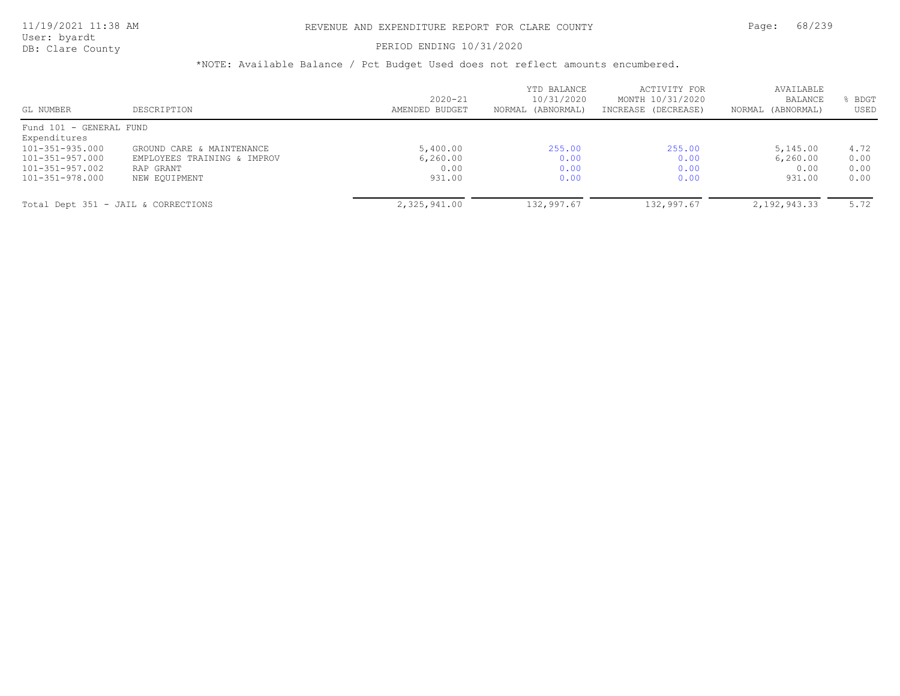#### PERIOD ENDING 10/31/2020

| GL NUMBER                           | DESCRIPTION                 | $2020 - 21$<br>AMENDED BUDGET | YTD BALANCE<br>10/31/2020<br>NORMAL (ABNORMAL) | ACTIVITY FOR<br>MONTH 10/31/2020<br>INCREASE (DECREASE) | AVAILABLE<br><b>BALANCE</b><br>NORMAL (ABNORMAL) | BDGT<br>USED |
|-------------------------------------|-----------------------------|-------------------------------|------------------------------------------------|---------------------------------------------------------|--------------------------------------------------|--------------|
| Fund 101 - GENERAL FUND             |                             |                               |                                                |                                                         |                                                  |              |
| Expenditures                        |                             |                               |                                                |                                                         |                                                  |              |
| 101-351-935.000                     | GROUND CARE & MAINTENANCE   | 5,400.00                      | 255.00                                         | 255.00                                                  | 5,145.00                                         | 4.72         |
| 101-351-957.000                     | EMPLOYEES TRAINING & IMPROV | 6, 260, 00                    | 0.00                                           | 0.00                                                    | 6, 260, 00                                       | 0.00         |
| 101-351-957.002                     | RAP GRANT                   | 0.00                          | 0.00                                           | 0.00                                                    | 0.00                                             | 0.00         |
| 101-351-978.000                     | NEW EQUIPMENT               | 931.00                        | 0.00                                           | 0.00                                                    | 931.00                                           | 0.00         |
| Total Dept 351 - JAIL & CORRECTIONS |                             | 2,325,941.00                  | 132,997.67                                     | 132,997.67                                              | 2,192,943.33                                     | 5.72         |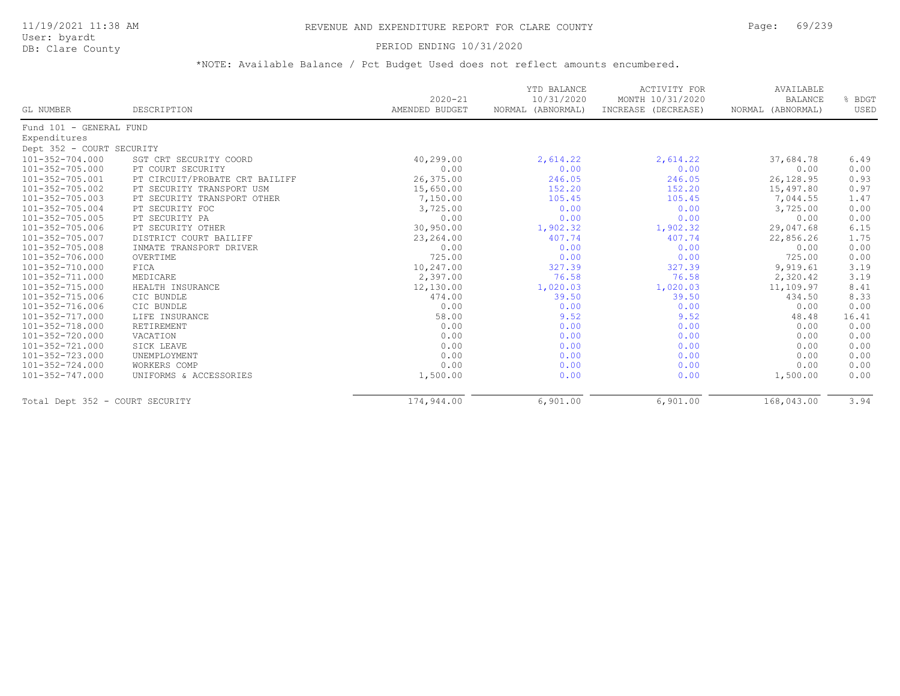#### PERIOD ENDING 10/31/2020

| GL NUMBER                       | DESCRIPTION                    | $2020 - 21$<br>AMENDED BUDGET | YTD BALANCE<br>10/31/2020<br>NORMAL (ABNORMAL) | <b>ACTIVITY FOR</b><br>MONTH 10/31/2020<br>INCREASE (DECREASE) | AVAILABLE<br><b>BALANCE</b><br>NORMAL (ABNORMAL) | % BDGT<br>USED |
|---------------------------------|--------------------------------|-------------------------------|------------------------------------------------|----------------------------------------------------------------|--------------------------------------------------|----------------|
|                                 |                                |                               |                                                |                                                                |                                                  |                |
| Fund 101 - GENERAL FUND         |                                |                               |                                                |                                                                |                                                  |                |
| Expenditures                    |                                |                               |                                                |                                                                |                                                  |                |
| Dept 352 - COURT SECURITY       |                                |                               |                                                |                                                                |                                                  |                |
| 101-352-704.000                 | SGT CRT SECURITY COORD         | 40,299.00                     | 2,614.22                                       | 2,614.22                                                       | 37,684.78                                        | 6.49           |
| 101-352-705.000                 | PT COURT SECURITY              | 0.00                          | 0.00                                           | 0.00                                                           | 0.00                                             | 0.00           |
| 101-352-705.001                 | PT CIRCUIT/PROBATE CRT BAILIFF | 26,375.00                     | 246.05                                         | 246.05                                                         | 26,128.95                                        | 0.93           |
| 101-352-705.002                 | PT SECURITY TRANSPORT USM      | 15,650.00                     | 152.20                                         | 152.20                                                         | 15,497.80                                        | 0.97           |
| 101-352-705.003                 | PT SECURITY TRANSPORT OTHER    | 7,150.00                      | 105.45                                         | 105.45                                                         | 7,044.55                                         | 1.47           |
| 101-352-705.004                 | PT SECURITY FOC                | 3,725.00                      | 0.00                                           | 0.00                                                           | 3,725.00                                         | 0.00           |
| 101-352-705.005                 | PT SECURITY PA                 | 0.00                          | 0.00                                           | 0.00                                                           | 0.00                                             | 0.00           |
| 101-352-705.006                 | PT SECURITY OTHER              | 30,950.00                     | 1,902.32                                       | 1,902.32                                                       | 29,047.68                                        | 6.15           |
| 101-352-705.007                 | DISTRICT COURT BAILIFF         | 23, 264.00                    | 407.74                                         | 407.74                                                         | 22,856.26                                        | 1.75           |
| 101-352-705.008                 | INMATE TRANSPORT DRIVER        | 0.00                          | 0.00                                           | 0.00                                                           | 0.00                                             | 0.00           |
| 101-352-706.000                 | OVERTIME                       | 725.00                        | 0.00                                           | 0.00                                                           | 725.00                                           | 0.00           |
| 101-352-710.000                 | FICA                           | 10,247.00                     | 327.39                                         | 327.39                                                         | 9,919.61                                         | 3.19           |
| 101-352-711.000                 | MEDICARE                       | 2,397.00                      | 76.58                                          | 76.58                                                          | 2,320.42                                         | 3.19           |
| $101 - 352 - 715.000$           | HEALTH INSURANCE               | 12,130.00                     | 1,020.03                                       | 1,020.03                                                       | 11,109.97                                        | 8.41           |
| 101-352-715.006                 | CIC BUNDLE                     | 474.00                        | 39.50                                          | 39.50                                                          | 434.50                                           | 8.33           |
| 101-352-716.006                 | CIC BUNDLE                     | 0.00                          | 0.00                                           | 0.00                                                           | 0.00                                             | 0.00           |
| 101-352-717.000                 | LIFE INSURANCE                 | 58.00                         | 9.52                                           | 9.52                                                           | 48.48                                            | 16.41          |
| 101-352-718.000                 | RETIREMENT                     | 0.00                          | 0.00                                           | 0.00                                                           | 0.00                                             | 0.00           |
| 101-352-720.000                 | VACATION                       | 0.00                          | 0.00                                           | 0.00                                                           | 0.00                                             | 0.00           |
| 101-352-721.000                 | SICK LEAVE                     | 0.00                          | 0.00                                           | 0.00                                                           | 0.00                                             | 0.00           |
| 101-352-723.000                 | UNEMPLOYMENT                   | 0.00                          | 0.00                                           | 0.00                                                           | 0.00                                             | 0.00           |
| 101-352-724.000                 | WORKERS COMP                   | 0.00                          | 0.00                                           | 0.00                                                           | 0.00                                             | 0.00           |
| 101-352-747.000                 | UNIFORMS & ACCESSORIES         | 1,500.00                      | 0.00                                           | 0.00                                                           | 1,500.00                                         | 0.00           |
| Total Dept 352 - COURT SECURITY |                                | 174,944.00                    | 6,901.00                                       | 6,901.00                                                       | 168,043.00                                       | 3.94           |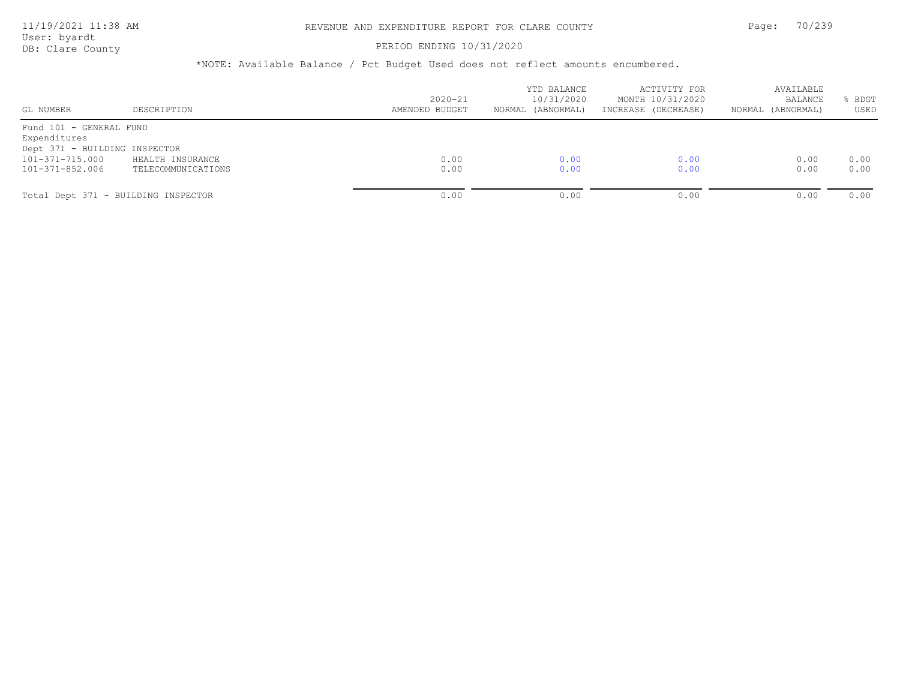#### PERIOD ENDING 10/31/2020

| GL NUMBER                                                                                                      | DESCRIPTION                            | $2020 - 21$<br>AMENDED BUDGET | YTD BALANCE<br>10/31/2020<br>NORMAL (ABNORMAL) | ACTIVITY FOR<br>MONTH 10/31/2020<br>INCREASE (DECREASE) | AVAILABLE<br><b>BALANCE</b><br>NORMAL (ABNORMAL) | BDGT<br>USED |
|----------------------------------------------------------------------------------------------------------------|----------------------------------------|-------------------------------|------------------------------------------------|---------------------------------------------------------|--------------------------------------------------|--------------|
| Fund 101 - GENERAL FUND<br>Expenditures<br>Dept 371 - BUILDING INSPECTOR<br>101-371-715.000<br>101-371-852.006 | HEALTH INSURANCE<br>TELECOMMUNICATIONS | 0.00<br>0.00                  | 0.00<br>0.00                                   | 0.00<br>0.00                                            | 0.00<br>0.00                                     | 0.00<br>0.00 |
|                                                                                                                | Total Dept 371 - BUILDING INSPECTOR    | 0.00                          | 0.00                                           | 0.00                                                    | 0.00                                             | 0.00         |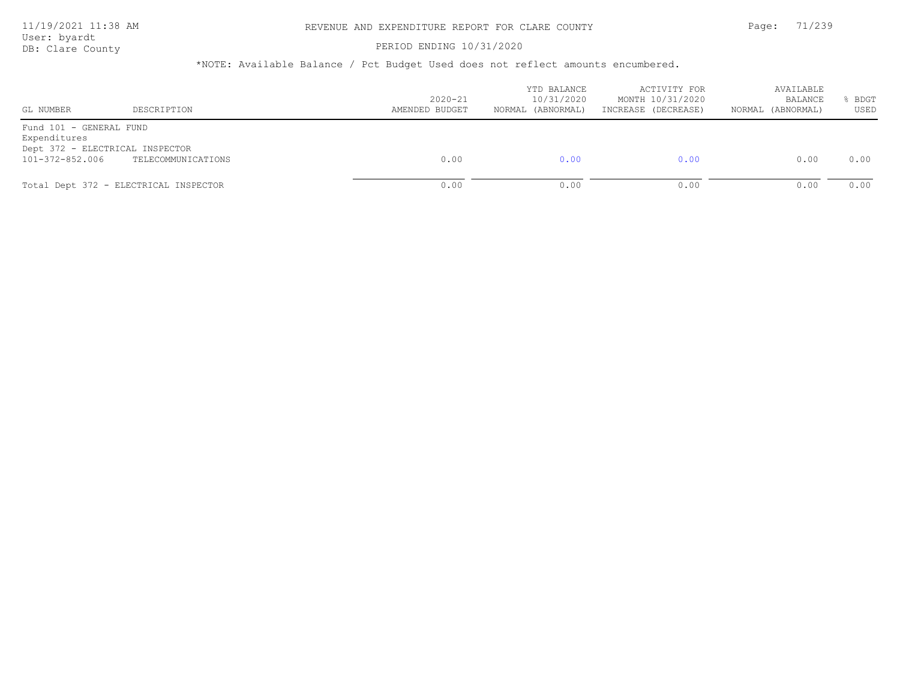#### PERIOD ENDING 10/31/2020

| GL NUMBER                                                                                     | DESCRIPTION                           | $2020 - 21$<br>AMENDED BUDGET | YTD BALANCE<br>10/31/2020<br>NORMAL (ABNORMAL) | ACTIVITY FOR<br>MONTH 10/31/2020<br>INCREASE (DECREASE) | AVAILABLE<br><b>BALANCE</b><br>NORMAL (ABNORMAL) | BDGT<br>USED |
|-----------------------------------------------------------------------------------------------|---------------------------------------|-------------------------------|------------------------------------------------|---------------------------------------------------------|--------------------------------------------------|--------------|
| Fund 101 - GENERAL FUND<br>Expenditures<br>Dept 372 - ELECTRICAL INSPECTOR<br>101-372-852.006 | TELECOMMUNICATIONS                    | 0.00                          | 0.00                                           | 0.00                                                    | 0.00                                             | 0.00         |
|                                                                                               | Total Dept 372 - ELECTRICAL INSPECTOR | 0.00                          | 0.00                                           | 0.00                                                    | 0.00                                             | 0.00         |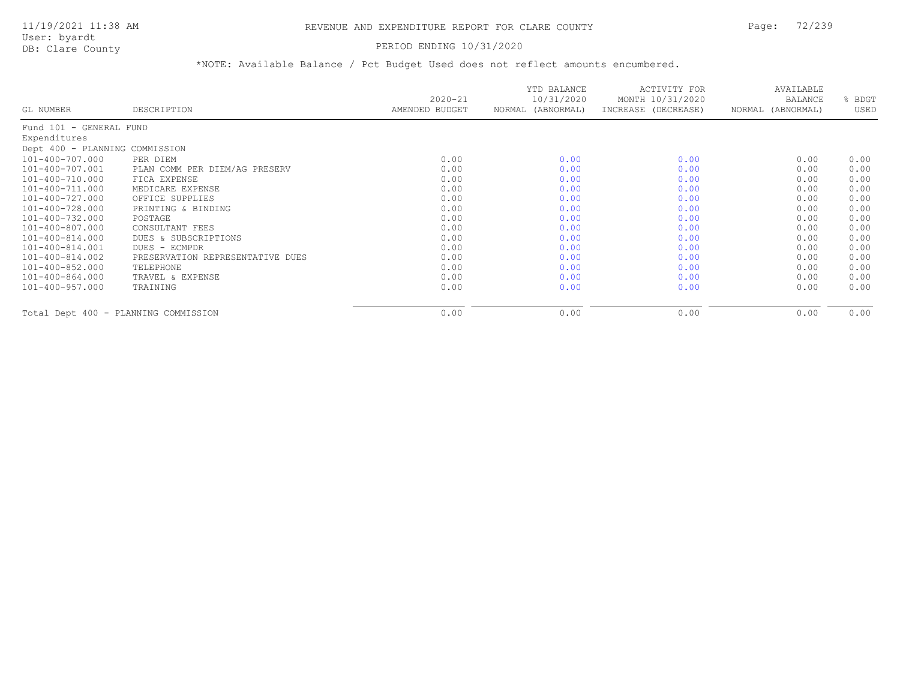### PERIOD ENDING 10/31/2020

|                                      |                                  | $2020 - 21$    | YTD BALANCE<br>10/31/2020 | ACTIVITY FOR<br>MONTH 10/31/2020 | AVAILABLE<br><b>BALANCE</b> | BDGT |
|--------------------------------------|----------------------------------|----------------|---------------------------|----------------------------------|-----------------------------|------|
| GL NUMBER                            | DESCRIPTION                      | AMENDED BUDGET | NORMAL (ABNORMAL)         | INCREASE (DECREASE)              | NORMAL (ABNORMAL)           | USED |
| Fund 101 - GENERAL FUND              |                                  |                |                           |                                  |                             |      |
| Expenditures                         |                                  |                |                           |                                  |                             |      |
| Dept 400 - PLANNING COMMISSION       |                                  |                |                           |                                  |                             |      |
| 101-400-707.000                      | PER DIEM                         | 0.00           | 0.00                      | 0.00                             | 0.00                        | 0.00 |
| 101-400-707.001                      | PLAN COMM PER DIEM/AG PRESERV    | 0.00           | 0.00                      | 0.00                             | 0.00                        | 0.00 |
| 101-400-710.000                      | FICA EXPENSE                     | 0.00           | 0.00                      | 0.00                             | 0.00                        | 0.00 |
| 101-400-711.000                      | MEDICARE EXPENSE                 | 0.00           | 0.00                      | 0.00                             | 0.00                        | 0.00 |
| 101-400-727.000                      | OFFICE SUPPLIES                  | 0.00           | 0.00                      | 0.00                             | 0.00                        | 0.00 |
| 101-400-728.000                      | PRINTING & BINDING               | 0.00           | 0.00                      | 0.00                             | 0.00                        | 0.00 |
| $101 - 400 - 732.000$                | POSTAGE                          | 0.00           | 0.00                      | 0.00                             | 0.00                        | 0.00 |
| 101-400-807.000                      | CONSULTANT FEES                  | 0.00           | 0.00                      | 0.00                             | 0.00                        | 0.00 |
| 101-400-814.000                      | DUES & SUBSCRIPTIONS             | 0.00           | 0.00                      | 0.00                             | 0.00                        | 0.00 |
| 101-400-814.001                      | DUES - ECMPDR                    | 0.00           | 0.00                      | 0.00                             | 0.00                        | 0.00 |
| 101-400-814.002                      | PRESERVATION REPRESENTATIVE DUES | 0.00           | 0.00                      | 0.00                             | 0.00                        | 0.00 |
| 101-400-852.000                      | TELEPHONE                        | 0.00           | 0.00                      | 0.00                             | 0.00                        | 0.00 |
| 101-400-864.000                      | TRAVEL & EXPENSE                 | 0.00           | 0.00                      | 0.00                             | 0.00                        | 0.00 |
| $101 - 400 - 957.000$                | TRAINING                         | 0.00           | 0.00                      | 0.00                             | 0.00                        | 0.00 |
| Total Dept 400 - PLANNING COMMISSION |                                  | 0.00           | 0.00                      | 0.00                             | 0.00                        | 0.00 |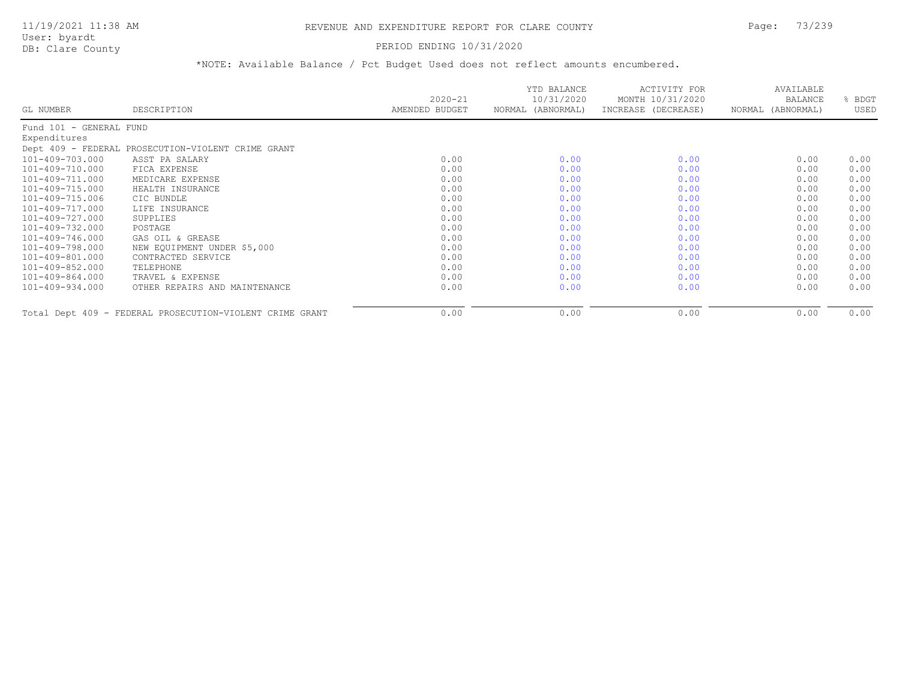### PERIOD ENDING 10/31/2020

|                         |                                                          | $2020 - 21$    | YTD BALANCE<br>10/31/2020 | ACTIVITY FOR<br>MONTH 10/31/2020 | AVAILABLE<br>BALANCE | BDGT |
|-------------------------|----------------------------------------------------------|----------------|---------------------------|----------------------------------|----------------------|------|
| GL NUMBER               | DESCRIPTION                                              | AMENDED BUDGET | NORMAL (ABNORMAL)         | INCREASE (DECREASE)              | NORMAL (ABNORMAL)    | USED |
| Fund 101 - GENERAL FUND |                                                          |                |                           |                                  |                      |      |
| Expenditures            |                                                          |                |                           |                                  |                      |      |
|                         | Dept 409 - FEDERAL PROSECUTION-VIOLENT CRIME GRANT       |                |                           |                                  |                      |      |
| 101-409-703.000         | ASST PA SALARY                                           | 0.00           | 0.00                      | 0.00                             | 0.00                 | 0.00 |
| 101-409-710.000         | FICA EXPENSE                                             | 0.00           | 0.00                      | 0.00                             | 0.00                 | 0.00 |
| 101-409-711.000         | MEDICARE EXPENSE                                         | 0.00           | 0.00                      | 0.00                             | 0.00                 | 0.00 |
| 101-409-715.000         | HEALTH INSURANCE                                         | 0.00           | 0.00                      | 0.00                             | 0.00                 | 0.00 |
| 101-409-715.006         | CIC BUNDLE                                               | 0.00           | 0.00                      | 0.00                             | 0.00                 | 0.00 |
| 101-409-717.000         | LIFE INSURANCE                                           | 0.00           | 0.00                      | 0.00                             | 0.00                 | 0.00 |
| 101-409-727.000         | SUPPLIES                                                 | 0.00           | 0.00                      | 0.00                             | 0.00                 | 0.00 |
| 101-409-732.000         | POSTAGE                                                  | 0.00           | 0.00                      | 0.00                             | 0.00                 | 0.00 |
| 101-409-746.000         | GAS OIL & GREASE                                         | 0.00           | 0.00                      | 0.00                             | 0.00                 | 0.00 |
| 101-409-798.000         | NEW EQUIPMENT UNDER \$5,000                              | 0.00           | 0.00                      | 0.00                             | 0.00                 | 0.00 |
| 101-409-801.000         | CONTRACTED SERVICE                                       | 0.00           | 0.00                      | 0.00                             | 0.00                 | 0.00 |
| 101-409-852.000         | TELEPHONE                                                | 0.00           | 0.00                      | 0.00                             | 0.00                 | 0.00 |
| 101-409-864.000         | TRAVEL & EXPENSE                                         | 0.00           | 0.00                      | 0.00                             | 0.00                 | 0.00 |
| 101-409-934.000         | OTHER REPAIRS AND MAINTENANCE                            | 0.00           | 0.00                      | 0.00                             | 0.00                 | 0.00 |
|                         | Total Dept 409 - FEDERAL PROSECUTION-VIOLENT CRIME GRANT | 0.00           | 0.00                      | 0.00                             | 0.00                 | 0.00 |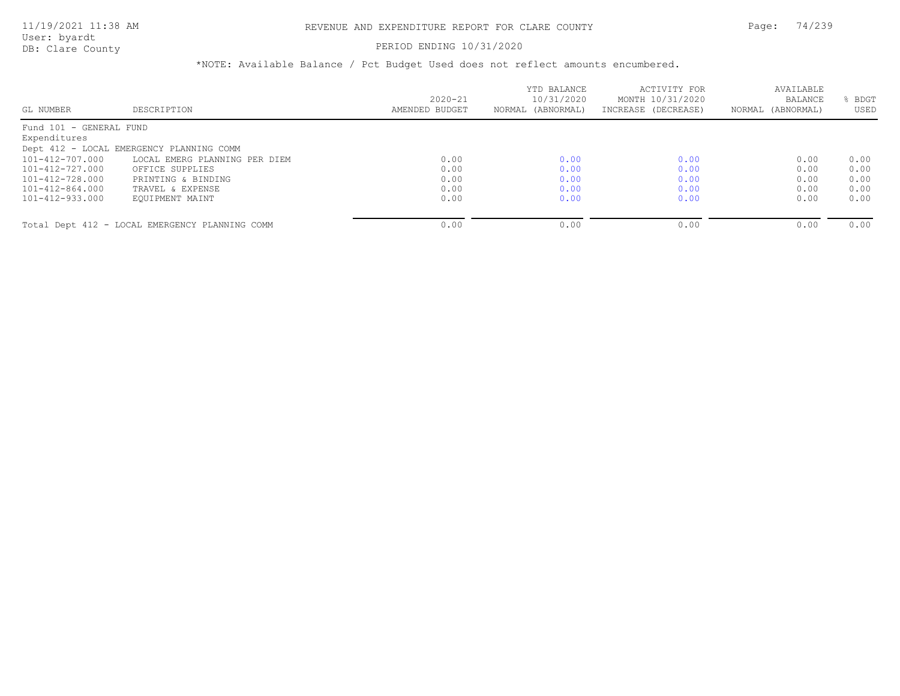### PERIOD ENDING 10/31/2020

|                         |                                                |                | YTD BALANCE       | ACTIVITY FOR        | AVAILABLE         |      |
|-------------------------|------------------------------------------------|----------------|-------------------|---------------------|-------------------|------|
|                         |                                                | $2020 - 21$    | 10/31/2020        | MONTH 10/31/2020    | BALANCE           | BDGT |
| GL NUMBER               | DESCRIPTION                                    | AMENDED BUDGET | NORMAL (ABNORMAL) | INCREASE (DECREASE) | NORMAL (ABNORMAL) | USED |
| Fund 101 - GENERAL FUND |                                                |                |                   |                     |                   |      |
| Expenditures            |                                                |                |                   |                     |                   |      |
|                         | Dept 412 - LOCAL EMERGENCY PLANNING COMM       |                |                   |                     |                   |      |
| 101-412-707.000         | LOCAL EMERG PLANNING PER DIEM                  | 0.00           | 0.00              | 0.00                | 0.00              | 0.00 |
| 101-412-727.000         | OFFICE SUPPLIES                                | 0.00           | 0.00              | 0.00                | 0.00              | 0.00 |
| $101 - 412 - 728.000$   | PRINTING & BINDING                             | 0.00           | 0.00              | 0.00                | 0.00              | 0.00 |
| 101-412-864.000         | TRAVEL & EXPENSE                               | 0.00           | 0.00              | 0.00                | 0.00              | 0.00 |
| 101-412-933.000         | EOUIPMENT MAINT                                | 0.00           | 0.00              | 0.00                | 0.00              | 0.00 |
|                         | Total Dept 412 - LOCAL EMERGENCY PLANNING COMM | 0.00           | 0.00              | 0.00                | 0.00              | 0.00 |
|                         |                                                |                |                   |                     |                   |      |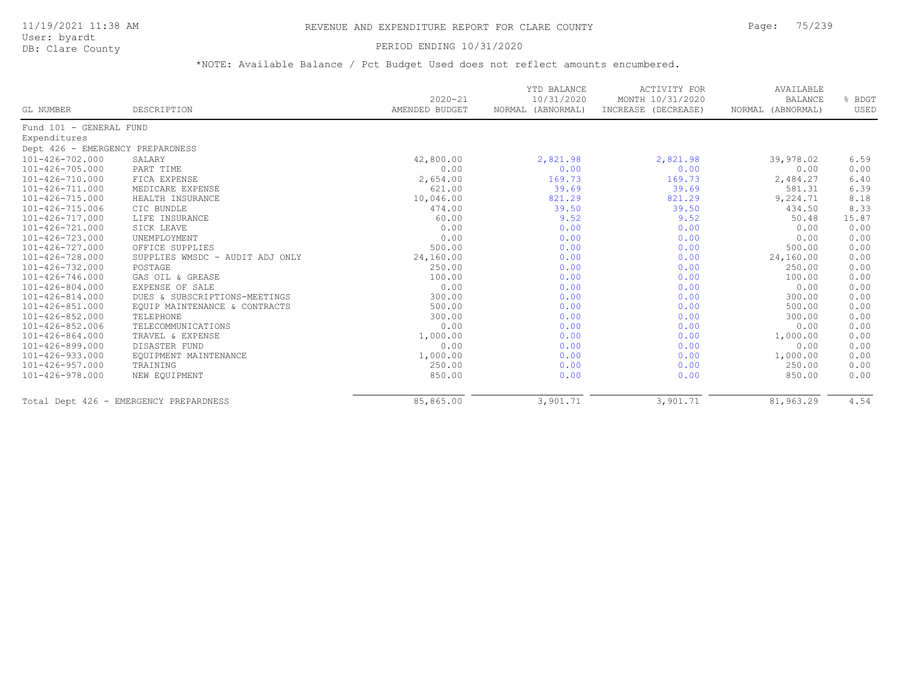User: byardt

# DB: Clare County **DB: Clare County**

| GL NUMBER                        | DESCRIPTION                            | $2020 - 21$<br>AMENDED BUDGET | YTD BALANCE<br>10/31/2020<br>NORMAL (ABNORMAL) | <b>ACTIVITY FOR</b><br>MONTH 10/31/2020<br>INCREASE (DECREASE) | AVAILABLE<br><b>BALANCE</b><br>NORMAL (ABNORMAL) | % BDGT<br>USED |
|----------------------------------|----------------------------------------|-------------------------------|------------------------------------------------|----------------------------------------------------------------|--------------------------------------------------|----------------|
| Fund 101 - GENERAL FUND          |                                        |                               |                                                |                                                                |                                                  |                |
| Expenditures                     |                                        |                               |                                                |                                                                |                                                  |                |
| Dept 426 - EMERGENCY PREPARDNESS |                                        |                               |                                                |                                                                |                                                  |                |
| 101-426-702.000                  | SALARY                                 | 42,800.00                     | 2,821.98                                       | 2,821.98                                                       | 39,978.02                                        | 6.59           |
| 101-426-705.000                  | PART TIME                              | 0.00                          | 0.00                                           | 0.00                                                           | 0.00                                             | 0.00           |
| 101-426-710.000                  | FICA EXPENSE                           | 2,654.00                      | 169.73                                         | 169.73                                                         | 2,484.27                                         | 6.40           |
| 101-426-711.000                  | MEDICARE EXPENSE                       | 621.00                        | 39.69                                          | 39.69                                                          | 581.31                                           | 6.39           |
| 101-426-715.000                  | HEALTH INSURANCE                       | 10,046.00                     | 821.29                                         | 821.29                                                         | 9,224.71                                         | 8.18           |
| 101-426-715.006                  | CIC BUNDLE                             | 474.00                        | 39.50                                          | 39.50                                                          | 434.50                                           | 8.33           |
| 101-426-717.000                  | LIFE INSURANCE                         | 60.00                         | 9.52                                           | 9.52                                                           | 50.48                                            | 15.87          |
| 101-426-721.000                  | SICK LEAVE                             | 0.00                          | 0.00                                           | 0.00                                                           | 0.00                                             | 0.00           |
| 101-426-723.000                  | UNEMPLOYMENT                           | 0.00                          | 0.00                                           | 0.00                                                           | 0.00                                             | 0.00           |
| 101-426-727.000                  | OFFICE SUPPLIES                        | 500.00                        | 0.00                                           | 0.00                                                           | 500.00                                           | 0.00           |
| 101-426-728.000                  | SUPPLIES WMSDC - AUDIT ADJ ONLY        | 24,160.00                     | 0.00                                           | 0.00                                                           | 24,160.00                                        | 0.00           |
| 101-426-732.000                  | POSTAGE                                | 250.00                        | 0.00                                           | 0.00                                                           | 250.00                                           | 0.00           |
| 101-426-746.000                  | GAS OIL & GREASE                       | 100.00                        | 0.00                                           | 0.00                                                           | 100.00                                           | 0.00           |
| 101-426-804.000                  | EXPENSE OF SALE                        | 0.00                          | 0.00                                           | 0.00                                                           | 0.00                                             | 0.00           |
| 101-426-814.000                  | DUES & SUBSCRIPTIONS-MEETINGS          | 300.00                        | 0.00                                           | 0.00                                                           | 300.00                                           | 0.00           |
| 101-426-851.000                  | EQUIP MAINTENANCE & CONTRACTS          | 500.00                        | 0.00                                           | 0.00                                                           | 500.00                                           | 0.00           |
| 101-426-852.000                  | TELEPHONE                              | 300.00                        | 0.00                                           | 0.00                                                           | 300.00                                           | 0.00           |
| 101-426-852.006                  | TELECOMMUNICATIONS                     | 0.00                          | 0.00                                           | 0.00                                                           | 0.00                                             | 0.00           |
| 101-426-864.000                  | TRAVEL & EXPENSE                       | 1,000.00                      | 0.00                                           | 0.00                                                           | 1,000.00                                         | 0.00           |
| 101-426-899.000                  | DISASTER FUND                          | 0.00                          | 0.00                                           | 0.00                                                           | 0.00                                             | 0.00           |
| 101-426-933.000                  | EQUIPMENT MAINTENANCE                  | 1,000.00                      | 0.00                                           | 0.00                                                           | 1,000.00                                         | 0.00           |
| 101-426-957.000                  | TRAINING                               | 250.00                        | 0.00                                           | 0.00                                                           | 250.00                                           | 0.00           |
| 101-426-978.000                  | NEW EQUIPMENT                          | 850.00                        | 0.00                                           | 0.00                                                           | 850.00                                           | 0.00           |
|                                  | Total Dept 426 - EMERGENCY PREPARDNESS | 85,865.00                     | 3,901.71                                       | 3,901.71                                                       | 81,963.29                                        | 4.54           |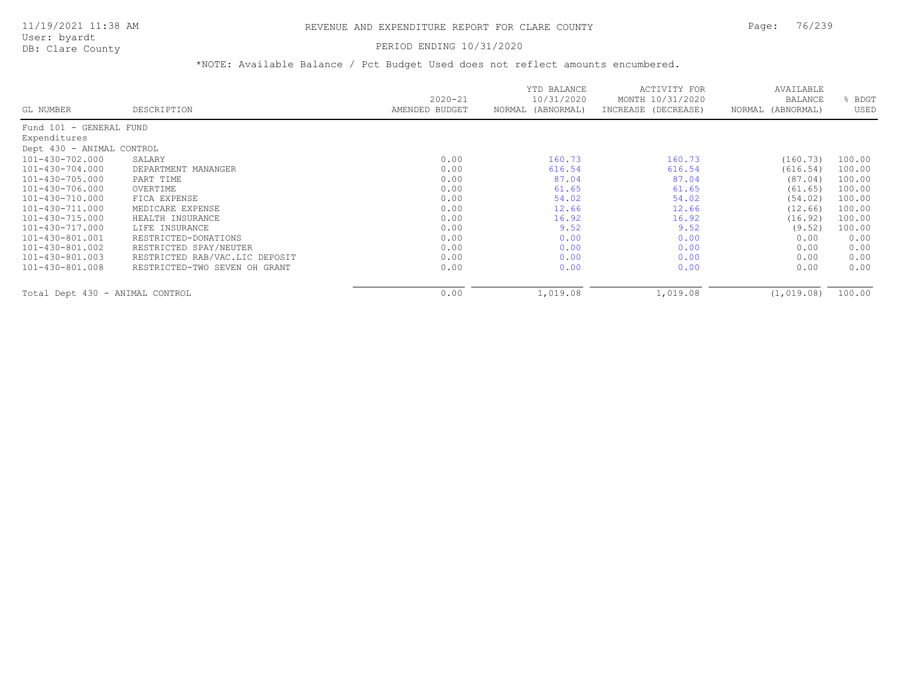### PERIOD ENDING 10/31/2020

|                                 |                                |                               | YTD BALANCE                     | ACTIVITY FOR                            | AVAILABLE                    |              |
|---------------------------------|--------------------------------|-------------------------------|---------------------------------|-----------------------------------------|------------------------------|--------------|
| GL NUMBER                       | DESCRIPTION                    | $2020 - 21$<br>AMENDED BUDGET | 10/31/2020<br>NORMAL (ABNORMAL) | MONTH 10/31/2020<br>INCREASE (DECREASE) | BALANCE<br>NORMAL (ABNORMAL) | BDGT<br>USED |
| Fund 101 - GENERAL FUND         |                                |                               |                                 |                                         |                              |              |
| Expenditures                    |                                |                               |                                 |                                         |                              |              |
| Dept 430 - ANIMAL CONTROL       |                                |                               |                                 |                                         |                              |              |
| 101-430-702.000                 | SALARY                         | 0.00                          | 160.73                          | 160.73                                  | (160.73)                     | 100.00       |
| 101-430-704.000                 | DEPARTMENT MANANGER            | 0.00                          | 616.54                          | 616.54                                  | (616.54)                     | 100.00       |
| 101-430-705.000                 | PART TIME                      | 0.00                          | 87.04                           | 87.04                                   | (87.04)                      | 100.00       |
| 101-430-706.000                 | OVERTIME                       | 0.00                          | 61.65                           | 61.65                                   | (61.65)                      | 100.00       |
| 101-430-710.000                 | FICA EXPENSE                   | 0.00                          | 54.02                           | 54.02                                   | (54.02)                      | 100.00       |
| 101-430-711.000                 | MEDICARE EXPENSE               | 0.00                          | 12.66                           | 12.66                                   | (12.66)                      | 100.00       |
| 101-430-715.000                 | HEALTH INSURANCE               | 0.00                          | 16.92                           | 16.92                                   | (16.92)                      | 100.00       |
| 101-430-717.000                 | LIFE INSURANCE                 | 0.00                          | 9.52                            | 9.52                                    | (9.52)                       | 100.00       |
| 101-430-801.001                 | RESTRICTED-DONATIONS           | 0.00                          | 0.00                            | 0.00                                    | 0.00                         | 0.00         |
| 101-430-801.002                 | RESTRICTED SPAY/NEUTER         | 0.00                          | 0.00                            | 0.00                                    | 0.00                         | 0.00         |
| 101-430-801.003                 | RESTRICTED RAB/VAC.LIC DEPOSIT | 0.00                          | 0.00                            | 0.00                                    | 0.00                         | 0.00         |
| 101-430-801.008                 | RESTRICTED-TWO SEVEN OH GRANT  | 0.00                          | 0.00                            | 0.00                                    | 0.00                         | 0.00         |
| Total Dept 430 - ANIMAL CONTROL |                                | 0.00                          | 1,019.08                        | 1,019.08                                | (1, 019.08)                  | 100.00       |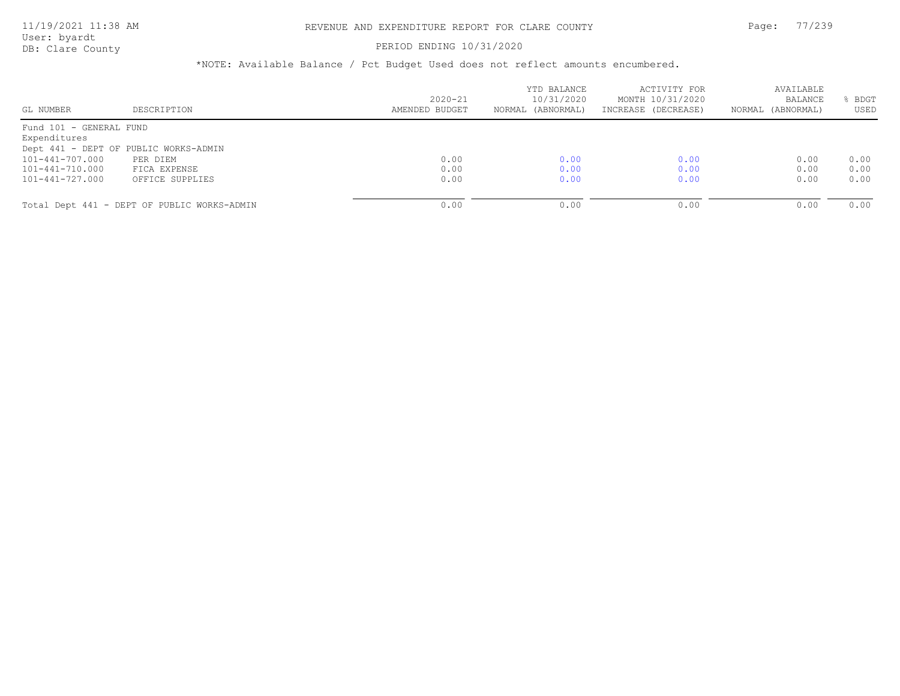## PERIOD ENDING 10/31/2020

| GL NUMBER               | DESCRIPTION                                 | $2020 - 21$<br>AMENDED BUDGET | YTD BALANCE<br>10/31/2020<br>NORMAL (ABNORMAL) | ACTIVITY FOR<br>MONTH 10/31/2020<br>INCREASE (DECREASE) | AVAILABLE<br>BALANCE<br>NORMAL (ABNORMAL) | BDGT<br>USED |
|-------------------------|---------------------------------------------|-------------------------------|------------------------------------------------|---------------------------------------------------------|-------------------------------------------|--------------|
|                         |                                             |                               |                                                |                                                         |                                           |              |
| Fund 101 - GENERAL FUND |                                             |                               |                                                |                                                         |                                           |              |
| Expenditures            |                                             |                               |                                                |                                                         |                                           |              |
|                         | Dept 441 - DEPT OF PUBLIC WORKS-ADMIN       |                               |                                                |                                                         |                                           |              |
| 101-441-707.000         | PER DIEM                                    | 0.00                          | 0.00                                           | 0.00                                                    | 0.00                                      | 0.00         |
| 101-441-710.000         | FICA EXPENSE                                | 0.00                          | 0.00                                           | 0.00                                                    | 0.00                                      | 0.00         |
| 101-441-727.000         | OFFICE SUPPLIES                             | 0.00                          | 0.00                                           | 0.00                                                    | 0.00                                      | 0.00         |
|                         |                                             |                               |                                                |                                                         |                                           |              |
|                         | Total Dept 441 - DEPT OF PUBLIC WORKS-ADMIN | 0.00                          | 0.00                                           | 0.00                                                    | 0.00                                      | 0.00         |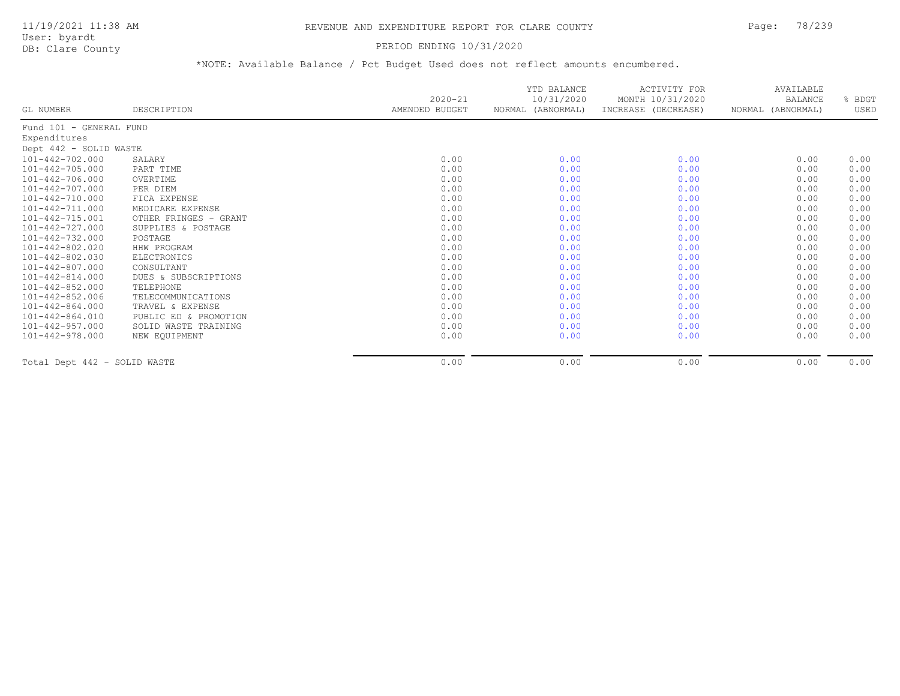User: byardt

# DB: Clare County **DB: Clare County**

| GL NUMBER                    | DESCRIPTION           | $2020 - 21$<br>AMENDED BUDGET | YTD BALANCE<br>10/31/2020<br>NORMAL (ABNORMAL) | ACTIVITY FOR<br>MONTH 10/31/2020<br>INCREASE (DECREASE) | AVAILABLE<br><b>BALANCE</b><br>NORMAL (ABNORMAL) | % BDGT<br>USED |
|------------------------------|-----------------------|-------------------------------|------------------------------------------------|---------------------------------------------------------|--------------------------------------------------|----------------|
| Fund 101 - GENERAL FUND      |                       |                               |                                                |                                                         |                                                  |                |
| Expenditures                 |                       |                               |                                                |                                                         |                                                  |                |
| Dept 442 - SOLID WASTE       |                       |                               |                                                |                                                         |                                                  |                |
| 101-442-702.000              | SALARY                | 0.00                          | 0.00                                           | 0.00                                                    | 0.00                                             | 0.00           |
| 101-442-705.000              | PART TIME             | 0.00                          | 0.00                                           | 0.00                                                    | 0.00                                             | 0.00           |
| 101-442-706.000              | OVERTIME              | 0.00                          | 0.00                                           | 0.00                                                    | 0.00                                             | 0.00           |
| 101-442-707.000              | PER DIEM              | 0.00                          | 0.00                                           | 0.00                                                    | 0.00                                             | 0.00           |
| $101 - 442 - 710.000$        | FICA EXPENSE          | 0.00                          | 0.00                                           | 0.00                                                    | 0.00                                             | 0.00           |
| 101-442-711.000              | MEDICARE EXPENSE      | 0.00                          | 0.00                                           | 0.00                                                    | 0.00                                             | 0.00           |
| 101-442-715.001              | OTHER FRINGES - GRANT | 0.00                          | 0.00                                           | 0.00                                                    | 0.00                                             | 0.00           |
| 101-442-727.000              | SUPPLIES & POSTAGE    | 0.00                          | 0.00                                           | 0.00                                                    | 0.00                                             | 0.00           |
| $101 - 442 - 732.000$        | POSTAGE               | 0.00                          | 0.00                                           | 0.00                                                    | 0.00                                             | 0.00           |
| $101 - 442 - 802.020$        | HHW PROGRAM           | 0.00                          | 0.00                                           | 0.00                                                    | 0.00                                             | 0.00           |
| 101-442-802.030              | ELECTRONICS           | 0.00                          | 0.00                                           | 0.00                                                    | 0.00                                             | 0.00           |
| $101 - 442 - 807.000$        | CONSULTANT            | 0.00                          | 0.00                                           | 0.00                                                    | 0.00                                             | 0.00           |
| $101 - 442 - 814.000$        | DUES & SUBSCRIPTIONS  | 0.00                          | 0.00                                           | 0.00                                                    | 0.00                                             | 0.00           |
| 101-442-852.000              | TELEPHONE             | 0.00                          | 0.00                                           | 0.00                                                    | 0.00                                             | 0.00           |
| $101 - 442 - 852.006$        | TELECOMMUNICATIONS    | 0.00                          | 0.00                                           | 0.00                                                    | 0.00                                             | 0.00           |
| $101 - 442 - 864.000$        | TRAVEL & EXPENSE      | 0.00                          | 0.00                                           | 0.00                                                    | 0.00                                             | 0.00           |
| $101 - 442 - 864.010$        | PUBLIC ED & PROMOTION | 0.00                          | 0.00                                           | 0.00                                                    | 0.00                                             | 0.00           |
| 101-442-957.000              | SOLID WASTE TRAINING  | 0.00                          | 0.00                                           | 0.00                                                    | 0.00                                             | 0.00           |
| 101-442-978.000              | NEW EQUIPMENT         | 0.00                          | 0.00                                           | 0.00                                                    | 0.00                                             | 0.00           |
| Total Dept 442 - SOLID WASTE |                       | 0.00                          | 0.00                                           | 0.00                                                    | 0.00                                             | 0.00           |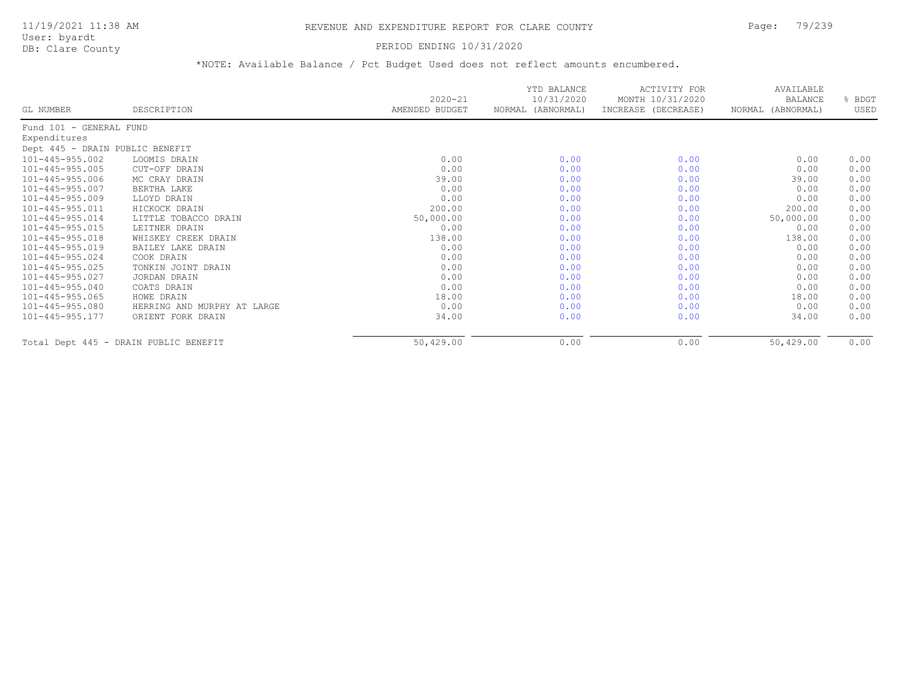## PERIOD ENDING 10/31/2020

|                                 |                                       | $2020 - 21$    | YTD BALANCE<br>10/31/2020 | ACTIVITY FOR<br>MONTH 10/31/2020 | AVAILABLE<br><b>BALANCE</b> | % BDGT |
|---------------------------------|---------------------------------------|----------------|---------------------------|----------------------------------|-----------------------------|--------|
| GL NUMBER                       | DESCRIPTION                           | AMENDED BUDGET | NORMAL (ABNORMAL)         | INCREASE (DECREASE)              | NORMAL (ABNORMAL)           | USED   |
| Fund 101 - GENERAL FUND         |                                       |                |                           |                                  |                             |        |
| Expenditures                    |                                       |                |                           |                                  |                             |        |
| Dept 445 - DRAIN PUBLIC BENEFIT |                                       |                |                           |                                  |                             |        |
| 101-445-955.002                 | LOOMIS DRAIN                          | 0.00           | 0.00                      | 0.00                             | 0.00                        | 0.00   |
| $101 - 445 - 955.005$           | CUT-OFF DRAIN                         | 0.00           | 0.00                      | 0.00                             | 0.00                        | 0.00   |
| 101-445-955.006                 | MC CRAY DRAIN                         | 39.00          | 0.00                      | 0.00                             | 39.00                       | 0.00   |
| 101-445-955.007                 | BERTHA LAKE                           | 0.00           | 0.00                      | 0.00                             | 0.00                        | 0.00   |
| $101 - 445 - 955.009$           | LLOYD DRAIN                           | 0.00           | 0.00                      | 0.00                             | 0.00                        | 0.00   |
| 101-445-955.011                 | HICKOCK DRAIN                         | 200.00         | 0.00                      | 0.00                             | 200.00                      | 0.00   |
| $101 - 445 - 955.014$           | LITTLE TOBACCO DRAIN                  | 50,000.00      | 0.00                      | 0.00                             | 50,000.00                   | 0.00   |
| $101 - 445 - 955.015$           | LEITNER DRAIN                         | 0.00           | 0.00                      | 0.00                             | 0.00                        | 0.00   |
| $101 - 445 - 955.018$           | WHISKEY CREEK DRAIN                   | 138.00         | 0.00                      | 0.00                             | 138.00                      | 0.00   |
| $101 - 445 - 955.019$           | BAILEY LAKE DRAIN                     | 0.00           | 0.00                      | 0.00                             | 0.00                        | 0.00   |
| $101 - 445 - 955.024$           | COOK DRAIN                            | 0.00           | 0.00                      | 0.00                             | 0.00                        | 0.00   |
| $101 - 445 - 955.025$           | TONKIN JOINT DRAIN                    | 0.00           | 0.00                      | 0.00                             | 0.00                        | 0.00   |
| $101 - 445 - 955.027$           | JORDAN DRAIN                          | 0.00           | 0.00                      | 0.00                             | 0.00                        | 0.00   |
| $101 - 445 - 955.040$           | COATS DRAIN                           | 0.00           | 0.00                      | 0.00                             | 0.00                        | 0.00   |
| $101 - 445 - 955.065$           | HOWE DRAIN                            | 18.00          | 0.00                      | 0.00                             | 18.00                       | 0.00   |
| 101-445-955.080                 | HERRING AND MURPHY AT LARGE           | 0.00           | 0.00                      | 0.00                             | 0.00                        | 0.00   |
| $101 - 445 - 955.177$           | ORIENT FORK DRAIN                     | 34.00          | 0.00                      | 0.00                             | 34.00                       | 0.00   |
|                                 | Total Dept 445 - DRAIN PUBLIC BENEFIT | 50,429.00      | 0.00                      | 0.00                             | 50,429.00                   | 0.00   |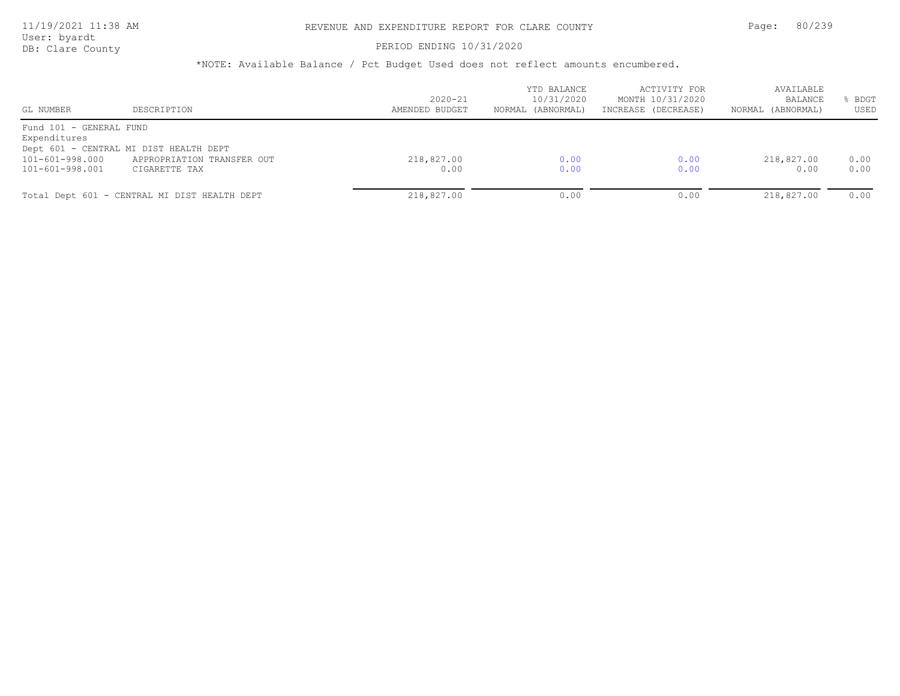### PERIOD ENDING 10/31/2020

| GL NUMBER                               | DESCRIPTION                                  | $2020 - 21$<br>AMENDED BUDGET | YTD BALANCE<br>10/31/2020<br>NORMAL (ABNORMAL) | ACTIVITY FOR<br>MONTH 10/31/2020<br>INCREASE (DECREASE) | AVAILABLE<br><b>BALANCE</b><br>NORMAL (ABNORMAL) | BDGT<br>USED |
|-----------------------------------------|----------------------------------------------|-------------------------------|------------------------------------------------|---------------------------------------------------------|--------------------------------------------------|--------------|
| Fund 101 - GENERAL FUND<br>Expenditures |                                              |                               |                                                |                                                         |                                                  |              |
|                                         | Dept 601 - CENTRAL MI DIST HEALTH DEPT       |                               |                                                |                                                         |                                                  |              |
| 101-601-998.000                         | APPROPRIATION TRANSFER OUT                   | 218,827.00                    | 0.00                                           | 0.00                                                    | 218,827.00                                       | 0.00         |
| 101-601-998.001                         | CIGARETTE TAX                                | 0.00                          | 0.00                                           | 0.00                                                    | 0.00                                             | 0.00         |
|                                         | Total Dept 601 - CENTRAL MI DIST HEALTH DEPT | 218,827.00                    | 0.00                                           | 0.00                                                    | 218,827.00                                       | 0.00         |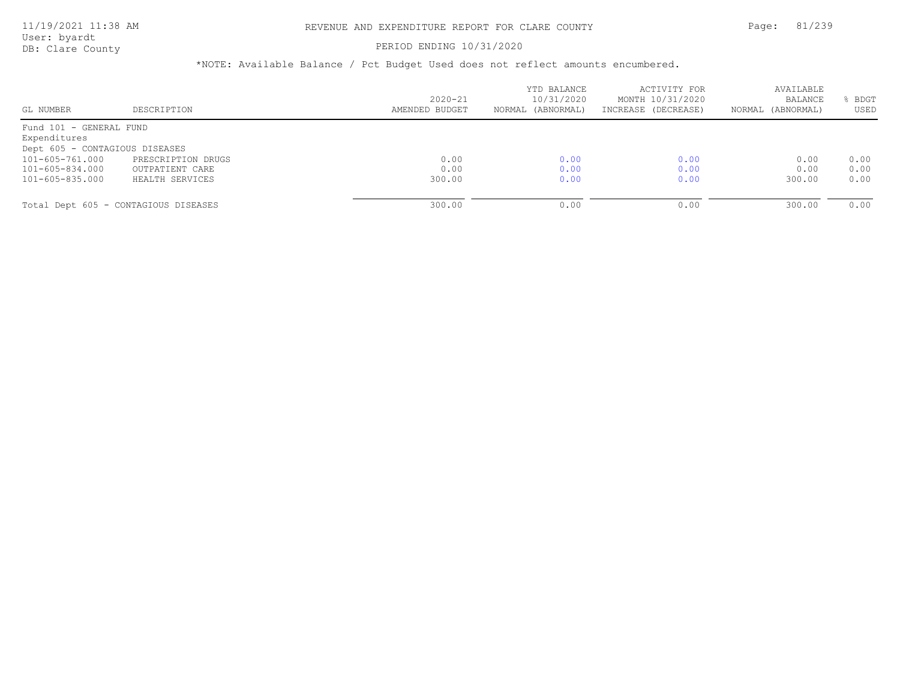### PERIOD ENDING 10/31/2020

| GL NUMBER                            | DESCRIPTION        | $2020 - 21$<br>AMENDED BUDGET | YTD BALANCE<br>10/31/2020<br>NORMAL (ABNORMAL) | ACTIVITY FOR<br>MONTH 10/31/2020<br>INCREASE (DECREASE) | AVAILABLE<br>BALANCE<br>NORMAL (ABNORMAL) | BDGT<br>USED |
|--------------------------------------|--------------------|-------------------------------|------------------------------------------------|---------------------------------------------------------|-------------------------------------------|--------------|
|                                      |                    |                               |                                                |                                                         |                                           |              |
| Fund 101 - GENERAL FUND              |                    |                               |                                                |                                                         |                                           |              |
| Expenditures                         |                    |                               |                                                |                                                         |                                           |              |
| Dept 605 - CONTAGIOUS DISEASES       |                    |                               |                                                |                                                         |                                           |              |
| 101-605-761.000                      | PRESCRIPTION DRUGS | 0.00                          | 0.00                                           | 0.00                                                    | 0.00                                      | 0.00         |
| 101-605-834.000                      | OUTPATIENT CARE    | 0.00                          | 0.00                                           | 0.00                                                    | 0.00                                      | 0.00         |
| 101-605-835.000                      | HEALTH SERVICES    | 300.00                        | 0.00                                           | 0.00                                                    | 300.00                                    | 0.00         |
|                                      |                    |                               |                                                |                                                         |                                           |              |
| Total Dept 605 - CONTAGIOUS DISEASES |                    | 300.00                        | 0.00                                           | 0.00                                                    | 300.00                                    | 0.00         |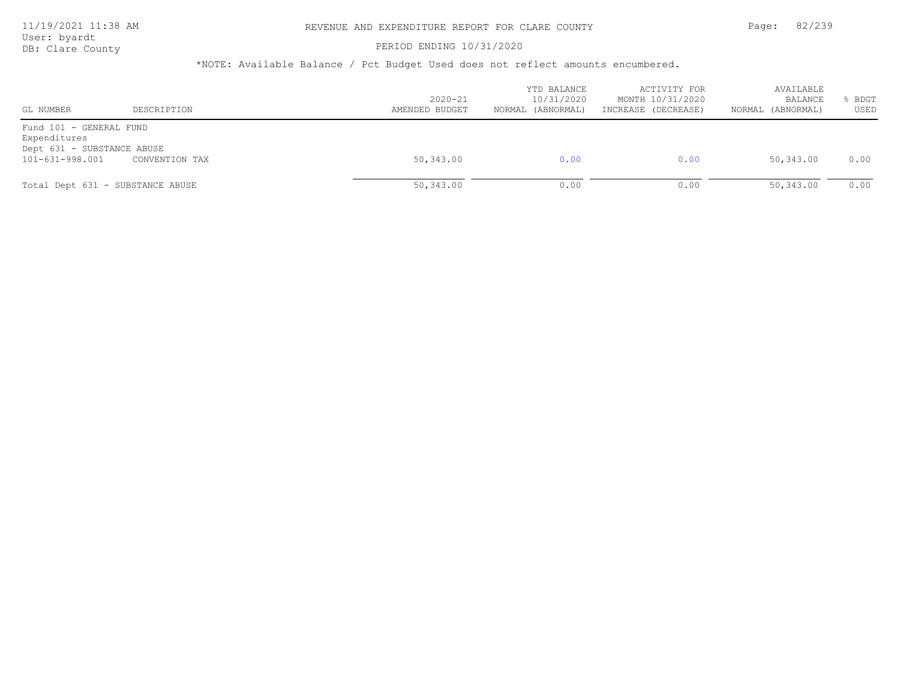### PERIOD ENDING 10/31/2020

| GL NUMBER                                                                                | DESCRIPTION                      | $2020 - 21$<br>AMENDED BUDGET | YTD BALANCE<br>10/31/2020<br>NORMAL (ABNORMAL) | ACTIVITY FOR<br>MONTH 10/31/2020<br>INCREASE (DECREASE) | AVAILABLE<br><b>BALANCE</b><br>NORMAL (ABNORMAL) | BDGT<br>USED |
|------------------------------------------------------------------------------------------|----------------------------------|-------------------------------|------------------------------------------------|---------------------------------------------------------|--------------------------------------------------|--------------|
| Fund 101 - GENERAL FUND<br>Expenditures<br>Dept 631 - SUBSTANCE ABUSE<br>101-631-998.001 | CONVENTION TAX                   | 50,343.00                     | 0.00                                           | 0.00                                                    | 50,343.00                                        | 0.00         |
|                                                                                          | Total Dept 631 - SUBSTANCE ABUSE | 50,343.00                     | 0.00                                           | 0.00                                                    | 50,343.00                                        | 0.00         |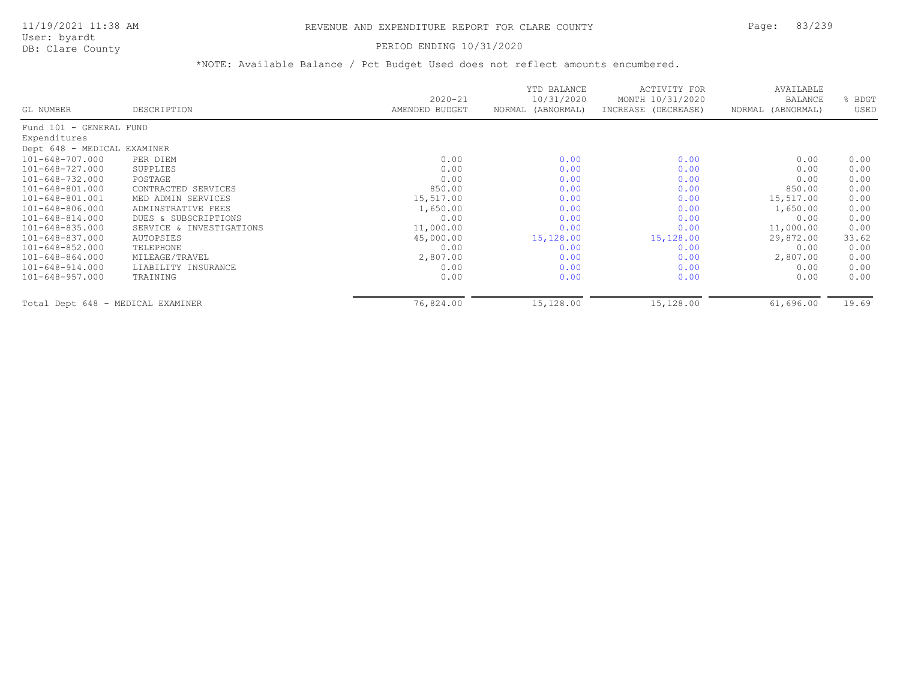## PERIOD ENDING 10/31/2020

|                                   |                          | $2020 - 21$    | YTD BALANCE<br>10/31/2020 | ACTIVITY FOR<br>MONTH 10/31/2020 | AVAILABLE<br><b>BALANCE</b> | BDGT  |
|-----------------------------------|--------------------------|----------------|---------------------------|----------------------------------|-----------------------------|-------|
| GL NUMBER                         | DESCRIPTION              | AMENDED BUDGET | NORMAL (ABNORMAL)         | INCREASE (DECREASE)              | NORMAL (ABNORMAL)           | USED  |
| Fund 101 - GENERAL FUND           |                          |                |                           |                                  |                             |       |
| Expenditures                      |                          |                |                           |                                  |                             |       |
| Dept 648 - MEDICAL EXAMINER       |                          |                |                           |                                  |                             |       |
| 101-648-707.000                   | PER DIEM                 | 0.00           | 0.00                      | 0.00                             | 0.00                        | 0.00  |
| 101-648-727.000                   | SUPPLIES                 | 0.00           | 0.00                      | 0.00                             | 0.00                        | 0.00  |
| 101-648-732.000                   | POSTAGE                  | 0.00           | 0.00                      | 0.00                             | 0.00                        | 0.00  |
| 101-648-801.000                   | CONTRACTED SERVICES      | 850.00         | 0.00                      | 0.00                             | 850.00                      | 0.00  |
| 101-648-801.001                   | MED ADMIN SERVICES       | 15,517.00      | 0.00                      | 0.00                             | 15,517.00                   | 0.00  |
| 101-648-806.000                   | ADMINSTRATIVE FEES       | 1,650.00       | 0.00                      | 0.00                             | 1,650.00                    | 0.00  |
| 101-648-814.000                   | DUES & SUBSCRIPTIONS     | 0.00           | 0.00                      | 0.00                             | 0.00                        | 0.00  |
| 101-648-835.000                   | SERVICE & INVESTIGATIONS | 11,000.00      | 0.00                      | 0.00                             | 11,000.00                   | 0.00  |
| 101-648-837.000                   | AUTOPSIES                | 45,000.00      | 15,128.00                 | 15,128.00                        | 29,872.00                   | 33.62 |
| 101-648-852.000                   | TELEPHONE                | 0.00           | 0.00                      | 0.00                             | 0.00                        | 0.00  |
| 101-648-864.000                   | MILEAGE/TRAVEL           | 2,807.00       | 0.00                      | 0.00                             | 2,807.00                    | 0.00  |
| 101-648-914.000                   | LIABILITY INSURANCE      | 0.00           | 0.00                      | 0.00                             | 0.00                        | 0.00  |
| $101 - 648 - 957.000$             | TRAINING                 | 0.00           | 0.00                      | 0.00                             | 0.00                        | 0.00  |
| Total Dept 648 - MEDICAL EXAMINER |                          | 76,824.00      | 15,128.00                 | 15,128.00                        | 61,696.00                   | 19.69 |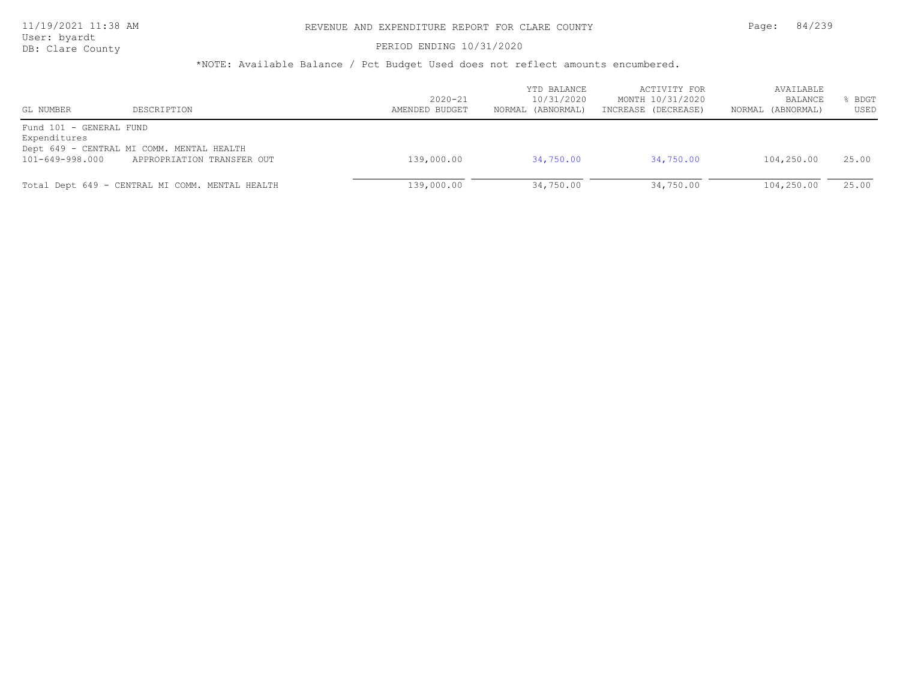## 11/19/2021 11:38 AM REVENUE AND EXPENDITURE REPORT FOR CLARE COUNTY Page: 84/239

User: byardt

# DB: Clare County **PERIOD ENDING 10/31/2020**

| GL NUMBER                                                  | DESCRIPTION                                                             | $2020 - 21$<br>AMENDED BUDGET | YTD BALANCE<br>10/31/2020<br>NORMAL (ABNORMAL) | ACTIVITY FOR<br>MONTH 10/31/2020<br>INCREASE (DECREASE) | AVAILABLE<br>BALANCE<br>NORMAL (ABNORMAL) | BDGT<br>USED |
|------------------------------------------------------------|-------------------------------------------------------------------------|-------------------------------|------------------------------------------------|---------------------------------------------------------|-------------------------------------------|--------------|
| Fund 101 - GENERAL FUND<br>Expenditures<br>101-649-998.000 | Dept 649 - CENTRAL MI COMM. MENTAL HEALTH<br>APPROPRIATION TRANSFER OUT | 139,000.00                    | 34,750.00                                      | 34,750.00                                               | 104,250.00                                | 25.00        |
|                                                            | Total Dept 649 - CENTRAL MI COMM. MENTAL HEALTH                         | 139,000.00                    | 34,750.00                                      | 34,750.00                                               | 104,250.00                                | 25.00        |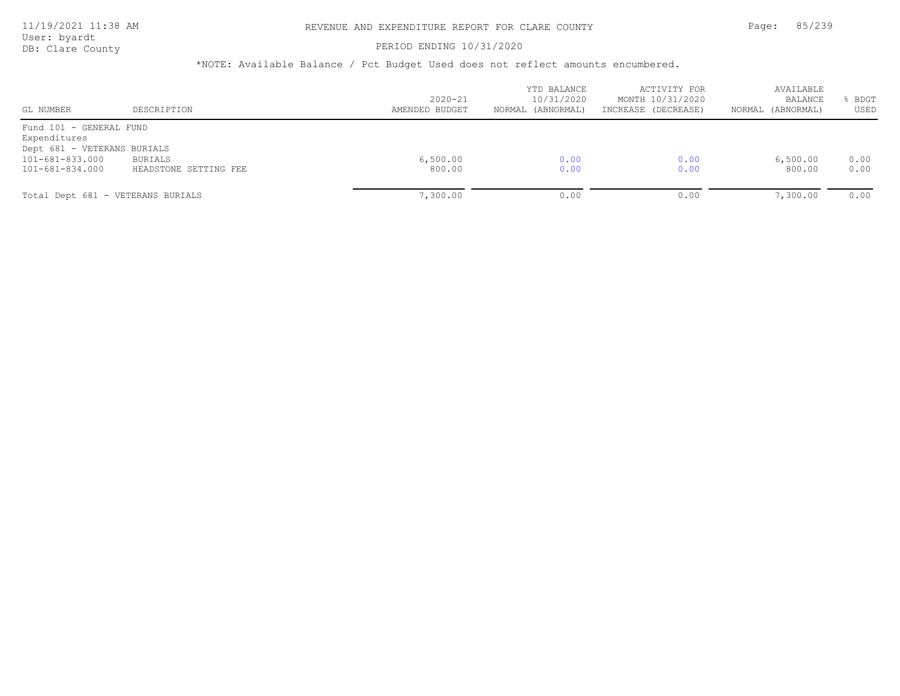#### PERIOD ENDING 10/31/2020

| GL NUMBER                               | DESCRIPTION                       | $2020 - 21$<br>AMENDED BUDGET | YTD BALANCE<br>10/31/2020<br>NORMAL (ABNORMAL) | ACTIVITY FOR<br>MONTH 10/31/2020<br>INCREASE (DECREASE) | AVAILABLE<br><b>BALANCE</b><br>NORMAL (ABNORMAL) | BDGT<br>USED |
|-----------------------------------------|-----------------------------------|-------------------------------|------------------------------------------------|---------------------------------------------------------|--------------------------------------------------|--------------|
| Fund 101 - GENERAL FUND<br>Expenditures |                                   |                               |                                                |                                                         |                                                  |              |
| Dept 681 - VETERANS BURIALS             |                                   |                               |                                                |                                                         |                                                  |              |
| 101-681-833.000                         | BURIALS                           | 6,500.00                      | 0.00                                           | 0.00                                                    | 6,500.00                                         | 0.00         |
| 101-681-834.000                         | HEADSTONE SETTING FEE             | 800.00                        | 0.00                                           | 0.00                                                    | 800.00                                           | 0.00         |
|                                         | Total Dept 681 - VETERANS BURIALS | 7,300.00                      | 0.00                                           | 0.00                                                    | 7,300.00                                         | 0.00         |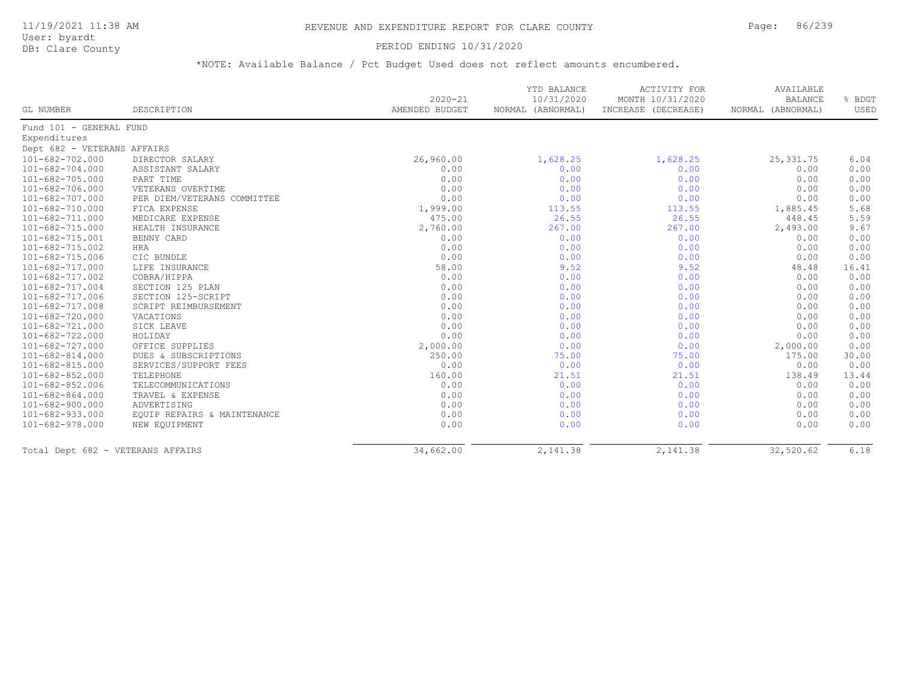User: byardt

# DB: Clare County **PERIOD ENDING 10/31/2020**

|                             |                                   | $2020 - 21$    | YTD BALANCE<br>10/31/2020 | <b>ACTIVITY FOR</b><br>MONTH 10/31/2020 | AVAILABLE<br><b>BALANCE</b> | % BDGT |
|-----------------------------|-----------------------------------|----------------|---------------------------|-----------------------------------------|-----------------------------|--------|
| GL NUMBER                   | DESCRIPTION                       | AMENDED BUDGET | NORMAL (ABNORMAL)         | INCREASE (DECREASE)                     | NORMAL (ABNORMAL)           | USED   |
| Fund 101 - GENERAL FUND     |                                   |                |                           |                                         |                             |        |
| Expenditures                |                                   |                |                           |                                         |                             |        |
| Dept 682 - VETERANS AFFAIRS |                                   |                |                           |                                         |                             |        |
| $101 - 682 - 702.000$       | DIRECTOR SALARY                   | 26,960.00      | 1,628.25                  | 1,628.25                                | 25, 331.75                  | 6.04   |
| 101-682-704.000             | ASSISTANT SALARY                  | 0.00           | 0.00                      | 0.00                                    | 0.00                        | 0.00   |
| 101-682-705.000             | PART TIME                         | 0.00           | 0.00                      | 0.00                                    | 0.00                        | 0.00   |
| 101-682-706.000             | VETERANS OVERTIME                 | 0.00           | 0.00                      | 0.00                                    | 0.00                        | 0.00   |
| 101-682-707.000             | PER DIEM/VETERANS COMMITTEE       | 0.00           | 0.00                      | 0.00                                    | 0.00                        | 0.00   |
| 101-682-710.000             | FICA EXPENSE                      | 1,999.00       | 113.55                    | 113.55                                  | 1,885.45                    | 5.68   |
| 101-682-711.000             | MEDICARE EXPENSE                  | 475.00         | 26.55                     | 26.55                                   | 448.45                      | 5.59   |
| 101-682-715.000             | HEALTH INSURANCE                  | 2,760.00       | 267.00                    | 267.00                                  | 2,493.00                    | 9.67   |
| 101-682-715.001             | BENNY CARD                        | 0.00           | 0.00                      | 0.00                                    | 0.00                        | 0.00   |
| 101-682-715.002             | HRA                               | 0.00           | 0.00                      | 0.00                                    | 0.00                        | 0.00   |
| 101-682-715.006             | CIC BUNDLE                        | 0.00           | 0.00                      | 0.00                                    | 0.00                        | 0.00   |
| 101-682-717.000             | LIFE INSURANCE                    | 58.00          | 9.52                      | 9.52                                    | 48.48                       | 16.41  |
| 101-682-717.002             | COBRA/HIPPA                       | 0.00           | 0.00                      | 0.00                                    | 0.00                        | 0.00   |
| $101 - 682 - 717.004$       | SECTION 125 PLAN                  | 0.00           | 0.00                      | 0.00                                    | 0.00                        | 0.00   |
| 101-682-717.006             | SECTION 125-SCRIPT                | 0.00           | 0.00                      | 0.00                                    | 0.00                        | 0.00   |
| 101-682-717.008             | SCRIPT REIMBURSEMENT              | 0.00           | 0.00                      | 0.00                                    | 0.00                        | 0.00   |
| 101-682-720.000             | VACATIONS                         | 0.00           | 0.00                      | 0.00                                    | 0.00                        | 0.00   |
| 101-682-721.000             | SICK LEAVE                        | 0.00           | 0.00                      | 0.00                                    | 0.00                        | 0.00   |
| 101-682-722.000             | HOLIDAY                           | 0.00           | 0.00                      | 0.00                                    | 0.00                        | 0.00   |
| $101 - 682 - 727.000$       | OFFICE SUPPLIES                   | 2,000.00       | 0.00                      | 0.00                                    | 2,000.00                    | 0.00   |
| 101-682-814.000             | DUES & SUBSCRIPTIONS              | 250.00         | 75.00                     | 75.00                                   | 175.00                      | 30.00  |
| 101-682-815.000             | SERVICES/SUPPORT FEES             | 0.00           | 0.00                      | 0.00                                    | 0.00                        | 0.00   |
| 101-682-852.000             | TELEPHONE                         | 160.00         | 21.51                     | 21.51                                   | 138.49                      | 13.44  |
| $101 - 682 - 852.006$       | TELECOMMUNICATIONS                | 0.00           | 0.00                      | 0.00                                    | 0.00                        | 0.00   |
| 101-682-864.000             | TRAVEL & EXPENSE                  | 0.00           | 0.00                      | 0.00                                    | 0.00                        | 0.00   |
| 101-682-900.000             | ADVERTISING                       | 0.00           | 0.00                      | 0.00                                    | 0.00                        | 0.00   |
| 101-682-933.000             | EQUIP REPAIRS & MAINTENANCE       | 0.00           | 0.00                      | 0.00                                    | 0.00                        | 0.00   |
| 101-682-978.000             | NEW EQUIPMENT                     | 0.00           | 0.00                      | 0.00                                    | 0.00                        | 0.00   |
|                             | Total Dept 682 - VETERANS AFFAIRS | 34,662.00      | 2,141.38                  | 2,141.38                                | 32,520.62                   | 6.18   |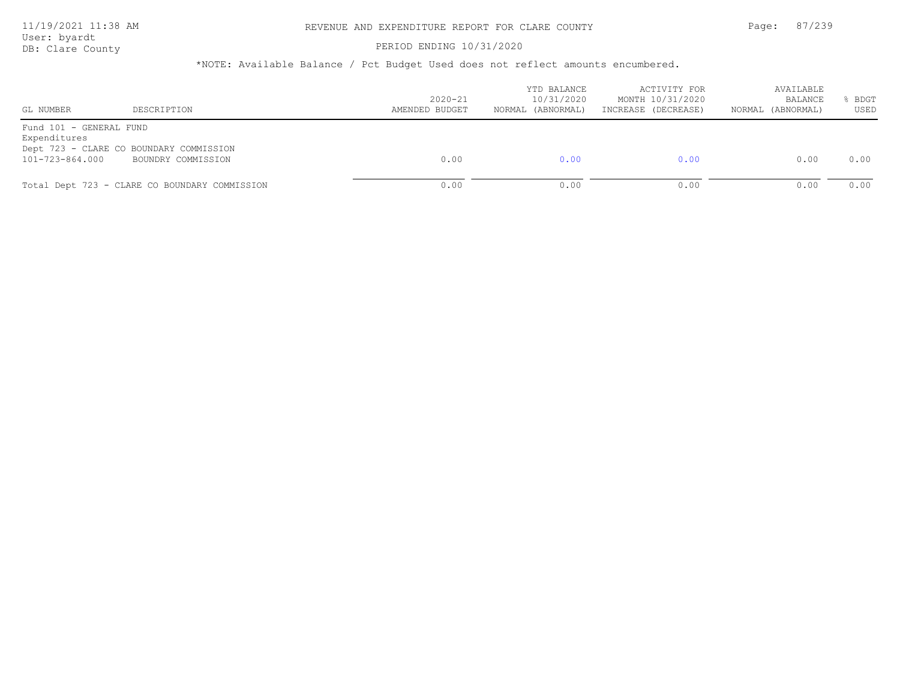## 11/19/2021 11:38 AM REVENUE AND EXPENDITURE REPORT FOR CLARE COUNTY Page: 87/239

User: byardt<br>DB: Clare County

#### PERIOD ENDING 10/31/2020

| GL NUMBER                               | DESCRIPTION                                   | $2020 - 21$<br>AMENDED BUDGET | YTD BALANCE<br>10/31/2020<br>NORMAL (ABNORMAL) | ACTIVITY FOR<br>MONTH 10/31/2020<br>INCREASE (DECREASE) | AVAILABLE<br>BALANCE<br>NORMAL (ABNORMAL) | BDGT<br>USED |
|-----------------------------------------|-----------------------------------------------|-------------------------------|------------------------------------------------|---------------------------------------------------------|-------------------------------------------|--------------|
| Fund 101 - GENERAL FUND<br>Expenditures |                                               |                               |                                                |                                                         |                                           |              |
|                                         | Dept 723 - CLARE CO BOUNDARY COMMISSION       |                               |                                                |                                                         |                                           |              |
| 101-723-864.000                         | BOUNDRY COMMISSION                            | 0.00                          | 0.00                                           | 0.00                                                    | 0.00                                      | 0.00         |
|                                         | Total Dept 723 - CLARE CO BOUNDARY COMMISSION | 0.00                          | 0.00                                           | 0.00                                                    | 0.00                                      | 0.00         |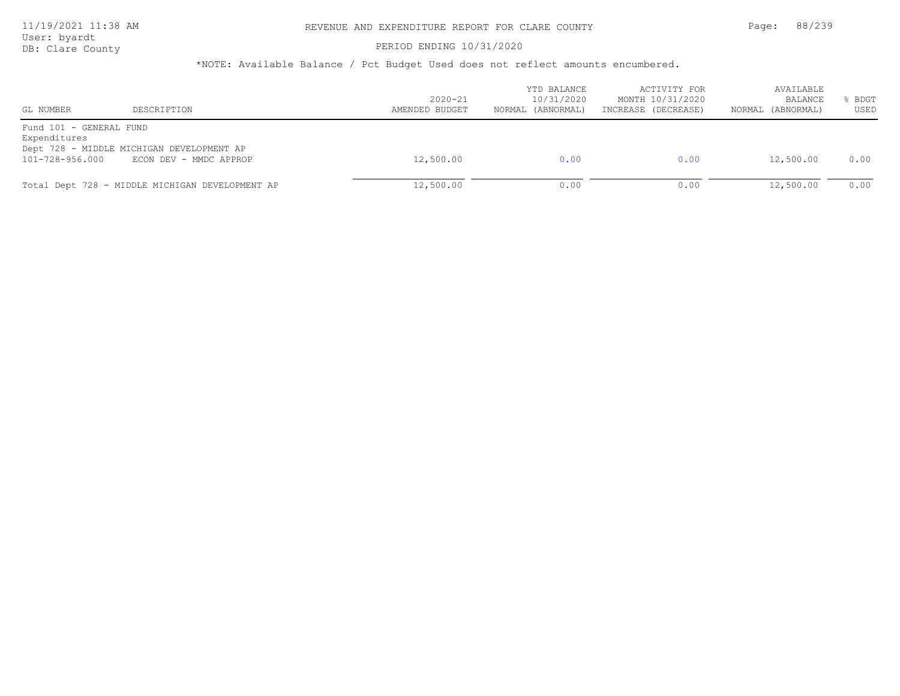## 11/19/2021 11:38 AM REVENUE AND EXPENDITURE REPORT FOR CLARE COUNTY Page: 88/239

User: byardt

# DB: Clare County **PERIOD ENDING 10/31/2020**

| $2020 - 21$<br>AMENDED BUDGET | 10/31/2020<br>NORMAL (ABNORMAL) | ACTIVITY FOR<br>MONTH 10/31/2020<br>INCREASE (DECREASE) | AVAILABLE<br>BALANCE<br>NORMAL (ABNORMAL) | <b>BDGT</b><br>USED |
|-------------------------------|---------------------------------|---------------------------------------------------------|-------------------------------------------|---------------------|
|                               |                                 |                                                         |                                           |                     |
| 12,500.00                     | 0.00                            | 0.00                                                    | 12,500.00                                 | 0.00<br>0.00        |
|                               | 12,500.00                       | YTD BALANCE<br>0.00                                     | 0.00                                      | 12,500.00           |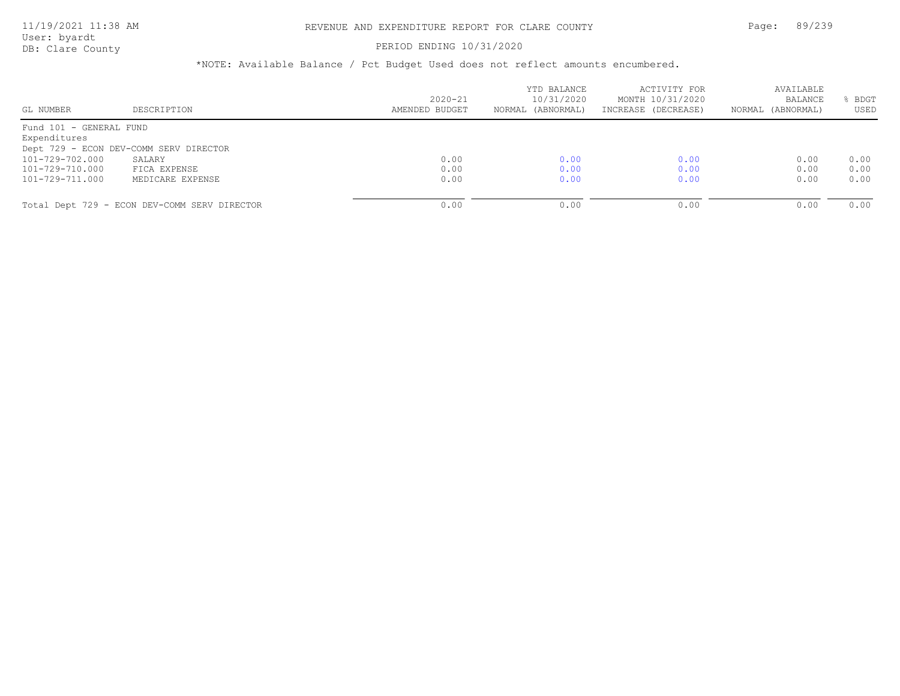### PERIOD ENDING 10/31/2020

| GL NUMBER               | DESCRIPTION                                  | $2020 - 21$<br>AMENDED BUDGET | YTD BALANCE<br>10/31/2020<br>NORMAL (ABNORMAL) | ACTIVITY FOR<br>MONTH 10/31/2020<br>INCREASE (DECREASE) | AVAILABLE<br>BALANCE<br>NORMAL (ABNORMAL) | BDGT<br>USED |
|-------------------------|----------------------------------------------|-------------------------------|------------------------------------------------|---------------------------------------------------------|-------------------------------------------|--------------|
| Fund 101 - GENERAL FUND |                                              |                               |                                                |                                                         |                                           |              |
|                         |                                              |                               |                                                |                                                         |                                           |              |
| Expenditures            |                                              |                               |                                                |                                                         |                                           |              |
|                         | Dept 729 - ECON DEV-COMM SERV DIRECTOR       |                               |                                                |                                                         |                                           |              |
| 101-729-702.000         | SALARY                                       | 0.00                          | 0.00                                           | 0.00                                                    | 0.00                                      | 0.00         |
| 101-729-710.000         | FICA EXPENSE                                 | 0.00                          | 0.00                                           | 0.00                                                    | 0.00                                      | 0.00         |
| 101-729-711.000         | MEDICARE EXPENSE                             | 0.00                          | 0.00                                           | 0.00                                                    | 0.00                                      | 0.00         |
|                         |                                              |                               |                                                |                                                         |                                           |              |
|                         | Total Dept 729 - ECON DEV-COMM SERV DIRECTOR | 0.00                          | 0.00                                           | 0.00                                                    | 0.00                                      | 0.00         |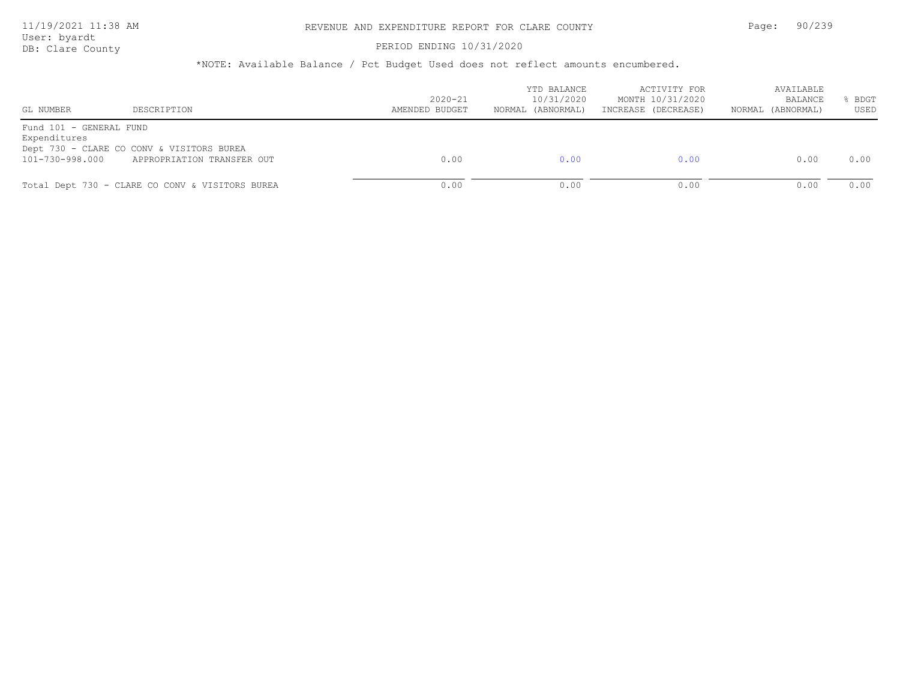## 11/19/2021 11:38 AM REVENUE AND EXPENDITURE REPORT FOR CLARE COUNTY Page: 90/239

User: byardt<br>DB: Clare County

## PERIOD ENDING 10/31/2020

| GL NUMBER                               | DESCRIPTION                                                             | $2020 - 21$<br>AMENDED BUDGET | YTD BALANCE<br>10/31/2020<br>NORMAL (ABNORMAL) | ACTIVITY FOR<br>MONTH 10/31/2020<br>INCREASE (DECREASE) | AVAILABLE<br><b>BALANCE</b><br>NORMAL (ABNORMAL) | BDGT<br>USED |
|-----------------------------------------|-------------------------------------------------------------------------|-------------------------------|------------------------------------------------|---------------------------------------------------------|--------------------------------------------------|--------------|
| Fund 101 - GENERAL FUND<br>Expenditures |                                                                         |                               |                                                |                                                         |                                                  |              |
| 101-730-998.000                         | Dept 730 - CLARE CO CONV & VISITORS BUREA<br>APPROPRIATION TRANSFER OUT | 0.00                          | 0.00                                           | 0.00                                                    | 0.00                                             | 0.00         |
|                                         |                                                                         |                               |                                                |                                                         |                                                  |              |
|                                         | Total Dept 730 - CLARE CO CONV & VISITORS BUREA                         | 0.00                          | 0.00                                           | 0.00                                                    | 0.00                                             | 0.00         |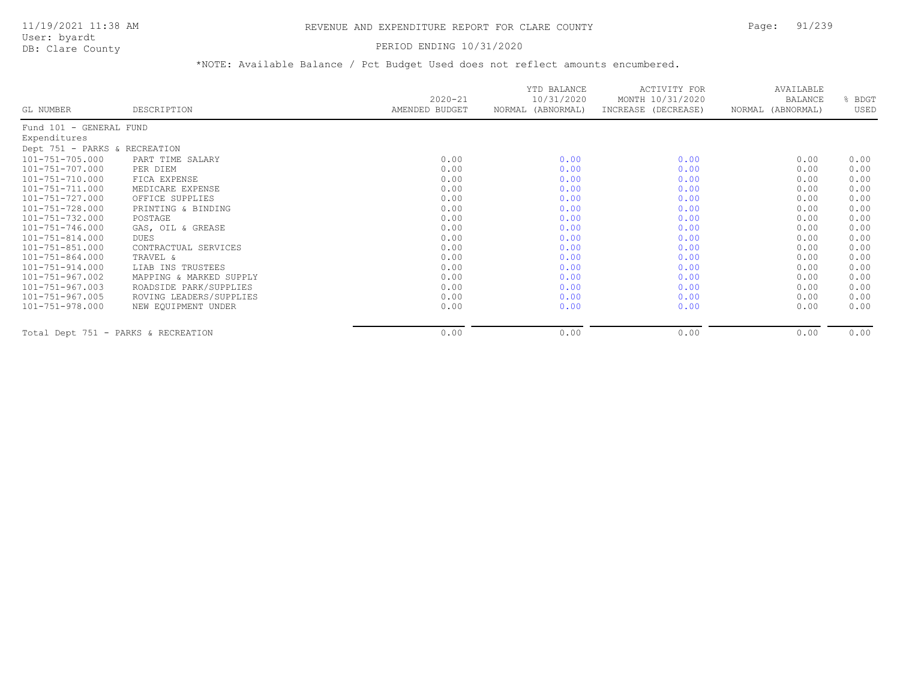#### PERIOD ENDING 10/31/2020

|                                     |                         | $2020 - 21$    | YTD BALANCE<br>10/31/2020 | ACTIVITY FOR<br>MONTH 10/31/2020 | AVAILABLE<br>BALANCE | BDGT |
|-------------------------------------|-------------------------|----------------|---------------------------|----------------------------------|----------------------|------|
| GL NUMBER                           | DESCRIPTION             | AMENDED BUDGET | NORMAL (ABNORMAL)         | INCREASE (DECREASE)              | NORMAL (ABNORMAL)    | USED |
| Fund 101 - GENERAL FUND             |                         |                |                           |                                  |                      |      |
| Expenditures                        |                         |                |                           |                                  |                      |      |
| Dept 751 - PARKS & RECREATION       |                         |                |                           |                                  |                      |      |
| 101-751-705.000                     | PART TIME SALARY        | 0.00           | 0.00                      | 0.00                             | 0.00                 | 0.00 |
| 101-751-707.000                     | PER DIEM                | 0.00           | 0.00                      | 0.00                             | 0.00                 | 0.00 |
| 101-751-710.000                     | FICA EXPENSE            | 0.00           | 0.00                      | 0.00                             | 0.00                 | 0.00 |
| 101-751-711.000                     | MEDICARE EXPENSE        | 0.00           | 0.00                      | 0.00                             | 0.00                 | 0.00 |
| 101-751-727.000                     | OFFICE SUPPLIES         | 0.00           | 0.00                      | 0.00                             | 0.00                 | 0.00 |
| 101-751-728.000                     | PRINTING & BINDING      | 0.00           | 0.00                      | 0.00                             | 0.00                 | 0.00 |
| 101-751-732.000                     | POSTAGE                 | 0.00           | 0.00                      | 0.00                             | 0.00                 | 0.00 |
| 101-751-746.000                     | GAS, OIL & GREASE       | 0.00           | 0.00                      | 0.00                             | 0.00                 | 0.00 |
| 101-751-814.000                     | DUES                    | 0.00           | 0.00                      | 0.00                             | 0.00                 | 0.00 |
| 101-751-851.000                     | CONTRACTUAL SERVICES    | 0.00           | 0.00                      | 0.00                             | 0.00                 | 0.00 |
| 101-751-864.000                     | TRAVEL &                | 0.00           | 0.00                      | 0.00                             | 0.00                 | 0.00 |
| 101-751-914.000                     | LIAB INS TRUSTEES       | 0.00           | 0.00                      | 0.00                             | 0.00                 | 0.00 |
| 101-751-967.002                     | MAPPING & MARKED SUPPLY | 0.00           | 0.00                      | 0.00                             | 0.00                 | 0.00 |
| 101-751-967.003                     | ROADSIDE PARK/SUPPLIES  | 0.00           | 0.00                      | 0.00                             | 0.00                 | 0.00 |
| 101-751-967.005                     | ROVING LEADERS/SUPPLIES | 0.00           | 0.00                      | 0.00                             | 0.00                 | 0.00 |
| 101-751-978.000                     | NEW EOUIPMENT UNDER     | 0.00           | 0.00                      | 0.00                             | 0.00                 | 0.00 |
| Total Dept 751 - PARKS & RECREATION |                         | 0.00           | 0.00                      | 0.00                             | 0.00                 | 0.00 |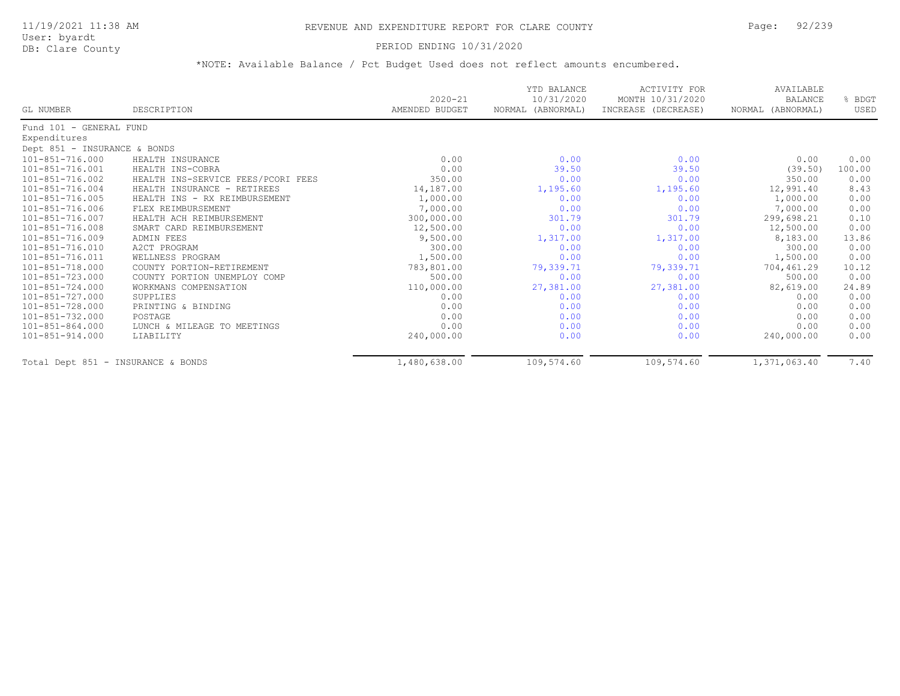## PERIOD ENDING 10/31/2020

|                                    |                                    | $2020 - 21$    | YTD BALANCE<br>10/31/2020 | ACTIVITY FOR<br>MONTH 10/31/2020 | AVAILABLE<br><b>BALANCE</b> | % BDGT |
|------------------------------------|------------------------------------|----------------|---------------------------|----------------------------------|-----------------------------|--------|
| GL NUMBER                          | DESCRIPTION                        | AMENDED BUDGET | NORMAL (ABNORMAL)         | INCREASE (DECREASE)              | NORMAL (ABNORMAL)           | USED   |
| Fund 101 - GENERAL FUND            |                                    |                |                           |                                  |                             |        |
| Expenditures                       |                                    |                |                           |                                  |                             |        |
| Dept 851 - INSURANCE & BONDS       |                                    |                |                           |                                  |                             |        |
| 101-851-716.000                    | HEALTH INSURANCE                   | 0.00           | 0.00                      | 0.00                             | 0.00                        | 0.00   |
| $101 - 851 - 716.001$              | HEALTH INS-COBRA                   | 0.00           | 39.50                     | 39.50                            | (39.50)                     | 100.00 |
| 101-851-716.002                    | HEALTH INS-SERVICE FEES/PCORI FEES | 350.00         | 0.00                      | 0.00                             | 350.00                      | 0.00   |
| 101-851-716.004                    | HEALTH INSURANCE - RETIREES        | 14,187.00      | 1,195.60                  | 1,195.60                         | 12,991.40                   | 8.43   |
| $101 - 851 - 716.005$              | HEALTH INS - RX REIMBURSEMENT      | 1,000.00       | 0.00                      | 0.00                             | 1,000.00                    | 0.00   |
| 101-851-716.006                    | FLEX REIMBURSEMENT                 | 7,000.00       | 0.00                      | 0.00                             | 7,000.00                    | 0.00   |
| 101-851-716.007                    | HEALTH ACH REIMBURSEMENT           | 300,000.00     | 301.79                    | 301.79                           | 299,698.21                  | 0.10   |
| 101-851-716.008                    | SMART CARD REIMBURSEMENT           | 12,500.00      | 0.00                      | 0.00                             | 12,500.00                   | 0.00   |
| 101-851-716.009                    | ADMIN FEES                         | 9,500.00       | 1,317.00                  | 1,317.00                         | 8,183.00                    | 13.86  |
| 101-851-716.010                    | A2CT PROGRAM                       | 300.00         | 0.00                      | 0.00                             | 300.00                      | 0.00   |
| 101-851-716.011                    | WELLNESS PROGRAM                   | 1,500.00       | 0.00                      | 0.00                             | 1,500.00                    | 0.00   |
| 101-851-718.000                    | COUNTY PORTION-RETIREMENT          | 783,801.00     | 79,339.71                 | 79,339.71                        | 704,461.29                  | 10.12  |
| 101-851-723.000                    | COUNTY PORTION UNEMPLOY COMP       | 500.00         | 0.00                      | 0.00                             | 500.00                      | 0.00   |
| 101-851-724.000                    | WORKMANS COMPENSATION              | 110,000.00     | 27,381.00                 | 27,381.00                        | 82,619.00                   | 24.89  |
| 101-851-727.000                    | SUPPLIES                           | 0.00           | 0.00                      | 0.00                             | 0.00                        | 0.00   |
| 101-851-728.000                    | PRINTING & BINDING                 | 0.00           | 0.00                      | 0.00                             | 0.00                        | 0.00   |
| 101-851-732.000                    | POSTAGE                            | 0.00           | 0.00                      | 0.00                             | 0.00                        | 0.00   |
| $101 - 851 - 864.000$              | LUNCH & MILEAGE TO MEETINGS        | 0.00           | 0.00                      | 0.00                             | 0.00                        | 0.00   |
| $101 - 851 - 914.000$              | LIABILITY                          | 240,000.00     | 0.00                      | 0.00                             | 240,000.00                  | 0.00   |
| Total Dept 851 - INSURANCE & BONDS |                                    | 1,480,638.00   | 109,574.60                | 109,574.60                       | 1,371,063.40                | 7.40   |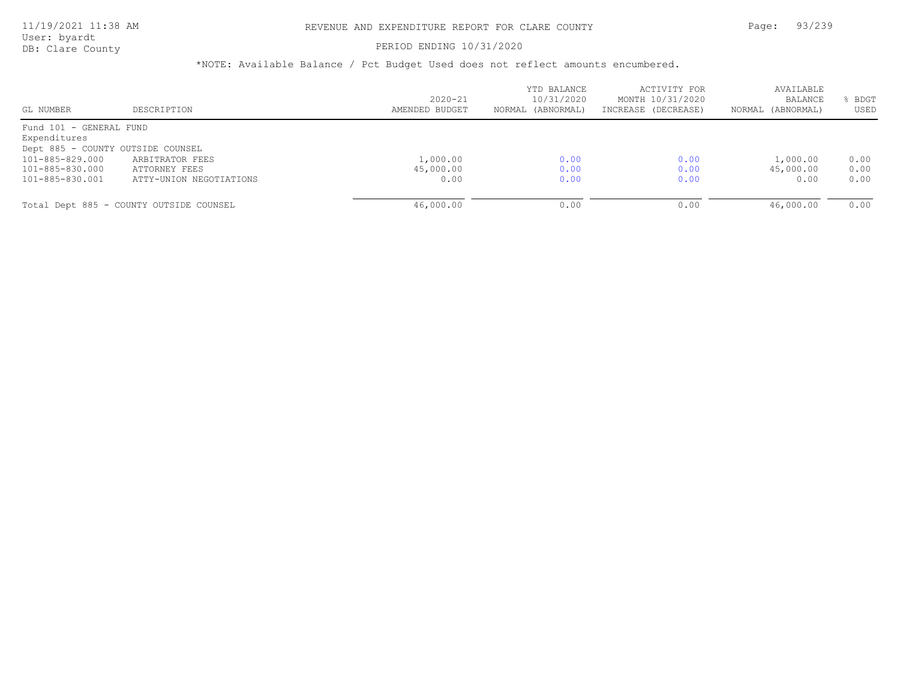### PERIOD ENDING 10/31/2020

| GL NUMBER                         | DESCRIPTION                             | $2020 - 21$<br>AMENDED BUDGET | YTD BALANCE<br>10/31/2020<br>NORMAL (ABNORMAL) | ACTIVITY FOR<br>MONTH 10/31/2020<br>INCREASE (DECREASE) | AVAILABLE<br>BALANCE<br>NORMAL (ABNORMAL) | BDGT<br>USED |
|-----------------------------------|-----------------------------------------|-------------------------------|------------------------------------------------|---------------------------------------------------------|-------------------------------------------|--------------|
| Fund 101 - GENERAL FUND           |                                         |                               |                                                |                                                         |                                           |              |
| Expenditures                      |                                         |                               |                                                |                                                         |                                           |              |
| Dept 885 - COUNTY OUTSIDE COUNSEL |                                         |                               |                                                |                                                         |                                           |              |
| 101-885-829.000                   | ARBITRATOR FEES                         | 1,000.00                      | 0.00                                           | 0.00                                                    | 1,000.00                                  | 0.00         |
| 101-885-830.000                   | ATTORNEY FEES                           | 45,000.00                     | 0.00                                           | 0.00                                                    | 45,000.00                                 | 0.00         |
| 101-885-830.001                   | ATTY-UNION NEGOTIATIONS                 | 0.00                          | 0.00                                           | 0.00                                                    | 0.00                                      | 0.00         |
|                                   | Total Dept 885 - COUNTY OUTSIDE COUNSEL | 46,000.00                     | 0.00                                           | 0.00                                                    | 46,000.00                                 | 0.00         |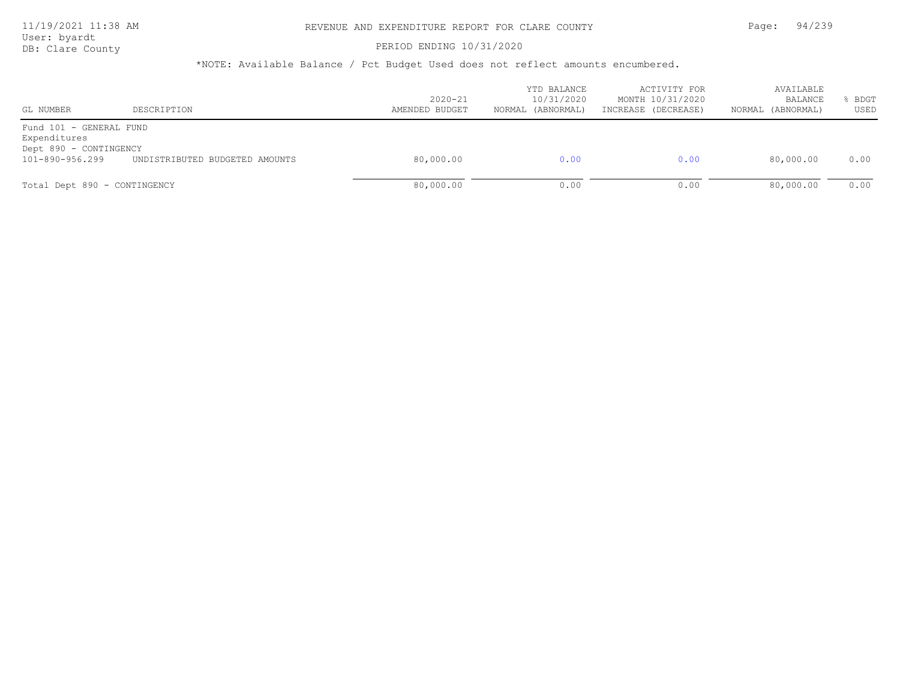DB: Clare County **PERIOD ENDING 10/31/2020** 

| GL NUMBER                                                                            | DESCRIPTION                    | $2020 - 21$<br>AMENDED BUDGET | YTD BALANCE<br>10/31/2020<br>NORMAL (ABNORMAL) | ACTIVITY FOR<br>MONTH 10/31/2020<br>INCREASE (DECREASE) | AVAILABLE<br>BALANCE<br>(ABNORMAL)<br>NORMAL | BDGT<br>USED |
|--------------------------------------------------------------------------------------|--------------------------------|-------------------------------|------------------------------------------------|---------------------------------------------------------|----------------------------------------------|--------------|
| Fund 101 - GENERAL FUND<br>Expenditures<br>Dept 890 - CONTINGENCY<br>101-890-956.299 | UNDISTRIBUTED BUDGETED AMOUNTS | 80,000.00                     | 0.00                                           | 0.00                                                    | 80,000.00                                    | 0.00         |
| Total Dept 890 - CONTINGENCY                                                         |                                | 80,000.00                     | 0.00                                           | 0.00                                                    | 80,000.00                                    | 0.00         |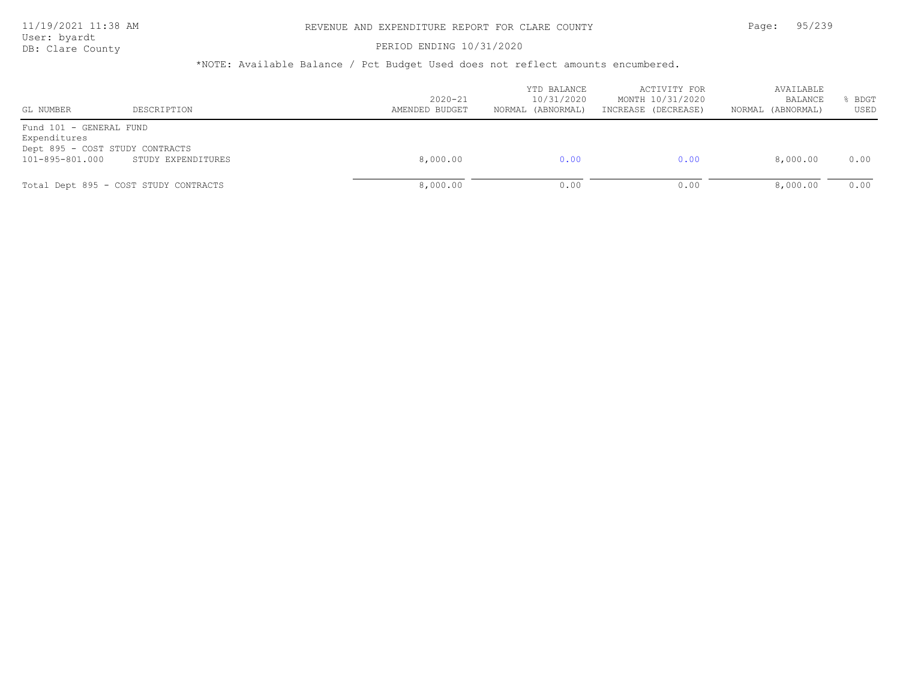## 11/19/2021 11:38 AM REVENUE AND EXPENDITURE REPORT FOR CLARE COUNTY Page: 95/239

User: byardt

# DB: Clare County **PERIOD ENDING 10/31/2020**

| GL NUMBER                                                  | DESCRIPTION                                           | $2020 - 21$<br>AMENDED BUDGET | YTD BALANCE<br>10/31/2020<br>NORMAL (ABNORMAL) | ACTIVITY FOR<br>MONTH 10/31/2020<br>INCREASE (DECREASE) | AVAILABLE<br>BALANCE<br>(ABNORMAL)<br>NORMAL | BDGT<br>USED |
|------------------------------------------------------------|-------------------------------------------------------|-------------------------------|------------------------------------------------|---------------------------------------------------------|----------------------------------------------|--------------|
| Fund 101 - GENERAL FUND<br>Expenditures<br>101-895-801.000 | Dept 895 - COST STUDY CONTRACTS<br>STUDY EXPENDITURES | 8,000.00                      | 0.00                                           | 0.00                                                    | 8,000.00                                     | 0.00         |
|                                                            | Total Dept 895 - COST STUDY CONTRACTS                 | 8,000.00                      | 0.00                                           | 0.00                                                    | 8,000.00                                     | 0.00         |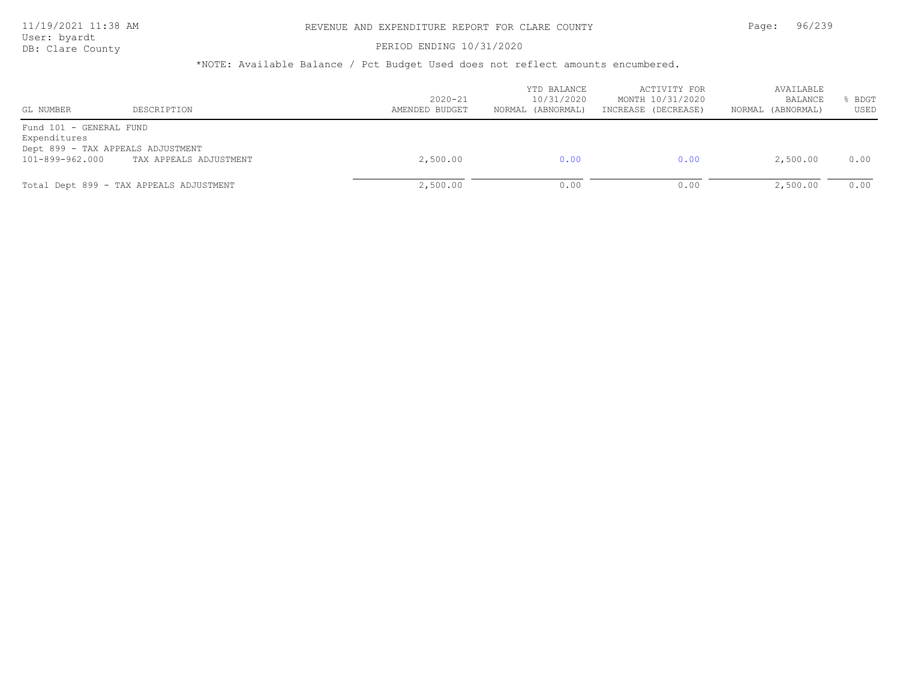#### PERIOD ENDING 10/31/2020

| GL NUMBER                                                  | DESCRIPTION                                                 | $2020 - 21$<br>AMENDED BUDGET | YTD BALANCE<br>10/31/2020<br>NORMAL (ABNORMAL) | ACTIVITY FOR<br>MONTH 10/31/2020<br>INCREASE (DECREASE) | AVAILABLE<br>BALANCE<br>NORMAL (ABNORMAL) | BDGT<br>USED |
|------------------------------------------------------------|-------------------------------------------------------------|-------------------------------|------------------------------------------------|---------------------------------------------------------|-------------------------------------------|--------------|
| Fund 101 - GENERAL FUND<br>Expenditures<br>101-899-962.000 | Dept 899 - TAX APPEALS ADJUSTMENT<br>TAX APPEALS ADJUSTMENT | 2,500.00                      | 0.00                                           | 0.00                                                    | 2,500.00                                  | 0.00         |
|                                                            | Total Dept 899 - TAX APPEALS ADJUSTMENT                     | 2,500.00                      | 0.00                                           | 0.00                                                    | 2,500.00                                  | 0.00         |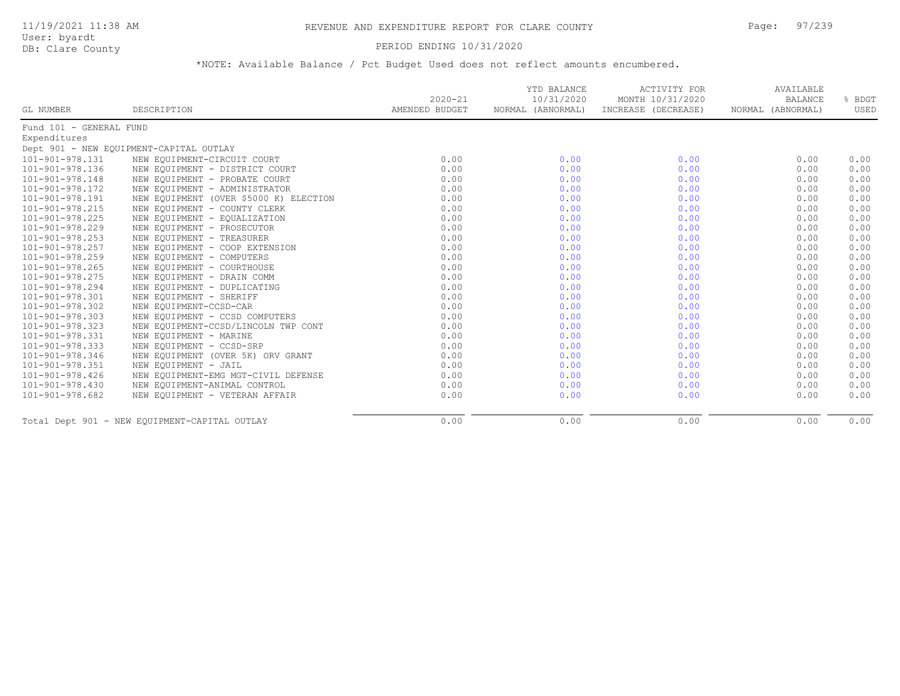#### PERIOD ENDING 10/31/2020

|                         |                                               | $2020 - 21$    | YTD BALANCE<br>10/31/2020 | <b>ACTIVITY FOR</b><br>MONTH 10/31/2020 | AVAILABLE<br><b>BALANCE</b> | % BDGT |
|-------------------------|-----------------------------------------------|----------------|---------------------------|-----------------------------------------|-----------------------------|--------|
| GL NUMBER               | DESCRIPTION                                   | AMENDED BUDGET |                           | NORMAL (ABNORMAL) INCREASE (DECREASE)   | NORMAL (ABNORMAL)           | USED   |
| Fund 101 - GENERAL FUND |                                               |                |                           |                                         |                             |        |
| Expenditures            |                                               |                |                           |                                         |                             |        |
|                         | Dept 901 - NEW EQUIPMENT-CAPITAL OUTLAY       |                |                           |                                         |                             |        |
| 101-901-978.131         | NEW EQUIPMENT-CIRCUIT COURT                   | 0.00           | 0.00                      | 0.00                                    | 0.00                        | 0.00   |
| 101-901-978.136         | NEW EQUIPMENT - DISTRICT COURT                | 0.00           | 0.00                      | 0.00                                    | 0.00                        | 0.00   |
| 101-901-978.148         | NEW EQUIPMENT - PROBATE COURT                 | 0.00           | 0.00                      | 0.00                                    | 0.00                        | 0.00   |
| 101-901-978.172         | NEW EQUIPMENT - ADMINISTRATOR                 | 0.00           | 0.00                      | 0.00                                    | 0.00                        | 0.00   |
| 101-901-978.191         | NEW EQUIPMENT (OVER \$5000 K) ELECTION        | 0.00           | 0.00                      | 0.00                                    | 0.00                        | 0.00   |
| 101-901-978.215         | NEW EQUIPMENT - COUNTY CLERK                  | 0.00           | 0.00                      | 0.00                                    | 0.00                        | 0.00   |
| 101-901-978.225         | NEW EQUIPMENT - EQUALIZATION                  | 0.00           | 0.00                      | 0.00                                    | 0.00                        | 0.00   |
| 101-901-978.229         | NEW EQUIPMENT - PROSECUTOR                    | 0.00           | 0.00                      | 0.00                                    | 0.00                        | 0.00   |
| $101 - 901 - 978.253$   | NEW EQUIPMENT - TREASURER                     | 0.00           | 0.00                      | 0.00                                    | 0.00                        | 0.00   |
| 101-901-978.257         | NEW EQUIPMENT - COOP EXTENSION                | 0.00           | 0.00                      | 0.00                                    | 0.00                        | 0.00   |
| 101-901-978.259         | NEW EQUIPMENT - COMPUTERS                     | 0.00           | 0.00                      | 0.00                                    | 0.00                        | 0.00   |
| 101-901-978.265         | NEW EQUIPMENT - COURTHOUSE                    | 0.00           | 0.00                      | 0.00                                    | 0.00                        | 0.00   |
| 101-901-978.275         | NEW EQUIPMENT - DRAIN COMM                    | 0.00           | 0.00                      | 0.00                                    | 0.00                        | 0.00   |
| 101-901-978.294         | NEW EQUIPMENT - DUPLICATING                   | 0.00           | 0.00                      | 0.00                                    | 0.00                        | 0.00   |
| 101-901-978.301         | NEW EQUIPMENT - SHERIFF                       | 0.00           | 0.00                      | 0.00                                    | 0.00                        | 0.00   |
| 101-901-978.302         | NEW EQUIPMENT-CCSD-CAR                        | 0.00           | 0.00                      | 0.00                                    | 0.00                        | 0.00   |
| 101-901-978.303         | NEW EQUIPMENT - CCSD COMPUTERS                | 0.00           | 0.00                      | 0.00                                    | 0.00                        | 0.00   |
| 101-901-978.323         | NEW EQUIPMENT-CCSD/LINCOLN TWP CONT           | 0.00           | 0.00                      | 0.00                                    | 0.00                        | 0.00   |
| 101-901-978.331         | NEW EQUIPMENT - MARINE                        | 0.00           | 0.00                      | 0.00                                    | 0.00                        | 0.00   |
| 101-901-978.333         | NEW EQUIPMENT - CCSD-SRP                      | 0.00           | 0.00                      | 0.00                                    | 0.00                        | 0.00   |
| 101-901-978.346         | NEW EQUIPMENT (OVER 5K) ORV GRANT             | 0.00           | 0.00                      | 0.00                                    | 0.00                        | 0.00   |
| 101-901-978.351         | NEW EQUIPMENT - JAIL                          | 0.00           | 0.00                      | 0.00                                    | 0.00                        | 0.00   |
| $101 - 901 - 978.426$   | NEW EQUIPMENT-EMG MGT-CIVIL DEFENSE           | 0.00           | 0.00                      | 0.00                                    | 0.00                        | 0.00   |
| $101 - 901 - 978.430$   | NEW EQUIPMENT-ANIMAL CONTROL                  | 0.00           | 0.00                      | 0.00                                    | 0.00                        | 0.00   |
| 101-901-978.682         | NEW EQUIPMENT - VETERAN AFFAIR                | 0.00           | 0.00                      | 0.00                                    | 0.00                        | 0.00   |
|                         | Total Dept 901 - NEW EQUIPMENT-CAPITAL OUTLAY | 0.00           | 0.00                      | 0.00                                    | 0.00                        | 0.00   |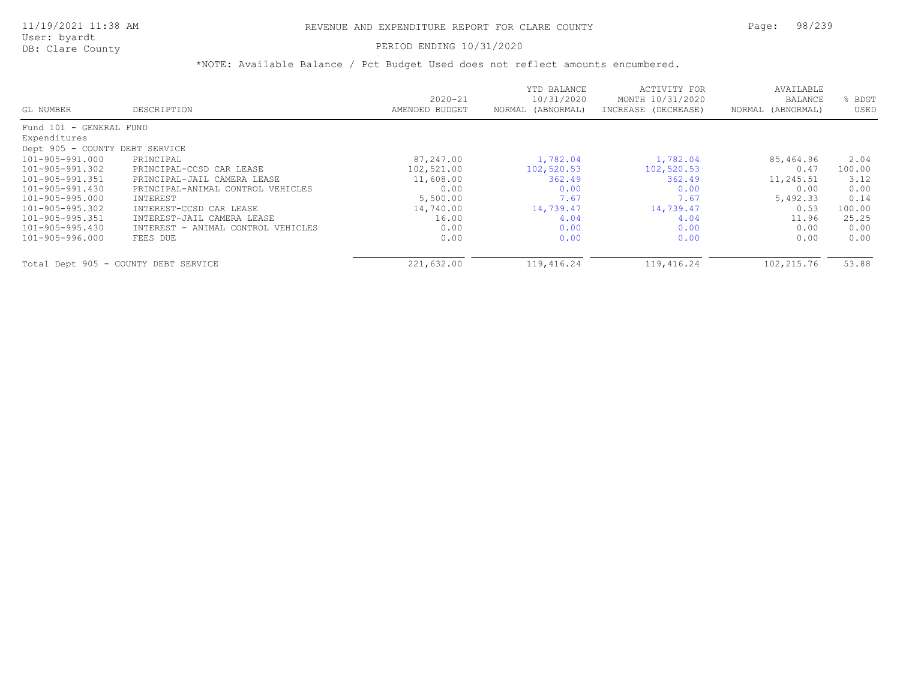### PERIOD ENDING 10/31/2020

|                                      |                                    |                | YTD BALANCE       | ACTIVITY FOR        | AVAILABLE         |        |
|--------------------------------------|------------------------------------|----------------|-------------------|---------------------|-------------------|--------|
|                                      |                                    | $2020 - 21$    | 10/31/2020        | MONTH 10/31/2020    | BALANCE           | BDGT   |
| GL NUMBER                            | DESCRIPTION                        | AMENDED BUDGET | NORMAL (ABNORMAL) | INCREASE (DECREASE) | NORMAL (ABNORMAL) | USED   |
| Fund 101 - GENERAL FUND              |                                    |                |                   |                     |                   |        |
| Expenditures                         |                                    |                |                   |                     |                   |        |
| Dept 905 - COUNTY DEBT SERVICE       |                                    |                |                   |                     |                   |        |
| 101-905-991.000                      | PRINCIPAL                          | 87,247.00      | 1,782.04          | 1,782.04            | 85,464.96         | 2.04   |
| 101-905-991.302                      | PRINCIPAL-CCSD CAR LEASE           | 102,521.00     | 102,520.53        | 102,520.53          | 0.47              | 100.00 |
| 101-905-991.351                      | PRINCIPAL-JAIL CAMERA LEASE        | 11,608.00      | 362.49            | 362.49              | 11,245.51         | 3.12   |
| 101-905-991.430                      | PRINCIPAL-ANIMAL CONTROL VEHICLES  | 0.00           | 0.00              | 0.00                | 0.00              | 0.00   |
| 101-905-995.000                      | INTEREST                           | 5,500.00       | 7.67              | 7.67                | 5,492.33          | 0.14   |
| 101-905-995.302                      | INTEREST-CCSD CAR LEASE            | 14,740.00      | 14,739.47         | 14,739.47           | 0.53              | 100.00 |
| 101-905-995.351                      | INTEREST-JAIL CAMERA LEASE         | 16.00          | 4.04              | 4.04                | 11.96             | 25.25  |
| 101-905-995.430                      | INTEREST - ANIMAL CONTROL VEHICLES | 0.00           | 0.00              | 0.00                | 0.00              | 0.00   |
| 101-905-996.000                      | FEES DUE                           | 0.00           | 0.00              | 0.00                | 0.00              | 0.00   |
| Total Dept 905 - COUNTY DEBT SERVICE |                                    | 221,632.00     | 119,416.24        | 119,416.24          | 102,215.76        | 53.88  |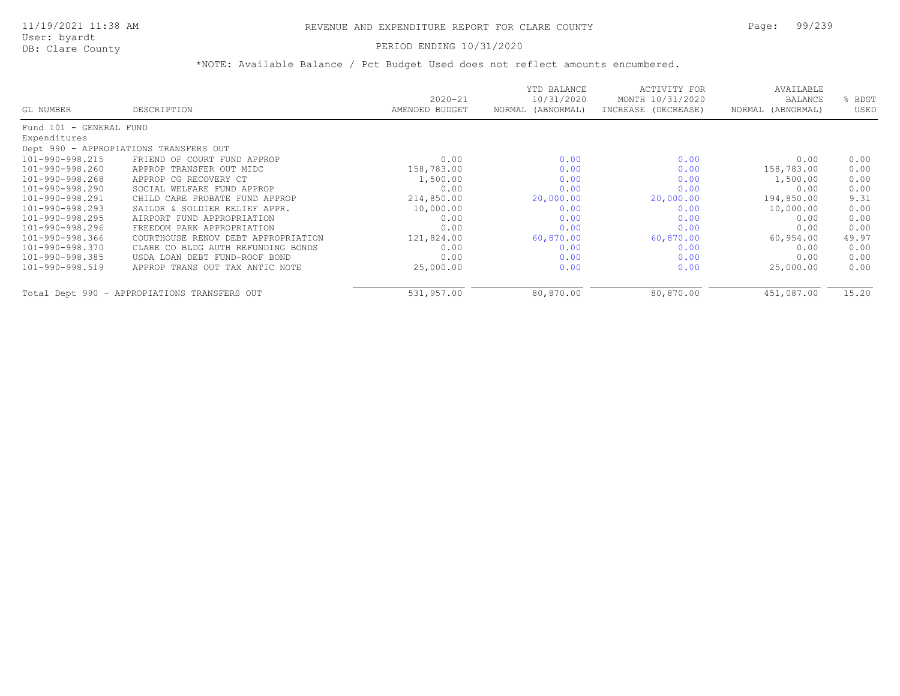## PERIOD ENDING 10/31/2020

|                         |                                              | $2020 - 21$    | YTD BALANCE<br>10/31/2020 | ACTIVITY FOR<br>MONTH 10/31/2020 | AVAILABLE<br><b>BALANCE</b> | BDGT  |
|-------------------------|----------------------------------------------|----------------|---------------------------|----------------------------------|-----------------------------|-------|
| GL NUMBER               | DESCRIPTION                                  | AMENDED BUDGET | (ABNORMAL)<br>NORMAL      | INCREASE (DECREASE)              | NORMAL (ABNORMAL)           | USED  |
| Fund 101 - GENERAL FUND |                                              |                |                           |                                  |                             |       |
| Expenditures            |                                              |                |                           |                                  |                             |       |
|                         | Dept 990 - APPROPIATIONS TRANSFERS OUT       |                |                           |                                  |                             |       |
| 101-990-998.215         | FRIEND OF COURT FUND APPROP                  | 0.00           | 0.00                      | 0.00                             | 0.00                        | 0.00  |
| 101-990-998.260         | APPROP TRANSFER OUT MIDC                     | 158,783.00     | 0.00                      | 0.00                             | 158,783.00                  | 0.00  |
| 101-990-998.268         | APPROP CG RECOVERY CT                        | 1,500.00       | 0.00                      | 0.00                             | 1,500.00                    | 0.00  |
| 101-990-998.290         | SOCIAL WELFARE FUND APPROP                   | 0.00           | 0.00                      | 0.00                             | 0.00                        | 0.00  |
| 101-990-998.291         | CHILD CARE PROBATE FUND APPROP               | 214,850.00     | 20,000.00                 | 20,000.00                        | 194,850.00                  | 9.31  |
| 101-990-998.293         | SAILOR & SOLDIER RELIEF APPR.                | 10,000.00      | 0.00                      | 0.00                             | 10,000.00                   | 0.00  |
| 101-990-998.295         | AIRPORT FUND APPROPRIATION                   | 0.00           | 0.00                      | 0.00                             | 0.00                        | 0.00  |
| 101-990-998.296         | FREEDOM PARK APPROPRIATION                   | 0.00           | 0.00                      | 0.00                             | 0.00                        | 0.00  |
| 101-990-998.366         | COURTHOUSE RENOV DEBT APPROPRIATION          | 121,824.00     | 60,870.00                 | 60,870.00                        | 60,954.00                   | 49.97 |
| 101-990-998.370         | CLARE CO BLDG AUTH REFUNDING BONDS           | 0.00           | 0.00                      | 0.00                             | 0.00                        | 0.00  |
| 101-990-998.385         | USDA LOAN DEBT FUND-ROOF BOND                | 0.00           | 0.00                      | 0.00                             | 0.00                        | 0.00  |
| 101-990-998.519         | APPROP TRANS OUT TAX ANTIC NOTE              | 25,000.00      | 0.00                      | 0.00                             | 25,000.00                   | 0.00  |
|                         | Total Dept 990 - APPROPIATIONS TRANSFERS OUT | 531,957.00     | 80,870.00                 | 80,870.00                        | 451,087.00                  | 15.20 |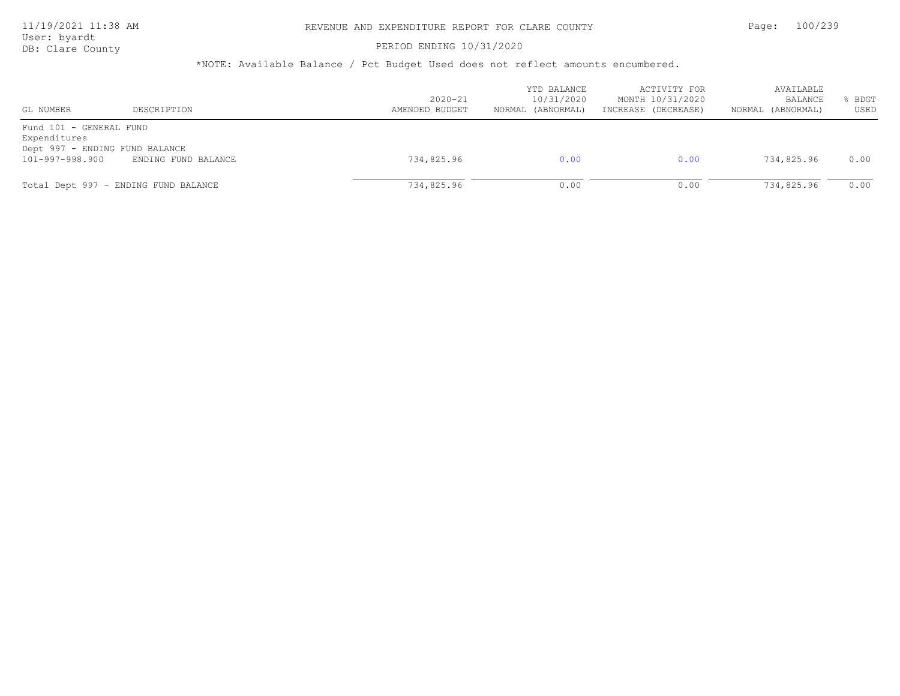DB: Clare County **DB: Clare County** 

| GL NUMBER                                                                                    | DESCRIPTION                          | $2020 - 21$<br>AMENDED BUDGET | YTD BALANCE<br>10/31/2020<br>NORMAL (ABNORMAL) | ACTIVITY FOR<br>MONTH 10/31/2020<br>INCREASE (DECREASE) | AVAILABLE<br>BALANCE<br>(ABNORMAL)<br>NORMAL | <b>BDGT</b><br>USED |
|----------------------------------------------------------------------------------------------|--------------------------------------|-------------------------------|------------------------------------------------|---------------------------------------------------------|----------------------------------------------|---------------------|
| Fund 101 - GENERAL FUND<br>Expenditures<br>Dept 997 - ENDING FUND BALANCE<br>101-997-998.900 | ENDING FUND BALANCE                  | 734,825.96                    | 0.00                                           | 0.00                                                    | 734,825.96                                   | 0.00                |
|                                                                                              | Total Dept 997 - ENDING FUND BALANCE | 734,825.96                    | 0.00                                           | 0.00                                                    | 734,825.96                                   | 0.00                |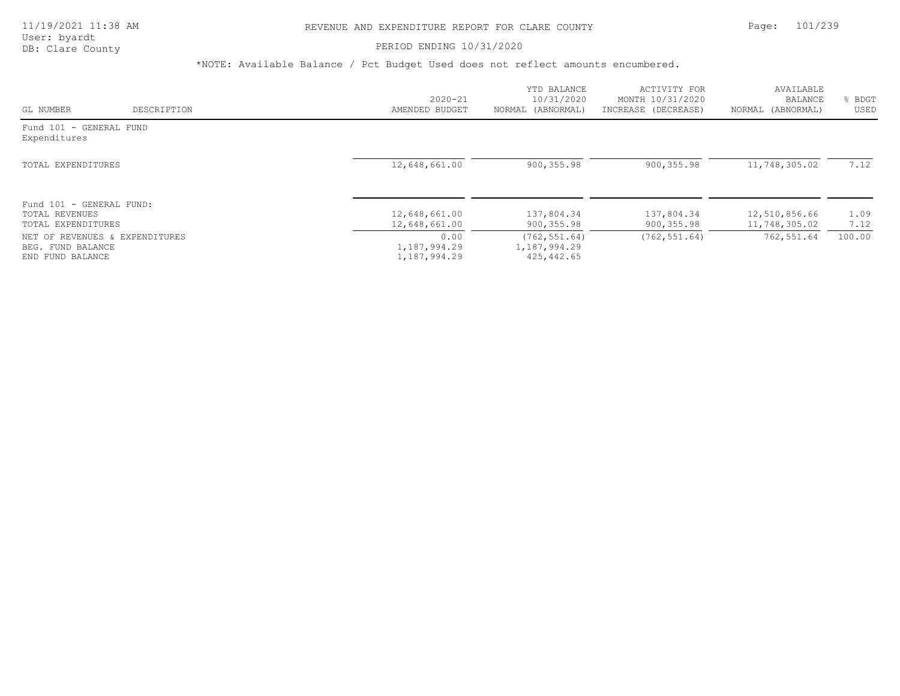## 11/19/2021 11:38 AM REVENUE AND EXPENDITURE REPORT FOR CLARE COUNTY Page: 101/239

#### PERIOD ENDING 10/31/2020

|                                                                         |             | $2020 - 21$                          | YTD BALANCE<br>10/31/2020                    | ACTIVITY FOR<br>MONTH 10/31/2020 | AVAILABLE<br>BALANCE | BDGT   |
|-------------------------------------------------------------------------|-------------|--------------------------------------|----------------------------------------------|----------------------------------|----------------------|--------|
| GL NUMBER                                                               | DESCRIPTION | AMENDED BUDGET                       | NORMAL (ABNORMAL)                            | INCREASE (DECREASE)              | NORMAL (ABNORMAL)    | USED   |
| Fund 101 - GENERAL FUND<br>Expenditures                                 |             |                                      |                                              |                                  |                      |        |
| TOTAL EXPENDITURES                                                      |             | 12,648,661.00                        | 900, 355.98                                  | 900, 355.98                      | 11,748,305.02        | 7.12   |
| Fund 101 - GENERAL FUND:<br>TOTAL REVENUES                              |             | 12,648,661.00                        | 137,804.34                                   | 137,804.34                       | 12,510,856.66        | 1.09   |
| TOTAL EXPENDITURES                                                      |             | 12,648,661.00                        | 900, 355.98                                  | 900, 355.98                      | 11,748,305.02        | 7.12   |
| NET OF REVENUES & EXPENDITURES<br>BEG. FUND BALANCE<br>END FUND BALANCE |             | 0.00<br>1,187,994.29<br>1,187,994.29 | (762, 551.64)<br>1,187,994.29<br>425, 442.65 | (762, 551.64)                    | 762,551.64           | 100.00 |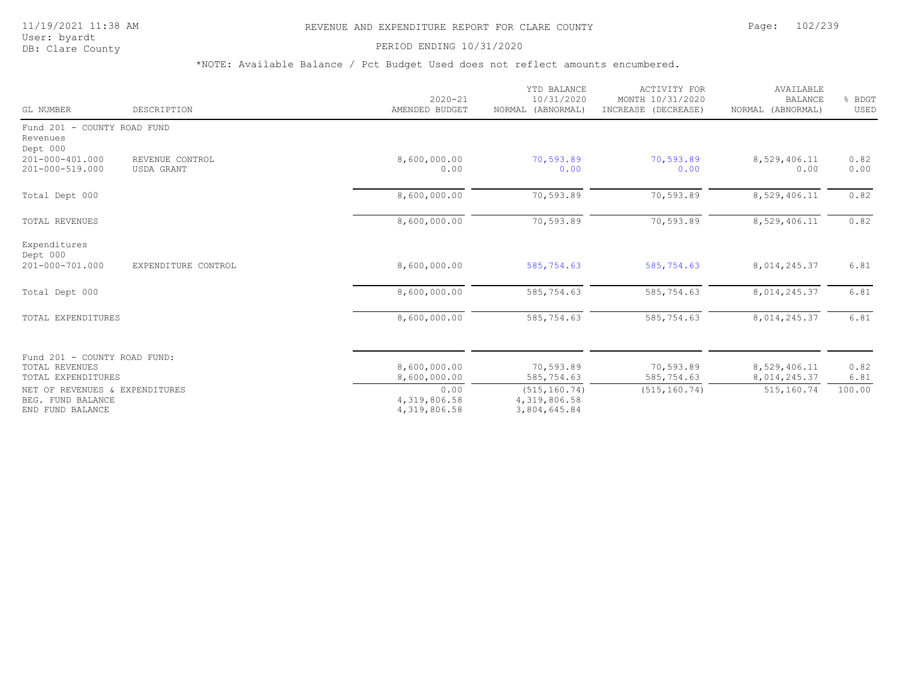#### PERIOD ENDING 10/31/2020

| GL NUMBER                                                               | DESCRIPTION                   | $2020 - 21$<br>AMENDED BUDGET        | YTD BALANCE<br>10/31/2020<br>NORMAL (ABNORMAL) | <b>ACTIVITY FOR</b><br>MONTH 10/31/2020<br>INCREASE (DECREASE) | AVAILABLE<br><b>BALANCE</b><br>NORMAL (ABNORMAL) | % BDGT<br>USED |
|-------------------------------------------------------------------------|-------------------------------|--------------------------------------|------------------------------------------------|----------------------------------------------------------------|--------------------------------------------------|----------------|
| Fund 201 - COUNTY ROAD FUND<br>Revenues<br>Dept 000                     |                               |                                      |                                                |                                                                |                                                  |                |
| 201-000-401.000<br>201-000-519.000                                      | REVENUE CONTROL<br>USDA GRANT | 8,600,000.00<br>0.00                 | 70,593.89<br>0.00                              | 70,593.89<br>0.00                                              | 8,529,406.11<br>0.00                             | 0.82<br>0.00   |
| Total Dept 000                                                          |                               | 8,600,000.00                         | 70,593.89                                      | 70,593.89                                                      | 8,529,406.11                                     | 0.82           |
| <b>TOTAL REVENUES</b>                                                   |                               | 8,600,000.00                         | 70,593.89                                      | 70,593.89                                                      | 8,529,406.11                                     | 0.82           |
| Expenditures<br>Dept 000<br>201-000-701.000                             | EXPENDITURE CONTROL           | 8,600,000.00                         | 585,754.63                                     | 585,754.63                                                     | 8,014,245.37                                     | 6.81           |
|                                                                         |                               |                                      |                                                |                                                                |                                                  |                |
| Total Dept 000                                                          |                               | 8,600,000.00                         | 585,754.63                                     | 585,754.63                                                     | 8,014,245.37                                     | 6.81           |
| TOTAL EXPENDITURES                                                      |                               | 8,600,000.00                         | 585,754.63                                     | 585,754.63                                                     | 8,014,245.37                                     | 6.81           |
| Fund 201 - COUNTY ROAD FUND:                                            |                               |                                      |                                                |                                                                |                                                  |                |
| TOTAL REVENUES<br>TOTAL EXPENDITURES                                    |                               | 8,600,000.00<br>8,600,000.00         | 70,593.89<br>585,754.63                        | 70,593.89<br>585,754.63                                        | 8,529,406.11<br>8,014,245.37                     | 0.82<br>6.81   |
| NET OF REVENUES & EXPENDITURES<br>BEG. FUND BALANCE<br>END FUND BALANCE |                               | 0.00<br>4,319,806.58<br>4,319,806.58 | (515, 160.74)<br>4,319,806.58<br>3,804,645.84  | (515, 160.74)                                                  | 515,160.74                                       | 100.00         |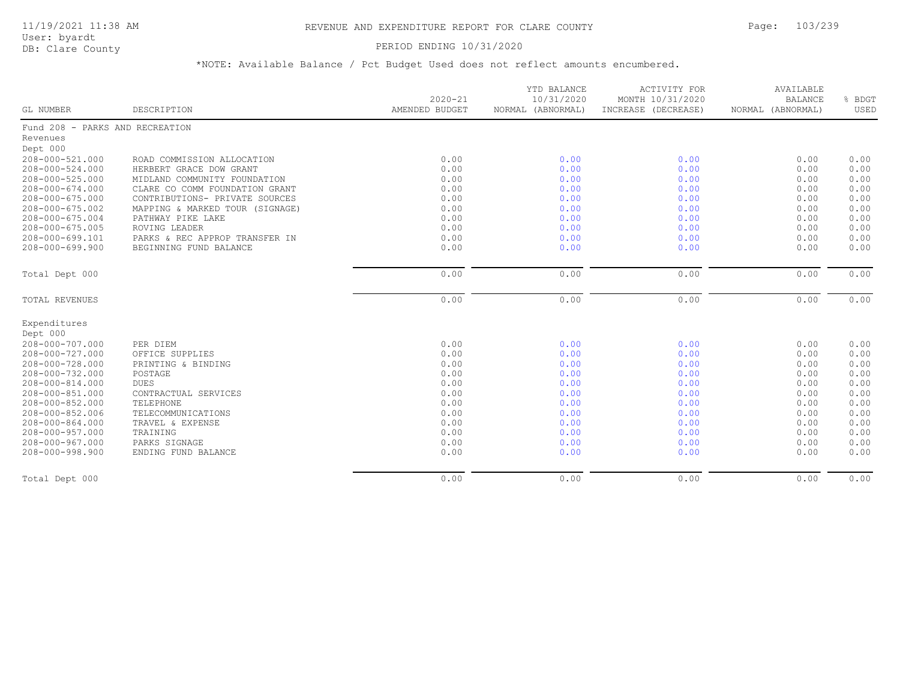User: byardt

# DB: Clare County **DB: Clare County**

| <b>GL NUMBER</b>                | DESCRIPTION                     | $2020 - 21$<br>AMENDED BUDGET | YTD BALANCE<br>10/31/2020<br>NORMAL (ABNORMAL) | <b>ACTIVITY FOR</b><br>MONTH 10/31/2020<br>INCREASE (DECREASE) | AVAILABLE<br><b>BALANCE</b><br>NORMAL (ABNORMAL) | % BDGT<br>USED |
|---------------------------------|---------------------------------|-------------------------------|------------------------------------------------|----------------------------------------------------------------|--------------------------------------------------|----------------|
| Fund 208 - PARKS AND RECREATION |                                 |                               |                                                |                                                                |                                                  |                |
| Revenues                        |                                 |                               |                                                |                                                                |                                                  |                |
| Dept 000                        |                                 |                               |                                                |                                                                |                                                  |                |
| 208-000-521.000                 | ROAD COMMISSION ALLOCATION      | 0.00                          | 0.00                                           | 0.00                                                           | 0.00                                             | 0.00           |
| 208-000-524.000                 | HERBERT GRACE DOW GRANT         | 0.00                          | 0.00                                           | 0.00                                                           | 0.00                                             | 0.00           |
| $208 - 000 - 525.000$           | MIDLAND COMMUNITY FOUNDATION    | 0.00                          | 0.00                                           | 0.00                                                           | 0.00                                             | 0.00           |
| $208 - 000 - 674.000$           | CLARE CO COMM FOUNDATION GRANT  | 0.00                          | 0.00                                           | 0.00                                                           | 0.00                                             | 0.00           |
| $208 - 000 - 675.000$           | CONTRIBUTIONS- PRIVATE SOURCES  | 0.00                          | 0.00                                           | 0.00                                                           | 0.00                                             | 0.00           |
| 208-000-675.002                 | MAPPING & MARKED TOUR (SIGNAGE) | 0.00                          | 0.00                                           | 0.00                                                           | 0.00                                             | 0.00           |
| $208 - 000 - 675.004$           | PATHWAY PIKE LAKE               | 0.00                          | 0.00                                           | 0.00                                                           | 0.00                                             | 0.00           |
| $208 - 000 - 675.005$           | ROVING LEADER                   | 0.00                          | 0.00                                           | 0.00                                                           | 0.00                                             | 0.00           |
| 208-000-699.101                 | PARKS & REC APPROP TRANSFER IN  | 0.00                          | 0.00                                           | 0.00                                                           | 0.00                                             | 0.00           |
| $208 - 000 - 699.900$           | BEGINNING FUND BALANCE          | 0.00                          | 0.00                                           | 0.00                                                           | 0.00                                             | 0.00           |
| Total Dept 000                  |                                 | 0.00                          | 0.00                                           | 0.00                                                           | 0.00                                             | 0.00           |
| TOTAL REVENUES                  |                                 | 0.00                          | 0.00                                           | 0.00                                                           | 0.00                                             | 0.00           |
| Expenditures                    |                                 |                               |                                                |                                                                |                                                  |                |
| Dept 000                        |                                 |                               |                                                |                                                                |                                                  |                |
| 208-000-707.000                 | PER DIEM                        | 0.00                          | 0.00                                           | 0.00                                                           | 0.00                                             | 0.00           |
| 208-000-727.000                 | OFFICE SUPPLIES                 | 0.00                          | 0.00                                           | 0.00                                                           | 0.00                                             | 0.00           |
| 208-000-728.000                 | PRINTING & BINDING              | 0.00                          | 0.00                                           | 0.00                                                           | 0.00                                             | 0.00           |
| 208-000-732.000                 | POSTAGE                         | 0.00                          | 0.00                                           | 0.00                                                           | 0.00                                             | 0.00           |
| 208-000-814.000                 | <b>DUES</b>                     | 0.00                          | 0.00                                           | 0.00                                                           | 0.00                                             | 0.00           |
| 208-000-851.000                 | CONTRACTUAL SERVICES            | 0.00                          | 0.00                                           | 0.00                                                           | 0.00                                             | 0.00           |
| 208-000-852.000                 | TELEPHONE                       | 0.00                          | 0.00                                           | 0.00                                                           | 0.00                                             | 0.00           |
| 208-000-852.006                 | TELECOMMUNICATIONS              | 0.00                          | 0.00                                           | 0.00                                                           | 0.00                                             | 0.00           |
| 208-000-864.000                 | TRAVEL & EXPENSE                | 0.00                          | 0.00                                           | 0.00                                                           | 0.00                                             | 0.00           |
| 208-000-957.000                 | TRAINING                        | 0.00                          | 0.00                                           | 0.00                                                           | 0.00                                             | 0.00           |
| 208-000-967.000                 | PARKS SIGNAGE                   | 0.00                          | 0.00                                           | 0.00                                                           | 0.00                                             | 0.00           |
| 208-000-998.900                 | ENDING FUND BALANCE             | 0.00                          | 0.00                                           | 0.00                                                           | 0.00                                             | 0.00           |
| Total Dept 000                  |                                 | 0.00                          | 0.00                                           | 0.00                                                           | 0.00                                             | 0.00           |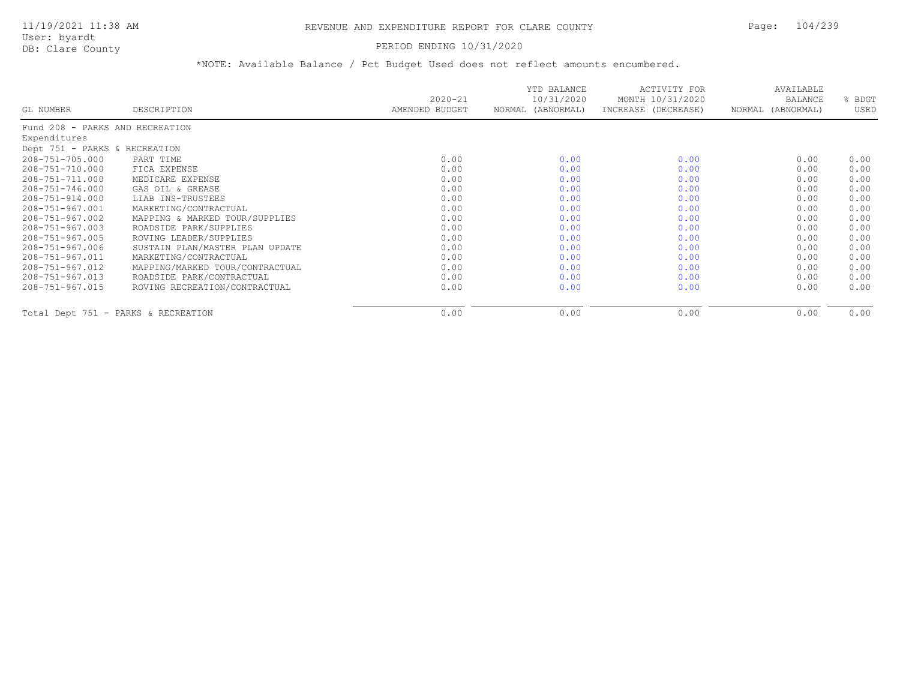#### PERIOD ENDING 10/31/2020

|                                     |                                 | $2020 - 21$    | YTD BALANCE<br>10/31/2020 | ACTIVITY FOR<br>MONTH 10/31/2020 | AVAILABLE<br>BALANCE | BDGT |
|-------------------------------------|---------------------------------|----------------|---------------------------|----------------------------------|----------------------|------|
| GL NUMBER                           | DESCRIPTION                     | AMENDED BUDGET | NORMAL (ABNORMAL)         | INCREASE (DECREASE)              | NORMAL (ABNORMAL)    | USED |
| Fund 208 - PARKS AND RECREATION     |                                 |                |                           |                                  |                      |      |
| Expenditures                        |                                 |                |                           |                                  |                      |      |
| Dept 751 - PARKS & RECREATION       |                                 |                |                           |                                  |                      |      |
| 208-751-705.000                     | PART TIME                       | 0.00           | 0.00                      | 0.00                             | 0.00                 | 0.00 |
| 208-751-710.000                     | FICA EXPENSE                    | 0.00           | 0.00                      | 0.00                             | 0.00                 | 0.00 |
| 208-751-711.000                     | MEDICARE EXPENSE                | 0.00           | 0.00                      | 0.00                             | 0.00                 | 0.00 |
| 208-751-746.000                     | GAS OIL & GREASE                | 0.00           | 0.00                      | 0.00                             | 0.00                 | 0.00 |
| 208-751-914.000                     | LIAB INS-TRUSTEES               | 0.00           | 0.00                      | 0.00                             | 0.00                 | 0.00 |
| 208-751-967.001                     | MARKETING/CONTRACTUAL           | 0.00           | 0.00                      | 0.00                             | 0.00                 | 0.00 |
| 208-751-967.002                     | MAPPING & MARKED TOUR/SUPPLIES  | 0.00           | 0.00                      | 0.00                             | 0.00                 | 0.00 |
| 208-751-967.003                     | ROADSIDE PARK/SUPPLIES          | 0.00           | 0.00                      | 0.00                             | 0.00                 | 0.00 |
| 208-751-967.005                     | ROVING LEADER/SUPPLIES          | 0.00           | 0.00                      | 0.00                             | 0.00                 | 0.00 |
| 208-751-967.006                     | SUSTAIN PLAN/MASTER PLAN UPDATE | 0.00           | 0.00                      | 0.00                             | 0.00                 | 0.00 |
| 208-751-967.011                     | MARKETING/CONTRACTUAL           | 0.00           | 0.00                      | 0.00                             | 0.00                 | 0.00 |
| 208-751-967.012                     | MAPPING/MARKED TOUR/CONTRACTUAL | 0.00           | 0.00                      | 0.00                             | 0.00                 | 0.00 |
| 208-751-967.013                     | ROADSIDE PARK/CONTRACTUAL       | 0.00           | 0.00                      | 0.00                             | 0.00                 | 0.00 |
| $208 - 751 - 967.015$               | ROVING RECREATION/CONTRACTUAL   | 0.00           | 0.00                      | 0.00                             | 0.00                 | 0.00 |
| Total Dept 751 - PARKS & RECREATION |                                 | 0.00           | 0.00                      | 0.00                             | 0.00                 | 0.00 |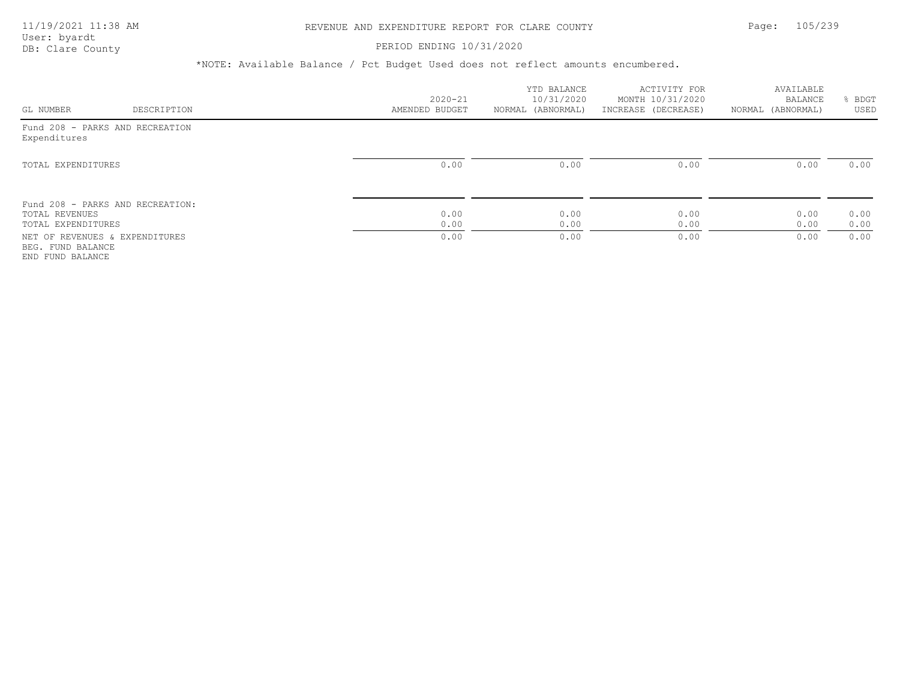### PERIOD ENDING 10/31/2020

|                                                                          |             | $2020 - 21$    | YTD BALANCE<br>10/31/2020 | ACTIVITY FOR<br>MONTH 10/31/2020 | AVAILABLE<br>BALANCE | BDGT         |
|--------------------------------------------------------------------------|-------------|----------------|---------------------------|----------------------------------|----------------------|--------------|
| GL NUMBER                                                                | DESCRIPTION | AMENDED BUDGET | NORMAL (ABNORMAL)         | INCREASE (DECREASE)              | NORMAL (ABNORMAL)    | USED         |
| Fund 208 - PARKS AND RECREATION<br>Expenditures                          |             |                |                           |                                  |                      |              |
| TOTAL EXPENDITURES                                                       |             | 0.00           | 0.00                      | 0.00                             | 0.00                 | 0.00         |
| Fund 208 - PARKS AND RECREATION:<br>TOTAL REVENUES<br>TOTAL EXPENDITURES |             | 0.00<br>0.00   | 0.00<br>0.00              | 0.00<br>0.00                     | 0.00<br>0.00         | 0.00<br>0.00 |
| NET OF REVENUES & EXPENDITURES<br>BEG. FUND BALANCE<br>END FUND BALANCE  |             | 0.00           | 0.00                      | 0.00                             | 0.00                 | 0.00         |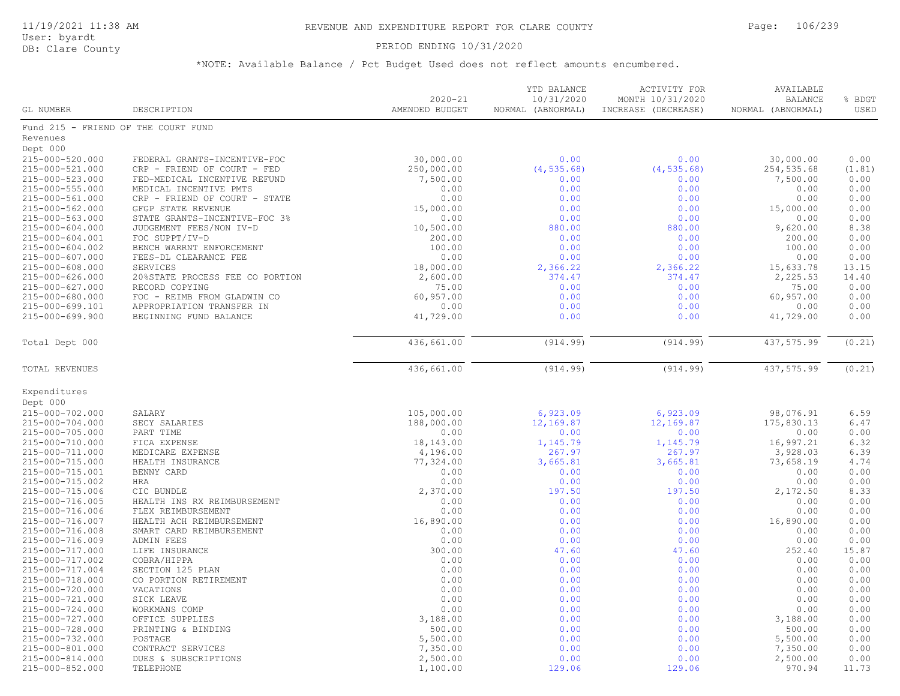#### PERIOD ENDING 10/31/2020

| <b>GL NUMBER</b>      | DESCRIPTION                         | $2020 - 21$<br>AMENDED BUDGET | YTD BALANCE<br>10/31/2020<br>NORMAL (ABNORMAL) | <b>ACTIVITY FOR</b><br>MONTH 10/31/2020<br>INCREASE (DECREASE) | AVAILABLE<br><b>BALANCE</b><br>NORMAL (ABNORMAL) | % BDGT<br>USED |
|-----------------------|-------------------------------------|-------------------------------|------------------------------------------------|----------------------------------------------------------------|--------------------------------------------------|----------------|
|                       | Fund 215 - FRIEND OF THE COURT FUND |                               |                                                |                                                                |                                                  |                |
| Revenues              |                                     |                               |                                                |                                                                |                                                  |                |
| Dept 000              |                                     |                               |                                                |                                                                |                                                  |                |
| 215-000-520.000       | FEDERAL GRANTS-INCENTIVE-FOC        | 30,000.00                     | 0.00                                           | 0.00                                                           | 30,000.00                                        | 0.00           |
| 215-000-521.000       | CRP - FRIEND OF COURT - FED         | 250,000.00                    | (4, 535.68)                                    | (4, 535.68)                                                    | 254,535.68                                       | (1.81)         |
| 215-000-523.000       | FED-MEDICAL INCENTIVE REFUND        | 7,500.00                      | 0.00                                           | 0.00                                                           | 7,500.00                                         | 0.00           |
| 215-000-555.000       | MEDICAL INCENTIVE PMTS              | 0.00                          | 0.00                                           | 0.00                                                           | 0.00                                             | 0.00           |
| 215-000-561.000       | CRP - FRIEND OF COURT - STATE       | 0.00                          | 0.00                                           | 0.00                                                           | 0.00                                             | 0.00           |
| 215-000-562.000       | GFGP STATE REVENUE                  | 15,000.00                     | 0.00                                           | 0.00                                                           | 15,000.00                                        | 0.00           |
| 215-000-563.000       | STATE GRANTS-INCENTIVE-FOC 3%       | 0.00                          | 0.00                                           | 0.00                                                           | 0.00                                             | 0.00           |
| $215 - 000 - 604.000$ | JUDGEMENT FEES/NON IV-D             | 10,500.00                     | 880.00                                         | 880.00                                                         | 9,620.00                                         | 8.38           |
| 215-000-604.001       | FOC SUPPT/IV-D                      | 200.00                        | 0.00                                           | 0.00                                                           | 200.00                                           | 0.00           |
| 215-000-604.002       | BENCH WARRNT ENFORCEMENT            | 100.00                        | 0.00                                           | 0.00                                                           | 100.00                                           | 0.00           |
| 215-000-607.000       | FEES-DL CLEARANCE FEE               | 0.00                          | 0.00                                           | 0.00                                                           | 0.00                                             | 0.00           |
| 215-000-608.000       | SERVICES                            | 18,000.00                     | 2,366.22                                       | 2,366.22                                                       | 15,633.78                                        | 13.15          |
| 215-000-626.000       | 20%STATE PROCESS FEE CO PORTION     | 2,600.00                      | 374.47                                         | 374.47                                                         | 2,225.53                                         | 14.40          |
| 215-000-627.000       | RECORD COPYING                      | 75.00                         | 0.00                                           | 0.00                                                           | 75.00                                            | 0.00           |
| 215-000-680.000       | FOC - REIMB FROM GLADWIN CO         | 60,957.00                     | 0.00                                           | 0.00                                                           | 60,957.00                                        | 0.00           |
| 215-000-699.101       | APPROPRIATION TRANSFER IN           | 0.00                          | 0.00                                           | 0.00                                                           | 0.00                                             | 0.00           |
| 215-000-699.900       | BEGINNING FUND BALANCE              | 41,729.00                     | 0.00                                           | 0.00                                                           | 41,729.00                                        | 0.00           |
| Total Dept 000        |                                     | 436,661.00                    | (914.99)                                       | (914.99)                                                       | 437,575.99                                       | (0.21)         |
|                       |                                     |                               |                                                |                                                                |                                                  |                |
| TOTAL REVENUES        |                                     | 436,661.00                    | (914.99)                                       | (914.99)                                                       | 437,575.99                                       | (0.21)         |
| Expenditures          |                                     |                               |                                                |                                                                |                                                  |                |
| Dept 000              |                                     |                               |                                                |                                                                |                                                  |                |
| 215-000-702.000       | SALARY                              | 105,000.00                    | 6,923.09                                       | 6,923.09                                                       | 98,076.91                                        | 6.59           |
| 215-000-704.000       | SECY SALARIES                       | 188,000.00                    | 12,169.87                                      | 12,169.87                                                      | 175,830.13                                       | 6.47           |
| 215-000-705.000       | PART TIME                           | 0.00                          | 0.00                                           | 0.00                                                           | 0.00                                             | 0.00           |
| 215-000-710.000       | FICA EXPENSE                        | 18,143.00                     | 1,145.79                                       | 1,145.79                                                       | 16,997.21                                        | 6.32           |
| 215-000-711.000       | MEDICARE EXPENSE                    | 4,196.00                      | 267.97                                         | 267.97                                                         | 3,928.03                                         | 6.39           |
| 215-000-715.000       | HEALTH INSURANCE                    | 77,324.00                     | 3,665.81                                       | 3,665.81                                                       | 73,658.19                                        | 4.74           |
| 215-000-715.001       | BENNY CARD                          | 0.00                          | 0.00                                           | 0.00                                                           | 0.00                                             | 0.00           |
| 215-000-715.002       | <b>HRA</b>                          | 0.00                          | 0.00                                           | 0.00                                                           | 0.00                                             | 0.00           |
| 215-000-715.006       | CIC BUNDLE                          | 2,370.00                      | 197.50                                         | 197.50                                                         | 2,172.50                                         | 8.33           |
| 215-000-716.005       | HEALTH INS RX REIMBURSEMENT         | 0.00                          | 0.00                                           | 0.00                                                           | 0.00                                             | 0.00           |
| 215-000-716.006       | FLEX REIMBURSEMENT                  | 0.00                          | 0.00                                           | 0.00                                                           | 0.00                                             | 0.00           |
| 215-000-716.007       | HEALTH ACH REIMBURSEMENT            | 16,890.00                     | 0.00                                           | 0.00                                                           | 16,890.00                                        | 0.00           |
| 215-000-716.008       | SMART CARD REIMBURSEMENT            | 0.00                          | 0.00                                           | 0.00                                                           | 0.00                                             | 0.00           |
| 215-000-716.009       | ADMIN FEES                          | 0.00                          | 0.00                                           | 0.00                                                           | 0.00                                             | 0.00           |
| 215-000-717.000       | LIFE INSURANCE                      | 300.00                        | 47.60                                          | 47.60                                                          | 252.40                                           | 15.87          |
| 215-000-717.002       | COBRA/HIPPA                         | 0.00                          | 0.00                                           | 0.00                                                           | 0.00                                             | 0.00           |
| 215-000-717.004       | SECTION 125 PLAN                    | 0.00                          | 0.00                                           | 0.00                                                           | 0.00                                             | 0.00           |
| 215-000-718.000       | CO PORTION RETIREMENT               | 0.00                          | 0.00                                           | 0.00                                                           | 0.00                                             | 0.00           |
| 215-000-720.000       | VACATIONS                           | 0.00                          | 0.00                                           | 0.00                                                           | 0.00                                             | 0.00           |
| 215-000-721.000       | SICK LEAVE                          | 0.00                          | 0.00                                           | 0.00                                                           | 0.00                                             | 0.00           |
| 215-000-724.000       | WORKMANS COMP                       | 0.00                          | 0.00                                           | 0.00                                                           | 0.00                                             | 0.00           |
| 215-000-727.000       | OFFICE SUPPLIES                     | 3,188.00                      | 0.00                                           | 0.00                                                           | 3,188.00                                         | 0.00           |
| 215-000-728.000       | PRINTING & BINDING                  | 500.00                        | 0.00                                           | 0.00                                                           | 500.00                                           | 0.00           |
| 215-000-732.000       | POSTAGE                             | 5,500.00                      | 0.00                                           | 0.00                                                           | 5,500.00                                         | 0.00           |
| 215-000-801.000       | CONTRACT SERVICES                   | 7,350.00                      | 0.00                                           | 0.00                                                           | 7,350.00                                         | 0.00           |
| 215-000-814.000       | DUES & SUBSCRIPTIONS                | 2,500.00                      | 0.00                                           | 0.00                                                           | 2,500.00                                         | 0.00           |
| 215-000-852.000       | TELEPHONE                           | 1,100.00                      | 129.06                                         | 129.06                                                         | 970.94                                           | 11.73          |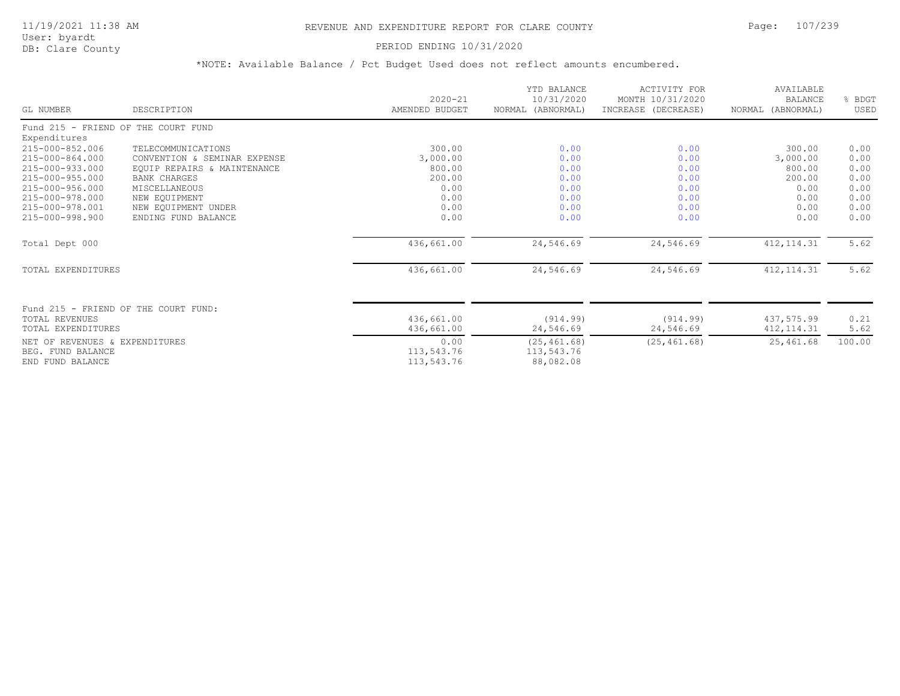## 11/19/2021 11:38 AM REVENUE AND EXPENDITURE REPORT FOR CLARE COUNTY Page: 107/239

User: byardt<br>DB: Clare County

#### PERIOD ENDING 10/31/2020

| GL NUMBER                            | DESCRIPTION                          | $2020 - 21$<br>AMENDED BUDGET | YTD BALANCE<br>10/31/2020<br>NORMAL (ABNORMAL) | <b>ACTIVITY FOR</b><br>MONTH 10/31/2020<br>INCREASE (DECREASE) | AVAILABLE<br><b>BALANCE</b><br>NORMAL (ABNORMAL) | % BDGT<br>USED |
|--------------------------------------|--------------------------------------|-------------------------------|------------------------------------------------|----------------------------------------------------------------|--------------------------------------------------|----------------|
| Fund 215 - FRIEND OF THE COURT FUND  |                                      |                               |                                                |                                                                |                                                  |                |
| Expenditures                         |                                      |                               |                                                |                                                                |                                                  |                |
| 215-000-852.006                      | TELECOMMUNICATIONS                   | 300.00                        | 0.00                                           | 0.00                                                           | 300.00                                           | 0.00           |
| 215-000-864.000                      | CONVENTION & SEMINAR EXPENSE         | 3,000.00                      | 0.00                                           | 0.00                                                           | 3,000.00                                         | 0.00           |
| 215-000-933.000                      | EQUIP REPAIRS & MAINTENANCE          | 800.00                        | 0.00                                           | 0.00                                                           | 800.00                                           | 0.00           |
| 215-000-955.000                      | <b>BANK CHARGES</b>                  | 200.00                        | 0.00                                           | 0.00                                                           | 200.00                                           | 0.00           |
| 215-000-956.000                      | MISCELLANEOUS                        | 0.00                          | 0.00                                           | 0.00                                                           | 0.00                                             | 0.00           |
| 215-000-978.000                      | NEW EQUIPMENT                        | 0.00                          | 0.00                                           | 0.00                                                           | 0.00                                             | 0.00           |
| 215-000-978.001                      | NEW EOUIPMENT UNDER                  | 0.00                          | 0.00                                           | 0.00                                                           | 0.00                                             | 0.00           |
| 215-000-998.900                      | ENDING FUND BALANCE                  | 0.00                          | 0.00                                           | 0.00                                                           | 0.00                                             | 0.00           |
| Total Dept 000                       |                                      | 436,661.00                    | 24,546.69                                      | 24,546.69                                                      | 412, 114.31                                      | 5.62           |
| TOTAL EXPENDITURES                   |                                      | 436,661.00                    | 24,546.69                                      | 24,546.69                                                      | 412, 114.31                                      | 5.62           |
|                                      |                                      |                               |                                                |                                                                |                                                  |                |
|                                      | Fund 215 - FRIEND OF THE COURT FUND: |                               |                                                |                                                                |                                                  |                |
| TOTAL REVENUES<br>TOTAL EXPENDITURES |                                      | 436,661.00<br>436,661.00      | (914.99)<br>24,546.69                          | (914.99)<br>24,546.69                                          | 437,575.99<br>412, 114.31                        | 0.21<br>5.62   |
| NET OF REVENUES & EXPENDITURES       |                                      | 0.00                          | (25, 461.68)                                   | (25, 461.68)                                                   | 25,461.68                                        | 100.00         |
| BEG. FUND BALANCE                    |                                      | 113,543.76                    | 113,543.76                                     |                                                                |                                                  |                |
| END FUND BALANCE                     |                                      | 113,543.76                    | 88,082.08                                      |                                                                |                                                  |                |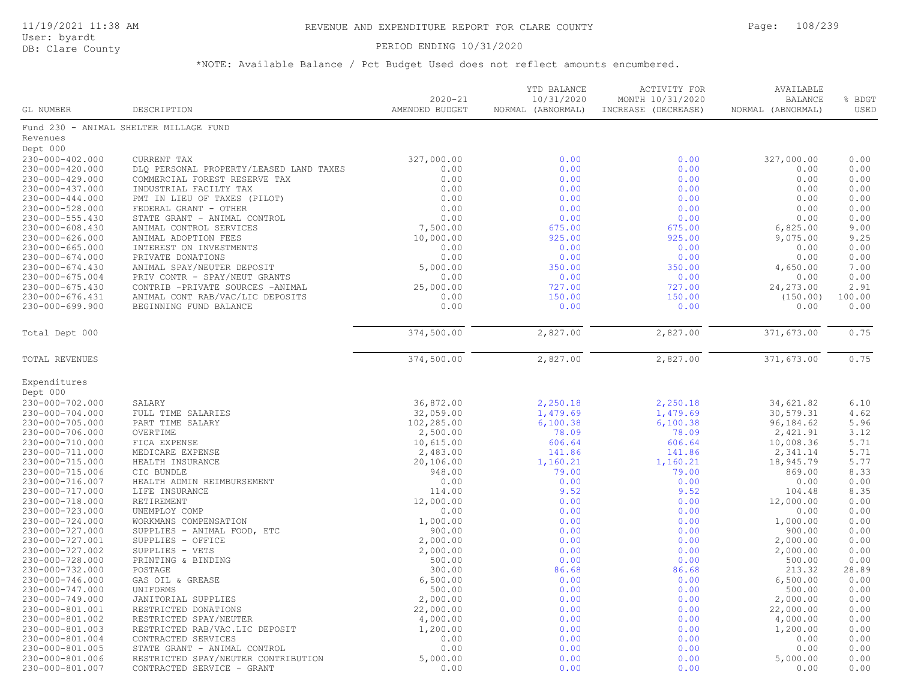#### PERIOD ENDING 10/31/2020

| GL NUMBER             | DESCRIPTION                             | $2020 - 21$<br>AMENDED BUDGET | YTD BALANCE<br>10/31/2020<br>NORMAL (ABNORMAL) | <b>ACTIVITY FOR</b><br>MONTH 10/31/2020<br>INCREASE (DECREASE) | AVAILABLE<br><b>BALANCE</b><br>NORMAL (ABNORMAL) | % BDGT<br>USED |
|-----------------------|-----------------------------------------|-------------------------------|------------------------------------------------|----------------------------------------------------------------|--------------------------------------------------|----------------|
|                       | Fund 230 - ANIMAL SHELTER MILLAGE FUND  |                               |                                                |                                                                |                                                  |                |
| Revenues              |                                         |                               |                                                |                                                                |                                                  |                |
| Dept 000              |                                         |                               |                                                |                                                                |                                                  |                |
| 230-000-402.000       | <b>CURRENT TAX</b>                      | 327,000.00                    | 0.00                                           | 0.00                                                           | 327,000.00                                       | 0.00           |
| 230-000-420.000       | DLQ PERSONAL PROPERTY/LEASED LAND TAXES | 0.00                          | 0.00                                           | 0.00                                                           | 0.00                                             | 0.00           |
| 230-000-429.000       | COMMERCIAL FOREST RESERVE TAX           | 0.00                          | 0.00                                           | 0.00                                                           | 0.00                                             | 0.00           |
| 230-000-437.000       | INDUSTRIAL FACILTY TAX                  | 0.00                          | 0.00                                           | 0.00                                                           | 0.00                                             | 0.00           |
| $230 - 000 - 444.000$ | PMT IN LIEU OF TAXES (PILOT)            | 0.00                          | 0.00                                           | 0.00                                                           | 0.00                                             | 0.00           |
| 230-000-528.000       | FEDERAL GRANT - OTHER                   | 0.00                          | 0.00                                           | 0.00                                                           | 0.00                                             | 0.00           |
| 230-000-555.430       | STATE GRANT - ANIMAL CONTROL            | 0.00                          | 0.00                                           | 0.00                                                           | 0.00                                             | 0.00           |
| $230 - 000 - 608.430$ | ANIMAL CONTROL SERVICES                 | 7,500.00                      | 675.00                                         | 675.00                                                         | 6,825.00                                         | 9.00           |
| $230 - 000 - 626.000$ | ANIMAL ADOPTION FEES                    | 10,000.00                     | 925.00                                         | 925.00                                                         | 9,075.00                                         | 9.25           |
| $230 - 000 - 665.000$ | INTEREST ON INVESTMENTS                 | 0.00                          | 0.00                                           | 0.00                                                           | 0.00                                             | 0.00           |
| $230 - 000 - 674.000$ | PRIVATE DONATIONS                       | 0.00                          | 0.00                                           | 0.00                                                           | 0.00                                             | 0.00           |
| $230 - 000 - 674.430$ | ANIMAL SPAY/NEUTER DEPOSIT              | 5,000.00                      | 350.00                                         | 350.00                                                         | 4,650.00                                         | 7.00           |
| $230 - 000 - 675.004$ | PRIV CONTR - SPAY/NEUT GRANTS           | 0.00                          | 0.00                                           | 0.00                                                           | 0.00                                             | 0.00           |
| 230-000-675.430       | CONTRIB -PRIVATE SOURCES -ANIMAL        | 25,000.00                     | 727.00                                         | 727.00                                                         | 24, 273.00                                       | 2.91           |
| 230-000-676.431       | ANIMAL CONT RAB/VAC/LIC DEPOSITS        | 0.00                          | 150.00                                         | 150.00                                                         | (150.00)                                         | 100.00         |
| $230 - 000 - 699.900$ | BEGINNING FUND BALANCE                  | 0.00                          | 0.00                                           | 0.00                                                           | 0.00                                             | 0.00           |
| Total Dept 000        |                                         | 374,500.00                    | 2,827.00                                       | 2,827.00                                                       | 371,673.00                                       | 0.75           |
| TOTAL REVENUES        |                                         | 374,500.00                    | 2,827.00                                       | 2,827.00                                                       | 371,673.00                                       | 0.75           |
| Expenditures          |                                         |                               |                                                |                                                                |                                                  |                |
| Dept 000              |                                         |                               |                                                |                                                                |                                                  |                |
| 230-000-702.000       | SALARY                                  | 36,872.00                     | 2,250.18                                       | 2,250.18                                                       | 34,621.82                                        | 6.10           |
| 230-000-704.000       | FULL TIME SALARIES                      | 32,059.00                     | 1,479.69                                       | 1,479.69                                                       | 30,579.31                                        | 4.62           |
| 230-000-705.000       | PART TIME SALARY                        | 102,285.00                    | 6,100.38                                       | 6,100.38                                                       | 96,184.62                                        | 5.96           |
| 230-000-706.000       | OVERTIME                                | 2,500.00                      | 78.09                                          | 78.09                                                          | 2,421.91                                         | 3.12           |
| 230-000-710.000       | FICA EXPENSE                            | 10,615.00                     | 606.64                                         | 606.64                                                         | 10,008.36                                        | 5.71           |
| 230-000-711.000       | MEDICARE EXPENSE                        | 2,483.00                      | 141.86                                         | 141.86                                                         | 2,341.14                                         | 5.71           |
| 230-000-715.000       | HEALTH INSURANCE                        | 20,106.00                     | 1,160.21                                       | 1,160.21                                                       | 18,945.79                                        | 5.77           |
| 230-000-715.006       | CIC BUNDLE                              | 948.00                        | 79.00                                          | 79.00                                                          | 869.00                                           | 8.33           |
| 230-000-716.007       | HEALTH ADMIN REIMBURSEMENT              | 0.00                          | 0.00                                           | 0.00                                                           | 0.00                                             | 0.00           |
| 230-000-717.000       | LIFE INSURANCE                          | 114.00                        | 9.52                                           | 9.52                                                           | 104.48                                           | 8.35           |
| 230-000-718.000       | RETIREMENT                              | 12,000.00                     | 0.00                                           | 0.00                                                           | 12,000.00                                        | 0.00           |
| 230-000-723.000       | UNEMPLOY COMP                           | 0.00                          | 0.00                                           | 0.00                                                           | 0.00                                             | 0.00           |
| 230-000-724.000       | WORKMANS COMPENSATION                   | 1,000.00                      | 0.00                                           | 0.00                                                           | 1,000.00                                         | 0.00           |
| 230-000-727.000       | SUPPLIES - ANIMAL FOOD, ETC             | 900.00                        | 0.00                                           | 0.00                                                           | 900.00                                           | 0.00           |
| 230-000-727.001       | SUPPLIES - OFFICE                       | 2,000.00                      | 0.00                                           | 0.00                                                           | 2,000.00                                         | 0.00           |
| 230-000-727.002       | SUPPLIES - VETS                         | 2,000.00                      | 0.00                                           | 0.00                                                           | 2,000.00                                         | 0.00           |
| 230-000-728.000       | PRINTING & BINDING                      | 500.00                        | 0.00                                           | 0.00                                                           | 500.00                                           | 0.00           |
| 230-000-732.000       | POSTAGE                                 | 300.00                        | 86.68                                          | 86.68                                                          | 213.32                                           | 28.89          |
| 230-000-746.000       | GAS OIL & GREASE                        | 6,500.00                      | 0.00                                           | 0.00                                                           | 6,500.00                                         | 0.00           |
| 230-000-747.000       | UNIFORMS                                | 500.00                        | 0.00                                           | 0.00                                                           | 500.00                                           | 0.00           |
| 230-000-749.000       | JANITORIAL SUPPLIES                     | 2,000.00                      | 0.00                                           | 0.00                                                           | 2,000.00                                         | 0.00           |
| 230-000-801.001       | RESTRICTED DONATIONS                    | 22,000.00                     | 0.00                                           | 0.00                                                           | 22,000.00                                        | 0.00           |
| 230-000-801.002       | RESTRICTED SPAY/NEUTER                  | 4,000.00                      | 0.00                                           | 0.00                                                           | 4,000.00                                         | 0.00           |
| 230-000-801.003       | RESTRICTED RAB/VAC.LIC DEPOSIT          | 1,200.00                      | 0.00                                           | 0.00                                                           | 1,200.00                                         | 0.00           |
| 230-000-801.004       | CONTRACTED SERVICES                     | 0.00                          | 0.00                                           | 0.00                                                           | 0.00                                             | 0.00           |
| 230-000-801.005       | STATE GRANT - ANIMAL CONTROL            | 0.00                          | 0.00                                           | 0.00                                                           | 0.00                                             | 0.00           |
| 230-000-801.006       | RESTRICTED SPAY/NEUTER CONTRIBUTION     | 5,000.00                      | 0.00                                           | 0.00                                                           | 5,000.00                                         | 0.00           |
| 230-000-801.007       | CONTRACTED SERVICE - GRANT              | 0.00                          | 0.00                                           | 0.00                                                           | 0.00                                             | 0.00           |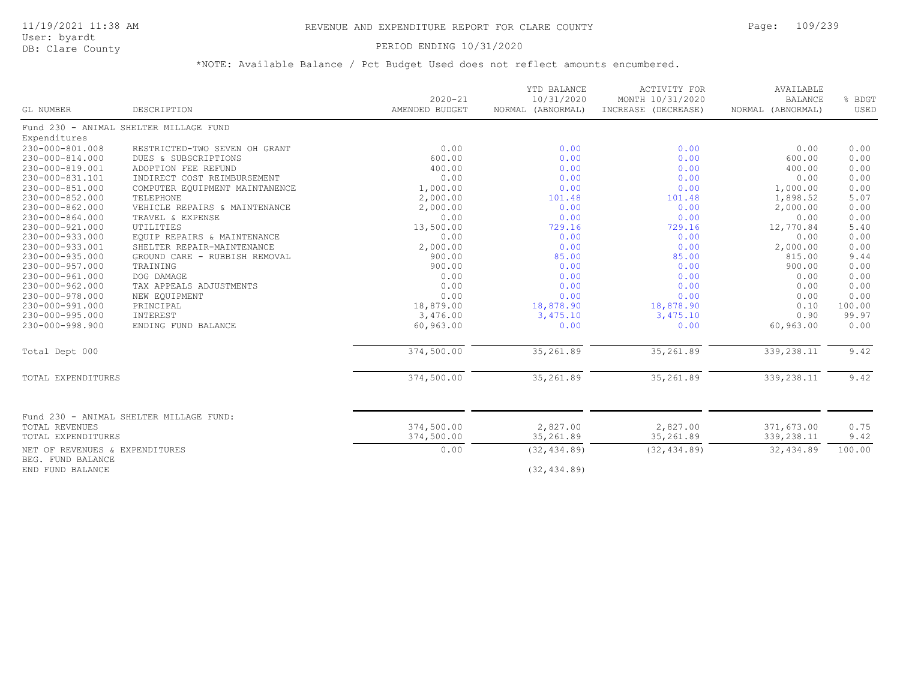# PERIOD ENDING 10/31/2020

| GL NUMBER                                           | DESCRIPTION                             | $2020 - 21$<br>AMENDED BUDGET | YTD BALANCE<br>10/31/2020<br>NORMAL (ABNORMAL) | <b>ACTIVITY FOR</b><br>MONTH 10/31/2020<br>INCREASE (DECREASE) | AVAILABLE<br><b>BALANCE</b><br>NORMAL (ABNORMAL) | % BDGT<br>USED |
|-----------------------------------------------------|-----------------------------------------|-------------------------------|------------------------------------------------|----------------------------------------------------------------|--------------------------------------------------|----------------|
|                                                     | Fund 230 - ANIMAL SHELTER MILLAGE FUND  |                               |                                                |                                                                |                                                  |                |
| Expenditures                                        |                                         |                               |                                                |                                                                |                                                  |                |
| 230-000-801.008                                     | RESTRICTED-TWO SEVEN OH GRANT           | 0.00                          | 0.00                                           | 0.00                                                           | 0.00                                             | 0.00           |
| 230-000-814.000                                     | DUES & SUBSCRIPTIONS                    | 600.00                        | 0.00                                           | 0.00                                                           | 600.00                                           | 0.00           |
| 230-000-819.001                                     | ADOPTION FEE REFUND                     | 400.00                        | 0.00                                           | 0.00                                                           | 400.00                                           | 0.00           |
| 230-000-831.101                                     | INDIRECT COST REIMBURSEMENT             | 0.00                          | 0.00                                           | 0.00                                                           | 0.00                                             | 0.00           |
| $230 - 000 - 851.000$                               | COMPUTER EQUIPMENT MAINTANENCE          | 1,000.00                      | 0.00                                           | 0.00                                                           | 1,000.00                                         | 0.00           |
| $230 - 000 - 852.000$                               | TELEPHONE                               | 2,000.00                      | 101.48                                         | 101.48                                                         | 1,898.52                                         | 5.07           |
| $230 - 000 - 862.000$                               | VEHICLE REPAIRS & MAINTENANCE           | 2,000.00                      | 0.00                                           | 0.00                                                           | 2,000.00                                         | 0.00           |
| 230-000-864.000                                     | TRAVEL & EXPENSE                        | 0.00                          | 0.00                                           | 0.00                                                           | 0.00                                             | 0.00           |
| 230-000-921.000                                     | UTILITIES                               | 13,500.00                     | 729.16                                         | 729.16                                                         | 12,770.84                                        | 5.40           |
| 230-000-933.000                                     | EQUIP REPAIRS & MAINTENANCE             | 0.00                          | 0.00                                           | 0.00                                                           | 0.00                                             | 0.00           |
| 230-000-933.001                                     | SHELTER REPAIR-MAINTENANCE              | 2,000.00                      | 0.00                                           | 0.00                                                           | 2,000.00                                         | 0.00           |
| 230-000-935.000                                     | GROUND CARE - RUBBISH REMOVAL           | 900.00                        | 85.00                                          | 85.00                                                          | 815.00                                           | 9.44           |
| 230-000-957.000                                     | TRAINING                                | 900.00                        | 0.00                                           | 0.00                                                           | 900.00                                           | 0.00           |
| $230 - 000 - 961.000$                               | DOG DAMAGE                              | 0.00                          | 0.00                                           | 0.00                                                           | 0.00                                             | 0.00           |
| $230 - 000 - 962.000$                               | TAX APPEALS ADJUSTMENTS                 | 0.00                          | 0.00                                           | 0.00                                                           | 0.00                                             | 0.00           |
| $230 - 000 - 978.000$                               | NEW EQUIPMENT                           | 0.00                          | 0.00                                           | 0.00                                                           | 0.00                                             | 0.00           |
| 230-000-991.000                                     | PRINCIPAL                               | 18,879.00                     | 18,878.90                                      | 18,878.90                                                      | 0.10                                             | 100.00         |
| $230 - 000 - 995.000$                               | INTEREST                                | 3,476.00                      | 3,475.10                                       | 3,475.10                                                       | 0.90                                             | 99.97          |
| 230-000-998.900                                     | ENDING FUND BALANCE                     | 60,963.00                     | 0.00                                           | 0.00                                                           | 60,963.00                                        | 0.00           |
| Total Dept 000                                      |                                         | 374,500.00                    | 35,261.89                                      | 35,261.89                                                      | 339,238.11                                       | 9.42           |
| TOTAL EXPENDITURES                                  |                                         | 374,500.00                    | 35,261.89                                      | 35,261.89                                                      | 339,238.11                                       | 9.42           |
|                                                     |                                         |                               |                                                |                                                                |                                                  |                |
| <b>TOTAL REVENUES</b>                               | Fund 230 - ANIMAL SHELTER MILLAGE FUND: | 374,500.00                    | 2,827.00                                       | 2,827.00                                                       | 371,673.00                                       | 0.75           |
|                                                     |                                         | 374,500.00                    | 35,261.89                                      | 35,261.89                                                      |                                                  |                |
| TOTAL EXPENDITURES                                  |                                         |                               |                                                |                                                                | 339,238.11                                       | 9.42           |
| NET OF REVENUES & EXPENDITURES<br>BEG. FUND BALANCE |                                         | 0.00                          | (32, 434.89)                                   | (32, 434.89)                                                   | 32,434.89                                        | 100.00         |
| END FUND BALANCE                                    |                                         |                               | (32, 434.89)                                   |                                                                |                                                  |                |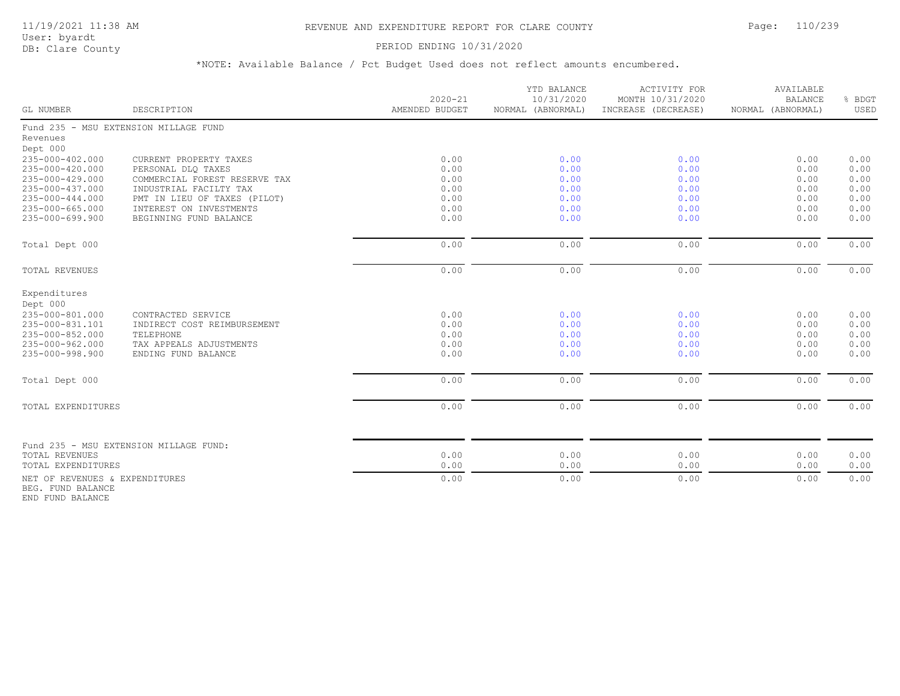### PERIOD ENDING 10/31/2020

\*NOTE: Available Balance / Pct Budget Used does not reflect amounts encumbered.

| <b>GL NUMBER</b>                                    | DESCRIPTION                                  | $2020 - 21$<br>AMENDED BUDGET | YTD BALANCE<br>10/31/2020<br>NORMAL (ABNORMAL) | ACTIVITY FOR<br>MONTH 10/31/2020<br>INCREASE (DECREASE) | AVAILABLE<br><b>BALANCE</b><br>NORMAL (ABNORMAL) | % BDGT<br>USED |
|-----------------------------------------------------|----------------------------------------------|-------------------------------|------------------------------------------------|---------------------------------------------------------|--------------------------------------------------|----------------|
|                                                     |                                              |                               |                                                |                                                         |                                                  |                |
|                                                     | Fund 235 - MSU EXTENSION MILLAGE FUND        |                               |                                                |                                                         |                                                  |                |
| Revenues                                            |                                              |                               |                                                |                                                         |                                                  |                |
| Dept 000                                            |                                              |                               |                                                |                                                         |                                                  |                |
| 235-000-402.000<br>235-000-420.000                  | CURRENT PROPERTY TAXES<br>PERSONAL DLQ TAXES | 0.00<br>0.00                  | 0.00<br>0.00                                   | 0.00<br>0.00                                            | 0.00<br>0.00                                     | 0.00<br>0.00   |
| 235-000-429.000                                     | COMMERCIAL FOREST RESERVE TAX                | 0.00                          | 0.00                                           | 0.00                                                    | 0.00                                             | 0.00           |
| 235-000-437.000                                     | INDUSTRIAL FACILTY TAX                       | 0.00                          | 0.00                                           | 0.00                                                    | 0.00                                             | 0.00           |
| 235-000-444.000                                     | PMT IN LIEU OF TAXES (PILOT)                 | 0.00                          | 0.00                                           | 0.00                                                    | 0.00                                             | 0.00           |
| 235-000-665.000                                     | INTEREST ON INVESTMENTS                      | 0.00                          | 0.00                                           | 0.00                                                    | 0.00                                             | 0.00           |
| 235-000-699.900                                     | BEGINNING FUND BALANCE                       | 0.00                          | 0.00                                           | 0.00                                                    | 0.00                                             | 0.00           |
| Total Dept 000                                      |                                              | 0.00                          | 0.00                                           | 0.00                                                    | 0.00                                             | 0.00           |
| TOTAL REVENUES                                      |                                              | 0.00                          | 0.00                                           | 0.00                                                    | 0.00                                             | 0.00           |
| Expenditures                                        |                                              |                               |                                                |                                                         |                                                  |                |
| Dept 000                                            |                                              |                               |                                                |                                                         |                                                  |                |
| 235-000-801.000                                     | CONTRACTED SERVICE                           | 0.00                          | 0.00                                           | 0.00                                                    | 0.00                                             | 0.00           |
| 235-000-831.101                                     | INDIRECT COST REIMBURSEMENT                  | 0.00                          | 0.00                                           | 0.00                                                    | 0.00                                             | 0.00           |
| 235-000-852.000                                     | TELEPHONE                                    | 0.00                          | 0.00                                           | 0.00                                                    | 0.00                                             | 0.00           |
| 235-000-962.000                                     | TAX APPEALS ADJUSTMENTS                      | 0.00                          | 0.00                                           | 0.00                                                    | 0.00                                             | 0.00           |
| 235-000-998.900                                     | ENDING FUND BALANCE                          | 0.00                          | 0.00                                           | 0.00                                                    | 0.00                                             | 0.00           |
| Total Dept 000                                      |                                              | 0.00                          | 0.00                                           | 0.00                                                    | 0.00                                             | 0.00           |
| TOTAL EXPENDITURES                                  |                                              | 0.00                          | 0.00                                           | 0.00                                                    | 0.00                                             | 0.00           |
|                                                     |                                              |                               |                                                |                                                         |                                                  |                |
|                                                     | Fund 235 - MSU EXTENSION MILLAGE FUND:       |                               |                                                |                                                         |                                                  |                |
| TOTAL REVENUES                                      |                                              | 0.00                          | 0.00                                           | 0.00                                                    | 0.00                                             | 0.00           |
| TOTAL EXPENDITURES                                  |                                              | 0.00                          | 0.00                                           | 0.00                                                    | 0.00                                             | 0.00           |
| NET OF REVENUES & EXPENDITURES<br>BEG. FUND BALANCE |                                              | 0.00                          | 0.00                                           | 0.00                                                    | 0.00                                             | 0.00           |

END FUND BALANCE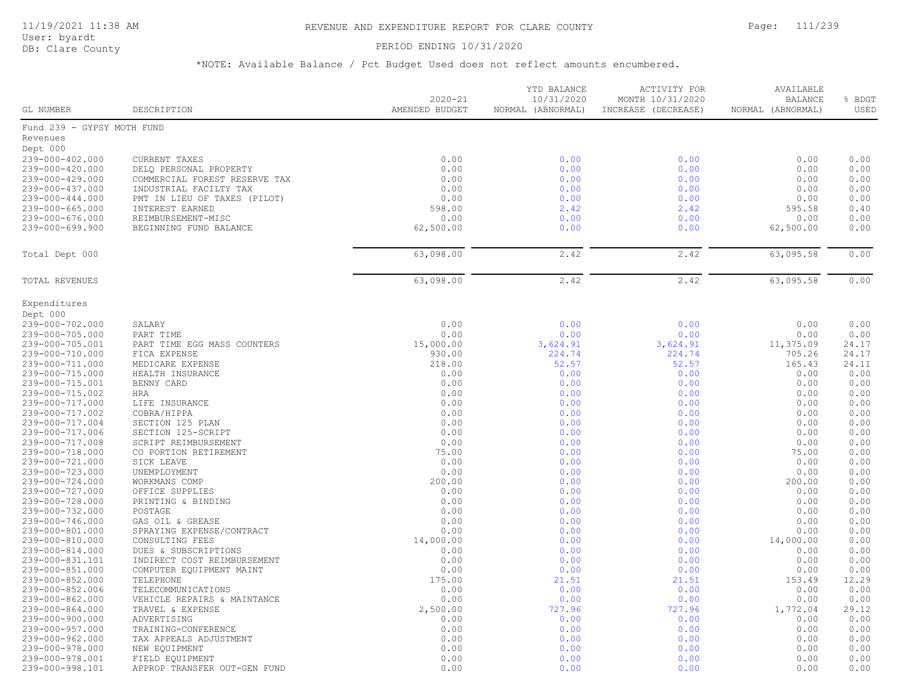### PERIOD ENDING 10/31/2020

| GL NUMBER                                | DESCRIPTION                                         | $2020 - 21$<br>AMENDED BUDGET | YTD BALANCE<br>10/31/2020<br>NORMAL (ABNORMAL) | ACTIVITY FOR<br>MONTH 10/31/2020<br>INCREASE (DECREASE) | AVAILABLE<br><b>BALANCE</b><br>NORMAL (ABNORMAL) | % BDGT<br>USED |
|------------------------------------------|-----------------------------------------------------|-------------------------------|------------------------------------------------|---------------------------------------------------------|--------------------------------------------------|----------------|
| Fund 239 - GYPSY MOTH FUND               |                                                     |                               |                                                |                                                         |                                                  |                |
| Revenues                                 |                                                     |                               |                                                |                                                         |                                                  |                |
| Dept 000                                 |                                                     |                               |                                                |                                                         |                                                  |                |
| 239-000-402.000                          | CURRENT TAXES                                       | 0.00                          | 0.00                                           | 0.00                                                    | 0.00                                             | 0.00           |
| 239-000-420.000                          | DELQ PERSONAL PROPERTY                              | 0.00                          | 0.00                                           | 0.00                                                    | 0.00                                             | 0.00           |
| 239-000-429.000                          | COMMERCIAL FOREST RESERVE TAX                       | 0.00                          | 0.00                                           | 0.00                                                    | 0.00                                             | 0.00           |
| 239-000-437.000                          | INDUSTRIAL FACILTY TAX                              | 0.00                          | 0.00                                           | 0.00                                                    | 0.00                                             | 0.00           |
| 239-000-444.000                          | PMT IN LIEU OF TAXES (PILOT)                        | 0.00                          | 0.00                                           | 0.00                                                    | 0.00                                             | 0.00           |
| $239 - 000 - 665.000$<br>239-000-676.000 | INTEREST EARNED<br>REIMBURSEMENT-MISC               | 598.00<br>0.00                | 2.42<br>0.00                                   | 2.42<br>0.00                                            | 595.58<br>0.00                                   | 0.40<br>0.00   |
| 239-000-699.900                          | BEGINNING FUND BALANCE                              | 62,500.00                     | 0.00                                           | 0.00                                                    | 62,500.00                                        | 0.00           |
|                                          |                                                     |                               |                                                |                                                         |                                                  |                |
| Total Dept 000                           |                                                     | 63,098.00                     | 2.42                                           | 2.42                                                    | 63,095.58                                        | 0.00           |
|                                          |                                                     |                               |                                                |                                                         |                                                  |                |
| TOTAL REVENUES                           |                                                     | 63,098.00                     | 2.42                                           | 2.42                                                    | 63,095.58                                        | 0.00           |
| Expenditures                             |                                                     |                               |                                                |                                                         |                                                  |                |
| Dept 000                                 |                                                     |                               |                                                |                                                         |                                                  |                |
| 239-000-702.000                          | SALARY                                              | 0.00                          | 0.00                                           | 0.00                                                    | 0.00                                             | 0.00           |
| 239-000-705.000                          | PART TIME                                           | 0.00                          | 0.00                                           | 0.00                                                    | 0.00                                             | 0.00           |
| 239-000-705.001<br>239-000-710.000       | PART TIME EGG MASS COUNTERS                         | 15,000.00<br>930.00           | 3,624.91<br>224.74                             | 3,624.91<br>224.74                                      | 11,375.09<br>705.26                              | 24.17<br>24.17 |
| 239-000-711.000                          | FICA EXPENSE<br>MEDICARE EXPENSE                    | 218.00                        | 52.57                                          | 52.57                                                   | 165.43                                           | 24.11          |
| 239-000-715.000                          | HEALTH INSURANCE                                    | 0.00                          | 0.00                                           | 0.00                                                    | 0.00                                             | 0.00           |
| 239-000-715.001                          | BENNY CARD                                          | 0.00                          | 0.00                                           | 0.00                                                    | 0.00                                             | 0.00           |
| 239-000-715.002                          | HRA                                                 | 0.00                          | 0.00                                           | 0.00                                                    | 0.00                                             | 0.00           |
| 239-000-717.000                          | LIFE INSURANCE                                      | 0.00                          | 0.00                                           | 0.00                                                    | 0.00                                             | 0.00           |
| 239-000-717.002                          | COBRA/HIPPA                                         | 0.00                          | 0.00                                           | 0.00                                                    | 0.00                                             | 0.00           |
| 239-000-717.004                          | SECTION 125 PLAN                                    | 0.00                          | 0.00                                           | 0.00                                                    | 0.00                                             | 0.00           |
| 239-000-717.006                          | SECTION 125-SCRIPT                                  | 0.00                          | 0.00                                           | 0.00                                                    | 0.00                                             | 0.00           |
| 239-000-717.008<br>239-000-718.000       | SCRIPT REIMBURSEMENT                                | 0.00<br>75.00                 | 0.00<br>0.00                                   | 0.00<br>0.00                                            | 0.00<br>75.00                                    | 0.00<br>0.00   |
| 239-000-721.000                          | CO PORTION RETIREMENT<br>SICK LEAVE                 | 0.00                          | 0.00                                           | 0.00                                                    | 0.00                                             | 0.00           |
| 239-000-723.000                          | UNEMPLOYMENT                                        | 0.00                          | 0.00                                           | 0.00                                                    | 0.00                                             | 0.00           |
| 239-000-724.000                          | WORKMANS COMP                                       | 200.00                        | 0.00                                           | 0.00                                                    | 200.00                                           | 0.00           |
| 239-000-727.000                          | OFFICE SUPPLIES                                     | 0.00                          | 0.00                                           | 0.00                                                    | 0.00                                             | 0.00           |
| 239-000-728.000                          | PRINTING & BINDING                                  | 0.00                          | 0.00                                           | 0.00                                                    | 0.00                                             | 0.00           |
| 239-000-732.000                          | POSTAGE                                             | 0.00                          | 0.00                                           | 0.00                                                    | 0.00                                             | 0.00           |
| 239-000-746.000                          | GAS OIL & GREASE                                    | 0.00                          | 0.00                                           | 0.00                                                    | 0.00                                             | 0.00           |
| 239-000-801.000                          | SPRAYING EXPENSE/CONTRACT                           | 0.00                          | 0.00                                           | 0.00                                                    | 0.00                                             | 0.00           |
| 239-000-810.000                          | CONSULTING FEES                                     | 14,000.00                     | 0.00                                           | 0.00                                                    | 14,000.00                                        | 0.00           |
| 239-000-814.000<br>239-000-831.101       | DUES & SUBSCRIPTIONS<br>INDIRECT COST REIMBURSEMENT | 0.00<br>0.00                  | 0.00<br>0.00                                   | 0.00<br>0.00                                            | 0.00<br>0.00                                     | 0.00<br>0.00   |
| 239-000-851.000                          | COMPUTER EQUIPMENT MAINT                            | 0.00                          | 0.00                                           | 0.00                                                    | 0.00                                             | 0.00           |
| 239-000-852.000                          | TELEPHONE                                           | 175.00                        | 21.51                                          | 21.51                                                   | 153.49                                           | 12.29          |
| 239-000-852.006                          | TELECOMMUNICATIONS                                  | 0.00                          | 0.00                                           | 0.00                                                    | 0.00                                             | 0.00           |
| 239-000-862.000                          | VEHICLE REPAIRS & MAINTANCE                         | 0.00                          | 0.00                                           | 0.00                                                    | 0.00                                             | 0.00           |
| 239-000-864.000                          | TRAVEL & EXPENSE                                    | 2,500.00                      | 727.96                                         | 727.96                                                  | 1,772.04                                         | 29.12          |
| 239-000-900.000                          | ADVERTISING                                         | 0.00                          | 0.00                                           | 0.00                                                    | 0.00                                             | 0.00           |
| 239-000-957.000                          | TRAINING-CONFERENCE                                 | 0.00                          | 0.00                                           | 0.00                                                    | 0.00                                             | 0.00           |
| 239-000-962.000                          | TAX APPEALS ADJUSTMENT                              | 0.00                          | 0.00                                           | 0.00                                                    | 0.00                                             | 0.00           |
| 239-000-978.000                          | NEW EQUIPMENT                                       | 0.00                          | 0.00                                           | 0.00                                                    | 0.00                                             | 0.00<br>0.00   |
| 239-000-978.001<br>239-000-998.101       | FIELD EQUIPMENT<br>APPROP TRANSFER OUT-GEN FUND     | 0.00<br>0.00                  | 0.00<br>0.00                                   | 0.00<br>0.00                                            | 0.00<br>0.00                                     | 0.00           |
|                                          |                                                     |                               |                                                |                                                         |                                                  |                |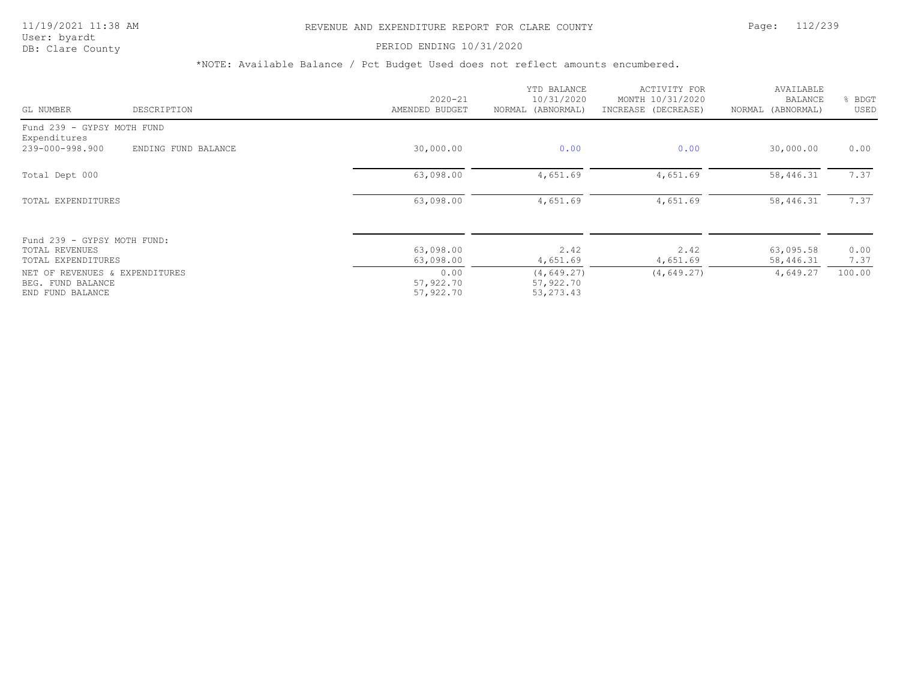# 11/19/2021 11:38 AM REVENUE AND EXPENDITURE REPORT FOR CLARE COUNTY Page: 112/239

PERIOD ENDING 10/31/2020

| GL NUMBER                                                                                     | DESCRIPTION         | $2020 - 21$<br>AMENDED BUDGET               | YTD BALANCE<br>10/31/2020<br>NORMAL (ABNORMAL)     | ACTIVITY FOR<br>MONTH 10/31/2020<br>INCREASE (DECREASE) | AVAILABLE<br>BALANCE<br>NORMAL (ABNORMAL) | BDGT<br>USED   |
|-----------------------------------------------------------------------------------------------|---------------------|---------------------------------------------|----------------------------------------------------|---------------------------------------------------------|-------------------------------------------|----------------|
| Fund 239 - GYPSY MOTH FUND<br>Expenditures                                                    |                     |                                             |                                                    |                                                         |                                           |                |
| 239-000-998.900                                                                               | ENDING FUND BALANCE | 30,000.00                                   | 0.00                                               | 0.00                                                    | 30,000.00                                 | 0.00           |
| Total Dept 000                                                                                |                     | 63,098.00                                   | 4,651.69                                           | 4,651.69                                                | 58,446.31                                 | 7.37           |
| TOTAL EXPENDITURES                                                                            |                     | 63,098.00                                   | 4,651.69                                           | 4,651.69                                                | 58,446.31                                 | 7.37           |
| Fund 239 - GYPSY MOTH FUND:<br>TOTAL REVENUES                                                 |                     | 63,098.00                                   | 2.42                                               | 2.42                                                    | 63,095.58                                 | 0.00           |
| TOTAL EXPENDITURES<br>NET OF REVENUES & EXPENDITURES<br>BEG. FUND BALANCE<br>END FUND BALANCE |                     | 63,098.00<br>0.00<br>57,922.70<br>57,922.70 | 4,651.69<br>(4, 649.27)<br>57,922.70<br>53, 273.43 | 4,651.69<br>(4, 649.27)                                 | 58,446.31<br>4,649.27                     | 7.37<br>100.00 |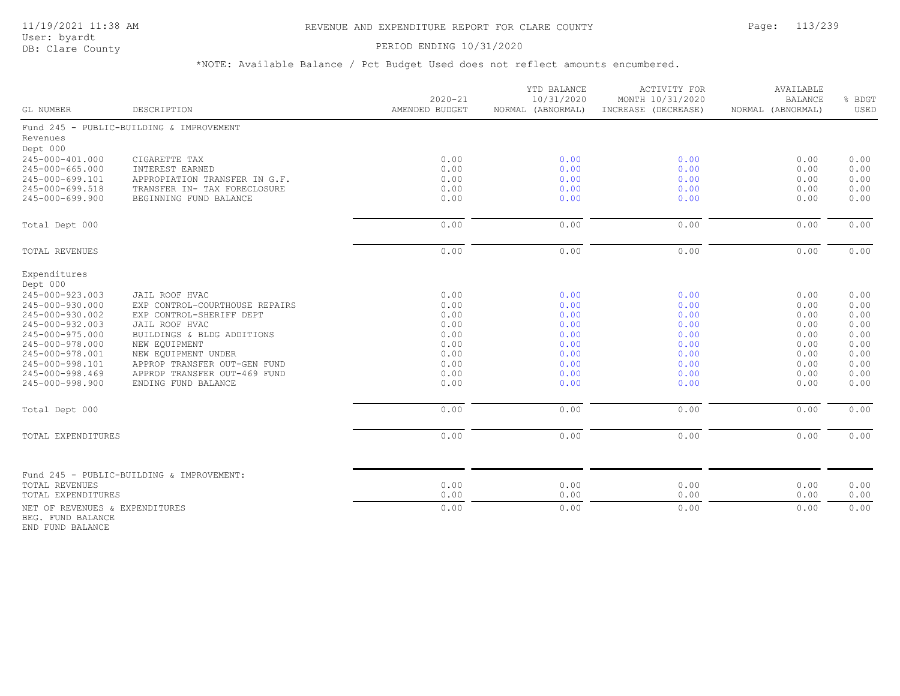### 11/19/2021 11:38 AM REVENUE AND EXPENDITURE REPORT FOR CLARE COUNTY Page: 113/239

User: byardt<br>DB: Clare County

### PERIOD ENDING 10/31/2020

\*NOTE: Available Balance / Pct Budget Used does not reflect amounts encumbered.

| GL NUMBER                                           | DESCRIPTION                                                | $2020 - 21$<br>AMENDED BUDGET | YTD BALANCE<br>10/31/2020<br>NORMAL (ABNORMAL) | <b>ACTIVITY FOR</b><br>MONTH 10/31/2020<br>INCREASE (DECREASE) | AVAILABLE<br><b>BALANCE</b><br>NORMAL (ABNORMAL) | % BDGT<br>USED |
|-----------------------------------------------------|------------------------------------------------------------|-------------------------------|------------------------------------------------|----------------------------------------------------------------|--------------------------------------------------|----------------|
|                                                     | Fund 245 - PUBLIC-BUILDING & IMPROVEMENT                   |                               |                                                |                                                                |                                                  |                |
| Revenues                                            |                                                            |                               |                                                |                                                                |                                                  |                |
| Dept 000                                            |                                                            |                               |                                                |                                                                |                                                  |                |
| 245-000-401.000                                     | CIGARETTE TAX                                              | 0.00                          | 0.00                                           | 0.00                                                           | 0.00                                             | 0.00           |
| $245 - 000 - 665.000$                               | INTEREST EARNED                                            | 0.00                          | 0.00                                           | 0.00                                                           | 0.00                                             | 0.00           |
| 245-000-699.101<br>245-000-699.518                  | APPROPIATION TRANSFER IN G.F.                              | 0.00<br>0.00                  | 0.00<br>0.00                                   | 0.00<br>0.00                                                   | 0.00<br>0.00                                     | 0.00<br>0.00   |
| 245-000-699.900                                     | TRANSFER IN- TAX FORECLOSURE<br>BEGINNING FUND BALANCE     | 0.00                          | 0.00                                           | 0.00                                                           | 0.00                                             | 0.00           |
|                                                     |                                                            |                               |                                                |                                                                |                                                  |                |
| Total Dept 000                                      |                                                            | 0.00                          | 0.00                                           | 0.00                                                           | 0.00                                             | 0.00           |
| <b>TOTAL REVENUES</b>                               |                                                            | 0.00                          | 0.00                                           | 0.00                                                           | 0.00                                             | 0.00           |
|                                                     |                                                            |                               |                                                |                                                                |                                                  |                |
| Expenditures                                        |                                                            |                               |                                                |                                                                |                                                  |                |
| Dept 000                                            |                                                            |                               |                                                |                                                                |                                                  |                |
| 245-000-923.003                                     | JAIL ROOF HVAC                                             | 0.00                          | 0.00                                           | 0.00                                                           | 0.00                                             | 0.00           |
| 245-000-930.000<br>245-000-930.002                  | EXP CONTROL-COURTHOUSE REPAIRS<br>EXP CONTROL-SHERIFF DEPT | 0.00<br>0.00                  | 0.00<br>0.00                                   | 0.00<br>0.00                                                   | 0.00<br>0.00                                     | 0.00<br>0.00   |
| 245-000-932.003                                     | JAIL ROOF HVAC                                             | 0.00                          | 0.00                                           | 0.00                                                           | 0.00                                             | 0.00           |
| 245-000-975.000                                     | BUILDINGS & BLDG ADDITIONS                                 | 0.00                          | 0.00                                           | 0.00                                                           | 0.00                                             | 0.00           |
| 245-000-978.000                                     | NEW EQUIPMENT                                              | 0.00                          | 0.00                                           | 0.00                                                           | 0.00                                             | 0.00           |
| 245-000-978.001                                     | NEW EQUIPMENT UNDER                                        | 0.00                          | 0.00                                           | 0.00                                                           | 0.00                                             | 0.00           |
| 245-000-998.101                                     | APPROP TRANSFER OUT-GEN FUND                               | 0.00                          | 0.00                                           | 0.00                                                           | 0.00                                             | 0.00           |
| 245-000-998.469                                     | APPROP TRANSFER OUT-469 FUND                               | 0.00                          | 0.00                                           | 0.00                                                           | 0.00                                             | 0.00           |
| 245-000-998.900                                     | ENDING FUND BALANCE                                        | 0.00                          | 0.00                                           | 0.00                                                           | 0.00                                             | 0.00           |
| Total Dept 000                                      |                                                            | 0.00                          | 0.00                                           | 0.00                                                           | 0.00                                             | 0.00           |
|                                                     |                                                            | 0.00                          |                                                |                                                                |                                                  | 0.00           |
| TOTAL EXPENDITURES                                  |                                                            |                               | 0.00                                           | 0.00                                                           | 0.00                                             |                |
|                                                     | Fund 245 - PUBLIC-BUILDING & IMPROVEMENT:                  |                               |                                                |                                                                |                                                  |                |
| TOTAL REVENUES                                      |                                                            | 0.00                          | 0.00                                           | 0.00                                                           | 0.00                                             | 0.00           |
| TOTAL EXPENDITURES                                  |                                                            | 0.00                          | 0.00                                           | 0.00                                                           | 0.00                                             | 0.00           |
| NET OF REVENUES & EXPENDITURES<br>BEG. FUND BALANCE |                                                            | 0.00                          | 0.00                                           | 0.00                                                           | 0.00                                             | 0.00           |

END FUND BALANCE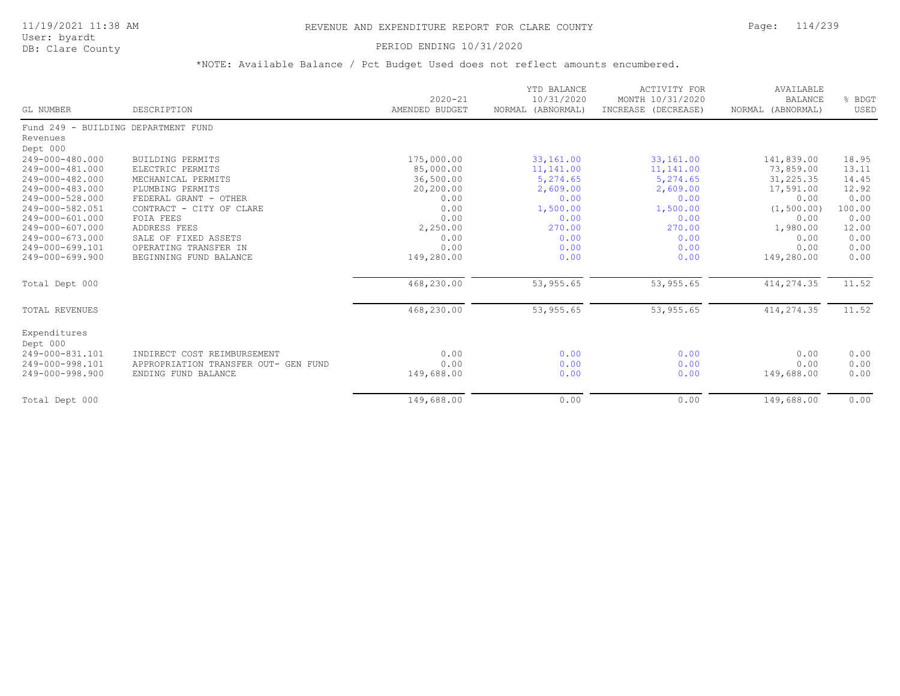# PERIOD ENDING 10/31/2020

| GL NUMBER                           | DESCRIPTION                          | $2020 - 21$<br>AMENDED BUDGET | YTD BALANCE<br>10/31/2020<br>NORMAL (ABNORMAL) | ACTIVITY FOR<br>MONTH 10/31/2020<br>INCREASE (DECREASE) | AVAILABLE<br><b>BALANCE</b><br>NORMAL (ABNORMAL) | % BDGT<br>USED |
|-------------------------------------|--------------------------------------|-------------------------------|------------------------------------------------|---------------------------------------------------------|--------------------------------------------------|----------------|
| Fund 249 - BUILDING DEPARTMENT FUND |                                      |                               |                                                |                                                         |                                                  |                |
| Revenues                            |                                      |                               |                                                |                                                         |                                                  |                |
| Dept 000                            |                                      |                               |                                                |                                                         |                                                  |                |
| 249-000-480.000                     | BUILDING PERMITS                     | 175,000.00                    | 33,161.00                                      | 33,161.00                                               | 141,839.00                                       | 18.95          |
| 249-000-481.000                     | ELECTRIC PERMITS                     | 85,000.00                     | 11, 141.00                                     | 11, 141.00                                              | 73,859.00                                        | 13.11          |
| 249-000-482.000                     | MECHANICAL PERMITS                   | 36,500.00                     | 5,274.65                                       | 5,274.65                                                | 31,225.35                                        | 14.45          |
| 249-000-483.000                     | PLUMBING PERMITS                     | 20,200.00                     | 2,609.00                                       | 2,609.00                                                | 17,591.00                                        | 12.92          |
| 249-000-528.000                     | FEDERAL GRANT - OTHER                | 0.00                          | 0.00                                           | 0.00                                                    | 0.00                                             | 0.00           |
| 249-000-582.051                     | CONTRACT - CITY OF CLARE             | 0.00                          | 1,500.00                                       | 1,500.00                                                | (1, 500.00)                                      | 100.00         |
| 249-000-601.000                     | FOIA FEES                            | 0.00                          | 0.00                                           | 0.00                                                    | 0.00                                             | 0.00           |
| 249-000-607.000                     | ADDRESS FEES                         | 2,250.00                      | 270.00                                         | 270.00                                                  | 1,980.00                                         | 12.00          |
| 249-000-673.000                     | SALE OF FIXED ASSETS                 | 0.00                          | 0.00                                           | 0.00                                                    | 0.00                                             | 0.00           |
| 249-000-699.101                     | OPERATING TRANSFER IN                | 0.00                          | 0.00                                           | 0.00                                                    | 0.00                                             | 0.00           |
| 249-000-699.900                     | BEGINNING FUND BALANCE               | 149,280.00                    | 0.00                                           | 0.00                                                    | 149,280.00                                       | 0.00           |
| Total Dept 000                      |                                      | 468,230.00                    | 53, 955.65                                     | 53, 955.65                                              | 414, 274.35                                      | 11.52          |
| TOTAL REVENUES                      |                                      | 468,230.00                    | 53, 955.65                                     | 53, 955.65                                              | 414, 274.35                                      | 11.52          |
| Expenditures<br>Dept 000            |                                      |                               |                                                |                                                         |                                                  |                |
| 249-000-831.101                     | INDIRECT COST REIMBURSEMENT          | 0.00                          | 0.00                                           | 0.00                                                    | 0.00                                             | 0.00           |
| 249-000-998.101                     | APPROPRIATION TRANSFER OUT- GEN FUND | 0.00                          | 0.00                                           | 0.00                                                    | 0.00                                             | 0.00           |
| 249-000-998.900                     | ENDING FUND BALANCE                  | 149,688.00                    | 0.00                                           | 0.00                                                    | 149,688.00                                       | 0.00           |
| Total Dept 000                      |                                      | 149,688.00                    | 0.00                                           | 0.00                                                    | 149,688.00                                       | 0.00           |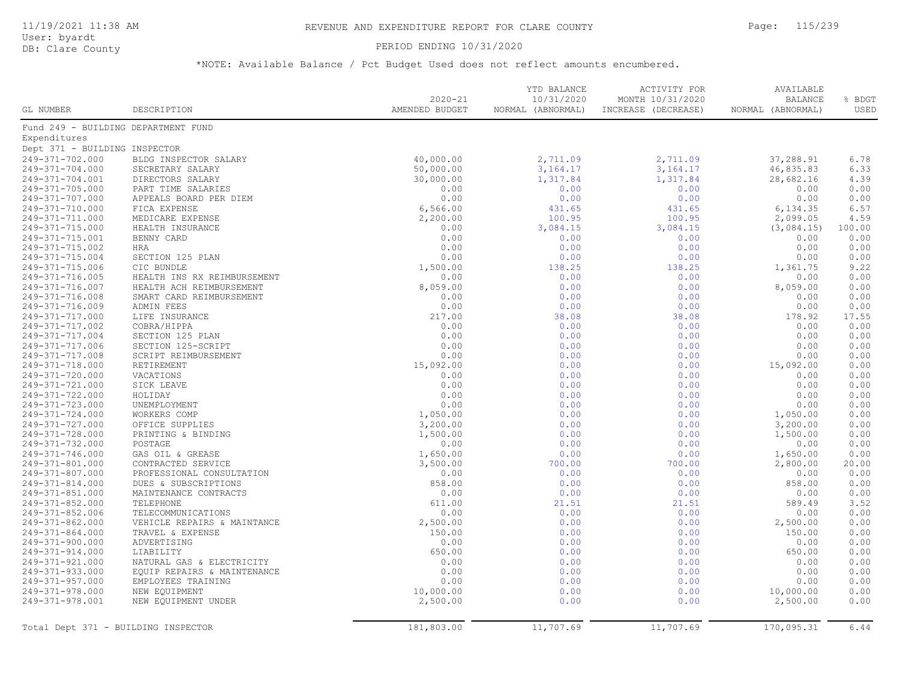### PERIOD ENDING 10/31/2020

| GL NUMBER                           | DESCRIPTION                 | $2020 - 21$<br>AMENDED BUDGET | YTD BALANCE<br>10/31/2020<br>NORMAL (ABNORMAL) | ACTIVITY FOR<br>MONTH 10/31/2020<br>INCREASE (DECREASE) | AVAILABLE<br><b>BALANCE</b><br>NORMAL (ABNORMAL) | % BDGT<br>USED |
|-------------------------------------|-----------------------------|-------------------------------|------------------------------------------------|---------------------------------------------------------|--------------------------------------------------|----------------|
|                                     |                             |                               |                                                |                                                         |                                                  |                |
| Fund 249 - BUILDING DEPARTMENT FUND |                             |                               |                                                |                                                         |                                                  |                |
| Expenditures                        |                             |                               |                                                |                                                         |                                                  |                |
| Dept 371 - BUILDING INSPECTOR       |                             |                               |                                                |                                                         |                                                  |                |
| 249-371-702.000                     | BLDG INSPECTOR SALARY       | 40,000.00                     | 2,711.09                                       | 2,711.09                                                | 37,288.91                                        | 6.78           |
| 249-371-704.000                     | SECRETARY SALARY            | 50,000.00                     | 3, 164. 17                                     | 3, 164. 17                                              | 46,835.83                                        | 6.33           |
| 249-371-704.001                     | DIRECTORS SALARY            | 30,000.00                     | 1,317.84                                       | 1,317.84                                                | 28,682.16                                        | 4.39           |
| 249-371-705.000                     | PART TIME SALARIES          | 0.00                          | 0.00                                           | 0.00                                                    | 0.00                                             | 0.00           |
| 249-371-707.000                     | APPEALS BOARD PER DIEM      | 0.00                          | 0.00                                           | 0.00                                                    | 0.00                                             | 0.00           |
| 249-371-710.000                     | FICA EXPENSE                | 6,566.00                      | 431.65                                         | 431.65                                                  | 6,134.35                                         | 6.57           |
| 249-371-711.000                     | MEDICARE EXPENSE            | 2,200.00                      | 100.95                                         | 100.95                                                  | 2,099.05                                         | 4.59           |
| 249-371-715.000                     | HEALTH INSURANCE            | 0.00                          | 3,084.15                                       | 3,084.15                                                | (3,084.15)                                       | 100.00         |
| 249-371-715.001                     | BENNY CARD                  | 0.00                          | 0.00                                           | 0.00                                                    | 0.00                                             | 0.00           |
| 249-371-715.002                     | HRA                         | 0.00                          | 0.00                                           | 0.00                                                    | 0.00                                             | 0.00           |
| 249-371-715.004                     | SECTION 125 PLAN            | 0.00                          | 0.00                                           | 0.00                                                    | 0.00                                             | 0.00           |
| 249-371-715.006                     | CIC BUNDLE                  | 1,500.00                      | 138.25                                         | 138.25                                                  | 1,361.75                                         | 9.22           |
| 249-371-716.005                     | HEALTH INS RX REIMBURSEMENT | 0.00                          | 0.00                                           | 0.00                                                    | 0.00                                             | 0.00           |
| 249-371-716.007                     | HEALTH ACH REIMBURSEMENT    | 8,059.00                      | 0.00                                           | 0.00                                                    | 8,059.00                                         | 0.00           |
| 249-371-716.008                     | SMART CARD REIMBURSEMENT    | 0.00                          | 0.00                                           | 0.00                                                    | 0.00                                             | 0.00           |
| 249-371-716.009                     | ADMIN FEES                  | 0.00                          | 0.00                                           | 0.00                                                    | 0.00                                             | 0.00           |
| 249-371-717.000                     | LIFE INSURANCE              | 217.00                        | 38.08                                          | 38.08                                                   | 178.92                                           | 17.55          |
| 249-371-717.002                     | COBRA/HIPPA                 | 0.00                          | 0.00                                           | 0.00                                                    | 0.00                                             | 0.00           |
| 249-371-717.004                     | SECTION 125 PLAN            | 0.00                          | 0.00                                           | 0.00                                                    | 0.00                                             | 0.00           |
| 249-371-717.006                     | SECTION 125-SCRIPT          | 0.00                          | 0.00                                           | 0.00                                                    | 0.00                                             | 0.00           |
| 249-371-717.008                     | SCRIPT REIMBURSEMENT        | 0.00                          | 0.00                                           | 0.00                                                    | 0.00                                             | 0.00           |
| 249-371-718.000                     | RETIREMENT                  | 15,092.00                     | 0.00                                           | 0.00                                                    | 15,092.00                                        | 0.00           |
| 249-371-720.000                     | VACATIONS                   | 0.00                          | 0.00                                           | 0.00                                                    | 0.00                                             | 0.00           |
| 249-371-721.000                     | SICK LEAVE                  | 0.00                          | 0.00                                           | 0.00                                                    | 0.00                                             | 0.00           |
| 249-371-722.000                     | HOLIDAY                     | 0.00                          | 0.00                                           | 0.00                                                    | 0.00                                             | 0.00           |
| 249-371-723.000                     | UNEMPLOYMENT                | 0.00                          | 0.00                                           | 0.00                                                    | 0.00                                             | 0.00           |
| 249-371-724.000                     | WORKERS COMP                | 1,050.00                      | 0.00                                           | 0.00                                                    | 1,050.00                                         | 0.00           |
| 249-371-727.000                     | OFFICE SUPPLIES             | 3,200.00                      | 0.00                                           | 0.00                                                    | 3,200.00                                         | 0.00           |
| 249-371-728.000                     | PRINTING & BINDING          | 1,500.00                      | 0.00                                           | 0.00                                                    | 1,500.00                                         | 0.00           |
| 249-371-732.000                     | POSTAGE                     | 0.00                          | 0.00                                           | 0.00                                                    | 0.00                                             | 0.00           |
| 249-371-746.000                     | GAS OIL & GREASE            | 1,650.00                      | 0.00                                           | 0.00                                                    | 1,650.00                                         | 0.00           |
| 249-371-801.000                     | CONTRACTED SERVICE          | 3,500.00                      | 700.00                                         | 700.00                                                  | 2,800.00                                         | 20.00          |
| 249-371-807.000                     | PROFESSIONAL CONSULTATION   | 0.00                          | 0.00                                           | 0.00                                                    | 0.00                                             | 0.00           |
| 249-371-814.000                     | DUES & SUBSCRIPTIONS        | 858.00                        | 0.00                                           | 0.00                                                    | 858.00                                           | 0.00           |
|                                     |                             |                               |                                                |                                                         |                                                  |                |
| 249-371-851.000                     | MAINTENANCE CONTRACTS       | 0.00                          | 0.00                                           | 0.00                                                    | 0.00                                             | 0.00           |
| 249-371-852.000                     | TELEPHONE                   | 611.00                        | 21.51                                          | 21.51                                                   | 589.49                                           | 3.52           |
| 249-371-852.006                     | TELECOMMUNICATIONS          | 0.00                          | 0.00                                           | 0.00                                                    | 0.00                                             | 0.00           |
| 249-371-862.000                     | VEHICLE REPAIRS & MAINTANCE | 2,500.00                      | 0.00                                           | 0.00                                                    | 2,500.00                                         | 0.00           |
| 249-371-864.000                     | TRAVEL & EXPENSE            | 150.00                        | 0.00                                           | 0.00                                                    | 150.00                                           | 0.00           |
| 249-371-900.000                     | ADVERTISING                 | 0.00                          | 0.00                                           | 0.00                                                    | 0.00                                             | 0.00           |
| 249-371-914.000                     | LIABILITY                   | 650.00                        | 0.00                                           | 0.00                                                    | 650.00                                           | 0.00           |
| 249-371-921.000                     | NATURAL GAS & ELECTRICITY   | 0.00                          | 0.00                                           | 0.00                                                    | 0.00                                             | 0.00           |
| 249-371-933.000                     | EQUIP REPAIRS & MAINTENANCE | 0.00                          | 0.00                                           | 0.00                                                    | 0.00                                             | 0.00           |
| 249-371-957.000                     | EMPLOYEES TRAINING          | 0.00                          | 0.00                                           | 0.00                                                    | 0.00                                             | 0.00           |
| 249-371-978.000                     | NEW EQUIPMENT               | 10,000.00                     | 0.00                                           | 0.00                                                    | 10,000.00                                        | 0.00           |
| 249-371-978.001                     | NEW EQUIPMENT UNDER         | 2,500.00                      | 0.00                                           | 0.00                                                    | 2,500.00                                         | 0.00           |
| Total Dept 371 - BUILDING INSPECTOR |                             | 181,803.00                    | 11,707.69                                      | 11,707.69                                               | 170,095.31                                       | 6.44           |
|                                     |                             |                               |                                                |                                                         |                                                  |                |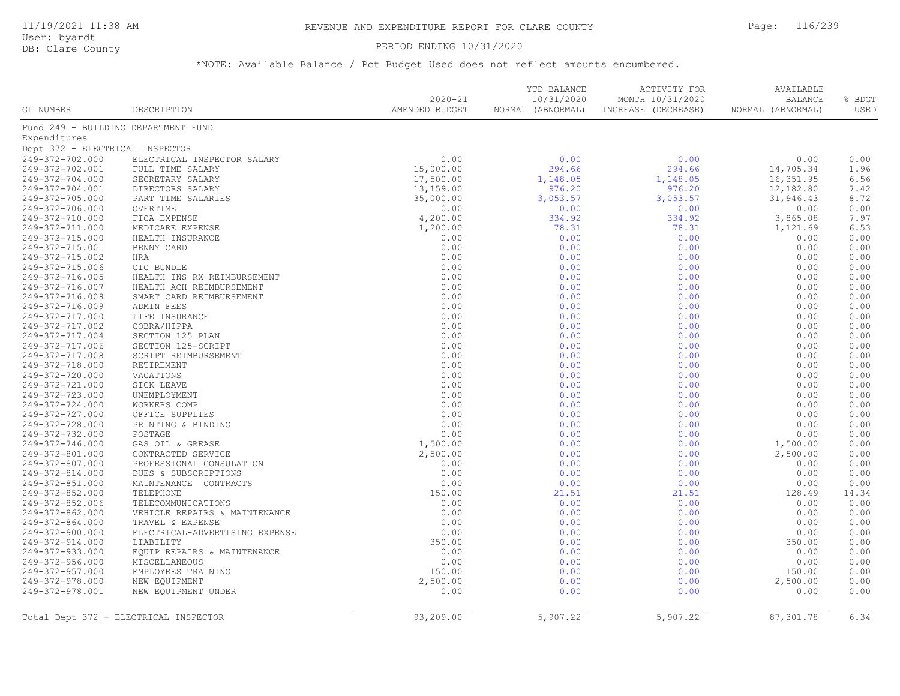### PERIOD ENDING 10/31/2020

| GL NUMBER                           | DESCRIPTION                           | $2020 - 21$<br>AMENDED BUDGET | YTD BALANCE<br>10/31/2020<br>NORMAL (ABNORMAL) | ACTIVITY FOR<br>MONTH 10/31/2020<br>INCREASE (DECREASE) | AVAILABLE<br><b>BALANCE</b><br>NORMAL (ABNORMAL) | % BDGT<br>USED |
|-------------------------------------|---------------------------------------|-------------------------------|------------------------------------------------|---------------------------------------------------------|--------------------------------------------------|----------------|
| Fund 249 - BUILDING DEPARTMENT FUND |                                       |                               |                                                |                                                         |                                                  |                |
| Expenditures                        |                                       |                               |                                                |                                                         |                                                  |                |
| Dept 372 - ELECTRICAL INSPECTOR     |                                       |                               |                                                |                                                         |                                                  |                |
| 249-372-702.000                     | ELECTRICAL INSPECTOR SALARY           | 0.00                          | 0.00                                           | 0.00                                                    | 0.00                                             | 0.00           |
| 249-372-702.001                     | FULL TIME SALARY                      | 15,000.00                     | 294.66                                         | 294.66                                                  | 14,705.34                                        | 1.96           |
| 249-372-704.000                     | SECRETARY SALARY                      | 17,500.00                     | 1,148.05                                       | 1,148.05                                                | 16,351.95                                        | 6.56           |
| 249-372-704.001                     | DIRECTORS SALARY                      | 13,159.00                     | 976.20                                         | 976.20                                                  | 12,182.80                                        | 7.42           |
| 249-372-705.000                     | PART TIME SALARIES                    | 35,000.00                     | 3,053.57                                       | 3,053.57                                                | 31,946.43                                        | 8.72           |
| 249-372-706.000                     | OVERTIME                              | 0.00                          | 0.00                                           | 0.00                                                    | 0.00                                             | 0.00           |
| 249-372-710.000                     | FICA EXPENSE                          | 4,200.00                      | 334.92                                         | 334.92                                                  | 3,865.08                                         | 7.97           |
| 249-372-711.000                     | MEDICARE EXPENSE                      | 1,200.00                      | 78.31                                          | 78.31                                                   | 1,121.69                                         | 6.53           |
| 249-372-715.000                     | HEALTH INSURANCE                      | 0.00                          | 0.00                                           | 0.00                                                    | 0.00                                             | 0.00           |
| 249-372-715.001                     | BENNY CARD                            | 0.00                          | 0.00                                           | 0.00                                                    | 0.00                                             | 0.00           |
| 249-372-715.002                     | HRA                                   | 0.00                          | 0.00                                           | 0.00                                                    | 0.00                                             | 0.00           |
| 249-372-715.006                     | CIC BUNDLE                            | 0.00                          | 0.00                                           | 0.00                                                    | 0.00                                             | 0.00           |
| 249-372-716.005                     | HEALTH INS RX REIMBURSEMENT           | 0.00                          | 0.00                                           | 0.00                                                    | 0.00                                             | 0.00           |
| 249-372-716.007                     | HEALTH ACH REIMBURSEMENT              | 0.00                          | 0.00                                           | 0.00                                                    | 0.00                                             | 0.00           |
| 249-372-716.008                     | SMART CARD REIMBURSEMENT              | 0.00                          | 0.00                                           | 0.00                                                    | 0.00                                             | 0.00           |
| 249-372-716.009                     | ADMIN FEES                            | 0.00                          | 0.00                                           | 0.00                                                    | 0.00                                             | 0.00           |
| 249-372-717.000                     | LIFE INSURANCE                        | 0.00                          | 0.00                                           | 0.00                                                    | 0.00                                             | 0.00           |
| 249-372-717.002                     | COBRA/HIPPA                           | 0.00                          | 0.00                                           | 0.00                                                    | 0.00                                             | 0.00           |
| 249-372-717.004                     | SECTION 125 PLAN                      | 0.00                          | 0.00                                           | 0.00                                                    | 0.00                                             | 0.00           |
| 249-372-717.006                     | SECTION 125-SCRIPT                    | 0.00                          | 0.00                                           | 0.00                                                    | 0.00                                             | 0.00           |
|                                     |                                       | 0.00                          |                                                |                                                         |                                                  | 0.00           |
| 249-372-717.008                     | SCRIPT REIMBURSEMENT                  |                               | 0.00                                           | 0.00                                                    | 0.00                                             |                |
| 249-372-718.000                     | RETIREMENT                            | 0.00                          | 0.00                                           | 0.00                                                    | 0.00                                             | 0.00           |
| 249-372-720.000                     | VACATIONS                             | 0.00                          | 0.00                                           | 0.00                                                    | 0.00                                             | 0.00           |
| 249-372-721.000                     | SICK LEAVE                            | 0.00                          | 0.00                                           | 0.00                                                    | 0.00                                             | 0.00           |
| 249-372-723.000                     | UNEMPLOYMENT                          | 0.00                          | 0.00                                           | 0.00                                                    | 0.00                                             | 0.00           |
| 249-372-724.000                     | WORKERS COMP                          | 0.00                          | 0.00                                           | 0.00                                                    | 0.00                                             | 0.00           |
| 249-372-727.000                     | OFFICE SUPPLIES                       | 0.00                          | 0.00                                           | 0.00                                                    | 0.00                                             | 0.00           |
| 249-372-728.000                     | PRINTING & BINDING                    | 0.00                          | 0.00                                           | 0.00                                                    | 0.00                                             | 0.00           |
| 249-372-732.000                     | POSTAGE                               | 0.00                          | 0.00                                           | 0.00                                                    | 0.00                                             | 0.00           |
| 249-372-746.000                     | GAS OIL & GREASE                      | 1,500.00                      | 0.00                                           | 0.00                                                    | 1,500.00                                         | 0.00           |
| 249-372-801.000                     | CONTRACTED SERVICE                    | 2,500.00                      | 0.00                                           | 0.00                                                    | 2,500.00                                         | 0.00           |
| 249-372-807.000                     | PROFESSIONAL CONSULATION              | 0.00                          | 0.00                                           | 0.00                                                    | 0.00                                             | 0.00           |
| 249-372-814.000                     | DUES & SUBSCRIPTIONS                  | 0.00                          | 0.00                                           | 0.00                                                    | 0.00                                             | 0.00           |
| 249-372-851.000                     | MAINTENANCE CONTRACTS                 | 0.00                          | 0.00                                           | 0.00                                                    | 0.00                                             | 0.00           |
| 249-372-852.000                     | TELEPHONE                             | 150.00                        | 21.51                                          | 21.51                                                   | 128.49                                           | 14.34          |
| 249-372-852.006                     | TELECOMMUNICATIONS                    | 0.00                          | 0.00                                           | 0.00                                                    | 0.00                                             | 0.00           |
| 249-372-862.000                     | VEHICLE REPAIRS & MAINTENANCE         | 0.00                          | 0.00                                           | 0.00                                                    | 0.00                                             | 0.00           |
| 249-372-864.000                     | TRAVEL & EXPENSE                      | 0.00                          | 0.00                                           | 0.00                                                    | 0.00                                             | 0.00           |
| 249-372-900.000                     | ELECTRICAL-ADVERTISING EXPENSE        | 0.00                          | 0.00                                           | 0.00                                                    | 0.00                                             | 0.00           |
| 249-372-914.000                     | LIABILITY                             | 350.00                        | 0.00                                           | 0.00                                                    | 350.00                                           | 0.00           |
| 249-372-933.000                     | EQUIP REPAIRS & MAINTENANCE           | 0.00                          | 0.00                                           | 0.00                                                    | 0.00                                             | 0.00           |
| 249-372-956.000                     | MISCELLANEOUS                         | 0.00                          | 0.00                                           | 0.00                                                    | 0.00                                             | 0.00           |
| 249-372-957.000                     | EMPLOYEES TRAINING                    | 150.00                        | 0.00                                           | 0.00                                                    | 150.00                                           | 0.00           |
| 249-372-978.000                     | NEW EQUIPMENT                         | 2,500.00                      | 0.00                                           | 0.00                                                    | 2,500.00                                         | 0.00           |
| 249-372-978.001                     | NEW EQUIPMENT UNDER                   | 0.00                          | 0.00                                           | 0.00                                                    | 0.00                                             | 0.00           |
|                                     | Total Dept 372 - ELECTRICAL INSPECTOR | 93,209.00                     | 5,907.22                                       | 5,907.22                                                | 87,301.78                                        | 6.34           |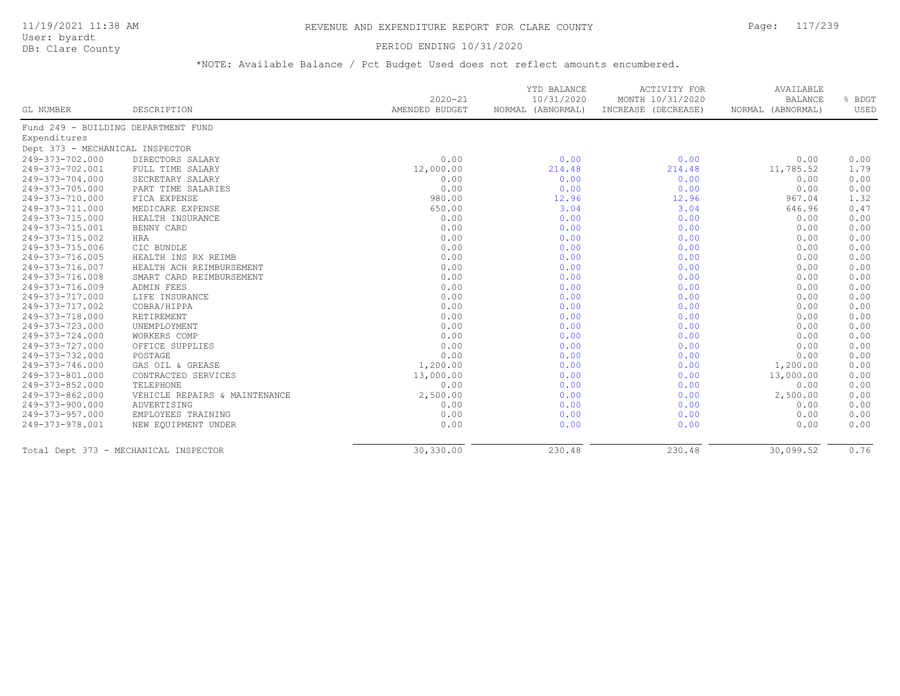# 11/19/2021 11:38 AM REVENUE AND EXPENDITURE REPORT FOR CLARE COUNTY Page: 117/239

User: byardt<br>DB: Clare County

### PERIOD ENDING 10/31/2020

|                                     |                                       |                               | YTD BALANCE                     | <b>ACTIVITY FOR</b>                     | AVAILABLE                           |                |
|-------------------------------------|---------------------------------------|-------------------------------|---------------------------------|-----------------------------------------|-------------------------------------|----------------|
| GL NUMBER                           | DESCRIPTION                           | $2020 - 21$<br>AMENDED BUDGET | 10/31/2020<br>NORMAL (ABNORMAL) | MONTH 10/31/2020<br>INCREASE (DECREASE) | <b>BALANCE</b><br>NORMAL (ABNORMAL) | % BDGT<br>USED |
| Fund 249 - BUILDING DEPARTMENT FUND |                                       |                               |                                 |                                         |                                     |                |
| Expenditures                        |                                       |                               |                                 |                                         |                                     |                |
| Dept 373 - MECHANICAL INSPECTOR     |                                       |                               |                                 |                                         |                                     |                |
| 249-373-702.000                     | DIRECTORS SALARY                      | 0.00                          | 0.00                            | 0.00                                    | 0.00                                | 0.00           |
| 249-373-702.001                     | FULL TIME SALARY                      | 12,000.00                     | 214.48                          | 214.48                                  | 11,785.52                           | 1.79           |
| 249-373-704.000                     | SECRETARY SALARY                      | 0.00                          | 0.00                            | 0.00                                    | 0.00                                | 0.00           |
| 249-373-705.000                     | PART TIME SALARIES                    | 0.00                          | 0.00                            | 0.00                                    | 0.00                                | 0.00           |
| 249-373-710.000                     | FICA EXPENSE                          | 980.00                        | 12.96                           | 12.96                                   | 967.04                              | 1.32           |
| 249-373-711.000                     | MEDICARE EXPENSE                      | 650.00                        | 3.04                            | 3.04                                    | 646.96                              | 0.47           |
| 249-373-715.000                     | HEALTH INSURANCE                      | 0.00                          | 0.00                            | 0.00                                    | 0.00                                | 0.00           |
| 249-373-715.001                     | BENNY CARD                            | 0.00                          | 0.00                            | 0.00                                    | 0.00                                | 0.00           |
| 249-373-715.002                     | <b>HRA</b>                            | 0.00                          | 0.00                            | 0.00                                    | 0.00                                | 0.00           |
| 249-373-715.006                     | CIC BUNDLE                            | 0.00                          | 0.00                            | 0.00                                    | 0.00                                | 0.00           |
| 249-373-716.005                     | HEALTH INS RX REIMB                   | 0.00                          | 0.00                            | 0.00                                    | 0.00                                | 0.00           |
| 249-373-716.007                     | HEALTH ACH REIMBURSEMENT              | 0.00                          | 0.00                            | 0.00                                    | 0.00                                | 0.00           |
| 249-373-716.008                     | SMART CARD REIMBURSEMENT              | 0.00                          | 0.00                            | 0.00                                    | 0.00                                | 0.00           |
| 249-373-716.009                     | ADMIN FEES                            | 0.00                          | 0.00                            | 0.00                                    | 0.00                                | 0.00           |
| 249-373-717.000                     | LIFE INSURANCE                        | 0.00                          | 0.00                            | 0.00                                    | 0.00                                | 0.00           |
| 249-373-717.002                     | COBRA/HIPPA                           | 0.00                          | 0.00                            | 0.00                                    | 0.00                                | 0.00           |
| 249-373-718.000                     | RETIREMENT                            | 0.00                          | 0.00                            | 0.00                                    | 0.00                                | 0.00           |
| 249-373-723.000                     | UNEMPLOYMENT                          | 0.00                          | 0.00                            | 0.00                                    | 0.00                                | 0.00           |
| 249-373-724.000                     | WORKERS COMP                          | 0.00                          | 0.00                            | 0.00                                    | 0.00                                | 0.00           |
| 249-373-727.000                     | OFFICE SUPPLIES                       | 0.00                          | 0.00                            | 0.00                                    | 0.00                                | 0.00           |
| 249-373-732.000                     | POSTAGE                               | 0.00                          | 0.00                            | 0.00                                    | 0.00                                | 0.00           |
| 249-373-746.000                     | GAS OIL & GREASE                      | 1,200.00                      | 0.00                            | 0.00                                    | 1,200.00                            | 0.00           |
| 249-373-801.000                     | CONTRACTED SERVICES                   | 13,000.00                     | 0.00                            | 0.00                                    | 13,000.00                           | 0.00           |
| 249-373-852.000                     | TELEPHONE                             | 0.00                          | 0.00                            | 0.00                                    | 0.00                                | 0.00           |
| 249-373-862.000                     | VEHICLE REPAIRS & MAINTENANCE         | 2,500.00                      | 0.00                            | 0.00                                    | 2,500.00                            | 0.00           |
| 249-373-900.000                     | ADVERTISING                           | 0.00                          | 0.00                            | 0.00                                    | 0.00                                | 0.00           |
| 249-373-957.000                     | EMPLOYEES TRAINING                    | 0.00                          | 0.00                            | 0.00                                    | 0.00                                | 0.00           |
| 249-373-978.001                     | NEW EQUIPMENT UNDER                   | 0.00                          | 0.00                            | 0.00                                    | 0.00                                | 0.00           |
|                                     | Total Dept 373 - MECHANICAL INSPECTOR | 30,330.00                     | 230.48                          | 230.48                                  | 30,099.52                           | 0.76           |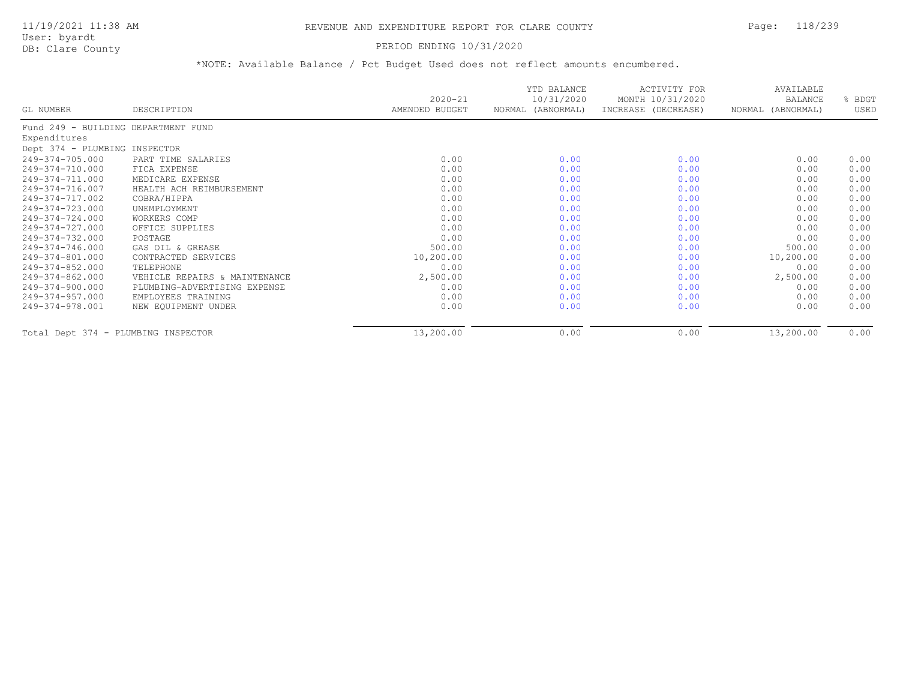### PERIOD ENDING 10/31/2020

|                                     |                               | $2020 - 21$    | YTD BALANCE<br>10/31/2020 | ACTIVITY FOR<br>MONTH 10/31/2020 | AVAILABLE<br><b>BALANCE</b> | % BDGT |
|-------------------------------------|-------------------------------|----------------|---------------------------|----------------------------------|-----------------------------|--------|
| GL NUMBER                           | DESCRIPTION                   | AMENDED BUDGET | NORMAL (ABNORMAL)         | INCREASE (DECREASE)              | NORMAL (ABNORMAL)           | USED   |
| Fund 249 - BUILDING DEPARTMENT FUND |                               |                |                           |                                  |                             |        |
| Expenditures                        |                               |                |                           |                                  |                             |        |
| Dept 374 - PLUMBING INSPECTOR       |                               |                |                           |                                  |                             |        |
| 249-374-705.000                     | PART TIME SALARIES            | 0.00           | 0.00                      | 0.00                             | 0.00                        | 0.00   |
| 249-374-710.000                     | FICA EXPENSE                  | 0.00           | 0.00                      | 0.00                             | 0.00                        | 0.00   |
| 249-374-711.000                     | MEDICARE EXPENSE              | 0.00           | 0.00                      | 0.00                             | 0.00                        | 0.00   |
| 249-374-716.007                     | HEALTH ACH REIMBURSEMENT      | 0.00           | 0.00                      | 0.00                             | 0.00                        | 0.00   |
| 249-374-717.002                     | COBRA/HIPPA                   | 0.00           | 0.00                      | 0.00                             | 0.00                        | 0.00   |
| 249-374-723.000                     | UNEMPLOYMENT                  | 0.00           | 0.00                      | 0.00                             | 0.00                        | 0.00   |
| 249-374-724.000                     | WORKERS COMP                  | 0.00           | 0.00                      | 0.00                             | 0.00                        | 0.00   |
| 249-374-727.000                     | OFFICE SUPPLIES               | 0.00           | 0.00                      | 0.00                             | 0.00                        | 0.00   |
| 249-374-732.000                     | POSTAGE                       | 0.00           | 0.00                      | 0.00                             | 0.00                        | 0.00   |
| 249-374-746.000                     | GAS OIL & GREASE              | 500.00         | 0.00                      | 0.00                             | 500.00                      | 0.00   |
| 249-374-801.000                     | CONTRACTED SERVICES           | 10,200.00      | 0.00                      | 0.00                             | 10,200.00                   | 0.00   |
| 249-374-852.000                     | TELEPHONE                     | 0.00           | 0.00                      | 0.00                             | 0.00                        | 0.00   |
| 249-374-862.000                     | VEHICLE REPAIRS & MAINTENANCE | 2,500.00       | 0.00                      | 0.00                             | 2,500.00                    | 0.00   |
| 249-374-900.000                     | PLUMBING-ADVERTISING EXPENSE  | 0.00           | 0.00                      | 0.00                             | 0.00                        | 0.00   |
| 249-374-957.000                     | EMPLOYEES TRAINING            | 0.00           | 0.00                      | 0.00                             | 0.00                        | 0.00   |
| 249-374-978.001                     | NEW EOUIPMENT UNDER           | 0.00           | 0.00                      | 0.00                             | 0.00                        | 0.00   |
| Total Dept 374 - PLUMBING INSPECTOR |                               | 13,200.00      | 0.00                      | 0.00                             | 13,200.00                   | 0.00   |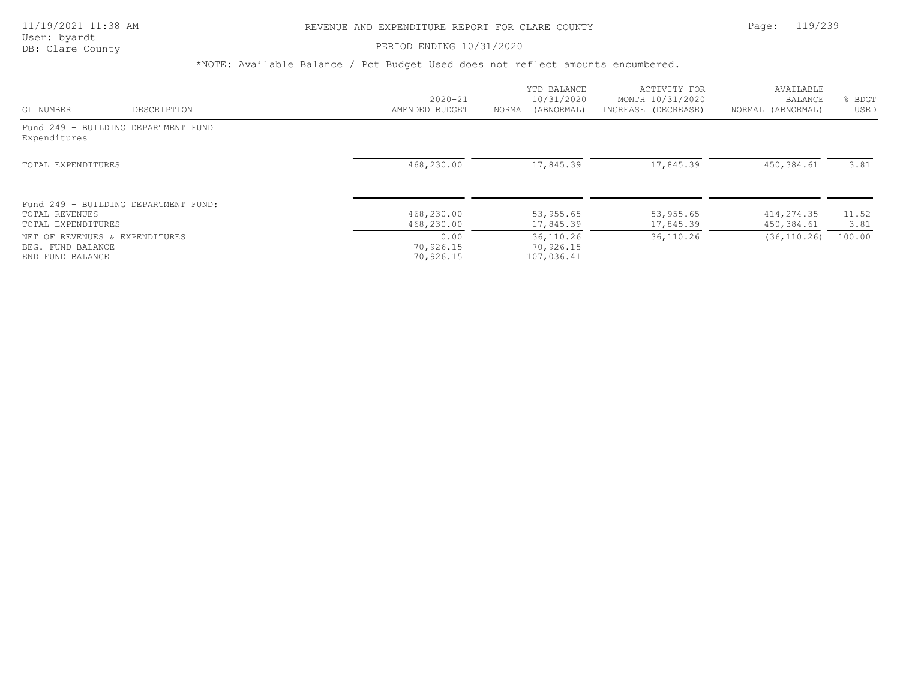### PERIOD ENDING 10/31/2020

|                                       |                                      |                                | YTD BALANCE                           | ACTIVITY FOR           | AVAILABLE                |               |
|---------------------------------------|--------------------------------------|--------------------------------|---------------------------------------|------------------------|--------------------------|---------------|
|                                       |                                      | $2020 - 21$                    | 10/31/2020                            | MONTH 10/31/2020       | BALANCE                  | BDGT          |
| GL NUMBER                             | DESCRIPTION                          | AMENDED BUDGET                 | NORMAL (ABNORMAL)                     | INCREASE (DECREASE)    | NORMAL (ABNORMAL)        | USED          |
| Expenditures                          | Fund 249 - BUILDING DEPARTMENT FUND  |                                |                                       |                        |                          |               |
| TOTAL EXPENDITURES                    |                                      | 468,230.00                     | 17,845.39                             | 17,845.39              | 450,384.61               | 3.81          |
|                                       | Fund 249 - BUILDING DEPARTMENT FUND: |                                |                                       |                        |                          |               |
| TOTAL REVENUES<br>TOTAL EXPENDITURES  |                                      | 468,230.00<br>468,230.00       | 53,955.65<br>17,845.39                | 53,955.65<br>17,845.39 | 414,274.35<br>450,384.61 | 11.52<br>3.81 |
| BEG. FUND BALANCE<br>END FUND BALANCE | NET OF REVENUES & EXPENDITURES       | 0.00<br>70,926.15<br>70,926.15 | 36, 110.26<br>70,926.15<br>107,036.41 | 36, 110.26             | (36, 110, 26)            | 100.00        |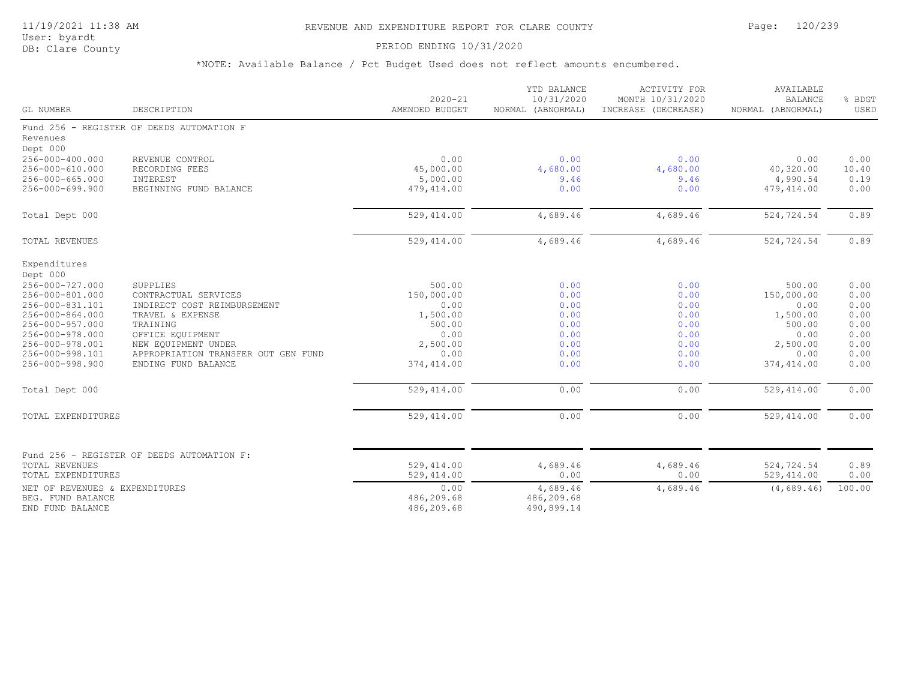# 11/19/2021 11:38 AM REVENUE AND EXPENDITURE REPORT FOR CLARE COUNTY Page: 120/239

User: byardt<br>DB: Clare County

### PERIOD ENDING 10/31/2020

| GL NUMBER                                                                                                                                                                                                             | DESCRIPTION                                                                                                                                                                                              | $2020 - 21$<br>AMENDED BUDGET                                                                               | YTD BALANCE<br>10/31/2020<br>NORMAL (ABNORMAL)                               | ACTIVITY FOR<br>MONTH 10/31/2020<br>INCREASE (DECREASE)                      | AVAILABLE<br><b>BALANCE</b><br>NORMAL (ABNORMAL)                                                            | % BDGT<br>USED                                                               |
|-----------------------------------------------------------------------------------------------------------------------------------------------------------------------------------------------------------------------|----------------------------------------------------------------------------------------------------------------------------------------------------------------------------------------------------------|-------------------------------------------------------------------------------------------------------------|------------------------------------------------------------------------------|------------------------------------------------------------------------------|-------------------------------------------------------------------------------------------------------------|------------------------------------------------------------------------------|
| Revenues<br>Dept 000                                                                                                                                                                                                  | Fund 256 - REGISTER OF DEEDS AUTOMATION F                                                                                                                                                                |                                                                                                             |                                                                              |                                                                              |                                                                                                             |                                                                              |
| 256-000-400.000<br>256-000-610.000<br>$256 - 000 - 665.000$<br>$256 - 000 - 699.900$                                                                                                                                  | REVENUE CONTROL<br>RECORDING FEES<br>INTEREST<br>BEGINNING FUND BALANCE                                                                                                                                  | 0.00<br>45,000.00<br>5,000.00<br>479,414.00                                                                 | 0.00<br>4,680.00<br>9.46<br>0.00                                             | 0.00<br>4,680.00<br>9.46<br>0.00                                             | 0.00<br>40,320.00<br>4,990.54<br>479,414.00                                                                 | 0.00<br>10.40<br>0.19<br>0.00                                                |
| Total Dept 000                                                                                                                                                                                                        |                                                                                                                                                                                                          | 529, 414.00                                                                                                 | 4,689.46                                                                     | 4,689.46                                                                     | 524,724.54                                                                                                  | 0.89                                                                         |
| TOTAL REVENUES                                                                                                                                                                                                        |                                                                                                                                                                                                          | 529, 414.00                                                                                                 | 4,689.46                                                                     | 4,689.46                                                                     | 524,724.54                                                                                                  | 0.89                                                                         |
| Expenditures<br>Dept 000<br>256-000-727.000<br>256-000-801.000<br>256-000-831.101<br>256-000-864.000<br>256-000-957.000<br>256-000-978.000<br>256-000-978.001<br>256-000-998.101<br>256-000-998.900<br>Total Dept 000 | SUPPLIES<br>CONTRACTUAL SERVICES<br>INDIRECT COST REIMBURSEMENT<br>TRAVEL & EXPENSE<br>TRAINING<br>OFFICE EQUIPMENT<br>NEW EQUIPMENT UNDER<br>APPROPRIATION TRANSFER OUT GEN FUND<br>ENDING FUND BALANCE | 500.00<br>150,000.00<br>0.00<br>1,500.00<br>500.00<br>0.00<br>2,500.00<br>0.00<br>374,414.00<br>529, 414.00 | 0.00<br>0.00<br>0.00<br>0.00<br>0.00<br>0.00<br>0.00<br>0.00<br>0.00<br>0.00 | 0.00<br>0.00<br>0.00<br>0.00<br>0.00<br>0.00<br>0.00<br>0.00<br>0.00<br>0.00 | 500.00<br>150,000.00<br>0.00<br>1,500.00<br>500.00<br>0.00<br>2,500.00<br>0.00<br>374,414.00<br>529, 414.00 | 0.00<br>0.00<br>0.00<br>0.00<br>0.00<br>0.00<br>0.00<br>0.00<br>0.00<br>0.00 |
| TOTAL EXPENDITURES                                                                                                                                                                                                    |                                                                                                                                                                                                          | 529,414.00                                                                                                  | 0.00                                                                         | 0.00                                                                         | 529, 414.00                                                                                                 | 0.00                                                                         |
| TOTAL REVENUES<br>TOTAL EXPENDITURES<br>NET OF REVENUES & EXPENDITURES                                                                                                                                                | Fund 256 - REGISTER OF DEEDS AUTOMATION F:                                                                                                                                                               | 529,414.00<br>529, 414.00<br>0.00                                                                           | 4,689.46<br>0.00<br>4,689.46                                                 | 4,689.46<br>0.00<br>4,689.46                                                 | 524,724.54<br>529, 414.00<br>(4, 689, 46)                                                                   | 0.89<br>0.00<br>100.00                                                       |
| BEG. FUND BALANCE<br>END FUND BALANCE                                                                                                                                                                                 |                                                                                                                                                                                                          | 486,209.68<br>486,209.68                                                                                    | 486,209.68<br>490,899.14                                                     |                                                                              |                                                                                                             |                                                                              |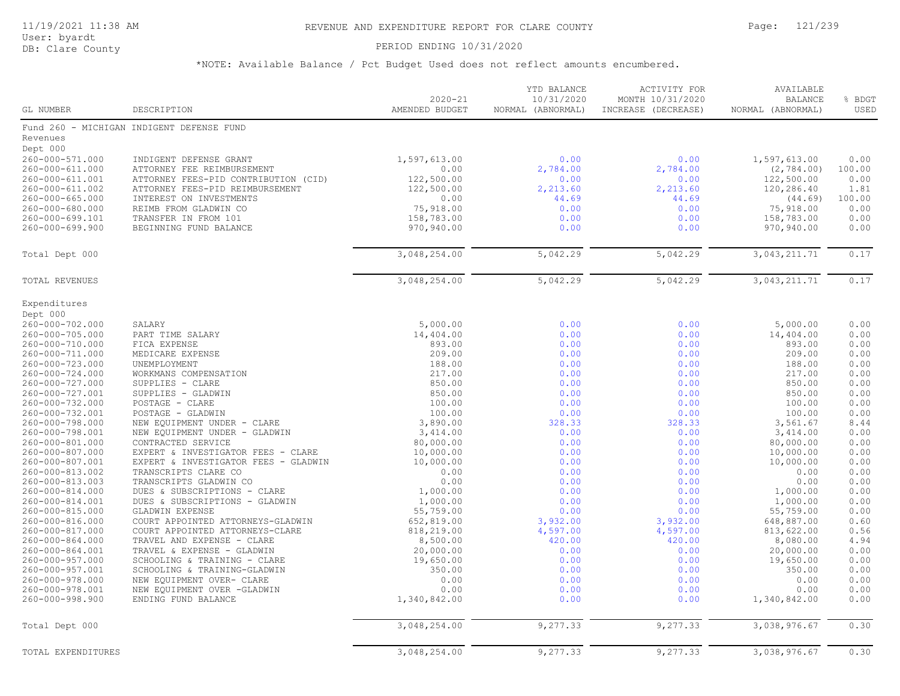User: byardt

# DB: Clare County **PERIOD ENDING 10/31/2020**

| GL NUMBER                          | DESCRIPTION                                                          | $2020 - 21$<br>AMENDED BUDGET | 10/31/2020<br>NORMAL (ABNORMAL) | MONTH 10/31/2020<br>INCREASE (DECREASE) | <b>BALANCE</b><br>NORMAL (ABNORMAL) | % BDGT<br>USED |
|------------------------------------|----------------------------------------------------------------------|-------------------------------|---------------------------------|-----------------------------------------|-------------------------------------|----------------|
|                                    | Fund 260 - MICHIGAN INDIGENT DEFENSE FUND                            |                               |                                 |                                         |                                     |                |
| Revenues                           |                                                                      |                               |                                 |                                         |                                     |                |
| Dept 000                           |                                                                      |                               |                                 |                                         |                                     |                |
| 260-000-571.000                    | INDIGENT DEFENSE GRANT                                               | 1,597,613.00                  | 0.00                            | 0.00                                    | 1,597,613.00                        | 0.00           |
| 260-000-611.000                    | ATTORNEY FEE REIMBURSEMENT                                           | 0.00                          | 2,784.00                        | 2,784.00                                | (2, 784.00)                         | 100.00         |
| 260-000-611.001                    | ATTORNEY FEES-PID CONTRIBUTION (CID)                                 | 122,500.00                    | 0.00                            | 0.00                                    | 122,500.00                          | 0.00           |
| 260-000-611.002                    | ATTORNEY FEES-PID REIMBURSEMENT                                      | 122,500.00                    | 2,213.60                        | 2,213.60                                | 120,286.40                          | 1.81           |
| $260 - 000 - 665.000$              | INTEREST ON INVESTMENTS                                              | 0.00                          | 44.69                           | 44.69                                   | (44.69)                             | 100.00         |
| 260-000-680.000                    | REIMB FROM GLADWIN CO                                                | 75,918.00                     | 0.00                            | 0.00                                    | 75,918.00                           | 0.00           |
| 260-000-699.101                    | TRANSFER IN FROM 101                                                 | 158,783.00                    | 0.00                            | 0.00                                    | 158,783.00                          | 0.00           |
| 260-000-699.900                    | BEGINNING FUND BALANCE                                               | 970,940.00                    | 0.00                            | 0.00                                    | 970,940.00                          | 0.00           |
| Total Dept 000                     |                                                                      | 3,048,254.00                  | 5,042.29                        | 5,042.29                                | 3,043,211.71                        | 0.17           |
|                                    |                                                                      |                               |                                 |                                         |                                     |                |
| <b>TOTAL REVENUES</b>              |                                                                      | 3,048,254.00                  | 5,042.29                        | 5,042.29                                | 3,043,211.71                        | 0.17           |
| Expenditures                       |                                                                      |                               |                                 |                                         |                                     |                |
| Dept 000                           |                                                                      |                               |                                 |                                         |                                     |                |
| 260-000-702.000                    | SALARY                                                               | 5,000.00                      | 0.00                            | 0.00                                    | 5,000.00                            | 0.00           |
| 260-000-705.000                    | PART TIME SALARY                                                     | 14,404.00                     | 0.00                            | 0.00                                    | 14,404.00                           | 0.00           |
| 260-000-710.000                    | FICA EXPENSE                                                         | 893.00                        | 0.00                            | 0.00<br>0.00                            | 893.00                              | 0.00<br>0.00   |
| 260-000-711.000<br>260-000-723.000 | MEDICARE EXPENSE<br>UNEMPLOYMENT                                     | 209.00<br>188.00              | 0.00<br>0.00                    | 0.00                                    | 209.00<br>188.00                    | 0.00           |
| $260 - 000 - 724.000$              | WORKMANS COMPENSATION                                                | 217.00                        | 0.00                            | 0.00                                    | 217.00                              | 0.00           |
| 260-000-727.000                    | SUPPLIES - CLARE                                                     | 850.00                        | 0.00                            | 0.00                                    | 850.00                              | 0.00           |
| 260-000-727.001                    | SUPPLIES - GLADWIN                                                   | 850.00                        | 0.00                            | 0.00                                    | 850.00                              | 0.00           |
| 260-000-732.000                    | POSTAGE - CLARE                                                      | 100.00                        | 0.00                            | 0.00                                    | 100.00                              | 0.00           |
| 260-000-732.001                    | POSTAGE - GLADWIN                                                    | 100.00                        | 0.00                            | 0.00                                    | 100.00                              | 0.00           |
| 260-000-798.000                    | NEW EQUIPMENT UNDER - CLARE                                          | 3,890.00                      | 328.33                          | 328.33                                  | 3,561.67                            | 8.44           |
| 260-000-798.001                    | NEW EQUIPMENT UNDER - GLADWIN                                        | 3,414.00                      | 0.00                            | 0.00                                    | 3,414.00                            | 0.00           |
| 260-000-801.000                    | CONTRACTED SERVICE                                                   | 80,000.00                     | 0.00                            | 0.00                                    | 80,000.00                           | 0.00           |
| 260-000-807.000                    | EXPERT & INVESTIGATOR FEES - CLARE                                   | 10,000.00                     | 0.00                            | 0.00                                    | 10,000.00                           | 0.00           |
| 260-000-807.001                    | EXPERT & INVESTIGATOR FEES - GLADWIN                                 | 10,000.00                     | 0.00                            | 0.00                                    | 10,000.00                           | 0.00           |
| 260-000-813.002                    | TRANSCRIPTS CLARE CO                                                 | 0.00                          | 0.00                            | 0.00                                    | 0.00                                | 0.00           |
| 260-000-813.003                    | TRANSCRIPTS GLADWIN CO                                               | 0.00                          | 0.00                            | 0.00                                    | 0.00                                | 0.00           |
| 260-000-814.000                    | DUES & SUBSCRIPTIONS - CLARE                                         | 1,000.00                      | 0.00                            | 0.00                                    | 1,000.00                            | 0.00           |
| 260-000-814.001                    | DUES & SUBSCRIPTIONS - GLADWIN                                       | 1,000.00                      | 0.00                            | 0.00                                    | 1,000.00                            | 0.00           |
| 260-000-815.000                    | <b>GLADWIN EXPENSE</b>                                               | 55,759.00                     | 0.00                            | 0.00                                    | 55,759.00                           | 0.00<br>0.60   |
| 260-000-816.000<br>260-000-817.000 | COURT APPOINTED ATTORNEYS-GLADWIN<br>COURT APPOINTED ATTORNEYS-CLARE | 652,819.00<br>818,219.00      | 3,932.00                        | 3,932.00<br>4,597.00                    | 648,887.00                          | 0.56           |
| $260 - 000 - 864.000$              | TRAVEL AND EXPENSE - CLARE                                           | 8,500.00                      | 4,597.00<br>420.00              | 420.00                                  | 813,622.00<br>8,080.00              | 4.94           |
| 260-000-864.001                    | TRAVEL & EXPENSE - GLADWIN                                           | 20,000.00                     | 0.00                            | 0.00                                    | 20,000.00                           | 0.00           |
| 260-000-957.000                    | SCHOOLING & TRAINING - CLARE                                         | 19,650.00                     | 0.00                            | 0.00                                    | 19,650.00                           | 0.00           |
| 260-000-957.001                    | SCHOOLING & TRAINING-GLADWIN                                         | 350.00                        | 0.00                            | 0.00                                    | 350.00                              | 0.00           |
| 260-000-978.000                    | NEW EQUIPMENT OVER- CLARE                                            | 0.00                          | 0.00                            | 0.00                                    | 0.00                                | 0.00           |
| 260-000-978.001                    | NEW EQUIPMENT OVER -GLADWIN                                          | 0.00                          | 0.00                            | 0.00                                    | 0.00                                | 0.00           |
| 260-000-998.900                    | ENDING FUND BALANCE                                                  | 1,340,842.00                  | 0.00                            | 0.00                                    | 1,340,842.00                        | 0.00           |
| Total Dept 000                     |                                                                      | 3,048,254.00                  | 9,277.33                        | 9,277.33                                | 3,038,976.67                        | 0.30           |
| TOTAL EXPENDITURES                 |                                                                      | 3,048,254.00                  | 9,277.33                        | 9,277.33                                | 3,038,976.67                        | 0.30           |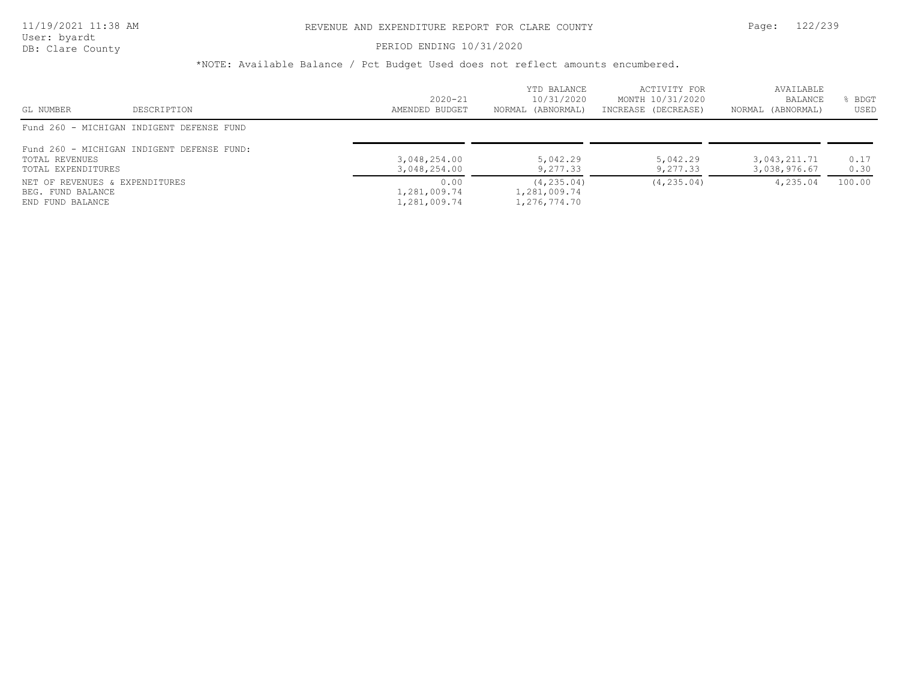# PERIOD ENDING 10/31/2020

| GL NUMBER                                                               | DESCRIPTION                                | $2020 - 21$<br>AMENDED BUDGET        | YTD BALANCE<br>10/31/2020<br>NORMAL (ABNORMAL) | ACTIVITY FOR<br>MONTH 10/31/2020<br>INCREASE (DECREASE) | AVAILABLE<br>BALANCE<br>NORMAL (ABNORMAL) | BDGT<br>USED |
|-------------------------------------------------------------------------|--------------------------------------------|--------------------------------------|------------------------------------------------|---------------------------------------------------------|-------------------------------------------|--------------|
|                                                                         | Fund 260 - MICHIGAN INDIGENT DEFENSE FUND  |                                      |                                                |                                                         |                                           |              |
| TOTAL REVENUES<br>TOTAL EXPENDITURES                                    | Fund 260 - MICHIGAN INDIGENT DEFENSE FUND: | 3,048,254.00<br>3,048,254.00         | 5,042.29<br>9,277.33                           | 5,042.29<br>9,277.33                                    | 3,043,211.71<br>3,038,976.67              | 0.17<br>0.30 |
| NET OF REVENUES & EXPENDITURES<br>BEG. FUND BALANCE<br>END FUND BALANCE |                                            | 0.00<br>1,281,009.74<br>1,281,009.74 | (4, 235.04)<br>1,281,009.74<br>1,276,774.70    | (4, 235, 04)                                            | 4,235.04                                  | 100.00       |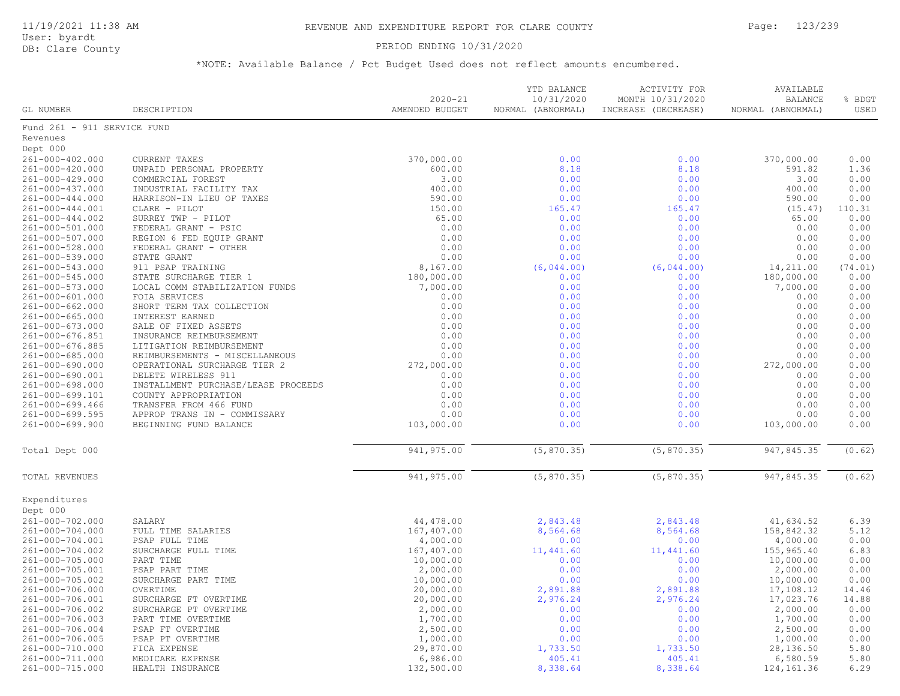# PERIOD ENDING 10/31/2020

| GL NUMBER                   | DESCRIPTION                         | $2020 - 21$<br>AMENDED BUDGET | YTD BALANCE<br>10/31/2020<br>NORMAL (ABNORMAL) | <b>ACTIVITY FOR</b><br>MONTH 10/31/2020<br>INCREASE (DECREASE) | AVAILABLE<br><b>BALANCE</b><br>NORMAL (ABNORMAL) | % BDGT<br>USED |
|-----------------------------|-------------------------------------|-------------------------------|------------------------------------------------|----------------------------------------------------------------|--------------------------------------------------|----------------|
| Fund 261 - 911 SERVICE FUND |                                     |                               |                                                |                                                                |                                                  |                |
| Revenues                    |                                     |                               |                                                |                                                                |                                                  |                |
| Dept 000                    |                                     |                               |                                                |                                                                |                                                  |                |
| 261-000-402.000             | <b>CURRENT TAXES</b>                | 370,000.00                    | 0.00                                           | 0.00                                                           | 370,000.00                                       | 0.00           |
| 261-000-420.000             | UNPAID PERSONAL PROPERTY            | 600.00                        | 8.18                                           | 8.18                                                           | 591.82                                           | 1.36           |
| 261-000-429.000             | COMMERCIAL FOREST                   | 3.00                          | 0.00                                           | 0.00                                                           | 3.00                                             | 0.00           |
| 261-000-437.000             | INDUSTRIAL FACILITY TAX             | 400.00                        | 0.00                                           | 0.00                                                           | 400.00                                           | 0.00           |
| $261 - 000 - 444.000$       | HARRISON-IN LIEU OF TAXES           | 590.00                        | 0.00                                           | 0.00                                                           | 590.00                                           | 0.00           |
| $261 - 000 - 444.001$       | CLARE - PILOT                       | 150.00                        | 165.47                                         | 165.47                                                         | (15.47)                                          | 110.31         |
| 261-000-444.002             | SURREY TWP - PILOT                  | 65.00                         | 0.00                                           | 0.00                                                           | 65.00                                            | 0.00           |
| 261-000-501.000             | FEDERAL GRANT - PSIC                | 0.00                          | 0.00                                           | 0.00                                                           | 0.00                                             | 0.00           |
| 261-000-507.000             | REGION 6 FED EQUIP GRANT            | 0.00                          | 0.00                                           | 0.00                                                           | 0.00                                             | 0.00           |
| 261-000-528.000             | FEDERAL GRANT - OTHER               | 0.00                          | 0.00                                           | 0.00                                                           | 0.00                                             | 0.00           |
| 261-000-539.000             | STATE GRANT                         | 0.00                          | 0.00                                           | 0.00                                                           | 0.00                                             | 0.00           |
| 261-000-543.000             | 911 PSAP TRAINING                   | 8,167.00                      | (6, 044.00)                                    | (6, 044.00)                                                    | 14,211.00                                        | (74.01)        |
| 261-000-545.000             | STATE SURCHARGE TIER 1              | 180,000.00                    | 0.00                                           | 0.00                                                           | 180,000.00                                       | 0.00           |
| 261-000-573.000             | LOCAL COMM STABILIZATION FUNDS      | 7,000.00                      | 0.00                                           | 0.00                                                           | 7,000.00                                         | 0.00           |
| 261-000-601.000             | FOIA SERVICES                       | 0.00                          | 0.00                                           | 0.00                                                           | 0.00                                             | 0.00           |
| $261 - 000 - 662.000$       | SHORT TERM TAX COLLECTION           | 0.00                          | 0.00                                           | 0.00                                                           | 0.00                                             | 0.00           |
| $261 - 000 - 665.000$       | INTEREST EARNED                     | 0.00                          | 0.00                                           | 0.00                                                           | 0.00                                             | 0.00           |
| 261-000-673.000             | SALE OF FIXED ASSETS                | 0.00                          | 0.00                                           | 0.00                                                           | 0.00                                             | 0.00           |
| 261-000-676.851             | INSURANCE REIMBURSEMENT             | 0.00                          | 0.00                                           | 0.00                                                           | 0.00                                             | 0.00           |
| 261-000-676.885             | LITIGATION REIMBURSEMENT            | 0.00                          | 0.00                                           | 0.00                                                           | 0.00                                             | 0.00           |
| 261-000-685.000             | REIMBURSEMENTS - MISCELLANEOUS      | 0.00                          | 0.00                                           | 0.00                                                           | 0.00                                             | 0.00           |
| 261-000-690.000             | OPERATIONAL SURCHARGE TIER 2        | 272,000.00                    | 0.00                                           | 0.00                                                           | 272,000.00                                       | 0.00           |
| 261-000-690.001             | DELETE WIRELESS 911                 | 0.00                          | 0.00                                           | 0.00                                                           | 0.00                                             | 0.00           |
| $261 - 000 - 698.000$       | INSTALLMENT PURCHASE/LEASE PROCEEDS | 0.00                          | 0.00                                           | 0.00                                                           | 0.00                                             | 0.00           |
| 261-000-699.101             | COUNTY APPROPRIATION                | 0.00                          | 0.00                                           | 0.00                                                           | 0.00                                             | 0.00           |
| $261 - 000 - 699.466$       | TRANSFER FROM 466 FUND              | 0.00                          | 0.00                                           | 0.00                                                           | 0.00                                             | 0.00           |
| 261-000-699.595             | APPROP TRANS IN - COMMISSARY        | 0.00                          | 0.00                                           | 0.00                                                           | 0.00                                             | 0.00           |
| 261-000-699.900             | BEGINNING FUND BALANCE              | 103,000.00                    | 0.00                                           | 0.00                                                           | 103,000.00                                       | 0.00           |
| Total Dept 000              |                                     | 941, 975.00                   | (5, 870.35)                                    | (5, 870.35)                                                    | 947,845.35                                       | (0.62)         |
| TOTAL REVENUES              |                                     | 941, 975.00                   | (5, 870.35)                                    | (5, 870.35)                                                    | 947,845.35                                       | (0.62)         |
| Expenditures                |                                     |                               |                                                |                                                                |                                                  |                |
| Dept 000                    |                                     |                               |                                                |                                                                |                                                  |                |
| 261-000-702.000             | SALARY                              | 44,478.00                     | 2,843.48                                       | 2,843.48                                                       | 41,634.52                                        | 6.39           |
| 261-000-704.000             | FULL TIME SALARIES                  | 167,407.00                    | 8,564.68                                       | 8,564.68                                                       | 158,842.32                                       | 5.12           |
| 261-000-704.001             | PSAP FULL TIME                      | 4,000.00                      | 0.00                                           | 0.00                                                           | 4,000.00                                         | 0.00           |
| 261-000-704.002             | SURCHARGE FULL TIME                 | 167,407.00                    | 11,441.60                                      | 11,441.60                                                      | 155,965.40                                       | 6.83           |
| 261-000-705.000             | PART TIME                           | 10,000.00                     | 0.00                                           | 0.00                                                           | 10,000.00                                        | 0.00           |
| 261-000-705.001             | PSAP PART TIME                      | 2,000.00                      | 0.00                                           | 0.00                                                           | 2,000.00                                         | 0.00           |
| 261-000-705.002             | SURCHARGE PART TIME                 | 10,000.00                     | 0.00                                           | 0.00                                                           | 10,000.00                                        | 0.00           |
| 261-000-706.000             | OVERTIME                            | 20,000.00                     | 2,891.88                                       | 2,891.88                                                       | 17,108.12                                        | 14.46          |
| 261-000-706.001             | SURCHARGE FT OVERTIME               | 20,000.00                     | 2,976.24                                       | 2,976.24                                                       | 17,023.76                                        | 14.88          |
| 261-000-706.002             | SURCHARGE PT OVERTIME               | 2,000.00                      | 0.00                                           | 0.00                                                           | 2,000.00                                         | 0.00           |
| 261-000-706.003             | PART TIME OVERTIME                  | 1,700.00                      | 0.00                                           | 0.00                                                           | 1,700.00                                         | 0.00           |
| 261-000-706.004             | PSAP FT OVERTIME                    | 2,500.00                      | 0.00                                           | 0.00                                                           | 2,500.00                                         | 0.00           |
| 261-000-706.005             | PSAP PT OVERTIME                    | 1,000.00                      | 0.00                                           | 0.00                                                           | 1,000.00                                         | 0.00           |
| 261-000-710.000             | FICA EXPENSE                        | 29,870.00                     | 1,733.50                                       | 1,733.50                                                       | 28,136.50                                        | 5.80           |
| 261-000-711.000             | MEDICARE EXPENSE                    | 6,986.00                      | 405.41                                         | 405.41                                                         | 6,580.59                                         | 5.80           |
| 261-000-715.000             | HEALTH INSURANCE                    | 132,500.00                    | 8,338.64                                       | 8,338.64                                                       | 124,161.36                                       | 6.29           |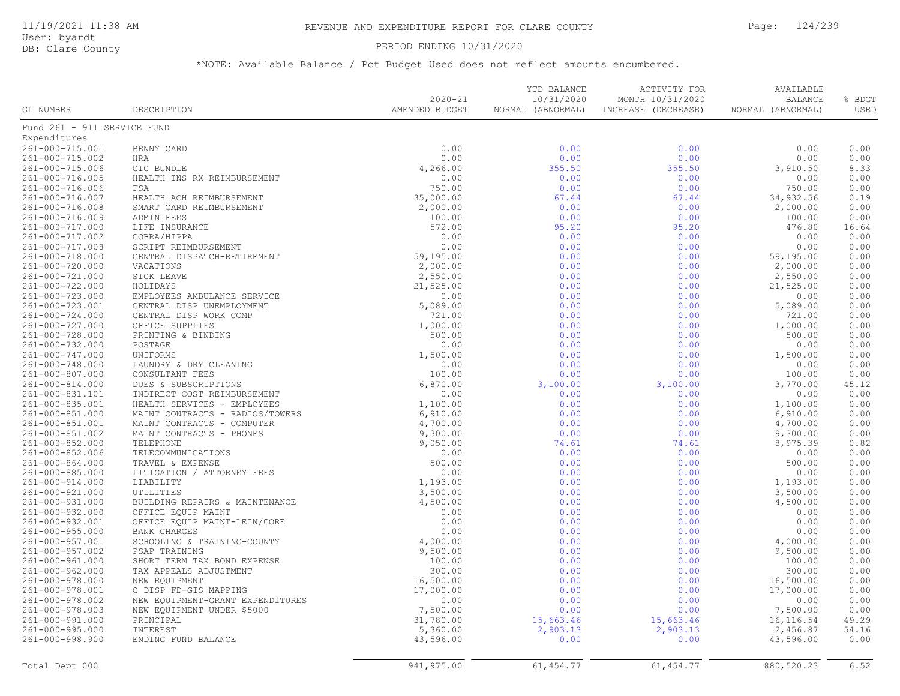PERIOD ENDING 10/31/2020

User: byardt<br>DB: Clare County

| GL NUMBER                          | DESCRIPTION                      | $2020 - 21$<br>AMENDED BUDGET | YTD BALANCE<br>10/31/2020<br>NORMAL (ABNORMAL) | ACTIVITY FOR<br>MONTH 10/31/2020<br>INCREASE (DECREASE) | AVAILABLE<br><b>BALANCE</b><br>NORMAL (ABNORMAL) | % BDGT<br>USED |
|------------------------------------|----------------------------------|-------------------------------|------------------------------------------------|---------------------------------------------------------|--------------------------------------------------|----------------|
| Fund 261 - 911 SERVICE FUND        |                                  |                               |                                                |                                                         |                                                  |                |
| Expenditures                       |                                  |                               |                                                |                                                         |                                                  |                |
| 261-000-715.001                    | BENNY CARD                       | 0.00                          | 0.00                                           | 0.00                                                    | 0.00                                             | 0.00           |
| 261-000-715.002                    | <b>HRA</b>                       | 0.00                          | 0.00                                           | 0.00                                                    | 0.00                                             | 0.00           |
| 261-000-715.006                    | CIC BUNDLE                       | 4,266.00                      | 355.50                                         | 355.50                                                  | 3,910.50                                         | 8.33           |
| 261-000-716.005                    | HEALTH INS RX REIMBURSEMENT      | 0.00                          | 0.00                                           | 0.00                                                    | 0.00                                             | 0.00           |
| 261-000-716.006                    | FSA                              | 750.00                        | 0.00                                           | 0.00                                                    | 750.00                                           | 0.00           |
| 261-000-716.007                    | HEALTH ACH REIMBURSEMENT         | 35,000.00                     | 67.44                                          | 67.44                                                   | 34,932.56                                        | 0.19           |
| 261-000-716.008                    | SMART CARD REIMBURSEMENT         | 2,000.00                      | 0.00                                           | 0.00                                                    | 2,000.00                                         | 0.00           |
| 261-000-716.009                    | ADMIN FEES                       | 100.00                        | 0.00                                           | 0.00                                                    | 100.00                                           | 0.00           |
| 261-000-717.000                    | LIFE INSURANCE                   | 572.00                        | 95.20                                          | 95.20                                                   | 476.80                                           | 16.64          |
| 261-000-717.002                    | COBRA/HIPPA                      | 0.00                          | 0.00                                           | 0.00                                                    | 0.00                                             | 0.00           |
| 261-000-717.008                    | SCRIPT REIMBURSEMENT             | 0.00                          | 0.00                                           | 0.00                                                    | 0.00                                             | 0.00           |
| 261-000-718.000                    | CENTRAL DISPATCH-RETIREMENT      | 59,195.00                     | 0.00                                           | 0.00                                                    | 59,195.00                                        | 0.00           |
| 261-000-720.000                    | VACATIONS                        | 2,000.00                      | 0.00                                           | 0.00                                                    | 2,000.00                                         | 0.00           |
| 261-000-721.000                    | SICK LEAVE                       | 2,550.00                      | 0.00                                           | 0.00                                                    | 2,550.00                                         | 0.00           |
| 261-000-722.000                    | HOLIDAYS                         | 21,525.00                     | 0.00                                           | 0.00                                                    | 21,525.00                                        | 0.00           |
| 261-000-723.000                    | EMPLOYEES AMBULANCE SERVICE      | 0.00                          | 0.00                                           | 0.00                                                    | 0.00                                             | 0.00           |
| 261-000-723.001                    | CENTRAL DISP UNEMPLOYMENT        | 5,089.00                      | 0.00                                           | 0.00                                                    | 5,089.00                                         | 0.00           |
| 261-000-724.000                    | CENTRAL DISP WORK COMP           | 721.00                        | 0.00                                           | 0.00                                                    | 721.00                                           | 0.00           |
| 261-000-727.000                    | OFFICE SUPPLIES                  | 1,000.00                      | 0.00                                           | 0.00                                                    | 1,000.00                                         | 0.00           |
| 261-000-728.000                    | PRINTING & BINDING               | 500.00                        | 0.00                                           | 0.00                                                    | 500.00                                           | 0.00           |
| 261-000-732.000                    | POSTAGE                          | 0.00                          | 0.00                                           | 0.00                                                    | 0.00                                             | 0.00           |
| 261-000-747.000                    | UNIFORMS                         | 1,500.00                      | 0.00                                           | 0.00                                                    | 1,500.00                                         | 0.00           |
| 261-000-748.000                    | LAUNDRY & DRY CLEANING           | 0.00                          | 0.00                                           | 0.00                                                    | 0.00                                             | 0.00           |
| 261-000-807.000                    | CONSULTANT FEES                  | 100.00                        | 0.00                                           | 0.00                                                    | 100.00                                           | 0.00           |
| 261-000-814.000                    | DUES & SUBSCRIPTIONS             | 6,870.00                      | 3,100.00                                       | 3,100.00                                                | 3,770.00                                         | 45.12          |
| 261-000-831.101                    | INDIRECT COST REIMBURSEMENT      | 0.00                          | 0.00                                           | 0.00                                                    | 0.00                                             | 0.00           |
| 261-000-835.001                    | HEALTH SERVICES - EMPLOYEES      | 1,100.00                      | 0.00                                           | 0.00                                                    | 1,100.00                                         | 0.00           |
| 261-000-851.000                    | MAINT CONTRACTS - RADIOS/TOWERS  | 6,910.00                      | 0.00                                           | 0.00                                                    | 6,910.00                                         | 0.00           |
| 261-000-851.001                    | MAINT CONTRACTS - COMPUTER       | 4,700.00                      | 0.00                                           | 0.00                                                    | 4,700.00                                         | 0.00           |
| 261-000-851.002                    | MAINT CONTRACTS - PHONES         | 9,300.00                      | 0.00                                           | 0.00                                                    | 9,300.00                                         | 0.00           |
| 261-000-852.000                    | TELEPHONE                        | 9,050.00                      | 74.61                                          | 74.61                                                   | 8,975.39                                         | 0.82           |
| 261-000-852.006                    | TELECOMMUNICATIONS               | 0.00                          | 0.00                                           | 0.00                                                    | 0.00                                             | 0.00           |
| $261 - 000 - 864.000$              | TRAVEL & EXPENSE                 | 500.00                        | 0.00                                           | 0.00                                                    | 500.00                                           | 0.00           |
| 261-000-885.000                    | LITIGATION / ATTORNEY FEES       | 0.00                          | 0.00                                           | 0.00                                                    | 0.00                                             | 0.00           |
| 261-000-914.000                    | LIABILITY                        | 1,193.00                      | 0.00                                           | 0.00                                                    | 1,193.00                                         | 0.00           |
| 261-000-921.000                    | UTILITIES                        | 3,500.00                      | 0.00                                           | 0.00                                                    | 3,500.00                                         | 0.00           |
| 261-000-931.000                    | BUILDING REPAIRS & MAINTENANCE   | 4,500.00                      | 0.00                                           | 0.00                                                    | 4,500.00                                         | 0.00           |
| 261-000-932.000                    | OFFICE EQUIP MAINT               | 0.00                          | 0.00                                           | 0.00                                                    | 0.00                                             | 0.00           |
| 261-000-932.001                    | OFFICE EQUIP MAINT-LEIN/CORE     | 0.00                          | 0.00                                           | 0.00                                                    | 0.00                                             | 0.00           |
| $261 - 000 - 955.000$              | <b>BANK CHARGES</b>              | 0.00                          | 0.00                                           | 0.00                                                    | 0.00                                             | 0.00           |
| 261-000-957.001                    | SCHOOLING & TRAINING-COUNTY      | 4,000.00                      | 0.00                                           | 0.00                                                    | 4,000.00                                         | 0.00           |
| 261-000-957.002                    | PSAP TRAINING                    | 9,500.00                      | 0.00                                           | 0.00                                                    | 9,500.00                                         | 0.00           |
| 261-000-961.000                    | SHORT TERM TAX BOND EXPENSE      | 100.00                        | 0.00                                           | 0.00                                                    | 100.00                                           | 0.00           |
|                                    |                                  | 300.00                        | 0.00                                           | 0.00                                                    |                                                  | 0.00           |
| 261-000-962.000<br>261-000-978.000 | TAX APPEALS ADJUSTMENT           | 16,500.00                     | 0.00                                           | 0.00                                                    | 300.00                                           | 0.00           |
|                                    | NEW EQUIPMENT                    | 17,000.00                     | 0.00                                           |                                                         | 16,500.00<br>17,000.00                           | 0.00           |
| 261-000-978.001                    | C DISP FD-GIS MAPPING            |                               |                                                | 0.00                                                    |                                                  |                |
| 261-000-978.002                    | NEW EQUIPMENT-GRANT EXPENDITURES | 0.00                          | 0.00                                           | 0.00                                                    | 0.00                                             | 0.00           |
| 261-000-978.003                    | NEW EQUIPMENT UNDER \$5000       | 7,500.00                      | 0.00                                           | 0.00                                                    | 7,500.00                                         | 0.00           |
| 261-000-991.000                    | PRINCIPAL                        | 31,780.00                     | 15,663.46                                      | 15,663.46                                               | 16, 116.54                                       | 49.29          |
| $261 - 000 - 995.000$              | INTEREST                         | 5,360.00                      | 2,903.13                                       | 2,903.13                                                | 2,456.87                                         | 54.16          |
| 261-000-998.900                    | ENDING FUND BALANCE              | 43,596.00                     | 0.00                                           | 0.00                                                    | 43,596.00                                        | 0.00           |
| Total Dept 000                     |                                  | 941,975.00                    | 61, 454.77                                     | 61, 454.77                                              | 880,520.23                                       | 6.52           |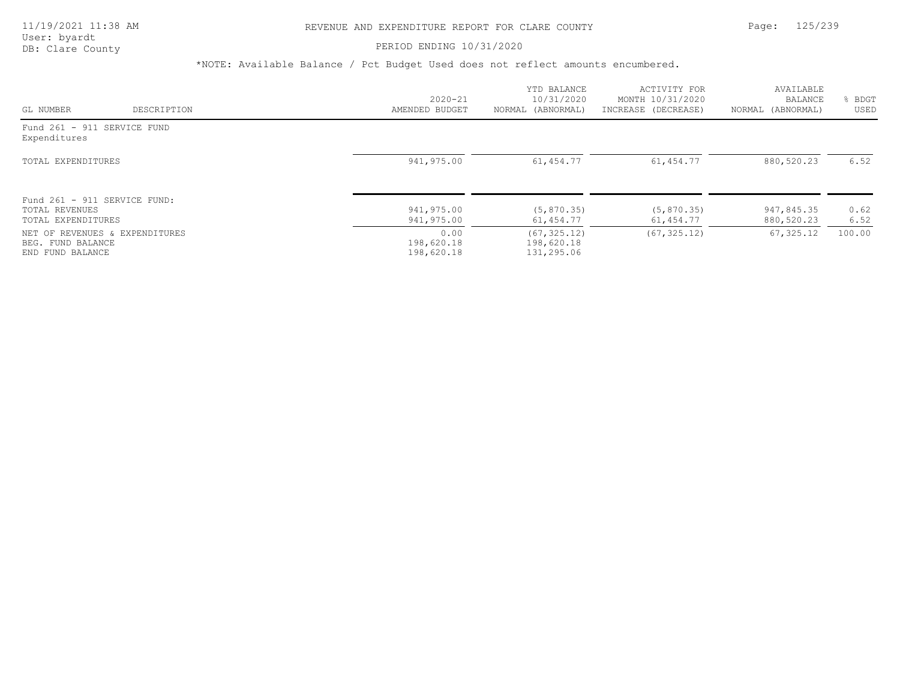### PERIOD ENDING 10/31/2020

|                                                     |             |                          | YTD BALANCE                | ACTIVITY FOR              | AVAILABLE                |              |
|-----------------------------------------------------|-------------|--------------------------|----------------------------|---------------------------|--------------------------|--------------|
|                                                     |             | $2020 - 21$              | 10/31/2020                 | MONTH 10/31/2020          | BALANCE                  | BDGT         |
| GL NUMBER                                           | DESCRIPTION | AMENDED BUDGET           | NORMAL (ABNORMAL)          | INCREASE (DECREASE)       | NORMAL (ABNORMAL)        | USED         |
| Fund 261 - 911 SERVICE FUND<br>Expenditures         |             |                          |                            |                           |                          |              |
| TOTAL EXPENDITURES                                  |             | 941,975.00               | 61,454.77                  | 61,454.77                 | 880,520.23               | 6.52         |
| Fund 261 - 911 SERVICE FUND:                        |             |                          |                            |                           |                          |              |
| TOTAL REVENUES<br>TOTAL EXPENDITURES                |             | 941,975.00<br>941,975.00 | (5, 870.35)<br>61,454.77   | (5, 870, 35)<br>61,454.77 | 947,845.35<br>880,520.23 | 0.62<br>6.52 |
| NET OF REVENUES & EXPENDITURES<br>BEG. FUND BALANCE |             | 0.00<br>198,620.18       | (67, 325.12)<br>198,620.18 | (67, 325, 12)             | 67,325.12                | 100.00       |
| END FUND BALANCE                                    |             | 198,620.18               | 131,295.06                 |                           |                          |              |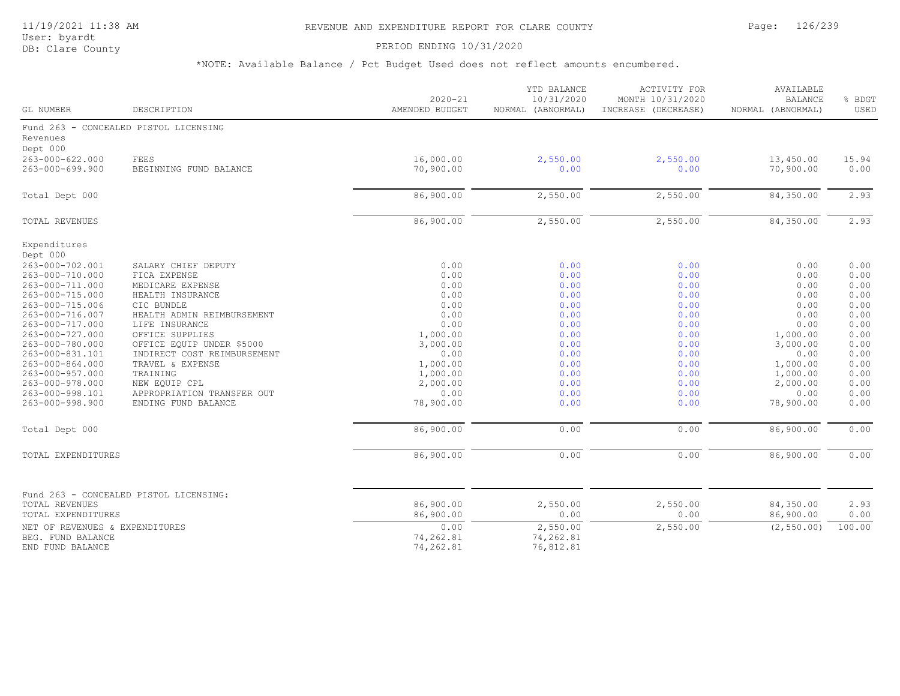# 11/19/2021 11:38 AM REVENUE AND EXPENDITURE REPORT FOR CLARE COUNTY Page: 126/239

User: byardt

# DB: Clare County **PERIOD ENDING 10/31/2020**

| GL NUMBER                          | DESCRIPTION                            | $2020 - 21$<br>AMENDED BUDGET | YTD BALANCE<br>10/31/2020<br>NORMAL (ABNORMAL) | <b>ACTIVITY FOR</b><br>MONTH 10/31/2020<br>INCREASE (DECREASE) | AVAILABLE<br><b>BALANCE</b><br>NORMAL (ABNORMAL) | % BDGT<br>USED |
|------------------------------------|----------------------------------------|-------------------------------|------------------------------------------------|----------------------------------------------------------------|--------------------------------------------------|----------------|
|                                    | Fund 263 - CONCEALED PISTOL LICENSING  |                               |                                                |                                                                |                                                  |                |
| Revenues                           |                                        |                               |                                                |                                                                |                                                  |                |
| Dept 000                           |                                        |                               |                                                |                                                                |                                                  |                |
| 263-000-622.000                    | FEES                                   | 16,000.00                     | 2,550.00                                       | 2,550.00                                                       | 13,450.00                                        | 15.94          |
| 263-000-699.900                    | BEGINNING FUND BALANCE                 | 70,900.00                     | 0.00                                           | 0.00                                                           | 70,900.00                                        | 0.00           |
| Total Dept 000                     |                                        | 86,900.00                     | 2,550.00                                       | 2,550.00                                                       | 84,350.00                                        | 2.93           |
| TOTAL REVENUES                     |                                        | 86,900.00                     | 2,550.00                                       | 2,550.00                                                       | 84,350.00                                        | 2.93           |
| Expenditures                       |                                        |                               |                                                |                                                                |                                                  |                |
| Dept 000                           |                                        |                               |                                                |                                                                |                                                  |                |
| 263-000-702.001                    | SALARY CHIEF DEPUTY                    | 0.00                          | 0.00                                           | 0.00                                                           | 0.00                                             | 0.00           |
| 263-000-710.000                    | FICA EXPENSE                           | 0.00                          | 0.00                                           | 0.00                                                           | 0.00                                             | 0.00           |
| 263-000-711.000                    | MEDICARE EXPENSE                       | 0.00                          | 0.00                                           | 0.00                                                           | 0.00                                             | 0.00           |
| 263-000-715.000                    | HEALTH INSURANCE                       | 0.00                          | 0.00                                           | 0.00                                                           | 0.00                                             | 0.00           |
| 263-000-715.006                    | CIC BUNDLE                             | 0.00                          | 0.00                                           | 0.00                                                           | 0.00                                             | 0.00           |
| 263-000-716.007                    | HEALTH ADMIN REIMBURSEMENT             | 0.00                          | 0.00                                           | 0.00                                                           | 0.00                                             | 0.00           |
| 263-000-717.000                    | LIFE INSURANCE                         | 0.00                          | 0.00                                           | 0.00                                                           | 0.00                                             | 0.00           |
| 263-000-727.000                    | OFFICE SUPPLIES                        | 1,000.00                      | 0.00                                           | 0.00                                                           | 1,000.00                                         | 0.00           |
| 263-000-780.000                    | OFFICE EQUIP UNDER \$5000              | 3,000.00                      | 0.00                                           | 0.00                                                           | 3,000.00                                         | 0.00           |
| 263-000-831.101                    | INDIRECT COST REIMBURSEMENT            | 0.00                          | 0.00                                           | 0.00                                                           | 0.00                                             | 0.00           |
| 263-000-864.000                    | TRAVEL & EXPENSE                       | 1,000.00                      | 0.00                                           | 0.00                                                           | 1,000.00                                         | 0.00           |
| 263-000-957.000<br>263-000-978.000 | TRAINING<br>NEW EQUIP CPL              | 1,000.00<br>2,000.00          | 0.00<br>0.00                                   | 0.00<br>0.00                                                   | 1,000.00<br>2,000.00                             | 0.00<br>0.00   |
| 263-000-998.101                    | APPROPRIATION TRANSFER OUT             | 0.00                          | 0.00                                           | 0.00                                                           | 0.00                                             | 0.00           |
| 263-000-998.900                    | ENDING FUND BALANCE                    | 78,900.00                     | 0.00                                           | 0.00                                                           | 78,900.00                                        | 0.00           |
| Total Dept 000                     |                                        | 86,900.00                     | 0.00                                           | 0.00                                                           | 86,900.00                                        | 0.00           |
|                                    |                                        |                               |                                                |                                                                |                                                  |                |
| TOTAL EXPENDITURES                 |                                        | 86,900.00                     | 0.00                                           | 0.00                                                           | 86,900.00                                        | 0.00           |
|                                    | Fund 263 - CONCEALED PISTOL LICENSING: |                               |                                                |                                                                |                                                  |                |
| TOTAL REVENUES                     |                                        | 86,900.00                     | 2,550.00                                       | 2,550.00                                                       | 84,350.00                                        | 2.93           |
| TOTAL EXPENDITURES                 |                                        | 86,900.00                     | 0.00                                           | 0.00                                                           | 86,900.00                                        | 0.00           |
| NET OF REVENUES & EXPENDITURES     |                                        | 0.00                          | 2,550.00                                       | 2,550.00                                                       | (2, 550.00)                                      | 100.00         |
| BEG. FUND BALANCE                  |                                        | 74,262.81                     | 74,262.81                                      |                                                                |                                                  |                |
| END FUND BALANCE                   |                                        | 74,262.81                     | 76,812.81                                      |                                                                |                                                  |                |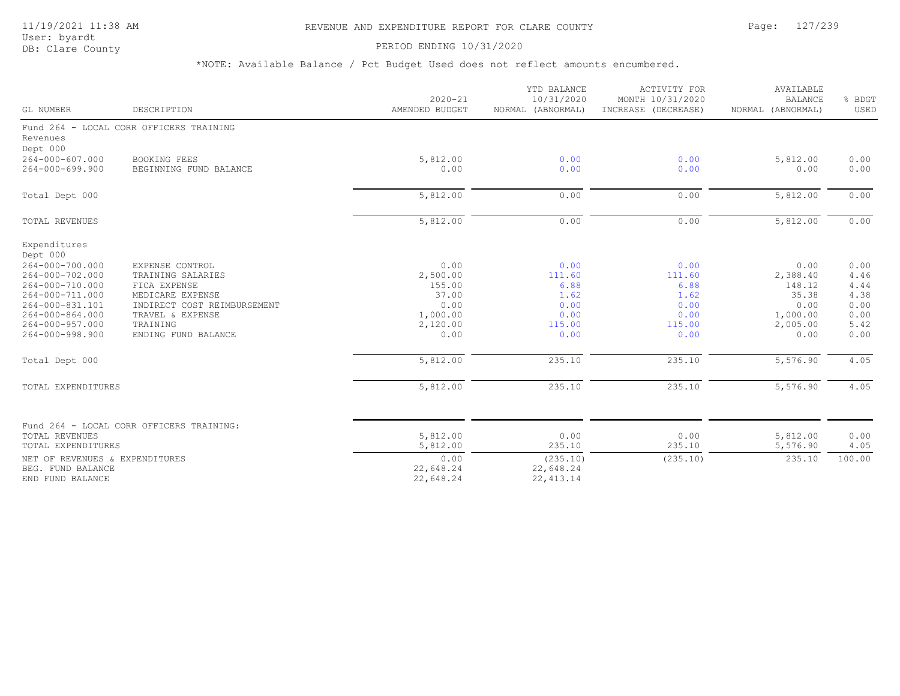# 11/19/2021 11:38 AM REVENUE AND EXPENDITURE REPORT FOR CLARE COUNTY Page: 127/239

User: byardt<br>DB: Clare County

### PERIOD ENDING 10/31/2020

| GL NUMBER                      | DESCRIPTION                              | $2020 - 21$<br>AMENDED BUDGET | YTD BALANCE<br>10/31/2020<br>NORMAL (ABNORMAL) | <b>ACTIVITY FOR</b><br>MONTH 10/31/2020<br>INCREASE (DECREASE) | AVAILABLE<br><b>BALANCE</b><br>NORMAL (ABNORMAL) | % BDGT<br>USED |
|--------------------------------|------------------------------------------|-------------------------------|------------------------------------------------|----------------------------------------------------------------|--------------------------------------------------|----------------|
|                                | Fund 264 - LOCAL CORR OFFICERS TRAINING  |                               |                                                |                                                                |                                                  |                |
| Revenues<br>Dept 000           |                                          |                               |                                                |                                                                |                                                  |                |
| $264 - 000 - 607.000$          | <b>BOOKING FEES</b>                      | 5,812.00                      | 0.00                                           | 0.00                                                           | 5,812.00                                         | 0.00           |
| $264 - 000 - 699.900$          | BEGINNING FUND BALANCE                   | 0.00                          | 0.00                                           | 0.00                                                           | 0.00                                             | 0.00           |
| Total Dept 000                 |                                          | 5,812.00                      | 0.00                                           | 0.00                                                           | 5,812.00                                         | 0.00           |
| TOTAL REVENUES                 |                                          | 5,812.00                      | 0.00                                           | 0.00                                                           | 5,812.00                                         | 0.00           |
| Expenditures<br>Dept 000       |                                          |                               |                                                |                                                                |                                                  |                |
| 264-000-700.000                | EXPENSE CONTROL                          | 0.00                          | 0.00                                           | 0.00                                                           | 0.00                                             | 0.00           |
| 264-000-702.000                | TRAINING SALARIES                        | 2,500.00                      | 111.60                                         | 111.60                                                         | 2,388.40                                         | 4.46           |
| 264-000-710.000                | FICA EXPENSE                             | 155.00                        | 6.88                                           | 6.88                                                           | 148.12                                           | 4.44           |
| 264-000-711.000                | MEDICARE EXPENSE                         | 37.00                         | 1.62                                           | 1.62                                                           | 35.38                                            | 4.38           |
| 264-000-831.101                | INDIRECT COST REIMBURSEMENT              | 0.00                          | 0.00                                           | 0.00                                                           | 0.00                                             | 0.00           |
| $264 - 000 - 864.000$          | TRAVEL & EXPENSE                         | 1,000.00                      | 0.00                                           | 0.00                                                           | 1,000.00                                         | 0.00           |
| 264-000-957.000                | TRAINING                                 | 2,120.00                      | 115.00                                         | 115.00                                                         | 2,005.00                                         | 5.42           |
| 264-000-998.900                | ENDING FUND BALANCE                      | 0.00                          | 0.00                                           | 0.00                                                           | 0.00                                             | 0.00           |
| Total Dept 000                 |                                          | 5,812.00                      | 235.10                                         | 235.10                                                         | 5,576.90                                         | 4.05           |
| TOTAL EXPENDITURES             |                                          | 5,812.00                      | 235.10                                         | 235.10                                                         | 5,576.90                                         | 4.05           |
|                                |                                          |                               |                                                |                                                                |                                                  |                |
| TOTAL REVENUES                 | Fund 264 - LOCAL CORR OFFICERS TRAINING: | 5,812.00                      | 0.00                                           | 0.00                                                           | 5,812.00                                         | 0.00           |
| TOTAL EXPENDITURES             |                                          | 5,812.00                      | 235.10                                         | 235.10                                                         | 5,576.90                                         | 4.05           |
| NET OF REVENUES & EXPENDITURES |                                          | 0.00                          | (235.10)                                       | (235.10)                                                       | 235.10                                           | 100.00         |
| BEG. FUND BALANCE              |                                          | 22,648.24                     | 22,648.24                                      |                                                                |                                                  |                |
| END FUND BALANCE               |                                          | 22,648.24                     | 22, 413.14                                     |                                                                |                                                  |                |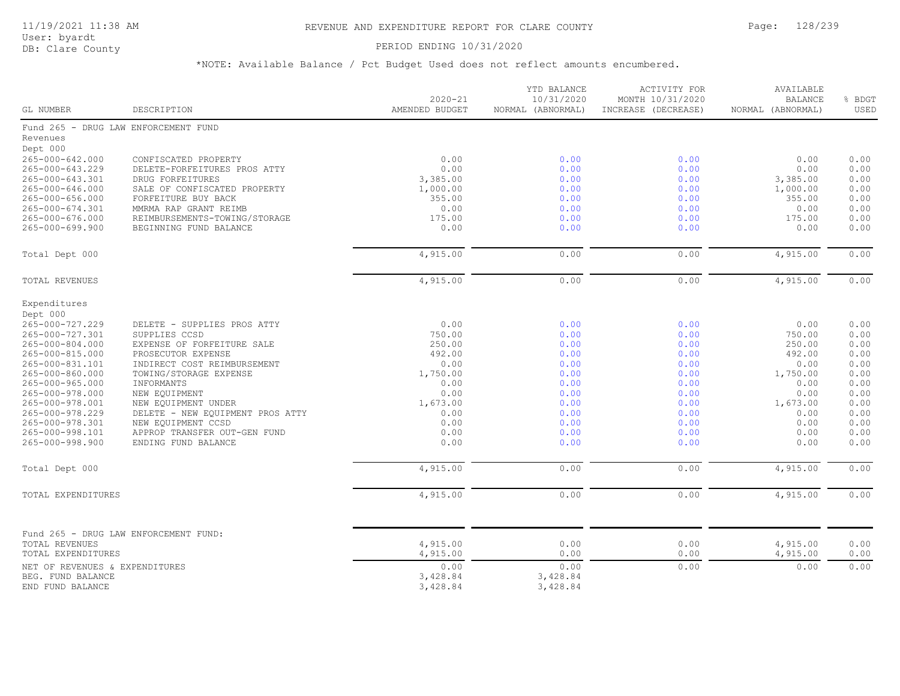# PERIOD ENDING 10/31/2020

| GL NUMBER                                | DESCRIPTION                                             | $2020 - 21$<br>AMENDED BUDGET | YTD BALANCE<br>10/31/2020<br>NORMAL (ABNORMAL) | ACTIVITY FOR<br>MONTH 10/31/2020<br>INCREASE (DECREASE) | AVAILABLE<br><b>BALANCE</b><br>NORMAL (ABNORMAL) | % BDGT<br>USED |
|------------------------------------------|---------------------------------------------------------|-------------------------------|------------------------------------------------|---------------------------------------------------------|--------------------------------------------------|----------------|
|                                          | Fund 265 - DRUG LAW ENFORCEMENT FUND                    |                               |                                                |                                                         |                                                  |                |
| Revenues                                 |                                                         |                               |                                                |                                                         |                                                  |                |
| Dept 000                                 |                                                         |                               |                                                |                                                         |                                                  |                |
| 265-000-642.000                          | CONFISCATED PROPERTY                                    | 0.00                          | 0.00                                           | 0.00                                                    | 0.00                                             | 0.00           |
| 265-000-643.229                          | DELETE-FORFEITURES PROS ATTY                            | 0.00                          | 0.00                                           | 0.00                                                    | 0.00                                             | 0.00           |
| 265-000-643.301                          | DRUG FORFEITURES                                        | 3,385.00                      | 0.00                                           | 0.00                                                    | 3,385.00                                         | 0.00           |
| 265-000-646.000                          | SALE OF CONFISCATED PROPERTY                            | 1,000.00                      | 0.00                                           | 0.00                                                    | 1,000.00                                         | 0.00           |
| 265-000-656.000                          | FORFEITURE BUY BACK                                     | 355.00                        | 0.00                                           | 0.00                                                    | 355.00                                           | 0.00           |
| 265-000-674.301<br>$265 - 000 - 676.000$ | MMRMA RAP GRANT REIMB<br>REIMBURSEMENTS-TOWING/STORAGE  | 0.00<br>175.00                | 0.00<br>0.00                                   | 0.00<br>0.00                                            | 0.00<br>175.00                                   | 0.00<br>0.00   |
| 265-000-699.900                          | BEGINNING FUND BALANCE                                  | 0.00                          | 0.00                                           | 0.00                                                    | 0.00                                             | 0.00           |
|                                          |                                                         |                               |                                                |                                                         |                                                  |                |
| Total Dept 000                           |                                                         | 4,915.00                      | 0.00                                           | 0.00                                                    | 4,915.00                                         | 0.00           |
|                                          |                                                         |                               |                                                |                                                         |                                                  |                |
| TOTAL REVENUES                           |                                                         | 4,915.00                      | 0.00                                           | 0.00                                                    | 4,915.00                                         | 0.00           |
| Expenditures                             |                                                         |                               |                                                |                                                         |                                                  |                |
| Dept 000                                 |                                                         |                               |                                                |                                                         |                                                  |                |
| 265-000-727.229                          | DELETE - SUPPLIES PROS ATTY                             | 0.00                          | 0.00                                           | 0.00                                                    | 0.00                                             | 0.00           |
| 265-000-727.301                          | SUPPLIES CCSD                                           | 750.00                        | 0.00                                           | 0.00                                                    | 750.00                                           | 0.00           |
| 265-000-804.000                          | EXPENSE OF FORFEITURE SALE                              | 250.00                        | 0.00                                           | 0.00                                                    | 250.00                                           | 0.00           |
| 265-000-815.000                          | PROSECUTOR EXPENSE                                      | 492.00                        | 0.00                                           | 0.00                                                    | 492.00                                           | 0.00           |
| 265-000-831.101                          | INDIRECT COST REIMBURSEMENT                             | 0.00                          | 0.00                                           | 0.00                                                    | 0.00                                             | 0.00           |
| 265-000-860.000                          | TOWING/STORAGE EXPENSE                                  | 1,750.00                      | 0.00                                           | 0.00                                                    | 1,750.00                                         | 0.00           |
| 265-000-965.000                          | INFORMANTS                                              | 0.00                          | 0.00                                           | 0.00                                                    | 0.00                                             | 0.00           |
| 265-000-978.000<br>265-000-978.001       | NEW EQUIPMENT                                           | 0.00<br>1,673.00              | 0.00<br>0.00                                   | 0.00<br>0.00                                            | 0.00<br>1,673.00                                 | 0.00<br>0.00   |
| 265-000-978.229                          | NEW EOUIPMENT UNDER<br>DELETE - NEW EQUIPMENT PROS ATTY | 0.00                          | 0.00                                           | 0.00                                                    | 0.00                                             | 0.00           |
| 265-000-978.301                          | NEW EQUIPMENT CCSD                                      | 0.00                          | 0.00                                           | 0.00                                                    | 0.00                                             | 0.00           |
| 265-000-998.101                          | APPROP TRANSFER OUT-GEN FUND                            | 0.00                          | 0.00                                           | 0.00                                                    | 0.00                                             | 0.00           |
| 265-000-998.900                          | ENDING FUND BALANCE                                     | 0.00                          | 0.00                                           | 0.00                                                    | 0.00                                             | 0.00           |
|                                          |                                                         |                               |                                                |                                                         |                                                  |                |
| Total Dept 000                           |                                                         | 4,915.00                      | 0.00                                           | 0.00                                                    | 4,915.00                                         | 0.00           |
| TOTAL EXPENDITURES                       |                                                         | 4,915.00                      | 0.00                                           | 0.00                                                    | 4,915.00                                         | 0.00           |
|                                          |                                                         |                               |                                                |                                                         |                                                  |                |
|                                          | Fund 265 - DRUG LAW ENFORCEMENT FUND:                   |                               |                                                |                                                         |                                                  |                |
| TOTAL REVENUES                           |                                                         | 4,915.00                      | 0.00                                           | 0.00                                                    | 4,915.00                                         | 0.00           |
| TOTAL EXPENDITURES                       |                                                         | 4,915.00                      | 0.00                                           | 0.00                                                    | 4,915.00                                         | 0.00           |
| NET OF REVENUES & EXPENDITURES           |                                                         | 0.00                          | 0.00                                           | 0.00                                                    | 0.00                                             | 0.00           |
| BEG. FUND BALANCE                        |                                                         | 3,428.84                      | 3,428.84                                       |                                                         |                                                  |                |
| END FUND BALANCE                         |                                                         | 3,428.84                      | 3,428.84                                       |                                                         |                                                  |                |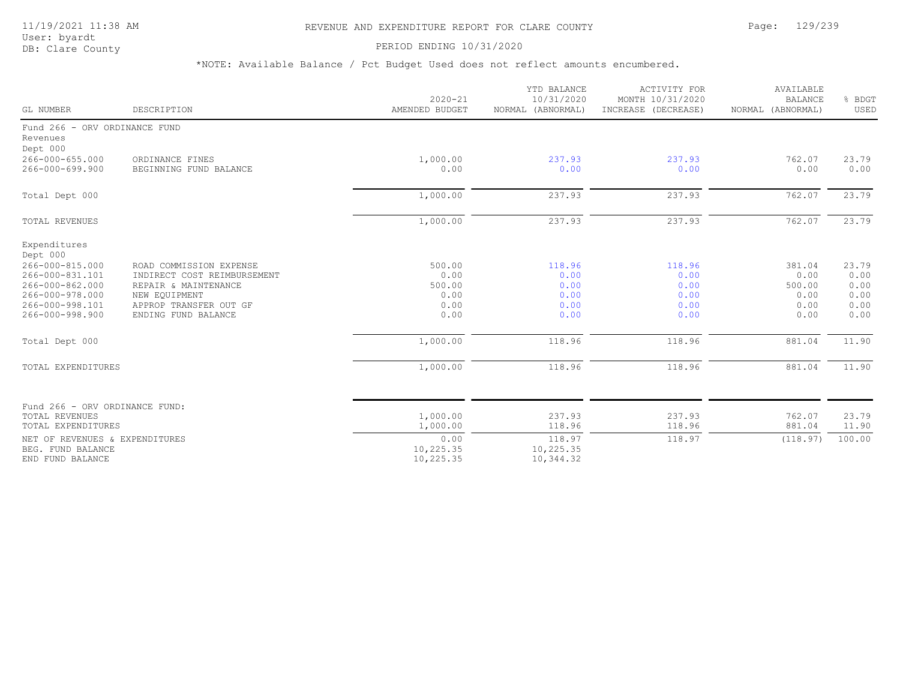# 11/19/2021 11:38 AM REVENUE AND EXPENDITURE REPORT FOR CLARE COUNTY Page: 129/239

User: byardt<br>DB: Clare County

### PERIOD ENDING 10/31/2020

|                                                                                                                                            |                                                                                                                                                  | $2020 - 21$                                      | YTD BALANCE<br>10/31/2020                      | <b>ACTIVITY FOR</b><br>MONTH 10/31/2020        | AVAILABLE<br><b>BALANCE</b>                      |                                               |
|--------------------------------------------------------------------------------------------------------------------------------------------|--------------------------------------------------------------------------------------------------------------------------------------------------|--------------------------------------------------|------------------------------------------------|------------------------------------------------|--------------------------------------------------|-----------------------------------------------|
| GL NUMBER                                                                                                                                  | DESCRIPTION                                                                                                                                      | AMENDED BUDGET                                   | NORMAL (ABNORMAL)                              | INCREASE (DECREASE)                            | NORMAL (ABNORMAL)                                | % BDGT<br>USED                                |
| Fund 266 - ORV ORDINANCE FUND<br>Revenues<br>Dept 000                                                                                      |                                                                                                                                                  |                                                  |                                                |                                                |                                                  |                                               |
| 266-000-655.000<br>266-000-699.900                                                                                                         | ORDINANCE FINES<br>BEGINNING FUND BALANCE                                                                                                        | 1,000.00<br>0.00                                 | 237.93<br>0.00                                 | 237.93<br>0.00                                 | 762.07<br>0.00                                   | 23.79<br>0.00                                 |
| Total Dept 000                                                                                                                             |                                                                                                                                                  | 1,000.00                                         | 237.93                                         | 237.93                                         | 762.07                                           | 23.79                                         |
| TOTAL REVENUES                                                                                                                             |                                                                                                                                                  | 1,000.00                                         | 237.93                                         | 237.93                                         | 762.07                                           | 23.79                                         |
| Expenditures<br>Dept 000<br>266-000-815.000<br>266-000-831.101<br>266-000-862.000<br>266-000-978.000<br>266-000-998.101<br>266-000-998.900 | ROAD COMMISSION EXPENSE<br>INDIRECT COST REIMBURSEMENT<br>REPAIR & MAINTENANCE<br>NEW EQUIPMENT<br>APPROP TRANSFER OUT GF<br>ENDING FUND BALANCE | 500.00<br>0.00<br>500.00<br>0.00<br>0.00<br>0.00 | 118.96<br>0.00<br>0.00<br>0.00<br>0.00<br>0.00 | 118.96<br>0.00<br>0.00<br>0.00<br>0.00<br>0.00 | 381.04<br>0.00<br>500.00<br>0.00<br>0.00<br>0.00 | 23.79<br>0.00<br>0.00<br>0.00<br>0.00<br>0.00 |
| Total Dept 000                                                                                                                             |                                                                                                                                                  | 1,000.00                                         | 118.96                                         | 118.96                                         | 881.04                                           | 11.90                                         |
| TOTAL EXPENDITURES                                                                                                                         |                                                                                                                                                  | 1,000.00                                         | 118.96                                         | 118.96                                         | 881.04                                           | 11.90                                         |
| Fund 266 - ORV ORDINANCE FUND:<br><b>TOTAL REVENUES</b><br>TOTAL EXPENDITURES                                                              |                                                                                                                                                  | 1,000.00<br>1,000.00                             | 237.93<br>118.96                               | 237.93<br>118.96                               | 762.07<br>881.04                                 | 23.79<br>11.90                                |
| NET OF REVENUES & EXPENDITURES<br>BEG. FUND BALANCE<br>END FUND BALANCE                                                                    |                                                                                                                                                  | 0.00<br>10,225.35<br>10,225.35                   | 118.97<br>10,225.35<br>10,344.32               | 118.97                                         | (118.97)                                         | 100.00                                        |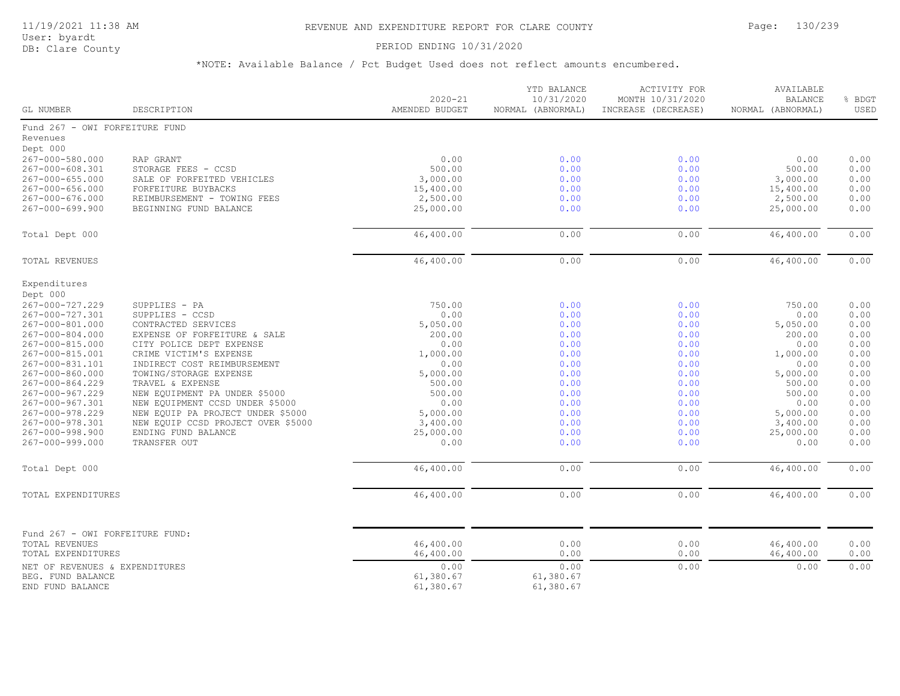# PERIOD ENDING 10/31/2020

| GL NUMBER                                                               | DESCRIPTION                                                             | $2020 - 21$<br>AMENDED BUDGET | YTD BALANCE<br>10/31/2020<br>NORMAL (ABNORMAL) | ACTIVITY FOR<br>MONTH 10/31/2020<br>INCREASE (DECREASE) | AVAILABLE<br><b>BALANCE</b><br>NORMAL (ABNORMAL) | % BDGT<br>USED |
|-------------------------------------------------------------------------|-------------------------------------------------------------------------|-------------------------------|------------------------------------------------|---------------------------------------------------------|--------------------------------------------------|----------------|
| Fund 267 - OWI FORFEITURE FUND                                          |                                                                         |                               |                                                |                                                         |                                                  |                |
| Revenues                                                                |                                                                         |                               |                                                |                                                         |                                                  |                |
| Dept 000                                                                |                                                                         |                               |                                                |                                                         |                                                  |                |
| 267-000-580.000                                                         | RAP GRANT                                                               | 0.00                          | 0.00                                           | 0.00                                                    | 0.00                                             | 0.00           |
| 267-000-608.301                                                         | STORAGE FEES - CCSD                                                     | 500.00                        | 0.00                                           | 0.00                                                    | 500.00                                           | 0.00           |
| $267 - 000 - 655.000$                                                   | SALE OF FORFEITED VEHICLES                                              | 3,000.00                      | 0.00                                           | 0.00                                                    | 3,000.00                                         | 0.00           |
| 267-000-656.000                                                         | FORFEITURE BUYBACKS                                                     | 15,400.00                     | 0.00                                           | 0.00                                                    | 15,400.00                                        | 0.00           |
| 267-000-676.000<br>$267 - 000 - 699.900$                                | REIMBURSEMENT - TOWING FEES<br>BEGINNING FUND BALANCE                   | 2,500.00<br>25,000.00         | 0.00<br>0.00                                   | 0.00<br>0.00                                            | 2,500.00<br>25,000.00                            | 0.00<br>0.00   |
|                                                                         |                                                                         |                               |                                                |                                                         |                                                  |                |
| Total Dept 000                                                          |                                                                         | 46,400.00                     | 0.00                                           | 0.00                                                    | 46,400.00                                        | 0.00           |
| <b>TOTAL REVENUES</b>                                                   |                                                                         | 46,400.00                     | 0.00                                           | 0.00                                                    | 46,400.00                                        | 0.00           |
|                                                                         |                                                                         |                               |                                                |                                                         |                                                  |                |
| Expenditures<br>Dept 000                                                |                                                                         |                               |                                                |                                                         |                                                  |                |
| 267-000-727.229                                                         | SUPPLIES - PA                                                           | 750.00                        | 0.00                                           | 0.00                                                    | 750.00                                           | 0.00           |
| 267-000-727.301                                                         | SUPPLIES - CCSD                                                         | 0.00                          | 0.00                                           | 0.00                                                    | 0.00                                             | 0.00           |
| 267-000-801.000                                                         | CONTRACTED SERVICES                                                     | 5,050.00                      | 0.00                                           | 0.00                                                    | 5,050.00                                         | 0.00           |
| 267-000-804.000                                                         | EXPENSE OF FORFEITURE & SALE                                            | 200.00                        | 0.00                                           | 0.00                                                    | 200.00                                           | 0.00           |
| 267-000-815.000                                                         | CITY POLICE DEPT EXPENSE                                                | 0.00                          | 0.00                                           | 0.00                                                    | 0.00                                             | 0.00           |
| 267-000-815.001                                                         | CRIME VICTIM'S EXPENSE                                                  | 1,000.00                      | 0.00                                           | 0.00                                                    | 1,000.00                                         | 0.00           |
| 267-000-831.101                                                         | INDIRECT COST REIMBURSEMENT                                             | 0.00                          | 0.00                                           | 0.00                                                    | 0.00                                             | 0.00           |
| 267-000-860.000                                                         | TOWING/STORAGE EXPENSE                                                  | 5,000.00                      | 0.00                                           | 0.00                                                    | 5,000.00                                         | 0.00           |
| 267-000-864.229                                                         | TRAVEL & EXPENSE                                                        | 500.00                        | 0.00                                           | 0.00                                                    | 500.00                                           | 0.00           |
| 267-000-967.229                                                         | NEW EQUIPMENT PA UNDER \$5000                                           | 500.00                        | 0.00                                           | 0.00                                                    | 500.00                                           | 0.00           |
| 267-000-967.301<br>267-000-978.229                                      | NEW EQUIPMENT CCSD UNDER \$5000                                         | 0.00<br>5,000.00              | 0.00<br>0.00                                   | 0.00<br>0.00                                            | 0.00<br>5,000.00                                 | 0.00<br>0.00   |
| 267-000-978.301                                                         | NEW EQUIP PA PROJECT UNDER \$5000<br>NEW EQUIP CCSD PROJECT OVER \$5000 | 3,400.00                      | 0.00                                           | 0.00                                                    | 3,400.00                                         | 0.00           |
| $267 - 000 - 998.900$                                                   | ENDING FUND BALANCE                                                     | 25,000.00                     | 0.00                                           | 0.00                                                    | 25,000.00                                        | 0.00           |
| 267-000-999.000                                                         | TRANSFER OUT                                                            | 0.00                          | 0.00                                           | 0.00                                                    | 0.00                                             | 0.00           |
| Total Dept 000                                                          |                                                                         | 46,400.00                     | 0.00                                           | 0.00                                                    | 46,400.00                                        | 0.00           |
|                                                                         |                                                                         |                               |                                                |                                                         |                                                  |                |
| TOTAL EXPENDITURES                                                      |                                                                         | 46,400.00                     | 0.00                                           | 0.00                                                    | 46,400.00                                        | 0.00           |
|                                                                         |                                                                         |                               |                                                |                                                         |                                                  |                |
| Fund 267 - OWI FORFEITURE FUND:                                         |                                                                         |                               |                                                |                                                         |                                                  |                |
| TOTAL REVENUES<br>TOTAL EXPENDITURES                                    |                                                                         | 46,400.00<br>46,400.00        | 0.00<br>0.00                                   | 0.00<br>0.00                                            | 46,400.00<br>46,400.00                           | 0.00<br>0.00   |
|                                                                         |                                                                         | 0.00                          | 0.00                                           | 0.00                                                    |                                                  | 0.00           |
| NET OF REVENUES & EXPENDITURES<br>BEG. FUND BALANCE<br>END FUND BALANCE |                                                                         | 61,380.67<br>61,380.67        | 61,380.67<br>61,380.67                         |                                                         | 0.00                                             |                |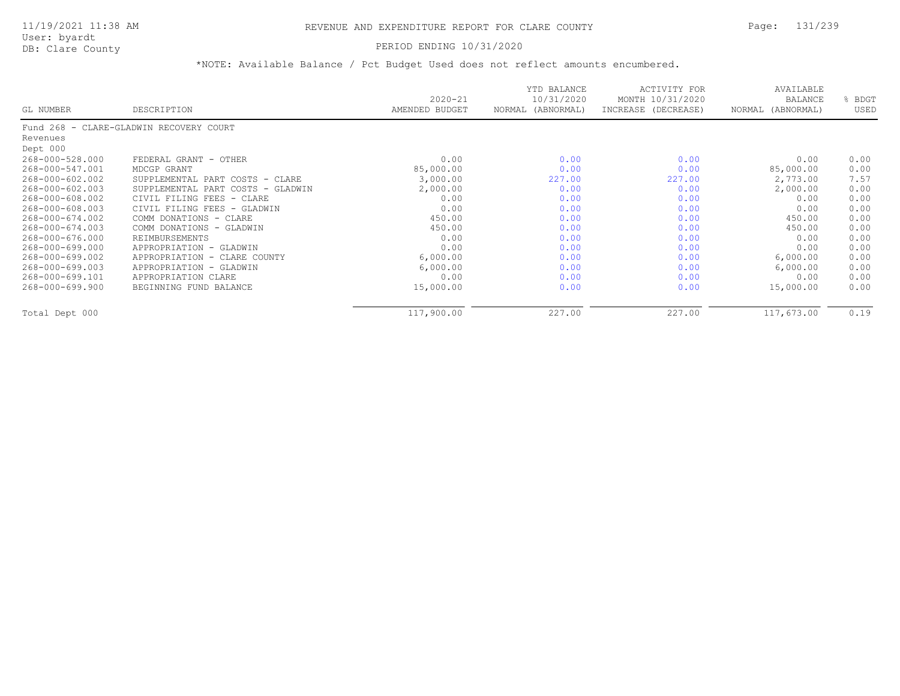### PERIOD ENDING 10/31/2020

| GL NUMBER       | DESCRIPTION                             | $2020 - 21$<br>AMENDED BUDGET | YTD BALANCE<br>10/31/2020<br>NORMAL<br>(ABNORMAL) | <b>ACTIVITY FOR</b><br>MONTH 10/31/2020<br>INCREASE (DECREASE) | AVAILABLE<br>BALANCE<br>NORMAL (ABNORMAL) | BDGT<br>USED |
|-----------------|-----------------------------------------|-------------------------------|---------------------------------------------------|----------------------------------------------------------------|-------------------------------------------|--------------|
|                 | Fund 268 - CLARE-GLADWIN RECOVERY COURT |                               |                                                   |                                                                |                                           |              |
| Revenues        |                                         |                               |                                                   |                                                                |                                           |              |
| Dept 000        |                                         |                               |                                                   |                                                                |                                           |              |
| 268-000-528.000 | FEDERAL GRANT - OTHER                   | 0.00                          | 0.00                                              | 0.00                                                           | 0.00                                      | 0.00         |
| 268-000-547.001 | MDCGP GRANT                             | 85,000.00                     | 0.00                                              | 0.00                                                           | 85,000.00                                 | 0.00         |
| 268-000-602.002 | SUPPLEMENTAL PART COSTS - CLARE         | 3,000.00                      | 227.00                                            | 227.00                                                         | 2,773.00                                  | 7.57         |
| 268-000-602.003 | SUPPLEMENTAL PART COSTS - GLADWIN       | 2,000.00                      | 0.00                                              | 0.00                                                           | 2,000.00                                  | 0.00         |
| 268-000-608.002 | CIVIL FILING FEES - CLARE               | 0.00                          | 0.00                                              | 0.00                                                           | 0.00                                      | 0.00         |
| 268-000-608.003 | CIVIL FILING FEES - GLADWIN             | 0.00                          | 0.00                                              | 0.00                                                           | 0.00                                      | 0.00         |
| 268-000-674.002 | COMM DONATIONS - CLARE                  | 450.00                        | 0.00                                              | 0.00                                                           | 450.00                                    | 0.00         |
| 268-000-674.003 | COMM DONATIONS - GLADWIN                | 450.00                        | 0.00                                              | 0.00                                                           | 450.00                                    | 0.00         |
| 268-000-676.000 | REIMBURSEMENTS                          | 0.00                          | 0.00                                              | 0.00                                                           | 0.00                                      | 0.00         |
| 268-000-699.000 | APPROPRIATION - GLADWIN                 | 0.00                          | 0.00                                              | 0.00                                                           | 0.00                                      | 0.00         |
| 268-000-699.002 | APPROPRIATION - CLARE COUNTY            | 6,000.00                      | 0.00                                              | 0.00                                                           | 6,000.00                                  | 0.00         |
| 268-000-699.003 | APPROPRIATION - GLADWIN                 | 6,000.00                      | 0.00                                              | 0.00                                                           | 6,000.00                                  | 0.00         |
| 268-000-699.101 | APPROPRIATION CLARE                     | 0.00                          | 0.00                                              | 0.00                                                           | 0.00                                      | 0.00         |
| 268-000-699.900 | BEGINNING FUND BALANCE                  | 15,000.00                     | 0.00                                              | 0.00                                                           | 15,000.00                                 | 0.00         |
| Total Dept 000  |                                         | 117,900.00                    | 227.00                                            | 227.00                                                         | 117,673.00                                | 0.19         |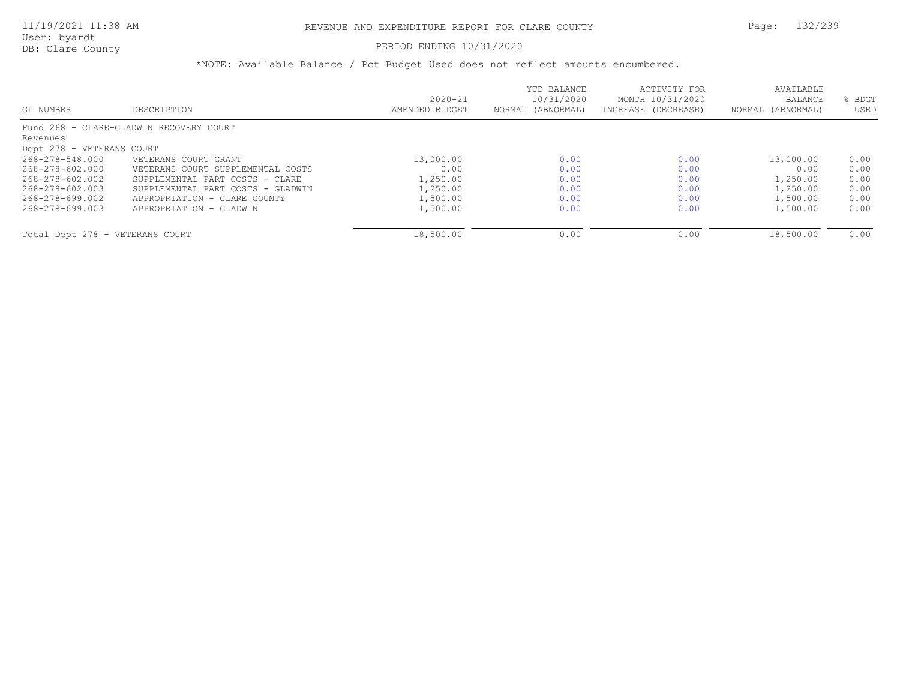### PERIOD ENDING 10/31/2020

| GL NUMBER                       | DESCRIPTION                             | $2020 - 21$<br>AMENDED BUDGET | YTD BALANCE<br>10/31/2020<br>NORMAL (ABNORMAL) | ACTIVITY FOR<br>MONTH 10/31/2020<br>INCREASE (DECREASE) | AVAILABLE<br>BALANCE<br>NORMAL (ABNORMAL) | BDGT<br>USED |
|---------------------------------|-----------------------------------------|-------------------------------|------------------------------------------------|---------------------------------------------------------|-------------------------------------------|--------------|
|                                 | Fund 268 - CLARE-GLADWIN RECOVERY COURT |                               |                                                |                                                         |                                           |              |
| Revenues                        |                                         |                               |                                                |                                                         |                                           |              |
| Dept 278 - VETERANS COURT       |                                         |                               |                                                |                                                         |                                           |              |
| 268-278-548.000                 | VETERANS COURT GRANT                    | 13,000.00                     | 0.00                                           | 0.00                                                    | 13,000.00                                 | 0.00         |
| 268-278-602.000                 | VETERANS COURT SUPPLEMENTAL COSTS       | 0.00                          | 0.00                                           | 0.00                                                    | 0.00                                      | 0.00         |
| 268-278-602.002                 | SUPPLEMENTAL PART COSTS - CLARE         | 1,250.00                      | 0.00                                           | 0.00                                                    | 1,250.00                                  | 0.00         |
| 268-278-602.003                 | SUPPLEMENTAL PART COSTS - GLADWIN       | 1,250.00                      | 0.00                                           | 0.00                                                    | 1,250.00                                  | 0.00         |
| 268-278-699.002                 | APPROPRIATION - CLARE COUNTY            | 1,500.00                      | 0.00                                           | 0.00                                                    | 1,500.00                                  | 0.00         |
| 268-278-699.003                 | APPROPRIATION - GLADWIN                 | 1,500.00                      | 0.00                                           | 0.00                                                    | 1,500.00                                  | 0.00         |
|                                 |                                         |                               |                                                |                                                         |                                           |              |
| Total Dept 278 - VETERANS COURT |                                         | 18,500.00                     | 0.00                                           | 0.00                                                    | 18,500.00                                 | 0.00         |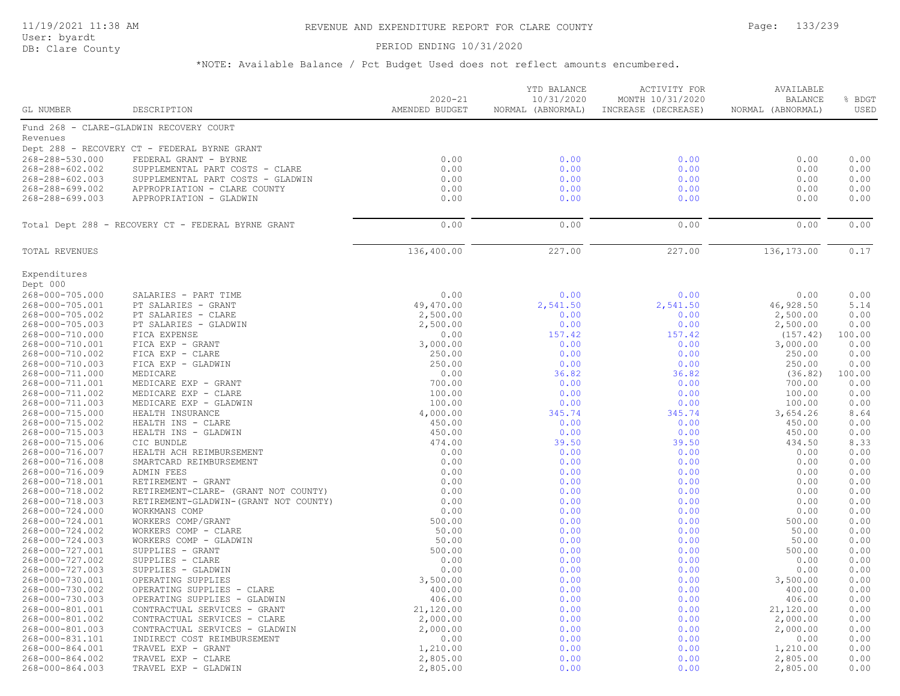# 11/19/2021 11:38 AM REVENUE AND EXPENDITURE REPORT FOR CLARE COUNTY Page: 133/239

User: byardt<br>DB: Clare County

### PERIOD ENDING 10/31/2020

| <b>GL NUMBER</b>                   | DESCRIPTION                                        | $2020 - 21$<br>AMENDED BUDGET | YTD BALANCE<br>10/31/2020<br>NORMAL (ABNORMAL) | <b>ACTIVITY FOR</b><br>MONTH 10/31/2020<br>INCREASE (DECREASE) | AVAILABLE<br><b>BALANCE</b><br>NORMAL (ABNORMAL) | % BDGT<br>USED |
|------------------------------------|----------------------------------------------------|-------------------------------|------------------------------------------------|----------------------------------------------------------------|--------------------------------------------------|----------------|
|                                    |                                                    |                               |                                                |                                                                |                                                  |                |
|                                    | Fund 268 - CLARE-GLADWIN RECOVERY COURT            |                               |                                                |                                                                |                                                  |                |
| Revenues                           |                                                    |                               |                                                |                                                                |                                                  |                |
|                                    | Dept 288 - RECOVERY CT - FEDERAL BYRNE GRANT       |                               |                                                |                                                                |                                                  |                |
| 268-288-530.000                    | FEDERAL GRANT - BYRNE                              | 0.00                          | 0.00                                           | 0.00                                                           | 0.00                                             | 0.00           |
| 268-288-602.002                    | SUPPLEMENTAL PART COSTS - CLARE                    | 0.00                          | 0.00                                           | 0.00                                                           | 0.00                                             | 0.00           |
| 268-288-602.003                    | SUPPLEMENTAL PART COSTS - GLADWIN                  | 0.00                          | 0.00                                           | 0.00                                                           | 0.00                                             | 0.00           |
| 268-288-699.002<br>268-288-699.003 | APPROPRIATION - CLARE COUNTY                       | 0.00<br>0.00                  | 0.00<br>0.00                                   | 0.00                                                           | 0.00<br>0.00                                     | 0.00<br>0.00   |
|                                    | APPROPRIATION - GLADWIN                            |                               |                                                | 0.00                                                           |                                                  |                |
|                                    | Total Dept 288 - RECOVERY CT - FEDERAL BYRNE GRANT | 0.00                          | 0.00                                           | 0.00                                                           | 0.00                                             | 0.00           |
| TOTAL REVENUES                     |                                                    | 136,400.00                    | 227.00                                         | 227.00                                                         | 136,173.00                                       | 0.17           |
| Expenditures                       |                                                    |                               |                                                |                                                                |                                                  |                |
| Dept 000                           |                                                    |                               |                                                |                                                                |                                                  |                |
| 268-000-705.000                    | SALARIES - PART TIME                               | 0.00                          | 0.00                                           | 0.00                                                           | 0.00                                             | 0.00           |
| 268-000-705.001                    | PT SALARIES - GRANT                                | 49,470.00                     | 2,541.50                                       | 2,541.50                                                       | 46,928.50                                        | 5.14           |
| 268-000-705.002                    | PT SALARIES - CLARE                                | 2,500.00                      | 0.00                                           | 0.00                                                           | 2,500.00                                         | 0.00           |
| 268-000-705.003                    | PT SALARIES - GLADWIN                              | 2,500.00                      | 0.00                                           | 0.00                                                           | 2,500.00                                         | 0.00           |
| 268-000-710.000                    | FICA EXPENSE                                       | 0.00                          | 157.42                                         | 157.42                                                         | (157.42)                                         | 100.00         |
| 268-000-710.001                    | FICA EXP - GRANT                                   | 3,000.00                      | 0.00                                           | 0.00                                                           | 3,000.00                                         | 0.00           |
| 268-000-710.002                    | FICA EXP - CLARE                                   | 250.00                        | 0.00                                           | 0.00                                                           | 250.00                                           | 0.00           |
| 268-000-710.003                    | FICA EXP - GLADWIN                                 | 250.00                        | 0.00                                           | 0.00                                                           | 250.00                                           | 0.00           |
| 268-000-711.000                    | MEDICARE                                           | 0.00                          | 36.82                                          | 36.82                                                          | (36.82)                                          | 100.00         |
| 268-000-711.001                    | MEDICARE EXP - GRANT                               | 700.00                        | 0.00                                           | 0.00                                                           | 700.00                                           | 0.00           |
| 268-000-711.002                    | MEDICARE EXP - CLARE                               | 100.00<br>100.00              | 0.00<br>0.00                                   | 0.00                                                           | 100.00<br>100.00                                 | 0.00<br>0.00   |
| 268-000-711.003<br>268-000-715.000 | MEDICARE EXP - GLADWIN<br>HEALTH INSURANCE         | 4,000.00                      | 345.74                                         | 0.00<br>345.74                                                 | 3,654.26                                         | 8.64           |
| 268-000-715.002                    | HEALTH INS - CLARE                                 | 450.00                        | 0.00                                           | 0.00                                                           | 450.00                                           | 0.00           |
| 268-000-715.003                    | HEALTH INS - GLADWIN                               | 450.00                        | 0.00                                           | 0.00                                                           | 450.00                                           | 0.00           |
| 268-000-715.006                    | CIC BUNDLE                                         | 474.00                        | 39.50                                          | 39.50                                                          | 434.50                                           | 8.33           |
| 268-000-716.007                    | HEALTH ACH REIMBURSEMENT                           | 0.00                          | 0.00                                           | 0.00                                                           | 0.00                                             | 0.00           |
| 268-000-716.008                    | SMARTCARD REIMBURSEMENT                            | 0.00                          | 0.00                                           | 0.00                                                           | 0.00                                             | 0.00           |
| 268-000-716.009                    | ADMIN FEES                                         | 0.00                          | 0.00                                           | 0.00                                                           | 0.00                                             | 0.00           |
| 268-000-718.001                    | RETIREMENT - GRANT                                 | 0.00                          | 0.00                                           | 0.00                                                           | 0.00                                             | 0.00           |
| 268-000-718.002                    | RETIREMENT-CLARE- (GRANT NOT COUNTY)               | 0.00                          | 0.00                                           | 0.00                                                           | 0.00                                             | 0.00           |
| 268-000-718.003                    | RETIREMENT-GLADWIN- (GRANT NOT COUNTY)             | 0.00                          | 0.00                                           | 0.00                                                           | 0.00                                             | 0.00           |
| 268-000-724.000                    | WORKMANS COMP                                      | 0.00                          | 0.00                                           | 0.00                                                           | 0.00                                             | 0.00           |
| 268-000-724.001                    | WORKERS COMP/GRANT                                 | 500.00                        | 0.00                                           | 0.00                                                           | 500.00                                           | 0.00           |
| 268-000-724.002                    | WORKERS COMP - CLARE                               | 50.00                         | 0.00                                           | 0.00                                                           | 50.00                                            | 0.00           |
| 268-000-724.003                    | WORKERS COMP - GLADWIN                             | 50.00                         | 0.00                                           | 0.00                                                           | 50.00                                            | 0.00           |
| 268-000-727.001                    | SUPPLIES - GRANT                                   | 500.00                        | 0.00                                           | 0.00                                                           | 500.00                                           | 0.00           |
| 268-000-727.002                    | SUPPLIES - CLARE                                   | 0.00                          | 0.00                                           | 0.00                                                           | 0.00                                             | 0.00           |
| 268-000-727.003                    | SUPPLIES - GLADWIN                                 | 0.00                          | 0.00                                           | 0.00                                                           | 0.00                                             | 0.00           |
| 268-000-730.001                    | OPERATING SUPPLIES                                 | 3,500.00                      | 0.00                                           | 0.00                                                           | 3,500.00                                         | 0.00           |
| 268-000-730.002                    | OPERATING SUPPLIES<br>- CLARE                      | 400.00                        | 0.00                                           | 0.00                                                           | 400.00                                           | 0.00           |
| 268-000-730.003                    | OPERATING SUPPLIES - GLADWIN                       | 406.00                        | 0.00                                           | 0.00                                                           | 406.00                                           | 0.00           |
| 268-000-801.001                    | CONTRACTUAL SERVICES - GRANT                       | 21,120.00                     | 0.00                                           | 0.00                                                           | 21,120.00                                        | 0.00           |
| 268-000-801.002                    | CONTRACTUAL SERVICES - CLARE                       | 2,000.00                      | 0.00                                           | 0.00                                                           | 2,000.00                                         | 0.00           |
| 268-000-801.003                    | CONTRACTUAL SERVICES - GLADWIN                     | 2,000.00                      | 0.00                                           | 0.00                                                           | 2,000.00                                         | 0.00           |
| 268-000-831.101                    | INDIRECT COST REIMBURSEMENT                        | 0.00                          | 0.00                                           | 0.00                                                           | 0.00                                             | 0.00           |
| 268-000-864.001                    | TRAVEL EXP - GRANT                                 | 1,210.00                      | 0.00                                           | 0.00                                                           | 1,210.00                                         | 0.00           |
| 268-000-864.002                    | TRAVEL EXP - CLARE                                 | 2,805.00                      | 0.00                                           | 0.00                                                           | 2,805.00                                         | 0.00           |
| 268-000-864.003                    | TRAVEL EXP - GLADWIN                               | 2,805.00                      | 0.00                                           | 0.00                                                           | 2,805.00                                         | 0.00           |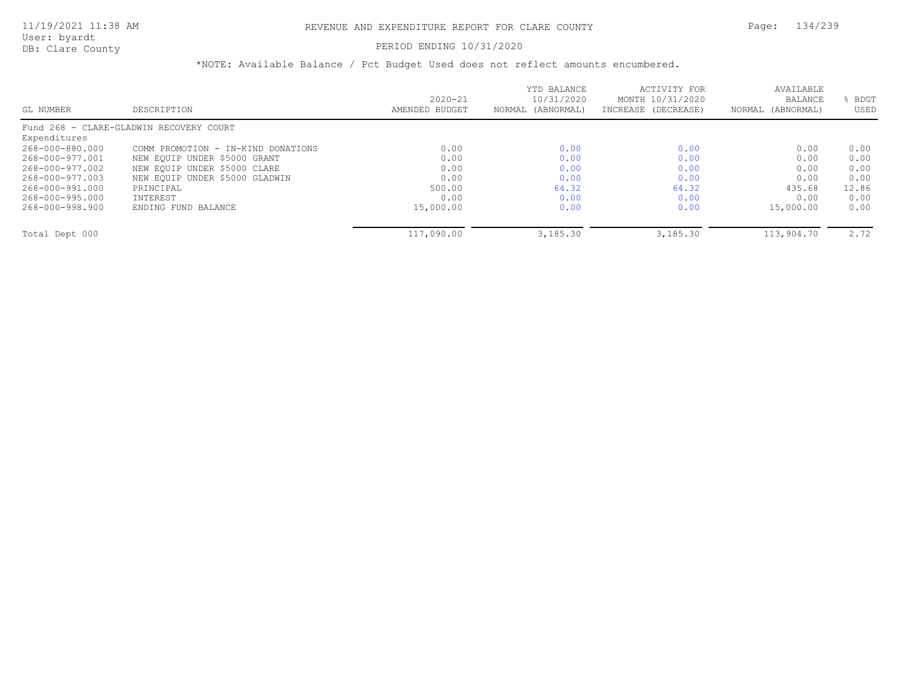# PERIOD ENDING 10/31/2020

| GL NUMBER       | DESCRIPTION                             | $2020 - 21$<br>AMENDED BUDGET | YTD BALANCE<br>10/31/2020<br>NORMAL (ABNORMAL) | ACTIVITY FOR<br>MONTH 10/31/2020<br>INCREASE (DECREASE) | AVAILABLE<br><b>BALANCE</b><br>NORMAL (ABNORMAL) | BDGT<br>USED |
|-----------------|-----------------------------------------|-------------------------------|------------------------------------------------|---------------------------------------------------------|--------------------------------------------------|--------------|
|                 | Fund 268 - CLARE-GLADWIN RECOVERY COURT |                               |                                                |                                                         |                                                  |              |
| Expenditures    |                                         |                               |                                                |                                                         |                                                  |              |
| 268-000-880.000 | COMM PROMOTION - IN-KIND DONATIONS      | 0.00                          | 0.00                                           | 0.00                                                    | 0.00                                             | 0.00         |
| 268-000-977.001 | NEW EQUIP UNDER \$5000 GRANT            | 0.00                          | 0.00                                           | 0.00                                                    | 0.00                                             | 0.00         |
| 268-000-977.002 | NEW EQUIP UNDER \$5000 CLARE            | 0.00                          | 0.00                                           | 0.00                                                    | 0.00                                             | 0.00         |
| 268-000-977.003 | NEW EOUIP UNDER \$5000 GLADWIN          | 0.00                          | 0.00                                           | 0.00                                                    | 0.00                                             | 0.00         |
| 268-000-991.000 | PRINCIPAL                               | 500.00                        | 64.32                                          | 64.32                                                   | 435.68                                           | 12.86        |
| 268-000-995.000 | INTEREST                                | 0.00                          | 0.00                                           | 0.00                                                    | 0.00                                             | 0.00         |
| 268-000-998.900 | ENDING FUND BALANCE                     | 15,000.00                     | 0.00                                           | 0.00                                                    | 15,000.00                                        | 0.00         |
| Total Dept 000  |                                         | 117,090.00                    | 3,185.30                                       | 3,185.30                                                | 113,904.70                                       | 2.72         |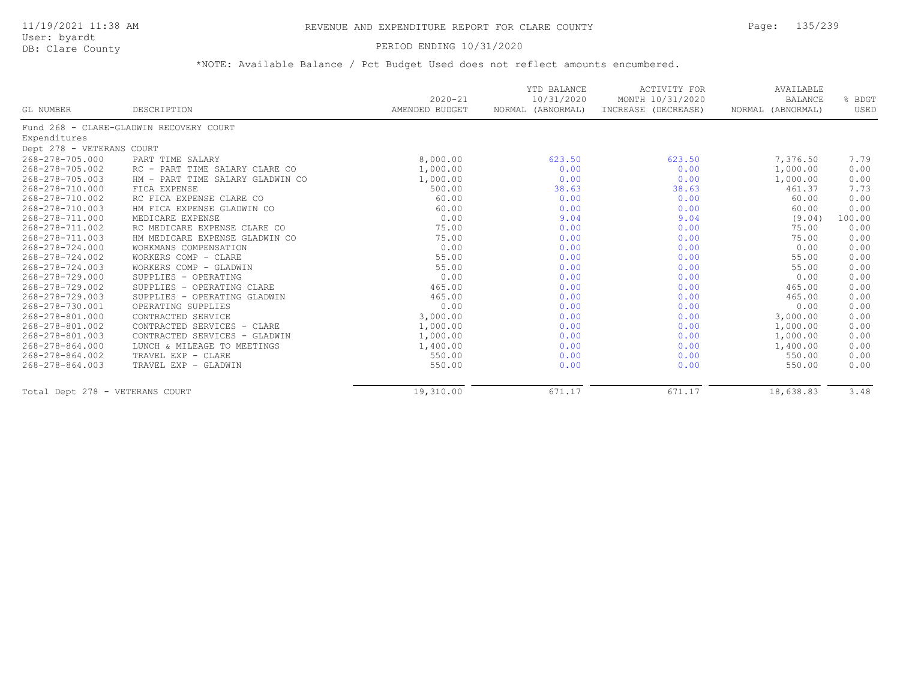# PERIOD ENDING 10/31/2020

|                                 |                                         | $2020 - 21$    | YTD BALANCE<br>10/31/2020 | <b>ACTIVITY FOR</b><br>MONTH 10/31/2020 | AVAILABLE<br><b>BALANCE</b> | % BDGT |
|---------------------------------|-----------------------------------------|----------------|---------------------------|-----------------------------------------|-----------------------------|--------|
| GL NUMBER                       | DESCRIPTION                             | AMENDED BUDGET | NORMAL (ABNORMAL)         | INCREASE (DECREASE)                     | NORMAL (ABNORMAL)           | USED   |
|                                 | Fund 268 - CLARE-GLADWIN RECOVERY COURT |                |                           |                                         |                             |        |
| Expenditures                    |                                         |                |                           |                                         |                             |        |
| Dept 278 - VETERANS COURT       |                                         |                |                           |                                         |                             |        |
| 268-278-705.000                 | PART TIME SALARY                        | 8,000.00       | 623.50                    | 623.50                                  | 7,376.50                    | 7.79   |
| 268-278-705.002                 | RC - PART TIME SALARY CLARE CO          | 1,000.00       | 0.00                      | 0.00                                    | 1,000.00                    | 0.00   |
| 268-278-705.003                 | HM - PART TIME SALARY GLADWIN CO        | 1,000.00       | 0.00                      | 0.00                                    | 1,000.00                    | 0.00   |
| 268-278-710.000                 | FICA EXPENSE                            | 500.00         | 38.63                     | 38.63                                   | 461.37                      | 7.73   |
| 268-278-710.002                 | RC FICA EXPENSE CLARE CO                | 60.00          | 0.00                      | 0.00                                    | 60.00                       | 0.00   |
| 268-278-710.003                 | HM FICA EXPENSE GLADWIN CO              | 60.00          | 0.00                      | 0.00                                    | 60.00                       | 0.00   |
| 268-278-711.000                 | MEDICARE EXPENSE                        | 0.00           | 9.04                      | 9.04                                    | (9.04)                      | 100.00 |
| 268-278-711.002                 | RC MEDICARE EXPENSE CLARE CO            | 75.00          | 0.00                      | 0.00                                    | 75.00                       | 0.00   |
| 268-278-711.003                 | HM MEDICARE EXPENSE GLADWIN CO          | 75.00          | 0.00                      | 0.00                                    | 75.00                       | 0.00   |
| 268-278-724.000                 | WORKMANS COMPENSATION                   | 0.00           | 0.00                      | 0.00                                    | 0.00                        | 0.00   |
| 268-278-724.002                 | WORKERS COMP - CLARE                    | 55.00          | 0.00                      | 0.00                                    | 55.00                       | 0.00   |
| 268-278-724.003                 | WORKERS COMP - GLADWIN                  | 55.00          | 0.00                      | 0.00                                    | 55.00                       | 0.00   |
| 268-278-729.000                 | SUPPLIES - OPERATING                    | 0.00           | 0.00                      | 0.00                                    | 0.00                        | 0.00   |
| 268-278-729.002                 | SUPPLIES - OPERATING CLARE              | 465.00         | 0.00                      | 0.00                                    | 465.00                      | 0.00   |
| 268-278-729.003                 | SUPPLIES - OPERATING GLADWIN            | 465.00         | 0.00                      | 0.00                                    | 465.00                      | 0.00   |
| 268-278-730.001                 | OPERATING SUPPLIES                      | 0.00           | 0.00                      | 0.00                                    | 0.00                        | 0.00   |
| 268-278-801.000                 | CONTRACTED SERVICE                      | 3,000.00       | 0.00                      | 0.00                                    | 3,000.00                    | 0.00   |
| 268-278-801.002                 | CONTRACTED SERVICES - CLARE             | 1,000.00       | 0.00                      | 0.00                                    | 1,000.00                    | 0.00   |
| 268-278-801.003                 | CONTRACTED SERVICES - GLADWIN           | 1,000.00       | 0.00                      | 0.00                                    | 1,000.00                    | 0.00   |
| 268-278-864.000                 | LUNCH & MILEAGE TO MEETINGS             | 1,400.00       | 0.00                      | 0.00                                    | 1,400.00                    | 0.00   |
| 268-278-864.002                 | TRAVEL EXP - CLARE                      | 550.00         | 0.00                      | 0.00                                    | 550.00                      | 0.00   |
| 268-278-864.003                 | TRAVEL EXP - GLADWIN                    | 550.00         | 0.00                      | 0.00                                    | 550.00                      | 0.00   |
| Total Dept 278 - VETERANS COURT |                                         | 19,310.00      | 671.17                    | 671.17                                  | 18,638.83                   | 3.48   |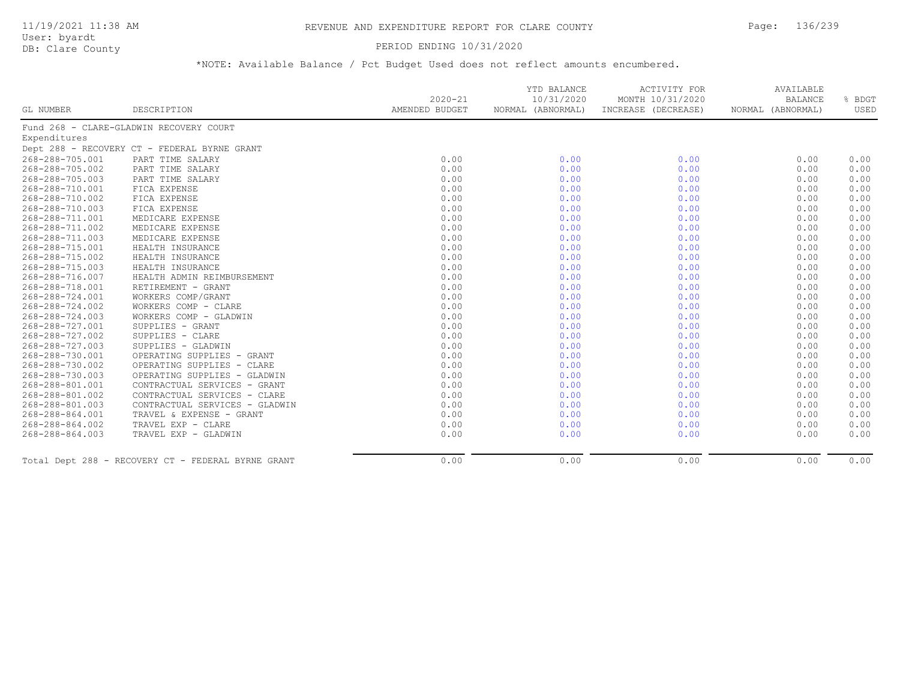### PERIOD ENDING 10/31/2020

|                 |                                                    |                               | YTD BALANCE                     | <b>ACTIVITY FOR</b>                     | AVAILABLE                           |                |
|-----------------|----------------------------------------------------|-------------------------------|---------------------------------|-----------------------------------------|-------------------------------------|----------------|
| GL NUMBER       | DESCRIPTION                                        | $2020 - 21$<br>AMENDED BUDGET | 10/31/2020<br>NORMAL (ABNORMAL) | MONTH 10/31/2020<br>INCREASE (DECREASE) | <b>BALANCE</b><br>NORMAL (ABNORMAL) | % BDGT<br>USED |
|                 |                                                    |                               |                                 |                                         |                                     |                |
|                 | Fund 268 - CLARE-GLADWIN RECOVERY COURT            |                               |                                 |                                         |                                     |                |
| Expenditures    |                                                    |                               |                                 |                                         |                                     |                |
|                 | Dept 288 - RECOVERY CT - FEDERAL BYRNE GRANT       |                               |                                 |                                         |                                     |                |
| 268-288-705.001 | PART TIME SALARY                                   | 0.00                          | 0.00                            | 0.00                                    | 0.00                                | 0.00           |
| 268-288-705.002 | PART TIME SALARY                                   | 0.00                          | 0.00                            | 0.00                                    | 0.00                                | 0.00           |
| 268-288-705.003 | PART TIME SALARY                                   | 0.00                          | 0.00                            | 0.00                                    | 0.00                                | 0.00           |
| 268-288-710.001 | FICA EXPENSE                                       | 0.00                          | 0.00                            | 0.00                                    | 0.00                                | 0.00           |
| 268-288-710.002 | FICA EXPENSE                                       | 0.00                          | 0.00                            | 0.00                                    | 0.00                                | 0.00           |
| 268-288-710.003 | FICA EXPENSE                                       | 0.00                          | 0.00                            | 0.00                                    | 0.00                                | 0.00           |
| 268-288-711.001 | MEDICARE EXPENSE                                   | 0.00                          | 0.00                            | 0.00                                    | 0.00                                | 0.00           |
| 268-288-711.002 | MEDICARE EXPENSE                                   | 0.00                          | 0.00                            | 0.00                                    | 0.00                                | 0.00           |
| 268-288-711.003 | MEDICARE EXPENSE                                   | 0.00                          | 0.00                            | 0.00                                    | 0.00                                | 0.00           |
| 268-288-715.001 | HEALTH INSURANCE                                   | 0.00                          | 0.00                            | 0.00                                    | 0.00                                | 0.00           |
| 268-288-715.002 | HEALTH INSURANCE                                   | 0.00                          | 0.00                            | 0.00                                    | 0.00                                | 0.00           |
| 268-288-715.003 | HEALTH INSURANCE                                   | 0.00                          | 0.00                            | 0.00                                    | 0.00                                | 0.00           |
| 268-288-716.007 | HEALTH ADMIN REIMBURSEMENT                         | 0.00                          | 0.00                            | 0.00                                    | 0.00                                | 0.00           |
| 268-288-718.001 | RETIREMENT - GRANT                                 | 0.00                          | 0.00                            | 0.00                                    | 0.00                                | 0.00           |
| 268-288-724.001 | WORKERS COMP/GRANT                                 | 0.00                          | 0.00                            | 0.00                                    | 0.00                                | 0.00           |
| 268-288-724.002 | WORKERS COMP - CLARE                               | 0.00                          | 0.00                            | 0.00                                    | 0.00                                | 0.00           |
| 268-288-724.003 | WORKERS COMP - GLADWIN                             | 0.00                          | 0.00                            | 0.00                                    | 0.00                                | 0.00           |
| 268-288-727.001 | SUPPLIES - GRANT                                   | 0.00                          | 0.00                            | 0.00                                    | 0.00                                | 0.00           |
| 268-288-727.002 | SUPPLIES - CLARE                                   | 0.00                          | 0.00                            | 0.00                                    | 0.00                                | 0.00           |
| 268-288-727.003 | SUPPLIES - GLADWIN                                 | 0.00                          | 0.00                            | 0.00                                    | 0.00                                | 0.00           |
| 268-288-730.001 | OPERATING SUPPLIES - GRANT                         | 0.00                          | 0.00                            | 0.00                                    | 0.00                                | 0.00           |
| 268-288-730.002 | OPERATING SUPPLIES - CLARE                         | 0.00                          | 0.00                            | 0.00                                    | 0.00                                | 0.00           |
| 268-288-730.003 | OPERATING SUPPLIES - GLADWIN                       | 0.00                          | 0.00                            | 0.00                                    | 0.00                                | 0.00           |
| 268-288-801.001 | CONTRACTUAL SERVICES - GRANT                       | 0.00                          | 0.00                            | 0.00                                    | 0.00                                | 0.00           |
| 268-288-801.002 | CONTRACTUAL SERVICES - CLARE                       | 0.00                          | 0.00                            | 0.00                                    | 0.00                                | 0.00           |
| 268-288-801.003 | CONTRACTUAL SERVICES - GLADWIN                     | 0.00                          | 0.00                            | 0.00                                    | 0.00                                | 0.00           |
| 268-288-864.001 | TRAVEL & EXPENSE - GRANT                           | 0.00                          | 0.00                            | 0.00                                    | 0.00                                | 0.00           |
| 268-288-864.002 | TRAVEL EXP - CLARE                                 | 0.00                          | 0.00                            | 0.00                                    | 0.00                                | 0.00           |
| 268-288-864.003 | TRAVEL EXP - GLADWIN                               | 0.00                          | 0.00                            | 0.00                                    | 0.00                                | 0.00           |
|                 |                                                    |                               |                                 |                                         |                                     |                |
|                 | Total Dept 288 - RECOVERY CT - FEDERAL BYRNE GRANT | 0.00                          | 0.00                            | 0.00                                    | 0.00                                | 0.00           |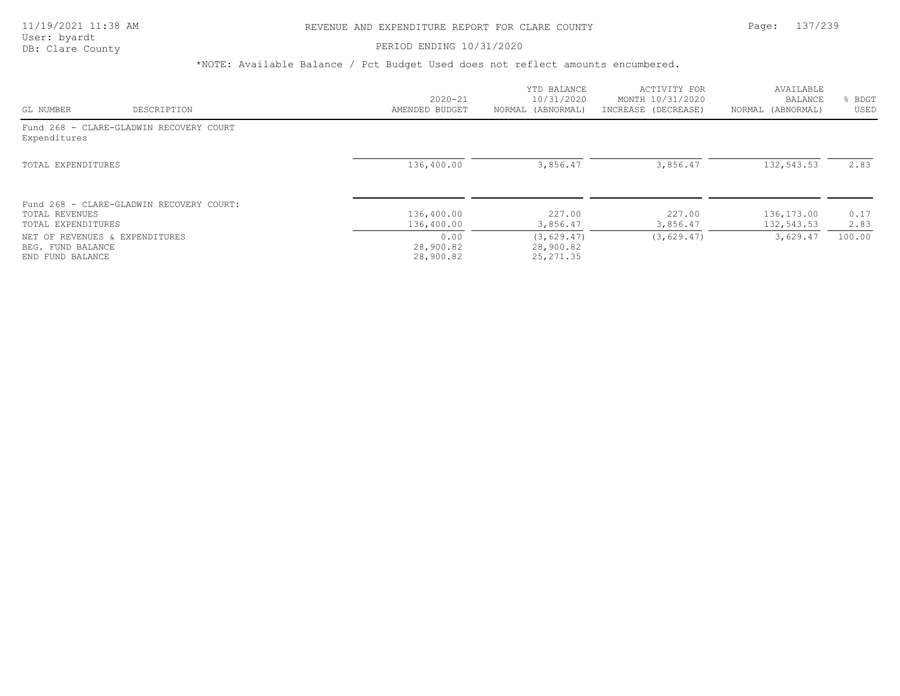### PERIOD ENDING 10/31/2020

|                                                                         |                                          | $2020 - 21$                    | YTD BALANCE<br>10/31/2020              | ACTIVITY FOR<br>MONTH 10/31/2020 | AVAILABLE<br>BALANCE     | <b>BDGT</b>  |
|-------------------------------------------------------------------------|------------------------------------------|--------------------------------|----------------------------------------|----------------------------------|--------------------------|--------------|
| GL NUMBER                                                               | DESCRIPTION                              | AMENDED BUDGET                 | NORMAL (ABNORMAL)                      | INCREASE (DECREASE)              | NORMAL (ABNORMAL)        | USED         |
| Expenditures                                                            | Fund 268 - CLARE-GLADWIN RECOVERY COURT  |                                |                                        |                                  |                          |              |
| TOTAL EXPENDITURES                                                      |                                          | 136,400.00                     | 3,856.47                               | 3,856.47                         | 132,543.53               | 2.83         |
| TOTAL REVENUES<br>TOTAL EXPENDITURES                                    | Fund 268 - CLARE-GLADWIN RECOVERY COURT: | 136,400.00<br>136,400.00       | 227.00<br>3,856.47                     | 227.00<br>3,856.47               | 136,173.00<br>132,543.53 | 0.17<br>2.83 |
| NET OF REVENUES & EXPENDITURES<br>BEG. FUND BALANCE<br>END FUND BALANCE |                                          | 0.00<br>28,900.82<br>28,900.82 | (3, 629.47)<br>28,900.82<br>25, 271.35 | (3, 629.47)                      | 3,629.47                 | 100.00       |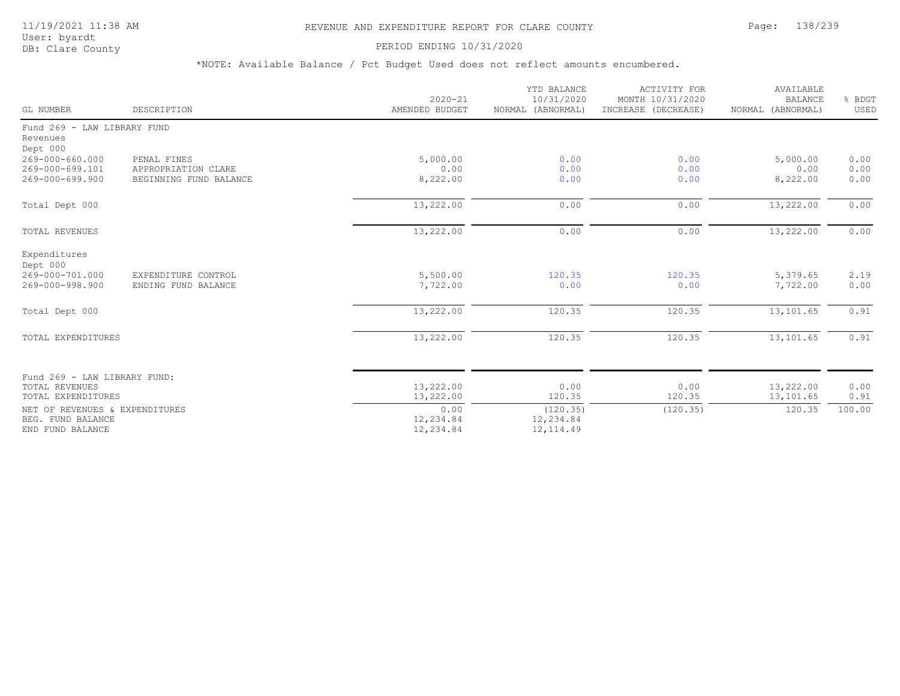# 11/19/2021 11:38 AM REVENUE AND EXPENDITURE REPORT FOR CLARE COUNTY Page: 138/239

User: byardt<br>DB: Clare County

### PERIOD ENDING 10/31/2020

| GL NUMBER                                                                   | DESCRIPTION                                                  | $2020 - 21$<br>AMENDED BUDGET  | YTD BALANCE<br>10/31/2020<br>NORMAL (ABNORMAL) | <b>ACTIVITY FOR</b><br>MONTH 10/31/2020<br>INCREASE (DECREASE) | AVAILABLE<br><b>BALANCE</b><br>NORMAL (ABNORMAL) | % BDGT<br>USED       |
|-----------------------------------------------------------------------------|--------------------------------------------------------------|--------------------------------|------------------------------------------------|----------------------------------------------------------------|--------------------------------------------------|----------------------|
| Fund 269 - LAW LIBRARY FUND<br>Revenues<br>Dept 000                         |                                                              |                                |                                                |                                                                |                                                  |                      |
| 269-000-660.000<br>269-000-699.101<br>269-000-699.900                       | PENAL FINES<br>APPROPRIATION CLARE<br>BEGINNING FUND BALANCE | 5,000.00<br>0.00<br>8,222.00   | 0.00<br>0.00<br>0.00                           | 0.00<br>0.00<br>0.00                                           | 5,000.00<br>0.00<br>8,222.00                     | 0.00<br>0.00<br>0.00 |
| Total Dept 000                                                              |                                                              | 13,222.00                      | 0.00                                           | 0.00                                                           | 13,222.00                                        | 0.00                 |
| TOTAL REVENUES                                                              |                                                              | 13,222.00                      | 0.00                                           | 0.00                                                           | 13,222.00                                        | 0.00                 |
| Expenditures<br>Dept 000<br>269-000-701.000<br>269-000-998.900              | EXPENDITURE CONTROL<br>ENDING FUND BALANCE                   | 5,500.00<br>7,722.00           | 120.35<br>0.00                                 | 120.35<br>0.00                                                 | 5,379.65<br>7,722.00                             | 2.19<br>0.00         |
| Total Dept 000                                                              |                                                              | 13,222.00                      | 120.35                                         | 120.35                                                         | 13,101.65                                        | 0.91                 |
| TOTAL EXPENDITURES                                                          |                                                              | 13,222.00                      | 120.35                                         | 120.35                                                         | 13,101.65                                        | 0.91                 |
| Fund 269 - LAW LIBRARY FUND:<br><b>TOTAL REVENUES</b><br>TOTAL EXPENDITURES |                                                              | 13,222.00<br>13,222.00         | 0.00<br>120.35                                 | 0.00<br>120.35                                                 | 13,222.00<br>13,101.65                           | 0.00<br>0.91         |
| NET OF REVENUES & EXPENDITURES<br>BEG. FUND BALANCE<br>END FUND BALANCE     |                                                              | 0.00<br>12,234.84<br>12,234.84 | (120.35)<br>12,234.84<br>12, 114.49            | (120.35)                                                       | 120.35                                           | 100.00               |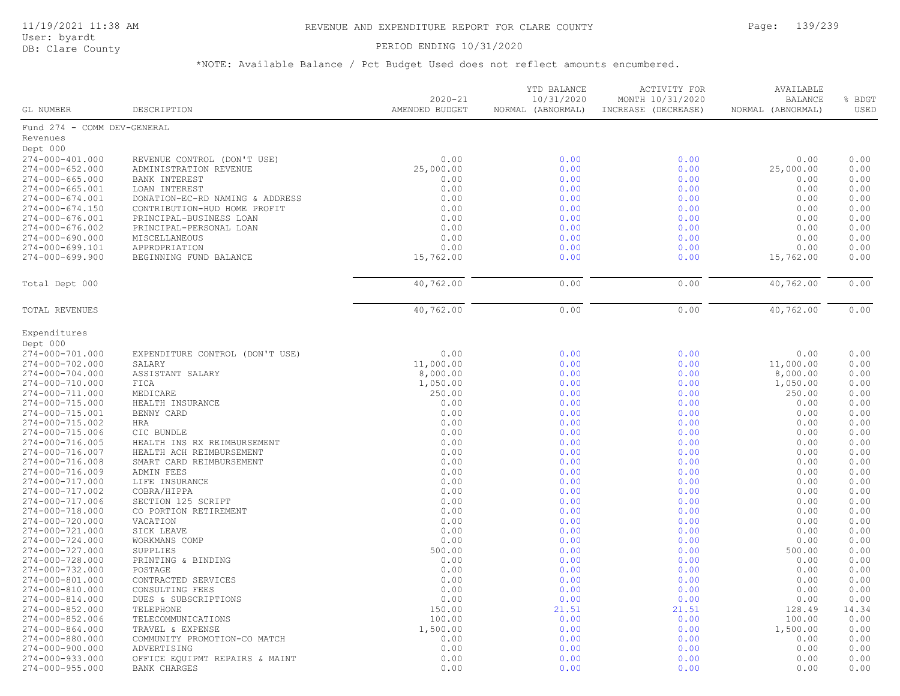### DB: Clare County PERIOD ENDING 10/31/2020

| GL NUMBER                   | DESCRIPTION                     | $2020 - 21$<br>AMENDED BUDGET | YTD BALANCE<br>10/31/2020<br>NORMAL (ABNORMAL) | ACTIVITY FOR<br>MONTH 10/31/2020<br>INCREASE (DECREASE) | AVAILABLE<br><b>BALANCE</b><br>NORMAL (ABNORMAL) | % BDGT<br>USED |
|-----------------------------|---------------------------------|-------------------------------|------------------------------------------------|---------------------------------------------------------|--------------------------------------------------|----------------|
| Fund 274 - COMM DEV-GENERAL |                                 |                               |                                                |                                                         |                                                  |                |
| Revenues                    |                                 |                               |                                                |                                                         |                                                  |                |
| Dept 000                    |                                 |                               |                                                |                                                         |                                                  |                |
| 274-000-401.000             | REVENUE CONTROL (DON'T USE)     | 0.00                          | 0.00                                           | 0.00                                                    | 0.00                                             | 0.00           |
| $274 - 000 - 652.000$       | ADMINISTRATION REVENUE          | 25,000.00                     | 0.00                                           | 0.00                                                    | 25,000.00                                        | 0.00           |
| $274 - 000 - 665.000$       | BANK INTEREST                   | 0.00                          | 0.00                                           | 0.00                                                    | 0.00                                             | 0.00           |
| $274 - 000 - 665.001$       | LOAN INTEREST                   | 0.00                          | 0.00                                           | 0.00                                                    | 0.00                                             | 0.00           |
| 274-000-674.001             | DONATION-EC-RD NAMING & ADDRESS | 0.00                          | 0.00                                           | 0.00                                                    | 0.00                                             | 0.00           |
| 274-000-674.150             | CONTRIBUTION-HUD HOME PROFIT    | 0.00                          | 0.00                                           | 0.00                                                    | 0.00                                             | 0.00           |
| 274-000-676.001             | PRINCIPAL-BUSINESS LOAN         | 0.00                          | 0.00                                           | 0.00                                                    | 0.00                                             | 0.00           |
| 274-000-676.002             | PRINCIPAL-PERSONAL LOAN         | 0.00                          | 0.00                                           | 0.00                                                    | 0.00                                             | 0.00           |
| 274-000-690.000             | MISCELLANEOUS                   | 0.00                          | 0.00                                           | 0.00                                                    | 0.00                                             | 0.00           |
| 274-000-699.101             |                                 |                               |                                                |                                                         |                                                  | 0.00           |
|                             | APPROPRIATION                   | 0.00                          | 0.00                                           | 0.00                                                    | 0.00                                             | 0.00           |
| $274 - 000 - 699.900$       | BEGINNING FUND BALANCE          | 15,762.00                     | 0.00                                           | 0.00                                                    | 15,762.00                                        |                |
| Total Dept 000              |                                 | 40,762.00                     | 0.00                                           | 0.00                                                    | 40,762.00                                        | 0.00           |
| TOTAL REVENUES              |                                 | 40,762.00                     | 0.00                                           | 0.00                                                    | 40,762.00                                        | 0.00           |
| Expenditures                |                                 |                               |                                                |                                                         |                                                  |                |
| Dept 000                    |                                 |                               |                                                |                                                         |                                                  |                |
| 274-000-701.000             | EXPENDITURE CONTROL (DON'T USE) | 0.00                          | 0.00                                           | 0.00                                                    | 0.00                                             | 0.00           |
| 274-000-702.000             | SALARY                          | 11,000.00                     | 0.00                                           | 0.00                                                    | 11,000.00                                        | 0.00           |
| 274-000-704.000             | ASSISTANT SALARY                | 8,000.00                      | 0.00                                           | 0.00                                                    | 8,000.00                                         | 0.00           |
| 274-000-710.000             | FICA                            | 1,050.00                      | 0.00                                           | 0.00                                                    | 1,050.00                                         | 0.00           |
| 274-000-711.000             | MEDICARE                        | 250.00                        | 0.00                                           | 0.00                                                    | 250.00                                           | 0.00           |
| 274-000-715.000             | HEALTH INSURANCE                | 0.00                          | 0.00                                           | 0.00                                                    | 0.00                                             | 0.00           |
| 274-000-715.001             | BENNY CARD                      | 0.00                          | 0.00                                           | 0.00                                                    | 0.00                                             | 0.00           |
| 274-000-715.002             | HRA                             | 0.00                          | 0.00                                           | 0.00                                                    | 0.00                                             | 0.00           |
| 274-000-715.006             | CIC BUNDLE                      | 0.00                          | 0.00                                           | 0.00                                                    | 0.00                                             | 0.00           |
| 274-000-716.005             | HEALTH INS RX REIMBURSEMENT     | 0.00                          | 0.00                                           | 0.00                                                    | 0.00                                             | 0.00           |
| 274-000-716.007             | HEALTH ACH REIMBURSEMENT        | 0.00                          | 0.00                                           | 0.00                                                    | 0.00                                             | 0.00           |
| 274-000-716.008             | SMART CARD REIMBURSEMENT        | 0.00                          | 0.00                                           | 0.00                                                    | 0.00                                             | 0.00           |
| 274-000-716.009             | ADMIN FEES                      | 0.00                          | 0.00                                           | 0.00                                                    | 0.00                                             | 0.00           |
| 274-000-717.000             | LIFE INSURANCE                  | 0.00                          | 0.00                                           | 0.00                                                    | 0.00                                             | 0.00           |
| 274-000-717.002             | COBRA/HIPPA                     | 0.00                          | 0.00                                           | 0.00                                                    | 0.00                                             | 0.00           |
| 274-000-717.006             | SECTION 125 SCRIPT              | 0.00                          | 0.00                                           | 0.00                                                    | 0.00                                             | 0.00           |
| 274-000-718.000             | CO PORTION RETIREMENT           | 0.00                          | 0.00                                           | 0.00                                                    | 0.00                                             | 0.00           |
| 274-000-720.000             | VACATION                        | 0.00                          | 0.00                                           | 0.00                                                    | 0.00                                             | 0.00           |
| 274-000-721.000             |                                 | 0.00                          | 0.00                                           | 0.00                                                    | 0.00                                             | 0.00           |
|                             | SICK LEAVE                      |                               |                                                |                                                         | 0.00                                             | 0.00           |
| 274-000-724.000             | WORKMANS COMP                   | 0.00                          | 0.00                                           | 0.00                                                    |                                                  | 0.00           |
| 274-000-727.000             | SUPPLIES                        | 500.00                        | 0.00                                           | 0.00                                                    | 500.00                                           |                |
| 274-000-728.000             | PRINTING & BINDING              | 0.00                          | 0.00                                           | 0.00                                                    | 0.00                                             | 0.00           |
| 274-000-732.000             | POSTAGE                         | 0.00                          | 0.00                                           | 0.00                                                    | 0.00                                             | 0.00           |
| 274-000-801.000             | CONTRACTED SERVICES             | 0.00                          | 0.00                                           | 0.00                                                    | 0.00                                             | 0.00           |
| 274-000-810.000             | CONSULTING FEES                 | 0.00                          | 0.00                                           | 0.00                                                    | 0.00                                             | 0.00           |
| 274-000-814.000             | DUES & SUBSCRIPTIONS            | 0.00                          | 0.00                                           | 0.00                                                    | 0.00                                             | 0.00           |
| 274-000-852.000             | TELEPHONE                       | 150.00                        | 21.51                                          | 21.51                                                   | 128.49                                           | 14.34          |
| 274-000-852.006             | TELECOMMUNICATIONS              | 100.00                        | 0.00                                           | 0.00                                                    | 100.00                                           | 0.00           |
| 274-000-864.000             | TRAVEL & EXPENSE                | 1,500.00                      | 0.00                                           | 0.00                                                    | 1,500.00                                         | 0.00           |
| 274-000-880.000             | COMMUNITY PROMOTION-CO MATCH    | 0.00                          | 0.00                                           | 0.00                                                    | 0.00                                             | 0.00           |
| 274-000-900.000             | ADVERTISING                     | 0.00                          | 0.00                                           | 0.00                                                    | 0.00                                             | 0.00           |
| 274-000-933.000             | OFFICE EQUIPMT REPAIRS & MAINT  | 0.00                          | 0.00                                           | 0.00                                                    | 0.00                                             | 0.00           |
| $274 - 000 - 955.000$       | <b>BANK CHARGES</b>             | 0.00                          | 0.00                                           | 0.00                                                    | 0.00                                             | 0.00           |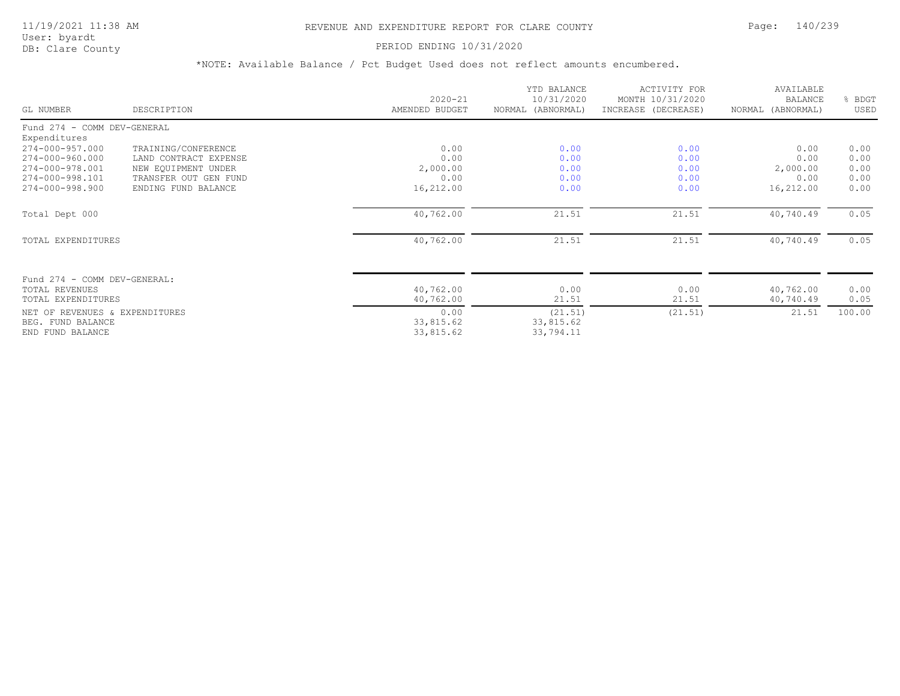# 11/19/2021 11:38 AM REVENUE AND EXPENDITURE REPORT FOR CLARE COUNTY Page: 140/239

User: byardt<br>DB: Clare County

### PERIOD ENDING 10/31/2020

| GL NUMBER                                           | DESCRIPTION           | $2020 - 21$<br>AMENDED BUDGET | YTD BALANCE<br>10/31/2020<br>NORMAL (ABNORMAL) | <b>ACTIVITY FOR</b><br>MONTH 10/31/2020<br>INCREASE (DECREASE) | AVAILABLE<br><b>BALANCE</b><br>NORMAL (ABNORMAL) | BDGT<br>USED |
|-----------------------------------------------------|-----------------------|-------------------------------|------------------------------------------------|----------------------------------------------------------------|--------------------------------------------------|--------------|
| Fund 274 - COMM DEV-GENERAL                         |                       |                               |                                                |                                                                |                                                  |              |
| Expenditures                                        |                       |                               |                                                |                                                                |                                                  |              |
| 274-000-957.000                                     | TRAINING/CONFERENCE   | 0.00                          | 0.00                                           | 0.00                                                           | 0.00                                             | 0.00         |
| 274-000-960.000                                     | LAND CONTRACT EXPENSE | 0.00                          | 0.00                                           | 0.00                                                           | 0.00                                             | 0.00         |
| 274-000-978.001                                     | NEW EQUIPMENT UNDER   | 2,000.00                      | 0.00                                           | 0.00                                                           | 2,000.00                                         | 0.00         |
| 274-000-998.101                                     | TRANSFER OUT GEN FUND | 0.00                          | 0.00                                           | 0.00                                                           | 0.00                                             | 0.00         |
| 274-000-998.900                                     | ENDING FUND BALANCE   | 16,212.00                     | 0.00                                           | 0.00                                                           | 16,212.00                                        | 0.00         |
| Total Dept 000                                      |                       | 40,762.00                     | 21.51                                          | 21.51                                                          | 40,740.49                                        | 0.05         |
| TOTAL EXPENDITURES                                  |                       | 40,762.00                     | 21.51                                          | 21.51                                                          | 40,740.49                                        | 0.05         |
| Fund 274 - COMM DEV-GENERAL:                        |                       |                               |                                                |                                                                |                                                  |              |
| <b>TOTAL REVENUES</b>                               |                       | 40,762.00                     | 0.00                                           | 0.00                                                           | 40,762.00                                        | 0.00         |
| TOTAL EXPENDITURES                                  |                       | 40,762.00                     | 21.51                                          | 21.51                                                          | 40,740.49                                        | 0.05         |
| NET OF REVENUES & EXPENDITURES<br>BEG. FUND BALANCE |                       | 0.00<br>33,815.62             | (21.51)<br>33,815.62                           | (21.51)                                                        | 21.51                                            | 100.00       |
| END FUND BALANCE                                    |                       | 33,815.62                     | 33,794.11                                      |                                                                |                                                  |              |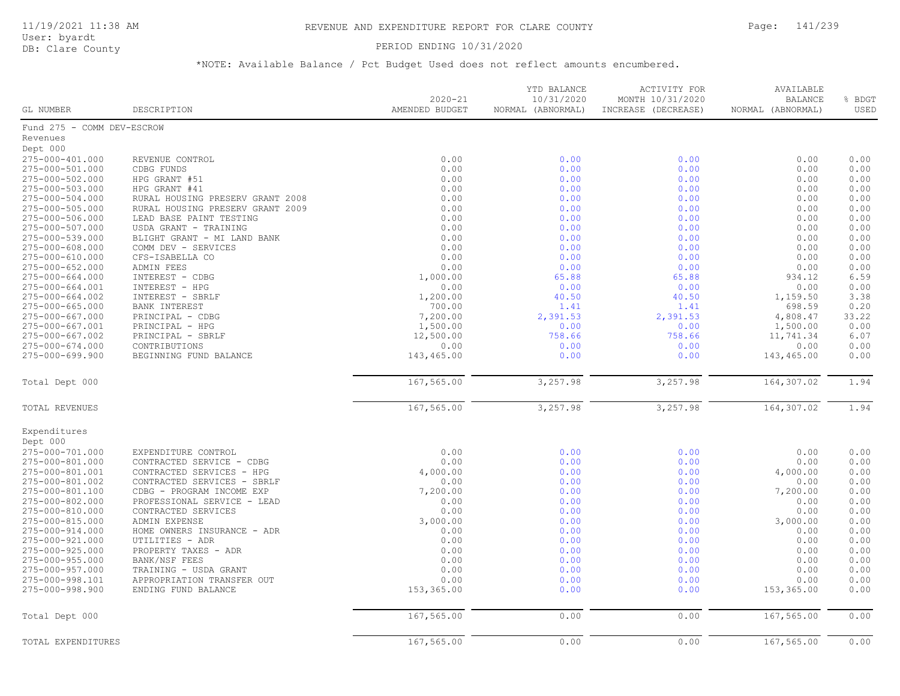User: byardt

# DB: Clare County **PERIOD ENDING 10/31/2020**

| <b>GL NUMBER</b>           | DESCRIPTION                      | $2020 - 21$<br>AMENDED BUDGET | YTD BALANCE<br>10/31/2020<br>NORMAL (ABNORMAL) | <b>ACTIVITY FOR</b><br>MONTH 10/31/2020<br>INCREASE (DECREASE) | AVAILABLE<br><b>BALANCE</b><br>NORMAL (ABNORMAL) | % BDGT<br>USED |
|----------------------------|----------------------------------|-------------------------------|------------------------------------------------|----------------------------------------------------------------|--------------------------------------------------|----------------|
| Fund 275 - COMM DEV-ESCROW |                                  |                               |                                                |                                                                |                                                  |                |
| Revenues                   |                                  |                               |                                                |                                                                |                                                  |                |
| Dept 000                   |                                  |                               |                                                |                                                                |                                                  |                |
| 275-000-401.000            | REVENUE CONTROL                  | 0.00                          | 0.00                                           | 0.00                                                           | 0.00                                             | 0.00           |
| 275-000-501.000            | CDBG FUNDS                       | 0.00                          | 0.00                                           | 0.00                                                           | 0.00                                             | 0.00           |
| 275-000-502.000            | HPG GRANT #51                    | 0.00                          | 0.00                                           | 0.00                                                           | 0.00                                             | 0.00           |
| 275-000-503.000            | HPG GRANT #41                    | 0.00                          | 0.00                                           | 0.00                                                           | 0.00                                             | 0.00           |
| 275-000-504.000            | RURAL HOUSING PRESERV GRANT 2008 | 0.00                          | 0.00                                           | 0.00                                                           | 0.00                                             | 0.00           |
| 275-000-505.000            | RURAL HOUSING PRESERV GRANT 2009 | 0.00                          | 0.00                                           | 0.00                                                           | 0.00                                             | 0.00           |
| 275-000-506.000            | LEAD BASE PAINT TESTING          | 0.00                          | 0.00                                           | 0.00                                                           | 0.00                                             | 0.00           |
| 275-000-507.000            | USDA GRANT - TRAINING            | 0.00                          | 0.00                                           | 0.00                                                           | 0.00                                             | 0.00           |
| 275-000-539.000            | BLIGHT GRANT - MI LAND BANK      | 0.00                          | 0.00                                           | 0.00                                                           | 0.00                                             | 0.00           |
| 275-000-608.000            | COMM DEV - SERVICES              | 0.00                          | 0.00                                           | 0.00                                                           | 0.00                                             | 0.00           |
| 275-000-610.000            | CFS-ISABELLA CO                  | 0.00                          | 0.00                                           | 0.00                                                           | 0.00                                             | 0.00           |
| 275-000-652.000            | ADMIN FEES                       | 0.00                          | 0.00                                           | 0.00                                                           | 0.00                                             | 0.00           |
| 275-000-664.000            | INTEREST - CDBG                  | 1,000.00                      | 65.88                                          | 65.88                                                          | 934.12                                           | 6.59           |
| 275-000-664.001            | INTEREST - HPG                   | 0.00                          | 0.00                                           | 0.00                                                           | 0.00                                             | 0.00           |
| 275-000-664.002            | INTEREST - SBRLF                 | 1,200.00                      | 40.50                                          | 40.50                                                          | 1,159.50                                         | 3.38           |
| $275 - 000 - 665.000$      | <b>BANK INTEREST</b>             | 700.00                        | 1.41                                           | 1.41                                                           | 698.59                                           | 0.20           |
| 275-000-667.000            | PRINCIPAL - CDBG                 | 7,200.00                      | 2,391.53                                       | 2,391.53                                                       | 4,808.47                                         | 33.22          |
| 275-000-667.001            | PRINCIPAL - HPG                  | 1,500.00                      | 0.00                                           | 0.00                                                           | 1,500.00                                         | 0.00           |
| 275-000-667.002            | PRINCIPAL - SBRLF                | 12,500.00                     | 758.66                                         | 758.66                                                         | 11,741.34                                        | 6.07           |
| 275-000-674.000            | CONTRIBUTIONS                    | 0.00                          | 0.00                                           | 0.00                                                           | 0.00                                             | 0.00           |
| 275-000-699.900            | BEGINNING FUND BALANCE           | 143,465.00                    | 0.00                                           | 0.00                                                           | 143,465.00                                       | 0.00           |
| Total Dept 000             |                                  | 167,565.00                    | 3,257.98                                       | 3,257.98                                                       | 164,307.02                                       | 1.94           |
| TOTAL REVENUES             |                                  | 167,565.00                    | 3,257.98                                       | 3,257.98                                                       | 164,307.02                                       | 1.94           |
| Expenditures               |                                  |                               |                                                |                                                                |                                                  |                |
| Dept 000                   |                                  |                               |                                                |                                                                |                                                  |                |
| 275-000-701.000            | EXPENDITURE CONTROL              | 0.00                          | 0.00                                           | 0.00                                                           | 0.00                                             | 0.00           |
| 275-000-801.000            | CONTRACTED SERVICE - CDBG        | 0.00                          | 0.00                                           | 0.00                                                           | 0.00                                             | 0.00           |
| 275-000-801.001            | CONTRACTED SERVICES - HPG        | 4,000.00                      | 0.00                                           | 0.00                                                           | 4,000.00                                         | 0.00           |
| 275-000-801.002            | CONTRACTED SERVICES - SBRLF      | 0.00                          | 0.00                                           | 0.00                                                           | 0.00                                             | 0.00           |
| 275-000-801.100            | CDBG - PROGRAM INCOME EXP        | 7,200.00                      | 0.00                                           | 0.00                                                           | 7,200.00                                         | 0.00           |
| 275-000-802.000            | PROFESSIONAL SERVICE - LEAD      | 0.00                          | 0.00                                           | 0.00                                                           | 0.00                                             | 0.00           |
| 275-000-810.000            | CONTRACTED SERVICES              | 0.00                          | 0.00                                           | 0.00                                                           | 0.00                                             | 0.00           |
| 275-000-815.000            | ADMIN EXPENSE                    | 3,000.00                      | 0.00                                           | 0.00                                                           | 3,000.00                                         | 0.00           |
| 275-000-914.000            | HOME OWNERS INSURANCE - ADR      | 0.00                          | 0.00                                           | 0.00                                                           | 0.00                                             | 0.00           |
| 275-000-921.000            | UTILITIES - ADR                  | 0.00                          | 0.00                                           | 0.00                                                           | 0.00                                             | 0.00           |
| 275-000-925.000            | PROPERTY TAXES - ADR             | 0.00                          | 0.00                                           | 0.00                                                           | 0.00                                             | 0.00           |
| 275-000-955.000            | BANK/NSF FEES                    | 0.00                          | 0.00                                           | 0.00                                                           | 0.00                                             | 0.00           |
| 275-000-957.000            | TRAINING - USDA GRANT            | 0.00                          | 0.00                                           | 0.00                                                           | 0.00                                             | 0.00           |
| 275-000-998.101            | APPROPRIATION TRANSFER OUT       | 0.00                          | 0.00                                           | 0.00                                                           | 0.00                                             | 0.00           |
| 275-000-998.900            | ENDING FUND BALANCE              | 153,365.00                    | 0.00                                           | 0.00                                                           | 153,365.00                                       | 0.00           |
| Total Dept 000             |                                  | 167,565.00                    | 0.00                                           | 0.00                                                           | 167,565.00                                       | 0.00           |
| TOTAL EXPENDITURES         |                                  | 167,565.00                    | 0.00                                           | 0.00                                                           | 167,565.00                                       | 0.00           |
|                            |                                  |                               |                                                |                                                                |                                                  |                |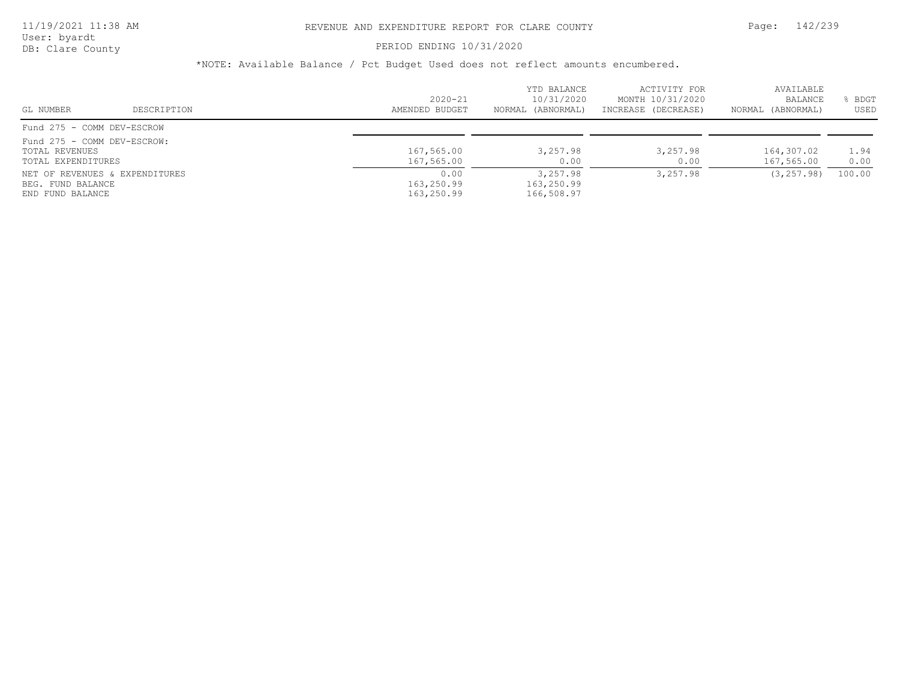### PERIOD ENDING 10/31/2020

| GL NUMBER                                                           | DESCRIPTION                    | $2020 - 21$<br>AMENDED BUDGET    | YTD BALANCE<br>10/31/2020<br>NORMAL (ABNORMAL) | ACTIVITY FOR<br>MONTH 10/31/2020<br>INCREASE (DECREASE) | AVAILABLE<br><b>BALANCE</b><br>NORMAL (ABNORMAL) | BDGT<br>USED |
|---------------------------------------------------------------------|--------------------------------|----------------------------------|------------------------------------------------|---------------------------------------------------------|--------------------------------------------------|--------------|
| Fund 275 - COMM DEV-ESCROW                                          |                                |                                  |                                                |                                                         |                                                  |              |
| Fund 275 - COMM DEV-ESCROW:<br>TOTAL REVENUES<br>TOTAL EXPENDITURES |                                | 167,565.00<br>167,565.00         | 3,257.98<br>0.00                               | 3,257.98<br>0.00                                        | 164,307.02<br>167,565.00                         | 1.94<br>0.00 |
| BEG. FUND BALANCE<br>END FUND BALANCE                               | NET OF REVENUES & EXPENDITURES | 0.00<br>163,250.99<br>163,250.99 | 3,257.98<br>163,250.99<br>166,508.97           | 3,257.98                                                | (3, 257, 98)                                     | 100.00       |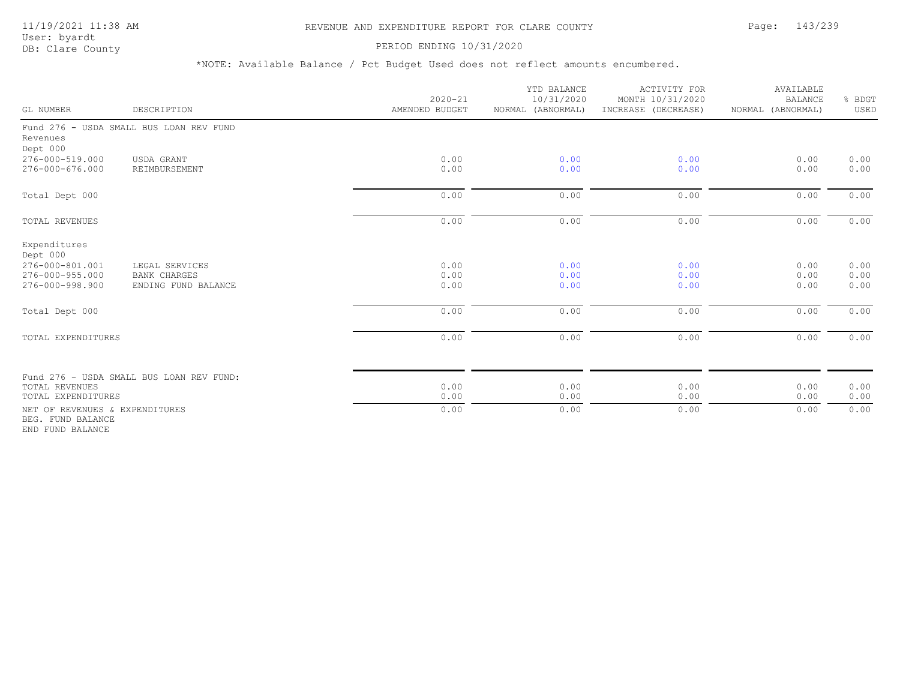PERIOD ENDING 10/31/2020

| GL NUMBER                                                                         | DESCRIPTION                                                  | $2020 - 21$<br>AMENDED BUDGET | YTD BALANCE<br>10/31/2020<br>NORMAL (ABNORMAL) | <b>ACTIVITY FOR</b><br>MONTH 10/31/2020<br>INCREASE (DECREASE) | AVAILABLE<br><b>BALANCE</b><br>NORMAL (ABNORMAL) | & BDGT<br>USED       |
|-----------------------------------------------------------------------------------|--------------------------------------------------------------|-------------------------------|------------------------------------------------|----------------------------------------------------------------|--------------------------------------------------|----------------------|
| Revenues<br>Dept 000                                                              | Fund 276 - USDA SMALL BUS LOAN REV FUND                      |                               |                                                |                                                                |                                                  |                      |
| 276-000-519.000<br>276-000-676.000                                                | USDA GRANT<br>REIMBURSEMENT                                  | 0.00<br>0.00                  | 0.00<br>0.00                                   | 0.00<br>0.00                                                   | 0.00<br>0.00                                     | 0.00<br>0.00         |
| Total Dept 000                                                                    |                                                              | 0.00                          | 0.00                                           | 0.00                                                           | 0.00                                             | 0.00                 |
| <b>TOTAL REVENUES</b>                                                             |                                                              | 0.00                          | 0.00                                           | 0.00                                                           | 0.00                                             | 0.00                 |
| Expenditures<br>Dept 000<br>276-000-801.001<br>276-000-955.000<br>276-000-998.900 | LEGAL SERVICES<br><b>BANK CHARGES</b><br>ENDING FUND BALANCE | 0.00<br>0.00<br>0.00          | 0.00<br>0.00<br>0.00                           | 0.00<br>0.00<br>0.00                                           | 0.00<br>0.00<br>0.00                             | 0.00<br>0.00<br>0.00 |
| Total Dept 000                                                                    |                                                              | 0.00                          | 0.00                                           | 0.00                                                           | 0.00                                             | 0.00                 |
| TOTAL EXPENDITURES                                                                |                                                              | 0.00                          | 0.00                                           | 0.00                                                           | 0.00                                             | 0.00                 |
| <b>TOTAL REVENUES</b>                                                             | Fund 276 - USDA SMALL BUS LOAN REV FUND:                     | 0.00                          | 0.00                                           | 0.00                                                           | 0.00                                             | 0.00                 |
| TOTAL EXPENDITURES                                                                |                                                              | 0.00                          | 0.00                                           | 0.00                                                           | 0.00                                             | 0.00                 |
| NET OF REVENUES & EXPENDITURES<br>BEG. FUND BALANCE<br>END FUND BALANCE           |                                                              | 0.00                          | 0.00                                           | 0.00                                                           | 0.00                                             | 0.00                 |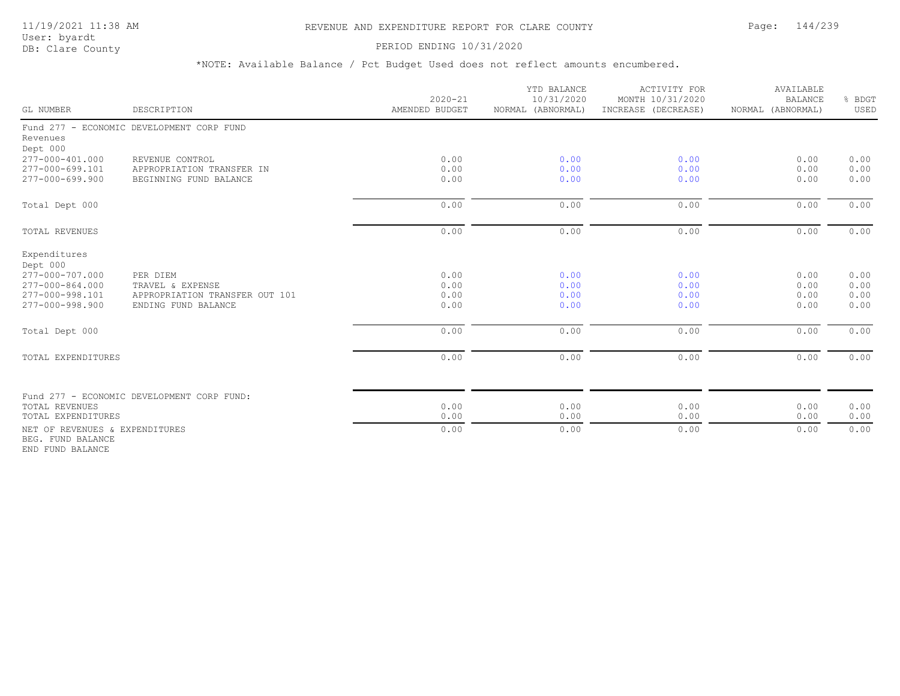### 11/19/2021 11:38 AM REVENUE AND EXPENDITURE REPORT FOR CLARE COUNTY Page: 144/239

User: byardt<br>DB: Clare County

### PERIOD ENDING 10/31/2020

| GL NUMBER                                                                                                  | DESCRIPTION                                                                           | $2020 - 21$<br>AMENDED BUDGET | YTD BALANCE<br>10/31/2020<br>NORMAL (ABNORMAL) | <b>ACTIVITY FOR</b><br>MONTH 10/31/2020<br>INCREASE (DECREASE) | AVAILABLE<br><b>BALANCE</b><br>NORMAL (ABNORMAL) | % BDGT<br>USED               |
|------------------------------------------------------------------------------------------------------------|---------------------------------------------------------------------------------------|-------------------------------|------------------------------------------------|----------------------------------------------------------------|--------------------------------------------------|------------------------------|
| Revenues<br>Dept 000                                                                                       | Fund 277 - ECONOMIC DEVELOPMENT CORP FUND                                             |                               |                                                |                                                                |                                                  |                              |
| 277-000-401.000<br>277-000-699.101<br>277-000-699.900                                                      | REVENUE CONTROL<br>APPROPRIATION TRANSFER IN<br>BEGINNING FUND BALANCE                | 0.00<br>0.00<br>0.00          | 0.00<br>0.00<br>0.00                           | 0.00<br>0.00<br>0.00                                           | 0.00<br>0.00<br>0.00                             | 0.00<br>0.00<br>0.00         |
| Total Dept 000                                                                                             |                                                                                       | 0.00                          | 0.00                                           | 0.00                                                           | 0.00                                             | 0.00                         |
| TOTAL REVENUES                                                                                             |                                                                                       | 0.00                          | 0.00                                           | 0.00                                                           | 0.00                                             | 0.00                         |
| Expenditures<br>Dept 000<br>277-000-707.000<br>$277 - 000 - 864.000$<br>277-000-998.101<br>277-000-998.900 | PER DIEM<br>TRAVEL & EXPENSE<br>APPROPRIATION TRANSFER OUT 101<br>ENDING FUND BALANCE | 0.00<br>0.00<br>0.00<br>0.00  | 0.00<br>0.00<br>0.00<br>0.00                   | 0.00<br>0.00<br>0.00<br>0.00                                   | 0.00<br>0.00<br>0.00<br>0.00                     | 0.00<br>0.00<br>0.00<br>0.00 |
| Total Dept 000                                                                                             |                                                                                       | 0.00                          | 0.00                                           | 0.00                                                           | 0.00                                             | 0.00                         |
| TOTAL EXPENDITURES                                                                                         |                                                                                       | 0.00                          | 0.00                                           | 0.00                                                           | 0.00                                             | 0.00                         |
| TOTAL REVENUES<br>TOTAL EXPENDITURES                                                                       | Fund 277 - ECONOMIC DEVELOPMENT CORP FUND:                                            | 0.00<br>0.00                  | 0.00<br>0.00                                   | 0.00<br>0.00                                                   | 0.00<br>0.00                                     | 0.00<br>0.00                 |
| NET OF REVENUES & EXPENDITURES<br>BEG. FUND BALANCE<br>END FUND BALANCE                                    |                                                                                       | 0.00                          | 0.00                                           | 0.00                                                           | 0.00                                             | 0.00                         |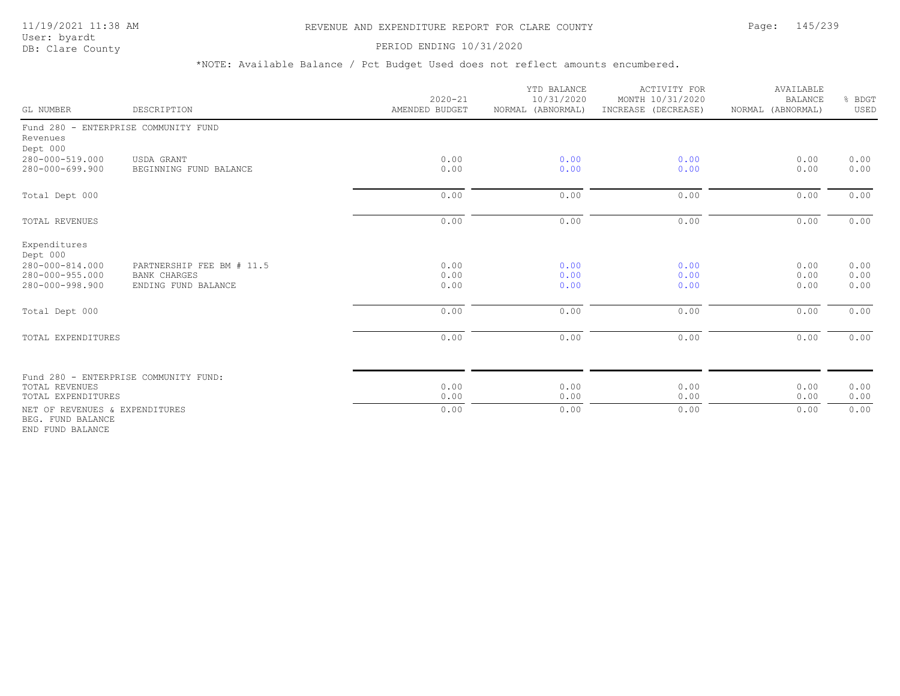#### 11/19/2021 11:38 AM REVENUE AND EXPENDITURE REPORT FOR CLARE COUNTY Page: 145/239

User: byardt<br>DB: Clare County

#### PERIOD ENDING 10/31/2020

| GL NUMBER                                                                         | DESCRIPTION                                                             | $2020 - 21$<br>AMENDED BUDGET | YTD BALANCE<br>10/31/2020<br>NORMAL (ABNORMAL) | <b>ACTIVITY FOR</b><br>MONTH 10/31/2020<br>INCREASE (DECREASE) | AVAILABLE<br><b>BALANCE</b><br>NORMAL (ABNORMAL) | % BDGT<br>USED       |
|-----------------------------------------------------------------------------------|-------------------------------------------------------------------------|-------------------------------|------------------------------------------------|----------------------------------------------------------------|--------------------------------------------------|----------------------|
| Revenues<br>Dept 000                                                              | Fund 280 - ENTERPRISE COMMUNITY FUND                                    |                               |                                                |                                                                |                                                  |                      |
| 280-000-519.000<br>280-000-699.900                                                | USDA GRANT<br>BEGINNING FUND BALANCE                                    | 0.00<br>0.00                  | 0.00<br>0.00                                   | 0.00<br>0.00                                                   | 0.00<br>0.00                                     | 0.00<br>0.00         |
| Total Dept 000                                                                    |                                                                         | 0.00                          | 0.00                                           | 0.00                                                           | 0.00                                             | 0.00                 |
| <b>TOTAL REVENUES</b>                                                             |                                                                         | 0.00                          | 0.00                                           | 0.00                                                           | 0.00                                             | 0.00                 |
| Expenditures<br>Dept 000<br>280-000-814.000<br>280-000-955.000<br>280-000-998.900 | PARTNERSHIP FEE BM # 11.5<br><b>BANK CHARGES</b><br>ENDING FUND BALANCE | 0.00<br>0.00<br>0.00          | 0.00<br>0.00<br>0.00                           | 0.00<br>0.00<br>0.00                                           | 0.00<br>0.00<br>0.00                             | 0.00<br>0.00<br>0.00 |
| Total Dept 000                                                                    |                                                                         | 0.00                          | 0.00                                           | 0.00                                                           | 0.00                                             | 0.00                 |
| TOTAL EXPENDITURES                                                                |                                                                         | 0.00                          | 0.00                                           | 0.00                                                           | 0.00                                             | 0.00                 |
| <b>TOTAL REVENUES</b><br>TOTAL EXPENDITURES                                       | Fund 280 - ENTERPRISE COMMUNITY FUND:                                   | 0.00<br>0.00                  | 0.00<br>0.00                                   | 0.00<br>0.00                                                   | 0.00<br>0.00                                     | 0.00<br>0.00         |
| NET OF REVENUES & EXPENDITURES<br>BEG. FUND BALANCE<br>END FUND BALANCE           |                                                                         | 0.00                          | 0.00                                           | 0.00                                                           | 0.00                                             | 0.00                 |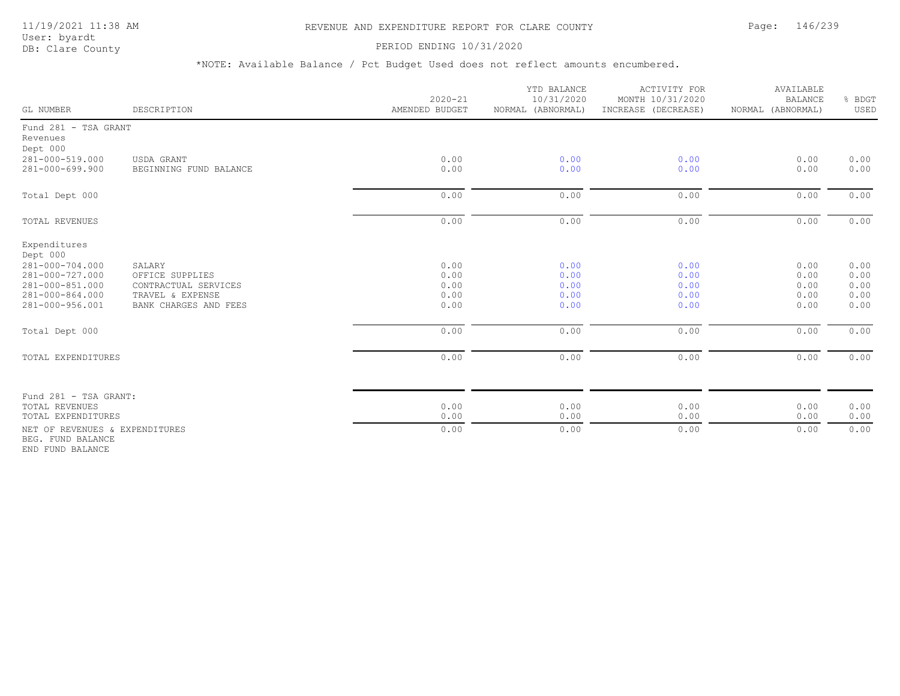## 11/19/2021 11:38 AM REVENUE AND EXPENDITURE REPORT FOR CLARE COUNTY Page: 146/239

User: byardt<br>DB: Clare County

#### PERIOD ENDING 10/31/2020

\*NOTE: Available Balance / Pct Budget Used does not reflect amounts encumbered.

| GL NUMBER                                                                | DESCRIPTION                                                                          | $2020 - 21$<br>AMENDED BUDGET | YTD BALANCE<br>10/31/2020<br>NORMAL (ABNORMAL) | ACTIVITY FOR<br>MONTH 10/31/2020<br>INCREASE (DECREASE) | AVAILABLE<br><b>BALANCE</b><br>NORMAL (ABNORMAL) | BDGT<br>USED                 |
|--------------------------------------------------------------------------|--------------------------------------------------------------------------------------|-------------------------------|------------------------------------------------|---------------------------------------------------------|--------------------------------------------------|------------------------------|
| Fund 281 - TSA GRANT<br>Revenues<br>Dept 000                             |                                                                                      |                               |                                                |                                                         |                                                  |                              |
| 281-000-519.000<br>281-000-699.900                                       | USDA GRANT<br>BEGINNING FUND BALANCE                                                 | 0.00<br>0.00                  | 0.00<br>0.00                                   | 0.00<br>0.00                                            | 0.00<br>0.00                                     | 0.00<br>0.00                 |
| Total Dept 000                                                           |                                                                                      | 0.00                          | 0.00                                           | 0.00                                                    | 0.00                                             | 0.00                         |
| TOTAL REVENUES                                                           |                                                                                      | 0.00                          | 0.00                                           | 0.00                                                    | 0.00                                             | 0.00                         |
| Expenditures<br>Dept 000<br>281-000-704.000                              | SALARY                                                                               | 0.00                          | 0.00                                           | 0.00                                                    | 0.00                                             | 0.00                         |
| 281-000-727.000<br>281-000-851.000<br>281-000-864.000<br>281-000-956.001 | OFFICE SUPPLIES<br>CONTRACTUAL SERVICES<br>TRAVEL & EXPENSE<br>BANK CHARGES AND FEES | 0.00<br>0.00<br>0.00<br>0.00  | 0.00<br>0.00<br>0.00<br>0.00                   | 0.00<br>0.00<br>0.00<br>0.00                            | 0.00<br>0.00<br>0.00<br>0.00                     | 0.00<br>0.00<br>0.00<br>0.00 |
| Total Dept 000                                                           |                                                                                      | 0.00                          | 0.00                                           | 0.00                                                    | 0.00                                             | 0.00                         |
| TOTAL EXPENDITURES                                                       |                                                                                      | 0.00                          | 0.00                                           | 0.00                                                    | 0.00                                             | 0.00                         |
| Fund 281 - TSA GRANT:<br><b>TOTAL REVENUES</b>                           |                                                                                      | 0.00                          | 0.00                                           | 0.00                                                    | 0.00                                             | 0.00                         |
| TOTAL EXPENDITURES                                                       |                                                                                      | 0.00                          | 0.00                                           | 0.00                                                    | 0.00                                             | 0.00                         |
| NET OF REVENUES & EXPENDITURES<br>BEG. FUND BALANCE                      |                                                                                      | 0.00                          | 0.00                                           | 0.00                                                    | 0.00                                             | 0.00                         |

END FUND BALANCE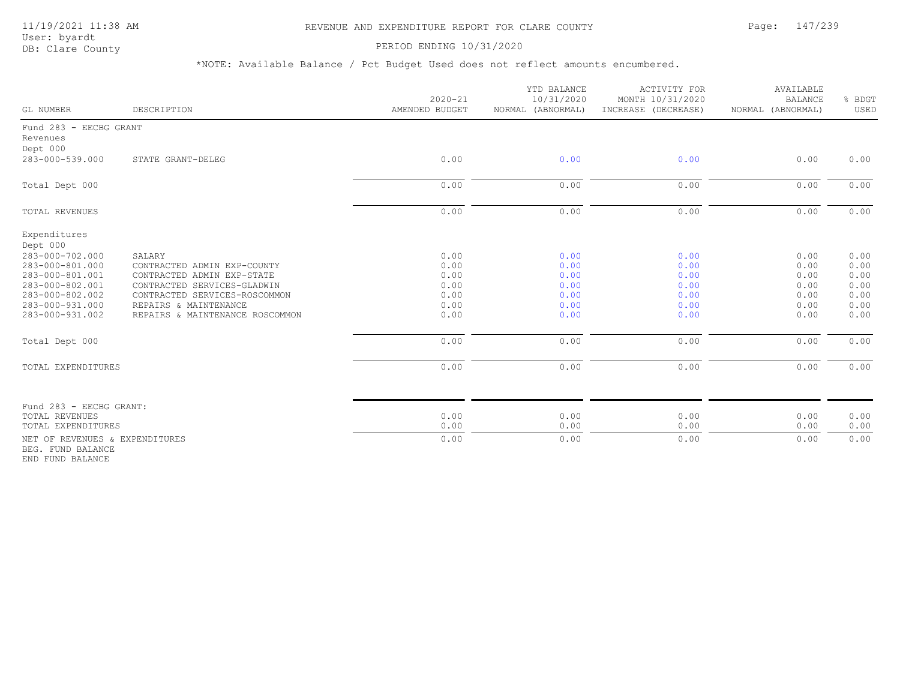#### 11/19/2021 11:38 AM REVENUE AND EXPENDITURE REPORT FOR CLARE COUNTY Page: 147/239

User: byardt<br>DB: Clare County

#### PERIOD ENDING 10/31/2020

\*NOTE: Available Balance / Pct Budget Used does not reflect amounts encumbered.

| GL NUMBER                                           | DESCRIPTION                                               | $2020 - 21$<br>AMENDED BUDGET | YTD BALANCE<br>10/31/2020<br>NORMAL (ABNORMAL) | <b>ACTIVITY FOR</b><br>MONTH 10/31/2020<br>INCREASE (DECREASE) | AVAILABLE<br><b>BALANCE</b><br>NORMAL (ABNORMAL) | % BDGT<br>USED |
|-----------------------------------------------------|-----------------------------------------------------------|-------------------------------|------------------------------------------------|----------------------------------------------------------------|--------------------------------------------------|----------------|
| Fund 283 - EECBG GRANT<br>Revenues<br>Dept 000      |                                                           |                               |                                                |                                                                |                                                  |                |
| 283-000-539.000                                     | STATE GRANT-DELEG                                         | 0.00                          | 0.00                                           | 0.00                                                           | 0.00                                             | 0.00           |
| Total Dept 000                                      |                                                           | 0.00                          | 0.00                                           | 0.00                                                           | 0.00                                             | 0.00           |
| TOTAL REVENUES                                      |                                                           | 0.00                          | 0.00                                           | 0.00                                                           | 0.00                                             | 0.00           |
| Expenditures<br>Dept 000                            |                                                           |                               |                                                |                                                                |                                                  |                |
| 283-000-702.000                                     | SALARY                                                    | 0.00                          | 0.00                                           | 0.00                                                           | 0.00                                             | 0.00           |
| 283-000-801.000                                     | CONTRACTED ADMIN EXP-COUNTY                               | 0.00                          | 0.00                                           | 0.00                                                           | 0.00                                             | 0.00           |
| 283-000-801.001<br>283-000-802.001                  | CONTRACTED ADMIN EXP-STATE<br>CONTRACTED SERVICES-GLADWIN | 0.00<br>0.00                  | 0.00<br>0.00                                   | 0.00<br>0.00                                                   | 0.00<br>0.00                                     | 0.00<br>0.00   |
| 283-000-802.002                                     | CONTRACTED SERVICES-ROSCOMMON                             | 0.00                          | 0.00                                           | 0.00                                                           | 0.00                                             | 0.00           |
| 283-000-931.000                                     | REPAIRS & MAINTENANCE                                     | 0.00                          | 0.00                                           | 0.00                                                           | 0.00                                             | 0.00           |
| 283-000-931.002                                     | REPAIRS & MAINTENANCE ROSCOMMON                           | 0.00                          | 0.00                                           | 0.00                                                           | 0.00                                             | 0.00           |
| Total Dept 000                                      |                                                           | 0.00                          | 0.00                                           | 0.00                                                           | 0.00                                             | 0.00           |
| TOTAL EXPENDITURES                                  |                                                           | 0.00                          | 0.00                                           | 0.00                                                           | 0.00                                             | 0.00           |
| Fund 283 - EECBG GRANT:                             |                                                           |                               |                                                |                                                                |                                                  |                |
| <b>TOTAL REVENUES</b>                               |                                                           | 0.00                          | 0.00                                           | 0.00                                                           | 0.00                                             | 0.00           |
| TOTAL EXPENDITURES                                  |                                                           | 0.00                          | 0.00                                           | 0.00                                                           | 0.00                                             | 0.00           |
| NET OF REVENUES & EXPENDITURES<br>BEG. FUND BALANCE |                                                           | 0.00                          | 0.00                                           | 0.00                                                           | 0.00                                             | 0.00           |

END FUND BALANCE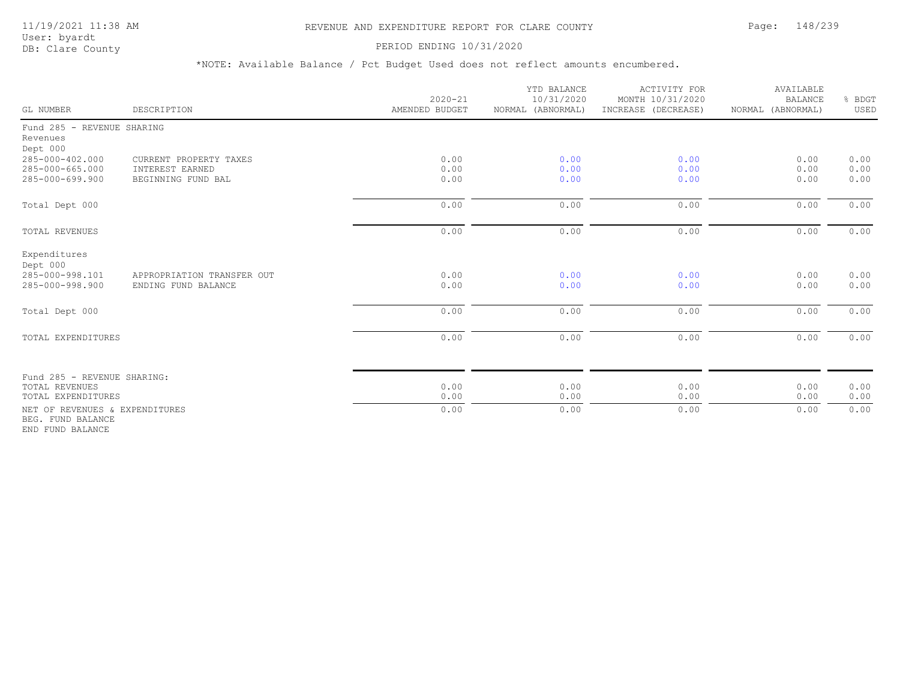#### 11/19/2021 11:38 AM REVENUE AND EXPENDITURE REPORT FOR CLARE COUNTY Page: 148/239

User: byardt<br>DB: Clare County

#### PERIOD ENDING 10/31/2020

| GL NUMBER                                                               | DESCRIPTION                                                     | $2020 - 21$<br>AMENDED BUDGET | YTD BALANCE<br>10/31/2020<br>NORMAL (ABNORMAL) | <b>ACTIVITY FOR</b><br>MONTH 10/31/2020<br>INCREASE (DECREASE) | AVAILABLE<br><b>BALANCE</b><br>NORMAL (ABNORMAL) | % BDGT<br>USED       |
|-------------------------------------------------------------------------|-----------------------------------------------------------------|-------------------------------|------------------------------------------------|----------------------------------------------------------------|--------------------------------------------------|----------------------|
| Fund 285 - REVENUE SHARING<br>Revenues<br>Dept 000                      |                                                                 |                               |                                                |                                                                |                                                  |                      |
| 285-000-402.000<br>285-000-665.000<br>285-000-699.900                   | CURRENT PROPERTY TAXES<br>INTEREST EARNED<br>BEGINNING FUND BAL | 0.00<br>0.00<br>0.00          | 0.00<br>0.00<br>0.00                           | 0.00<br>0.00<br>0.00                                           | 0.00<br>0.00<br>0.00                             | 0.00<br>0.00<br>0.00 |
| Total Dept 000                                                          |                                                                 | 0.00                          | 0.00                                           | 0.00                                                           | 0.00                                             | 0.00                 |
| TOTAL REVENUES                                                          |                                                                 | 0.00                          | 0.00                                           | 0.00                                                           | 0.00                                             | 0.00                 |
| Expenditures<br>Dept 000<br>285-000-998.101<br>285-000-998.900          | APPROPRIATION TRANSFER OUT<br>ENDING FUND BALANCE               | 0.00<br>0.00                  | 0.00<br>0.00                                   | 0.00<br>0.00                                                   | 0.00<br>0.00                                     | 0.00<br>0.00         |
| Total Dept 000                                                          |                                                                 | 0.00                          | 0.00                                           | 0.00                                                           | 0.00                                             | 0.00                 |
| TOTAL EXPENDITURES                                                      |                                                                 | 0.00                          | 0.00                                           | 0.00                                                           | 0.00                                             | 0.00                 |
| Fund 285 - REVENUE SHARING:                                             |                                                                 | 0.00                          |                                                |                                                                |                                                  |                      |
| TOTAL REVENUES<br>TOTAL EXPENDITURES                                    |                                                                 | 0.00                          | 0.00<br>0.00                                   | 0.00<br>0.00                                                   | 0.00<br>0.00                                     | 0.00<br>0.00         |
| NET OF REVENUES & EXPENDITURES<br>BEG. FUND BALANCE<br>END FUND BALANCE |                                                                 | 0.00                          | 0.00                                           | 0.00                                                           | 0.00                                             | 0.00                 |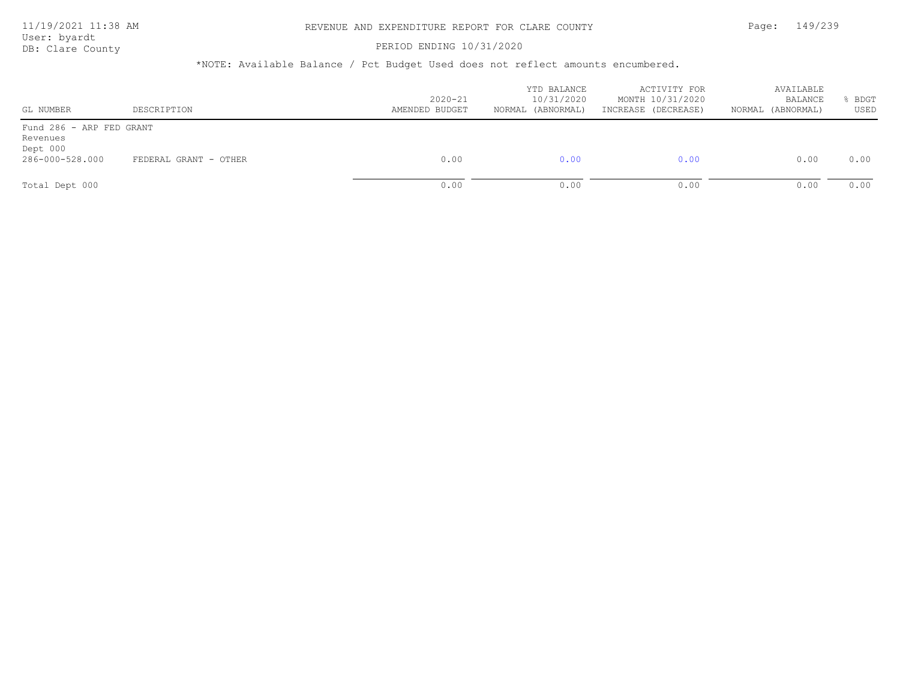User: byardt

# DB: Clare County **PERIOD ENDING 10/31/2020**

| GL NUMBER                                                           | DESCRIPTION           | $2020 - 21$<br>AMENDED BUDGET | YTD BALANCE<br>10/31/2020<br>NORMAL (ABNORMAL) | ACTIVITY FOR<br>MONTH 10/31/2020<br>INCREASE (DECREASE) | AVAILABLE<br>BALANCE<br>(ABNORMAL)<br>NORMAL | BDGT<br>USED |
|---------------------------------------------------------------------|-----------------------|-------------------------------|------------------------------------------------|---------------------------------------------------------|----------------------------------------------|--------------|
| Fund 286 - ARP FED GRANT<br>Revenues<br>Dept 000<br>286-000-528.000 | FEDERAL GRANT - OTHER | 0.00                          | 0.00                                           | 0.00                                                    | 0.00                                         | 0.00         |
| Total Dept 000                                                      |                       | 0.00                          | 0.00                                           | 0.00                                                    | 0.00                                         | 0.00         |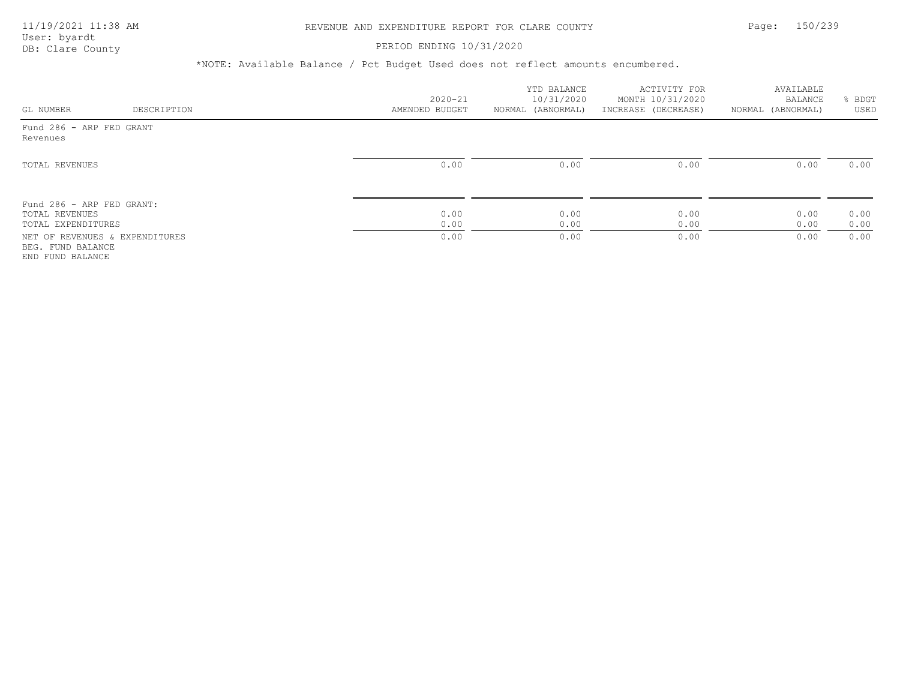## PERIOD ENDING 10/31/2020

| GL NUMBER                                                               | DESCRIPTION | $2020 - 21$<br>AMENDED BUDGET | YTD BALANCE<br>10/31/2020<br>NORMAL (ABNORMAL) | ACTIVITY FOR<br>MONTH 10/31/2020<br>INCREASE (DECREASE) | AVAILABLE<br>BALANCE<br>NORMAL (ABNORMAL) | BDGT<br>USED |
|-------------------------------------------------------------------------|-------------|-------------------------------|------------------------------------------------|---------------------------------------------------------|-------------------------------------------|--------------|
| Fund 286 - ARP FED GRANT<br>Revenues                                    |             |                               |                                                |                                                         |                                           |              |
| TOTAL REVENUES                                                          |             | 0.00                          | 0.00                                           | 0.00                                                    | 0.00                                      | 0.00         |
| Fund 286 - ARP FED GRANT:<br>TOTAL REVENUES<br>TOTAL EXPENDITURES       |             | 0.00<br>0.00                  | 0.00<br>0.00                                   | 0.00<br>0.00                                            | 0.00<br>0.00                              | 0.00<br>0.00 |
| NET OF REVENUES & EXPENDITURES<br>BEG. FUND BALANCE<br>END FUND BALANCE |             | 0.00                          | 0.00                                           | 0.00                                                    | 0.00                                      | 0.00         |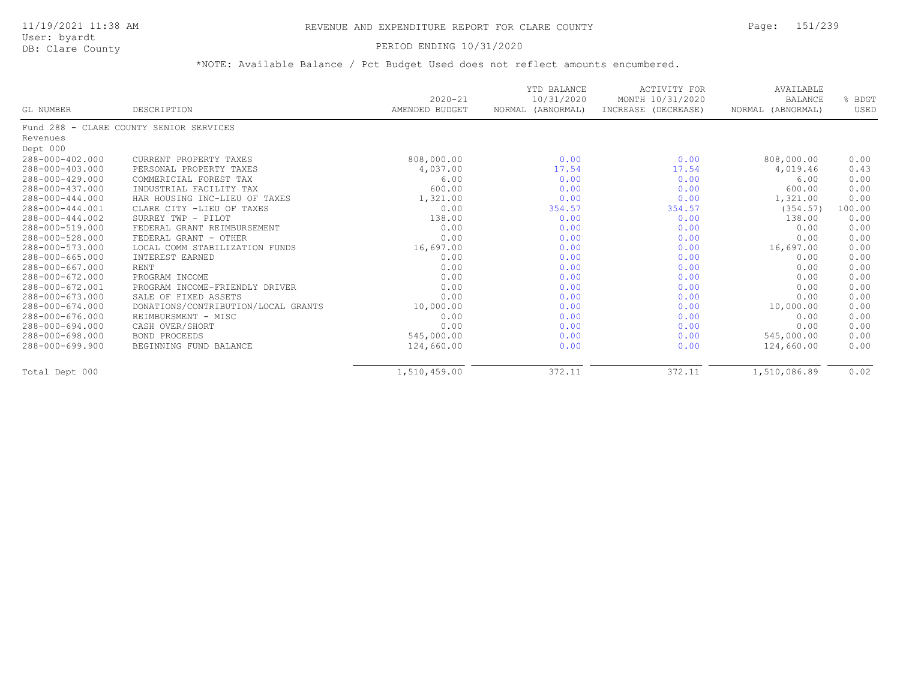## PERIOD ENDING 10/31/2020

|                 |                                         | $2020 - 21$    | YTD BALANCE<br>10/31/2020 | <b>ACTIVITY FOR</b><br>MONTH 10/31/2020 | AVAILABLE<br><b>BALANCE</b> | BDGT   |
|-----------------|-----------------------------------------|----------------|---------------------------|-----------------------------------------|-----------------------------|--------|
| GL NUMBER       | DESCRIPTION                             | AMENDED BUDGET | NORMAL<br>(ABNORMAL)      | INCREASE (DECREASE)                     | NORMAL (ABNORMAL)           | USED   |
|                 | Fund 288 - CLARE COUNTY SENIOR SERVICES |                |                           |                                         |                             |        |
| Revenues        |                                         |                |                           |                                         |                             |        |
| Dept 000        |                                         |                |                           |                                         |                             |        |
| 288-000-402.000 | CURRENT PROPERTY TAXES                  | 808,000.00     | 0.00                      | 0.00                                    | 808,000.00                  | 0.00   |
| 288-000-403.000 | PERSONAL PROPERTY TAXES                 | 4,037.00       | 17.54                     | 17.54                                   | 4,019.46                    | 0.43   |
| 288-000-429.000 | COMMERICIAL FOREST TAX                  | 6.00           | 0.00                      | 0.00                                    | 6.00                        | 0.00   |
| 288-000-437.000 | INDUSTRIAL FACILITY TAX                 | 600.00         | 0.00                      | 0.00                                    | 600.00                      | 0.00   |
| 288-000-444.000 | HAR HOUSING INC-LIEU OF TAXES           | 1,321.00       | 0.00                      | 0.00                                    | 1,321.00                    | 0.00   |
| 288-000-444.001 | CLARE CITY -LIEU OF TAXES               | 0.00           | 354.57                    | 354.57                                  | (354.57)                    | 100.00 |
| 288-000-444.002 | SURREY TWP - PILOT                      | 138.00         | 0.00                      | 0.00                                    | 138.00                      | 0.00   |
| 288-000-519.000 | FEDERAL GRANT REIMBURSEMENT             | 0.00           | 0.00                      | 0.00                                    | 0.00                        | 0.00   |
| 288-000-528.000 | FEDERAL GRANT - OTHER                   | 0.00           | 0.00                      | 0.00                                    | 0.00                        | 0.00   |
| 288-000-573.000 | LOCAL COMM STABILIZATION FUNDS          | 16,697.00      | 0.00                      | 0.00                                    | 16,697.00                   | 0.00   |
| 288-000-665.000 | INTEREST EARNED                         | 0.00           | 0.00                      | 0.00                                    | 0.00                        | 0.00   |
| 288-000-667.000 | RENT                                    | 0.00           | 0.00                      | 0.00                                    | 0.00                        | 0.00   |
| 288-000-672.000 | PROGRAM INCOME                          | 0.00           | 0.00                      | 0.00                                    | 0.00                        | 0.00   |
| 288-000-672.001 | PROGRAM INCOME-FRIENDLY DRIVER          | 0.00           | 0.00                      | 0.00                                    | 0.00                        | 0.00   |
| 288-000-673.000 | SALE OF FIXED ASSETS                    | 0.00           | 0.00                      | 0.00                                    | 0.00                        | 0.00   |
| 288-000-674.000 | DONATIONS/CONTRIBUTION/LOCAL GRANTS     | 10,000.00      | 0.00                      | 0.00                                    | 10,000.00                   | 0.00   |
| 288-000-676.000 | REIMBURSMENT - MISC                     | 0.00           | 0.00                      | 0.00                                    | 0.00                        | 0.00   |
| 288-000-694.000 | CASH OVER/SHORT                         | 0.00           | 0.00                      | 0.00                                    | 0.00                        | 0.00   |
| 288-000-698.000 | BOND PROCEEDS                           | 545,000.00     | 0.00                      | 0.00                                    | 545,000.00                  | 0.00   |
| 288-000-699.900 | BEGINNING FUND BALANCE                  | 124,660.00     | 0.00                      | 0.00                                    | 124,660.00                  | 0.00   |
| Total Dept 000  |                                         | 1,510,459.00   | 372.11                    | 372.11                                  | 1,510,086.89                | 0.02   |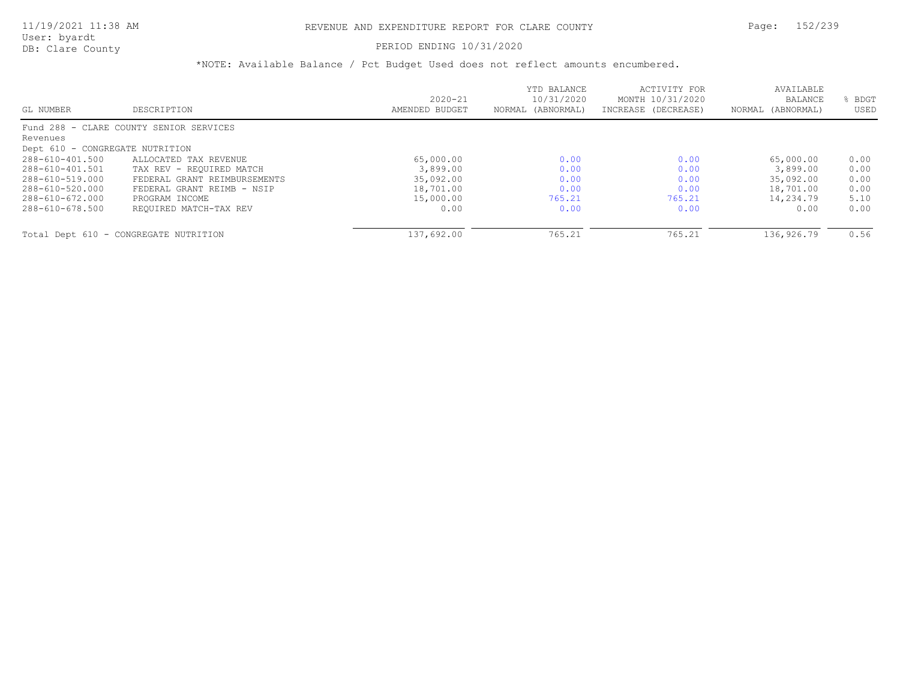## PERIOD ENDING 10/31/2020

| GL NUMBER                       | DESCRIPTION                             | $2020 - 21$<br>AMENDED BUDGET | YTD BALANCE<br>10/31/2020<br>NORMAL (ABNORMAL) | ACTIVITY FOR<br>MONTH 10/31/2020<br>INCREASE (DECREASE) | AVAILABLE<br>BALANCE<br>NORMAL (ABNORMAL) | BDGT<br>USED |
|---------------------------------|-----------------------------------------|-------------------------------|------------------------------------------------|---------------------------------------------------------|-------------------------------------------|--------------|
|                                 |                                         |                               |                                                |                                                         |                                           |              |
|                                 | Fund 288 - CLARE COUNTY SENIOR SERVICES |                               |                                                |                                                         |                                           |              |
| Revenues                        |                                         |                               |                                                |                                                         |                                           |              |
| Dept 610 - CONGREGATE NUTRITION |                                         |                               |                                                |                                                         |                                           |              |
| 288-610-401.500                 | ALLOCATED TAX REVENUE                   | 65,000.00                     | 0.00                                           | 0.00                                                    | 65,000.00                                 | 0.00         |
| 288-610-401.501                 | TAX REV - REQUIRED MATCH                | 3,899.00                      | 0.00                                           | 0.00                                                    | 3,899.00                                  | 0.00         |
| 288-610-519.000                 | FEDERAL GRANT REIMBURSEMENTS            | 35,092.00                     | 0.00                                           | 0.00                                                    | 35,092.00                                 | 0.00         |
| 288-610-520.000                 | FEDERAL GRANT REIMB - NSIP              | 18,701.00                     | 0.00                                           | 0.00                                                    | 18,701.00                                 | 0.00         |
| 288-610-672.000                 | PROGRAM INCOME                          | 15,000.00                     | 765.21                                         | 765.21                                                  | 14,234.79                                 | 5.10         |
| 288-610-678.500                 | REQUIRED MATCH-TAX REV                  | 0.00                          | 0.00                                           | 0.00                                                    | 0.00                                      | 0.00         |
|                                 |                                         |                               |                                                |                                                         |                                           |              |
|                                 | Total Dept 610 - CONGREGATE NUTRITION   | 137,692.00                    | 765.21                                         | 765.21                                                  | 136,926.79                                | 0.56         |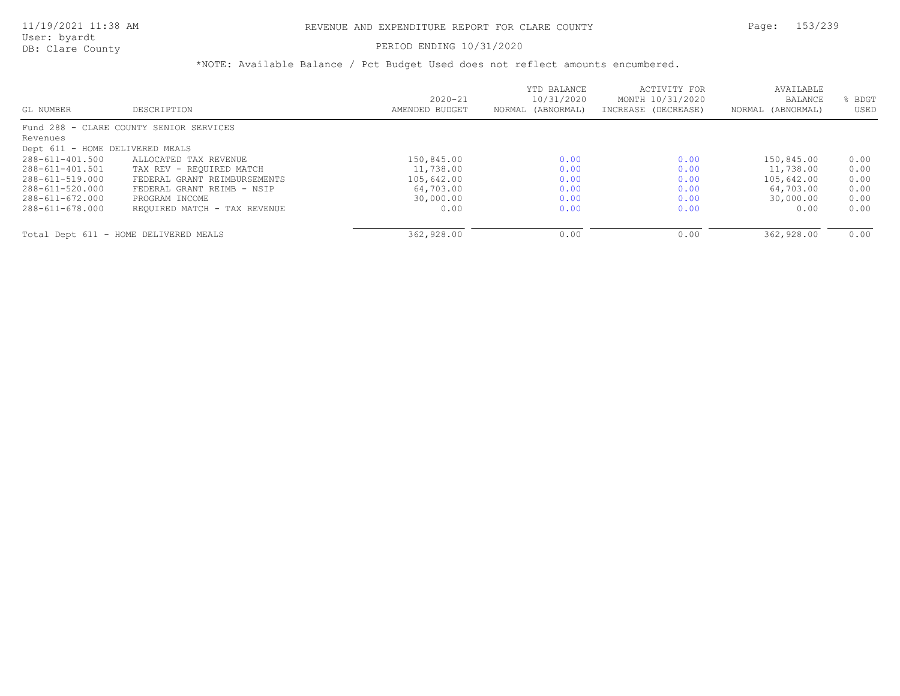## PERIOD ENDING 10/31/2020

|                                 |                                         | $2020 - 21$    | YTD BALANCE<br>10/31/2020 | ACTIVITY FOR<br>MONTH 10/31/2020 | AVAILABLE<br><b>BALANCE</b> | BDGT |
|---------------------------------|-----------------------------------------|----------------|---------------------------|----------------------------------|-----------------------------|------|
| GL NUMBER                       | DESCRIPTION                             | AMENDED BUDGET | NORMAL (ABNORMAL)         | INCREASE (DECREASE)              | NORMAL (ABNORMAL)           | USED |
|                                 | Fund 288 - CLARE COUNTY SENIOR SERVICES |                |                           |                                  |                             |      |
| Revenues                        |                                         |                |                           |                                  |                             |      |
| Dept 611 - HOME DELIVERED MEALS |                                         |                |                           |                                  |                             |      |
| 288-611-401.500                 | ALLOCATED TAX REVENUE                   | 150,845.00     | 0.00                      | 0.00                             | 150,845.00                  | 0.00 |
| 288-611-401.501                 | TAX REV - REOUIRED MATCH                | 11,738.00      | 0.00                      | 0.00                             | 11,738.00                   | 0.00 |
| 288-611-519.000                 | FEDERAL GRANT REIMBURSEMENTS            | 105,642.00     | 0.00                      | 0.00                             | 105,642.00                  | 0.00 |
| 288-611-520.000                 | FEDERAL GRANT REIMB - NSIP              | 64,703.00      | 0.00                      | 0.00                             | 64,703.00                   | 0.00 |
| 288-611-672.000                 | PROGRAM INCOME                          | 30,000.00      | 0.00                      | 0.00                             | 30,000.00                   | 0.00 |
| 288-611-678.000                 | REQUIRED MATCH - TAX REVENUE            | 0.00           | 0.00                      | 0.00                             | 0.00                        | 0.00 |
|                                 |                                         |                |                           |                                  |                             |      |
|                                 | Total Dept 611 - HOME DELIVERED MEALS   | 362,928.00     | 0.00                      | 0.00                             | 362,928.00                  | 0.00 |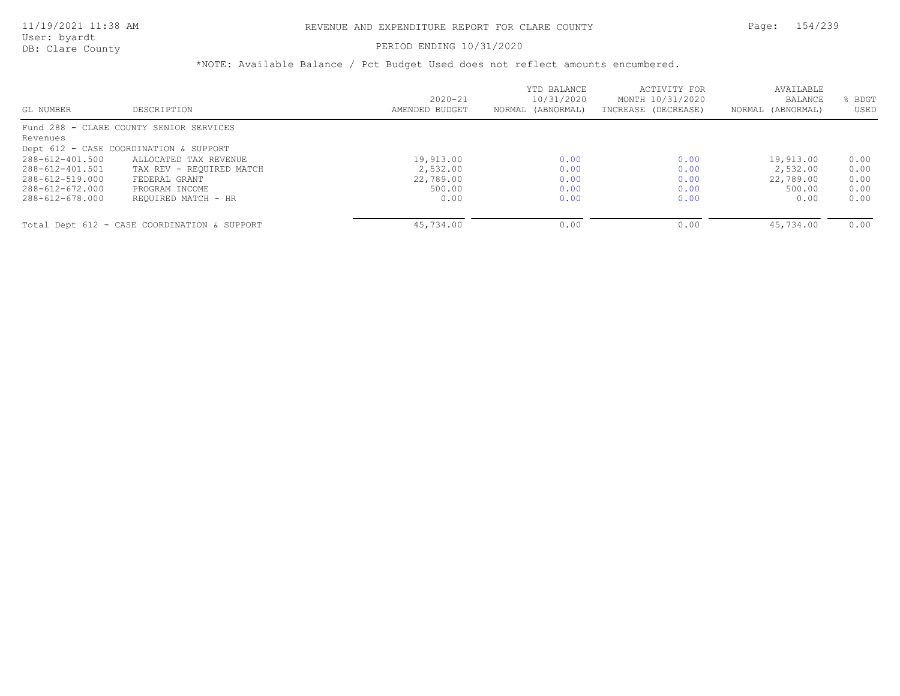## PERIOD ENDING 10/31/2020

|                 |                                              |                | YTD BALANCE<br>10/31/2020 | ACTIVITY FOR<br>MONTH 10/31/2020 | AVAILABLE<br>BALANCE | BDGT |
|-----------------|----------------------------------------------|----------------|---------------------------|----------------------------------|----------------------|------|
|                 |                                              | $2020 - 21$    |                           |                                  |                      |      |
| GL NUMBER       | DESCRIPTION                                  | AMENDED BUDGET | NORMAL (ABNORMAL)         | INCREASE (DECREASE)              | NORMAL (ABNORMAL)    | USED |
|                 | Fund 288 - CLARE COUNTY SENIOR SERVICES      |                |                           |                                  |                      |      |
| Revenues        |                                              |                |                           |                                  |                      |      |
|                 | Dept 612 - CASE COORDINATION & SUPPORT       |                |                           |                                  |                      |      |
| 288-612-401.500 | ALLOCATED TAX REVENUE                        | 19,913.00      | 0.00                      | 0.00                             | 19,913.00            | 0.00 |
| 288-612-401.501 | TAX REV - REOUIRED MATCH                     | 2,532.00       | 0.00                      | 0.00                             | 2,532.00             | 0.00 |
| 288-612-519.000 | FEDERAL GRANT                                | 22,789.00      | 0.00                      | 0.00                             | 22,789.00            | 0.00 |
| 288-612-672.000 | PROGRAM INCOME                               | 500.00         | 0.00                      | 0.00                             | 500.00               | 0.00 |
| 288-612-678.000 | REOUIRED MATCH - HR                          | 0.00           | 0.00                      | 0.00                             | 0.00                 | 0.00 |
|                 |                                              |                |                           |                                  | 45,734.00            |      |
|                 | Total Dept 612 - CASE COORDINATION & SUPPORT | 45,734.00      | 0.00                      | 0.00                             |                      | 0.00 |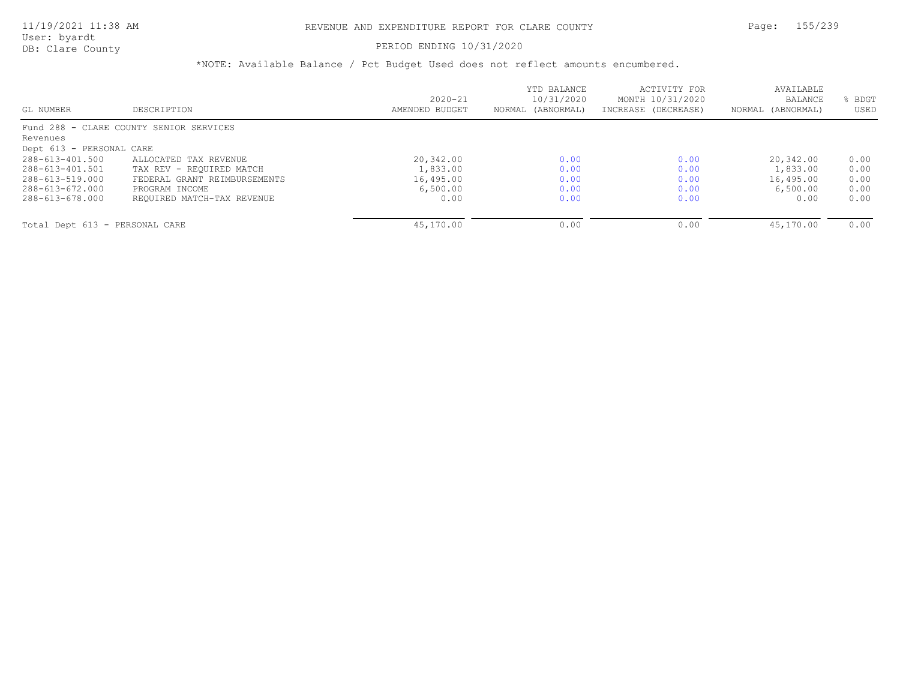### PERIOD ENDING 10/31/2020

|                                |                                         |                | YTD BALANCE       | ACTIVITY FOR        | AVAILABLE         |      |
|--------------------------------|-----------------------------------------|----------------|-------------------|---------------------|-------------------|------|
|                                |                                         | $2020 - 21$    | 10/31/2020        | MONTH 10/31/2020    | BALANCE           | BDGT |
| GL NUMBER                      | DESCRIPTION                             | AMENDED BUDGET | NORMAL (ABNORMAL) | INCREASE (DECREASE) | NORMAL (ABNORMAL) | USED |
|                                | Fund 288 - CLARE COUNTY SENIOR SERVICES |                |                   |                     |                   |      |
| Revenues                       |                                         |                |                   |                     |                   |      |
| Dept 613 - PERSONAL CARE       |                                         |                |                   |                     |                   |      |
| 288-613-401.500                | ALLOCATED TAX REVENUE                   | 20,342.00      | 0.00              | 0.00                | 20,342.00         | 0.00 |
| 288-613-401.501                | TAX REV - REOUIRED MATCH                | 1,833.00       | 0.00              | 0.00                | 1,833.00          | 0.00 |
| 288-613-519.000                | FEDERAL GRANT REIMBURSEMENTS            | 16,495.00      | 0.00              | 0.00                | 16,495.00         | 0.00 |
| 288-613-672.000                | PROGRAM INCOME                          | 6,500.00       | 0.00              | 0.00                | 6,500.00          | 0.00 |
| 288-613-678.000                | REQUIRED MATCH-TAX REVENUE              | 0.00           | 0.00              | 0.00                | 0.00              | 0.00 |
| Total Dept 613 - PERSONAL CARE |                                         | 45,170.00      | 0.00              | 0.00                | 45,170.00         | 0.00 |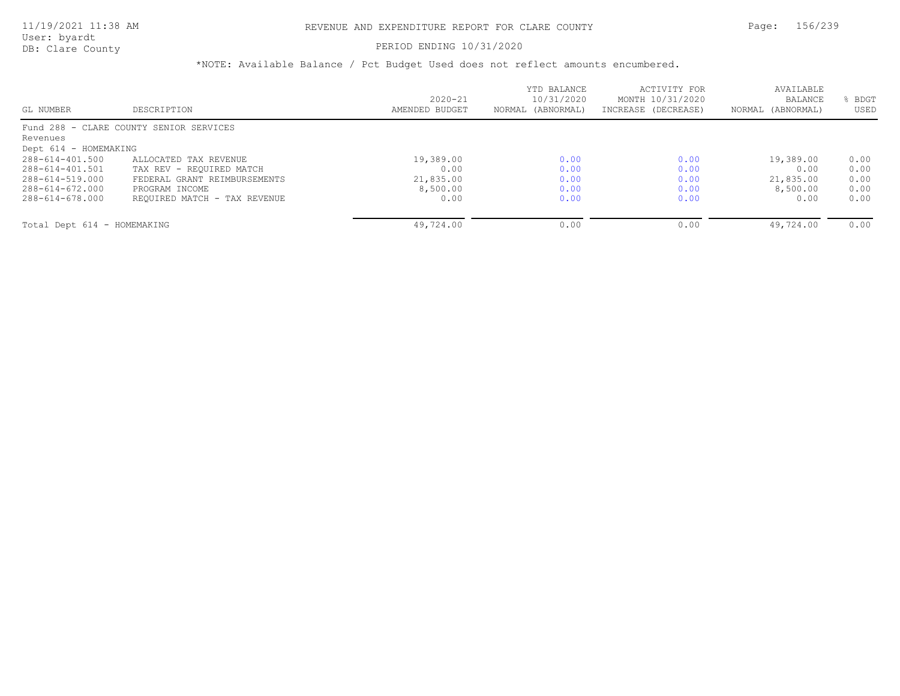### PERIOD ENDING 10/31/2020

|                             |                                         |                | YTD BALANCE       | ACTIVITY FOR        | AVAILABLE         |      |
|-----------------------------|-----------------------------------------|----------------|-------------------|---------------------|-------------------|------|
|                             |                                         | $2020 - 21$    | 10/31/2020        | MONTH 10/31/2020    | <b>BALANCE</b>    | BDGT |
| GL NUMBER                   | DESCRIPTION                             | AMENDED BUDGET | NORMAL (ABNORMAL) | INCREASE (DECREASE) | NORMAL (ABNORMAL) | USED |
|                             | Fund 288 - CLARE COUNTY SENIOR SERVICES |                |                   |                     |                   |      |
| Revenues                    |                                         |                |                   |                     |                   |      |
| Dept 614 - HOMEMAKING       |                                         |                |                   |                     |                   |      |
| 288-614-401.500             | ALLOCATED TAX REVENUE                   | 19,389.00      | 0.00              | 0.00                | 19,389.00         | 0.00 |
| 288-614-401.501             | TAX REV - REOUIRED MATCH                | 0.00           | 0.00              | 0.00                | 0.00              | 0.00 |
| 288-614-519.000             | FEDERAL GRANT REIMBURSEMENTS            | 21,835.00      | 0.00              | 0.00                | 21,835.00         | 0.00 |
| 288-614-672.000             | PROGRAM INCOME                          | 8,500.00       | 0.00              | 0.00                | 8,500.00          | 0.00 |
| 288-614-678.000             | REQUIRED MATCH - TAX REVENUE            | 0.00           | 0.00              | 0.00                | 0.00              | 0.00 |
|                             |                                         |                |                   |                     |                   |      |
| Total Dept 614 - HOMEMAKING |                                         | 49,724.00      | 0.00              | 0.00                | 49,724.00         | 0.00 |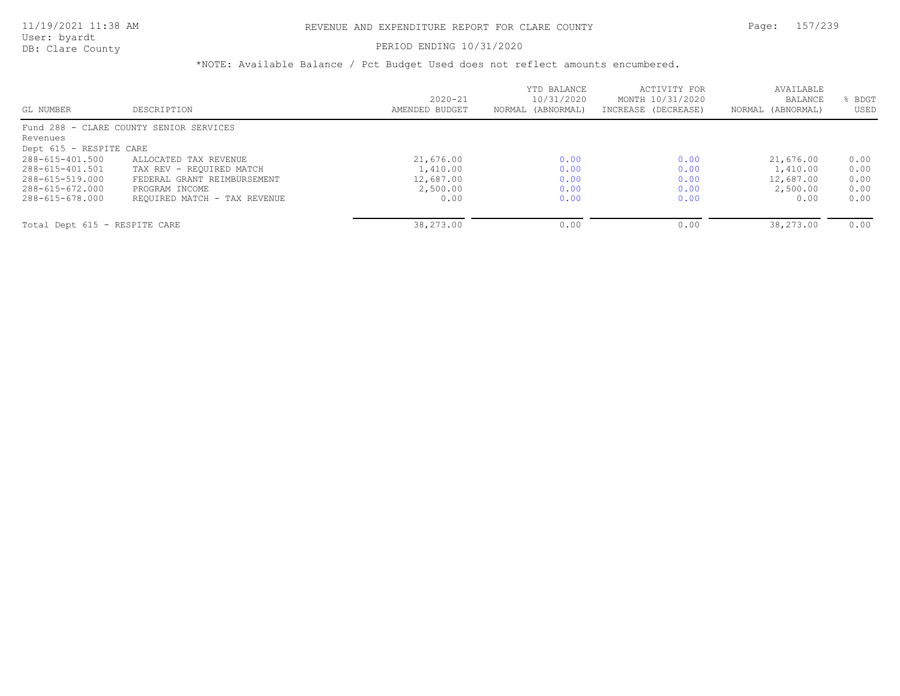### PERIOD ENDING 10/31/2020

|                                         |                               | YTD BALANCE<br>10/31/2020 | ACTIVITY FOR<br>MONTH 10/31/2020 | AVAILABLE<br><b>BALANCE</b> | BDGT |
|-----------------------------------------|-------------------------------|---------------------------|----------------------------------|-----------------------------|------|
|                                         |                               |                           |                                  |                             |      |
| DESCRIPTION                             | AMENDED BUDGET                | NORMAL (ABNORMAL)         | INCREASE (DECREASE)              | NORMAL (ABNORMAL)           | USED |
| Fund 288 - CLARE COUNTY SENIOR SERVICES |                               |                           |                                  |                             |      |
|                                         |                               |                           |                                  |                             |      |
| Dept 615 - RESPITE CARE                 |                               |                           |                                  |                             |      |
| ALLOCATED TAX REVENUE                   | 21,676.00                     | 0.00                      | 0.00                             | 21,676.00                   | 0.00 |
| TAX REV - REOUIRED MATCH                | 1,410.00                      | 0.00                      | 0.00                             | 1,410.00                    | 0.00 |
| FEDERAL GRANT REIMBURSEMENT             | 12,687.00                     | 0.00                      | 0.00                             | 12,687.00                   | 0.00 |
| PROGRAM INCOME                          | 2,500.00                      | 0.00                      | 0.00                             | 2,500.00                    | 0.00 |
| REQUIRED MATCH - TAX REVENUE            | 0.00                          | 0.00                      | 0.00                             | 0.00                        | 0.00 |
|                                         |                               |                           |                                  | 38,273.00                   | 0.00 |
|                                         | Total Dept 615 - RESPITE CARE | $2020 - 21$<br>38,273.00  | 0.00                             | 0.00                        |      |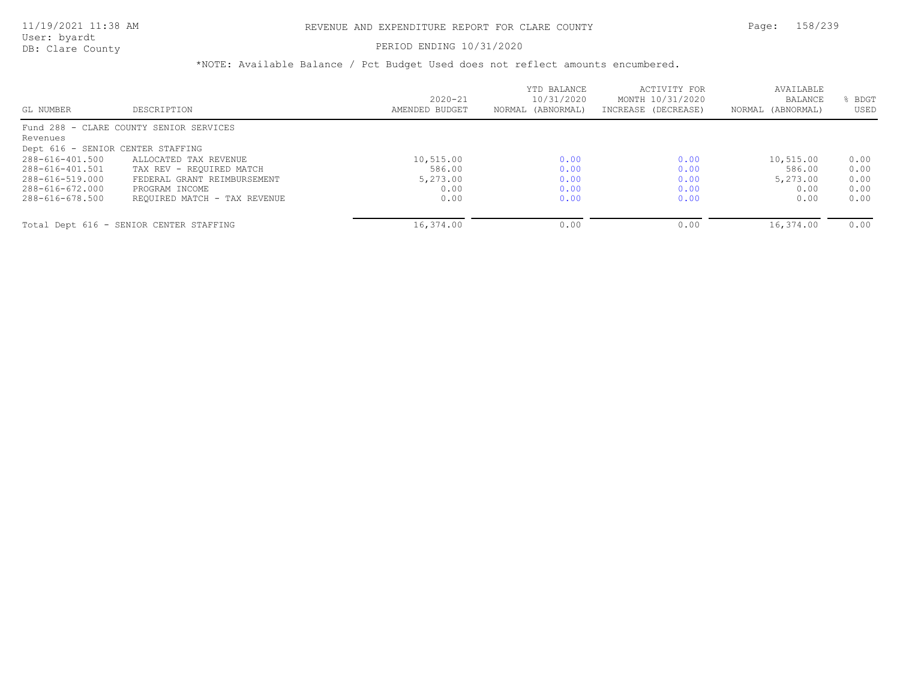### PERIOD ENDING 10/31/2020

|                                   |                                         | $2020 - 21$    | YTD BALANCE<br>10/31/2020 | ACTIVITY FOR<br>MONTH 10/31/2020 | AVAILABLE<br><b>BALANCE</b> | BDGT |
|-----------------------------------|-----------------------------------------|----------------|---------------------------|----------------------------------|-----------------------------|------|
| GL NUMBER                         | DESCRIPTION                             | AMENDED BUDGET | NORMAL (ABNORMAL)         | INCREASE (DECREASE)              | NORMAL (ABNORMAL)           | USED |
|                                   | Fund 288 - CLARE COUNTY SENIOR SERVICES |                |                           |                                  |                             |      |
| Revenues                          |                                         |                |                           |                                  |                             |      |
| Dept 616 - SENIOR CENTER STAFFING |                                         |                |                           |                                  |                             |      |
| 288-616-401.500                   | ALLOCATED TAX REVENUE                   | 10,515.00      | 0.00                      | 0.00                             | 10,515.00                   | 0.00 |
| 288-616-401.501                   | TAX REV - REOUIRED MATCH                | 586.00         | 0.00                      | 0.00                             | 586.00                      | 0.00 |
| 288-616-519.000                   | FEDERAL GRANT REIMBURSEMENT             | 5,273.00       | 0.00                      | 0.00                             | 5,273.00                    | 0.00 |
| 288-616-672.000                   | PROGRAM INCOME                          | 0.00           | 0.00                      | 0.00                             | 0.00                        | 0.00 |
| 288-616-678.500                   | REQUIRED MATCH - TAX REVENUE            | 0.00           | 0.00                      | 0.00                             | 0.00                        | 0.00 |
|                                   | Total Dept 616 - SENIOR CENTER STAFFING | 16,374.00      | 0.00                      | 0.00                             | 16,374.00                   | 0.00 |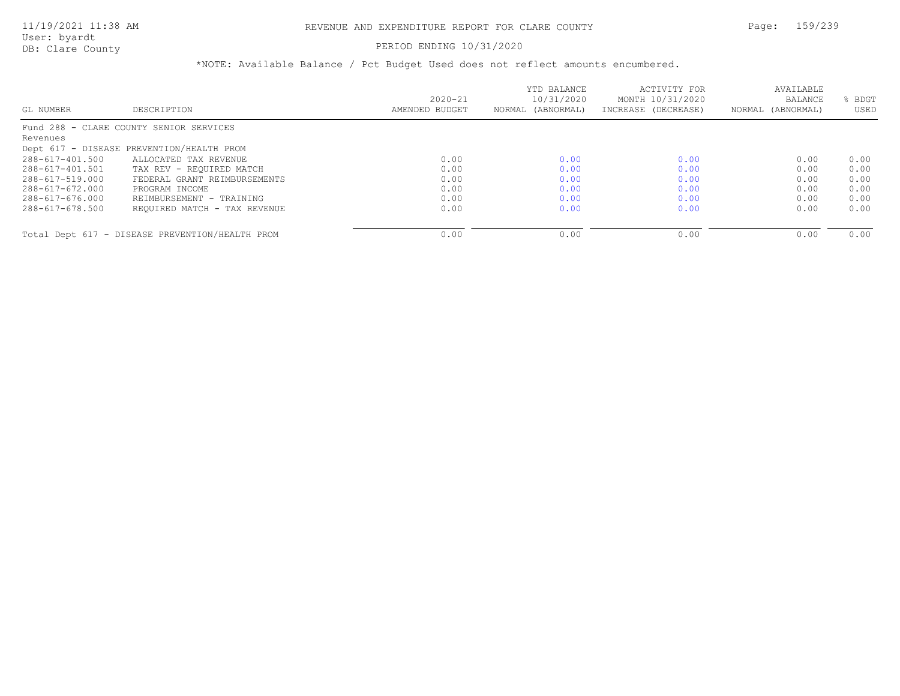#### PERIOD ENDING 10/31/2020

|                 |                                                 | $2020 - 21$    | YTD BALANCE<br>10/31/2020 | ACTIVITY FOR<br>MONTH 10/31/2020 | AVAILABLE<br>BALANCE | BDGT |
|-----------------|-------------------------------------------------|----------------|---------------------------|----------------------------------|----------------------|------|
| GL NUMBER       | DESCRIPTION                                     | AMENDED BUDGET | NORMAL (ABNORMAL)         | INCREASE (DECREASE)              | NORMAL (ABNORMAL)    | USED |
|                 | Fund 288 - CLARE COUNTY SENIOR SERVICES         |                |                           |                                  |                      |      |
| Revenues        |                                                 |                |                           |                                  |                      |      |
|                 | Dept 617 - DISEASE PREVENTION/HEALTH PROM       |                |                           |                                  |                      |      |
| 288-617-401.500 | ALLOCATED TAX REVENUE                           | 0.00           | 0.00                      | 0.00                             | 0.00                 | 0.00 |
| 288-617-401.501 | TAX REV - REOUIRED MATCH                        | 0.00           | 0.00                      | 0.00                             | 0.00                 | 0.00 |
| 288-617-519.000 | FEDERAL GRANT REIMBURSEMENTS                    | 0.00           | 0.00                      | 0.00                             | 0.00                 | 0.00 |
| 288-617-672.000 | PROGRAM INCOME                                  | 0.00           | 0.00                      | 0.00                             | 0.00                 | 0.00 |
| 288-617-676.000 | REIMBURSEMENT - TRAINING                        | 0.00           | 0.00                      | 0.00                             | 0.00                 | 0.00 |
| 288-617-678.500 | REQUIRED MATCH - TAX REVENUE                    | 0.00           | 0.00                      | 0.00                             | 0.00                 | 0.00 |
|                 |                                                 |                |                           |                                  |                      |      |
|                 | Total Dept 617 - DISEASE PREVENTION/HEALTH PROM | 0.00           | 0.00                      | 0.00                             | 0.00                 | 0.00 |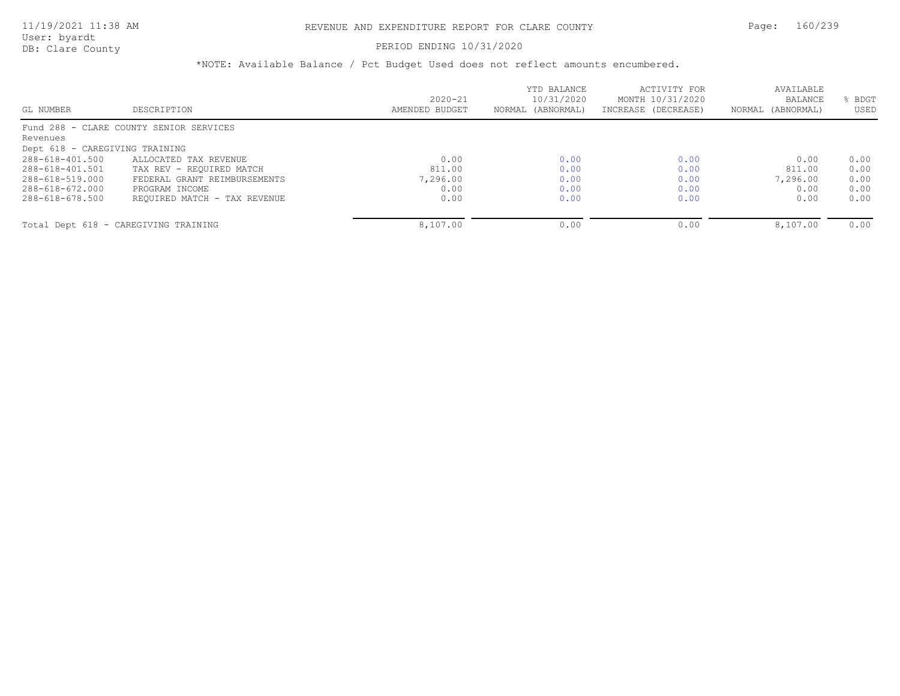#### PERIOD ENDING 10/31/2020

|                                |                                         |                               | YTD BALANCE                     | ACTIVITY FOR                            | AVAILABLE<br><b>BALANCE</b> | BDGT |
|--------------------------------|-----------------------------------------|-------------------------------|---------------------------------|-----------------------------------------|-----------------------------|------|
| GL NUMBER                      | DESCRIPTION                             | $2020 - 21$<br>AMENDED BUDGET | 10/31/2020<br>NORMAL (ABNORMAL) | MONTH 10/31/2020<br>INCREASE (DECREASE) | NORMAL (ABNORMAL)           | USED |
|                                | Fund 288 - CLARE COUNTY SENIOR SERVICES |                               |                                 |                                         |                             |      |
| Revenues                       |                                         |                               |                                 |                                         |                             |      |
| Dept 618 - CAREGIVING TRAINING |                                         |                               |                                 |                                         |                             |      |
| 288-618-401.500                | ALLOCATED TAX REVENUE                   | 0.00                          | 0.00                            | 0.00                                    | 0.00                        | 0.00 |
| 288-618-401.501                | TAX REV - REOUIRED MATCH                | 811.00                        | 0.00                            | 0.00                                    | 811.00                      | 0.00 |
| 288-618-519.000                | FEDERAL GRANT REIMBURSEMENTS            | 7,296.00                      | 0.00                            | 0.00                                    | 7,296.00                    | 0.00 |
| 288-618-672.000                | PROGRAM INCOME                          | 0.00                          | 0.00                            | 0.00                                    | 0.00                        | 0.00 |
| 288-618-678.500                | REQUIRED MATCH - TAX REVENUE            | 0.00                          | 0.00                            | 0.00                                    | 0.00                        | 0.00 |
|                                | Total Dept 618 - CAREGIVING TRAINING    | 8,107.00                      | 0.00                            | 0.00                                    | 8,107.00                    | 0.00 |
|                                |                                         |                               |                                 |                                         |                             |      |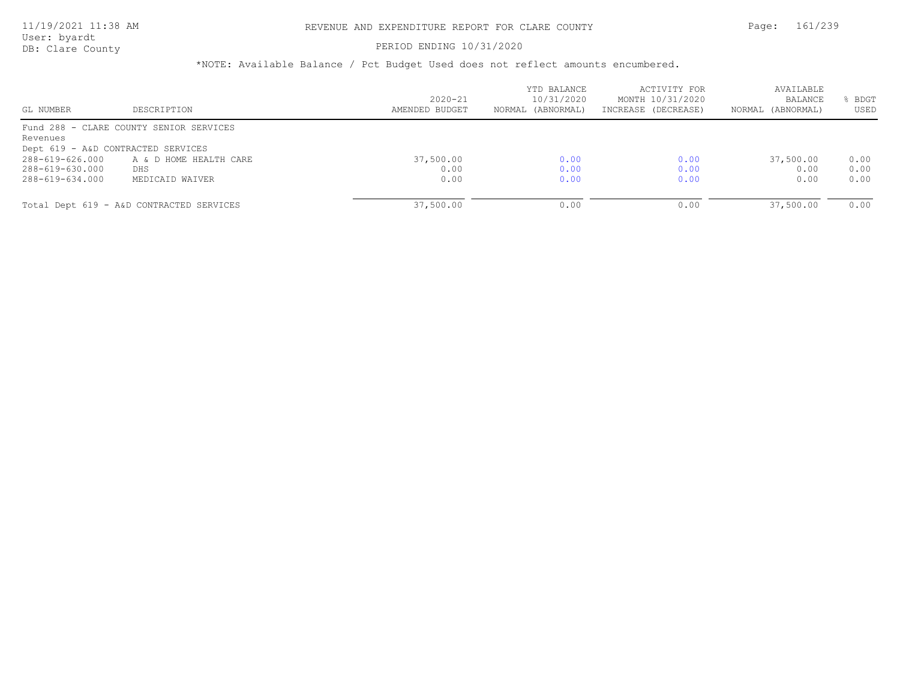### PERIOD ENDING 10/31/2020

| GL NUMBER                          | DESCRIPTION                              | $2020 - 21$<br>AMENDED BUDGET | YTD BALANCE<br>10/31/2020<br>NORMAL (ABNORMAL) | ACTIVITY FOR<br>MONTH 10/31/2020<br>INCREASE (DECREASE) | AVAILABLE<br>BALANCE<br>NORMAL (ABNORMAL) | BDGT<br>USED |
|------------------------------------|------------------------------------------|-------------------------------|------------------------------------------------|---------------------------------------------------------|-------------------------------------------|--------------|
|                                    | Fund 288 - CLARE COUNTY SENIOR SERVICES  |                               |                                                |                                                         |                                           |              |
| Revenues                           |                                          |                               |                                                |                                                         |                                           |              |
| Dept 619 - A&D CONTRACTED SERVICES |                                          |                               |                                                |                                                         |                                           |              |
| 288-619-626.000                    | A & D HOME HEALTH CARE                   | 37,500.00                     | 0.00                                           | 0.00                                                    | 37,500.00                                 | 0.00         |
| 288-619-630.000                    | DHS                                      | 0.00                          | 0.00                                           | 0.00                                                    | 0.00                                      | 0.00         |
| 288-619-634.000                    | MEDICAID WAIVER                          | 0.00                          | 0.00                                           | 0.00                                                    | 0.00                                      | 0.00         |
|                                    |                                          |                               |                                                |                                                         |                                           |              |
|                                    | Total Dept 619 - A&D CONTRACTED SERVICES | 37,500.00                     | 0.00                                           | 0.00                                                    | 37,500.00                                 | 0.00         |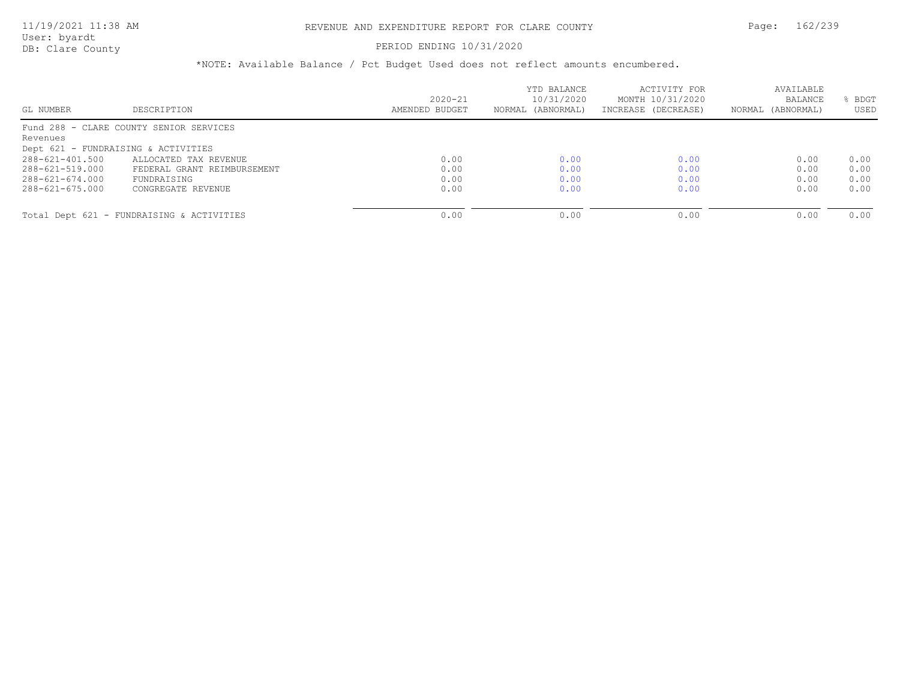### PERIOD ENDING 10/31/2020

| GL NUMBER             | DESCRIPTION                               | $2020 - 21$<br>AMENDED BUDGET | YTD BALANCE<br>10/31/2020<br>NORMAL (ABNORMAL) | ACTIVITY FOR<br>MONTH 10/31/2020<br>INCREASE (DECREASE) | AVAILABLE<br><b>BALANCE</b><br>NORMAL (ABNORMAL) | BDGT<br>USED |
|-----------------------|-------------------------------------------|-------------------------------|------------------------------------------------|---------------------------------------------------------|--------------------------------------------------|--------------|
|                       | Fund 288 - CLARE COUNTY SENIOR SERVICES   |                               |                                                |                                                         |                                                  |              |
| Revenues              |                                           |                               |                                                |                                                         |                                                  |              |
|                       | Dept 621 - FUNDRAISING & ACTIVITIES       |                               |                                                |                                                         |                                                  |              |
| $288 - 621 - 401.500$ | ALLOCATED TAX REVENUE                     | 0.00                          | 0.00                                           | 0.00                                                    | 0.00                                             | 0.00         |
| 288-621-519.000       | FEDERAL GRANT REIMBURSEMENT               | 0.00                          | 0.00                                           | 0.00                                                    | 0.00                                             | 0.00         |
| $288 - 621 - 674.000$ | FUNDRAISING                               | 0.00                          | 0.00                                           | 0.00                                                    | 0.00                                             | 0.00         |
| 288-621-675.000       | CONGREGATE REVENUE                        | 0.00                          | 0.00                                           | 0.00                                                    | 0.00                                             | 0.00         |
|                       | Total Dept 621 - FUNDRAISING & ACTIVITIES | 0.00                          | 0.00                                           | 0.00                                                    | 0.00                                             | 0.00         |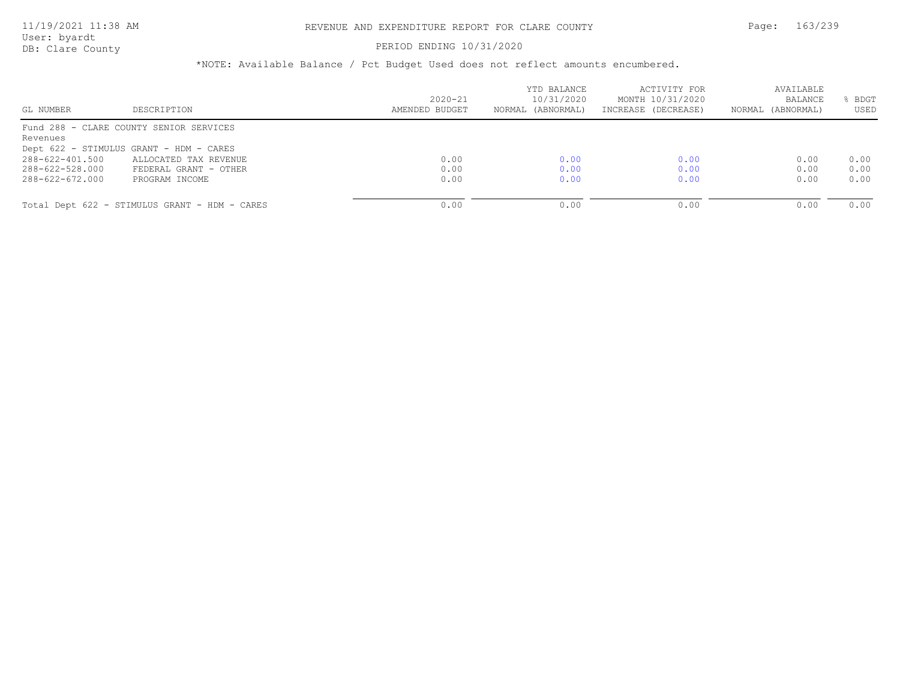#### PERIOD ENDING 10/31/2020

| GL NUMBER       | DESCRIPTION                                   | $2020 - 21$<br>AMENDED BUDGET | YTD BALANCE<br>10/31/2020<br>NORMAL (ABNORMAL) | ACTIVITY FOR<br>MONTH 10/31/2020<br>INCREASE (DECREASE) | AVAILABLE<br>BALANCE<br>NORMAL (ABNORMAL) | BDGT<br>USED |
|-----------------|-----------------------------------------------|-------------------------------|------------------------------------------------|---------------------------------------------------------|-------------------------------------------|--------------|
|                 | Fund 288 - CLARE COUNTY SENIOR SERVICES       |                               |                                                |                                                         |                                           |              |
| Revenues        |                                               |                               |                                                |                                                         |                                           |              |
|                 | Dept 622 - STIMULUS GRANT - HDM - CARES       |                               |                                                |                                                         |                                           |              |
| 288-622-401.500 | ALLOCATED TAX REVENUE                         | 0.00                          | 0.00                                           | 0.00                                                    | 0.00                                      | 0.00         |
| 288-622-528.000 | FEDERAL GRANT - OTHER                         | 0.00                          | 0.00                                           | 0.00                                                    | 0.00                                      | 0.00         |
| 288-622-672.000 | PROGRAM INCOME                                | 0.00                          | 0.00                                           | 0.00                                                    | 0.00                                      | 0.00         |
|                 |                                               |                               |                                                |                                                         |                                           |              |
|                 | Total Dept 622 - STIMULUS GRANT - HDM - CARES | 0.00                          | 0.00                                           | 0.00                                                    | 0.00                                      | 0.00         |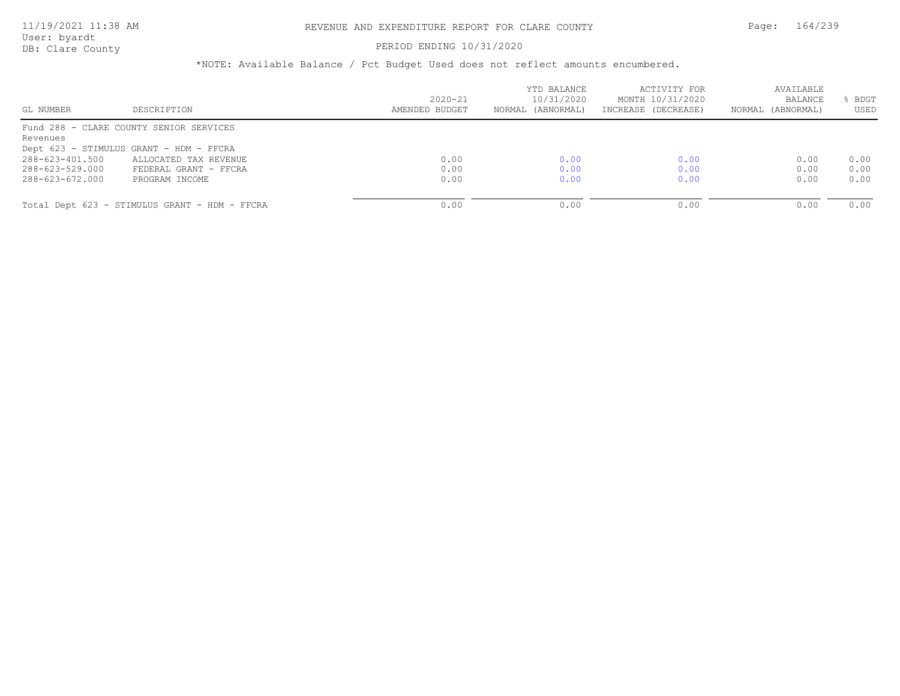#### DB: Clare County PERIOD ENDING 10/31/2020

| GL NUMBER       | DESCRIPTION                                   | $2020 - 21$<br>AMENDED BUDGET | YTD BALANCE<br>10/31/2020<br>NORMAL (ABNORMAL) | ACTIVITY FOR<br>MONTH 10/31/2020<br>INCREASE (DECREASE) | AVAILABLE<br>BALANCE<br>NORMAL (ABNORMAL) | BDGT<br>USED |
|-----------------|-----------------------------------------------|-------------------------------|------------------------------------------------|---------------------------------------------------------|-------------------------------------------|--------------|
|                 | Fund 288 - CLARE COUNTY SENIOR SERVICES       |                               |                                                |                                                         |                                           |              |
| Revenues        |                                               |                               |                                                |                                                         |                                           |              |
|                 | Dept 623 - STIMULUS GRANT - HDM - FFCRA       |                               |                                                |                                                         |                                           |              |
| 288-623-401.500 | ALLOCATED TAX REVENUE                         | 0.00                          | 0.00                                           | 0.00                                                    | 0.00                                      | 0.00         |
| 288-623-529.000 | FEDERAL GRANT - FFCRA                         | 0.00                          | 0.00                                           | 0.00                                                    | 0.00                                      | 0.00         |
| 288-623-672.000 | PROGRAM INCOME                                | 0.00                          | 0.00                                           | 0.00                                                    | 0.00                                      | 0.00         |
|                 |                                               |                               |                                                |                                                         |                                           |              |
|                 | Total Dept 623 - STIMULUS GRANT - HDM - FFCRA | 0.00                          | 0.00                                           | 0.00                                                    | 0.00                                      | 0.00         |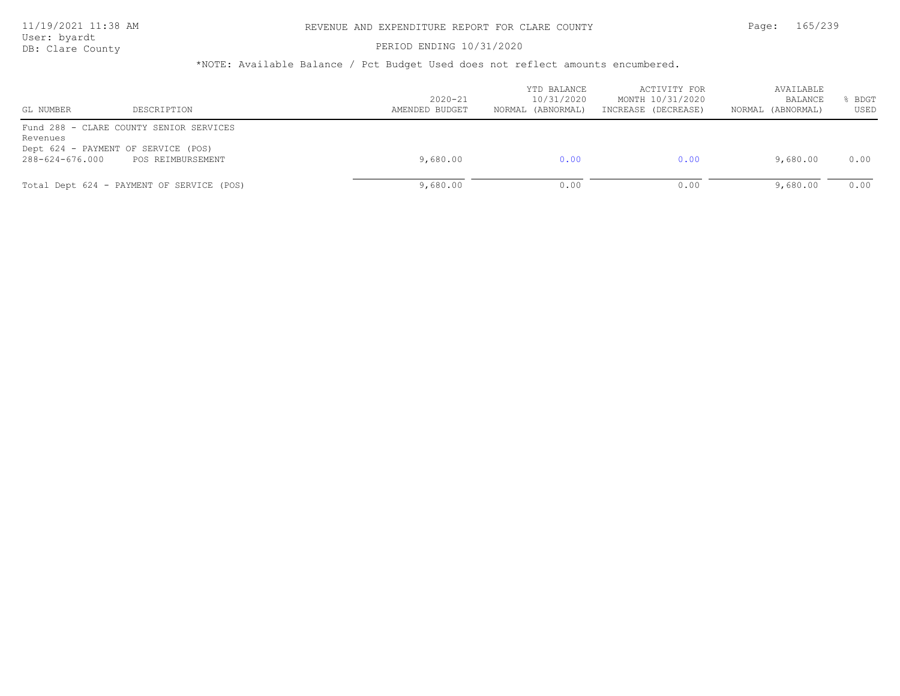### PERIOD ENDING 10/31/2020

| GL NUMBER                                                          | DESCRIPTION                                                  | $2020 - 21$<br>AMENDED BUDGET | YTD BALANCE<br>10/31/2020<br>NORMAL (ABNORMAL) | ACTIVITY FOR<br>MONTH 10/31/2020<br>INCREASE (DECREASE) | AVAILABLE<br>BALANCE<br>NORMAL (ABNORMAL) | BDGT<br>USED |
|--------------------------------------------------------------------|--------------------------------------------------------------|-------------------------------|------------------------------------------------|---------------------------------------------------------|-------------------------------------------|--------------|
| Revenues<br>Dept 624 - PAYMENT OF SERVICE (POS)<br>288-624-676.000 | Fund 288 - CLARE COUNTY SENIOR SERVICES<br>POS REIMBURSEMENT | 9,680.00                      | 0.00                                           | 0.00                                                    | 9,680.00                                  | 0.00         |
|                                                                    | Total Dept 624 - PAYMENT OF SERVICE (POS)                    | 9,680.00                      | 0.00                                           | 0.00                                                    | 9,680.00                                  | 0.00         |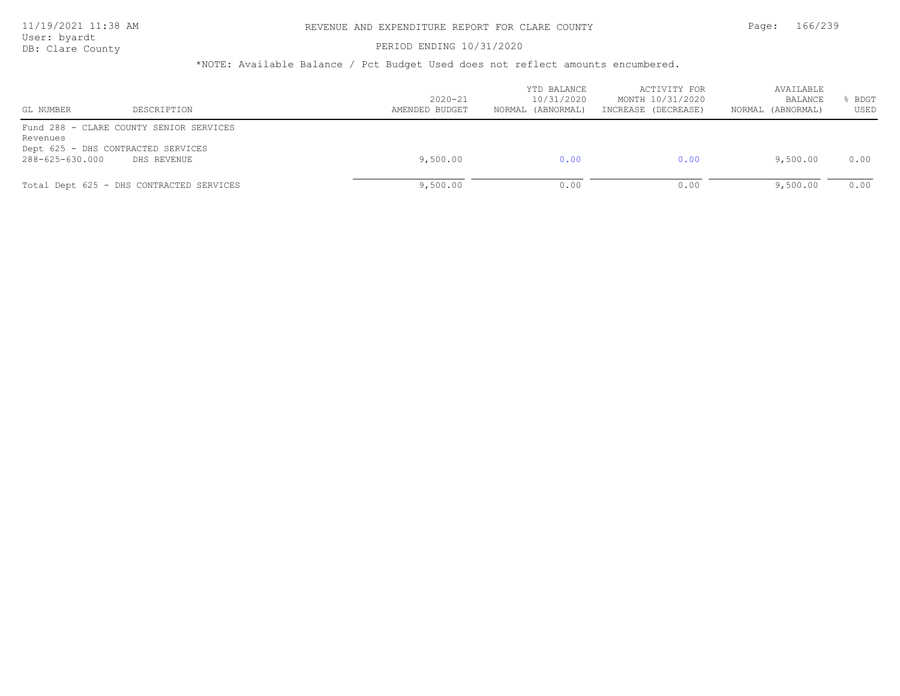### PERIOD ENDING 10/31/2020

| GL NUMBER                                                                                 | DESCRIPTION | $2020 - 21$<br>AMENDED BUDGET | YTD BALANCE<br>10/31/2020<br>NORMAL (ABNORMAL) | ACTIVITY FOR<br>MONTH 10/31/2020<br>INCREASE (DECREASE) | AVAILABLE<br>BALANCE<br>NORMAL (ABNORMAL) | BDGT<br>USED |
|-------------------------------------------------------------------------------------------|-------------|-------------------------------|------------------------------------------------|---------------------------------------------------------|-------------------------------------------|--------------|
| Fund 288 - CLARE COUNTY SENIOR SERVICES<br>Revenues<br>Dept 625 - DHS CONTRACTED SERVICES |             |                               |                                                |                                                         |                                           |              |
| 288-625-630.000                                                                           | DHS REVENUE | 9,500.00                      | 0.00                                           | 0.00                                                    | 9,500.00                                  | 0.00         |
| Total Dept 625 - DHS CONTRACTED SERVICES                                                  |             | 9,500.00                      | 0.00                                           | 0.00                                                    | 9,500.00                                  | 0.00         |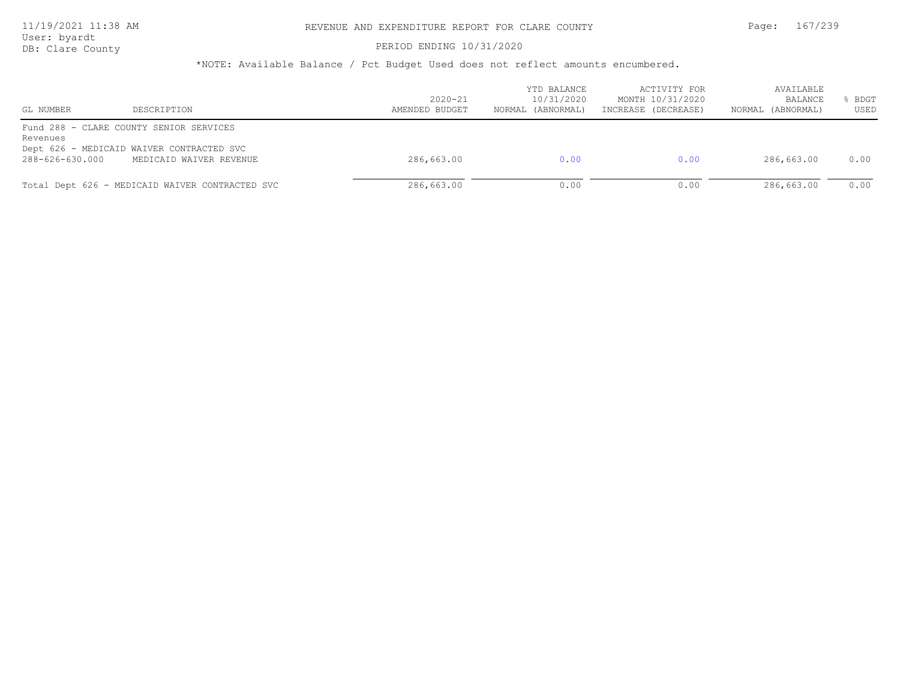User: byardt

# DB: Clare County **PERIOD ENDING 10/31/2020**

| DESCRIPTION<br>GL NUMBER                            | $2020 - 21$<br>AMENDED BUDGET | YTD BALANCE<br>10/31/2020<br>NORMAL (ABNORMAL) | ACTIVITY FOR<br>MONTH 10/31/2020<br>INCREASE (DECREASE) | AVAILABLE<br>BALANCE<br>(ABNORMAL)<br>NORMAL | BDGT<br>USED |
|-----------------------------------------------------|-------------------------------|------------------------------------------------|---------------------------------------------------------|----------------------------------------------|--------------|
| Fund 288 - CLARE COUNTY SENIOR SERVICES<br>Revenues |                               |                                                |                                                         |                                              |              |
| Dept 626 - MEDICAID WAIVER CONTRACTED SVC           |                               |                                                |                                                         |                                              |              |
| 288-626-630.000<br>MEDICAID WAIVER REVENUE          | 286,663.00                    | 0.00                                           | 0.00                                                    | 286,663.00                                   | 0.00         |
| Total Dept 626 - MEDICAID WAIVER CONTRACTED SVC     | 286,663.00                    | 0.00                                           | 0.00                                                    | 286,663.00                                   | 0.00         |
|                                                     |                               |                                                |                                                         |                                              |              |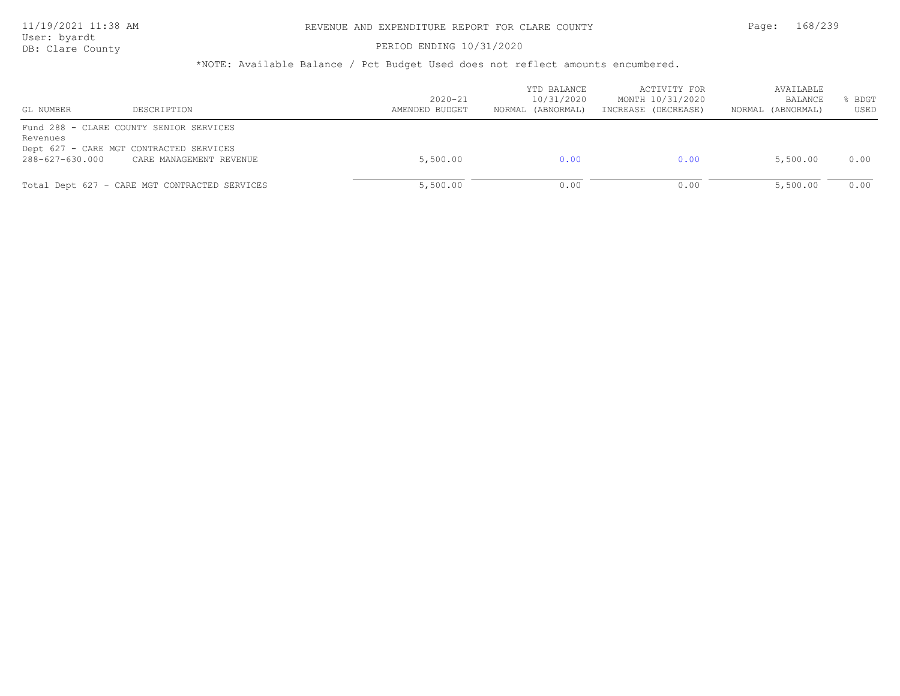DB: Clare County **PERIOD ENDING 10/31/2020** 

| GL NUMBER                   | DESCRIPTION                                                                                                   | $2020 - 21$<br>AMENDED BUDGET | YTD BALANCE<br>10/31/2020<br>NORMAL (ABNORMAL) | ACTIVITY FOR<br>MONTH 10/31/2020<br>INCREASE (DECREASE) | AVAILABLE<br>BALANCE<br>NORMAL (ABNORMAL) | BDGT<br>USED |
|-----------------------------|---------------------------------------------------------------------------------------------------------------|-------------------------------|------------------------------------------------|---------------------------------------------------------|-------------------------------------------|--------------|
| Revenues<br>288-627-630.000 | Fund 288 - CLARE COUNTY SENIOR SERVICES<br>Dept 627 - CARE MGT CONTRACTED SERVICES<br>CARE MANAGEMENT REVENUE | 5,500.00                      | 0.00                                           | 0.00                                                    | 5,500.00                                  | 0.00         |
|                             | Total Dept 627 - CARE MGT CONTRACTED SERVICES                                                                 | 5,500.00                      | 0.00                                           | 0.00                                                    | 5,500.00                                  | 0.00         |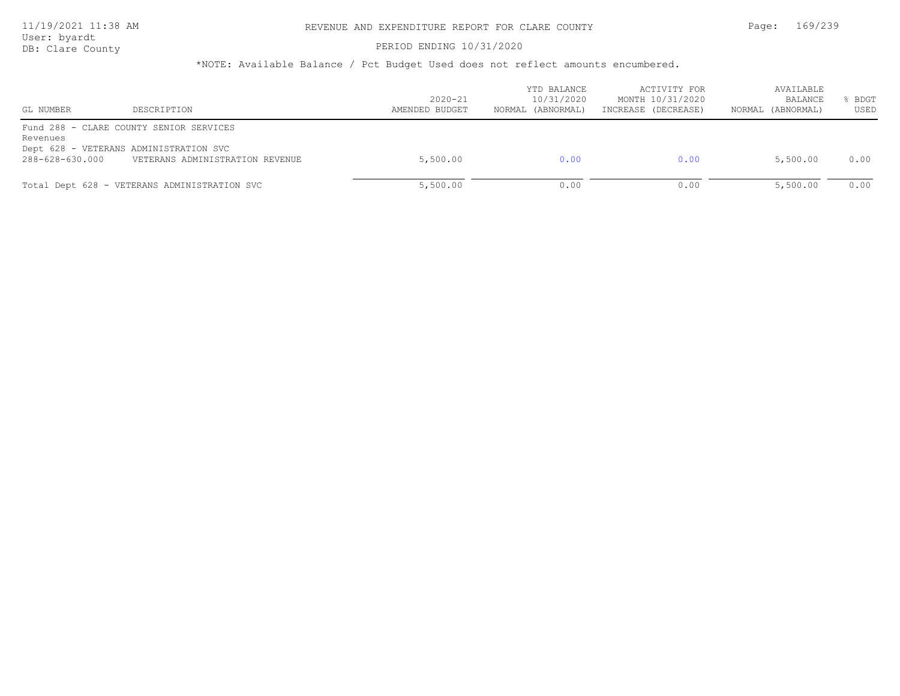#### PERIOD ENDING 10/31/2020

| GL NUMBER       | DESCRIPTION                                  | $2020 - 21$<br>AMENDED BUDGET | YTD BALANCE<br>10/31/2020<br>NORMAL (ABNORMAL) | ACTIVITY FOR<br>MONTH 10/31/2020<br>INCREASE (DECREASE) | AVAILABLE<br>BALANCE<br>NORMAL (ABNORMAL) | BDGT<br>USED |
|-----------------|----------------------------------------------|-------------------------------|------------------------------------------------|---------------------------------------------------------|-------------------------------------------|--------------|
| Revenues        | Fund 288 - CLARE COUNTY SENIOR SERVICES      |                               |                                                |                                                         |                                           |              |
|                 | Dept 628 - VETERANS ADMINISTRATION SVC       |                               |                                                |                                                         |                                           |              |
| 288-628-630.000 | VETERANS ADMINISTRATION REVENUE              | 5,500.00                      | 0.00                                           | 0.00                                                    | 5,500.00                                  | 0.00         |
|                 | Total Dept 628 - VETERANS ADMINISTRATION SVC | 5,500.00                      | 0.00                                           | 0.00                                                    | 5,500.00                                  | 0.00         |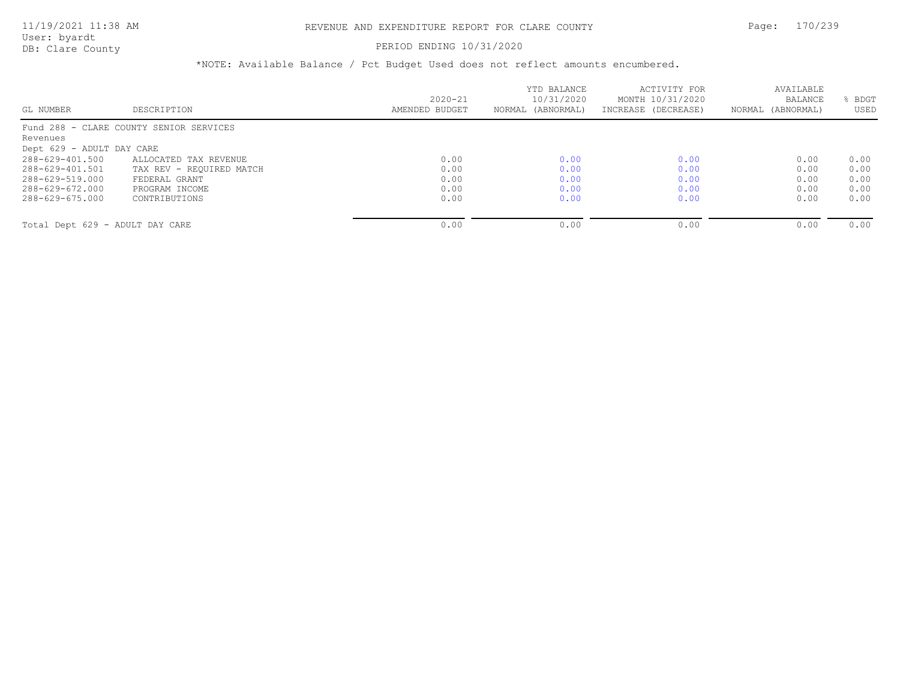User: byardt

# DB: Clare County **PERIOD ENDING 10/31/2020**

| GL NUMBER                       | DESCRIPTION                             | $2020 - 21$<br>AMENDED BUDGET | YTD BALANCE<br>10/31/2020<br>NORMAL (ABNORMAL) | ACTIVITY FOR<br>MONTH 10/31/2020<br>INCREASE (DECREASE) | AVAILABLE<br>BALANCE<br>NORMAL (ABNORMAL) | BDGT<br>USED |
|---------------------------------|-----------------------------------------|-------------------------------|------------------------------------------------|---------------------------------------------------------|-------------------------------------------|--------------|
|                                 | Fund 288 - CLARE COUNTY SENIOR SERVICES |                               |                                                |                                                         |                                           |              |
| Revenues                        |                                         |                               |                                                |                                                         |                                           |              |
| Dept 629 - ADULT DAY CARE       |                                         |                               |                                                |                                                         |                                           |              |
| 288-629-401.500                 | ALLOCATED TAX REVENUE                   | 0.00                          | 0.00                                           | 0.00                                                    | 0.00                                      | 0.00         |
| 288-629-401.501                 | TAX REV - REQUIRED MATCH                | 0.00                          | 0.00                                           | 0.00                                                    | 0.00                                      | 0.00         |
| 288-629-519.000                 | FEDERAL GRANT                           | 0.00                          | 0.00                                           | 0.00                                                    | 0.00                                      | 0.00         |
| 288-629-672.000                 | PROGRAM INCOME                          | 0.00                          | 0.00                                           | 0.00                                                    | 0.00                                      | 0.00         |
| 288-629-675.000                 | CONTRIBUTIONS                           | 0.00                          | 0.00                                           | 0.00                                                    | 0.00                                      | 0.00         |
|                                 |                                         |                               |                                                |                                                         |                                           |              |
| Total Dept 629 - ADULT DAY CARE |                                         | 0.00                          | 0.00                                           | 0.00                                                    | 0.00                                      | 0.00         |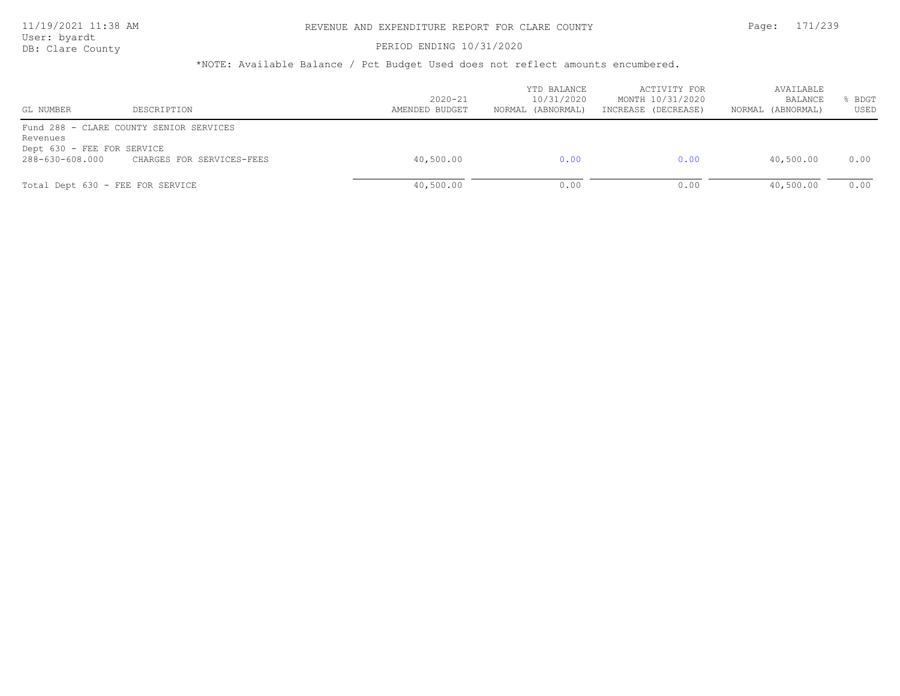User: byardt

# DB: Clare County **PERIOD ENDING 10/31/2020**

| GL NUMBER                                                 | DESCRIPTION                                                          | $2020 - 21$<br>AMENDED BUDGET | YTD BALANCE<br>10/31/2020<br>NORMAL (ABNORMAL) | ACTIVITY FOR<br>MONTH 10/31/2020<br>INCREASE (DECREASE) | AVAILABLE<br>BALANCE<br>(ABNORMAL)<br>NORMAL | BDGT<br>USED |
|-----------------------------------------------------------|----------------------------------------------------------------------|-------------------------------|------------------------------------------------|---------------------------------------------------------|----------------------------------------------|--------------|
| Revenues<br>Dept 630 - FEE FOR SERVICE<br>288-630-608.000 | Fund 288 - CLARE COUNTY SENIOR SERVICES<br>CHARGES FOR SERVICES-FEES | 40,500.00                     | 0.00                                           | 0.00                                                    | 40,500.00                                    | 0.00         |
| Total Dept 630 - FEE FOR SERVICE                          |                                                                      | 40,500.00                     | 0.00                                           | 0.00                                                    | 40,500.00                                    | 0.00         |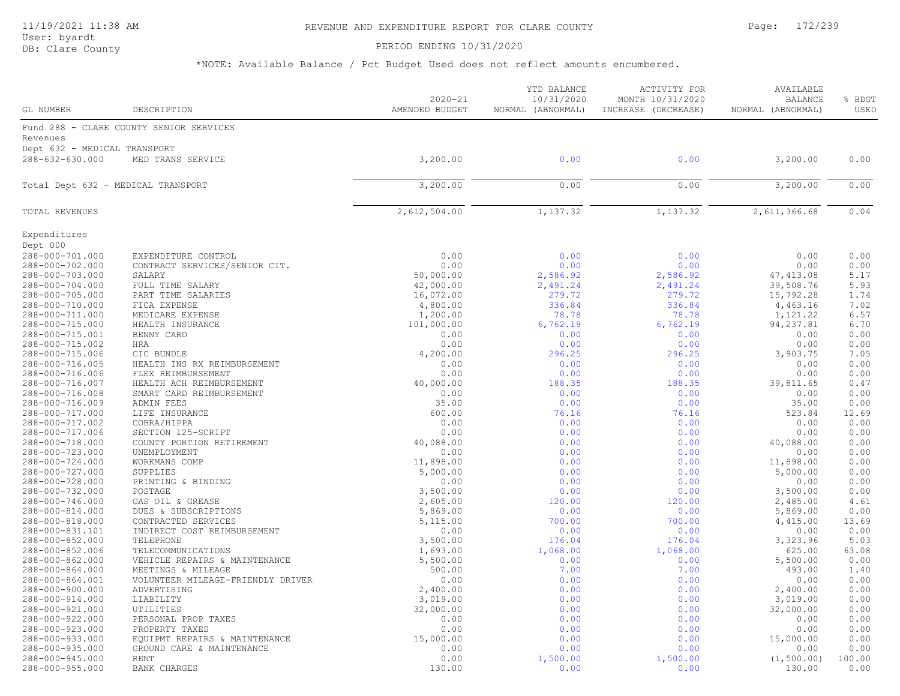PERIOD ENDING 10/31/2020

| GL NUMBER                          | DESCRIPTION                             | $2020 - 21$<br>AMENDED BUDGET | YTD BALANCE<br>10/31/2020<br>NORMAL (ABNORMAL) | ACTIVITY FOR<br>MONTH 10/31/2020<br>INCREASE (DECREASE) | AVAILABLE<br><b>BALANCE</b><br>NORMAL (ABNORMAL) | % BDGT<br>USED |
|------------------------------------|-----------------------------------------|-------------------------------|------------------------------------------------|---------------------------------------------------------|--------------------------------------------------|----------------|
|                                    | Fund 288 - CLARE COUNTY SENIOR SERVICES |                               |                                                |                                                         |                                                  |                |
| Revenues                           |                                         |                               |                                                |                                                         |                                                  |                |
| Dept 632 - MEDICAL TRANSPORT       |                                         |                               |                                                |                                                         |                                                  |                |
| 288-632-630.000                    | MED TRANS SERVICE                       | 3,200.00                      | 0.00                                           | 0.00                                                    | 3,200.00                                         | 0.00           |
|                                    |                                         |                               |                                                |                                                         |                                                  |                |
| Total Dept 632 - MEDICAL TRANSPORT |                                         | 3,200.00                      | 0.00                                           | 0.00                                                    | 3,200.00                                         | 0.00           |
|                                    |                                         |                               |                                                |                                                         |                                                  |                |
| <b>TOTAL REVENUES</b>              |                                         | 2,612,504.00                  | 1,137.32                                       | 1,137.32                                                | 2,611,366.68                                     | 0.04           |
| Expenditures                       |                                         |                               |                                                |                                                         |                                                  |                |
| Dept 000                           |                                         |                               |                                                |                                                         |                                                  |                |
| 288-000-701.000                    | EXPENDITURE CONTROL                     | 0.00                          | 0.00                                           | 0.00                                                    | 0.00                                             | 0.00           |
| 288-000-702.000<br>288-000-703.000 | CONTRACT SERVICES/SENIOR CIT.           | 0.00<br>50,000.00             | 0.00<br>2,586.92                               | 0.00<br>2,586.92                                        | 0.00<br>47, 413.08                               | 0.00<br>5.17   |
| 288-000-704.000                    | SALARY<br>FULL TIME SALARY              | 42,000.00                     | 2,491.24                                       | 2,491.24                                                | 39,508.76                                        | 5.93           |
| 288-000-705.000                    | PART TIME SALARIES                      | 16,072.00                     | 279.72                                         | 279.72                                                  | 15,792.28                                        | 1.74           |
| 288-000-710.000                    | FICA EXPENSE                            | 4,800.00                      | 336.84                                         | 336.84                                                  | 4,463.16                                         | 7.02           |
| 288-000-711.000                    | MEDICARE EXPENSE                        | 1,200.00                      | 78.78                                          | 78.78                                                   | 1,121.22                                         | 6.57           |
| 288-000-715.000                    | HEALTH INSURANCE                        | 101,000.00                    | 6,762.19                                       | 6,762.19                                                | 94, 237.81                                       | 6.70           |
| 288-000-715.001                    | BENNY CARD                              | 0.00                          | 0.00                                           | 0.00                                                    | 0.00                                             | 0.00           |
| 288-000-715.002                    | <b>HRA</b>                              | 0.00                          | 0.00                                           | 0.00                                                    | 0.00                                             | 0.00           |
| 288-000-715.006                    | CIC BUNDLE                              | 4,200.00                      | 296.25                                         | 296.25                                                  | 3,903.75                                         | 7.05           |
| 288-000-716.005                    | HEALTH INS RX REIMBURSEMENT             | 0.00                          | 0.00                                           | 0.00                                                    | 0.00                                             | 0.00           |
| 288-000-716.006                    | FLEX REIMBURSEMENT                      | 0.00                          | 0.00                                           | 0.00                                                    | 0.00                                             | 0.00           |
| 288-000-716.007                    | HEALTH ACH REIMBURSEMENT                | 40,000.00                     | 188.35                                         | 188.35                                                  | 39,811.65                                        | 0.47           |
| 288-000-716.008                    | SMART CARD REIMBURSEMENT                | 0.00                          | 0.00                                           | 0.00                                                    | 0.00                                             | 0.00           |
| 288-000-716.009                    | ADMIN FEES                              | 35.00                         | 0.00                                           | 0.00                                                    | 35.00                                            | 0.00           |
| 288-000-717.000                    | LIFE INSURANCE                          | 600.00                        | 76.16                                          | 76.16                                                   | 523.84                                           | 12.69          |
| 288-000-717.002                    | COBRA/HIPPA                             | 0.00                          | 0.00                                           | 0.00                                                    | 0.00                                             | 0.00           |
| 288-000-717.006                    | SECTION 125-SCRIPT                      | 0.00                          | 0.00                                           | 0.00                                                    | 0.00                                             | 0.00           |
| 288-000-718.000                    | COUNTY PORTION RETIREMENT               | 40,088.00                     | 0.00                                           | 0.00                                                    | 40,088.00                                        | 0.00           |
| 288-000-723.000                    | UNEMPLOYMENT                            | 0.00                          | 0.00                                           | 0.00                                                    | 0.00                                             | 0.00           |
| 288-000-724.000                    | WORKMANS COMP                           | 11,898.00                     | 0.00                                           | 0.00                                                    | 11,898.00                                        | 0.00           |
| 288-000-727.000                    | SUPPLIES                                | 5,000.00                      | 0.00                                           | 0.00                                                    | 5,000.00                                         | 0.00           |
| 288-000-728.000                    | PRINTING & BINDING                      | 0.00                          | 0.00<br>0.00                                   | 0.00                                                    | 0.00                                             | 0.00<br>0.00   |
| 288-000-732.000<br>288-000-746.000 | POSTAGE<br>GAS OIL & GREASE             | 3,500.00<br>2,605.00          | 120.00                                         | 0.00<br>120.00                                          | 3,500.00<br>2,485.00                             | 4.61           |
| 288-000-814.000                    | DUES & SUBSCRIPTIONS                    | 5,869.00                      | 0.00                                           | 0.00                                                    | 5,869.00                                         | 0.00           |
| 288-000-818.000                    | CONTRACTED SERVICES                     | 5,115.00                      | 700.00                                         | 700.00                                                  | 4,415.00                                         | 13.69          |
| 288-000-831.101                    | INDIRECT COST REIMBURSEMENT             | 0.00                          | 0.00                                           | 0.00                                                    | 0.00                                             | 0.00           |
| 288-000-852.000                    | TELEPHONE                               | 3,500.00                      | 176.04                                         | 176.04                                                  | 3,323.96                                         | 5.03           |
| 288-000-852.006                    | TELECOMMUNICATIONS                      | 1,693.00                      | 1,068.00                                       | 1,068.00                                                | 625.00                                           | 63.08          |
| 288-000-862.000                    | VEHICLE REPAIRS & MAINTENANCE           | 5,500.00                      | 0.00                                           | 0.00                                                    | 5,500.00                                         | 0.00           |
| 288-000-864.000                    | MEETINGS & MILEAGE                      | 500.00                        | 7.00                                           | 7.00                                                    | 493.00                                           | 1.40           |
| 288-000-864.001                    | VOLUNTEER MILEAGE-FRIENDLY DRIVER       | 0.00                          | 0.00                                           | 0.00                                                    | 0.00                                             | 0.00           |
| 288-000-900.000                    | ADVERTISING                             | 2,400.00                      | 0.00                                           | 0.00                                                    | 2,400.00                                         | 0.00           |
| 288-000-914.000                    | LIABILITY                               | 3,019.00                      | 0.00                                           | 0.00                                                    | 3,019.00                                         | 0.00           |
| 288-000-921.000                    | UTILITIES                               | 32,000.00                     | 0.00                                           | 0.00                                                    | 32,000.00                                        | 0.00           |
| 288-000-922.000                    | PERSONAL PROP TAXES                     | 0.00                          | 0.00                                           | 0.00                                                    | 0.00                                             | 0.00           |
| 288-000-923.000                    | PROPERTY TAXES                          | 0.00                          | 0.00                                           | 0.00                                                    | 0.00                                             | 0.00           |
| 288-000-933.000                    | EQUIPMT REPAIRS & MAINTENANCE           | 15,000.00                     | 0.00                                           | 0.00                                                    | 15,000.00                                        | 0.00           |
| 288-000-935.000                    | GROUND CARE & MAINTENANCE               | 0.00                          | 0.00                                           | 0.00                                                    | 0.00                                             | 0.00           |
| 288-000-945.000                    | <b>RENT</b>                             | 0.00                          | 1,500.00                                       | 1,500.00                                                | (1, 500.00)                                      | 100.00         |
| 288-000-955.000                    | <b>BANK CHARGES</b>                     | 130.00                        | 0.00                                           | 0.00                                                    | 130.00                                           | 0.00           |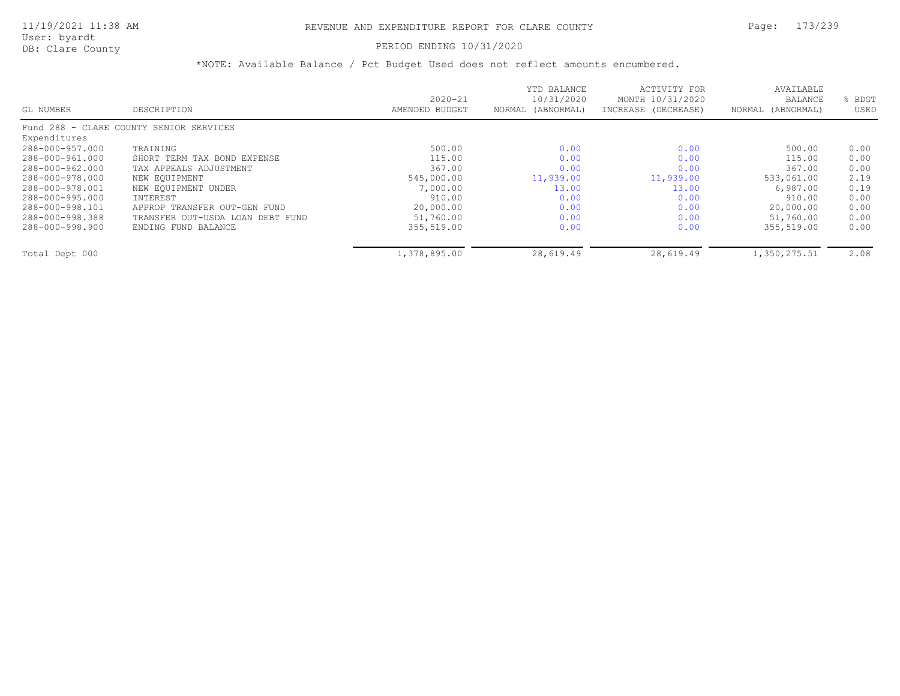### PERIOD ENDING 10/31/2020

|                 |                                         |                | YTD BALANCE          | ACTIVITY FOR        | AVAILABLE         |      |
|-----------------|-----------------------------------------|----------------|----------------------|---------------------|-------------------|------|
|                 |                                         | $2020 - 21$    | 10/31/2020           | MONTH 10/31/2020    | <b>BALANCE</b>    | BDGT |
| GL NUMBER       | DESCRIPTION                             | AMENDED BUDGET | (ABNORMAL)<br>NORMAL | INCREASE (DECREASE) | NORMAL (ABNORMAL) | USED |
|                 | Fund 288 - CLARE COUNTY SENIOR SERVICES |                |                      |                     |                   |      |
| Expenditures    |                                         |                |                      |                     |                   |      |
| 288-000-957.000 | TRAINING                                | 500.00         | 0.00                 | 0.00                | 500.00            | 0.00 |
| 288-000-961.000 | SHORT TERM TAX BOND EXPENSE             | 115.00         | 0.00                 | 0.00                | 115.00            | 0.00 |
| 288-000-962.000 | TAX APPEALS ADJUSTMENT                  | 367.00         | 0.00                 | 0.00                | 367.00            | 0.00 |
| 288-000-978.000 | NEW EQUIPMENT                           | 545,000.00     | 11,939.00            | 11,939.00           | 533,061.00        | 2.19 |
| 288-000-978.001 | NEW EOUIPMENT UNDER                     | 7,000.00       | 13.00                | 13.00               | 6,987.00          | 0.19 |
| 288-000-995.000 | INTEREST                                | 910.00         | 0.00                 | 0.00                | 910.00            | 0.00 |
| 288-000-998.101 | APPROP TRANSFER OUT-GEN FUND            | 20,000.00      | 0.00                 | 0.00                | 20,000.00         | 0.00 |
| 288-000-998.388 | TRANSFER OUT-USDA LOAN DEBT FUND        | 51,760.00      | 0.00                 | 0.00                | 51,760.00         | 0.00 |
| 288-000-998.900 | ENDING FUND BALANCE                     | 355,519.00     | 0.00                 | 0.00                | 355,519.00        | 0.00 |
| Total Dept 000  |                                         | 1,378,895.00   | 28,619.49            | 28,619.49           | 1,350,275.51      | 2.08 |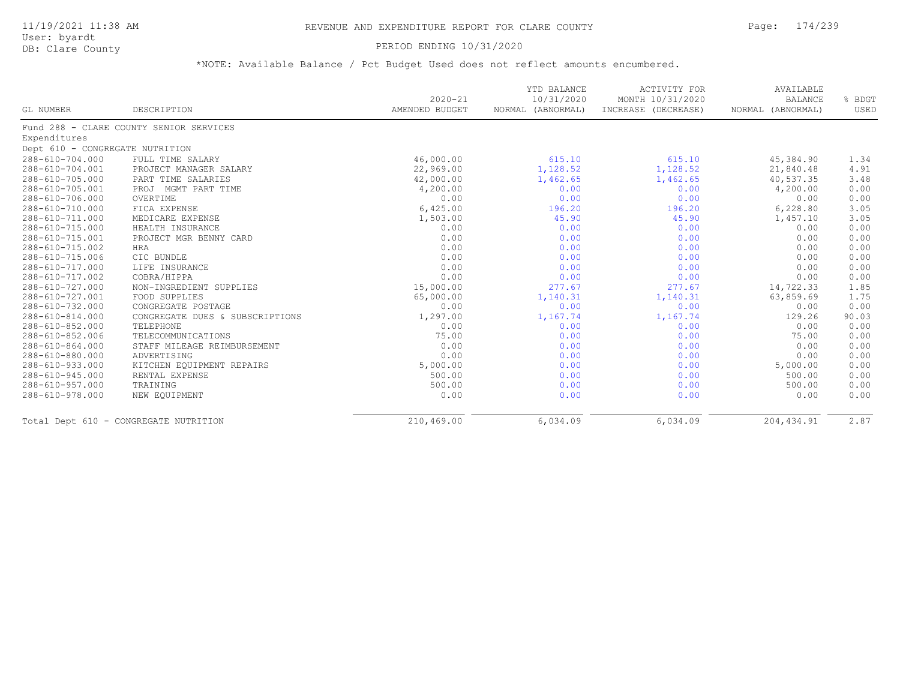User: byardt

# DB: Clare County **PERIOD ENDING 10/31/2020**

|                                 |                                         | $2020 - 21$    | YTD BALANCE<br>10/31/2020 | <b>ACTIVITY FOR</b><br>MONTH 10/31/2020 | AVAILABLE<br><b>BALANCE</b> | % BDGT |
|---------------------------------|-----------------------------------------|----------------|---------------------------|-----------------------------------------|-----------------------------|--------|
| GL NUMBER                       | DESCRIPTION                             | AMENDED BUDGET | NORMAL (ABNORMAL)         | INCREASE (DECREASE)                     | NORMAL (ABNORMAL)           | USED   |
|                                 | Fund 288 - CLARE COUNTY SENIOR SERVICES |                |                           |                                         |                             |        |
| Expenditures                    |                                         |                |                           |                                         |                             |        |
| Dept 610 - CONGREGATE NUTRITION |                                         |                |                           |                                         |                             |        |
| 288-610-704.000                 | FULL TIME SALARY                        | 46,000.00      | 615.10                    | 615.10                                  | 45,384.90                   | 1.34   |
| 288-610-704.001                 | PROJECT MANAGER SALARY                  | 22,969.00      | 1,128.52                  | 1,128.52                                | 21,840.48                   | 4.91   |
| 288-610-705.000                 | PART TIME SALARIES                      | 42,000.00      | 1,462.65                  | 1,462.65                                | 40,537.35                   | 3.48   |
| 288-610-705.001                 | PROJ MGMT PART TIME                     | 4,200.00       | 0.00                      | 0.00                                    | 4,200.00                    | 0.00   |
| 288-610-706.000                 | OVERTIME                                | 0.00           | 0.00                      | 0.00                                    | 0.00                        | 0.00   |
| 288-610-710.000                 | FICA EXPENSE                            | 6,425.00       | 196.20                    | 196.20                                  | 6,228.80                    | 3.05   |
| 288-610-711.000                 | MEDICARE EXPENSE                        | 1,503.00       | 45.90                     | 45.90                                   | 1,457.10                    | 3.05   |
| 288-610-715.000                 | HEALTH INSURANCE                        | 0.00           | 0.00                      | 0.00                                    | 0.00                        | 0.00   |
| 288-610-715.001                 | PROJECT MGR BENNY CARD                  | 0.00           | 0.00                      | 0.00                                    | 0.00                        | 0.00   |
| 288-610-715.002                 | <b>HRA</b>                              | 0.00           | 0.00                      | 0.00                                    | 0.00                        | 0.00   |
| 288-610-715.006                 | CIC BUNDLE                              | 0.00           | 0.00                      | 0.00                                    | 0.00                        | 0.00   |
| 288-610-717.000                 | LIFE INSURANCE                          | 0.00           | 0.00                      | 0.00                                    | 0.00                        | 0.00   |
| 288-610-717.002                 | COBRA/HIPPA                             | 0.00           | 0.00                      | 0.00                                    | 0.00                        | 0.00   |
| 288-610-727.000                 | NON-INGREDIENT SUPPLIES                 | 15,000.00      | 277.67                    | 277.67                                  | 14,722.33                   | 1.85   |
| 288-610-727.001                 | FOOD SUPPLIES                           | 65,000.00      | 1,140.31                  | 1,140.31                                | 63,859.69                   | 1.75   |
| 288-610-732.000                 | CONGREGATE POSTAGE                      | 0.00           | 0.00                      | 0.00                                    | 0.00                        | 0.00   |
| 288-610-814.000                 | CONGREGATE DUES & SUBSCRIPTIONS         | 1,297.00       | 1,167.74                  | 1,167.74                                | 129.26                      | 90.03  |
| 288-610-852.000                 | TELEPHONE                               | 0.00           | 0.00                      | 0.00                                    | 0.00                        | 0.00   |
| 288-610-852.006                 | TELECOMMUNICATIONS                      | 75.00          | 0.00                      | 0.00                                    | 75.00                       | 0.00   |
| 288-610-864.000                 | STAFF MILEAGE REIMBURSEMENT             | 0.00           | 0.00                      | 0.00                                    | 0.00                        | 0.00   |
| 288-610-880.000                 | ADVERTISING                             | 0.00           | 0.00                      | 0.00                                    | 0.00                        | 0.00   |
| 288-610-933.000                 | KITCHEN EQUIPMENT REPAIRS               | 5,000.00       | 0.00                      | 0.00                                    | 5,000.00                    | 0.00   |
| 288-610-945.000                 | RENTAL EXPENSE                          | 500.00         | 0.00                      | 0.00                                    | 500.00                      | 0.00   |
| 288-610-957.000                 | TRAINING                                | 500.00         | 0.00                      | 0.00                                    | 500.00                      | 0.00   |
| 288-610-978.000                 | NEW EQUIPMENT                           | 0.00           | 0.00                      | 0.00                                    | 0.00                        | 0.00   |
|                                 | Total Dept 610 - CONGREGATE NUTRITION   | 210,469.00     | 6,034.09                  | 6,034.09                                | 204, 434.91                 | 2.87   |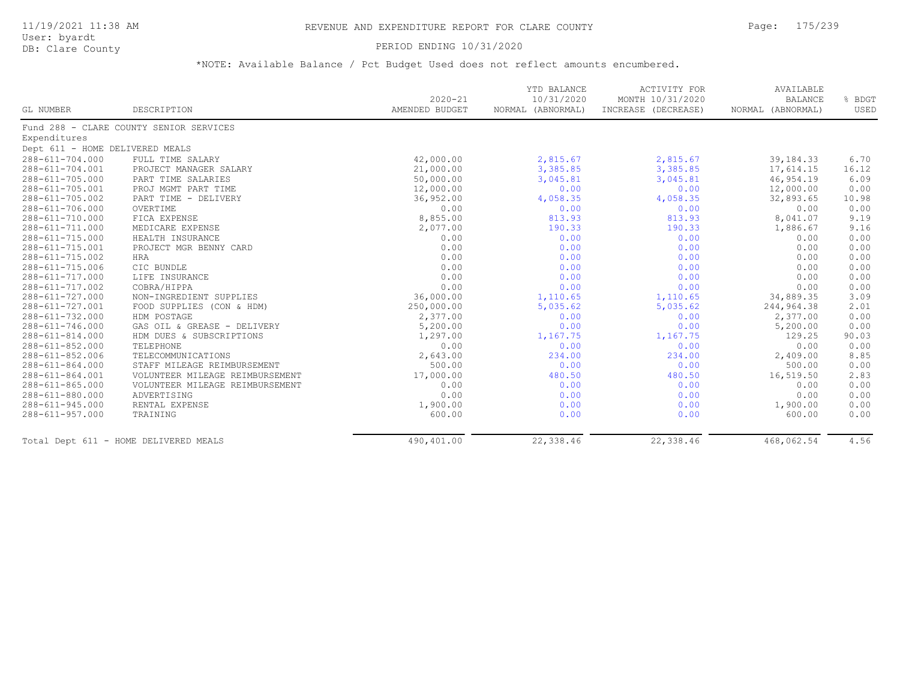### PERIOD ENDING 10/31/2020

|                                 |                                         | $2020 - 21$    | YTD BALANCE<br>10/31/2020 | <b>ACTIVITY FOR</b><br>MONTH 10/31/2020 | AVAILABLE<br><b>BALANCE</b> | % BDGT |
|---------------------------------|-----------------------------------------|----------------|---------------------------|-----------------------------------------|-----------------------------|--------|
| GL NUMBER                       | DESCRIPTION                             | AMENDED BUDGET | NORMAL (ABNORMAL)         | INCREASE (DECREASE)                     | NORMAL (ABNORMAL)           | USED   |
|                                 | Fund 288 - CLARE COUNTY SENIOR SERVICES |                |                           |                                         |                             |        |
| Expenditures                    |                                         |                |                           |                                         |                             |        |
| Dept 611 - HOME DELIVERED MEALS |                                         |                |                           |                                         |                             |        |
| 288-611-704.000                 | FULL TIME SALARY                        | 42,000.00      | 2,815.67                  | 2,815.67                                | 39, 184. 33                 | 6.70   |
| $288 - 611 - 704.001$           | PROJECT MANAGER SALARY                  | 21,000.00      | 3,385.85                  | 3,385.85                                | 17,614.15                   | 16.12  |
| 288-611-705.000                 | PART TIME SALARIES                      | 50,000.00      | 3,045.81                  | 3,045.81                                | 46,954.19                   | 6.09   |
| 288-611-705.001                 | PROJ MGMT PART TIME                     | 12,000.00      | 0.00                      | 0.00                                    | 12,000.00                   | 0.00   |
| 288-611-705.002                 | PART TIME - DELIVERY                    | 36,952.00      | 4,058.35                  | 4,058.35                                | 32,893.65                   | 10.98  |
| 288-611-706.000                 | OVERTIME                                | 0.00           | 0.00                      | 0.00                                    | 0.00                        | 0.00   |
| 288-611-710.000                 | FICA EXPENSE                            | 8,855.00       | 813.93                    | 813.93                                  | 8,041.07                    | 9.19   |
| 288-611-711.000                 | MEDICARE EXPENSE                        | 2,077.00       | 190.33                    | 190.33                                  | 1,886.67                    | 9.16   |
| 288-611-715.000                 | HEALTH INSURANCE                        | 0.00           | 0.00                      | 0.00                                    | 0.00                        | 0.00   |
| 288-611-715.001                 | PROJECT MGR BENNY CARD                  | 0.00           | 0.00                      | 0.00                                    | 0.00                        | 0.00   |
| 288-611-715.002                 | HRA                                     | 0.00           | 0.00                      | 0.00                                    | 0.00                        | 0.00   |
| 288-611-715.006                 | CIC BUNDLE                              | 0.00           | 0.00                      | 0.00                                    | 0.00                        | 0.00   |
| 288-611-717.000                 | LIFE INSURANCE                          | 0.00           | 0.00                      | 0.00                                    | 0.00                        | 0.00   |
| 288-611-717.002                 | COBRA/HIPPA                             | 0.00           | 0.00                      | 0.00                                    | 0.00                        | 0.00   |
| 288-611-727.000                 | NON-INGREDIENT SUPPLIES                 | 36,000.00      | 1,110.65                  | 1,110.65                                | 34,889.35                   | 3.09   |
| 288-611-727.001                 | FOOD SUPPLIES (CON & HDM)               | 250,000.00     | 5,035.62                  | 5,035.62                                | 244,964.38                  | 2.01   |
| 288-611-732.000                 | HDM POSTAGE                             | 2,377.00       | 0.00                      | 0.00                                    | 2,377.00                    | 0.00   |
| 288-611-746.000                 | GAS OIL & GREASE - DELIVERY             | 5,200.00       | 0.00                      | 0.00                                    | 5,200.00                    | 0.00   |
| 288-611-814.000                 | HDM DUES & SUBSCRIPTIONS                | 1,297.00       | 1,167.75                  | 1,167.75                                | 129.25                      | 90.03  |
| 288-611-852.000                 | TELEPHONE                               | 0.00           | 0.00                      | 0.00                                    | 0.00                        | 0.00   |
| 288-611-852.006                 | TELECOMMUNICATIONS                      | 2,643.00       | 234.00                    | 234.00                                  | 2,409.00                    | 8.85   |
| 288-611-864.000                 | STAFF MILEAGE REIMBURSEMENT             | 500.00         | 0.00                      | 0.00                                    | 500.00                      | 0.00   |
| 288-611-864.001                 | VOLUNTEER MILEAGE REIMBURSEMENT         | 17,000.00      | 480.50                    | 480.50                                  | 16,519.50                   | 2.83   |
| $288 - 611 - 865.000$           | VOLUNTEER MILEAGE REIMBURSEMENT         | 0.00           | 0.00                      | 0.00                                    | 0.00                        | 0.00   |
| 288-611-880.000                 | ADVERTISING                             | 0.00           | 0.00                      | 0.00                                    | 0.00                        | 0.00   |
| 288-611-945.000                 | RENTAL EXPENSE                          | 1,900.00       | 0.00                      | 0.00                                    | 1,900.00                    | 0.00   |
| 288-611-957.000                 | TRAINING                                | 600.00         | 0.00                      | 0.00                                    | 600.00                      | 0.00   |
|                                 | Total Dept 611 - HOME DELIVERED MEALS   | 490,401.00     | 22,338.46                 | 22,338.46                               | 468,062.54                  | 4.56   |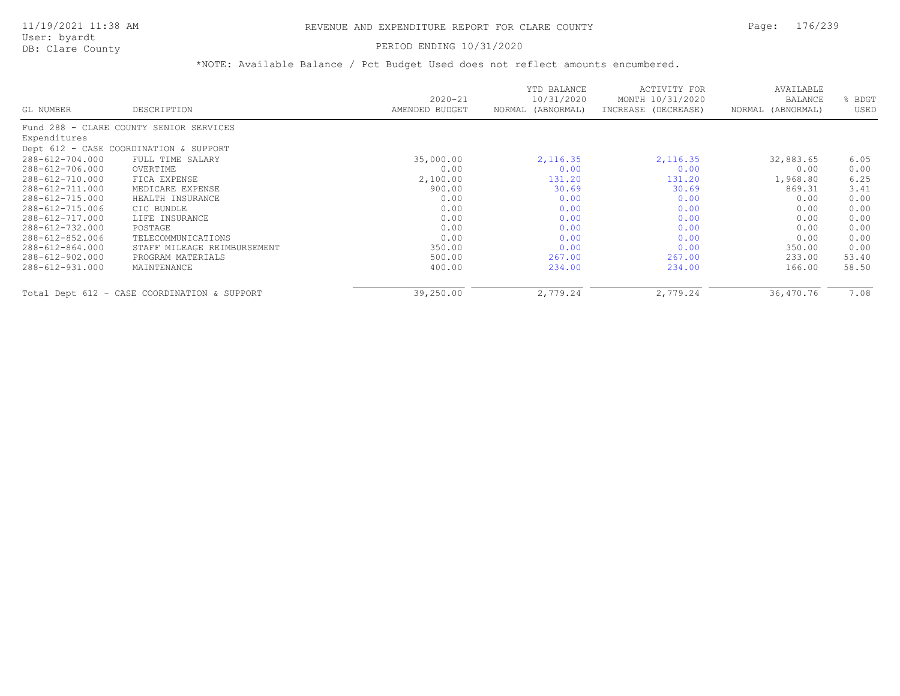## 11/19/2021 11:38 AM REVENUE AND EXPENDITURE REPORT FOR CLARE COUNTY Page: 176/239

User: byardt<br>DB: Clare County

#### PERIOD ENDING 10/31/2020

|                 |                                              | $2020 - 21$    | YTD BALANCE<br>10/31/2020 | ACTIVITY FOR<br>MONTH 10/31/2020 | AVAILABLE<br><b>BALANCE</b> | BDGT  |
|-----------------|----------------------------------------------|----------------|---------------------------|----------------------------------|-----------------------------|-------|
| GL NUMBER       | DESCRIPTION                                  | AMENDED BUDGET | (ABNORMAL)<br>NORMAL      | INCREASE (DECREASE)              | NORMAL (ABNORMAL)           | USED  |
|                 | Fund 288 - CLARE COUNTY SENIOR SERVICES      |                |                           |                                  |                             |       |
| Expenditures    |                                              |                |                           |                                  |                             |       |
|                 | Dept 612 - CASE COORDINATION & SUPPORT       |                |                           |                                  |                             |       |
| 288-612-704.000 | FULL TIME SALARY                             | 35,000.00      | 2, 116.35                 | 2,116.35                         | 32,883.65                   | 6.05  |
| 288-612-706.000 | OVERTIME                                     | 0.00           | 0.00                      | 0.00                             | 0.00                        | 0.00  |
| 288-612-710.000 | FICA EXPENSE                                 | 2,100.00       | 131.20                    | 131.20                           | 1,968.80                    | 6.25  |
| 288-612-711.000 | MEDICARE EXPENSE                             | 900.00         | 30.69                     | 30.69                            | 869.31                      | 3.41  |
| 288-612-715.000 | HEALTH INSURANCE                             | 0.00           | 0.00                      | 0.00                             | 0.00                        | 0.00  |
| 288-612-715.006 | CIC BUNDLE                                   | 0.00           | 0.00                      | 0.00                             | 0.00                        | 0.00  |
| 288-612-717.000 | LIFE INSURANCE                               | 0.00           | 0.00                      | 0.00                             | 0.00                        | 0.00  |
| 288-612-732.000 | POSTAGE                                      | 0.00           | 0.00                      | 0.00                             | 0.00                        | 0.00  |
| 288-612-852.006 | TELECOMMUNICATIONS                           | 0.00           | 0.00                      | 0.00                             | 0.00                        | 0.00  |
| 288-612-864.000 | STAFF MILEAGE REIMBURSEMENT                  | 350.00         | 0.00                      | 0.00                             | 350.00                      | 0.00  |
| 288-612-902.000 | PROGRAM MATERIALS                            | 500.00         | 267.00                    | 267.00                           | 233.00                      | 53.40 |
| 288-612-931.000 | MAINTENANCE                                  | 400.00         | 234.00                    | 234.00                           | 166.00                      | 58.50 |
|                 | Total Dept 612 - CASE COORDINATION & SUPPORT | 39,250.00      | 2,779.24                  | 2,779.24                         | 36,470.76                   | 7.08  |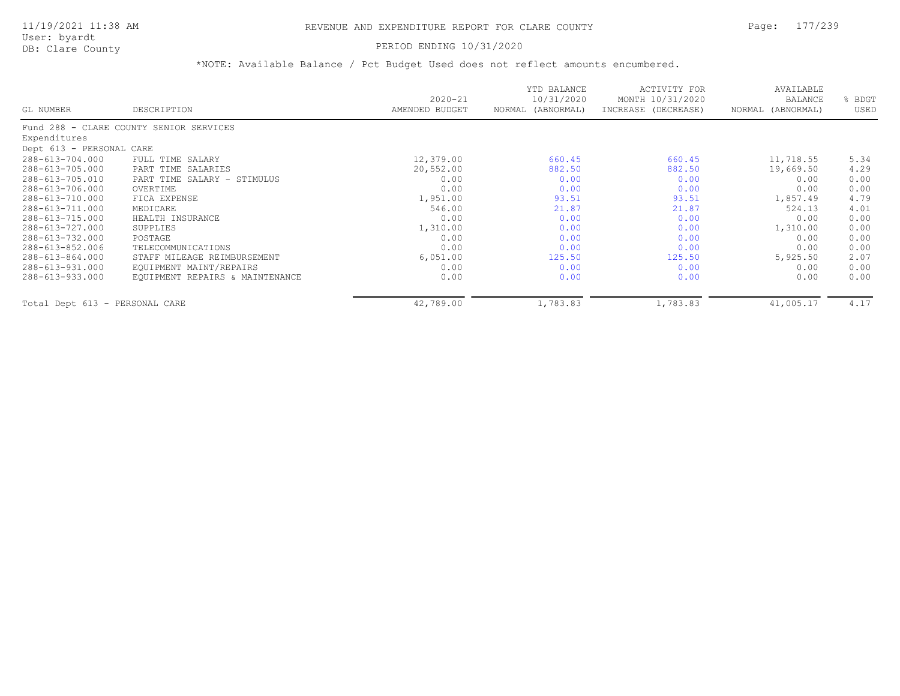### PERIOD ENDING 10/31/2020

| GL NUMBER                      | DESCRIPTION                             | $2020 - 21$<br>AMENDED BUDGET | YTD BALANCE<br>10/31/2020<br>NORMAL (ABNORMAL) | ACTIVITY FOR<br>MONTH 10/31/2020<br>INCREASE (DECREASE) | AVAILABLE<br><b>BALANCE</b><br>NORMAL (ABNORMAL) | BDGT<br>USED |
|--------------------------------|-----------------------------------------|-------------------------------|------------------------------------------------|---------------------------------------------------------|--------------------------------------------------|--------------|
|                                |                                         |                               |                                                |                                                         |                                                  |              |
|                                | Fund 288 - CLARE COUNTY SENIOR SERVICES |                               |                                                |                                                         |                                                  |              |
| Expenditures                   |                                         |                               |                                                |                                                         |                                                  |              |
| Dept 613 - PERSONAL CARE       |                                         |                               |                                                |                                                         |                                                  |              |
| 288-613-704.000                | FULL TIME SALARY                        | 12,379.00                     | 660.45                                         | 660.45                                                  | 11,718.55                                        | 5.34         |
| 288-613-705.000                | PART TIME SALARIES                      | 20,552.00                     | 882.50                                         | 882.50                                                  | 19,669.50                                        | 4.29         |
| 288-613-705.010                | PART TIME SALARY - STIMULUS             | 0.00                          | 0.00                                           | 0.00                                                    | 0.00                                             | 0.00         |
| 288-613-706.000                | OVERTIME                                | 0.00                          | 0.00                                           | 0.00                                                    | 0.00                                             | 0.00         |
| 288-613-710.000                | FICA EXPENSE                            | 1,951.00                      | 93.51                                          | 93.51                                                   | 1,857.49                                         | 4.79         |
| 288-613-711.000                | MEDICARE                                | 546.00                        | 21.87                                          | 21.87                                                   | 524.13                                           | 4.01         |
| 288-613-715.000                | HEALTH INSURANCE                        | 0.00                          | 0.00                                           | 0.00                                                    | 0.00                                             | 0.00         |
| 288-613-727.000                | SUPPLIES                                | 1,310.00                      | 0.00                                           | 0.00                                                    | 1,310.00                                         | 0.00         |
| 288-613-732.000                | POSTAGE                                 | 0.00                          | 0.00                                           | 0.00                                                    | 0.00                                             | 0.00         |
| 288-613-852.006                | TELECOMMUNICATIONS                      | 0.00                          | 0.00                                           | 0.00                                                    | 0.00                                             | 0.00         |
| 288-613-864.000                | STAFF MILEAGE REIMBURSEMENT             | 6,051.00                      | 125.50                                         | 125.50                                                  | 5,925.50                                         | 2.07         |
| 288-613-931.000                | EQUIPMENT MAINT/REPAIRS                 | 0.00                          | 0.00                                           | 0.00                                                    | 0.00                                             | 0.00         |
| 288-613-933.000                | EQUIPMENT REPAIRS & MAINTENANCE         | 0.00                          | 0.00                                           | 0.00                                                    | 0.00                                             | 0.00         |
| Total Dept 613 - PERSONAL CARE |                                         | 42,789.00                     | 1,783.83                                       | 1,783.83                                                | 41,005.17                                        | 4.17         |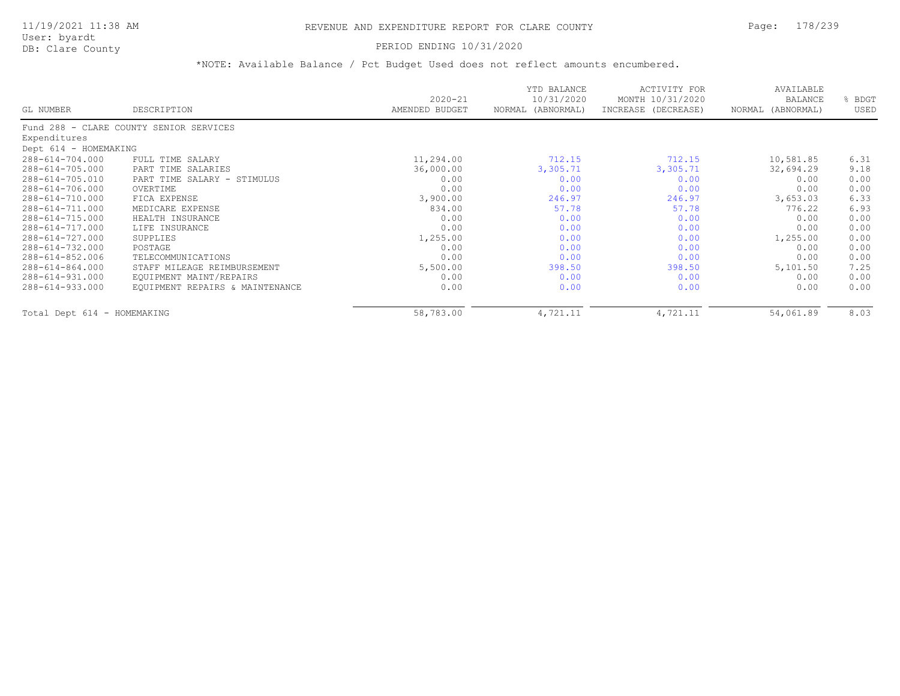### PERIOD ENDING 10/31/2020

| GL NUMBER                   | DESCRIPTION                             | $2020 - 21$<br>AMENDED BUDGET | YTD BALANCE<br>10/31/2020<br>NORMAL (ABNORMAL) | ACTIVITY FOR<br>MONTH 10/31/2020<br>INCREASE (DECREASE) | AVAILABLE<br>BALANCE<br>NORMAL (ABNORMAL) | BDGT<br>USED |
|-----------------------------|-----------------------------------------|-------------------------------|------------------------------------------------|---------------------------------------------------------|-------------------------------------------|--------------|
|                             | Fund 288 - CLARE COUNTY SENIOR SERVICES |                               |                                                |                                                         |                                           |              |
| Expenditures                |                                         |                               |                                                |                                                         |                                           |              |
| Dept 614 - HOMEMAKING       |                                         |                               |                                                |                                                         |                                           |              |
| 288-614-704.000             | FULL TIME SALARY                        | 11,294.00                     | 712.15                                         | 712.15                                                  | 10,581.85                                 | 6.31         |
| 288-614-705.000             | PART TIME SALARIES                      | 36,000.00                     | 3,305.71                                       | 3,305.71                                                | 32,694.29                                 | 9.18         |
| 288-614-705.010             | PART TIME SALARY - STIMULUS             | 0.00                          | 0.00                                           | 0.00                                                    | 0.00                                      | 0.00         |
| 288-614-706.000             | OVERTIME                                | 0.00                          | 0.00                                           | 0.00                                                    | 0.00                                      | 0.00         |
| 288-614-710.000             | FICA EXPENSE                            | 3,900.00                      | 246.97                                         | 246.97                                                  | 3,653.03                                  | 6.33         |
| 288-614-711.000             | MEDICARE EXPENSE                        | 834.00                        | 57.78                                          | 57.78                                                   | 776.22                                    | 6.93         |
| 288-614-715.000             | HEALTH INSURANCE                        | 0.00                          | 0.00                                           | 0.00                                                    | 0.00                                      | 0.00         |
| 288-614-717.000             | LIFE INSURANCE                          | 0.00                          | 0.00                                           | 0.00                                                    | 0.00                                      | 0.00         |
| 288-614-727.000             | SUPPLIES                                | 1,255.00                      | 0.00                                           | 0.00                                                    | 1,255.00                                  | 0.00         |
| 288-614-732.000             | POSTAGE                                 | 0.00                          | 0.00                                           | 0.00                                                    | 0.00                                      | 0.00         |
| 288-614-852.006             | TELECOMMUNICATIONS                      | 0.00                          | 0.00                                           | 0.00                                                    | 0.00                                      | 0.00         |
| 288-614-864.000             | STAFF MILEAGE REIMBURSEMENT             | 5,500.00                      | 398.50                                         | 398.50                                                  | 5,101.50                                  | 7.25         |
| 288-614-931.000             | EQUIPMENT MAINT/REPAIRS                 | 0.00                          | 0.00                                           | 0.00                                                    | 0.00                                      | 0.00         |
| 288-614-933.000             | EQUIPMENT REPAIRS & MAINTENANCE         | 0.00                          | 0.00                                           | 0.00                                                    | 0.00                                      | 0.00         |
| Total Dept 614 - HOMEMAKING |                                         | 58,783.00                     | 4,721.11                                       | 4,721.11                                                | 54,061.89                                 | 8.03         |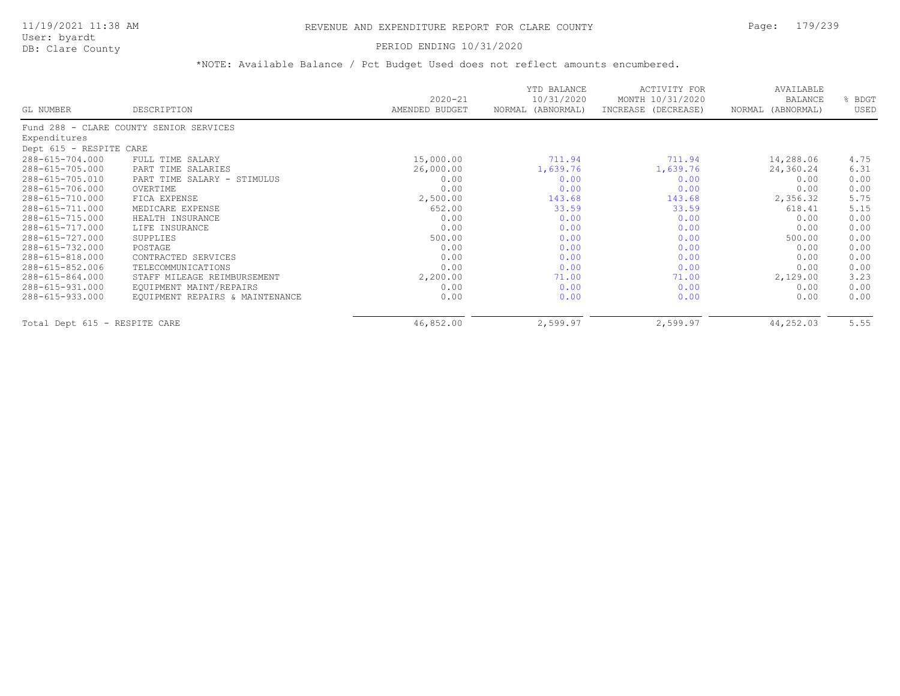### PERIOD ENDING 10/31/2020

|                               |                                         | $2020 - 21$    | YTD BALANCE<br>10/31/2020 | <b>ACTIVITY FOR</b><br>MONTH 10/31/2020 | AVAILABLE<br><b>BALANCE</b> | % BDGT |
|-------------------------------|-----------------------------------------|----------------|---------------------------|-----------------------------------------|-----------------------------|--------|
| GL NUMBER                     | DESCRIPTION                             | AMENDED BUDGET | NORMAL (ABNORMAL)         | INCREASE (DECREASE)                     | NORMAL (ABNORMAL)           | USED   |
|                               | Fund 288 - CLARE COUNTY SENIOR SERVICES |                |                           |                                         |                             |        |
| Expenditures                  |                                         |                |                           |                                         |                             |        |
| Dept 615 - RESPITE CARE       |                                         |                |                           |                                         |                             |        |
| 288-615-704.000               | FULL TIME SALARY                        | 15,000.00      | 711.94                    | 711.94                                  | 14,288.06                   | 4.75   |
| 288-615-705.000               | PART TIME SALARIES                      | 26,000.00      | 1,639.76                  | 1,639.76                                | 24,360.24                   | 6.31   |
| 288-615-705.010               | PART TIME SALARY - STIMULUS             | 0.00           | 0.00                      | 0.00                                    | 0.00                        | 0.00   |
| 288-615-706.000               | OVERTIME                                | 0.00           | 0.00                      | 0.00                                    | 0.00                        | 0.00   |
| 288-615-710.000               | FICA EXPENSE                            | 2,500.00       | 143.68                    | 143.68                                  | 2,356.32                    | 5.75   |
| 288-615-711.000               | MEDICARE EXPENSE                        | 652.00         | 33.59                     | 33.59                                   | 618.41                      | 5.15   |
| 288-615-715.000               | HEALTH INSURANCE                        | 0.00           | 0.00                      | 0.00                                    | 0.00                        | 0.00   |
| 288-615-717.000               | LIFE INSURANCE                          | 0.00           | 0.00                      | 0.00                                    | 0.00                        | 0.00   |
| 288-615-727.000               | SUPPLIES                                | 500.00         | 0.00                      | 0.00                                    | 500.00                      | 0.00   |
| 288-615-732.000               | POSTAGE                                 | 0.00           | 0.00                      | 0.00                                    | 0.00                        | 0.00   |
| 288-615-818.000               | CONTRACTED SERVICES                     | 0.00           | 0.00                      | 0.00                                    | 0.00                        | 0.00   |
| 288-615-852.006               | TELECOMMUNICATIONS                      | 0.00           | 0.00                      | 0.00                                    | 0.00                        | 0.00   |
| 288-615-864.000               | STAFF MILEAGE REIMBURSEMENT             | 2,200.00       | 71.00                     | 71.00                                   | 2,129.00                    | 3.23   |
| 288-615-931.000               | EQUIPMENT MAINT/REPAIRS                 | 0.00           | 0.00                      | 0.00                                    | 0.00                        | 0.00   |
| 288-615-933.000               | EQUIPMENT REPAIRS & MAINTENANCE         | 0.00           | 0.00                      | 0.00                                    | 0.00                        | 0.00   |
| Total Dept 615 - RESPITE CARE |                                         | 46,852.00      | 2,599.97                  | 2,599.97                                | 44,252.03                   | 5.55   |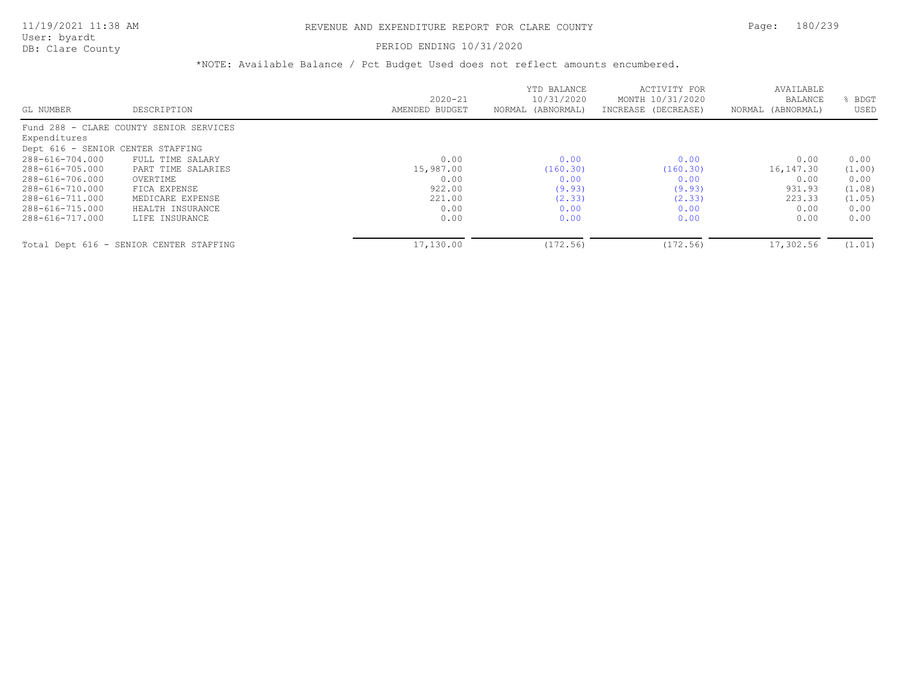### PERIOD ENDING 10/31/2020

|                                   |                                         |                | YTD BALANCE       | ACTIVITY FOR        | AVAILABLE         |        |
|-----------------------------------|-----------------------------------------|----------------|-------------------|---------------------|-------------------|--------|
|                                   |                                         | $2020 - 21$    | 10/31/2020        | MONTH 10/31/2020    | <b>BALANCE</b>    | BDGT   |
| GL NUMBER                         | DESCRIPTION                             | AMENDED BUDGET | NORMAL (ABNORMAL) | INCREASE (DECREASE) | NORMAL (ABNORMAL) | USED   |
|                                   | Fund 288 - CLARE COUNTY SENIOR SERVICES |                |                   |                     |                   |        |
| Expenditures                      |                                         |                |                   |                     |                   |        |
| Dept 616 - SENIOR CENTER STAFFING |                                         |                |                   |                     |                   |        |
| 288-616-704.000                   | FULL TIME SALARY                        | 0.00           | 0.00              | 0.00                | 0.00              | 0.00   |
| 288-616-705.000                   | PART TIME SALARIES                      | 15,987.00      | (160.30)          | (160.30)            | 16,147.30         | (1.00) |
| 288-616-706.000                   | OVERTIME                                | 0.00           | 0.00              | 0.00                | 0.00              | 0.00   |
| 288-616-710.000                   | FICA EXPENSE                            | 922.00         | (9.93)            | (9.93)              | 931.93            | (1.08) |
| 288-616-711.000                   | MEDICARE EXPENSE                        | 221.00         | (2.33)            | (2.33)              | 223.33            | (1.05) |
| 288-616-715.000                   | HEALTH INSURANCE                        | 0.00           | 0.00              | 0.00                | 0.00              | 0.00   |
| 288-616-717.000                   | LIFE INSURANCE                          | 0.00           | 0.00              | 0.00                | 0.00              | 0.00   |
|                                   | Total Dept 616 - SENIOR CENTER STAFFING | 17,130.00      | (172.56)          | (172.56)            | 17,302.56         | (1.01) |
|                                   |                                         |                |                   |                     |                   |        |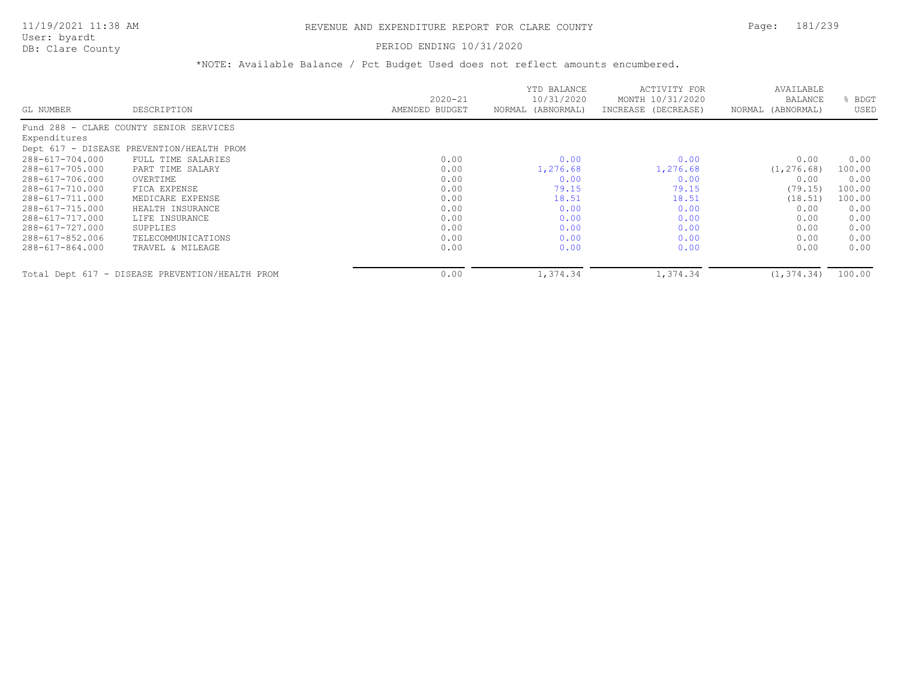PERIOD ENDING 10/31/2020

|                    |                                                 | $2020 - 21$    | YTD BALANCE<br>10/31/2020 | ACTIVITY FOR<br>MONTH 10/31/2020 | AVAILABLE<br>BALANCE | BDGT   |
|--------------------|-------------------------------------------------|----------------|---------------------------|----------------------------------|----------------------|--------|
| GL NUMBER          | DESCRIPTION                                     | AMENDED BUDGET | NORMAL (ABNORMAL)         | INCREASE (DECREASE)              | NORMAL (ABNORMAL)    | USED   |
| Fund $288 - CLARE$ | COUNTY SENIOR SERVICES                          |                |                           |                                  |                      |        |
| Expenditures       |                                                 |                |                           |                                  |                      |        |
|                    | Dept 617 - DISEASE PREVENTION/HEALTH PROM       |                |                           |                                  |                      |        |
| 288-617-704.000    | FULL TIME SALARIES                              | 0.00           | 0.00                      | 0.00                             | 0.00                 | 0.00   |
| 288-617-705.000    | PART TIME SALARY                                | 0.00           | 1,276.68                  | 1,276.68                         | (1, 276.68)          | 100.00 |
| 288-617-706.000    | OVERTIME                                        | 0.00           | 0.00                      | 0.00                             | 0.00                 | 0.00   |
| 288-617-710.000    | FICA EXPENSE                                    | 0.00           | 79.15                     | 79.15                            | (79.15)              | 100.00 |
| 288-617-711.000    | MEDICARE EXPENSE                                | 0.00           | 18.51                     | 18.51                            | (18.51)              | 100.00 |
| 288-617-715.000    | HEALTH INSURANCE                                | 0.00           | 0.00                      | 0.00                             | 0.00                 | 0.00   |
| 288-617-717.000    | LIFE INSURANCE                                  | 0.00           | 0.00                      | 0.00                             | 0.00                 | 0.00   |
| 288-617-727.000    | SUPPLIES                                        | 0.00           | 0.00                      | 0.00                             | 0.00                 | 0.00   |
| 288-617-852.006    | TELECOMMUNICATIONS                              | 0.00           | 0.00                      | 0.00                             | 0.00                 | 0.00   |
| 288-617-864.000    | TRAVEL & MILEAGE                                | 0.00           | 0.00                      | 0.00                             | 0.00                 | 0.00   |
|                    | Total Dept 617 - DISEASE PREVENTION/HEALTH PROM | 0.00           | 1,374.34                  | 1,374.34                         | (1, 374, 34)         | 100.00 |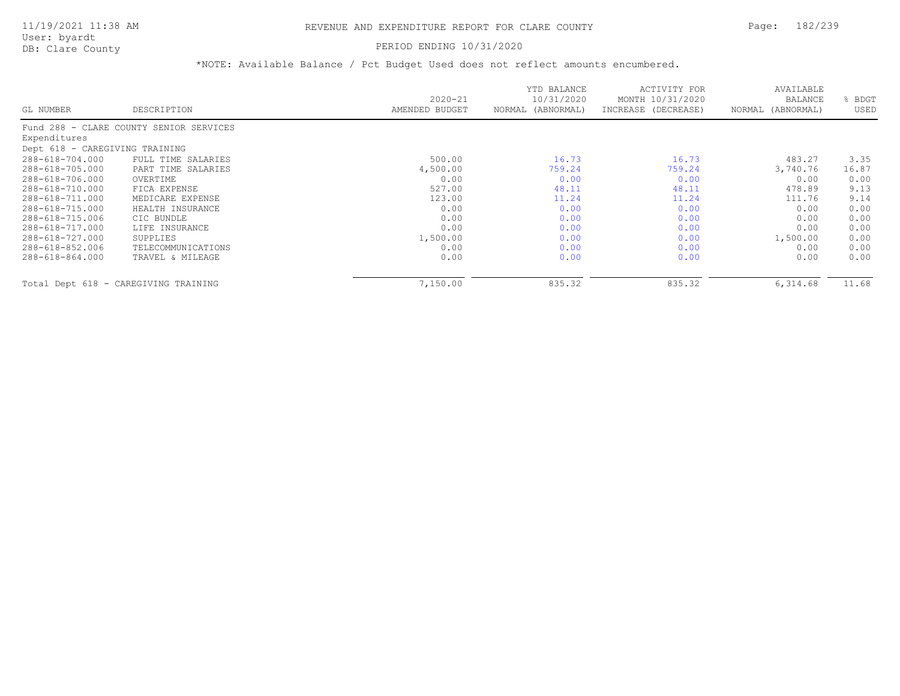# PERIOD ENDING 10/31/2020

|                                |                                         | $2020 - 21$    | YTD BALANCE<br>10/31/2020 | ACTIVITY FOR<br>MONTH 10/31/2020 | AVAILABLE<br><b>BALANCE</b> | BDGT  |
|--------------------------------|-----------------------------------------|----------------|---------------------------|----------------------------------|-----------------------------|-------|
| GL NUMBER                      | DESCRIPTION                             | AMENDED BUDGET | NORMAL (ABNORMAL)         | INCREASE (DECREASE)              | NORMAL (ABNORMAL)           | USED  |
|                                | Fund 288 - CLARE COUNTY SENIOR SERVICES |                |                           |                                  |                             |       |
| Expenditures                   |                                         |                |                           |                                  |                             |       |
| Dept 618 - CAREGIVING TRAINING |                                         |                |                           |                                  |                             |       |
| 288-618-704.000                | FULL TIME SALARIES                      | 500.00         | 16.73                     | 16.73                            | 483.27                      | 3.35  |
| 288-618-705.000                | PART TIME SALARIES                      | 4,500.00       | 759.24                    | 759.24                           | 3,740.76                    | 16.87 |
| 288-618-706.000                | OVERTIME                                | 0.00           | 0.00                      | 0.00                             | 0.00                        | 0.00  |
| 288-618-710.000                | FICA EXPENSE                            | 527.00         | 48.11                     | 48.11                            | 478.89                      | 9.13  |
| 288-618-711.000                | MEDICARE EXPENSE                        | 123.00         | 11.24                     | 11.24                            | 111.76                      | 9.14  |
| 288-618-715.000                | HEALTH INSURANCE                        | 0.00           | 0.00                      | 0.00                             | 0.00                        | 0.00  |
| 288-618-715.006                | CIC BUNDLE                              | 0.00           | 0.00                      | 0.00                             | 0.00                        | 0.00  |
| 288-618-717.000                | LIFE INSURANCE                          | 0.00           | 0.00                      | 0.00                             | 0.00                        | 0.00  |
| 288-618-727.000                | SUPPLIES                                | 1,500.00       | 0.00                      | 0.00                             | 1,500.00                    | 0.00  |
| 288-618-852.006                | TELECOMMUNICATIONS                      | 0.00           | 0.00                      | 0.00                             | 0.00                        | 0.00  |
| 288-618-864.000                | TRAVEL & MILEAGE                        | 0.00           | 0.00                      | 0.00                             | 0.00                        | 0.00  |
|                                | Total Dept 618 - CAREGIVING TRAINING    | 7,150.00       | 835.32                    | 835.32                           | 6,314.68                    | 11.68 |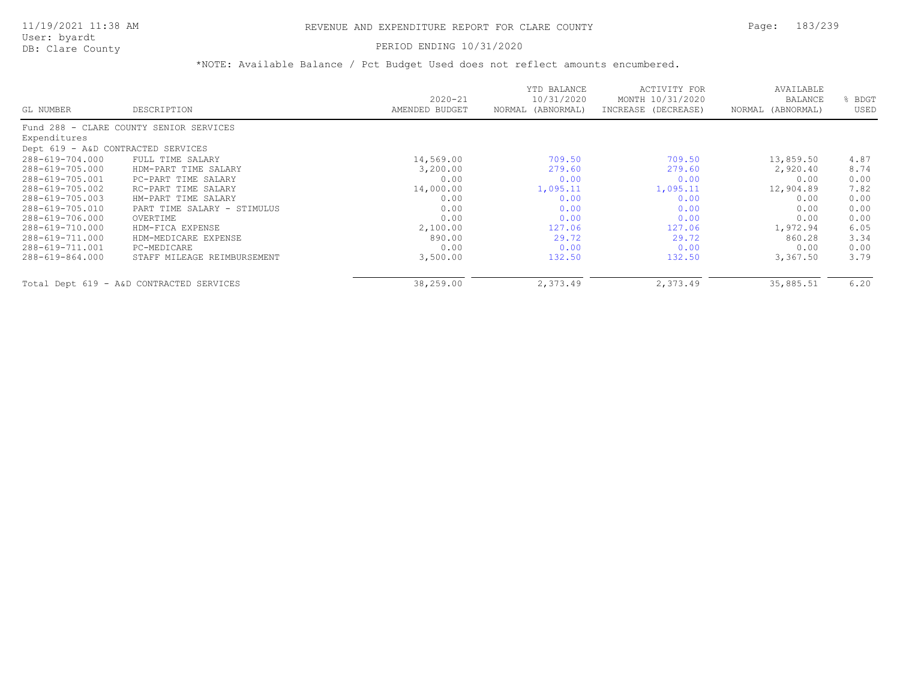# PERIOD ENDING 10/31/2020

|                                    |                                          | $2020 - 21$    | YTD BALANCE<br>10/31/2020 | ACTIVITY FOR<br>MONTH 10/31/2020 | AVAILABLE<br>BALANCE | BDGT |
|------------------------------------|------------------------------------------|----------------|---------------------------|----------------------------------|----------------------|------|
| GL NUMBER                          | DESCRIPTION                              | AMENDED BUDGET | (ABNORMAL)<br>NORMAL      | INCREASE (DECREASE)              | NORMAL (ABNORMAL)    | USED |
|                                    | Fund 288 - CLARE COUNTY SENIOR SERVICES  |                |                           |                                  |                      |      |
| Expenditures                       |                                          |                |                           |                                  |                      |      |
| Dept 619 - A&D CONTRACTED SERVICES |                                          |                |                           |                                  |                      |      |
| 288-619-704.000                    | FULL TIME SALARY                         | 14,569.00      | 709.50                    | 709.50                           | 13,859.50            | 4.87 |
| 288-619-705.000                    | HDM-PART TIME SALARY                     | 3,200.00       | 279.60                    | 279.60                           | 2,920.40             | 8.74 |
| 288-619-705.001                    | PC-PART TIME SALARY                      | 0.00           | 0.00                      | 0.00                             | 0.00                 | 0.00 |
| 288-619-705.002                    | RC-PART TIME SALARY                      | 14,000.00      | 1,095.11                  | 1,095.11                         | 12,904.89            | 7.82 |
| 288-619-705.003                    | HM-PART TIME SALARY                      | 0.00           | 0.00                      | 0.00                             | 0.00                 | 0.00 |
| 288-619-705.010                    | PART TIME SALARY - STIMULUS              | 0.00           | 0.00                      | 0.00                             | 0.00                 | 0.00 |
| 288-619-706.000                    | OVERTIME                                 | 0.00           | 0.00                      | 0.00                             | 0.00                 | 0.00 |
| 288-619-710.000                    | HDM-FICA EXPENSE                         | 2,100.00       | 127.06                    | 127.06                           | 1,972.94             | 6.05 |
| 288-619-711.000                    | HDM-MEDICARE EXPENSE                     | 890.00         | 29.72                     | 29.72                            | 860.28               | 3.34 |
| 288-619-711.001                    | PC-MEDICARE                              | 0.00           | 0.00                      | 0.00                             | 0.00                 | 0.00 |
| 288-619-864.000                    | STAFF MILEAGE REIMBURSEMENT              | 3,500.00       | 132.50                    | 132.50                           | 3,367.50             | 3.79 |
|                                    | Total Dept 619 - A&D CONTRACTED SERVICES | 38,259.00      | 2,373.49                  | 2,373.49                         | 35,885.51            | 6.20 |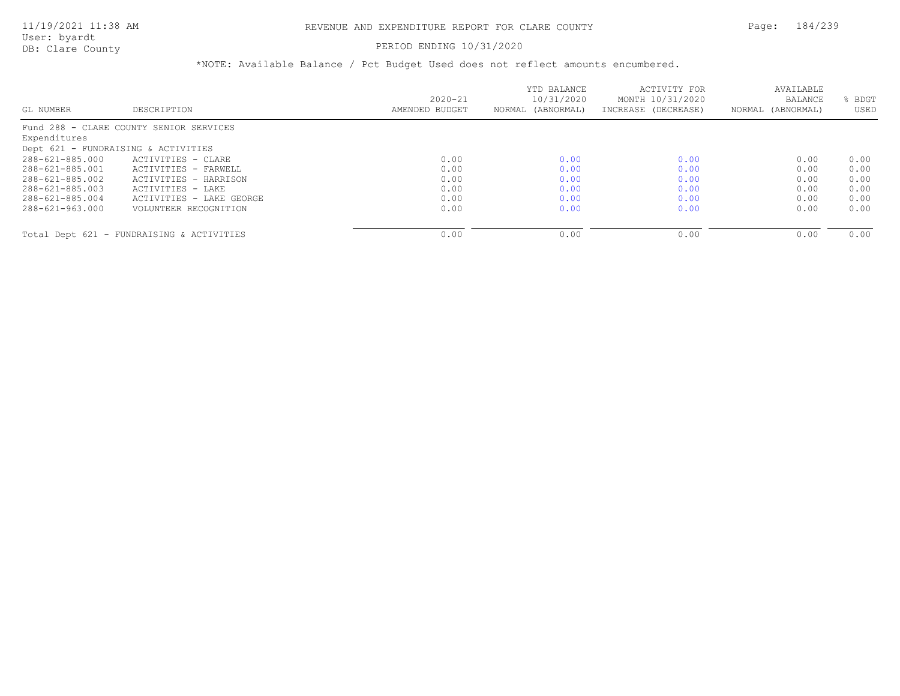# PERIOD ENDING 10/31/2020

| GL NUMBER                           | DESCRIPTION                               | $2020 - 21$<br>AMENDED BUDGET | YTD BALANCE<br>10/31/2020<br>NORMAL (ABNORMAL) | ACTIVITY FOR<br>MONTH 10/31/2020<br>INCREASE (DECREASE) | AVAILABLE<br><b>BALANCE</b><br>NORMAL (ABNORMAL) | BDGT<br>USED |
|-------------------------------------|-------------------------------------------|-------------------------------|------------------------------------------------|---------------------------------------------------------|--------------------------------------------------|--------------|
|                                     |                                           |                               |                                                |                                                         |                                                  |              |
|                                     | Fund 288 - CLARE COUNTY SENIOR SERVICES   |                               |                                                |                                                         |                                                  |              |
| Expenditures                        |                                           |                               |                                                |                                                         |                                                  |              |
| Dept 621 - FUNDRAISING & ACTIVITIES |                                           |                               |                                                |                                                         |                                                  |              |
| 288-621-885.000                     | ACTIVITIES - CLARE                        | 0.00                          | 0.00                                           | 0.00                                                    | 0.00                                             | 0.00         |
| 288-621-885.001                     | ACTIVITIES - FARWELL                      | 0.00                          | 0.00                                           | 0.00                                                    | 0.00                                             | 0.00         |
| 288-621-885.002                     | ACTIVITIES - HARRISON                     | 0.00                          | 0.00                                           | 0.00                                                    | 0.00                                             | 0.00         |
| 288-621-885.003                     | ACTIVITIES - LAKE                         | 0.00                          | 0.00                                           | 0.00                                                    | 0.00                                             | 0.00         |
| 288-621-885.004                     | ACTIVITIES - LAKE GEORGE                  | 0.00                          | 0.00                                           | 0.00                                                    | 0.00                                             | 0.00         |
| 288-621-963.000                     | VOLUNTEER RECOGNITION                     | 0.00                          | 0.00                                           | 0.00                                                    | 0.00                                             | 0.00         |
|                                     |                                           |                               |                                                |                                                         |                                                  |              |
|                                     | Total Dept 621 - FUNDRAISING & ACTIVITIES | 0.00                          | 0.00                                           | 0.00                                                    | 0.00                                             | 0.00         |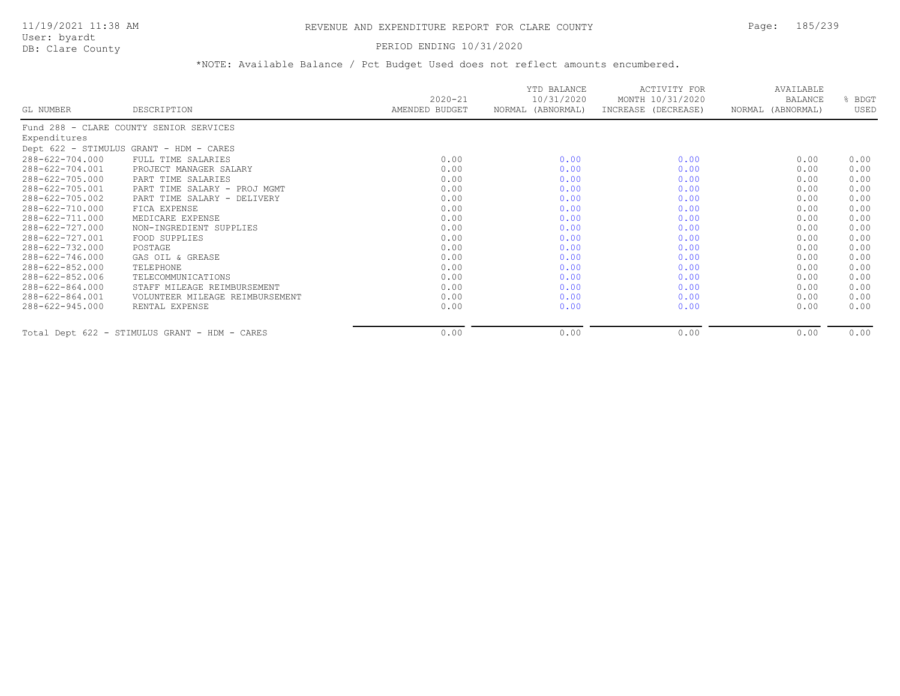# PERIOD ENDING 10/31/2020

|                       |                                               | $2020 - 21$    | YTD BALANCE<br>10/31/2020 | ACTIVITY FOR<br>MONTH 10/31/2020 | AVAILABLE<br><b>BALANCE</b> | % BDGT |
|-----------------------|-----------------------------------------------|----------------|---------------------------|----------------------------------|-----------------------------|--------|
| GL NUMBER             | DESCRIPTION                                   | AMENDED BUDGET | NORMAL (ABNORMAL)         | INCREASE (DECREASE)              | NORMAL (ABNORMAL)           | USED   |
|                       | Fund 288 - CLARE COUNTY SENIOR SERVICES       |                |                           |                                  |                             |        |
| Expenditures          |                                               |                |                           |                                  |                             |        |
|                       | Dept 622 - STIMULUS GRANT - HDM - CARES       |                |                           |                                  |                             |        |
| 288-622-704.000       | FULL TIME SALARIES                            | 0.00           | 0.00                      | 0.00                             | 0.00                        | 0.00   |
| 288-622-704.001       | PROJECT MANAGER SALARY                        | 0.00           | 0.00                      | 0.00                             | 0.00                        | 0.00   |
| 288-622-705.000       | PART TIME SALARIES                            | 0.00           | 0.00                      | 0.00                             | 0.00                        | 0.00   |
| 288-622-705.001       | PART TIME SALARY - PROJ MGMT                  | 0.00           | 0.00                      | 0.00                             | 0.00                        | 0.00   |
| 288-622-705.002       | PART TIME SALARY - DELIVERY                   | 0.00           | 0.00                      | 0.00                             | 0.00                        | 0.00   |
| 288-622-710.000       | FICA EXPENSE                                  | 0.00           | 0.00                      | 0.00                             | 0.00                        | 0.00   |
| 288-622-711.000       | MEDICARE EXPENSE                              | 0.00           | 0.00                      | 0.00                             | 0.00                        | 0.00   |
| 288-622-727.000       | NON-INGREDIENT SUPPLIES                       | 0.00           | 0.00                      | 0.00                             | 0.00                        | 0.00   |
| 288-622-727.001       | FOOD SUPPLIES                                 | 0.00           | 0.00                      | 0.00                             | 0.00                        | 0.00   |
| 288-622-732.000       | POSTAGE                                       | 0.00           | 0.00                      | 0.00                             | 0.00                        | 0.00   |
| 288-622-746.000       | GAS OIL & GREASE                              | 0.00           | 0.00                      | 0.00                             | 0.00                        | 0.00   |
| 288-622-852.000       | TELEPHONE                                     | 0.00           | 0.00                      | 0.00                             | 0.00                        | 0.00   |
| 288-622-852.006       | TELECOMMUNICATIONS                            | 0.00           | 0.00                      | 0.00                             | 0.00                        | 0.00   |
| 288-622-864.000       | STAFF MILEAGE REIMBURSEMENT                   | 0.00           | 0.00                      | 0.00                             | 0.00                        | 0.00   |
| $288 - 622 - 864.001$ | VOLUNTEER MILEAGE REIMBURSEMENT               | 0.00           | 0.00                      | 0.00                             | 0.00                        | 0.00   |
| $288 - 622 - 945.000$ | RENTAL EXPENSE                                | 0.00           | 0.00                      | 0.00                             | 0.00                        | 0.00   |
|                       | Total Dept 622 - STIMULUS GRANT - HDM - CARES | 0.00           | 0.00                      | 0.00                             | 0.00                        | 0.00   |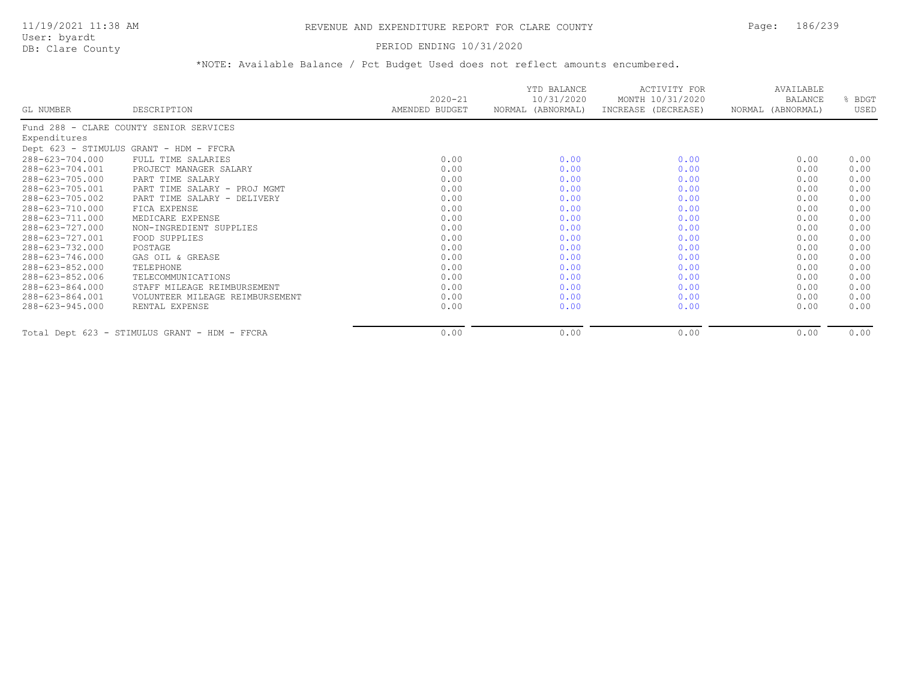# 11/19/2021 11:38 AM REVENUE AND EXPENDITURE REPORT FOR CLARE COUNTY Page: 186/239

User: byardt<br>DB: Clare County

### PERIOD ENDING 10/31/2020

|                 |                                               |                               | YTD BALANCE<br>10/31/2020 | ACTIVITY FOR                            | AVAILABLE                    |                |
|-----------------|-----------------------------------------------|-------------------------------|---------------------------|-----------------------------------------|------------------------------|----------------|
| GL NUMBER       | DESCRIPTION                                   | $2020 - 21$<br>AMENDED BUDGET | NORMAL (ABNORMAL)         | MONTH 10/31/2020<br>INCREASE (DECREASE) | BALANCE<br>NORMAL (ABNORMAL) | % BDGT<br>USED |
|                 | Fund 288 - CLARE COUNTY SENIOR SERVICES       |                               |                           |                                         |                              |                |
| Expenditures    |                                               |                               |                           |                                         |                              |                |
|                 | Dept 623 - STIMULUS GRANT - HDM - FFCRA       |                               |                           |                                         |                              |                |
| 288-623-704.000 | FULL TIME SALARIES                            | 0.00                          | 0.00                      | 0.00                                    | 0.00                         | 0.00           |
| 288-623-704.001 | PROJECT MANAGER SALARY                        | 0.00                          | 0.00                      | 0.00                                    | 0.00                         | 0.00           |
| 288-623-705.000 | PART TIME SALARY                              | 0.00                          | 0.00                      | 0.00                                    | 0.00                         | 0.00           |
| 288-623-705.001 | PART TIME SALARY - PROJ MGMT                  | 0.00                          | 0.00                      | 0.00                                    | 0.00                         | 0.00           |
| 288-623-705.002 | PART TIME SALARY - DELIVERY                   | 0.00                          | 0.00                      | 0.00                                    | 0.00                         | 0.00           |
| 288-623-710.000 | FICA EXPENSE                                  | 0.00                          | 0.00                      | 0.00                                    | 0.00                         | 0.00           |
| 288-623-711.000 | MEDICARE EXPENSE                              | 0.00                          | 0.00                      | 0.00                                    | 0.00                         | 0.00           |
| 288-623-727.000 | NON-INGREDIENT SUPPLIES                       | 0.00                          | 0.00                      | 0.00                                    | 0.00                         | 0.00           |
| 288-623-727.001 | FOOD SUPPLIES                                 | 0.00                          | 0.00                      | 0.00                                    | 0.00                         | 0.00           |
| 288-623-732.000 | POSTAGE                                       | 0.00                          | 0.00                      | 0.00                                    | 0.00                         | 0.00           |
| 288-623-746.000 | GAS OIL & GREASE                              | 0.00                          | 0.00                      | 0.00                                    | 0.00                         | 0.00           |
| 288-623-852.000 | TELEPHONE                                     | 0.00                          | 0.00                      | 0.00                                    | 0.00                         | 0.00           |
| 288-623-852.006 | TELECOMMUNICATIONS                            | 0.00                          | 0.00                      | 0.00                                    | 0.00                         | 0.00           |
| 288-623-864.000 | STAFF MILEAGE REIMBURSEMENT                   | 0.00                          | 0.00                      | 0.00                                    | 0.00                         | 0.00           |
| 288-623-864.001 | VOLUNTEER MILEAGE REIMBURSEMENT               | 0.00                          | 0.00                      | 0.00                                    | 0.00                         | 0.00           |
| 288-623-945.000 | RENTAL EXPENSE                                | 0.00                          | 0.00                      | 0.00                                    | 0.00                         | 0.00           |
|                 | Total Dept 623 - STIMULUS GRANT - HDM - FFCRA | 0.00                          | 0.00                      | 0.00                                    | 0.00                         | 0.00           |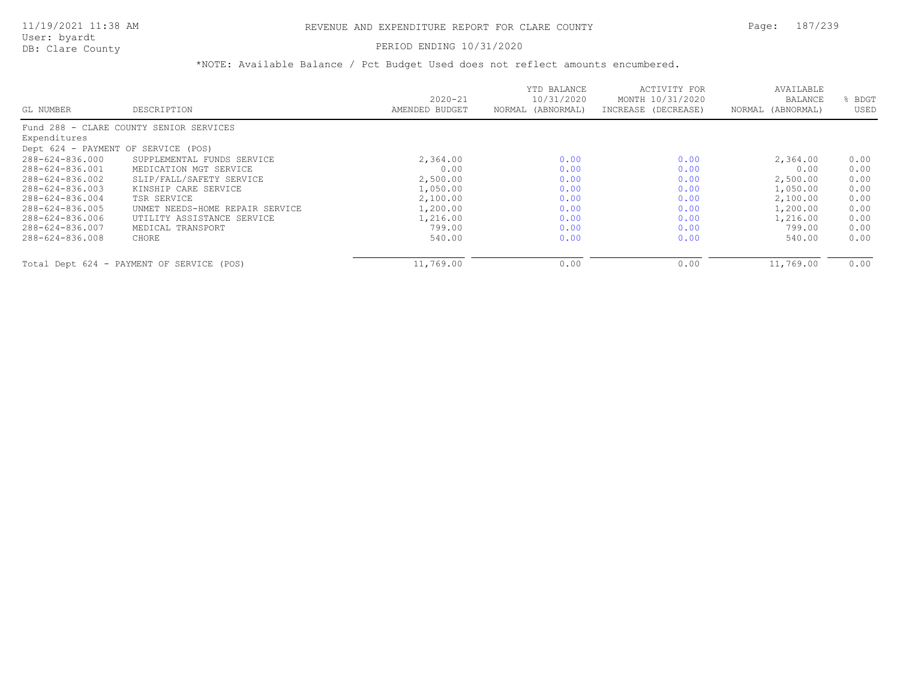# PERIOD ENDING 10/31/2020

|                                     |                                           | $2020 - 21$    | YTD BALANCE<br>10/31/2020 | ACTIVITY FOR<br>MONTH 10/31/2020 | AVAILABLE<br><b>BALANCE</b> | BDGT |
|-------------------------------------|-------------------------------------------|----------------|---------------------------|----------------------------------|-----------------------------|------|
| GL NUMBER                           | DESCRIPTION                               | AMENDED BUDGET | NORMAL (ABNORMAL)         | INCREASE (DECREASE)              | NORMAL (ABNORMAL)           | USED |
|                                     | Fund 288 - CLARE COUNTY SENIOR SERVICES   |                |                           |                                  |                             |      |
| Expenditures                        |                                           |                |                           |                                  |                             |      |
| Dept 624 - PAYMENT OF SERVICE (POS) |                                           |                |                           |                                  |                             |      |
| 288-624-836.000                     | SUPPLEMENTAL FUNDS SERVICE                | 2,364.00       | 0.00                      | 0.00                             | 2,364.00                    | 0.00 |
| 288-624-836.001                     | MEDICATION MGT SERVICE                    | 0.00           | 0.00                      | 0.00                             | 0.00                        | 0.00 |
| 288-624-836.002                     | SLIP/FALL/SAFETY SERVICE                  | 2,500.00       | 0.00                      | 0.00                             | 2,500.00                    | 0.00 |
| 288-624-836.003                     | KINSHIP CARE SERVICE                      | 1,050.00       | 0.00                      | 0.00                             | 1,050.00                    | 0.00 |
| 288-624-836.004                     | TSR SERVICE                               | 2,100.00       | 0.00                      | 0.00                             | 2,100.00                    | 0.00 |
| 288-624-836.005                     | UNMET NEEDS-HOME REPAIR SERVICE           | 1,200.00       | 0.00                      | 0.00                             | 1,200.00                    | 0.00 |
| 288-624-836.006                     | UTILITY ASSISTANCE SERVICE                | 1,216.00       | 0.00                      | 0.00                             | 1,216.00                    | 0.00 |
| 288-624-836.007                     | MEDICAL TRANSPORT                         | 799.00         | 0.00                      | 0.00                             | 799.00                      | 0.00 |
| 288-624-836.008                     | CHORE                                     | 540.00         | 0.00                      | 0.00                             | 540.00                      | 0.00 |
|                                     | Total Dept 624 - PAYMENT OF SERVICE (POS) | 11,769.00      | 0.00                      | 0.00                             | 11,769.00                   | 0.00 |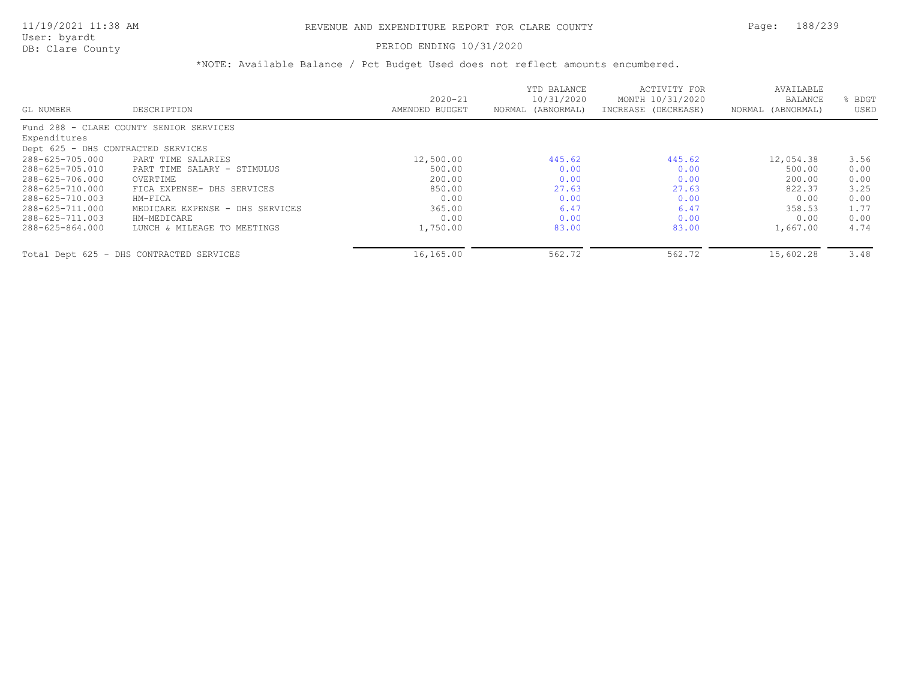# PERIOD ENDING 10/31/2020

|                                    |                                          |                | YTD BALANCE       | ACTIVITY FOR        | AVAILABLE         |      |
|------------------------------------|------------------------------------------|----------------|-------------------|---------------------|-------------------|------|
|                                    |                                          | $2020 - 21$    | 10/31/2020        | MONTH 10/31/2020    | <b>BALANCE</b>    | BDGT |
| GL NUMBER                          | DESCRIPTION                              | AMENDED BUDGET | NORMAL (ABNORMAL) | INCREASE (DECREASE) | NORMAL (ABNORMAL) | USED |
|                                    | Fund 288 - CLARE COUNTY SENIOR SERVICES  |                |                   |                     |                   |      |
| Expenditures                       |                                          |                |                   |                     |                   |      |
| Dept 625 - DHS CONTRACTED SERVICES |                                          |                |                   |                     |                   |      |
| 288-625-705.000                    | PART TIME SALARIES                       | 12,500.00      | 445.62            | 445.62              | 12,054.38         | 3.56 |
| 288-625-705.010                    | PART TIME SALARY - STIMULUS              | 500.00         | 0.00              | 0.00                | 500.00            | 0.00 |
| 288-625-706.000                    | OVERTIME                                 | 200.00         | 0.00              | 0.00                | 200.00            | 0.00 |
| 288-625-710.000                    | FICA EXPENSE- DHS SERVICES               | 850.00         | 27.63             | 27.63               | 822.37            | 3.25 |
| 288-625-710.003                    | HM-FICA                                  | 0.00           | 0.00              | 0.00                | 0.00              | 0.00 |
| 288-625-711.000                    | MEDICARE EXPENSE - DHS SERVICES          | 365.00         | 6.47              | 6.47                | 358.53            | 1.77 |
| 288-625-711.003                    | HM-MEDICARE                              | 0.00           | 0.00              | 0.00                | 0.00              | 0.00 |
| 288-625-864.000                    | LUNCH & MILEAGE TO MEETINGS              | 1,750.00       | 83.00             | 83.00               | 1,667.00          | 4.74 |
|                                    | Total Dept 625 - DHS CONTRACTED SERVICES | 16,165.00      | 562.72            | 562.72              | 15,602.28         | 3.48 |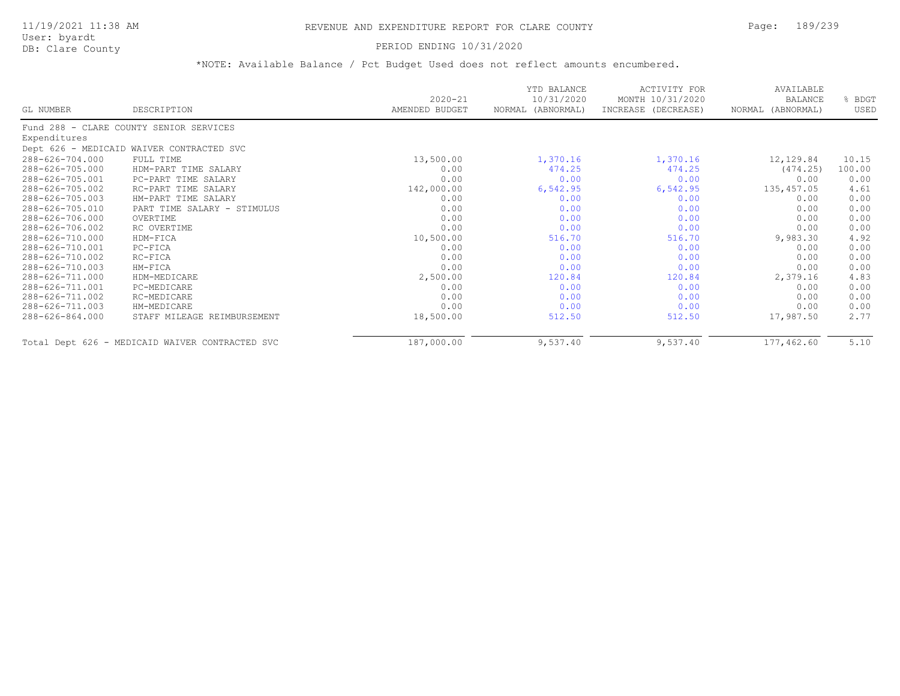# 11/19/2021 11:38 AM REVENUE AND EXPENDITURE REPORT FOR CLARE COUNTY Page: 189/239

User: byardt<br>DB: Clare County

### PERIOD ENDING 10/31/2020

|                 |                                                 | $2020 - 21$    | YTD BALANCE<br>10/31/2020 | ACTIVITY FOR<br>MONTH 10/31/2020 | AVAILABLE<br><b>BALANCE</b> | % BDGT |
|-----------------|-------------------------------------------------|----------------|---------------------------|----------------------------------|-----------------------------|--------|
| GL NUMBER       | DESCRIPTION                                     | AMENDED BUDGET | NORMAL (ABNORMAL)         | INCREASE (DECREASE)              | NORMAL (ABNORMAL)           | USED   |
|                 | Fund 288 - CLARE COUNTY SENIOR SERVICES         |                |                           |                                  |                             |        |
| Expenditures    |                                                 |                |                           |                                  |                             |        |
|                 | Dept 626 - MEDICAID WAIVER CONTRACTED SVC       |                |                           |                                  |                             |        |
| 288-626-704.000 | FULL TIME                                       | 13,500.00      | 1,370.16                  | 1,370.16                         | 12,129.84                   | 10.15  |
| 288-626-705.000 | HDM-PART TIME SALARY                            | 0.00           | 474.25                    | 474.25                           | (474.25)                    | 100.00 |
| 288-626-705.001 | PC-PART TIME SALARY                             | 0.00           | 0.00                      | 0.00                             | 0.00                        | 0.00   |
| 288-626-705.002 | RC-PART TIME SALARY                             | 142,000.00     | 6,542.95                  | 6,542.95                         | 135,457.05                  | 4.61   |
| 288-626-705.003 | HM-PART TIME SALARY                             | 0.00           | 0.00                      | 0.00                             | 0.00                        | 0.00   |
| 288-626-705.010 | PART TIME SALARY - STIMULUS                     | 0.00           | 0.00                      | 0.00                             | 0.00                        | 0.00   |
| 288-626-706.000 | OVERTIME                                        | 0.00           | 0.00                      | 0.00                             | 0.00                        | 0.00   |
| 288-626-706.002 | RC OVERTIME                                     | 0.00           | 0.00                      | 0.00                             | 0.00                        | 0.00   |
| 288-626-710.000 | HDM-FICA                                        | 10,500.00      | 516.70                    | 516.70                           | 9,983.30                    | 4.92   |
| 288-626-710.001 | PC-FICA                                         | 0.00           | 0.00                      | 0.00                             | 0.00                        | 0.00   |
| 288-626-710.002 | RC-FICA                                         | 0.00           | 0.00                      | 0.00                             | 0.00                        | 0.00   |
| 288-626-710.003 | HM-FICA                                         | 0.00           | 0.00                      | 0.00                             | 0.00                        | 0.00   |
| 288-626-711.000 | HDM-MEDICARE                                    | 2,500.00       | 120.84                    | 120.84                           | 2,379.16                    | 4.83   |
| 288-626-711.001 | PC-MEDICARE                                     | 0.00           | 0.00                      | 0.00                             | 0.00                        | 0.00   |
| 288-626-711.002 | RC-MEDICARE                                     | 0.00           | 0.00                      | 0.00                             | 0.00                        | 0.00   |
| 288-626-711.003 | HM-MEDICARE                                     | 0.00           | 0.00                      | 0.00                             | 0.00                        | 0.00   |
| 288-626-864.000 | STAFF MILEAGE REIMBURSEMENT                     | 18,500.00      | 512.50                    | 512.50                           | 17,987.50                   | 2.77   |
|                 | Total Dept 626 - MEDICAID WAIVER CONTRACTED SVC | 187,000.00     | 9,537.40                  | 9,537.40                         | 177,462.60                  | 5.10   |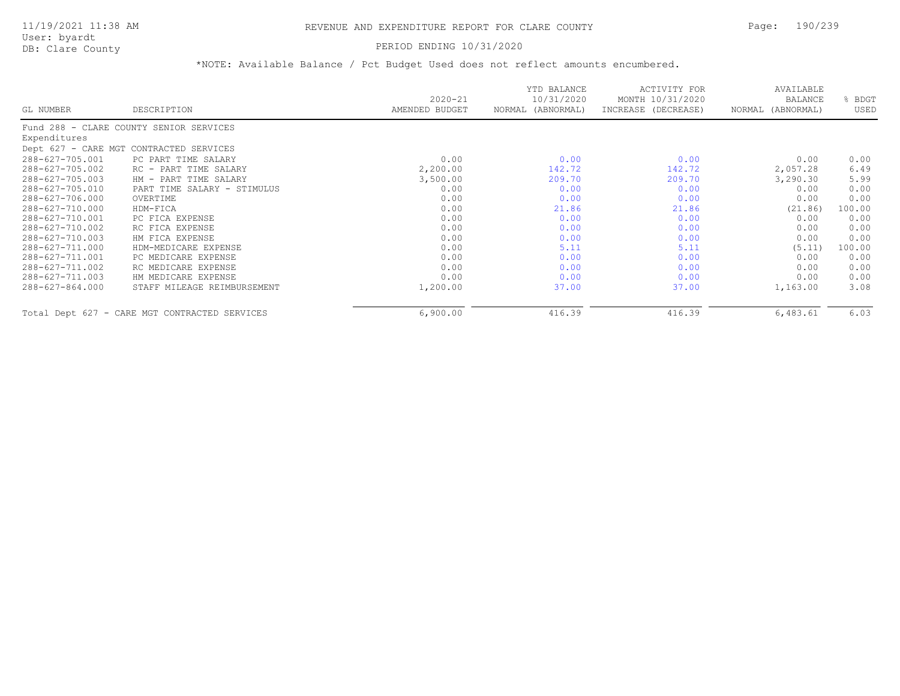# PERIOD ENDING 10/31/2020

| GL NUMBER       | DESCRIPTION                                   | $2020 - 21$<br>AMENDED BUDGET | YTD BALANCE<br>10/31/2020<br>NORMAL (ABNORMAL) | ACTIVITY FOR<br>MONTH 10/31/2020<br>INCREASE (DECREASE) | AVAILABLE<br>BALANCE<br>NORMAL (ABNORMAL) | BDGT<br>USED |
|-----------------|-----------------------------------------------|-------------------------------|------------------------------------------------|---------------------------------------------------------|-------------------------------------------|--------------|
|                 | Fund 288 - CLARE COUNTY SENIOR SERVICES       |                               |                                                |                                                         |                                           |              |
| Expenditures    |                                               |                               |                                                |                                                         |                                           |              |
|                 | Dept 627 - CARE MGT CONTRACTED SERVICES       |                               |                                                |                                                         |                                           |              |
| 288-627-705.001 | PC PART TIME SALARY                           | 0.00                          | 0.00                                           | 0.00                                                    | 0.00                                      | 0.00         |
| 288-627-705.002 | RC - PART TIME SALARY                         | 2,200.00                      | 142.72                                         | 142.72                                                  | 2,057.28                                  | 6.49         |
| 288-627-705.003 | HM - PART TIME SALARY                         | 3,500.00                      | 209.70                                         | 209.70                                                  | 3,290.30                                  | 5.99         |
| 288-627-705.010 | PART TIME SALARY - STIMULUS                   | 0.00                          | 0.00                                           | 0.00                                                    | 0.00                                      | 0.00         |
| 288-627-706.000 | OVERTIME                                      | 0.00                          | 0.00                                           | 0.00                                                    | 0.00                                      | 0.00         |
| 288-627-710.000 | HDM-FICA                                      | 0.00                          | 21.86                                          | 21.86                                                   | (21.86)                                   | 100.00       |
| 288-627-710.001 | PC FICA EXPENSE                               | 0.00                          | 0.00                                           | 0.00                                                    | 0.00                                      | 0.00         |
| 288-627-710.002 | RC FICA EXPENSE                               | 0.00                          | 0.00                                           | 0.00                                                    | 0.00                                      | 0.00         |
| 288-627-710.003 | HM FICA EXPENSE                               | 0.00                          | 0.00                                           | 0.00                                                    | 0.00                                      | 0.00         |
| 288-627-711.000 | HDM-MEDICARE EXPENSE                          | 0.00                          | 5.11                                           | 5.11                                                    | (5.11)                                    | 100.00       |
| 288-627-711.001 | PC MEDICARE EXPENSE                           | 0.00                          | 0.00                                           | 0.00                                                    | 0.00                                      | 0.00         |
| 288-627-711.002 | RC MEDICARE EXPENSE                           | 0.00                          | 0.00                                           | 0.00                                                    | 0.00                                      | 0.00         |
| 288-627-711.003 | HM MEDICARE EXPENSE                           | 0.00                          | 0.00                                           | 0.00                                                    | 0.00                                      | 0.00         |
| 288-627-864.000 | STAFF MILEAGE REIMBURSEMENT                   | 1,200.00                      | 37.00                                          | 37.00                                                   | 1,163.00                                  | 3.08         |
|                 | Total Dept 627 - CARE MGT CONTRACTED SERVICES | 6,900.00                      | 416.39                                         | 416.39                                                  | 6,483.61                                  | 6.03         |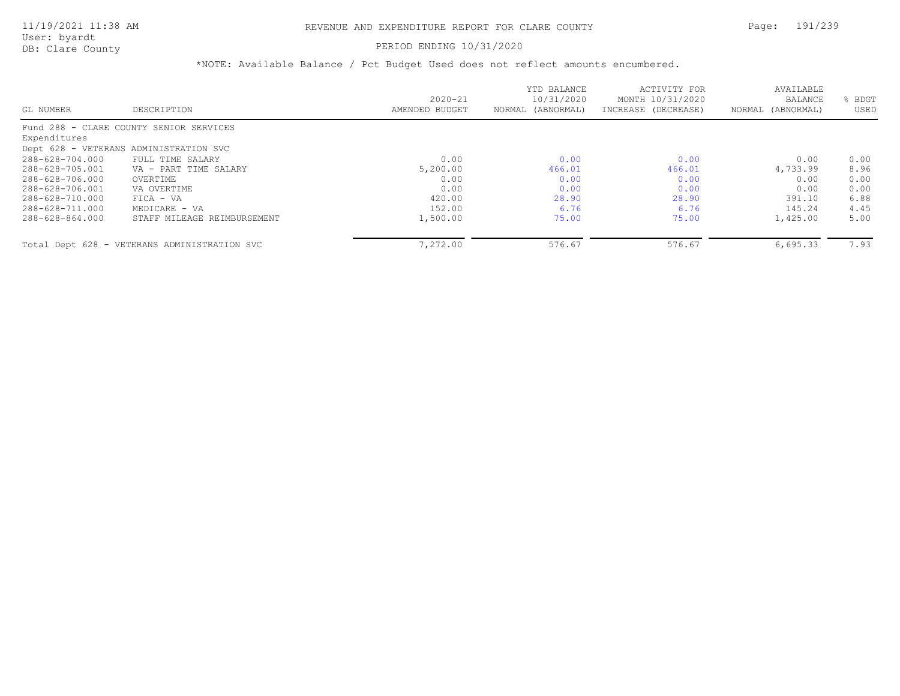PERIOD ENDING 10/31/2020

|                 |                                              |                | YTD BALANCE       | ACTIVITY FOR        | AVAILABLE         |      |
|-----------------|----------------------------------------------|----------------|-------------------|---------------------|-------------------|------|
|                 |                                              | $2020 - 21$    | 10/31/2020        | MONTH 10/31/2020    | <b>BALANCE</b>    | BDGT |
| GL NUMBER       | DESCRIPTION                                  | AMENDED BUDGET | NORMAL (ABNORMAL) | INCREASE (DECREASE) | NORMAL (ABNORMAL) | USED |
|                 | Fund 288 - CLARE COUNTY SENIOR SERVICES      |                |                   |                     |                   |      |
| Expenditures    |                                              |                |                   |                     |                   |      |
|                 | Dept 628 - VETERANS ADMINISTRATION SVC       |                |                   |                     |                   |      |
| 288-628-704.000 | FULL TIME SALARY                             | 0.00           | 0.00              | 0.00                | 0.00              | 0.00 |
| 288-628-705.001 | VA - PART TIME SALARY                        | 5,200.00       | 466.01            | 466.01              | 4,733.99          | 8.96 |
| 288-628-706.000 | OVERTIME                                     | 0.00           | 0.00              | 0.00                | 0.00              | 0.00 |
| 288-628-706.001 | VA OVERTIME                                  | 0.00           | 0.00              | 0.00                | 0.00              | 0.00 |
| 288-628-710.000 | $FICA - VA$                                  | 420.00         | 28.90             | 28.90               | 391.10            | 6.88 |
| 288-628-711.000 | MEDICARE - VA                                | 152.00         | 6.76              | 6.76                | 145.24            | 4.45 |
| 288-628-864.000 | STAFF MILEAGE REIMBURSEMENT                  | 1,500.00       | 75.00             | 75.00               | 1,425.00          | 5.00 |
|                 |                                              |                |                   |                     |                   |      |
|                 | Total Dept 628 - VETERANS ADMINISTRATION SVC | 7,272.00       | 576.67            | 576.67              | 6,695.33          | 7.93 |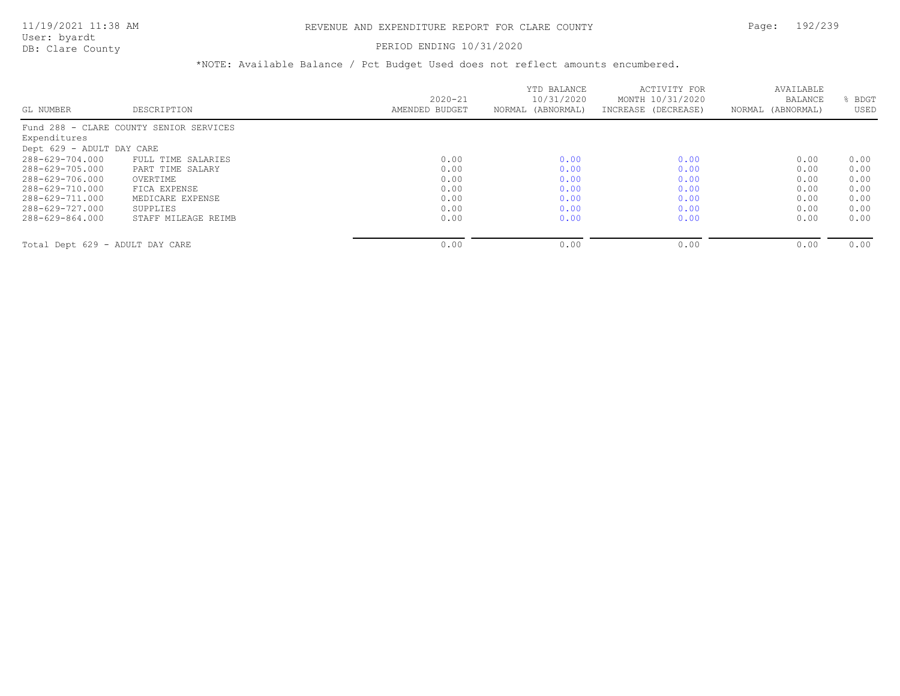# PERIOD ENDING 10/31/2020

|                                 |                                         |                | YTD BALANCE       | ACTIVITY FOR        | AVAILABLE         |      |
|---------------------------------|-----------------------------------------|----------------|-------------------|---------------------|-------------------|------|
|                                 |                                         | $2020 - 21$    | 10/31/2020        | MONTH 10/31/2020    | <b>BALANCE</b>    | BDGT |
| GL NUMBER                       | DESCRIPTION                             | AMENDED BUDGET | NORMAL (ABNORMAL) | INCREASE (DECREASE) | NORMAL (ABNORMAL) | USED |
|                                 | Fund 288 - CLARE COUNTY SENIOR SERVICES |                |                   |                     |                   |      |
| Expenditures                    |                                         |                |                   |                     |                   |      |
| Dept 629 - ADULT DAY CARE       |                                         |                |                   |                     |                   |      |
| 288-629-704.000                 | FULL TIME SALARIES                      | 0.00           | 0.00              | 0.00                | 0.00              | 0.00 |
| 288-629-705.000                 | PART TIME SALARY                        | 0.00           | 0.00              | 0.00                | 0.00              | 0.00 |
| 288-629-706.000                 | OVERTIME                                | 0.00           | 0.00              | 0.00                | 0.00              | 0.00 |
| 288-629-710.000                 | FICA EXPENSE                            | 0.00           | 0.00              | 0.00                | 0.00              | 0.00 |
| 288-629-711.000                 | MEDICARE EXPENSE                        | 0.00           | 0.00              | 0.00                | 0.00              | 0.00 |
| 288-629-727.000                 | SUPPLIES                                | 0.00           | 0.00              | 0.00                | 0.00              | 0.00 |
| 288-629-864.000                 | STAFF MILEAGE REIMB                     | 0.00           | 0.00              | 0.00                | 0.00              | 0.00 |
|                                 |                                         |                |                   |                     |                   |      |
| Total Dept 629 - ADULT DAY CARE |                                         | 0.00           | 0.00              | 0.00                | 0.00              | 0.00 |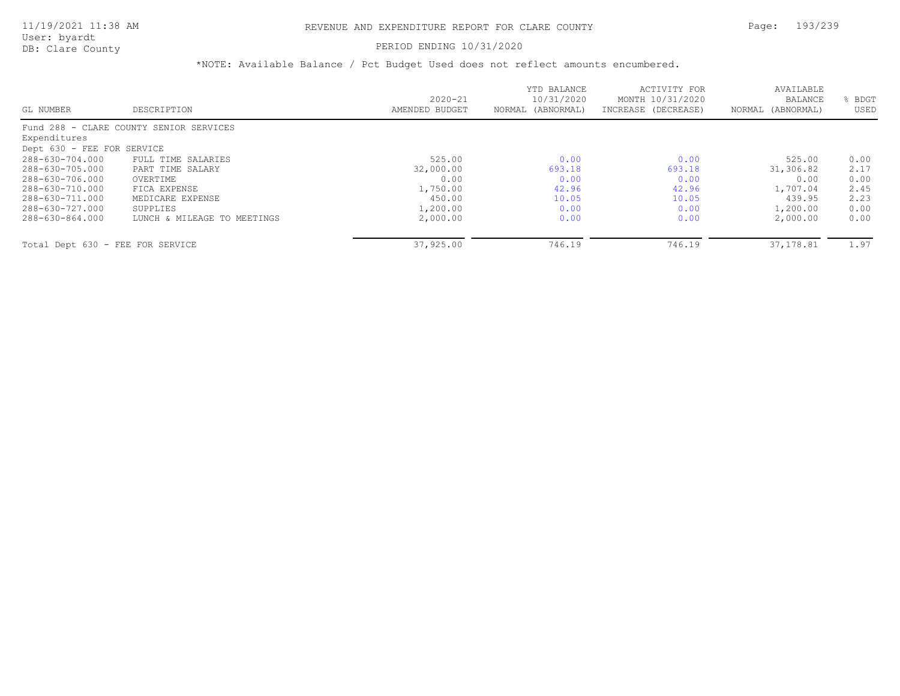# PERIOD ENDING 10/31/2020

|                                  |                                         |                | YTD BALANCE       | ACTIVITY FOR        | AVAILABLE         |      |
|----------------------------------|-----------------------------------------|----------------|-------------------|---------------------|-------------------|------|
|                                  |                                         | $2020 - 21$    | 10/31/2020        | MONTH 10/31/2020    | <b>BALANCE</b>    | BDGT |
| GL NUMBER                        | DESCRIPTION                             | AMENDED BUDGET | NORMAL (ABNORMAL) | INCREASE (DECREASE) | NORMAL (ABNORMAL) | USED |
|                                  | Fund 288 - CLARE COUNTY SENIOR SERVICES |                |                   |                     |                   |      |
| Expenditures                     |                                         |                |                   |                     |                   |      |
| Dept 630 - FEE FOR SERVICE       |                                         |                |                   |                     |                   |      |
| 288-630-704.000                  | FULL TIME SALARIES                      | 525.00         | 0.00              | 0.00                | 525.00            | 0.00 |
| 288-630-705.000                  | PART TIME SALARY                        | 32,000.00      | 693.18            | 693.18              | 31,306.82         | 2.17 |
| 288-630-706.000                  | OVERTIME                                | 0.00           | 0.00              | 0.00                | 0.00              | 0.00 |
| 288-630-710.000                  | FICA EXPENSE                            | 1,750.00       | 42.96             | 42.96               | 1,707.04          | 2.45 |
| 288-630-711.000                  | MEDICARE EXPENSE                        | 450.00         | 10.05             | 10.05               | 439.95            | 2.23 |
| 288-630-727.000                  | SUPPLIES                                | 1,200.00       | 0.00              | 0.00                | 1,200.00          | 0.00 |
| 288-630-864.000                  | LUNCH & MILEAGE TO MEETINGS             | 2,000.00       | 0.00              | 0.00                | 2,000.00          | 0.00 |
| Total Dept 630 - FEE FOR SERVICE |                                         | 37,925.00      | 746.19            | 746.19              | 37,178.81         | 1.97 |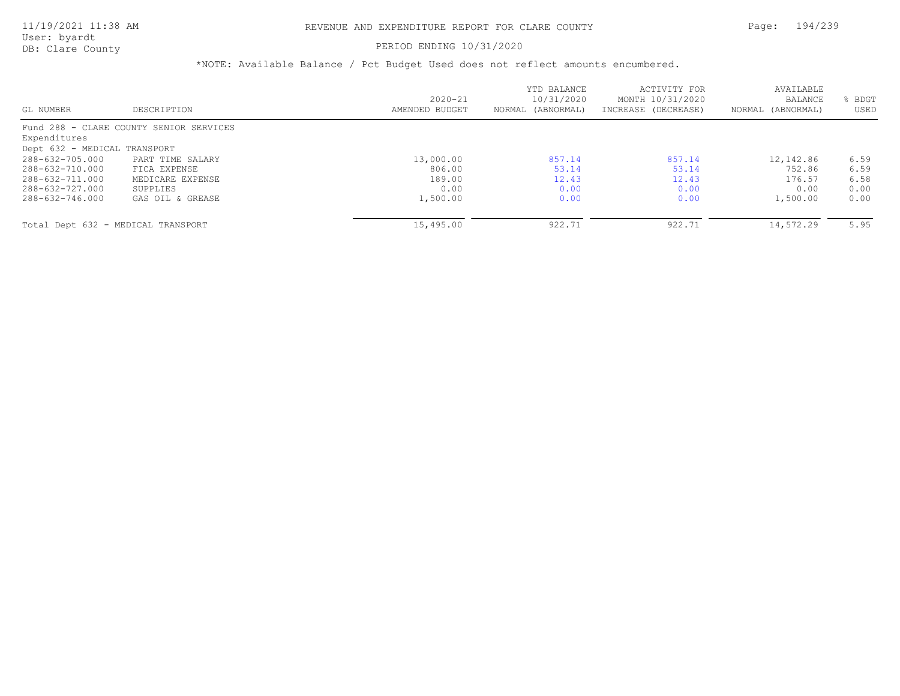# PERIOD ENDING 10/31/2020

|                                    |                                         |                | YTD BALANCE       | ACTIVITY FOR        | AVAILABLE         |      |
|------------------------------------|-----------------------------------------|----------------|-------------------|---------------------|-------------------|------|
|                                    |                                         | $2020 - 21$    | 10/31/2020        | MONTH 10/31/2020    | BALANCE           | BDGT |
| GL NUMBER                          | DESCRIPTION                             | AMENDED BUDGET | NORMAL (ABNORMAL) | INCREASE (DECREASE) | NORMAL (ABNORMAL) | USED |
|                                    | Fund 288 - CLARE COUNTY SENIOR SERVICES |                |                   |                     |                   |      |
| Expenditures                       |                                         |                |                   |                     |                   |      |
| Dept 632 - MEDICAL TRANSPORT       |                                         |                |                   |                     |                   |      |
| 288-632-705.000                    | PART TIME SALARY                        | 13,000.00      | 857.14            | 857.14              | 12,142.86         | 6.59 |
| 288-632-710.000                    | FICA EXPENSE                            | 806.00         | 53.14             | 53.14               | 752.86            | 6.59 |
| 288-632-711.000                    | MEDICARE EXPENSE                        | 189.00         | 12.43             | 12.43               | 176.57            | 6.58 |
| 288-632-727.000                    | SUPPLIES                                | 0.00           | 0.00              | 0.00                | 0.00              | 0.00 |
| 288-632-746.000                    | GAS OIL & GREASE                        | 1,500.00       | 0.00              | 0.00                | 1,500.00          | 0.00 |
| Total Dept 632 - MEDICAL TRANSPORT |                                         | 15,495.00      | 922.71            | 922.71              | 14,572.29         | 5.95 |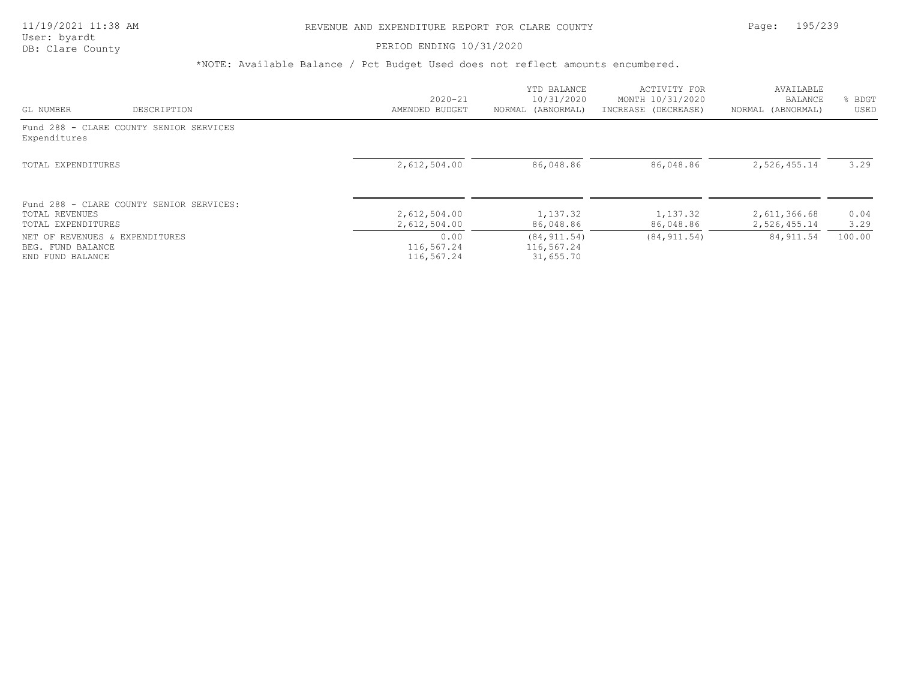# PERIOD ENDING 10/31/2020

|                                                                         |                                          | $2020 - 21$                      | YTD BALANCE<br>10/31/2020               | ACTIVITY FOR<br>MONTH 10/31/2020 | AVAILABLE                    | <b>BDGT</b>  |
|-------------------------------------------------------------------------|------------------------------------------|----------------------------------|-----------------------------------------|----------------------------------|------------------------------|--------------|
| GL NUMBER                                                               | DESCRIPTION                              | AMENDED BUDGET                   | NORMAL (ABNORMAL)                       | INCREASE (DECREASE)              | BALANCE<br>NORMAL (ABNORMAL) | USED         |
| Expenditures                                                            | Fund 288 - CLARE COUNTY SENIOR SERVICES  |                                  |                                         |                                  |                              |              |
| TOTAL EXPENDITURES                                                      |                                          | 2,612,504.00                     | 86,048.86                               | 86,048.86                        | 2,526,455.14                 | 3.29         |
| TOTAL REVENUES<br>TOTAL EXPENDITURES                                    | Fund 288 - CLARE COUNTY SENIOR SERVICES: | 2,612,504.00<br>2,612,504.00     | 1,137.32<br>86,048.86                   | 1,137.32<br>86,048.86            | 2,611,366.68<br>2,526,455.14 | 0.04<br>3.29 |
| NET OF REVENUES & EXPENDITURES<br>BEG. FUND BALANCE<br>END FUND BALANCE |                                          | 0.00<br>116,567.24<br>116,567.24 | (84, 911.54)<br>116,567.24<br>31,655.70 | (84, 911.54)                     | 84, 911.54                   | 100.00       |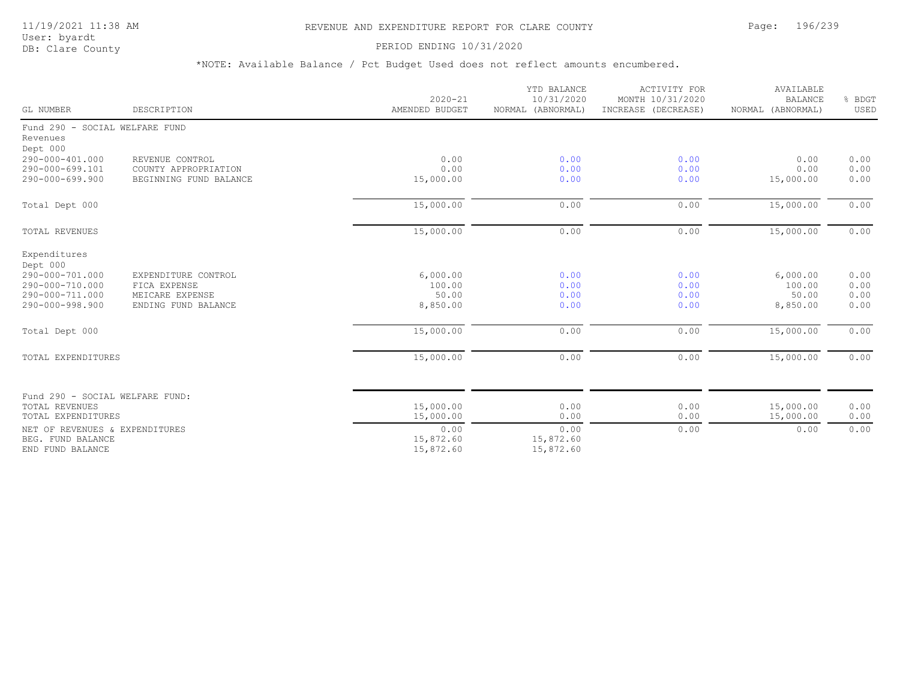# 11/19/2021 11:38 AM REVENUE AND EXPENDITURE REPORT FOR CLARE COUNTY Page: 196/239

User: byardt<br>DB: Clare County

# PERIOD ENDING 10/31/2020

| GL NUMBER                          | DESCRIPTION                             | $2020 - 21$<br>AMENDED BUDGET | YTD BALANCE<br>10/31/2020<br>NORMAL (ABNORMAL) | <b>ACTIVITY FOR</b><br>MONTH 10/31/2020<br>INCREASE (DECREASE) | AVAILABLE<br><b>BALANCE</b><br>NORMAL (ABNORMAL) | % BDGT<br>USED |
|------------------------------------|-----------------------------------------|-------------------------------|------------------------------------------------|----------------------------------------------------------------|--------------------------------------------------|----------------|
| Fund 290 - SOCIAL WELFARE FUND     |                                         |                               |                                                |                                                                |                                                  |                |
| Revenues                           |                                         |                               |                                                |                                                                |                                                  |                |
| Dept 000                           |                                         |                               |                                                |                                                                |                                                  |                |
| 290-000-401.000<br>290-000-699.101 | REVENUE CONTROL<br>COUNTY APPROPRIATION | 0.00<br>0.00                  | 0.00<br>0.00                                   | 0.00<br>0.00                                                   | 0.00<br>0.00                                     | 0.00<br>0.00   |
| 290-000-699.900                    | BEGINNING FUND BALANCE                  | 15,000.00                     | 0.00                                           | 0.00                                                           | 15,000.00                                        | 0.00           |
|                                    |                                         |                               |                                                |                                                                |                                                  |                |
| Total Dept 000                     |                                         | 15,000.00                     | 0.00                                           | 0.00                                                           | 15,000.00                                        | 0.00           |
| <b>TOTAL REVENUES</b>              |                                         | 15,000.00                     | 0.00                                           | 0.00                                                           | 15,000.00                                        | 0.00           |
| Expenditures                       |                                         |                               |                                                |                                                                |                                                  |                |
| Dept 000                           |                                         |                               |                                                |                                                                |                                                  |                |
| 290-000-701.000                    | EXPENDITURE CONTROL                     | 6,000.00                      | 0.00                                           | 0.00                                                           | 6,000.00                                         | 0.00           |
| 290-000-710.000                    | FICA EXPENSE                            | 100.00                        | 0.00                                           | 0.00                                                           | 100.00                                           | 0.00           |
| 290-000-711.000                    | MEICARE EXPENSE                         | 50.00                         | 0.00                                           | 0.00                                                           | 50.00                                            | 0.00           |
| 290-000-998.900                    | ENDING FUND BALANCE                     | 8,850.00                      | 0.00                                           | 0.00                                                           | 8,850.00                                         | 0.00           |
| Total Dept 000                     |                                         | 15,000.00                     | 0.00                                           | 0.00                                                           | 15,000.00                                        | 0.00           |
| TOTAL EXPENDITURES                 |                                         | 15,000.00                     | 0.00                                           | 0.00                                                           | 15,000.00                                        | 0.00           |
|                                    |                                         |                               |                                                |                                                                |                                                  |                |
| Fund 290 - SOCIAL WELFARE FUND:    |                                         |                               |                                                |                                                                |                                                  |                |
| TOTAL REVENUES                     |                                         | 15,000.00                     | 0.00                                           | 0.00                                                           | 15,000.00                                        | 0.00           |
| TOTAL EXPENDITURES                 |                                         | 15,000.00                     | 0.00                                           | 0.00                                                           | 15,000.00                                        | 0.00           |
| NET OF REVENUES & EXPENDITURES     |                                         | 0.00                          | 0.00                                           | 0.00                                                           | 0.00                                             | 0.00           |
| BEG. FUND BALANCE                  |                                         | 15,872.60                     | 15,872.60                                      |                                                                |                                                  |                |
| END FUND BALANCE                   |                                         | 15,872.60                     | 15,872.60                                      |                                                                |                                                  |                |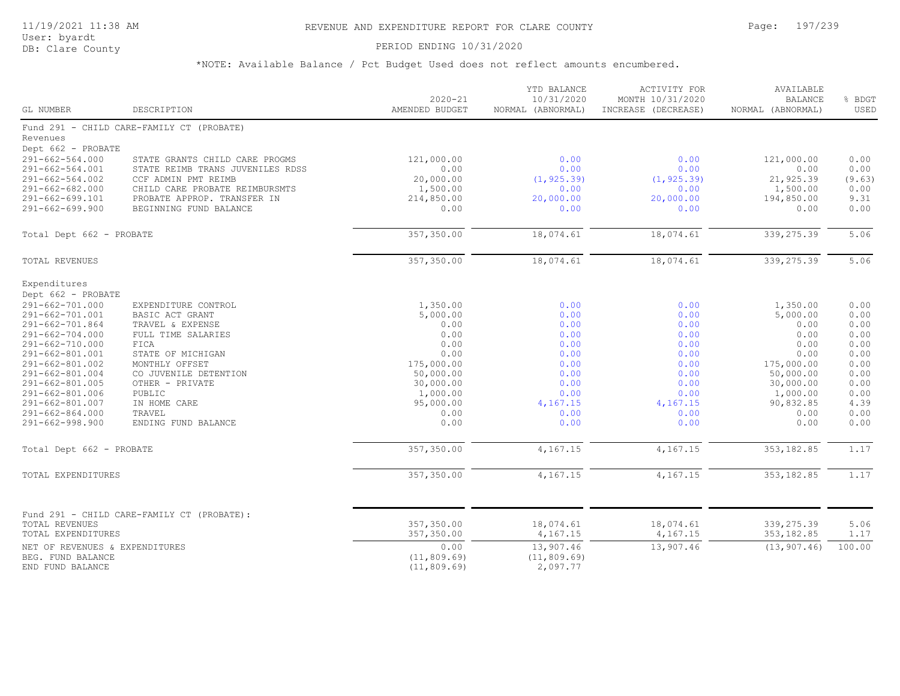# 11/19/2021 11:38 AM REVENUE AND EXPENDITURE REPORT FOR CLARE COUNTY Page: 197/239

User: byardt<br>DB: Clare County

### PERIOD ENDING 10/31/2020

| GL NUMBER                                | DESCRIPTION                                             | $2020 - 21$<br>AMENDED BUDGET | YTD BALANCE<br>10/31/2020<br>NORMAL (ABNORMAL) | ACTIVITY FOR<br>MONTH 10/31/2020<br>INCREASE (DECREASE) | AVAILABLE<br><b>BALANCE</b><br>NORMAL (ABNORMAL) | % BDGT<br>USED |
|------------------------------------------|---------------------------------------------------------|-------------------------------|------------------------------------------------|---------------------------------------------------------|--------------------------------------------------|----------------|
|                                          | Fund 291 - CHILD CARE-FAMILY CT (PROBATE)               |                               |                                                |                                                         |                                                  |                |
| Revenues                                 |                                                         |                               |                                                |                                                         |                                                  |                |
| Dept 662 - PROBATE                       |                                                         |                               |                                                |                                                         |                                                  |                |
| $291 - 662 - 564.000$                    | STATE GRANTS CHILD CARE PROGMS                          | 121,000.00<br>0.00            | 0.00                                           | 0.00<br>0.00                                            | 121,000.00                                       | 0.00           |
| 291-662-564.001<br>$291 - 662 - 564.002$ | STATE REIMB TRANS JUVENILES RDSS<br>CCF ADMIN PMT REIMB | 20,000.00                     | 0.00<br>(1, 925.39)                            |                                                         | 0.00<br>21,925.39                                | 0.00<br>(9.63) |
| $291 - 662 - 682.000$                    | CHILD CARE PROBATE REIMBURSMTS                          | 1,500.00                      | 0.00                                           | (1, 925.39)<br>0.00                                     | 1,500.00                                         | 0.00           |
| 291-662-699.101                          | PROBATE APPROP. TRANSFER IN                             | 214,850.00                    | 20,000.00                                      | 20,000.00                                               | 194,850.00                                       | 9.31           |
| $291 - 662 - 699.900$                    | BEGINNING FUND BALANCE                                  | 0.00                          | 0.00                                           | 0.00                                                    | 0.00                                             | 0.00           |
| Total Dept 662 - PROBATE                 |                                                         | 357,350.00                    | 18,074.61                                      | 18,074.61                                               | 339,275.39                                       | 5.06           |
|                                          |                                                         |                               |                                                |                                                         |                                                  |                |
| TOTAL REVENUES                           |                                                         | 357,350.00                    | 18,074.61                                      | 18,074.61                                               | 339,275.39                                       | 5.06           |
| Expenditures                             |                                                         |                               |                                                |                                                         |                                                  |                |
| Dept 662 - PROBATE                       |                                                         |                               |                                                |                                                         |                                                  |                |
| 291-662-701.000                          | EXPENDITURE CONTROL                                     | 1,350.00                      | 0.00                                           | 0.00                                                    | 1,350.00                                         | 0.00           |
| 291-662-701.001                          | BASIC ACT GRANT                                         | 5,000.00                      | 0.00                                           | 0.00                                                    | 5,000.00                                         | 0.00           |
| 291-662-701.864                          | TRAVEL & EXPENSE                                        | 0.00                          | 0.00                                           | 0.00                                                    | 0.00                                             | 0.00           |
| $291 - 662 - 704.000$                    | FULL TIME SALARIES                                      | 0.00                          | 0.00                                           | 0.00                                                    | 0.00                                             | 0.00           |
| 291-662-710.000                          | FICA                                                    | 0.00                          | 0.00                                           | 0.00                                                    | 0.00                                             | 0.00           |
| 291-662-801.001                          | STATE OF MICHIGAN                                       | 0.00                          | 0.00                                           | 0.00                                                    | 0.00                                             | 0.00           |
| 291-662-801.002                          | MONTHLY OFFSET                                          | 175,000.00                    | 0.00                                           | 0.00                                                    | 175,000.00                                       | 0.00           |
| 291-662-801.004                          | CO JUVENILE DETENTION                                   | 50,000.00                     | 0.00                                           | 0.00                                                    | 50,000.00                                        | 0.00           |
| 291-662-801.005                          | OTHER - PRIVATE                                         | 30,000.00                     | 0.00<br>0.00                                   | 0.00                                                    | 30,000.00                                        | 0.00           |
| 291-662-801.006<br>291-662-801.007       | PUBLIC<br>IN HOME CARE                                  | 1,000.00<br>95,000.00         | 4,167.15                                       | 0.00<br>4,167.15                                        | 1,000.00<br>90,832.85                            | 0.00<br>4.39   |
| $291 - 662 - 864.000$                    | TRAVEL                                                  | 0.00                          | 0.00                                           | 0.00                                                    | 0.00                                             | 0.00           |
| $291 - 662 - 998.900$                    | ENDING FUND BALANCE                                     | 0.00                          | 0.00                                           | 0.00                                                    | 0.00                                             | 0.00           |
| Total Dept 662 - PROBATE                 |                                                         | 357,350.00                    | 4,167.15                                       | 4,167.15                                                | 353, 182.85                                      | 1.17           |
|                                          |                                                         |                               |                                                |                                                         |                                                  |                |
| TOTAL EXPENDITURES                       |                                                         | 357,350.00                    | 4,167.15                                       | 4,167.15                                                | 353, 182.85                                      | 1.17           |
|                                          |                                                         |                               |                                                |                                                         |                                                  |                |
|                                          | Fund 291 - CHILD CARE-FAMILY CT (PROBATE):              |                               |                                                |                                                         |                                                  |                |
| TOTAL REVENUES                           |                                                         | 357,350.00                    | 18,074.61                                      | 18,074.61                                               | 339,275.39                                       | 5.06           |
| TOTAL EXPENDITURES                       |                                                         | 357,350.00                    | 4,167.15                                       | 4,167.15                                                | 353, 182.85                                      | 1.17           |
| NET OF REVENUES & EXPENDITURES           |                                                         | 0.00                          | 13,907.46                                      | 13,907.46                                               | (13, 907.46)                                     | 100.00         |
| BEG. FUND BALANCE                        |                                                         | (11, 809.69)                  | (11, 809.69)                                   |                                                         |                                                  |                |
| END FUND BALANCE                         |                                                         | (11, 809.69)                  | 2,097.77                                       |                                                         |                                                  |                |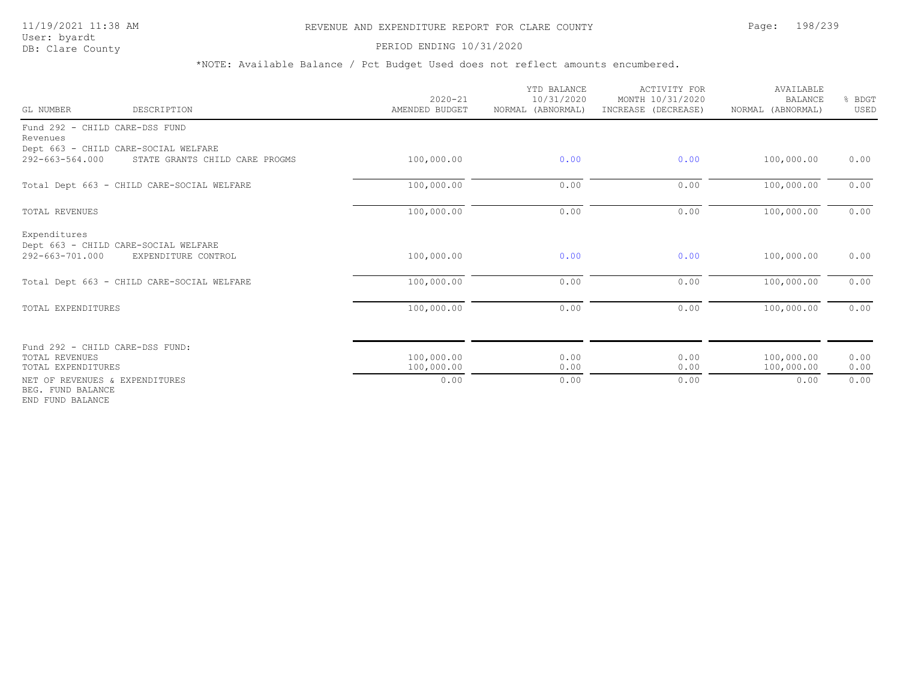# 11/19/2021 11:38 AM REVENUE AND EXPENDITURE REPORT FOR CLARE COUNTY Page: 198/239

User: byardt<br>DB: Clare County

### PERIOD ENDING 10/31/2020

| GL NUMBER                                                               | DESCRIPTION                                                            | $2020 - 21$<br>AMENDED BUDGET | YTD BALANCE<br>10/31/2020<br>NORMAL (ABNORMAL) | <b>ACTIVITY FOR</b><br>MONTH 10/31/2020<br>INCREASE (DECREASE) | AVAILABLE<br><b>BALANCE</b><br>NORMAL (ABNORMAL) | % BDGT<br>USED |
|-------------------------------------------------------------------------|------------------------------------------------------------------------|-------------------------------|------------------------------------------------|----------------------------------------------------------------|--------------------------------------------------|----------------|
| Fund 292 - CHILD CARE-DSS FUND                                          |                                                                        |                               |                                                |                                                                |                                                  |                |
| Revenues                                                                |                                                                        |                               |                                                |                                                                |                                                  |                |
| 292-663-564.000                                                         | Dept 663 - CHILD CARE-SOCIAL WELFARE<br>STATE GRANTS CHILD CARE PROGMS | 100,000.00                    | 0.00                                           | 0.00                                                           | 100,000.00                                       | 0.00           |
|                                                                         | Total Dept 663 - CHILD CARE-SOCIAL WELFARE                             | 100,000.00                    | 0.00                                           | 0.00                                                           | 100,000.00                                       | 0.00           |
| TOTAL REVENUES                                                          |                                                                        | 100,000.00                    | 0.00                                           | 0.00                                                           | 100,000.00                                       | 0.00           |
| Expenditures<br>292-663-701.000                                         | Dept 663 - CHILD CARE-SOCIAL WELFARE<br>EXPENDITURE CONTROL            | 100,000.00                    | 0.00                                           | 0.00                                                           | 100,000.00                                       | 0.00           |
|                                                                         | Total Dept 663 - CHILD CARE-SOCIAL WELFARE                             | 100,000.00                    | 0.00                                           | 0.00                                                           | 100,000.00                                       | 0.00           |
| TOTAL EXPENDITURES                                                      |                                                                        | 100,000.00                    | 0.00                                           | 0.00                                                           | 100,000.00                                       | 0.00           |
|                                                                         | Fund 292 - CHILD CARE-DSS FUND:                                        |                               |                                                |                                                                |                                                  |                |
| TOTAL REVENUES<br>TOTAL EXPENDITURES                                    |                                                                        | 100,000.00<br>100,000.00      | 0.00<br>0.00                                   | 0.00<br>0.00                                                   | 100,000.00<br>100,000.00                         | 0.00<br>0.00   |
| NET OF REVENUES & EXPENDITURES<br>BEG. FUND BALANCE<br>END FUND BALANCE |                                                                        | 0.00                          | 0.00                                           | 0.00                                                           | 0.00                                             | 0.00           |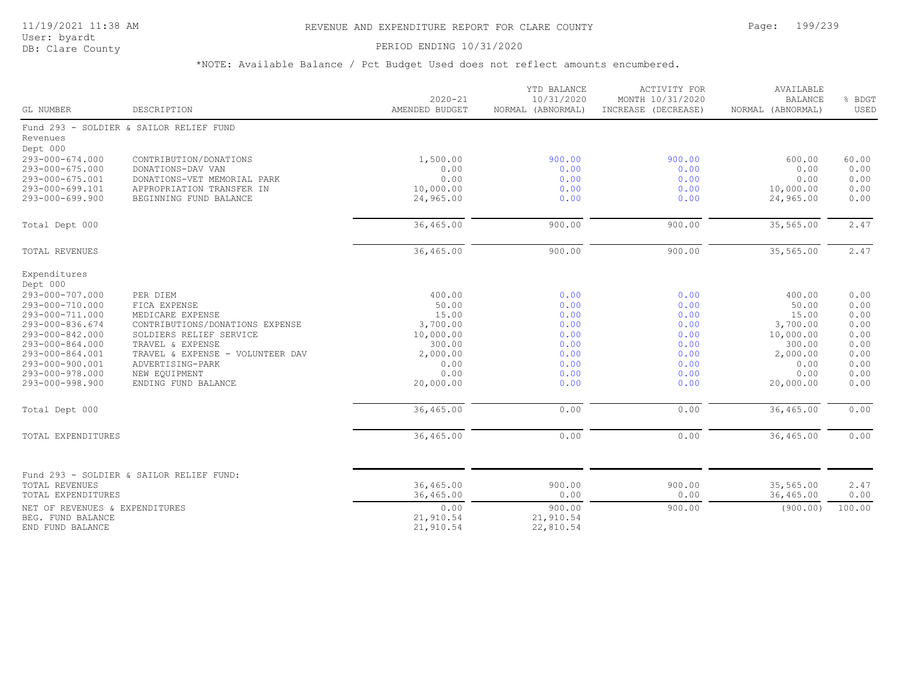# 11/19/2021 11:38 AM REVENUE AND EXPENDITURE REPORT FOR CLARE COUNTY Page: 199/239

User: byardt<br>DB: Clare County

# PERIOD ENDING 10/31/2020

| GL NUMBER                                                                                   | DESCRIPTION                                                                                                                       | $2020 - 21$<br>AMENDED BUDGET                      | YTD BALANCE<br>10/31/2020<br>NORMAL (ABNORMAL) | ACTIVITY FOR<br>MONTH 10/31/2020<br>INCREASE (DECREASE) | AVAILABLE<br><b>BALANCE</b><br>NORMAL (ABNORMAL) | % BDGT<br>USED                        |
|---------------------------------------------------------------------------------------------|-----------------------------------------------------------------------------------------------------------------------------------|----------------------------------------------------|------------------------------------------------|---------------------------------------------------------|--------------------------------------------------|---------------------------------------|
| Revenues<br>Dept 000                                                                        | Fund 293 - SOLDIER & SAILOR RELIEF FUND                                                                                           |                                                    |                                                |                                                         |                                                  |                                       |
| 293-000-674.000<br>293-000-675.000<br>293-000-675.001<br>293-000-699.101<br>293-000-699.900 | CONTRIBUTION/DONATIONS<br>DONATIONS-DAV VAN<br>DONATIONS-VET MEMORIAL PARK<br>APPROPRIATION TRANSFER IN<br>BEGINNING FUND BALANCE | 1,500.00<br>0.00<br>0.00<br>10,000.00<br>24,965.00 | 900.00<br>0.00<br>0.00<br>0.00<br>0.00         | 900.00<br>0.00<br>0.00<br>0.00<br>0.00                  | 600.00<br>0.00<br>0.00<br>10,000.00<br>24,965.00 | 60.00<br>0.00<br>0.00<br>0.00<br>0.00 |
| Total Dept 000                                                                              |                                                                                                                                   | 36,465.00                                          | 900.00                                         | 900.00                                                  | 35,565.00                                        | 2.47                                  |
| <b>TOTAL REVENUES</b>                                                                       |                                                                                                                                   | 36,465.00                                          | 900.00                                         | 900.00                                                  | 35,565.00                                        | 2.47                                  |
| Expenditures<br>Dept 000<br>293-000-707.000<br>293-000-710.000                              | PER DIEM<br>FICA EXPENSE                                                                                                          | 400.00<br>50.00                                    | 0.00<br>0.00                                   | 0.00<br>0.00                                            | 400.00<br>50.00                                  | 0.00<br>0.00                          |
| 293-000-711.000<br>293-000-836.674<br>293-000-842.000<br>293-000-864.000                    | MEDICARE EXPENSE<br>CONTRIBUTIONS/DONATIONS EXPENSE<br>SOLDIERS RELIEF SERVICE<br>TRAVEL & EXPENSE                                | 15.00<br>3,700.00<br>10,000.00<br>300.00           | 0.00<br>0.00<br>0.00<br>0.00                   | 0.00<br>0.00<br>0.00<br>0.00                            | 15.00<br>3,700.00<br>10,000.00<br>300.00         | 0.00<br>0.00<br>0.00<br>0.00          |
| 293-000-864.001<br>293-000-900.001<br>293-000-978.000<br>293-000-998.900                    | TRAVEL & EXPENSE - VOLUNTEER DAV<br>ADVERTISING-PARK<br>NEW EQUIPMENT<br>ENDING FUND BALANCE                                      | 2,000.00<br>0.00<br>0.00<br>20,000.00              | 0.00<br>0.00<br>0.00<br>0.00                   | 0.00<br>0.00<br>0.00<br>0.00                            | 2,000.00<br>0.00<br>0.00<br>20,000.00            | 0.00<br>0.00<br>0.00<br>0.00          |
| Total Dept 000                                                                              |                                                                                                                                   | 36,465.00                                          | 0.00                                           | 0.00                                                    | 36,465.00                                        | 0.00                                  |
| TOTAL EXPENDITURES                                                                          |                                                                                                                                   | 36,465.00                                          | 0.00                                           | 0.00                                                    | 36,465.00                                        | 0.00                                  |
| <b>TOTAL REVENUES</b><br>TOTAL EXPENDITURES                                                 | Fund 293 - SOLDIER & SAILOR RELIEF FUND:                                                                                          | 36,465.00<br>36,465.00                             | 900.00<br>0.00                                 | 900.00<br>0.00                                          | 35,565.00<br>36,465.00                           | 2.47<br>0.00                          |
| NET OF REVENUES & EXPENDITURES<br>BEG. FUND BALANCE<br>END FUND BALANCE                     |                                                                                                                                   | 0.00<br>21,910.54<br>21,910.54                     | 900.00<br>21,910.54<br>22,810.54               | 900.00                                                  | (900.00)                                         | 100.00                                |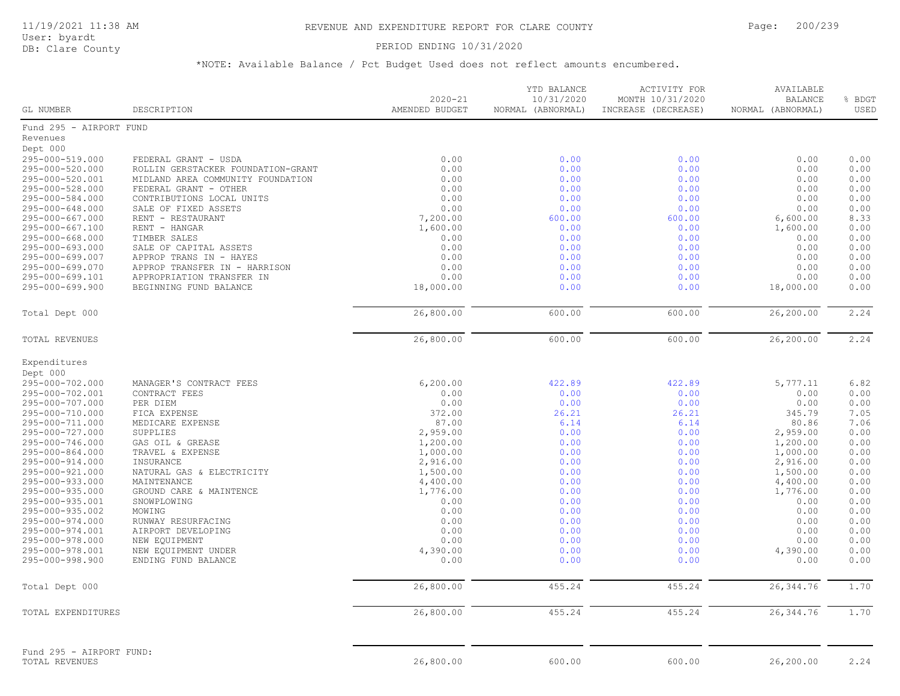### PERIOD ENDING 10/31/2020

| GL NUMBER                | DESCRIPTION                        | $2020 - 21$<br>AMENDED BUDGET | YTD BALANCE<br>10/31/2020<br>NORMAL (ABNORMAL) | ACTIVITY FOR<br>MONTH 10/31/2020<br>INCREASE (DECREASE) | AVAILABLE<br>BALANCE<br>NORMAL (ABNORMAL) | % BDGT<br>USED |
|--------------------------|------------------------------------|-------------------------------|------------------------------------------------|---------------------------------------------------------|-------------------------------------------|----------------|
| Fund 295 - AIRPORT FUND  |                                    |                               |                                                |                                                         |                                           |                |
| Revenues                 |                                    |                               |                                                |                                                         |                                           |                |
| Dept 000                 |                                    |                               |                                                |                                                         |                                           |                |
| 295-000-519.000          | FEDERAL GRANT - USDA               | 0.00                          | 0.00                                           | 0.00                                                    | 0.00                                      | 0.00           |
| 295-000-520.000          | ROLLIN GERSTACKER FOUNDATION-GRANT | 0.00                          | 0.00                                           | 0.00                                                    | 0.00                                      | 0.00           |
| 295-000-520.001          | MIDLAND AREA COMMUNITY FOUNDATION  | 0.00                          | 0.00                                           | 0.00                                                    | 0.00                                      | 0.00           |
| 295-000-528.000          | FEDERAL GRANT - OTHER              | 0.00                          | 0.00                                           | 0.00                                                    | 0.00                                      | 0.00           |
| 295-000-584.000          | CONTRIBUTIONS LOCAL UNITS          | 0.00                          | 0.00                                           | 0.00                                                    | 0.00                                      | 0.00           |
| 295-000-648.000          | SALE OF FIXED ASSETS               | 0.00                          | 0.00                                           | 0.00                                                    | 0.00                                      | 0.00           |
| 295-000-667.000          | RENT - RESTAURANT                  | 7,200.00                      | 600.00                                         | 600.00                                                  | 6,600.00                                  | 8.33           |
| 295-000-667.100          | RENT - HANGAR                      | 1,600.00                      | 0.00                                           | 0.00                                                    | 1,600.00                                  | 0.00           |
| 295-000-668.000          | TIMBER SALES                       | 0.00                          | 0.00                                           | 0.00                                                    | 0.00                                      | 0.00           |
| 295-000-693.000          | SALE OF CAPITAL ASSETS             | 0.00                          | 0.00                                           | 0.00                                                    | 0.00                                      | 0.00           |
| 295-000-699.007          | APPROP TRANS IN - HAYES            | 0.00                          | 0.00                                           | 0.00                                                    | 0.00                                      | 0.00           |
| 295-000-699.070          | APPROP TRANSFER IN - HARRISON      | 0.00                          | 0.00                                           | 0.00                                                    | 0.00                                      | 0.00           |
| 295-000-699.101          | APPROPRIATION TRANSFER IN          | 0.00                          | 0.00                                           | 0.00                                                    | 0.00                                      | 0.00           |
| 295-000-699.900          | BEGINNING FUND BALANCE             | 18,000.00                     | 0.00                                           | 0.00                                                    | 18,000.00                                 | 0.00           |
| Total Dept 000           |                                    | 26,800.00                     | 600.00                                         | 600.00                                                  | 26,200.00                                 | 2.24           |
| TOTAL REVENUES           |                                    | 26,800.00                     | 600.00                                         | 600.00                                                  | 26,200.00                                 | 2.24           |
|                          |                                    |                               |                                                |                                                         |                                           |                |
| Expenditures<br>Dept 000 |                                    |                               |                                                |                                                         |                                           |                |
| 295-000-702.000          | MANAGER'S CONTRACT FEES            | 6,200.00                      | 422.89                                         | 422.89                                                  | 5,777.11                                  | 6.82           |
| 295-000-702.001          | CONTRACT FEES                      | 0.00                          | 0.00                                           | 0.00                                                    | 0.00                                      | 0.00           |
| 295-000-707.000          | PER DIEM                           | 0.00                          | 0.00                                           | 0.00                                                    | 0.00                                      | 0.00           |
| 295-000-710.000          | FICA EXPENSE                       | 372.00                        | 26.21                                          | 26.21                                                   | 345.79                                    | 7.05           |
| 295-000-711.000          | MEDICARE EXPENSE                   | 87.00                         | 6.14                                           | 6.14                                                    | 80.86                                     | 7.06           |
| 295-000-727.000          | SUPPLIES                           | 2,959.00                      | 0.00                                           | 0.00                                                    | 2,959.00                                  | 0.00           |
| 295-000-746.000          | GAS OIL & GREASE                   | 1,200.00                      | 0.00                                           | 0.00                                                    | 1,200.00                                  | 0.00           |
| 295-000-864.000          | TRAVEL & EXPENSE                   | 1,000.00                      | 0.00                                           | 0.00                                                    | 1,000.00                                  | 0.00           |
| 295-000-914.000          | INSURANCE                          | 2,916.00                      | 0.00                                           | 0.00                                                    | 2,916.00                                  | 0.00           |
| 295-000-921.000          | NATURAL GAS & ELECTRICITY          | 1,500.00                      | 0.00                                           | 0.00                                                    | 1,500.00                                  | 0.00           |
| 295-000-933.000          | MAINTENANCE                        | 4,400.00                      | 0.00                                           | 0.00                                                    | 4,400.00                                  | 0.00           |
| 295-000-935.000          | GROUND CARE & MAINTENCE            | 1,776.00                      | 0.00                                           | 0.00                                                    | 1,776.00                                  | 0.00           |
| 295-000-935.001          | SNOWPLOWING                        | 0.00                          | 0.00                                           | 0.00                                                    | 0.00                                      | 0.00           |
| 295-000-935.002          | MOWING                             | 0.00                          | 0.00                                           | 0.00                                                    | 0.00                                      | 0.00           |
| 295-000-974.000          | RUNWAY RESURFACING                 | 0.00                          | 0.00                                           | 0.00                                                    | 0.00                                      | 0.00           |
| 295-000-974.001          | AIRPORT DEVELOPING                 | 0.00                          | 0.00                                           | 0.00                                                    | 0.00                                      | 0.00           |
| 295-000-978.000          | NEW EQUIPMENT                      | 0.00                          | 0.00                                           | 0.00                                                    | 0.00                                      | 0.00           |
| 295-000-978.001          | NEW EQUIPMENT UNDER                | 4,390.00                      | 0.00                                           | 0.00                                                    | 4,390.00                                  | 0.00           |
| 295-000-998.900          | ENDING FUND BALANCE                | 0.00                          | 0.00                                           | 0.00                                                    | 0.00                                      | 0.00           |
| Total Dept 000           |                                    | 26,800.00                     | 455.24                                         | 455.24                                                  | 26, 344.76                                | 1.70           |
| TOTAL EXPENDITURES       |                                    | 26,800.00                     | 455.24                                         | 455.24                                                  | 26, 344.76                                | 1.70           |
| Fund 295 - AIRPORT FUND: |                                    |                               |                                                |                                                         |                                           |                |
| TOTAL REVENUES           |                                    | 26,800.00                     | 600.00                                         | 600.00                                                  | 26,200.00                                 | 2.24           |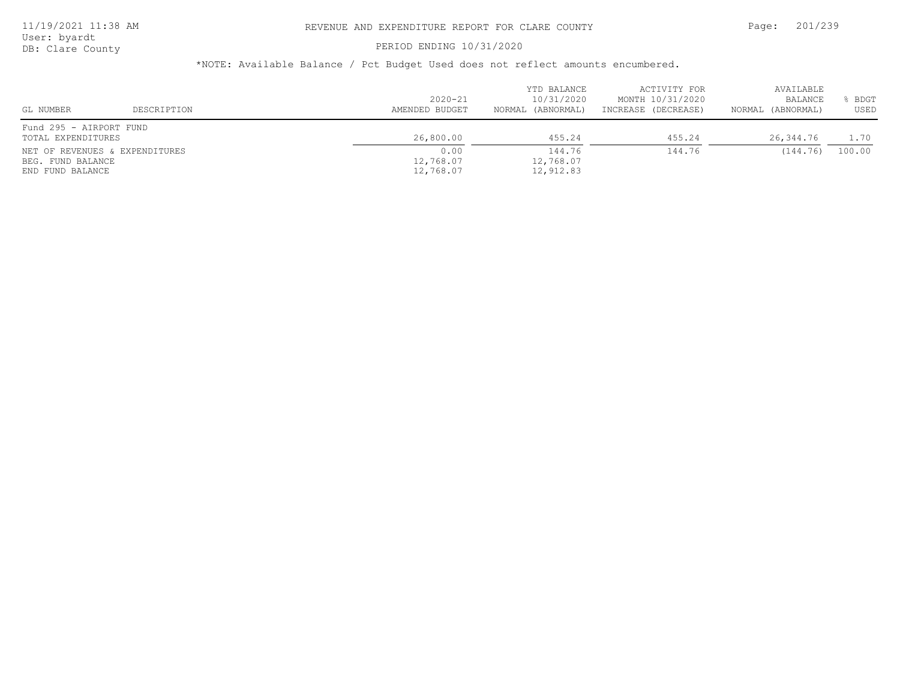# PERIOD ENDING 10/31/2020

| GL NUMBER                                     | DESCRIPTION                    | $2020 - 21$<br>AMENDED BUDGET  | YTD BALANCE<br>10/31/2020<br>NORMAL (ABNORMAL) | ACTIVITY FOR<br>MONTH 10/31/2020<br>INCREASE (DECREASE) | AVAILABLE<br>BALANCE<br>NORMAL (ABNORMAL) | <b>BDGT</b><br>USED |
|-----------------------------------------------|--------------------------------|--------------------------------|------------------------------------------------|---------------------------------------------------------|-------------------------------------------|---------------------|
| Fund 295 - AIRPORT FUND<br>TOTAL EXPENDITURES |                                | 26,800.00                      | 455.24                                         | 455.24                                                  | 26,344.76                                 | 1.70                |
| BEG. FUND BALANCE<br>END FUND BALANCE         | NET OF REVENUES & EXPENDITURES | 0.00<br>12,768.07<br>12,768.07 | 144.76<br>12,768.07<br>12,912.83               | 144.76                                                  | (144.76)                                  | 100.00              |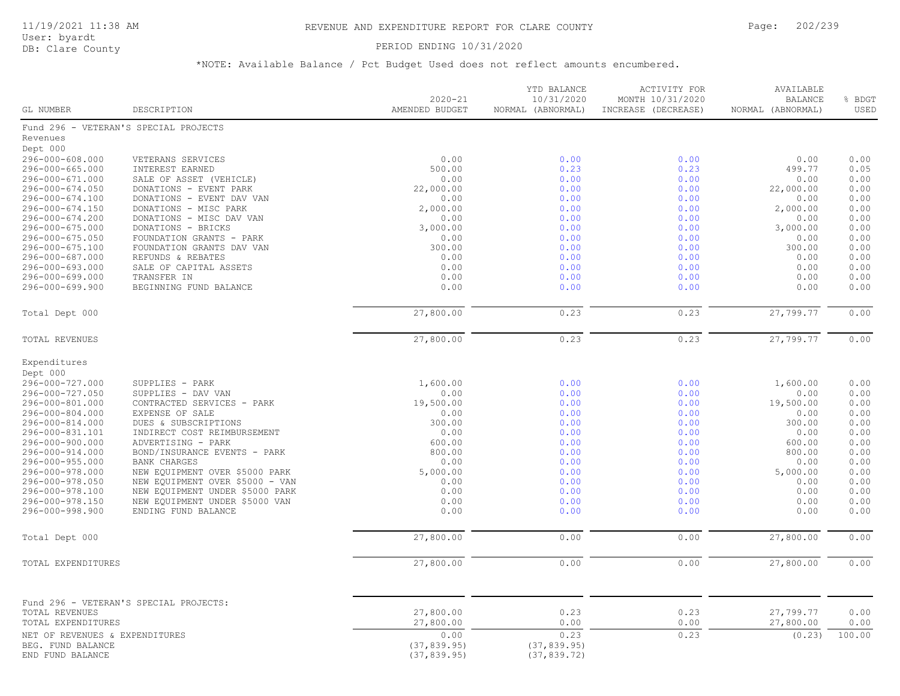# 11/19/2021 11:38 AM REVENUE AND EXPENDITURE REPORT FOR CLARE COUNTY Page: 202/239

User: byardt<br>DB: Clare County

# PERIOD ENDING 10/31/2020

| GL NUMBER                          | DESCRIPTION                            | $2020 - 21$<br>AMENDED BUDGET | YTD BALANCE<br>10/31/2020<br>NORMAL (ABNORMAL) | ACTIVITY FOR<br>MONTH 10/31/2020<br>INCREASE (DECREASE) | AVAILABLE<br><b>BALANCE</b><br>NORMAL (ABNORMAL) | % BDGT<br>USED |
|------------------------------------|----------------------------------------|-------------------------------|------------------------------------------------|---------------------------------------------------------|--------------------------------------------------|----------------|
|                                    | Fund 296 - VETERAN'S SPECIAL PROJECTS  |                               |                                                |                                                         |                                                  |                |
| Revenues                           |                                        |                               |                                                |                                                         |                                                  |                |
| Dept 000                           |                                        |                               |                                                |                                                         |                                                  |                |
| 296-000-608.000                    | VETERANS SERVICES                      | 0.00                          | 0.00                                           | 0.00                                                    | 0.00                                             | 0.00           |
| 296-000-665.000                    | INTEREST EARNED                        | 500.00                        | 0.23                                           | 0.23                                                    | 499.77                                           | 0.05           |
| 296-000-671.000                    | SALE OF ASSET (VEHICLE)                | 0.00                          | 0.00                                           | 0.00                                                    | 0.00                                             | 0.00           |
| 296-000-674.050                    | DONATIONS - EVENT PARK                 | 22,000.00                     | 0.00                                           | 0.00                                                    | 22,000.00                                        | 0.00           |
| 296-000-674.100                    | DONATIONS - EVENT DAV VAN              | 0.00                          | 0.00                                           | 0.00                                                    | 0.00                                             | 0.00           |
| 296-000-674.150                    | DONATIONS - MISC PARK                  | 2,000.00                      | 0.00                                           | 0.00                                                    | 2,000.00                                         | 0.00           |
| 296-000-674.200                    | DONATIONS - MISC DAV VAN               | 0.00                          | 0.00                                           | 0.00                                                    | 0.00                                             | 0.00           |
| 296-000-675.000                    | DONATIONS - BRICKS                     | 3,000.00                      | 0.00                                           | 0.00                                                    | 3,000.00                                         | 0.00           |
| 296-000-675.050                    | FOUNDATION GRANTS - PARK               | 0.00                          | 0.00                                           | 0.00                                                    | 0.00                                             | 0.00           |
| 296-000-675.100                    | FOUNDATION GRANTS DAV VAN              | 300.00                        | 0.00                                           | 0.00                                                    | 300.00                                           | 0.00           |
| 296-000-687.000                    | REFUNDS & REBATES                      | 0.00                          | 0.00                                           | 0.00                                                    | 0.00                                             | 0.00           |
| 296-000-693.000                    | SALE OF CAPITAL ASSETS                 | 0.00                          | 0.00                                           | 0.00                                                    | 0.00                                             | 0.00           |
| 296-000-699.000<br>296-000-699.900 | TRANSFER IN                            | 0.00                          | 0.00<br>0.00                                   | 0.00                                                    | 0.00<br>0.00                                     | 0.00<br>0.00   |
|                                    | BEGINNING FUND BALANCE                 | 0.00                          |                                                | 0.00                                                    |                                                  |                |
| Total Dept 000                     |                                        | 27,800.00                     | 0.23                                           | 0.23                                                    | 27,799.77                                        | 0.00           |
| TOTAL REVENUES                     |                                        | 27,800.00                     | 0.23                                           | 0.23                                                    | 27,799.77                                        | 0.00           |
| Expenditures                       |                                        |                               |                                                |                                                         |                                                  |                |
| Dept 000                           |                                        |                               |                                                |                                                         |                                                  |                |
| 296-000-727.000                    | SUPPLIES - PARK                        | 1,600.00                      | 0.00                                           | 0.00                                                    | 1,600.00                                         | 0.00           |
| 296-000-727.050                    | SUPPLIES - DAV VAN                     | 0.00                          | 0.00                                           | 0.00                                                    | 0.00                                             | 0.00           |
| 296-000-801.000                    | CONTRACTED SERVICES - PARK             | 19,500.00                     | 0.00                                           | 0.00                                                    | 19,500.00                                        | 0.00           |
| 296-000-804.000                    | EXPENSE OF SALE                        | 0.00                          | 0.00                                           | 0.00                                                    | 0.00                                             | 0.00           |
| 296-000-814.000                    | DUES & SUBSCRIPTIONS                   | 300.00                        | 0.00                                           | 0.00                                                    | 300.00                                           | 0.00           |
| 296-000-831.101                    | INDIRECT COST REIMBURSEMENT            | 0.00                          | 0.00                                           | 0.00                                                    | 0.00                                             | 0.00           |
| 296-000-900.000                    | ADVERTISING - PARK                     | 600.00                        | 0.00                                           | 0.00                                                    | 600.00                                           | 0.00           |
| 296-000-914.000                    | BOND/INSURANCE EVENTS - PARK           | 800.00                        | 0.00                                           | 0.00                                                    | 800.00                                           | 0.00           |
| 296-000-955.000                    | <b>BANK CHARGES</b>                    | 0.00                          | 0.00                                           | 0.00                                                    | 0.00                                             | 0.00           |
| 296-000-978.000                    | NEW EQUIPMENT OVER \$5000 PARK         | 5,000.00                      | 0.00                                           | 0.00                                                    | 5,000.00                                         | 0.00           |
| 296-000-978.050                    | NEW EQUIPMENT OVER \$5000 - VAN        | 0.00                          | 0.00                                           | 0.00                                                    | 0.00                                             | 0.00           |
| 296-000-978.100                    | NEW EQUIPMENT UNDER \$5000 PARK        | 0.00                          | 0.00                                           | 0.00                                                    | 0.00                                             | 0.00           |
| 296-000-978.150                    | NEW EQUIPMENT UNDER \$5000 VAN         | 0.00                          | 0.00                                           | 0.00                                                    | 0.00                                             | 0.00           |
| 296-000-998.900                    | ENDING FUND BALANCE                    | 0.00                          | 0.00                                           | 0.00                                                    | 0.00                                             | 0.00           |
| Total Dept 000                     |                                        | 27,800.00                     | 0.00                                           | 0.00                                                    | 27,800.00                                        | 0.00           |
| TOTAL EXPENDITURES                 |                                        | 27,800.00                     | 0.00                                           | 0.00                                                    | 27,800.00                                        | 0.00           |
|                                    |                                        |                               |                                                |                                                         |                                                  |                |
|                                    | Fund 296 - VETERAN'S SPECIAL PROJECTS: |                               |                                                |                                                         |                                                  |                |
| TOTAL REVENUES                     |                                        | 27,800.00                     | 0.23                                           | 0.23                                                    | 27,799.77                                        | 0.00           |
| TOTAL EXPENDITURES                 |                                        | 27,800.00                     | 0.00                                           | 0.00                                                    | 27,800.00                                        | 0.00           |
| NET OF REVENUES & EXPENDITURES     |                                        | 0.00                          | 0.23                                           | 0.23                                                    | (0.23)                                           | 100.00         |
| BEG. FUND BALANCE                  |                                        | (37, 839.95)                  | (37, 839.95)                                   |                                                         |                                                  |                |
| END FUND BALANCE                   |                                        | (37, 839.95)                  | (37, 839.72)                                   |                                                         |                                                  |                |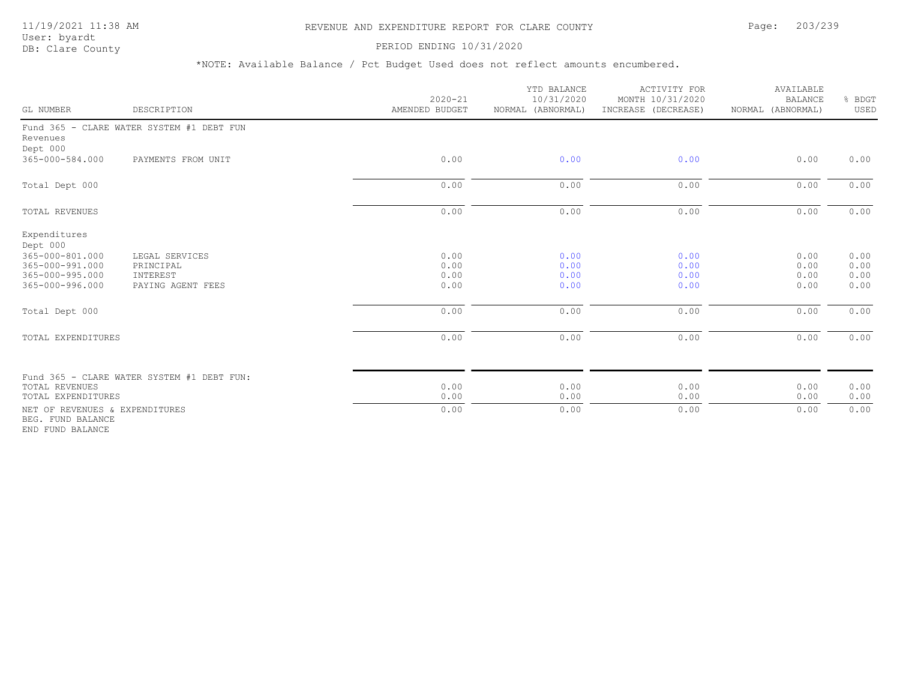# 11/19/2021 11:38 AM REVENUE AND EXPENDITURE REPORT FOR CLARE COUNTY Page: 203/239

### PERIOD ENDING 10/31/2020

| GL NUMBER                                                                                            | DESCRIPTION                                                  | $2020 - 21$<br>AMENDED BUDGET | YTD BALANCE<br>10/31/2020<br>NORMAL (ABNORMAL) | <b>ACTIVITY FOR</b><br>MONTH 10/31/2020<br>INCREASE (DECREASE) | AVAILABLE<br><b>BALANCE</b><br>NORMAL (ABNORMAL) | % BDGT<br>USED               |
|------------------------------------------------------------------------------------------------------|--------------------------------------------------------------|-------------------------------|------------------------------------------------|----------------------------------------------------------------|--------------------------------------------------|------------------------------|
| Revenues<br>Dept 000                                                                                 | Fund 365 - CLARE WATER SYSTEM #1 DEBT FUN                    |                               |                                                |                                                                |                                                  |                              |
| 365-000-584.000                                                                                      | PAYMENTS FROM UNIT                                           | 0.00                          | 0.00                                           | 0.00                                                           | 0.00                                             | 0.00                         |
| Total Dept 000                                                                                       |                                                              | 0.00                          | 0.00                                           | 0.00                                                           | 0.00                                             | 0.00                         |
| TOTAL REVENUES                                                                                       |                                                              | 0.00                          | 0.00                                           | 0.00                                                           | 0.00                                             | 0.00                         |
| Expenditures<br>Dept 000<br>365-000-801.000<br>365-000-991.000<br>365-000-995.000<br>365-000-996.000 | LEGAL SERVICES<br>PRINCIPAL<br>INTEREST<br>PAYING AGENT FEES | 0.00<br>0.00<br>0.00<br>0.00  | 0.00<br>0.00<br>0.00<br>0.00                   | 0.00<br>0.00<br>0.00<br>0.00                                   | 0.00<br>0.00<br>0.00<br>0.00                     | 0.00<br>0.00<br>0.00<br>0.00 |
| Total Dept 000                                                                                       |                                                              | 0.00                          | 0.00                                           | 0.00                                                           | 0.00                                             | 0.00                         |
| TOTAL EXPENDITURES                                                                                   |                                                              | 0.00                          | 0.00                                           | 0.00                                                           | 0.00                                             | 0.00                         |
| <b>TOTAL REVENUES</b><br>TOTAL EXPENDITURES                                                          | Fund 365 - CLARE WATER SYSTEM #1 DEBT FUN:                   | 0.00<br>0.00                  | 0.00<br>0.00                                   | 0.00<br>0.00                                                   | 0.00<br>0.00                                     | 0.00<br>0.00                 |
| NET OF REVENUES & EXPENDITURES<br>BEG. FUND BALANCE<br>END FUND BALANCE                              |                                                              | 0.00                          | 0.00                                           | 0.00                                                           | 0.00                                             | 0.00                         |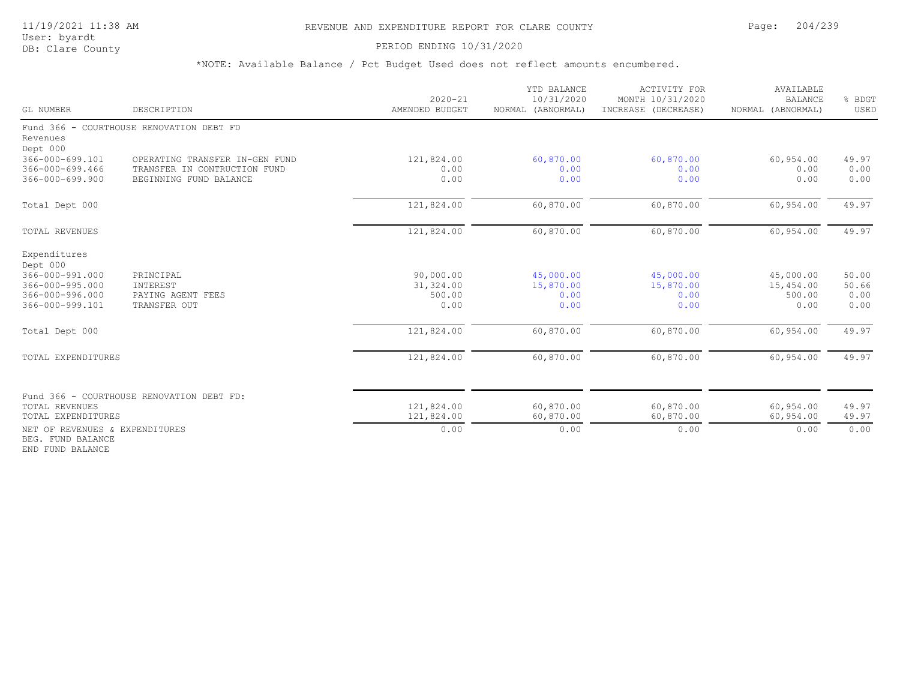## 11/19/2021 11:38 AM REVENUE AND EXPENDITURE REPORT FOR CLARE COUNTY Page: 204/239

User: byardt

# DB: Clare County **DB: Clare County**

\*NOTE: Available Balance / Pct Budget Used does not reflect amounts encumbered.

| GL NUMBER                                           | DESCRIPTION                               | $2020 - 21$<br>AMENDED BUDGET | YTD BALANCE<br>10/31/2020<br>NORMAL (ABNORMAL) | <b>ACTIVITY FOR</b><br>MONTH 10/31/2020<br>INCREASE (DECREASE) | AVAILABLE<br><b>BALANCE</b><br>NORMAL (ABNORMAL) | % BDGT<br>USED |
|-----------------------------------------------------|-------------------------------------------|-------------------------------|------------------------------------------------|----------------------------------------------------------------|--------------------------------------------------|----------------|
| Revenues                                            | Fund 366 - COURTHOUSE RENOVATION DEBT FD  |                               |                                                |                                                                |                                                  |                |
| Dept 000                                            |                                           |                               |                                                |                                                                |                                                  |                |
| 366-000-699.101                                     | OPERATING TRANSFER IN-GEN FUND            | 121,824.00                    | 60,870.00                                      | 60,870.00                                                      | 60,954.00                                        | 49.97          |
| $366 - 000 - 699.466$<br>366-000-699.900            | TRANSFER IN CONTRUCTION FUND              | 0.00<br>0.00                  | 0.00                                           | 0.00                                                           | 0.00                                             | 0.00           |
|                                                     | BEGINNING FUND BALANCE                    |                               | 0.00                                           | 0.00                                                           | 0.00                                             | 0.00           |
| Total Dept 000                                      |                                           | 121,824.00                    | 60,870.00                                      | 60,870.00                                                      | 60,954.00                                        | 49.97          |
| TOTAL REVENUES                                      |                                           | 121,824.00                    | 60,870.00                                      | 60,870.00                                                      | 60,954.00                                        | 49.97          |
| Expenditures<br>Dept 000                            |                                           |                               |                                                |                                                                |                                                  |                |
| 366-000-991.000                                     | PRINCIPAL                                 | 90,000.00                     | 45,000.00                                      | 45,000.00                                                      | 45,000.00                                        | 50.00          |
| $366 - 000 - 995.000$                               | INTEREST                                  | 31,324.00                     | 15,870.00                                      | 15,870.00                                                      | 15,454.00                                        | 50.66          |
| 366-000-996.000                                     | PAYING AGENT FEES                         | 500.00                        | 0.00                                           | 0.00                                                           | 500.00                                           | 0.00           |
| 366-000-999.101                                     | TRANSFER OUT                              | 0.00                          | 0.00                                           | 0.00                                                           | 0.00                                             | 0.00           |
| Total Dept 000                                      |                                           | 121,824.00                    | 60,870.00                                      | 60,870.00                                                      | 60,954.00                                        | 49.97          |
| TOTAL EXPENDITURES                                  |                                           | 121,824.00                    | 60,870.00                                      | 60,870.00                                                      | 60,954.00                                        | 49.97          |
|                                                     |                                           |                               |                                                |                                                                |                                                  |                |
|                                                     | Fund 366 - COURTHOUSE RENOVATION DEBT FD: |                               |                                                |                                                                |                                                  |                |
| <b>TOTAL REVENUES</b><br>TOTAL EXPENDITURES         |                                           | 121,824.00<br>121,824.00      | 60,870.00<br>60,870.00                         | 60,870.00<br>60,870.00                                         | 60,954.00<br>60,954.00                           | 49.97<br>49.97 |
|                                                     |                                           |                               |                                                |                                                                |                                                  |                |
| NET OF REVENUES & EXPENDITURES<br>BEG. FUND BALANCE |                                           | 0.00                          | 0.00                                           | 0.00                                                           | 0.00                                             | 0.00           |

END FUND BALANCE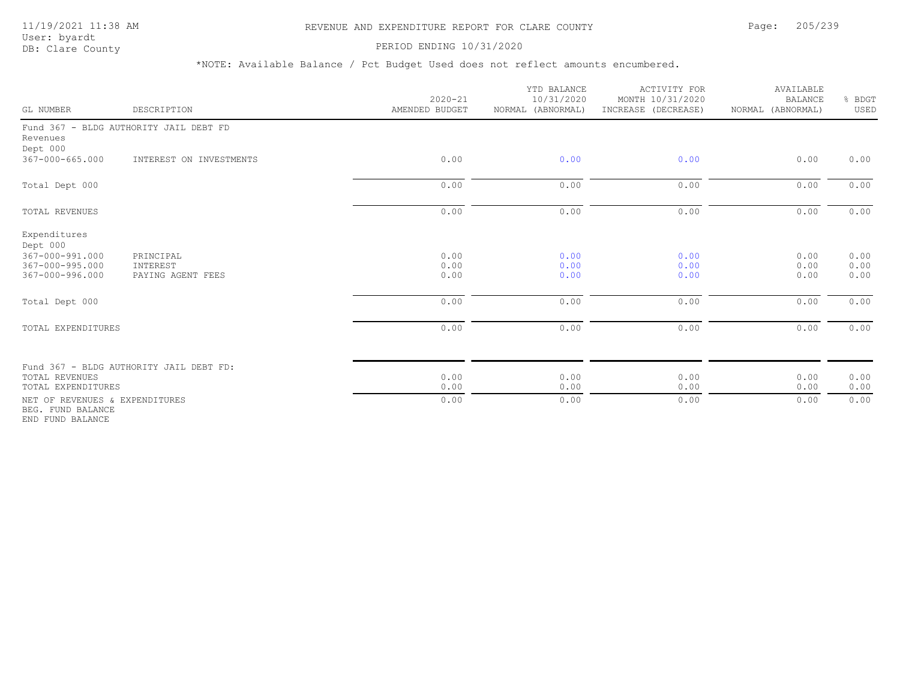# 11/19/2021 11:38 AM REVENUE AND EXPENDITURE REPORT FOR CLARE COUNTY Page: 205/239

### PERIOD ENDING 10/31/2020

| GL NUMBER                                                                         | DESCRIPTION                                | $2020 - 21$<br>AMENDED BUDGET | YTD BALANCE<br>10/31/2020<br>NORMAL (ABNORMAL) | <b>ACTIVITY FOR</b><br>MONTH 10/31/2020<br>INCREASE (DECREASE) | AVAILABLE<br><b>BALANCE</b><br>NORMAL (ABNORMAL) | % BDGT<br>USED       |
|-----------------------------------------------------------------------------------|--------------------------------------------|-------------------------------|------------------------------------------------|----------------------------------------------------------------|--------------------------------------------------|----------------------|
| Revenues<br>Dept 000                                                              | Fund 367 - BLDG AUTHORITY JAIL DEBT FD     |                               |                                                |                                                                |                                                  |                      |
| 367-000-665.000                                                                   | INTEREST ON INVESTMENTS                    | 0.00                          | 0.00                                           | 0.00                                                           | 0.00                                             | 0.00                 |
| Total Dept 000                                                                    |                                            | 0.00                          | 0.00                                           | 0.00                                                           | 0.00                                             | 0.00                 |
| <b>TOTAL REVENUES</b>                                                             |                                            | 0.00                          | 0.00                                           | 0.00                                                           | 0.00                                             | 0.00                 |
| Expenditures<br>Dept 000<br>367-000-991.000<br>367-000-995.000<br>367-000-996.000 | PRINCIPAL<br>INTEREST<br>PAYING AGENT FEES | 0.00<br>0.00<br>0.00          | 0.00<br>0.00<br>0.00                           | 0.00<br>0.00<br>0.00                                           | 0.00<br>0.00<br>0.00                             | 0.00<br>0.00<br>0.00 |
| Total Dept 000                                                                    |                                            | 0.00                          | 0.00                                           | 0.00                                                           | 0.00                                             | 0.00                 |
| TOTAL EXPENDITURES                                                                |                                            | 0.00                          | 0.00                                           | 0.00                                                           | 0.00                                             | 0.00                 |
| <b>TOTAL REVENUES</b><br>TOTAL EXPENDITURES                                       | Fund 367 - BLDG AUTHORITY JAIL DEBT FD:    | 0.00<br>0.00                  | 0.00<br>0.00                                   | 0.00<br>0.00                                                   | 0.00<br>0.00                                     | 0.00<br>0.00         |
| NET OF REVENUES & EXPENDITURES<br>BEG. FUND BALANCE<br>END FUND BALANCE           |                                            | 0.00                          | 0.00                                           | 0.00                                                           | 0.00                                             | 0.00                 |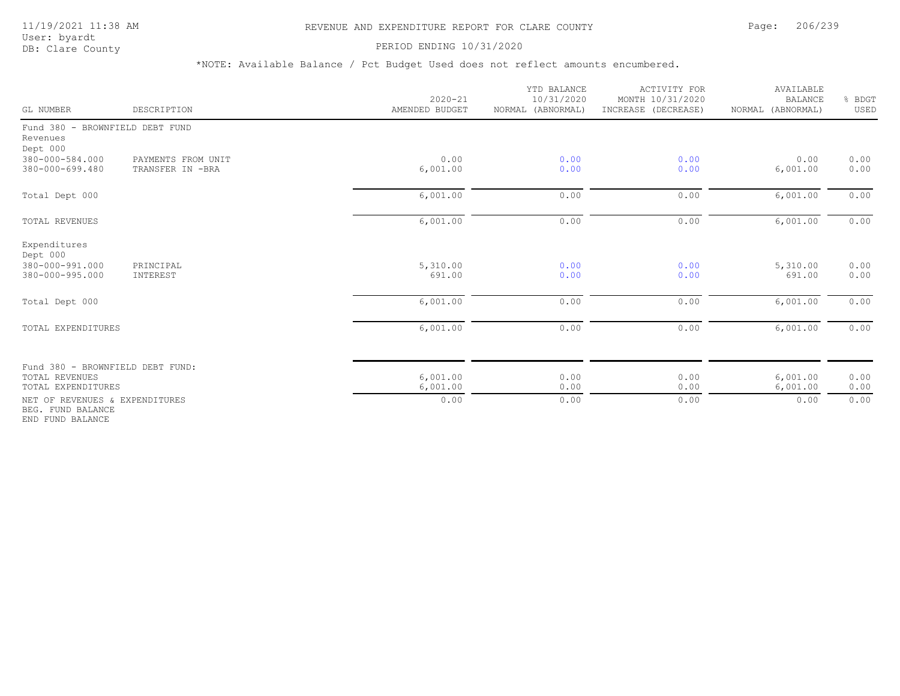### PERIOD ENDING 10/31/2020

| GL NUMBER                                                                       | DESCRIPTION                            | $2020 - 21$<br>AMENDED BUDGET | YTD BALANCE<br>10/31/2020<br>NORMAL (ABNORMAL) | <b>ACTIVITY FOR</b><br>MONTH 10/31/2020<br>INCREASE (DECREASE) | AVAILABLE<br><b>BALANCE</b><br>NORMAL (ABNORMAL) | % BDGT<br>USED |
|---------------------------------------------------------------------------------|----------------------------------------|-------------------------------|------------------------------------------------|----------------------------------------------------------------|--------------------------------------------------|----------------|
| Fund 380 - BROWNFIELD DEBT FUND<br>Revenues<br>Dept 000                         |                                        |                               |                                                |                                                                |                                                  |                |
| 380-000-584.000<br>380-000-699.480                                              | PAYMENTS FROM UNIT<br>TRANSFER IN -BRA | 0.00<br>6,001.00              | 0.00<br>0.00                                   | 0.00<br>0.00                                                   | 0.00<br>6,001.00                                 | 0.00<br>0.00   |
| Total Dept 000                                                                  |                                        | 6,001.00                      | 0.00                                           | 0.00                                                           | 6,001.00                                         | 0.00           |
| <b>TOTAL REVENUES</b>                                                           |                                        | 6,001.00                      | 0.00                                           | 0.00                                                           | 6,001.00                                         | 0.00           |
| Expenditures<br>Dept 000<br>380-000-991.000<br>380-000-995.000                  | PRINCIPAL<br>INTEREST                  | 5,310.00<br>691.00            | 0.00<br>0.00                                   | 0.00<br>0.00                                                   | 5,310.00<br>691.00                               | 0.00<br>0.00   |
| Total Dept 000                                                                  |                                        | 6,001.00                      | 0.00                                           | 0.00                                                           | 6,001.00                                         | 0.00           |
| TOTAL EXPENDITURES                                                              |                                        | 6,001.00                      | 0.00                                           | 0.00                                                           | 6,001.00                                         | 0.00           |
| Fund 380 - BROWNFIELD DEBT FUND:<br><b>TOTAL REVENUES</b><br>TOTAL EXPENDITURES |                                        | 6,001.00<br>6,001.00          | 0.00<br>0.00                                   | 0.00<br>0.00                                                   | 6,001.00<br>6,001.00                             | 0.00<br>0.00   |
| NET OF REVENUES & EXPENDITURES<br>BEG. FUND BALANCE<br>END FUND BALANCE         |                                        | 0.00                          | 0.00                                           | 0.00                                                           | 0.00                                             | 0.00           |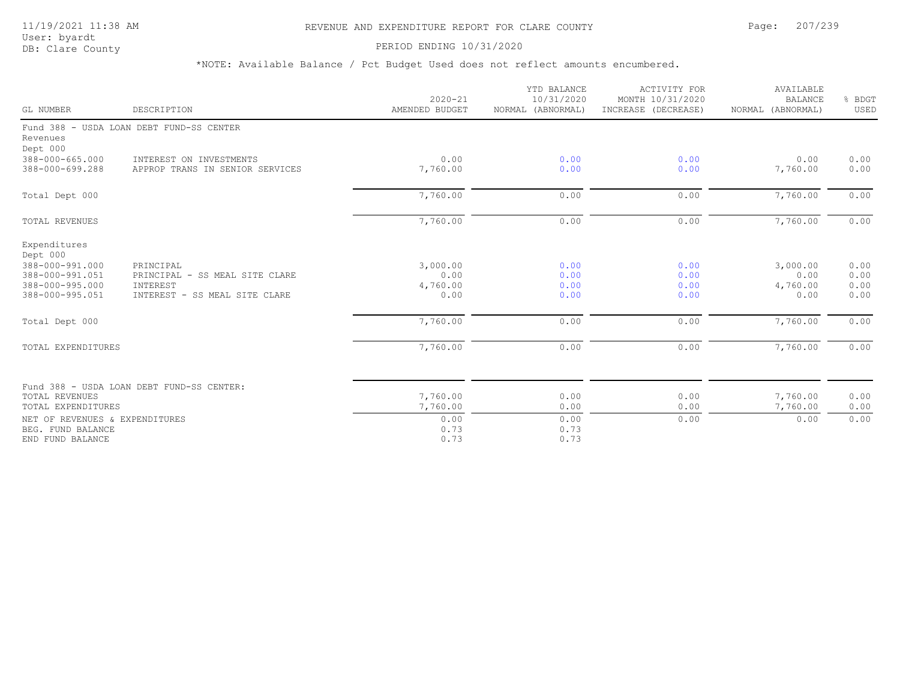# 11/19/2021 11:38 AM REVENUE AND EXPENDITURE REPORT FOR CLARE COUNTY Page: 207/239

User: byardt<br>DB: Clare County

### PERIOD ENDING 10/31/2020

| GL NUMBER                                                                                            | DESCRIPTION                                                                              | $2020 - 21$<br>AMENDED BUDGET        | YTD BALANCE<br>10/31/2020<br>NORMAL (ABNORMAL) | <b>ACTIVITY FOR</b><br>MONTH 10/31/2020<br>INCREASE (DECREASE) | AVAILABLE<br><b>BALANCE</b><br>NORMAL (ABNORMAL) | % BDGT<br>USED               |
|------------------------------------------------------------------------------------------------------|------------------------------------------------------------------------------------------|--------------------------------------|------------------------------------------------|----------------------------------------------------------------|--------------------------------------------------|------------------------------|
| Revenues<br>Dept 000                                                                                 | Fund 388 - USDA LOAN DEBT FUND-SS CENTER                                                 |                                      |                                                |                                                                |                                                  |                              |
| 388-000-665.000<br>388-000-699.288                                                                   | INTEREST ON INVESTMENTS<br>APPROP TRANS IN SENIOR SERVICES                               | 0.00<br>7,760.00                     | 0.00<br>0.00                                   | 0.00<br>0.00                                                   | 0.00<br>7,760.00                                 | 0.00<br>0.00                 |
| Total Dept 000                                                                                       |                                                                                          | 7,760.00                             | 0.00                                           | 0.00                                                           | 7,760.00                                         | 0.00                         |
| TOTAL REVENUES                                                                                       |                                                                                          | 7,760.00                             | 0.00                                           | 0.00                                                           | 7,760.00                                         | 0.00                         |
| Expenditures<br>Dept 000<br>388-000-991.000<br>388-000-991.051<br>388-000-995.000<br>388-000-995.051 | PRINCIPAL<br>PRINCIPAL - SS MEAL SITE CLARE<br>INTEREST<br>INTEREST - SS MEAL SITE CLARE | 3,000.00<br>0.00<br>4,760.00<br>0.00 | 0.00<br>0.00<br>0.00<br>0.00                   | 0.00<br>0.00<br>0.00<br>0.00                                   | 3,000.00<br>0.00<br>4,760.00<br>0.00             | 0.00<br>0.00<br>0.00<br>0.00 |
| Total Dept 000                                                                                       |                                                                                          | 7,760.00                             | 0.00                                           | 0.00                                                           | 7,760.00                                         | 0.00                         |
| TOTAL EXPENDITURES                                                                                   |                                                                                          | 7,760.00                             | 0.00                                           | 0.00                                                           | 7,760.00                                         | 0.00                         |
| TOTAL REVENUES<br>TOTAL EXPENDITURES                                                                 | Fund 388 - USDA LOAN DEBT FUND-SS CENTER:                                                | 7,760.00<br>7,760.00                 | 0.00<br>0.00                                   | 0.00<br>0.00                                                   | 7,760.00<br>7,760.00                             | 0.00<br>0.00                 |
| NET OF REVENUES & EXPENDITURES<br>BEG. FUND BALANCE<br>END FUND BALANCE                              |                                                                                          | 0.00<br>0.73<br>0.73                 | 0.00<br>0.73<br>0.73                           | 0.00                                                           | 0.00                                             | 0.00                         |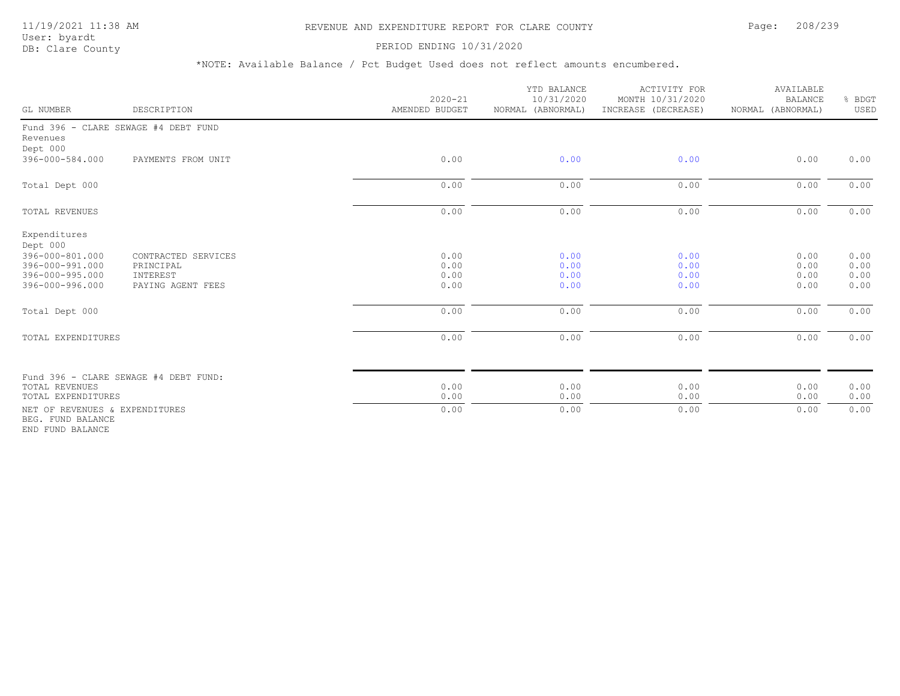# 11/19/2021 11:38 AM REVENUE AND EXPENDITURE REPORT FOR CLARE COUNTY Page: 208/239

### PERIOD ENDING 10/31/2020

\*NOTE: Available Balance / Pct Budget Used does not reflect amounts encumbered.

| GL NUMBER                                                                                            | DESCRIPTION                                                       | $2020 - 21$<br>AMENDED BUDGET | YTD BALANCE<br>10/31/2020<br>NORMAL (ABNORMAL) | <b>ACTIVITY FOR</b><br>MONTH 10/31/2020<br>INCREASE (DECREASE) | AVAILABLE<br><b>BALANCE</b><br>NORMAL (ABNORMAL) | & BDGT<br>USED               |
|------------------------------------------------------------------------------------------------------|-------------------------------------------------------------------|-------------------------------|------------------------------------------------|----------------------------------------------------------------|--------------------------------------------------|------------------------------|
| Revenues<br>Dept 000                                                                                 | Fund 396 - CLARE SEWAGE #4 DEBT FUND                              |                               |                                                |                                                                |                                                  |                              |
| 396-000-584.000                                                                                      | PAYMENTS FROM UNIT                                                | 0.00                          | 0.00                                           | 0.00                                                           | 0.00                                             | 0.00                         |
| Total Dept 000                                                                                       |                                                                   | 0.00                          | 0.00                                           | 0.00                                                           | 0.00                                             | 0.00                         |
| <b>TOTAL REVENUES</b>                                                                                |                                                                   | 0.00                          | 0.00                                           | 0.00                                                           | 0.00                                             | 0.00                         |
| Expenditures<br>Dept 000<br>396-000-801.000<br>396-000-991.000<br>396-000-995.000<br>396-000-996.000 | CONTRACTED SERVICES<br>PRINCIPAL<br>INTEREST<br>PAYING AGENT FEES | 0.00<br>0.00<br>0.00<br>0.00  | 0.00<br>0.00<br>0.00<br>0.00                   | 0.00<br>0.00<br>0.00<br>0.00                                   | 0.00<br>0.00<br>0.00<br>0.00                     | 0.00<br>0.00<br>0.00<br>0.00 |
| Total Dept 000                                                                                       |                                                                   | 0.00                          | 0.00                                           | 0.00                                                           | 0.00                                             | 0.00                         |
| TOTAL EXPENDITURES                                                                                   |                                                                   | 0.00                          | 0.00                                           | 0.00                                                           | 0.00                                             | 0.00                         |
| TOTAL REVENUES<br>TOTAL EXPENDITURES                                                                 | Fund 396 - CLARE SEWAGE #4 DEBT FUND:                             | 0.00<br>0.00                  | 0.00<br>0.00                                   | 0.00<br>0.00                                                   | 0.00<br>0.00                                     | 0.00<br>0.00                 |
| NET OF REVENUES & EXPENDITURES<br>BEG. FUND BALANCE                                                  |                                                                   | 0.00                          | 0.00                                           | 0.00                                                           | 0.00                                             | 0.00                         |

END FUND BALANCE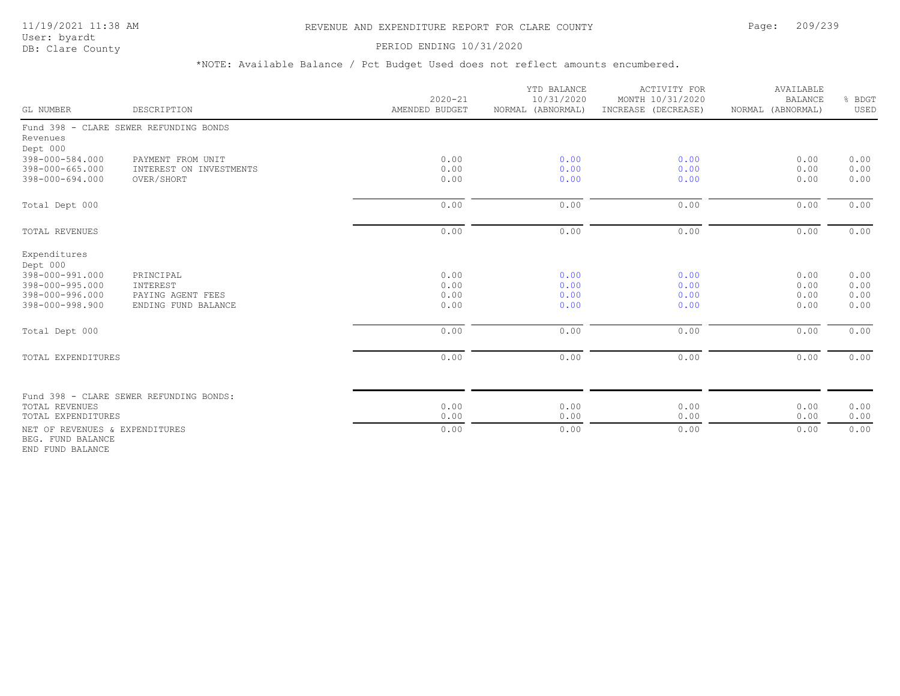# 11/19/2021 11:38 AM REVENUE AND EXPENDITURE REPORT FOR CLARE COUNTY Page: 209/239

User: byardt

# DB: Clare County **DB: Clare County**

\*NOTE: Available Balance / Pct Budget Used does not reflect amounts encumbered.

| GL NUMBER                                                                                            | DESCRIPTION                                                       | $2020 - 21$<br>AMENDED BUDGET | YTD BALANCE<br>10/31/2020<br>NORMAL (ABNORMAL) | ACTIVITY FOR<br>MONTH 10/31/2020<br>INCREASE (DECREASE) | AVAILABLE<br><b>BALANCE</b><br>NORMAL (ABNORMAL) | % BDGT<br>USED               |
|------------------------------------------------------------------------------------------------------|-------------------------------------------------------------------|-------------------------------|------------------------------------------------|---------------------------------------------------------|--------------------------------------------------|------------------------------|
| Revenues<br>Dept 000                                                                                 | Fund 398 - CLARE SEWER REFUNDING BONDS                            |                               |                                                |                                                         |                                                  |                              |
| 398-000-584.000<br>398-000-665.000<br>398-000-694.000                                                | PAYMENT FROM UNIT<br>INTEREST ON INVESTMENTS<br>OVER/SHORT        | 0.00<br>0.00<br>0.00          | 0.00<br>0.00<br>0.00                           | 0.00<br>0.00<br>0.00                                    | 0.00<br>0.00<br>0.00                             | 0.00<br>0.00<br>0.00         |
| Total Dept 000                                                                                       |                                                                   | 0.00                          | 0.00                                           | 0.00                                                    | 0.00                                             | 0.00                         |
| TOTAL REVENUES                                                                                       |                                                                   | 0.00                          | 0.00                                           | 0.00                                                    | 0.00                                             | 0.00                         |
| Expenditures<br>Dept 000<br>398-000-991.000<br>398-000-995.000<br>398-000-996.000<br>398-000-998.900 | PRINCIPAL<br>INTEREST<br>PAYING AGENT FEES<br>ENDING FUND BALANCE | 0.00<br>0.00<br>0.00<br>0.00  | 0.00<br>0.00<br>0.00<br>0.00                   | 0.00<br>0.00<br>0.00<br>0.00                            | 0.00<br>0.00<br>0.00<br>0.00                     | 0.00<br>0.00<br>0.00<br>0.00 |
| Total Dept 000                                                                                       |                                                                   | 0.00                          | 0.00                                           | 0.00                                                    | 0.00                                             | 0.00                         |
| TOTAL EXPENDITURES                                                                                   |                                                                   | 0.00                          | 0.00                                           | 0.00                                                    | 0.00                                             | 0.00                         |
| TOTAL REVENUES<br>TOTAL EXPENDITURES                                                                 | Fund 398 - CLARE SEWER REFUNDING BONDS:                           | 0.00<br>0.00                  | 0.00<br>0.00                                   | 0.00<br>0.00                                            | 0.00<br>0.00                                     | 0.00<br>0.00                 |
| NET OF REVENUES & EXPENDITURES<br>BEG. FUND BALANCE                                                  |                                                                   | 0.00                          | 0.00                                           | 0.00                                                    | 0.00                                             | 0.00                         |

END FUND BALANCE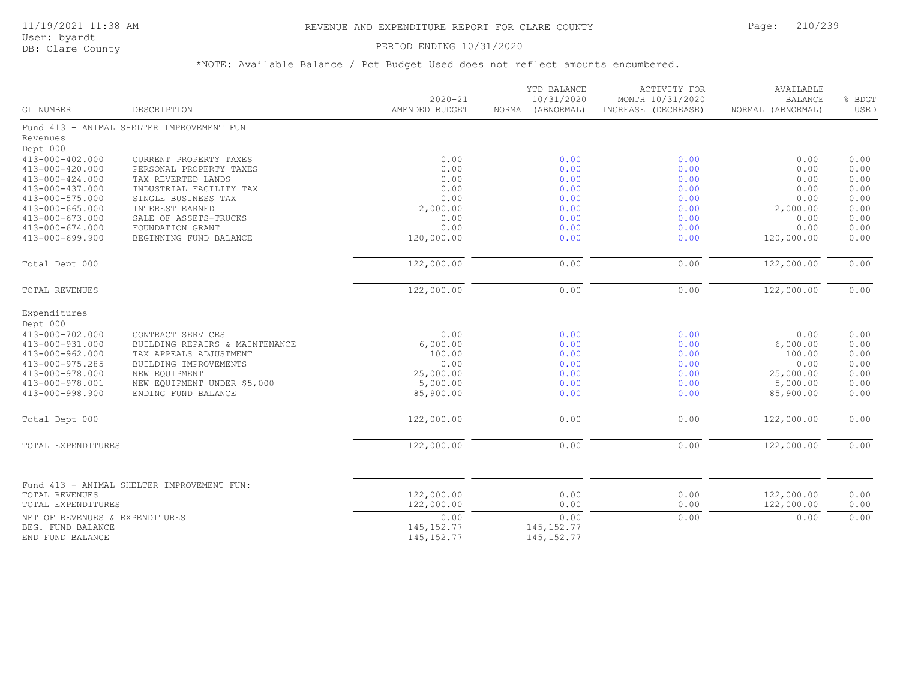# PERIOD ENDING 10/31/2020

| GL NUMBER                             | DESCRIPTION                                | $2020 - 21$<br>AMENDED BUDGET | YTD BALANCE<br>10/31/2020<br>NORMAL (ABNORMAL) | <b>ACTIVITY FOR</b><br>MONTH 10/31/2020<br>INCREASE (DECREASE) | AVAILABLE<br><b>BALANCE</b><br>NORMAL (ABNORMAL) | % BDGT<br>USED |
|---------------------------------------|--------------------------------------------|-------------------------------|------------------------------------------------|----------------------------------------------------------------|--------------------------------------------------|----------------|
|                                       | Fund 413 - ANIMAL SHELTER IMPROVEMENT FUN  |                               |                                                |                                                                |                                                  |                |
| Revenues                              |                                            |                               |                                                |                                                                |                                                  |                |
| Dept 000                              |                                            |                               |                                                |                                                                |                                                  |                |
| 413-000-402.000                       | CURRENT PROPERTY TAXES                     | 0.00                          | 0.00                                           | 0.00                                                           | 0.00                                             | 0.00           |
| 413-000-420.000                       | PERSONAL PROPERTY TAXES                    | 0.00                          | 0.00                                           | 0.00                                                           | 0.00                                             | 0.00           |
| 413-000-424.000                       | TAX REVERTED LANDS                         | 0.00                          | 0.00                                           | 0.00                                                           | 0.00                                             | 0.00           |
| 413-000-437.000                       | INDUSTRIAL FACILITY TAX                    | 0.00                          | 0.00                                           | 0.00                                                           | 0.00                                             | 0.00           |
| 413-000-575.000                       | SINGLE BUSINESS TAX                        | 0.00                          | 0.00                                           | 0.00                                                           | 0.00                                             | 0.00           |
| 413-000-665.000                       | INTEREST EARNED                            | 2,000.00                      | 0.00                                           | 0.00                                                           | 2,000.00                                         | 0.00           |
| 413-000-673.000                       | SALE OF ASSETS-TRUCKS                      | 0.00                          | 0.00                                           | 0.00                                                           | 0.00                                             | 0.00           |
| 413-000-674.000                       | FOUNDATION GRANT                           | 0.00                          | 0.00                                           | 0.00                                                           | 0.00                                             | 0.00           |
| 413-000-699.900                       | BEGINNING FUND BALANCE                     | 120,000.00                    | 0.00                                           | 0.00                                                           | 120,000.00                                       | 0.00           |
| Total Dept 000                        |                                            | 122,000.00                    | 0.00                                           | 0.00                                                           | 122,000.00                                       | 0.00           |
| TOTAL REVENUES                        |                                            | 122,000.00                    | 0.00                                           | 0.00                                                           | 122,000.00                                       | 0.00           |
| Expenditures                          |                                            |                               |                                                |                                                                |                                                  |                |
| Dept 000                              |                                            |                               |                                                |                                                                |                                                  |                |
| 413-000-702.000                       | CONTRACT SERVICES                          | 0.00                          | 0.00                                           | 0.00                                                           | 0.00                                             | 0.00           |
| 413-000-931.000                       | BUILDING REPAIRS & MAINTENANCE             | 6,000.00                      | 0.00                                           | 0.00                                                           | 6,000.00                                         | 0.00           |
| 413-000-962.000                       | TAX APPEALS ADJUSTMENT                     | 100.00                        | 0.00                                           | 0.00                                                           | 100.00                                           | 0.00           |
| 413-000-975.285                       | BUILDING IMPROVEMENTS                      | 0.00                          | 0.00                                           | 0.00                                                           | 0.00                                             | 0.00           |
| 413-000-978.000                       | NEW EQUIPMENT                              | 25,000.00                     | 0.00                                           | 0.00                                                           | 25,000.00                                        | 0.00           |
| 413-000-978.001                       | NEW EQUIPMENT UNDER \$5,000                | 5,000.00                      | 0.00                                           | 0.00                                                           | 5,000.00                                         | 0.00           |
| 413-000-998.900                       | ENDING FUND BALANCE                        | 85,900.00                     | 0.00                                           | 0.00                                                           | 85,900.00                                        | 0.00           |
| Total Dept 000                        |                                            | 122,000.00                    | 0.00                                           | 0.00                                                           | 122,000.00                                       | 0.00           |
| TOTAL EXPENDITURES                    |                                            | 122,000.00                    | 0.00                                           | 0.00                                                           | 122,000.00                                       | 0.00           |
|                                       |                                            |                               |                                                |                                                                |                                                  |                |
|                                       | Fund 413 - ANIMAL SHELTER IMPROVEMENT FUN: |                               |                                                |                                                                |                                                  |                |
| TOTAL REVENUES<br>TOTAL EXPENDITURES  |                                            | 122,000.00<br>122,000.00      | 0.00<br>0.00                                   | 0.00<br>0.00                                                   | 122,000.00<br>122,000.00                         | 0.00<br>0.00   |
| NET OF REVENUES & EXPENDITURES        |                                            | 0.00                          | 0.00                                           | 0.00                                                           | 0.00                                             | 0.00           |
| BEG. FUND BALANCE<br>END FUND BALANCE |                                            | 145, 152.77<br>145, 152.77    | 145, 152.77<br>145, 152.77                     |                                                                |                                                  |                |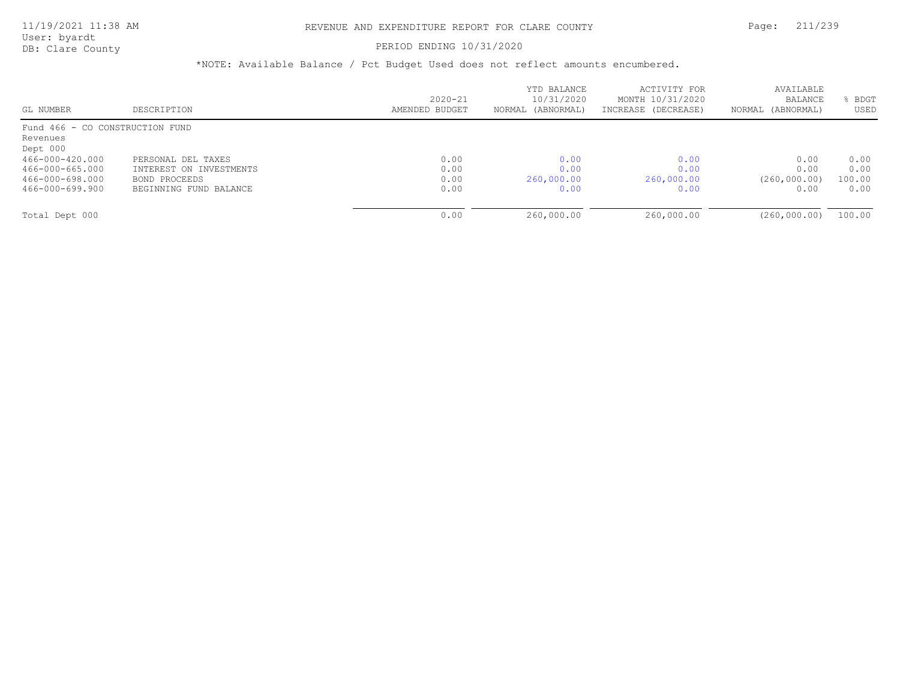User: byardt

# DB: Clare County **DB: Clare County**

| GL NUMBER                       | DESCRIPTION             | $2020 - 21$<br>AMENDED BUDGET | YTD BALANCE<br>10/31/2020<br>NORMAL (ABNORMAL) | ACTIVITY FOR<br>MONTH 10/31/2020<br>INCREASE (DECREASE) | AVAILABLE<br><b>BALANCE</b><br>NORMAL (ABNORMAL) | BDGT<br>USED |
|---------------------------------|-------------------------|-------------------------------|------------------------------------------------|---------------------------------------------------------|--------------------------------------------------|--------------|
| Fund 466 - CO CONSTRUCTION FUND |                         |                               |                                                |                                                         |                                                  |              |
| Revenues                        |                         |                               |                                                |                                                         |                                                  |              |
| Dept 000                        |                         |                               |                                                |                                                         |                                                  |              |
| 466-000-420.000                 | PERSONAL DEL TAXES      | 0.00                          | 0.00                                           | 0.00                                                    | 0.00                                             | 0.00         |
| 466-000-665.000                 | INTEREST ON INVESTMENTS | 0.00                          | 0.00                                           | 0.00                                                    | 0.00                                             | 0.00         |
| 466-000-698.000                 | BOND PROCEEDS           | 0.00                          | 260,000.00                                     | 260,000.00                                              | (260, 000, 00)                                   | 100.00       |
| 466-000-699.900                 | BEGINNING FUND BALANCE  | 0.00                          | 0.00                                           | 0.00                                                    | 0.00                                             | 0.00         |
|                                 |                         |                               |                                                |                                                         |                                                  |              |
| Total Dept 000                  |                         | 0.00                          | 260,000.00                                     | 260,000.00                                              | (260, 000, 00)                                   | 100.00       |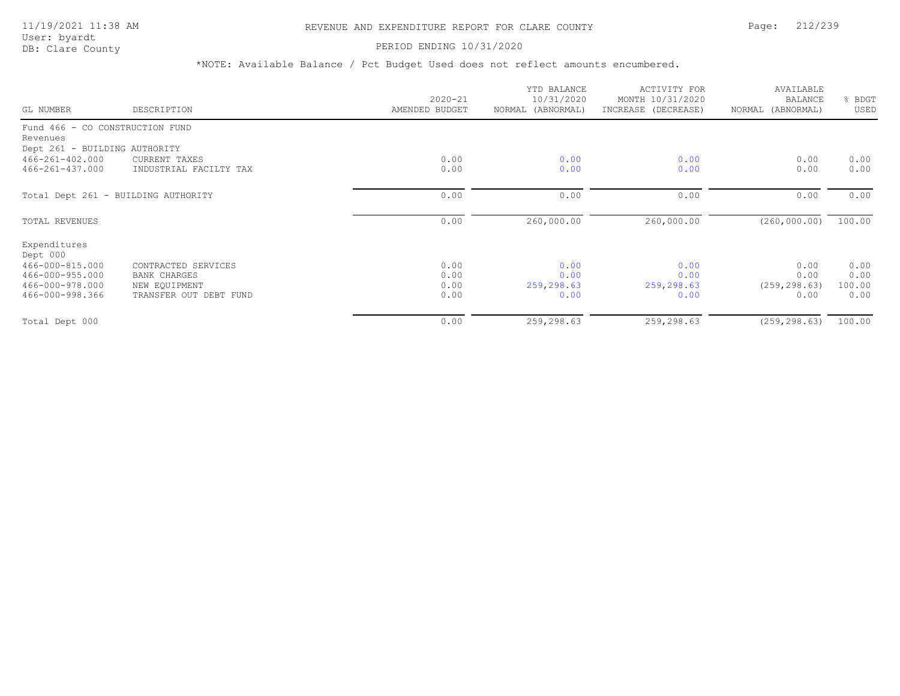# 11/19/2021 11:38 AM REVENUE AND EXPENDITURE REPORT FOR CLARE COUNTY Page: 212/239

User: byardt<br>DB: Clare County

### PERIOD ENDING 10/31/2020

| GL NUMBER                                   | DESCRIPTION            | $2020 - 21$<br>AMENDED BUDGET | YTD BALANCE<br>10/31/2020<br>NORMAL (ABNORMAL) | ACTIVITY FOR<br>MONTH 10/31/2020<br>INCREASE (DECREASE) | AVAILABLE<br><b>BALANCE</b><br>NORMAL (ABNORMAL) | BDGT<br>USED |
|---------------------------------------------|------------------------|-------------------------------|------------------------------------------------|---------------------------------------------------------|--------------------------------------------------|--------------|
| Fund 466 - CO CONSTRUCTION FUND<br>Revenues |                        |                               |                                                |                                                         |                                                  |              |
| Dept 261 - BUILDING AUTHORITY               |                        |                               |                                                |                                                         |                                                  |              |
| 466-261-402.000                             | CURRENT TAXES          | 0.00                          | 0.00                                           | 0.00                                                    | 0.00                                             | 0.00         |
| $466 - 261 - 437.000$                       | INDUSTRIAL FACILTY TAX | 0.00                          | 0.00                                           | 0.00                                                    | 0.00                                             | 0.00         |
| Total Dept 261 - BUILDING AUTHORITY         |                        | 0.00                          | 0.00                                           | 0.00                                                    | 0.00                                             | 0.00         |
| TOTAL REVENUES                              |                        | 0.00                          | 260,000.00                                     | 260,000.00                                              | (260, 000.00)                                    | 100.00       |
| Expenditures<br>Dept 000                    |                        |                               |                                                |                                                         |                                                  |              |
| 466-000-815.000                             | CONTRACTED SERVICES    | 0.00                          | 0.00                                           | 0.00                                                    | 0.00                                             | 0.00         |
| 466-000-955.000                             | <b>BANK CHARGES</b>    | 0.00                          | 0.00                                           | 0.00                                                    | 0.00                                             | 0.00         |
| 466-000-978.000                             | NEW EQUIPMENT          | 0.00                          | 259,298.63                                     | 259,298.63                                              | (259, 298.63)                                    | 100.00       |
| 466-000-998.366                             | TRANSFER OUT DEBT FUND | 0.00                          | 0.00                                           | 0.00                                                    | 0.00                                             | 0.00         |
| Total Dept 000                              |                        | 0.00                          | 259,298.63                                     | 259,298.63                                              | (259, 298, 63)                                   | 100.00       |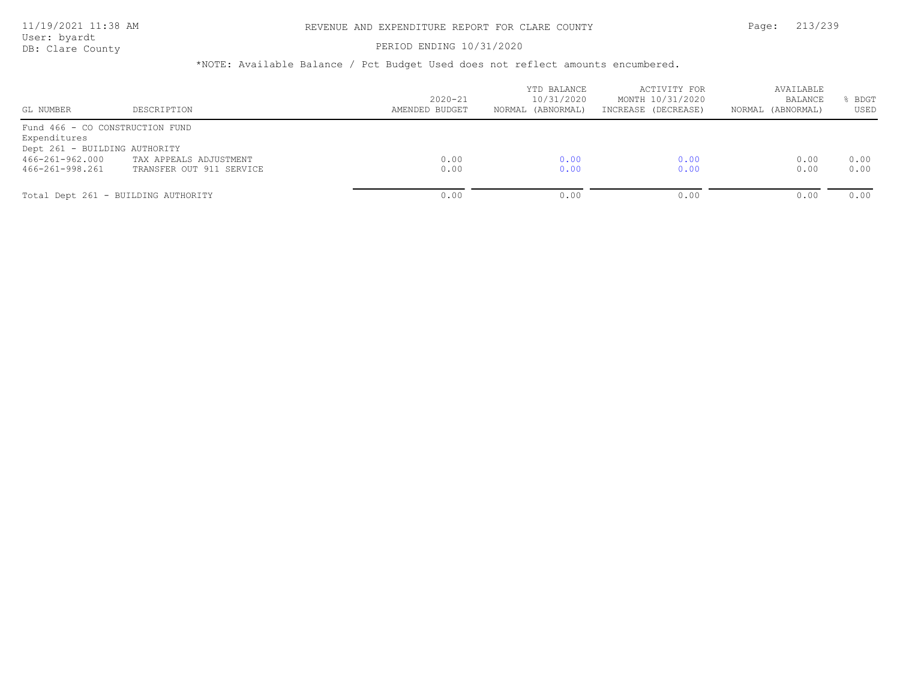# PERIOD ENDING 10/31/2020

| GL NUMBER                                                                                                              | DESCRIPTION                                        | $2020 - 21$<br>AMENDED BUDGET | YTD BALANCE<br>10/31/2020<br>NORMAL (ABNORMAL) | ACTIVITY FOR<br>MONTH 10/31/2020<br>INCREASE (DECREASE) | AVAILABLE<br><b>BALANCE</b><br>NORMAL (ABNORMAL) | BDGT<br>USED |
|------------------------------------------------------------------------------------------------------------------------|----------------------------------------------------|-------------------------------|------------------------------------------------|---------------------------------------------------------|--------------------------------------------------|--------------|
| Fund 466 - CO CONSTRUCTION FUND<br>Expenditures<br>Dept 261 - BUILDING AUTHORITY<br>466-261-962.000<br>466-261-998.261 | TAX APPEALS ADJUSTMENT<br>TRANSFER OUT 911 SERVICE | 0.00<br>0.00                  | 0.00<br>0.00                                   | 0.00<br>0.00                                            | 0.00<br>0.00                                     | 0.00<br>0.00 |
|                                                                                                                        | Total Dept 261 - BUILDING AUTHORITY                | 0.00                          | 0.00                                           | 0.00                                                    | 0.00                                             | 0.00         |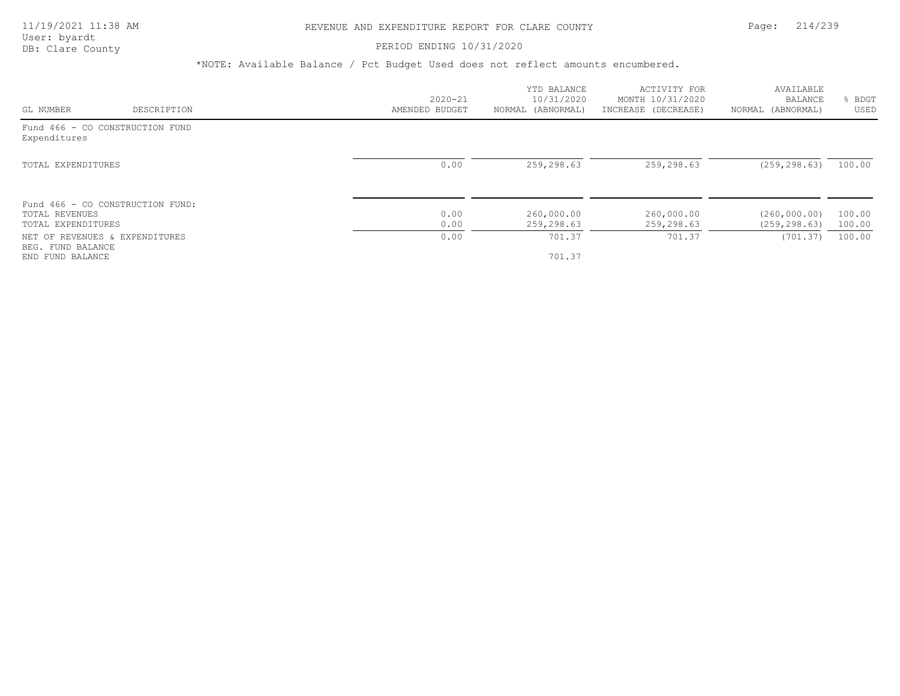# PERIOD ENDING 10/31/2020

|                                                     |             |                | YTD BALANCE       | ACTIVITY FOR        | AVAILABLE         |             |
|-----------------------------------------------------|-------------|----------------|-------------------|---------------------|-------------------|-------------|
|                                                     |             | $2020 - 21$    | 10/31/2020        | MONTH 10/31/2020    | BALANCE           | <b>BDGT</b> |
| GL NUMBER                                           | DESCRIPTION | AMENDED BUDGET | NORMAL (ABNORMAL) | INCREASE (DECREASE) | NORMAL (ABNORMAL) | USED        |
| Fund 466 - CO CONSTRUCTION FUND<br>Expenditures     |             |                |                   |                     |                   |             |
| TOTAL EXPENDITURES                                  |             | 0.00           | 259,298.63        | 259,298.63          | (259, 298, 63)    | 100.00      |
| Fund 466 - CO CONSTRUCTION FUND:<br>TOTAL REVENUES  |             | 0.00           | 260,000.00        | 260,000.00          | (260, 000, 00)    | 100.00      |
| TOTAL EXPENDITURES                                  |             | 0.00           | 259,298.63        | 259,298.63          | (259, 298.63)     | 100.00      |
| NET OF REVENUES & EXPENDITURES<br>BEG. FUND BALANCE |             | 0.00           | 701.37            | 701.37              | (701.37)          | 100.00      |
| END FUND BALANCE                                    |             |                | 701.37            |                     |                   |             |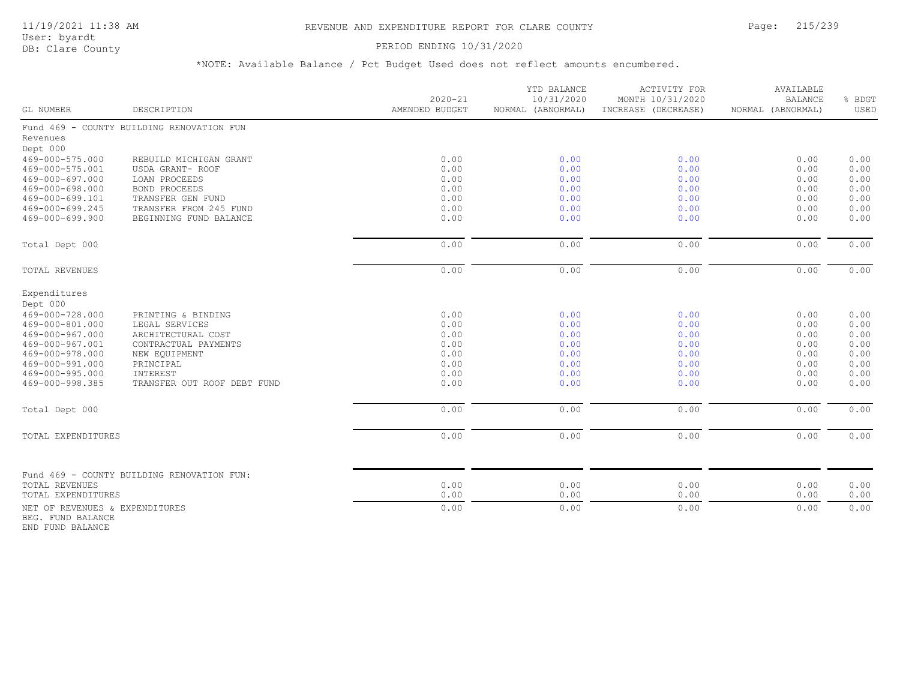# 11/19/2021 11:38 AM REVENUE AND EXPENDITURE REPORT FOR CLARE COUNTY Page: 215/239

User: byardt<br>DB: Clare County

### PERIOD ENDING 10/31/2020

\*NOTE: Available Balance / Pct Budget Used does not reflect amounts encumbered.

| GL NUMBER                                           | DESCRIPTION                                | $2020 - 21$<br>AMENDED BUDGET | YTD BALANCE<br>10/31/2020<br>NORMAL (ABNORMAL) | ACTIVITY FOR<br>MONTH 10/31/2020<br>INCREASE (DECREASE) | AVAILABLE<br><b>BALANCE</b><br>NORMAL (ABNORMAL) | % BDGT<br>USED |
|-----------------------------------------------------|--------------------------------------------|-------------------------------|------------------------------------------------|---------------------------------------------------------|--------------------------------------------------|----------------|
|                                                     | Fund 469 - COUNTY BUILDING RENOVATION FUN  |                               |                                                |                                                         |                                                  |                |
| Revenues                                            |                                            |                               |                                                |                                                         |                                                  |                |
| Dept 000                                            |                                            |                               |                                                |                                                         |                                                  |                |
| 469-000-575.000                                     | REBUILD MICHIGAN GRANT                     | 0.00                          | 0.00                                           | 0.00                                                    | 0.00                                             | 0.00           |
| 469-000-575.001                                     | USDA GRANT- ROOF                           | 0.00                          | 0.00                                           | 0.00                                                    | 0.00                                             | 0.00           |
| 469-000-697.000                                     | LOAN PROCEEDS                              | 0.00                          | 0.00                                           | 0.00                                                    | 0.00                                             | 0.00           |
| 469-000-698.000<br>469-000-699.101                  | <b>BOND PROCEEDS</b><br>TRANSFER GEN FUND  | 0.00<br>0.00                  | 0.00<br>0.00                                   | 0.00<br>0.00                                            | 0.00<br>0.00                                     | 0.00<br>0.00   |
| 469-000-699.245                                     | TRANSFER FROM 245 FUND                     | 0.00                          | 0.00                                           | 0.00                                                    | 0.00                                             | 0.00           |
| 469-000-699.900                                     | BEGINNING FUND BALANCE                     | 0.00                          | 0.00                                           | 0.00                                                    | 0.00                                             | 0.00           |
|                                                     |                                            |                               |                                                |                                                         |                                                  |                |
| Total Dept 000                                      |                                            | 0.00                          | 0.00                                           | 0.00                                                    | 0.00                                             | 0.00           |
| TOTAL REVENUES                                      |                                            | 0.00                          | 0.00                                           | 0.00                                                    | 0.00                                             | 0.00           |
| Expenditures                                        |                                            |                               |                                                |                                                         |                                                  |                |
| Dept 000                                            |                                            |                               |                                                |                                                         |                                                  |                |
| 469-000-728.000                                     | PRINTING & BINDING                         | 0.00                          | 0.00                                           | 0.00                                                    | 0.00                                             | 0.00           |
| 469-000-801.000                                     | LEGAL SERVICES                             | 0.00                          | 0.00                                           | 0.00                                                    | 0.00                                             | 0.00           |
| 469-000-967.000                                     | ARCHITECTURAL COST                         | 0.00                          | 0.00                                           | 0.00                                                    | 0.00                                             | 0.00           |
| 469-000-967.001                                     | CONTRACTUAL PAYMENTS                       | 0.00                          | 0.00                                           | 0.00                                                    | 0.00                                             | 0.00           |
| 469-000-978.000                                     | NEW EQUIPMENT                              | 0.00                          | 0.00                                           | 0.00                                                    | 0.00                                             | 0.00           |
| 469-000-991.000                                     | PRINCIPAL                                  | 0.00                          | 0.00                                           | 0.00                                                    | 0.00                                             | 0.00           |
| 469-000-995.000                                     | INTEREST                                   | 0.00                          | 0.00                                           | 0.00                                                    | 0.00                                             | 0.00           |
| 469-000-998.385                                     | TRANSFER OUT ROOF DEBT FUND                | 0.00                          | 0.00                                           | 0.00                                                    | 0.00                                             | 0.00           |
| Total Dept 000                                      |                                            | 0.00                          | 0.00                                           | 0.00                                                    | 0.00                                             | 0.00           |
| TOTAL EXPENDITURES                                  |                                            | 0.00                          | 0.00                                           | 0.00                                                    | 0.00                                             | 0.00           |
|                                                     |                                            |                               |                                                |                                                         |                                                  |                |
|                                                     | Fund 469 - COUNTY BUILDING RENOVATION FUN: |                               |                                                |                                                         |                                                  |                |
| TOTAL REVENUES                                      |                                            | 0.00                          | 0.00                                           | 0.00                                                    | 0.00                                             | 0.00           |
| TOTAL EXPENDITURES                                  |                                            | 0.00                          | 0.00                                           | 0.00                                                    | 0.00                                             | 0.00           |
| NET OF REVENUES & EXPENDITURES<br>BEG. FUND BALANCE |                                            | 0.00                          | 0.00                                           | 0.00                                                    | 0.00                                             | 0.00           |

END FUND BALANCE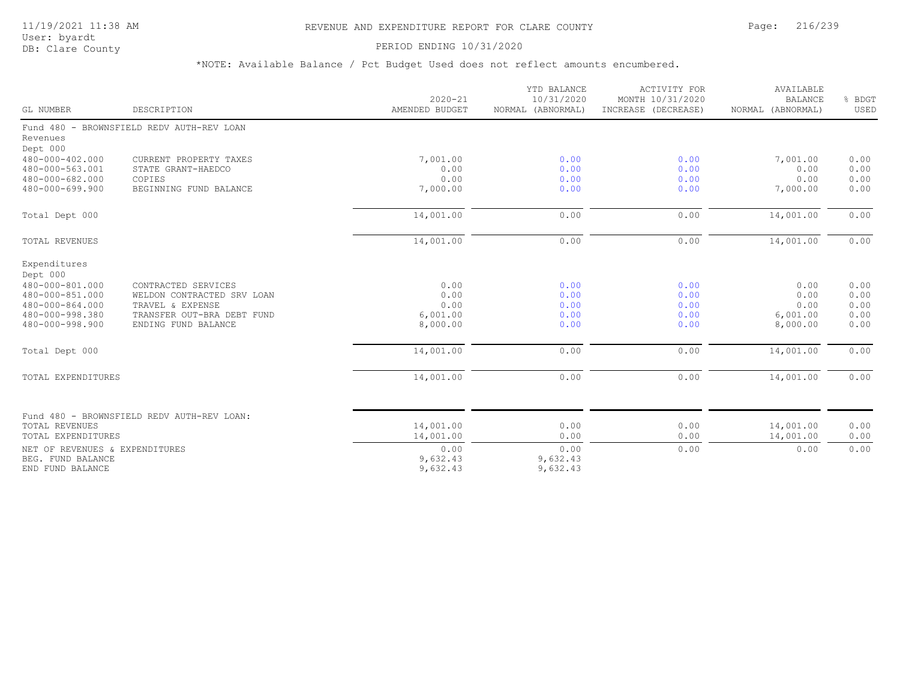# 11/19/2021 11:38 AM REVENUE AND EXPENDITURE REPORT FOR CLARE COUNTY Page: 216/239

User: byardt<br>DB: Clare County

### PERIOD ENDING 10/31/2020

| GL NUMBER                                                                                                               | DESCRIPTION                                                                                                                | $2020 - 21$<br>AMENDED BUDGET                | YTD BALANCE<br>10/31/2020<br>NORMAL (ABNORMAL) | <b>ACTIVITY FOR</b><br>MONTH 10/31/2020<br>INCREASE (DECREASE) | AVAILABLE<br><b>BALANCE</b><br>NORMAL (ABNORMAL) | % BDGT<br>USED                       |
|-------------------------------------------------------------------------------------------------------------------------|----------------------------------------------------------------------------------------------------------------------------|----------------------------------------------|------------------------------------------------|----------------------------------------------------------------|--------------------------------------------------|--------------------------------------|
| Revenues                                                                                                                | Fund 480 - BROWNSFIELD REDV AUTH-REV LOAN                                                                                  |                                              |                                                |                                                                |                                                  |                                      |
| Dept 000<br>480-000-402.000<br>480-000-563.001<br>480-000-682.000<br>480-000-699.900                                    | CURRENT PROPERTY TAXES<br>STATE GRANT-HAEDCO<br>COPIES<br>BEGINNING FUND BALANCE                                           | 7,001.00<br>0.00<br>0.00<br>7,000.00         | 0.00<br>0.00<br>0.00<br>0.00                   | 0.00<br>0.00<br>0.00<br>0.00                                   | 7,001.00<br>0.00<br>0.00<br>7,000.00             | 0.00<br>0.00<br>0.00<br>0.00         |
| Total Dept 000                                                                                                          |                                                                                                                            | 14,001.00                                    | 0.00                                           | 0.00                                                           | 14,001.00                                        | 0.00                                 |
| TOTAL REVENUES                                                                                                          |                                                                                                                            | 14,001.00                                    | 0.00                                           | 0.00                                                           | 14,001.00                                        | 0.00                                 |
| Expenditures<br>Dept 000<br>480-000-801.000<br>480-000-851.000<br>480-000-864.000<br>480-000-998.380<br>480-000-998.900 | CONTRACTED SERVICES<br>WELDON CONTRACTED SRV LOAN<br>TRAVEL & EXPENSE<br>TRANSFER OUT-BRA DEBT FUND<br>ENDING FUND BALANCE | 0.00<br>0.00<br>0.00<br>6,001.00<br>8,000.00 | 0.00<br>0.00<br>0.00<br>0.00<br>0.00           | 0.00<br>0.00<br>0.00<br>0.00<br>0.00                           | 0.00<br>0.00<br>0.00<br>6,001.00<br>8,000.00     | 0.00<br>0.00<br>0.00<br>0.00<br>0.00 |
| Total Dept 000                                                                                                          |                                                                                                                            | 14,001.00                                    | 0.00                                           | 0.00                                                           | 14,001.00                                        | 0.00                                 |
| TOTAL EXPENDITURES                                                                                                      |                                                                                                                            | 14,001.00                                    | 0.00                                           | 0.00                                                           | 14,001.00                                        | 0.00                                 |
| <b>TOTAL REVENUES</b><br>TOTAL EXPENDITURES                                                                             | Fund 480 - BROWNSFIELD REDV AUTH-REV LOAN:                                                                                 | 14,001.00<br>14,001.00                       | 0.00<br>0.00                                   | 0.00<br>0.00                                                   | 14,001.00<br>14,001.00                           | 0.00<br>0.00                         |
| NET OF REVENUES & EXPENDITURES<br>BEG. FUND BALANCE<br>END FUND BALANCE                                                 |                                                                                                                            | 0.00<br>9,632.43<br>9,632.43                 | 0.00<br>9,632.43<br>9,632.43                   | 0.00                                                           | 0.00                                             | 0.00                                 |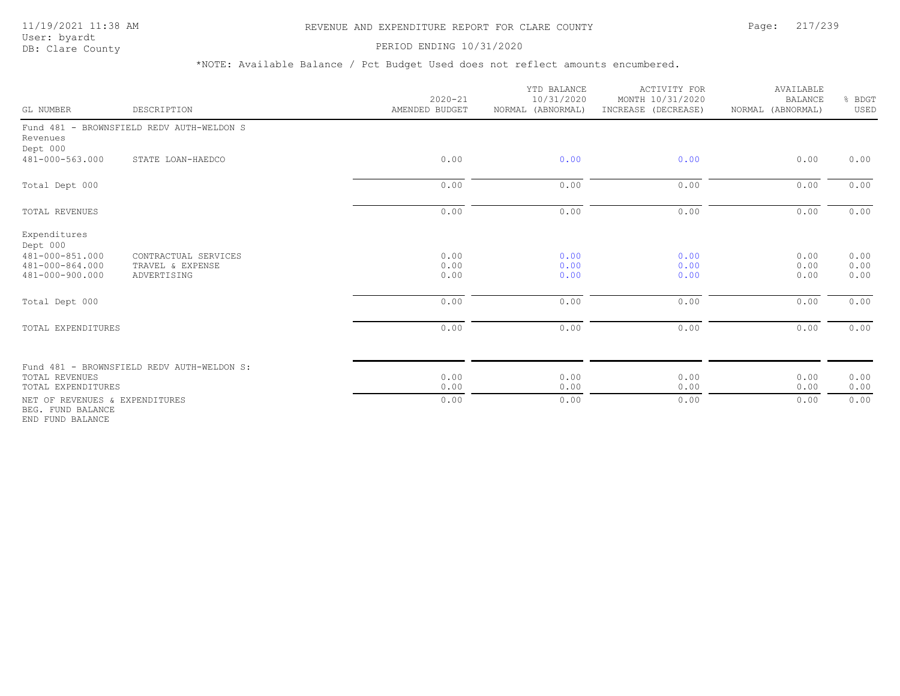#### 11/19/2021 11:38 AM REVENUE AND EXPENDITURE REPORT FOR CLARE COUNTY Page: 217/239

#### PERIOD ENDING 10/31/2020

| GL NUMBER                                                                         | DESCRIPTION                                             | $2020 - 21$<br>AMENDED BUDGET | YTD BALANCE<br>10/31/2020<br>NORMAL (ABNORMAL) | ACTIVITY FOR<br>MONTH 10/31/2020<br>INCREASE (DECREASE) | AVAILABLE<br><b>BALANCE</b><br>NORMAL (ABNORMAL) | % BDGT<br>USED       |
|-----------------------------------------------------------------------------------|---------------------------------------------------------|-------------------------------|------------------------------------------------|---------------------------------------------------------|--------------------------------------------------|----------------------|
| Revenues<br>Dept 000                                                              | Fund 481 - BROWNSFIELD REDV AUTH-WELDON S               |                               |                                                |                                                         |                                                  |                      |
| 481-000-563.000                                                                   | STATE LOAN-HAEDCO                                       | 0.00                          | 0.00                                           | 0.00                                                    | 0.00                                             | 0.00                 |
| Total Dept 000                                                                    |                                                         | 0.00                          | 0.00                                           | 0.00                                                    | 0.00                                             | 0.00                 |
| <b>TOTAL REVENUES</b>                                                             |                                                         | 0.00                          | 0.00                                           | 0.00                                                    | 0.00                                             | 0.00                 |
| Expenditures<br>Dept 000<br>481-000-851.000<br>481-000-864.000<br>481-000-900.000 | CONTRACTUAL SERVICES<br>TRAVEL & EXPENSE<br>ADVERTISING | 0.00<br>0.00<br>0.00          | 0.00<br>0.00<br>0.00                           | 0.00<br>0.00<br>0.00                                    | 0.00<br>0.00<br>0.00                             | 0.00<br>0.00<br>0.00 |
| Total Dept 000                                                                    |                                                         | 0.00                          | 0.00                                           | 0.00                                                    | 0.00                                             | 0.00                 |
| TOTAL EXPENDITURES                                                                |                                                         | 0.00                          | 0.00                                           | 0.00                                                    | 0.00                                             | 0.00                 |
| <b>TOTAL REVENUES</b><br>TOTAL EXPENDITURES                                       | Fund 481 - BROWNSFIELD REDV AUTH-WELDON S:              | 0.00<br>0.00                  | 0.00<br>0.00                                   | 0.00<br>0.00                                            | 0.00<br>0.00                                     | 0.00<br>0.00         |
| NET OF REVENUES & EXPENDITURES<br>BEG. FUND BALANCE<br>END FUND BALANCE           |                                                         | 0.00                          | 0.00                                           | 0.00                                                    | 0.00                                             | 0.00                 |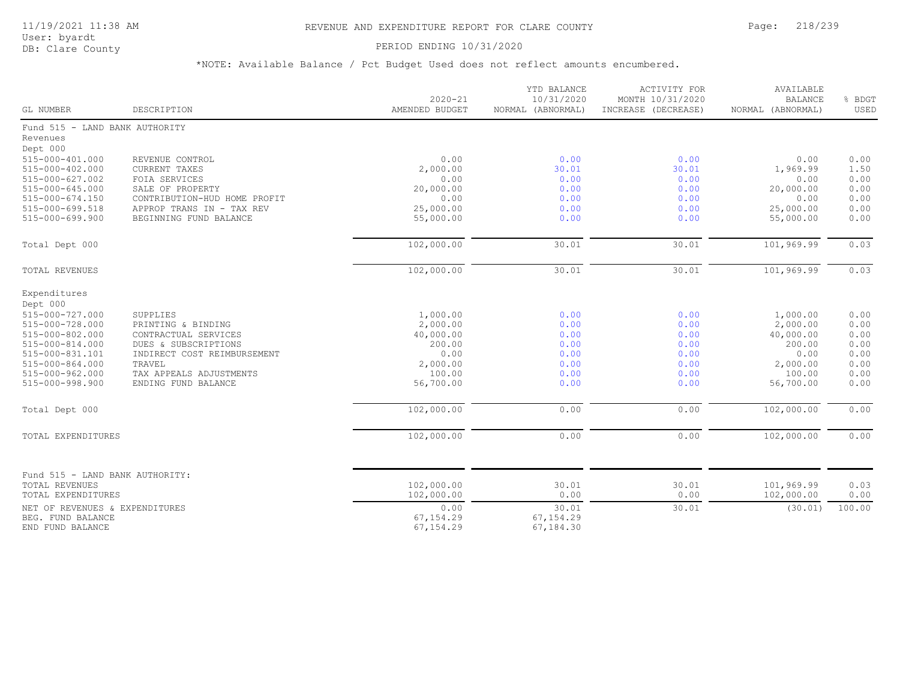### PERIOD ENDING 10/31/2020

| GL NUMBER                                                               | DESCRIPTION                  | $2020 - 21$<br>AMENDED BUDGET  | YTD BALANCE<br>10/31/2020<br>NORMAL (ABNORMAL) | ACTIVITY FOR<br>MONTH 10/31/2020<br>INCREASE (DECREASE) | AVAILABLE<br><b>BALANCE</b><br>NORMAL (ABNORMAL) | % BDGT<br>USED |
|-------------------------------------------------------------------------|------------------------------|--------------------------------|------------------------------------------------|---------------------------------------------------------|--------------------------------------------------|----------------|
| Fund 515 - LAND BANK AUTHORITY                                          |                              |                                |                                                |                                                         |                                                  |                |
| Revenues                                                                |                              |                                |                                                |                                                         |                                                  |                |
| Dept 000                                                                |                              |                                |                                                |                                                         |                                                  |                |
| 515-000-401.000                                                         | REVENUE CONTROL              | 0.00                           | 0.00                                           | 0.00                                                    | 0.00                                             | 0.00           |
| 515-000-402.000                                                         | CURRENT TAXES                | 2,000.00                       | 30.01                                          | 30.01                                                   | 1,969.99                                         | 1.50           |
| 515-000-627.002                                                         | FOIA SERVICES                | 0.00                           | 0.00                                           | 0.00                                                    | 0.00                                             | 0.00           |
| 515-000-645.000                                                         | SALE OF PROPERTY             | 20,000.00<br>0.00              | 0.00                                           | 0.00                                                    | 20,000.00                                        | 0.00           |
| $515 - 000 - 674.150$                                                   | CONTRIBUTION-HUD HOME PROFIT |                                | 0.00                                           | 0.00                                                    | 0.00                                             | 0.00           |
| 515-000-699.518                                                         | APPROP TRANS IN - TAX REV    | 25,000.00                      | 0.00                                           | 0.00                                                    | 25,000.00                                        | 0.00           |
| $515 - 000 - 699.900$                                                   | BEGINNING FUND BALANCE       | 55,000.00                      | 0.00                                           | 0.00                                                    | 55,000.00                                        | 0.00           |
| Total Dept 000                                                          |                              | 102,000.00                     | 30.01                                          | 30.01                                                   | 101,969.99                                       | 0.03           |
| TOTAL REVENUES                                                          |                              | 102,000.00                     | 30.01                                          | 30.01                                                   | 101,969.99                                       | 0.03           |
| Expenditures                                                            |                              |                                |                                                |                                                         |                                                  |                |
| Dept 000                                                                |                              |                                |                                                |                                                         |                                                  |                |
| 515-000-727.000                                                         | SUPPLIES                     | 1,000.00                       | 0.00                                           | 0.00                                                    | 1,000.00                                         | 0.00           |
| 515-000-728.000                                                         | PRINTING & BINDING           | 2,000.00                       | 0.00                                           | 0.00                                                    | 2,000.00                                         | 0.00           |
| 515-000-802.000                                                         | CONTRACTUAL SERVICES         | 40,000.00                      | 0.00                                           | 0.00                                                    | 40,000.00                                        | 0.00           |
| 515-000-814.000                                                         | DUES & SUBSCRIPTIONS         | 200.00                         | 0.00                                           | 0.00                                                    | 200.00                                           | 0.00           |
| 515-000-831.101                                                         | INDIRECT COST REIMBURSEMENT  | 0.00                           | 0.00                                           | 0.00                                                    | 0.00                                             | 0.00           |
| $515 - 000 - 864.000$                                                   | TRAVEL                       | 2,000.00                       | 0.00                                           | 0.00                                                    | 2,000.00                                         | 0.00           |
| 515-000-962.000                                                         | TAX APPEALS ADJUSTMENTS      | 100.00                         | 0.00                                           | 0.00                                                    | 100.00                                           | 0.00           |
| 515-000-998.900                                                         | ENDING FUND BALANCE          | 56,700.00                      | 0.00                                           | 0.00                                                    | 56,700.00                                        | 0.00           |
| Total Dept 000                                                          |                              | 102,000.00                     | 0.00                                           | 0.00                                                    | 102,000.00                                       | 0.00           |
| TOTAL EXPENDITURES                                                      |                              | 102,000.00                     | 0.00                                           | 0.00                                                    | 102,000.00                                       | 0.00           |
| Fund 515 - LAND BANK AUTHORITY:<br><b>TOTAL REVENUES</b>                |                              | 102,000.00                     | 30.01                                          | 30.01                                                   | 101,969.99                                       | 0.03           |
| TOTAL EXPENDITURES                                                      |                              | 102,000.00                     | 0.00                                           | 0.00                                                    | 102,000.00                                       | 0.00           |
| NET OF REVENUES & EXPENDITURES<br>BEG. FUND BALANCE<br>END FUND BALANCE |                              | 0.00<br>67,154.29<br>67,154.29 | 30.01<br>67, 154.29<br>67,184.30               | 30.01                                                   | (30.01)                                          | 100.00         |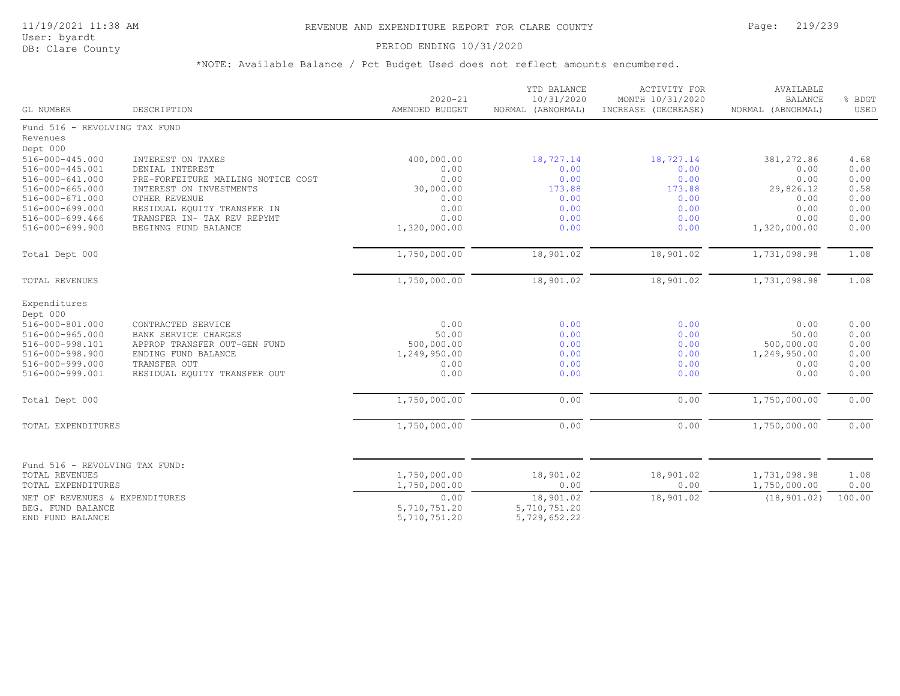User: byardt

# DB: Clare County **PERIOD ENDING 10/31/2020**

| GL NUMBER                                               | DESCRIPTION                        | $2020 - 21$<br>AMENDED BUDGET | YTD BALANCE<br>10/31/2020<br>NORMAL (ABNORMAL) | <b>ACTIVITY FOR</b><br>MONTH 10/31/2020<br>INCREASE (DECREASE) | AVAILABLE<br><b>BALANCE</b><br>NORMAL (ABNORMAL) | % BDGT<br>USED |
|---------------------------------------------------------|------------------------------------|-------------------------------|------------------------------------------------|----------------------------------------------------------------|--------------------------------------------------|----------------|
| Fund 516 - REVOLVING TAX FUND                           |                                    |                               |                                                |                                                                |                                                  |                |
| Revenues                                                |                                    |                               |                                                |                                                                |                                                  |                |
| Dept 000                                                |                                    |                               |                                                |                                                                |                                                  |                |
| 516-000-445.000                                         | INTEREST ON TAXES                  | 400,000.00                    | 18,727.14                                      | 18,727.14                                                      | 381,272.86                                       | 4.68           |
| 516-000-445.001                                         | DENIAL INTEREST                    | 0.00                          | 0.00                                           | 0.00                                                           | 0.00                                             | 0.00           |
| 516-000-641.000                                         | PRE-FORFEITURE MAILING NOTICE COST | 0.00                          | 0.00                                           | 0.00                                                           | 0.00                                             | 0.00           |
| 516-000-665.000                                         | INTEREST ON INVESTMENTS            | 30,000.00                     | 173.88                                         | 173.88                                                         | 29,826.12                                        | 0.58           |
| $516 - 000 - 671.000$                                   | OTHER REVENUE                      | 0.00                          | 0.00                                           | 0.00                                                           | 0.00                                             | 0.00           |
| 516-000-699.000                                         | RESIDUAL EQUITY TRANSFER IN        | 0.00                          | 0.00                                           | 0.00                                                           | 0.00                                             | 0.00           |
| $516 - 000 - 699.466$                                   | TRANSFER IN- TAX REV REPYMT        | 0.00                          | 0.00                                           | 0.00                                                           | 0.00                                             | 0.00           |
| 516-000-699.900                                         | BEGINNG FUND BALANCE               | 1,320,000.00                  | 0.00                                           | 0.00                                                           | 1,320,000.00                                     | 0.00           |
| Total Dept 000                                          |                                    | 1,750,000.00                  | 18,901.02                                      | 18,901.02                                                      | 1,731,098.98                                     | 1.08           |
| TOTAL REVENUES                                          |                                    | 1,750,000.00                  | 18,901.02                                      | 18,901.02                                                      | 1,731,098.98                                     | 1.08           |
| Expenditures                                            |                                    |                               |                                                |                                                                |                                                  |                |
| Dept 000                                                |                                    |                               |                                                |                                                                |                                                  |                |
| 516-000-801.000                                         | CONTRACTED SERVICE                 | 0.00                          | 0.00                                           | 0.00                                                           | 0.00                                             | 0.00           |
| $516 - 000 - 965.000$                                   | <b>BANK SERVICE CHARGES</b>        | 50.00                         | 0.00                                           | 0.00                                                           | 50.00                                            | 0.00           |
| 516-000-998.101                                         | APPROP TRANSFER OUT-GEN FUND       | 500,000.00                    | 0.00                                           | 0.00                                                           | 500,000.00                                       | 0.00           |
| 516-000-998.900                                         | ENDING FUND BALANCE                | 1,249,950.00                  | 0.00                                           | 0.00                                                           | 1,249,950.00                                     | 0.00           |
| 516-000-999.000                                         | TRANSFER OUT                       | 0.00                          | 0.00                                           | 0.00                                                           | 0.00                                             | 0.00           |
| 516-000-999.001                                         | RESIDUAL EQUITY TRANSFER OUT       | 0.00                          | 0.00                                           | 0.00                                                           | 0.00                                             | 0.00           |
| Total Dept 000                                          |                                    | 1,750,000.00                  | 0.00                                           | 0.00                                                           | 1,750,000.00                                     | 0.00           |
|                                                         |                                    |                               |                                                |                                                                |                                                  |                |
| TOTAL EXPENDITURES                                      |                                    | 1,750,000.00                  | 0.00                                           | 0.00                                                           | 1,750,000.00                                     | 0.00           |
|                                                         |                                    |                               |                                                |                                                                |                                                  |                |
| Fund 516 - REVOLVING TAX FUND:<br><b>TOTAL REVENUES</b> |                                    | 1,750,000.00                  | 18,901.02                                      | 18,901.02                                                      | 1,731,098.98                                     | 1.08           |
| TOTAL EXPENDITURES                                      |                                    | 1,750,000.00                  | 0.00                                           | 0.00                                                           | 1,750,000.00                                     | 0.00           |
| NET OF REVENUES & EXPENDITURES                          |                                    | 0.00<br>5,710,751.20          | 18,901.02<br>5,710,751.20                      | 18,901.02                                                      | (18, 901.02)                                     | 100.00         |
| BEG. FUND BALANCE<br>END FUND BALANCE                   |                                    | 5,710,751.20                  | 5,729,652.22                                   |                                                                |                                                  |                |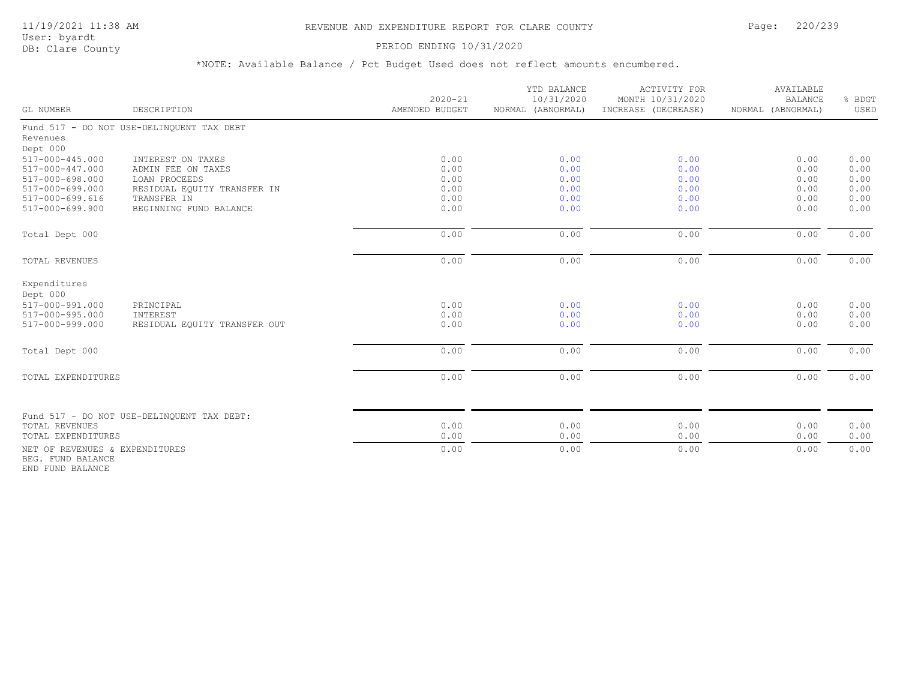## 11/19/2021 11:38 AM REVENUE AND EXPENDITURE REPORT FOR CLARE COUNTY Page: 220/239

User: byardt

# DB: Clare County **PERIOD ENDING 10/31/2020**

\*NOTE: Available Balance / Pct Budget Used does not reflect amounts encumbered.

| GL NUMBER                      | DESCRIPTION                                | $2020 - 21$<br>AMENDED BUDGET | YTD BALANCE<br>10/31/2020<br>NORMAL (ABNORMAL) | <b>ACTIVITY FOR</b><br>MONTH 10/31/2020<br>INCREASE (DECREASE) | AVAILABLE<br><b>BALANCE</b><br>NORMAL (ABNORMAL) | % BDGT<br>USED |
|--------------------------------|--------------------------------------------|-------------------------------|------------------------------------------------|----------------------------------------------------------------|--------------------------------------------------|----------------|
|                                | Fund 517 - DO NOT USE-DELINQUENT TAX DEBT  |                               |                                                |                                                                |                                                  |                |
| Revenues                       |                                            |                               |                                                |                                                                |                                                  |                |
| Dept 000                       |                                            |                               |                                                |                                                                |                                                  |                |
| 517-000-445.000                | INTEREST ON TAXES                          | 0.00                          | 0.00                                           | 0.00                                                           | 0.00                                             | 0.00           |
| 517-000-447.000                | ADMIN FEE ON TAXES                         | 0.00                          | 0.00                                           | 0.00                                                           | 0.00                                             | 0.00           |
| 517-000-698.000                | LOAN PROCEEDS                              | 0.00                          | 0.00                                           | 0.00                                                           | 0.00                                             | 0.00           |
| 517-000-699.000                | RESIDUAL EQUITY TRANSFER IN                | 0.00                          | 0.00                                           | 0.00                                                           | 0.00                                             | 0.00           |
| 517-000-699.616                | TRANSFER IN                                | 0.00                          | 0.00                                           | 0.00                                                           | 0.00                                             | 0.00           |
| 517-000-699.900                | BEGINNING FUND BALANCE                     | 0.00                          | 0.00                                           | 0.00                                                           | 0.00                                             | 0.00           |
| Total Dept 000                 |                                            | 0.00                          | 0.00                                           | 0.00                                                           | 0.00                                             | 0.00           |
| TOTAL REVENUES                 |                                            | 0.00                          | 0.00                                           | 0.00                                                           | 0.00                                             | 0.00           |
| Expenditures<br>Dept 000       |                                            |                               |                                                |                                                                |                                                  |                |
| 517-000-991.000                | PRINCIPAL                                  | 0.00                          | 0.00                                           | 0.00                                                           | 0.00                                             | 0.00           |
| 517-000-995.000                | INTEREST                                   | 0.00                          | 0.00                                           | 0.00                                                           | 0.00                                             | 0.00           |
| 517-000-999.000                | RESIDUAL EQUITY TRANSFER OUT               | 0.00                          | 0.00                                           | 0.00                                                           | 0.00                                             | 0.00           |
| Total Dept 000                 |                                            | 0.00                          | 0.00                                           | 0.00                                                           | 0.00                                             | 0.00           |
|                                |                                            |                               |                                                |                                                                |                                                  |                |
| TOTAL EXPENDITURES             |                                            | 0.00                          | 0.00                                           | 0.00                                                           | 0.00                                             | 0.00           |
|                                |                                            |                               |                                                |                                                                |                                                  |                |
| <b>TOTAL REVENUES</b>          | Fund 517 - DO NOT USE-DELINQUENT TAX DEBT: | 0.00                          | 0.00                                           | 0.00                                                           | 0.00                                             | 0.00           |
| TOTAL EXPENDITURES             |                                            | 0.00                          | 0.00                                           | 0.00                                                           | 0.00                                             | 0.00           |
| NET OF REVENUES & EXPENDITURES |                                            | 0.00                          | 0.00                                           | 0.00                                                           | 0.00                                             | 0.00           |
| BEG. FUND BALANCE              |                                            |                               |                                                |                                                                |                                                  |                |

END FUND BALANCE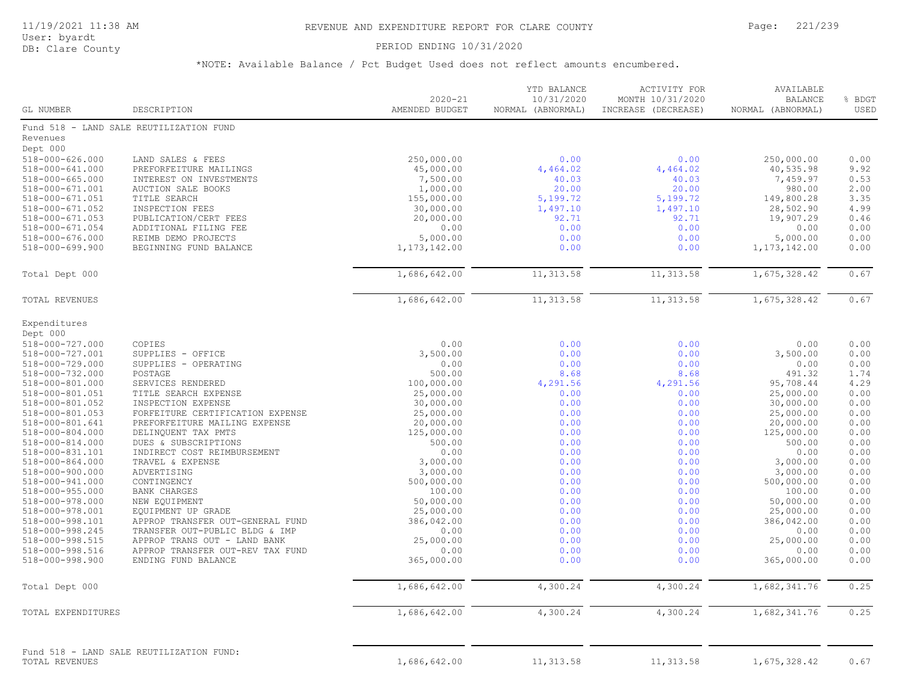User: byardt

# DB: Clare County **DB: Clare County**

| GL NUMBER                          | DESCRIPTION                                | $2020 - 21$<br>AMENDED BUDGET | YTD BALANCE<br>10/31/2020<br>NORMAL (ABNORMAL) | ACTIVITY FOR<br>MONTH 10/31/2020<br>INCREASE (DECREASE) | AVAILABLE<br><b>BALANCE</b><br>NORMAL (ABNORMAL) | % BDGT<br>USED |
|------------------------------------|--------------------------------------------|-------------------------------|------------------------------------------------|---------------------------------------------------------|--------------------------------------------------|----------------|
|                                    | Fund 518 - LAND SALE REUTILIZATION FUND    |                               |                                                |                                                         |                                                  |                |
| Revenues                           |                                            |                               |                                                |                                                         |                                                  |                |
| Dept 000                           |                                            |                               |                                                |                                                         |                                                  |                |
| 518-000-626.000                    | LAND SALES & FEES                          | 250,000.00                    | 0.00                                           | 0.00                                                    | 250,000.00                                       | 0.00           |
| 518-000-641.000                    | PREFORFEITURE MAILINGS                     | 45,000.00                     | 4,464.02                                       | 4,464.02                                                | 40,535.98                                        | 9.92           |
| $518 - 000 - 665.000$              | INTEREST ON INVESTMENTS                    | 7,500.00                      | 40.03                                          | 40.03                                                   | 7,459.97                                         | 0.53           |
| 518-000-671.001                    | AUCTION SALE BOOKS                         | 1,000.00                      | 20.00                                          | 20.00                                                   | 980.00                                           | 2.00           |
| 518-000-671.051                    | TITLE SEARCH                               | 155,000.00                    | 5,199.72                                       | 5,199.72                                                | 149,800.28                                       | 3.35           |
| 518-000-671.052                    | INSPECTION FEES                            | 30,000.00                     | 1,497.10                                       | 1,497.10                                                | 28,502.90                                        | 4.99           |
| $518 - 000 - 671.053$              | PUBLICATION/CERT FEES                      | 20,000.00                     | 92.71                                          | 92.71                                                   | 19,907.29                                        | 0.46           |
| 518-000-671.054                    | ADDITIONAL FILING FEE                      | 0.00                          | 0.00                                           | 0.00                                                    | 0.00                                             | 0.00           |
| 518-000-676.000                    | REIMB DEMO PROJECTS                        | 5,000.00                      | 0.00                                           | 0.00                                                    | 5,000.00                                         | 0.00           |
| $518 - 000 - 699.900$              | BEGINNING FUND BALANCE                     | 1, 173, 142.00                | 0.00                                           | 0.00                                                    | 1, 173, 142.00                                   | 0.00           |
| Total Dept 000                     |                                            | 1,686,642.00                  | 11, 313.58                                     | 11, 313.58                                              | 1,675,328.42                                     | 0.67           |
| TOTAL REVENUES                     |                                            | 1,686,642.00                  | 11, 313.58                                     | 11, 313.58                                              | 1,675,328.42                                     | 0.67           |
|                                    |                                            |                               |                                                |                                                         |                                                  |                |
| Expenditures                       |                                            |                               |                                                |                                                         |                                                  |                |
| Dept 000                           |                                            |                               |                                                |                                                         |                                                  |                |
| 518-000-727.000                    | COPIES                                     | 0.00                          | 0.00                                           | 0.00                                                    | 0.00                                             | 0.00           |
| 518-000-727.001                    | SUPPLIES - OFFICE                          | 3,500.00                      | 0.00                                           | 0.00                                                    | 3,500.00                                         | 0.00           |
| 518-000-729.000                    | SUPPLIES - OPERATING                       | 0.00                          | 0.00                                           | 0.00                                                    | 0.00                                             | 0.00           |
| 518-000-732.000                    | POSTAGE                                    | 500.00                        | 8.68                                           | 8.68                                                    | 491.32                                           | 1.74           |
| 518-000-801.000                    | SERVICES RENDERED                          | 100,000.00                    | 4,291.56                                       | 4,291.56                                                | 95,708.44                                        | 4.29<br>0.00   |
| 518-000-801.051<br>518-000-801.052 | TITLE SEARCH EXPENSE<br>INSPECTION EXPENSE | 25,000.00<br>30,000.00        | 0.00<br>0.00                                   | 0.00<br>0.00                                            | 25,000.00<br>30,000.00                           | 0.00           |
| 518-000-801.053                    | FORFEITURE CERTIFICATION EXPENSE           | 25,000.00                     | 0.00                                           | 0.00                                                    | 25,000.00                                        | 0.00           |
| 518-000-801.641                    | PREFORFEITURE MAILING EXPENSE              | 20,000.00                     | 0.00                                           | 0.00                                                    | 20,000.00                                        | 0.00           |
| 518-000-804.000                    | DELINQUENT TAX PMTS                        | 125,000.00                    | 0.00                                           | 0.00                                                    | 125,000.00                                       | 0.00           |
| 518-000-814.000                    | DUES & SUBSCRIPTIONS                       | 500.00                        | 0.00                                           | 0.00                                                    | 500.00                                           | 0.00           |
| 518-000-831.101                    | INDIRECT COST REIMBURSEMENT                | 0.00                          | 0.00                                           | 0.00                                                    | 0.00                                             | 0.00           |
| 518-000-864.000                    | TRAVEL & EXPENSE                           | 3,000.00                      | 0.00                                           | 0.00                                                    | 3,000.00                                         | 0.00           |
| 518-000-900.000                    | ADVERTISING                                | 3,000.00                      | 0.00                                           | 0.00                                                    | 3,000.00                                         | 0.00           |
| 518-000-941.000                    | CONTINGENCY                                | 500,000.00                    | 0.00                                           | 0.00                                                    | 500,000.00                                       | 0.00           |
| 518-000-955.000                    | BANK CHARGES                               | 100.00                        | 0.00                                           | 0.00                                                    | 100.00                                           | 0.00           |
| 518-000-978.000                    | NEW EQUIPMENT                              | 50,000.00                     | 0.00                                           | 0.00                                                    | 50,000.00                                        | 0.00           |
| 518-000-978.001                    | EQUIPMENT UP GRADE                         | 25,000.00                     | 0.00                                           | 0.00                                                    | 25,000.00                                        | 0.00           |
| 518-000-998.101                    | APPROP TRANSFER OUT-GENERAL FUND           | 386,042.00                    | 0.00                                           | 0.00                                                    | 386,042.00                                       | 0.00           |
| 518-000-998.245                    | TRANSFER OUT-PUBLIC BLDG & IMP             | 0.00                          | 0.00                                           | 0.00                                                    | 0.00                                             | 0.00           |
| 518-000-998.515                    | APPROP TRANS OUT - LAND BANK               | 25,000.00                     | 0.00                                           | 0.00                                                    | 25,000.00                                        | 0.00           |
| 518-000-998.516                    | APPROP TRANSFER OUT-REV TAX FUND           | 0.00                          | 0.00                                           | 0.00                                                    | 0.00                                             | 0.00           |
| 518-000-998.900                    | ENDING FUND BALANCE                        | 365,000.00                    | 0.00                                           | 0.00                                                    | 365,000.00                                       | 0.00           |
| Total Dept 000                     |                                            | 1,686,642.00                  | 4,300.24                                       | 4,300.24                                                | 1,682,341.76                                     | 0.25           |
| TOTAL EXPENDITURES                 |                                            | 1,686,642.00                  | 4,300.24                                       | 4,300.24                                                | 1,682,341.76                                     | 0.25           |
| TOTAL REVENUES                     | Fund 518 - LAND SALE REUTILIZATION FUND:   | 1,686,642.00                  | 11, 313.58                                     | 11, 313.58                                              | 1,675,328.42                                     | 0.67           |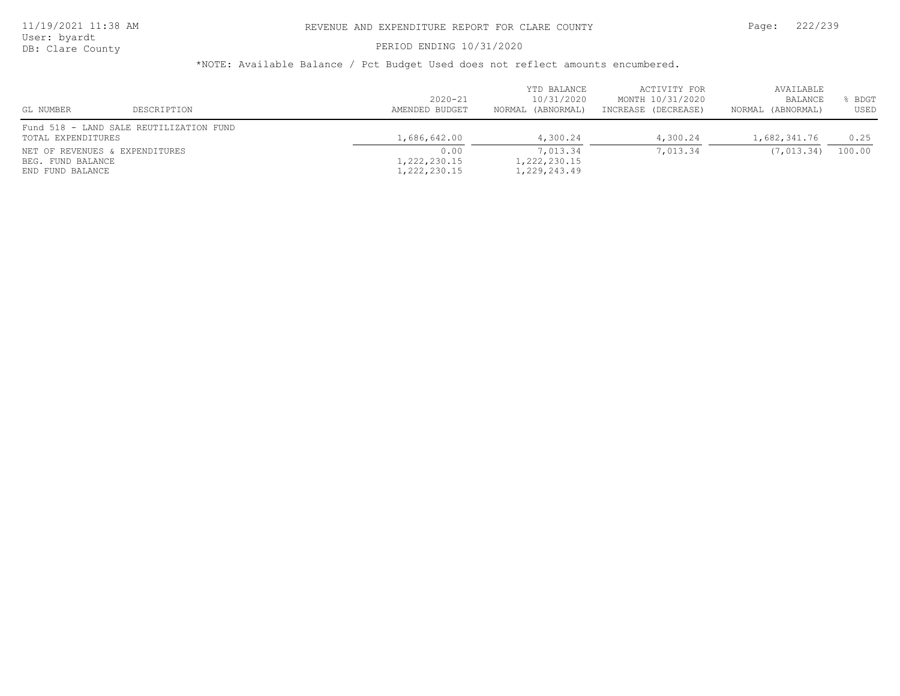User: byardt

# DB: Clare County **DB: Clare County**

| GL NUMBER                      | DESCRIPTION                             | $2020 - 21$<br>AMENDED BUDGET | YTD BALANCE<br>10/31/2020<br>NORMAL (ABNORMAL) | ACTIVITY FOR<br>MONTH 10/31/2020<br>INCREASE (DECREASE) | AVAILABLE<br>BALANCE<br>NORMAL (ABNORMAL) | <b>BDGT</b><br>USED |
|--------------------------------|-----------------------------------------|-------------------------------|------------------------------------------------|---------------------------------------------------------|-------------------------------------------|---------------------|
|                                | Fund 518 - LAND SALE REUTILIZATION FUND |                               |                                                |                                                         |                                           |                     |
| TOTAL EXPENDITURES             |                                         | 1,686,642.00                  | 4,300.24                                       | 4,300.24                                                | 1,682,341.76                              | 0.25                |
| NET OF REVENUES & EXPENDITURES |                                         | 0.00                          | 7,013.34                                       | 7,013.34                                                | (7, 013.34)                               | 100.00              |
| BEG. FUND BALANCE              |                                         | 1,222,230.15                  | 1,222,230.15                                   |                                                         |                                           |                     |
| END FUND BALANCE               |                                         | 1,222,230.15                  | 1,229,243.49                                   |                                                         |                                           |                     |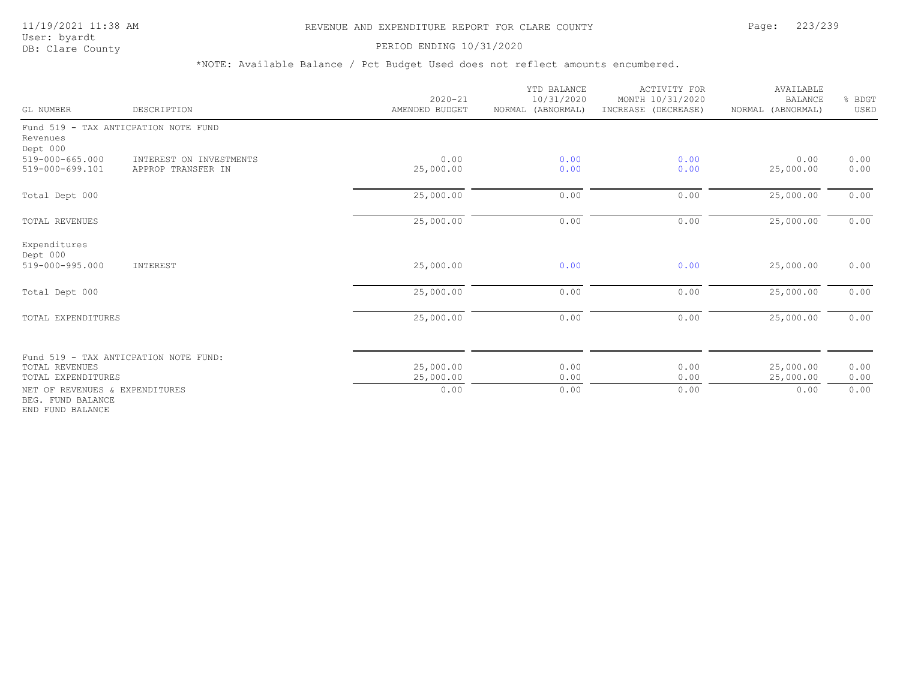PERIOD ENDING 10/31/2020

| GL NUMBER                                                               | DESCRIPTION                                   | $2020 - 21$<br>AMENDED BUDGET | YTD BALANCE<br>10/31/2020<br>NORMAL (ABNORMAL) | <b>ACTIVITY FOR</b><br>MONTH 10/31/2020<br>INCREASE (DECREASE) | AVAILABLE<br><b>BALANCE</b><br>NORMAL (ABNORMAL) | % BDGT<br>USED |
|-------------------------------------------------------------------------|-----------------------------------------------|-------------------------------|------------------------------------------------|----------------------------------------------------------------|--------------------------------------------------|----------------|
| Revenues<br>Dept 000                                                    | Fund 519 - TAX ANTICPATION NOTE FUND          |                               |                                                |                                                                |                                                  |                |
| $519 - 000 - 665.000$<br>519-000-699.101                                | INTEREST ON INVESTMENTS<br>APPROP TRANSFER IN | 0.00<br>25,000.00             | 0.00<br>0.00                                   | 0.00<br>0.00                                                   | 0.00<br>25,000.00                                | 0.00<br>0.00   |
| Total Dept 000                                                          |                                               | 25,000.00                     | 0.00                                           | 0.00                                                           | 25,000.00                                        | 0.00           |
| <b>TOTAL REVENUES</b>                                                   |                                               | 25,000.00                     | 0.00                                           | 0.00                                                           | 25,000.00                                        | 0.00           |
| Expenditures<br>Dept 000<br>519-000-995.000                             |                                               |                               | 0.00                                           | 0.00                                                           |                                                  | 0.00           |
|                                                                         | INTEREST                                      | 25,000.00                     |                                                |                                                                | 25,000.00                                        |                |
| Total Dept 000                                                          |                                               | 25,000.00                     | 0.00                                           | 0.00                                                           | 25,000.00                                        | 0.00           |
| TOTAL EXPENDITURES                                                      |                                               | 25,000.00                     | 0.00                                           | 0.00                                                           | 25,000.00                                        | 0.00           |
|                                                                         | Fund 519 - TAX ANTICPATION NOTE FUND:         |                               |                                                |                                                                |                                                  |                |
| TOTAL REVENUES<br>TOTAL EXPENDITURES                                    |                                               | 25,000.00<br>25,000.00        | 0.00<br>0.00                                   | 0.00<br>0.00                                                   | 25,000.00<br>25,000.00                           | 0.00<br>0.00   |
| NET OF REVENUES & EXPENDITURES<br>BEG. FUND BALANCE<br>END FUND BALANCE |                                               | 0.00                          | 0.00                                           | 0.00                                                           | 0.00                                             | 0.00           |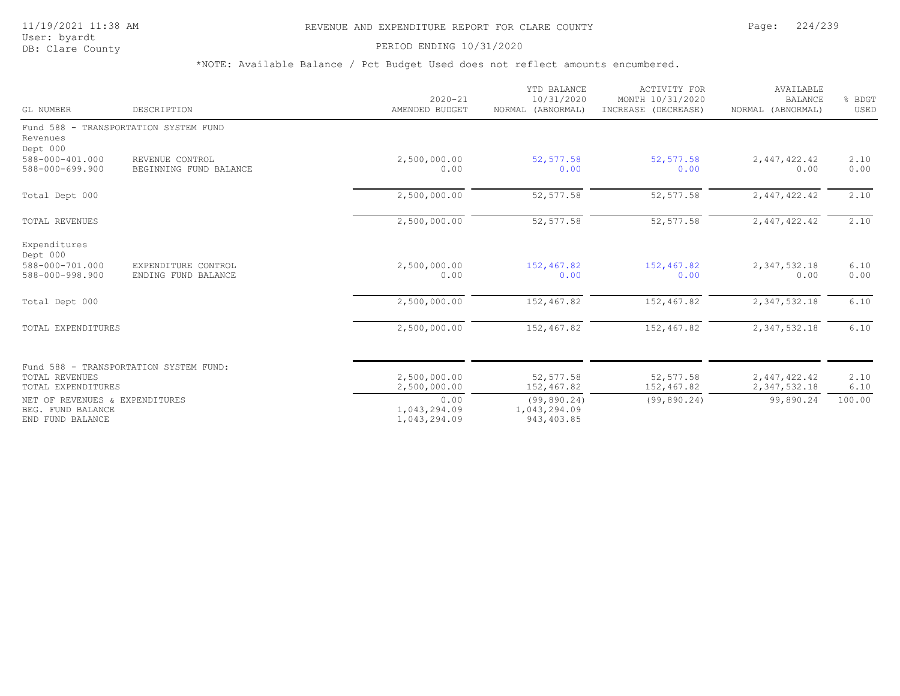## 11/19/2021 11:38 AM REVENUE AND EXPENDITURE REPORT FOR CLARE COUNTY Page: 224/239

User: byardt<br>DB: Clare County

#### PERIOD ENDING 10/31/2020

| GL NUMBER                                                               | DESCRIPTION                                | $2020 - 21$<br>AMENDED BUDGET        | YTD BALANCE<br>10/31/2020<br>NORMAL (ABNORMAL) | ACTIVITY FOR<br>MONTH 10/31/2020<br>INCREASE (DECREASE) | AVAILABLE<br><b>BALANCE</b><br>NORMAL (ABNORMAL) | % BDGT<br>USED |
|-------------------------------------------------------------------------|--------------------------------------------|--------------------------------------|------------------------------------------------|---------------------------------------------------------|--------------------------------------------------|----------------|
| Revenues<br>Dept 000                                                    | Fund 588 - TRANSPORTATION SYSTEM FUND      |                                      |                                                |                                                         |                                                  |                |
| 588-000-401.000<br>588-000-699.900                                      | REVENUE CONTROL<br>BEGINNING FUND BALANCE  | 2,500,000.00<br>0.00                 | 52, 577.58<br>0.00                             | 52, 577.58<br>0.00                                      | 2,447,422.42<br>0.00                             | 2.10<br>0.00   |
| Total Dept 000                                                          |                                            | 2,500,000.00                         | 52, 577.58                                     | 52, 577.58                                              | 2,447,422.42                                     | 2.10           |
| TOTAL REVENUES                                                          |                                            | 2,500,000.00                         | 52, 577.58                                     | 52, 577.58                                              | 2,447,422.42                                     | 2.10           |
| Expenditures<br>Dept 000<br>588-000-701.000<br>588-000-998.900          | EXPENDITURE CONTROL<br>ENDING FUND BALANCE | 2,500,000.00<br>0.00                 | 152,467.82<br>0.00                             | 152,467.82<br>0.00                                      | 2,347,532.18<br>0.00                             | 6.10<br>0.00   |
| Total Dept 000                                                          |                                            | 2,500,000.00                         | 152,467.82                                     | 152,467.82                                              | 2,347,532.18                                     | 6.10           |
| TOTAL EXPENDITURES                                                      |                                            | 2,500,000.00                         | 152,467.82                                     | 152,467.82                                              | 2,347,532.18                                     | 6.10           |
| TOTAL REVENUES<br>TOTAL EXPENDITURES                                    | Fund 588 - TRANSPORTATION SYSTEM FUND:     | 2,500,000.00<br>2,500,000.00         | 52,577.58<br>152,467.82                        | 52,577.58<br>152,467.82                                 | 2,447,422.42                                     | 2.10           |
| NET OF REVENUES & EXPENDITURES<br>BEG. FUND BALANCE<br>END FUND BALANCE |                                            | 0.00<br>1,043,294.09<br>1,043,294.09 | (99, 890.24)<br>1,043,294.09<br>943, 403.85    | (99, 890.24)                                            | 2,347,532.18<br>99,890.24                        | 6.10<br>100.00 |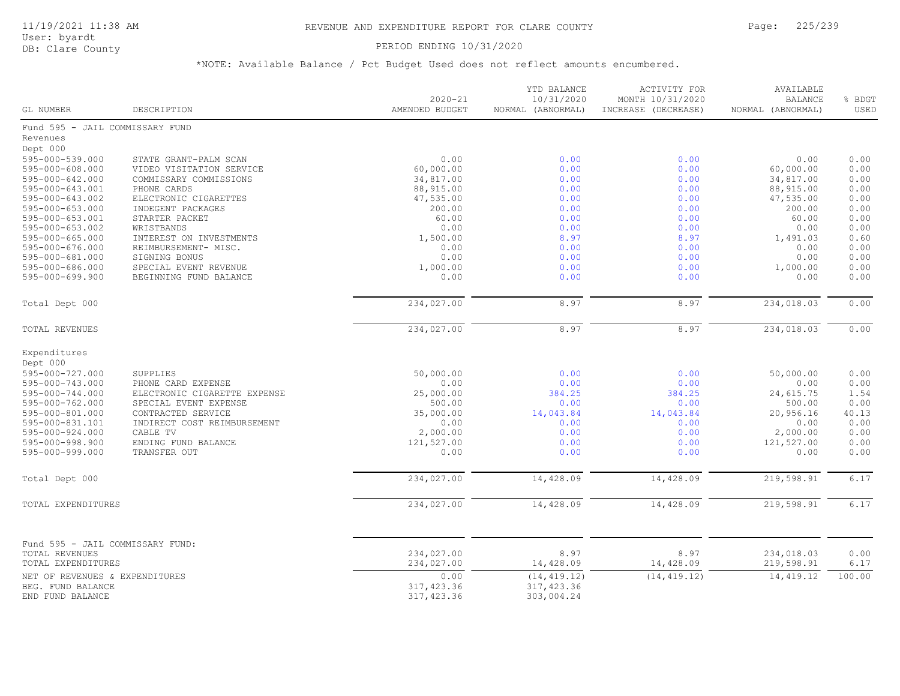## PERIOD ENDING 10/31/2020

| Fund 595 - JAIL COMMISSARY FUND<br>Revenues<br>Dept 000<br>595-000-539.000<br>0.00<br>0.00<br>0.00<br>0.00<br>0.00<br>STATE GRANT-PALM SCAN<br>0.00<br>0.00<br>0.00<br>$595 - 000 - 608.000$<br>VIDEO VISITATION SERVICE<br>60,000.00<br>60,000.00<br>$595 - 000 - 642.000$<br>34,817.00<br>0.00<br>0.00<br>34,817.00<br>0.00<br>COMMISSARY COMMISSIONS<br>595-000-643.001<br>PHONE CARDS<br>88,915.00<br>0.00<br>0.00<br>88,915.00<br>0.00<br>0.00<br>0.00<br>595-000-643.002<br>ELECTRONIC CIGARETTES<br>47,535.00<br>0.00<br>47,535.00<br>0.00<br>$595 - 000 - 653.000$<br>INDEGENT PACKAGES<br>200.00<br>0.00<br>0.00<br>200.00<br>0.00<br>595-000-653.001<br>STARTER PACKET<br>60.00<br>0.00<br>0.00<br>60.00<br>$595 - 000 - 653.002$<br>0.00<br>0.00<br>0.00<br>0.00<br>WRISTBANDS<br>0.00<br>$595 - 000 - 665.000$<br>INTEREST ON INVESTMENTS<br>1,500.00<br>8.97<br>8.97<br>0.60<br>1,491.03<br>595-000-676.000<br>REIMBURSEMENT- MISC.<br>0.00<br>0.00<br>0.00<br>0.00<br>0.00<br>0.00<br>0.00<br>0.00<br>595-000-681.000<br>SIGNING BONUS<br>0.00<br>0.00<br>595-000-686.000<br>SPECIAL EVENT REVENUE<br>1,000.00<br>0.00<br>0.00<br>0.00<br>1,000.00<br>595-000-699.900<br>0.00<br>0.00<br>0.00<br>0.00<br>BEGINNING FUND BALANCE<br>0.00<br>234,027.00<br>234,018.03<br>8.97<br>8.97<br>0.00<br>Total Dept 000<br>8.97<br>234,027.00<br>8.97<br>234,018.03<br>0.00<br>TOTAL REVENUES<br>Expenditures<br>Dept 000<br>50,000.00<br>595-000-727.000<br>SUPPLIES<br>0.00<br>0.00<br>50,000.00<br>0.00<br>0.00<br>595-000-743.000<br>0.00<br>0.00<br>0.00<br>PHONE CARD EXPENSE<br>0.00<br>595-000-744.000<br>ELECTRONIC CIGARETTE EXPENSE<br>25,000.00<br>384.25<br>384.25<br>24,615.75<br>1.54<br>595-000-762.000<br>500.00<br>0.00<br>0.00<br>SPECIAL EVENT EXPENSE<br>0.00<br>500.00<br>595-000-801.000<br>CONTRACTED SERVICE<br>35,000.00<br>14,043.84<br>14,043.84<br>20,956.16<br>40.13<br>0.00<br>595-000-831.101<br>INDIRECT COST REIMBURSEMENT<br>0.00<br>0.00<br>0.00<br>0.00<br>595-000-924.000<br>0.00<br>0.00<br>CABLE TV<br>2,000.00<br>0.00<br>2,000.00<br>121,527.00<br>0.00<br>0.00<br>121,527.00<br>0.00<br>595-000-998.900<br>ENDING FUND BALANCE<br>TRANSFER OUT<br>0.00<br>0.00<br>595-000-999.000<br>0.00<br>0.00<br>0.00<br>6.17<br>234,027.00<br>14,428.09<br>14,428.09<br>219,598.91<br>Total Dept 000<br>234,027.00<br>14,428.09<br>14,428.09<br>6.17<br>219,598.91<br>TOTAL EXPENDITURES<br>Fund 595 - JAIL COMMISSARY FUND:<br>234,027.00<br>8.97<br>8.97<br>234,018.03<br>0.00<br>TOTAL REVENUES<br>234,027.00<br>TOTAL EXPENDITURES<br>14,428.09<br>14,428.09<br>219,598.91<br>6.17<br>14, 419.12<br>100.00<br>0.00<br>(14, 419.12)<br>(14, 419.12)<br>NET OF REVENUES & EXPENDITURES<br>BEG. FUND BALANCE<br>317,423.36<br>317, 423.36<br>END FUND BALANCE<br>317, 423.36<br>303,004.24 | GL NUMBER | DESCRIPTION | $2020 - 21$<br>AMENDED BUDGET | YTD BALANCE<br>10/31/2020<br>NORMAL (ABNORMAL) | ACTIVITY FOR<br>MONTH 10/31/2020<br>INCREASE (DECREASE) | AVAILABLE<br><b>BALANCE</b><br>NORMAL (ABNORMAL) | % BDGT<br>USED |
|---------------------------------------------------------------------------------------------------------------------------------------------------------------------------------------------------------------------------------------------------------------------------------------------------------------------------------------------------------------------------------------------------------------------------------------------------------------------------------------------------------------------------------------------------------------------------------------------------------------------------------------------------------------------------------------------------------------------------------------------------------------------------------------------------------------------------------------------------------------------------------------------------------------------------------------------------------------------------------------------------------------------------------------------------------------------------------------------------------------------------------------------------------------------------------------------------------------------------------------------------------------------------------------------------------------------------------------------------------------------------------------------------------------------------------------------------------------------------------------------------------------------------------------------------------------------------------------------------------------------------------------------------------------------------------------------------------------------------------------------------------------------------------------------------------------------------------------------------------------------------------------------------------------------------------------------------------------------------------------------------------------------------------------------------------------------------------------------------------------------------------------------------------------------------------------------------------------------------------------------------------------------------------------------------------------------------------------------------------------------------------------------------------------------------------------------------------------------------------------------------------------------------------------------------------------------------------------------------------------------------------------------------------------------------------------------------------------------------------------------------------------------------------------------------------------------------------|-----------|-------------|-------------------------------|------------------------------------------------|---------------------------------------------------------|--------------------------------------------------|----------------|
|                                                                                                                                                                                                                                                                                                                                                                                                                                                                                                                                                                                                                                                                                                                                                                                                                                                                                                                                                                                                                                                                                                                                                                                                                                                                                                                                                                                                                                                                                                                                                                                                                                                                                                                                                                                                                                                                                                                                                                                                                                                                                                                                                                                                                                                                                                                                                                                                                                                                                                                                                                                                                                                                                                                                                                                                                                 |           |             |                               |                                                |                                                         |                                                  |                |
|                                                                                                                                                                                                                                                                                                                                                                                                                                                                                                                                                                                                                                                                                                                                                                                                                                                                                                                                                                                                                                                                                                                                                                                                                                                                                                                                                                                                                                                                                                                                                                                                                                                                                                                                                                                                                                                                                                                                                                                                                                                                                                                                                                                                                                                                                                                                                                                                                                                                                                                                                                                                                                                                                                                                                                                                                                 |           |             |                               |                                                |                                                         |                                                  |                |
|                                                                                                                                                                                                                                                                                                                                                                                                                                                                                                                                                                                                                                                                                                                                                                                                                                                                                                                                                                                                                                                                                                                                                                                                                                                                                                                                                                                                                                                                                                                                                                                                                                                                                                                                                                                                                                                                                                                                                                                                                                                                                                                                                                                                                                                                                                                                                                                                                                                                                                                                                                                                                                                                                                                                                                                                                                 |           |             |                               |                                                |                                                         |                                                  |                |
|                                                                                                                                                                                                                                                                                                                                                                                                                                                                                                                                                                                                                                                                                                                                                                                                                                                                                                                                                                                                                                                                                                                                                                                                                                                                                                                                                                                                                                                                                                                                                                                                                                                                                                                                                                                                                                                                                                                                                                                                                                                                                                                                                                                                                                                                                                                                                                                                                                                                                                                                                                                                                                                                                                                                                                                                                                 |           |             |                               |                                                |                                                         |                                                  |                |
|                                                                                                                                                                                                                                                                                                                                                                                                                                                                                                                                                                                                                                                                                                                                                                                                                                                                                                                                                                                                                                                                                                                                                                                                                                                                                                                                                                                                                                                                                                                                                                                                                                                                                                                                                                                                                                                                                                                                                                                                                                                                                                                                                                                                                                                                                                                                                                                                                                                                                                                                                                                                                                                                                                                                                                                                                                 |           |             |                               |                                                |                                                         |                                                  |                |
|                                                                                                                                                                                                                                                                                                                                                                                                                                                                                                                                                                                                                                                                                                                                                                                                                                                                                                                                                                                                                                                                                                                                                                                                                                                                                                                                                                                                                                                                                                                                                                                                                                                                                                                                                                                                                                                                                                                                                                                                                                                                                                                                                                                                                                                                                                                                                                                                                                                                                                                                                                                                                                                                                                                                                                                                                                 |           |             |                               |                                                |                                                         |                                                  |                |
|                                                                                                                                                                                                                                                                                                                                                                                                                                                                                                                                                                                                                                                                                                                                                                                                                                                                                                                                                                                                                                                                                                                                                                                                                                                                                                                                                                                                                                                                                                                                                                                                                                                                                                                                                                                                                                                                                                                                                                                                                                                                                                                                                                                                                                                                                                                                                                                                                                                                                                                                                                                                                                                                                                                                                                                                                                 |           |             |                               |                                                |                                                         |                                                  |                |
|                                                                                                                                                                                                                                                                                                                                                                                                                                                                                                                                                                                                                                                                                                                                                                                                                                                                                                                                                                                                                                                                                                                                                                                                                                                                                                                                                                                                                                                                                                                                                                                                                                                                                                                                                                                                                                                                                                                                                                                                                                                                                                                                                                                                                                                                                                                                                                                                                                                                                                                                                                                                                                                                                                                                                                                                                                 |           |             |                               |                                                |                                                         |                                                  |                |
|                                                                                                                                                                                                                                                                                                                                                                                                                                                                                                                                                                                                                                                                                                                                                                                                                                                                                                                                                                                                                                                                                                                                                                                                                                                                                                                                                                                                                                                                                                                                                                                                                                                                                                                                                                                                                                                                                                                                                                                                                                                                                                                                                                                                                                                                                                                                                                                                                                                                                                                                                                                                                                                                                                                                                                                                                                 |           |             |                               |                                                |                                                         |                                                  |                |
|                                                                                                                                                                                                                                                                                                                                                                                                                                                                                                                                                                                                                                                                                                                                                                                                                                                                                                                                                                                                                                                                                                                                                                                                                                                                                                                                                                                                                                                                                                                                                                                                                                                                                                                                                                                                                                                                                                                                                                                                                                                                                                                                                                                                                                                                                                                                                                                                                                                                                                                                                                                                                                                                                                                                                                                                                                 |           |             |                               |                                                |                                                         |                                                  |                |
|                                                                                                                                                                                                                                                                                                                                                                                                                                                                                                                                                                                                                                                                                                                                                                                                                                                                                                                                                                                                                                                                                                                                                                                                                                                                                                                                                                                                                                                                                                                                                                                                                                                                                                                                                                                                                                                                                                                                                                                                                                                                                                                                                                                                                                                                                                                                                                                                                                                                                                                                                                                                                                                                                                                                                                                                                                 |           |             |                               |                                                |                                                         |                                                  |                |
|                                                                                                                                                                                                                                                                                                                                                                                                                                                                                                                                                                                                                                                                                                                                                                                                                                                                                                                                                                                                                                                                                                                                                                                                                                                                                                                                                                                                                                                                                                                                                                                                                                                                                                                                                                                                                                                                                                                                                                                                                                                                                                                                                                                                                                                                                                                                                                                                                                                                                                                                                                                                                                                                                                                                                                                                                                 |           |             |                               |                                                |                                                         |                                                  |                |
|                                                                                                                                                                                                                                                                                                                                                                                                                                                                                                                                                                                                                                                                                                                                                                                                                                                                                                                                                                                                                                                                                                                                                                                                                                                                                                                                                                                                                                                                                                                                                                                                                                                                                                                                                                                                                                                                                                                                                                                                                                                                                                                                                                                                                                                                                                                                                                                                                                                                                                                                                                                                                                                                                                                                                                                                                                 |           |             |                               |                                                |                                                         |                                                  |                |
|                                                                                                                                                                                                                                                                                                                                                                                                                                                                                                                                                                                                                                                                                                                                                                                                                                                                                                                                                                                                                                                                                                                                                                                                                                                                                                                                                                                                                                                                                                                                                                                                                                                                                                                                                                                                                                                                                                                                                                                                                                                                                                                                                                                                                                                                                                                                                                                                                                                                                                                                                                                                                                                                                                                                                                                                                                 |           |             |                               |                                                |                                                         |                                                  |                |
|                                                                                                                                                                                                                                                                                                                                                                                                                                                                                                                                                                                                                                                                                                                                                                                                                                                                                                                                                                                                                                                                                                                                                                                                                                                                                                                                                                                                                                                                                                                                                                                                                                                                                                                                                                                                                                                                                                                                                                                                                                                                                                                                                                                                                                                                                                                                                                                                                                                                                                                                                                                                                                                                                                                                                                                                                                 |           |             |                               |                                                |                                                         |                                                  |                |
|                                                                                                                                                                                                                                                                                                                                                                                                                                                                                                                                                                                                                                                                                                                                                                                                                                                                                                                                                                                                                                                                                                                                                                                                                                                                                                                                                                                                                                                                                                                                                                                                                                                                                                                                                                                                                                                                                                                                                                                                                                                                                                                                                                                                                                                                                                                                                                                                                                                                                                                                                                                                                                                                                                                                                                                                                                 |           |             |                               |                                                |                                                         |                                                  |                |
|                                                                                                                                                                                                                                                                                                                                                                                                                                                                                                                                                                                                                                                                                                                                                                                                                                                                                                                                                                                                                                                                                                                                                                                                                                                                                                                                                                                                                                                                                                                                                                                                                                                                                                                                                                                                                                                                                                                                                                                                                                                                                                                                                                                                                                                                                                                                                                                                                                                                                                                                                                                                                                                                                                                                                                                                                                 |           |             |                               |                                                |                                                         |                                                  |                |
|                                                                                                                                                                                                                                                                                                                                                                                                                                                                                                                                                                                                                                                                                                                                                                                                                                                                                                                                                                                                                                                                                                                                                                                                                                                                                                                                                                                                                                                                                                                                                                                                                                                                                                                                                                                                                                                                                                                                                                                                                                                                                                                                                                                                                                                                                                                                                                                                                                                                                                                                                                                                                                                                                                                                                                                                                                 |           |             |                               |                                                |                                                         |                                                  |                |
|                                                                                                                                                                                                                                                                                                                                                                                                                                                                                                                                                                                                                                                                                                                                                                                                                                                                                                                                                                                                                                                                                                                                                                                                                                                                                                                                                                                                                                                                                                                                                                                                                                                                                                                                                                                                                                                                                                                                                                                                                                                                                                                                                                                                                                                                                                                                                                                                                                                                                                                                                                                                                                                                                                                                                                                                                                 |           |             |                               |                                                |                                                         |                                                  |                |
|                                                                                                                                                                                                                                                                                                                                                                                                                                                                                                                                                                                                                                                                                                                                                                                                                                                                                                                                                                                                                                                                                                                                                                                                                                                                                                                                                                                                                                                                                                                                                                                                                                                                                                                                                                                                                                                                                                                                                                                                                                                                                                                                                                                                                                                                                                                                                                                                                                                                                                                                                                                                                                                                                                                                                                                                                                 |           |             |                               |                                                |                                                         |                                                  |                |
|                                                                                                                                                                                                                                                                                                                                                                                                                                                                                                                                                                                                                                                                                                                                                                                                                                                                                                                                                                                                                                                                                                                                                                                                                                                                                                                                                                                                                                                                                                                                                                                                                                                                                                                                                                                                                                                                                                                                                                                                                                                                                                                                                                                                                                                                                                                                                                                                                                                                                                                                                                                                                                                                                                                                                                                                                                 |           |             |                               |                                                |                                                         |                                                  |                |
|                                                                                                                                                                                                                                                                                                                                                                                                                                                                                                                                                                                                                                                                                                                                                                                                                                                                                                                                                                                                                                                                                                                                                                                                                                                                                                                                                                                                                                                                                                                                                                                                                                                                                                                                                                                                                                                                                                                                                                                                                                                                                                                                                                                                                                                                                                                                                                                                                                                                                                                                                                                                                                                                                                                                                                                                                                 |           |             |                               |                                                |                                                         |                                                  |                |
|                                                                                                                                                                                                                                                                                                                                                                                                                                                                                                                                                                                                                                                                                                                                                                                                                                                                                                                                                                                                                                                                                                                                                                                                                                                                                                                                                                                                                                                                                                                                                                                                                                                                                                                                                                                                                                                                                                                                                                                                                                                                                                                                                                                                                                                                                                                                                                                                                                                                                                                                                                                                                                                                                                                                                                                                                                 |           |             |                               |                                                |                                                         |                                                  |                |
|                                                                                                                                                                                                                                                                                                                                                                                                                                                                                                                                                                                                                                                                                                                                                                                                                                                                                                                                                                                                                                                                                                                                                                                                                                                                                                                                                                                                                                                                                                                                                                                                                                                                                                                                                                                                                                                                                                                                                                                                                                                                                                                                                                                                                                                                                                                                                                                                                                                                                                                                                                                                                                                                                                                                                                                                                                 |           |             |                               |                                                |                                                         |                                                  |                |
|                                                                                                                                                                                                                                                                                                                                                                                                                                                                                                                                                                                                                                                                                                                                                                                                                                                                                                                                                                                                                                                                                                                                                                                                                                                                                                                                                                                                                                                                                                                                                                                                                                                                                                                                                                                                                                                                                                                                                                                                                                                                                                                                                                                                                                                                                                                                                                                                                                                                                                                                                                                                                                                                                                                                                                                                                                 |           |             |                               |                                                |                                                         |                                                  |                |
|                                                                                                                                                                                                                                                                                                                                                                                                                                                                                                                                                                                                                                                                                                                                                                                                                                                                                                                                                                                                                                                                                                                                                                                                                                                                                                                                                                                                                                                                                                                                                                                                                                                                                                                                                                                                                                                                                                                                                                                                                                                                                                                                                                                                                                                                                                                                                                                                                                                                                                                                                                                                                                                                                                                                                                                                                                 |           |             |                               |                                                |                                                         |                                                  |                |
|                                                                                                                                                                                                                                                                                                                                                                                                                                                                                                                                                                                                                                                                                                                                                                                                                                                                                                                                                                                                                                                                                                                                                                                                                                                                                                                                                                                                                                                                                                                                                                                                                                                                                                                                                                                                                                                                                                                                                                                                                                                                                                                                                                                                                                                                                                                                                                                                                                                                                                                                                                                                                                                                                                                                                                                                                                 |           |             |                               |                                                |                                                         |                                                  |                |
|                                                                                                                                                                                                                                                                                                                                                                                                                                                                                                                                                                                                                                                                                                                                                                                                                                                                                                                                                                                                                                                                                                                                                                                                                                                                                                                                                                                                                                                                                                                                                                                                                                                                                                                                                                                                                                                                                                                                                                                                                                                                                                                                                                                                                                                                                                                                                                                                                                                                                                                                                                                                                                                                                                                                                                                                                                 |           |             |                               |                                                |                                                         |                                                  |                |
|                                                                                                                                                                                                                                                                                                                                                                                                                                                                                                                                                                                                                                                                                                                                                                                                                                                                                                                                                                                                                                                                                                                                                                                                                                                                                                                                                                                                                                                                                                                                                                                                                                                                                                                                                                                                                                                                                                                                                                                                                                                                                                                                                                                                                                                                                                                                                                                                                                                                                                                                                                                                                                                                                                                                                                                                                                 |           |             |                               |                                                |                                                         |                                                  |                |
|                                                                                                                                                                                                                                                                                                                                                                                                                                                                                                                                                                                                                                                                                                                                                                                                                                                                                                                                                                                                                                                                                                                                                                                                                                                                                                                                                                                                                                                                                                                                                                                                                                                                                                                                                                                                                                                                                                                                                                                                                                                                                                                                                                                                                                                                                                                                                                                                                                                                                                                                                                                                                                                                                                                                                                                                                                 |           |             |                               |                                                |                                                         |                                                  |                |
|                                                                                                                                                                                                                                                                                                                                                                                                                                                                                                                                                                                                                                                                                                                                                                                                                                                                                                                                                                                                                                                                                                                                                                                                                                                                                                                                                                                                                                                                                                                                                                                                                                                                                                                                                                                                                                                                                                                                                                                                                                                                                                                                                                                                                                                                                                                                                                                                                                                                                                                                                                                                                                                                                                                                                                                                                                 |           |             |                               |                                                |                                                         |                                                  |                |
|                                                                                                                                                                                                                                                                                                                                                                                                                                                                                                                                                                                                                                                                                                                                                                                                                                                                                                                                                                                                                                                                                                                                                                                                                                                                                                                                                                                                                                                                                                                                                                                                                                                                                                                                                                                                                                                                                                                                                                                                                                                                                                                                                                                                                                                                                                                                                                                                                                                                                                                                                                                                                                                                                                                                                                                                                                 |           |             |                               |                                                |                                                         |                                                  |                |
|                                                                                                                                                                                                                                                                                                                                                                                                                                                                                                                                                                                                                                                                                                                                                                                                                                                                                                                                                                                                                                                                                                                                                                                                                                                                                                                                                                                                                                                                                                                                                                                                                                                                                                                                                                                                                                                                                                                                                                                                                                                                                                                                                                                                                                                                                                                                                                                                                                                                                                                                                                                                                                                                                                                                                                                                                                 |           |             |                               |                                                |                                                         |                                                  |                |
|                                                                                                                                                                                                                                                                                                                                                                                                                                                                                                                                                                                                                                                                                                                                                                                                                                                                                                                                                                                                                                                                                                                                                                                                                                                                                                                                                                                                                                                                                                                                                                                                                                                                                                                                                                                                                                                                                                                                                                                                                                                                                                                                                                                                                                                                                                                                                                                                                                                                                                                                                                                                                                                                                                                                                                                                                                 |           |             |                               |                                                |                                                         |                                                  |                |
|                                                                                                                                                                                                                                                                                                                                                                                                                                                                                                                                                                                                                                                                                                                                                                                                                                                                                                                                                                                                                                                                                                                                                                                                                                                                                                                                                                                                                                                                                                                                                                                                                                                                                                                                                                                                                                                                                                                                                                                                                                                                                                                                                                                                                                                                                                                                                                                                                                                                                                                                                                                                                                                                                                                                                                                                                                 |           |             |                               |                                                |                                                         |                                                  |                |
|                                                                                                                                                                                                                                                                                                                                                                                                                                                                                                                                                                                                                                                                                                                                                                                                                                                                                                                                                                                                                                                                                                                                                                                                                                                                                                                                                                                                                                                                                                                                                                                                                                                                                                                                                                                                                                                                                                                                                                                                                                                                                                                                                                                                                                                                                                                                                                                                                                                                                                                                                                                                                                                                                                                                                                                                                                 |           |             |                               |                                                |                                                         |                                                  |                |
|                                                                                                                                                                                                                                                                                                                                                                                                                                                                                                                                                                                                                                                                                                                                                                                                                                                                                                                                                                                                                                                                                                                                                                                                                                                                                                                                                                                                                                                                                                                                                                                                                                                                                                                                                                                                                                                                                                                                                                                                                                                                                                                                                                                                                                                                                                                                                                                                                                                                                                                                                                                                                                                                                                                                                                                                                                 |           |             |                               |                                                |                                                         |                                                  |                |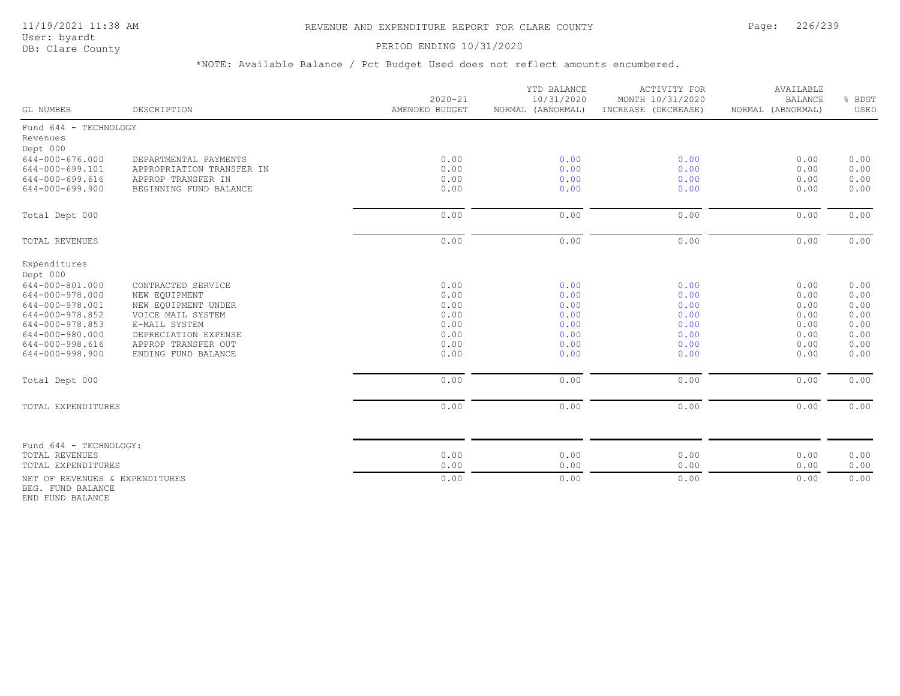## 11/19/2021 11:38 AM REVENUE AND EXPENDITURE REPORT FOR CLARE COUNTY Page: 226/239

User: byardt<br>DB: Clare County

#### PERIOD ENDING 10/31/2020

\*NOTE: Available Balance / Pct Budget Used does not reflect amounts encumbered.

| GL NUMBER                                           | DESCRIPTION                                  | $2020 - 21$<br>AMENDED BUDGET | YTD BALANCE<br>10/31/2020<br>NORMAL (ABNORMAL) | <b>ACTIVITY FOR</b><br>MONTH 10/31/2020<br>INCREASE (DECREASE) | AVAILABLE<br><b>BALANCE</b><br>NORMAL (ABNORMAL) | % BDGT<br>USED |
|-----------------------------------------------------|----------------------------------------------|-------------------------------|------------------------------------------------|----------------------------------------------------------------|--------------------------------------------------|----------------|
| Fund 644 - TECHNOLOGY                               |                                              |                               |                                                |                                                                |                                                  |                |
| Revenues                                            |                                              |                               |                                                |                                                                |                                                  |                |
| Dept 000                                            |                                              |                               |                                                |                                                                |                                                  |                |
| 644-000-676.000                                     | DEPARTMENTAL PAYMENTS                        | 0.00                          | 0.00                                           | 0.00                                                           | 0.00                                             | 0.00           |
| 644-000-699.101                                     | APPROPRIATION TRANSFER IN                    | 0.00                          | 0.00                                           | 0.00                                                           | 0.00                                             | 0.00           |
| 644-000-699.616<br>$644 - 000 - 699.900$            | APPROP TRANSFER IN<br>BEGINNING FUND BALANCE | 0.00<br>0.00                  | 0.00<br>0.00                                   | 0.00<br>0.00                                                   | 0.00<br>0.00                                     | 0.00<br>0.00   |
|                                                     |                                              |                               |                                                |                                                                |                                                  |                |
| Total Dept 000                                      |                                              | 0.00                          | 0.00                                           | 0.00                                                           | 0.00                                             | 0.00           |
| TOTAL REVENUES                                      |                                              | 0.00                          | 0.00                                           | 0.00                                                           | 0.00                                             | 0.00           |
| Expenditures                                        |                                              |                               |                                                |                                                                |                                                  |                |
| Dept 000                                            |                                              |                               |                                                |                                                                |                                                  |                |
| 644-000-801.000                                     | CONTRACTED SERVICE                           | 0.00                          | 0.00                                           | 0.00                                                           | 0.00                                             | 0.00           |
| 644-000-978.000                                     | NEW EQUIPMENT                                | 0.00                          | 0.00                                           | 0.00                                                           | 0.00                                             | 0.00           |
| 644-000-978.001                                     | NEW EQUIPMENT UNDER                          | 0.00                          | 0.00                                           | 0.00                                                           | 0.00                                             | 0.00           |
| 644-000-978.852                                     | VOICE MAIL SYSTEM                            | 0.00                          | 0.00                                           | 0.00                                                           | 0.00                                             | 0.00           |
| 644-000-978.853                                     | E-MAIL SYSTEM                                | 0.00                          | 0.00                                           | 0.00                                                           | 0.00                                             | 0.00           |
| 644-000-980.000                                     | DEPRECIATION EXPENSE                         | 0.00                          | 0.00                                           | 0.00                                                           | 0.00                                             | 0.00           |
| 644-000-998.616                                     | APPROP TRANSFER OUT                          | 0.00                          | 0.00                                           | 0.00                                                           | 0.00                                             | 0.00           |
| 644-000-998.900                                     | ENDING FUND BALANCE                          | 0.00                          | 0.00                                           | 0.00                                                           | 0.00                                             | 0.00           |
| Total Dept 000                                      |                                              | 0.00                          | 0.00                                           | 0.00                                                           | 0.00                                             | 0.00           |
| TOTAL EXPENDITURES                                  |                                              | 0.00                          | 0.00                                           | 0.00                                                           | 0.00                                             | 0.00           |
|                                                     |                                              |                               |                                                |                                                                |                                                  |                |
| Fund 644 - TECHNOLOGY:                              |                                              |                               |                                                |                                                                |                                                  |                |
| TOTAL REVENUES                                      |                                              | 0.00                          | 0.00                                           | 0.00                                                           | 0.00                                             | 0.00           |
| TOTAL EXPENDITURES                                  |                                              | 0.00                          | 0.00                                           | 0.00                                                           | 0.00                                             | 0.00           |
| NET OF REVENUES & EXPENDITURES<br>BEG. FUND BALANCE |                                              | 0.00                          | 0.00                                           | 0.00                                                           | 0.00                                             | 0.00           |

END FUND BALANCE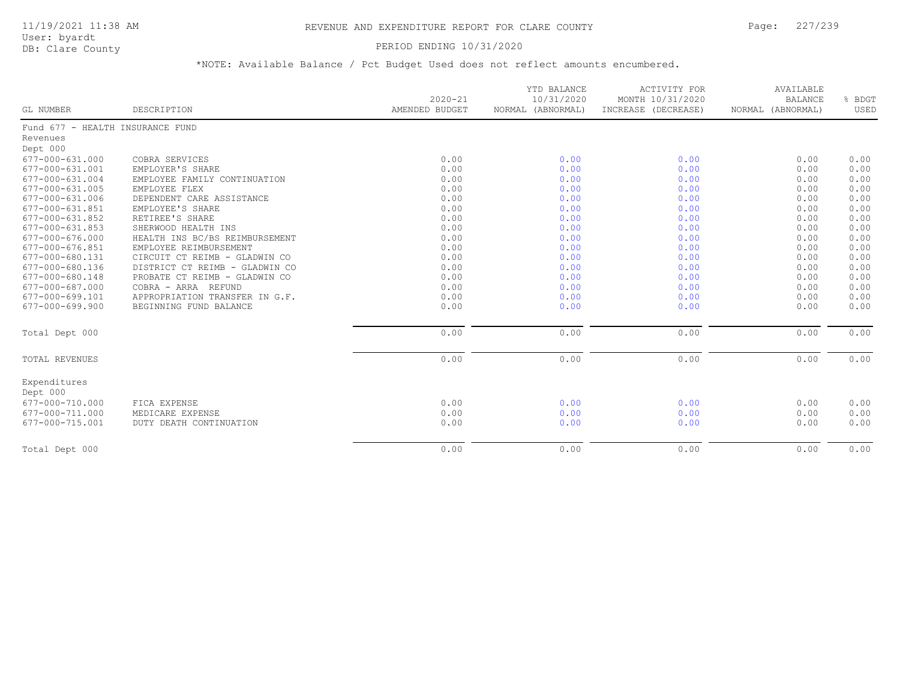## PERIOD ENDING 10/31/2020

| GL NUMBER                        | DESCRIPTION                    | $2020 - 21$<br>AMENDED BUDGET | YTD BALANCE<br>10/31/2020<br>NORMAL (ABNORMAL) | <b>ACTIVITY FOR</b><br>MONTH 10/31/2020<br>INCREASE (DECREASE) | AVAILABLE<br><b>BALANCE</b><br>NORMAL (ABNORMAL) | % BDGT<br>USED |
|----------------------------------|--------------------------------|-------------------------------|------------------------------------------------|----------------------------------------------------------------|--------------------------------------------------|----------------|
|                                  |                                |                               |                                                |                                                                |                                                  |                |
| Fund 677 - HEALTH INSURANCE FUND |                                |                               |                                                |                                                                |                                                  |                |
| Revenues                         |                                |                               |                                                |                                                                |                                                  |                |
| Dept 000                         |                                |                               |                                                |                                                                |                                                  |                |
| 677-000-631.000                  | COBRA SERVICES                 | 0.00                          | 0.00                                           | 0.00                                                           | 0.00                                             | 0.00           |
| 677-000-631.001                  | EMPLOYER'S SHARE               | 0.00                          | 0.00                                           | 0.00                                                           | 0.00                                             | 0.00           |
| 677-000-631.004                  | EMPLOYEE FAMILY CONTINUATION   | 0.00                          | 0.00                                           | 0.00                                                           | 0.00                                             | 0.00           |
| 677-000-631.005                  | EMPLOYEE FLEX                  | 0.00                          | 0.00                                           | 0.00                                                           | 0.00                                             | 0.00           |
| 677-000-631.006                  | DEPENDENT CARE ASSISTANCE      | 0.00                          | 0.00                                           | 0.00                                                           | 0.00                                             | 0.00           |
| 677-000-631.851                  | EMPLOYEE'S SHARE               | 0.00                          | 0.00                                           | 0.00                                                           | 0.00                                             | 0.00           |
| 677-000-631.852                  | RETIREE'S SHARE                | 0.00                          | 0.00                                           | 0.00                                                           | 0.00                                             | 0.00           |
| $677 - 000 - 631.853$            | SHERWOOD HEALTH INS            | 0.00                          | 0.00                                           | 0.00                                                           | 0.00                                             | 0.00           |
| 677-000-676.000                  | HEALTH INS BC/BS REIMBURSEMENT | 0.00                          | 0.00                                           | 0.00                                                           | 0.00                                             | 0.00           |
| 677-000-676.851                  | EMPLOYEE REIMBURSEMENT         | 0.00                          | 0.00                                           | 0.00                                                           | 0.00                                             | 0.00           |
| 677-000-680.131                  | CIRCUIT CT REIMB - GLADWIN CO  | 0.00                          | 0.00                                           | 0.00                                                           | 0.00                                             | 0.00           |
| 677-000-680.136                  | DISTRICT CT REIMB - GLADWIN CO | 0.00                          | 0.00                                           | 0.00                                                           | 0.00                                             | 0.00           |
| 677-000-680.148                  | PROBATE CT REIMB - GLADWIN CO  | 0.00                          | 0.00                                           | 0.00                                                           | 0.00                                             | 0.00           |
| 677-000-687.000                  | COBRA - ARRA REFUND            | 0.00                          | 0.00                                           | 0.00                                                           | 0.00                                             | 0.00           |
| 677-000-699.101                  | APPROPRIATION TRANSFER IN G.F. | 0.00                          | 0.00                                           | 0.00                                                           | 0.00                                             | 0.00           |
| $677 - 000 - 699.900$            | BEGINNING FUND BALANCE         | 0.00                          | 0.00                                           | 0.00                                                           | 0.00                                             | 0.00           |
| Total Dept 000                   |                                | 0.00                          | 0.00                                           | 0.00                                                           | 0.00                                             | 0.00           |
| TOTAL REVENUES                   |                                | 0.00                          | 0.00                                           | 0.00                                                           | 0.00                                             | 0.00           |
| Expenditures<br>Dept 000         |                                |                               |                                                |                                                                |                                                  |                |
| 677-000-710.000                  | FICA EXPENSE                   | 0.00                          | 0.00                                           | 0.00                                                           | 0.00                                             | 0.00           |
| 677-000-711.000                  | MEDICARE EXPENSE               | 0.00                          | 0.00                                           | 0.00                                                           | 0.00                                             | 0.00           |
| 677-000-715.001                  | DUTY DEATH CONTINUATION        | 0.00                          | 0.00                                           | 0.00                                                           | 0.00                                             | 0.00           |
| Total Dept 000                   |                                | 0.00                          | 0.00                                           | 0.00                                                           | 0.00                                             | 0.00           |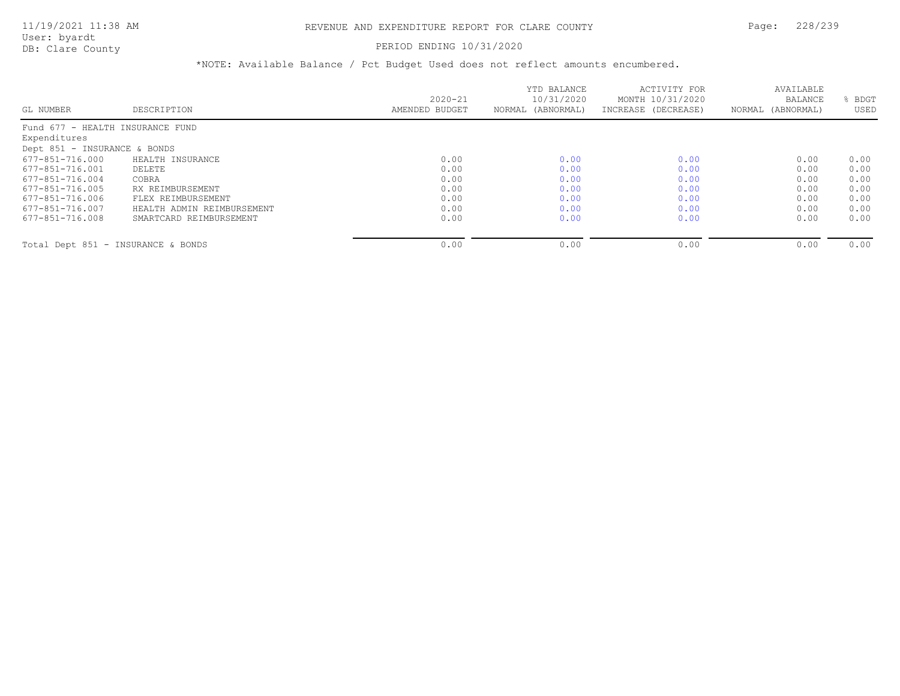#### PERIOD ENDING 10/31/2020

|                                    |                            |                | YTD BALANCE       | ACTIVITY FOR        | AVAILABLE         |      |
|------------------------------------|----------------------------|----------------|-------------------|---------------------|-------------------|------|
|                                    |                            | $2020 - 21$    | 10/31/2020        | MONTH 10/31/2020    | <b>BALANCE</b>    | BDGT |
| GL NUMBER                          | DESCRIPTION                | AMENDED BUDGET | NORMAL (ABNORMAL) | INCREASE (DECREASE) | NORMAL (ABNORMAL) | USED |
| Fund 677 - HEALTH INSURANCE FUND   |                            |                |                   |                     |                   |      |
| Expenditures                       |                            |                |                   |                     |                   |      |
| Dept 851 - INSURANCE & BONDS       |                            |                |                   |                     |                   |      |
| 677-851-716.000                    | HEALTH INSURANCE           | 0.00           | 0.00              | 0.00                | 0.00              | 0.00 |
| 677-851-716.001                    | DELETE                     | 0.00           | 0.00              | 0.00                | 0.00              | 0.00 |
| 677-851-716.004                    | COBRA                      | 0.00           | 0.00              | 0.00                | 0.00              | 0.00 |
| 677-851-716.005                    | RX REIMBURSEMENT           | 0.00           | 0.00              | 0.00                | 0.00              | 0.00 |
| 677-851-716.006                    | FLEX REIMBURSEMENT         | 0.00           | 0.00              | 0.00                | 0.00              | 0.00 |
| 677-851-716.007                    | HEALTH ADMIN REIMBURSEMENT | 0.00           | 0.00              | 0.00                | 0.00              | 0.00 |
| 677-851-716.008                    | SMARTCARD REIMBURSEMENT    | 0.00           | 0.00              | 0.00                | 0.00              | 0.00 |
| Total Dept 851 - INSURANCE & BONDS |                            | 0.00           | 0.00              | 0.00                | 0.00              | 0.00 |
|                                    |                            |                |                   |                     |                   |      |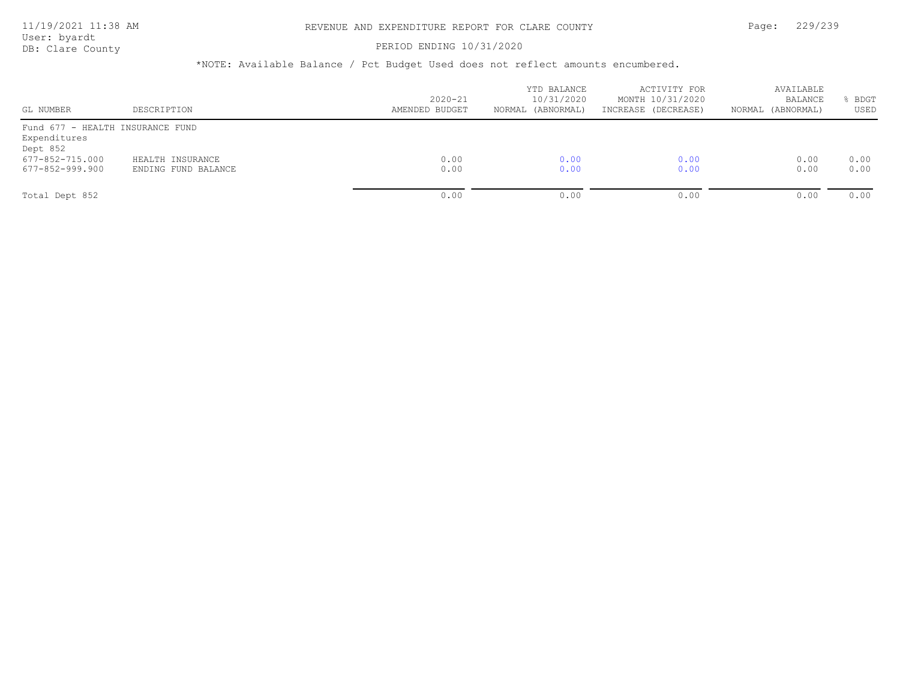#### PERIOD ENDING 10/31/2020

| GL NUMBER                                                                                          | DESCRIPTION                             | $2020 - 21$<br>AMENDED BUDGET | YTD BALANCE<br>10/31/2020<br>(ABNORMAL)<br>NORMAL | ACTIVITY FOR<br>MONTH 10/31/2020<br>INCREASE (DECREASE) | AVAILABLE<br>BALANCE<br>NORMAL (ABNORMAL) | <b>BDGT</b><br>USED |
|----------------------------------------------------------------------------------------------------|-----------------------------------------|-------------------------------|---------------------------------------------------|---------------------------------------------------------|-------------------------------------------|---------------------|
| Fund 677 - HEALTH INSURANCE FUND<br>Expenditures<br>Dept 852<br>677-852-715.000<br>677-852-999.900 | HEALTH INSURANCE<br>ENDING FUND BALANCE | 0.00<br>0.00                  | 0.00<br>0.00                                      | 0.00<br>0.00                                            | 0.00<br>0.00                              | 0.00<br>0.00        |
| Total Dept 852                                                                                     |                                         | 0.00                          | 0.00                                              | 0.00                                                    | 0.00                                      | 0.00                |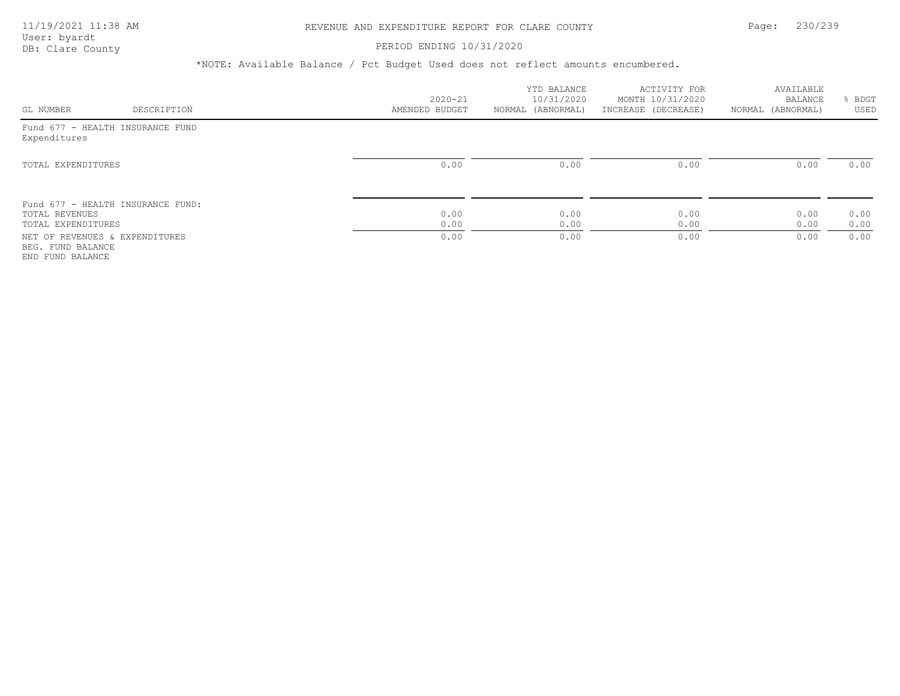#### PERIOD ENDING 10/31/2020

|                                                                         |                                   |                | YTD BALANCE       | ACTIVITY FOR        | AVAILABLE         |      |
|-------------------------------------------------------------------------|-----------------------------------|----------------|-------------------|---------------------|-------------------|------|
|                                                                         |                                   | $2020 - 21$    | 10/31/2020        | MONTH 10/31/2020    | BALANCE           | BDGT |
| GL NUMBER                                                               | DESCRIPTION                       | AMENDED BUDGET | NORMAL (ABNORMAL) | INCREASE (DECREASE) | NORMAL (ABNORMAL) | USED |
| Fund 677 - HEALTH INSURANCE FUND<br>Expenditures                        |                                   |                |                   |                     |                   |      |
| TOTAL EXPENDITURES                                                      |                                   | 0.00           | 0.00              | 0.00                | 0.00              | 0.00 |
| TOTAL REVENUES                                                          | Fund 677 - HEALTH INSURANCE FUND: | 0.00           | 0.00              | 0.00                | 0.00              | 0.00 |
| TOTAL EXPENDITURES                                                      |                                   | 0.00           | 0.00              | 0.00                | 0.00              | 0.00 |
| NET OF REVENUES & EXPENDITURES<br>BEG. FUND BALANCE<br>END FUND BALANCE |                                   | 0.00           | 0.00              | 0.00                | 0.00              | 0.00 |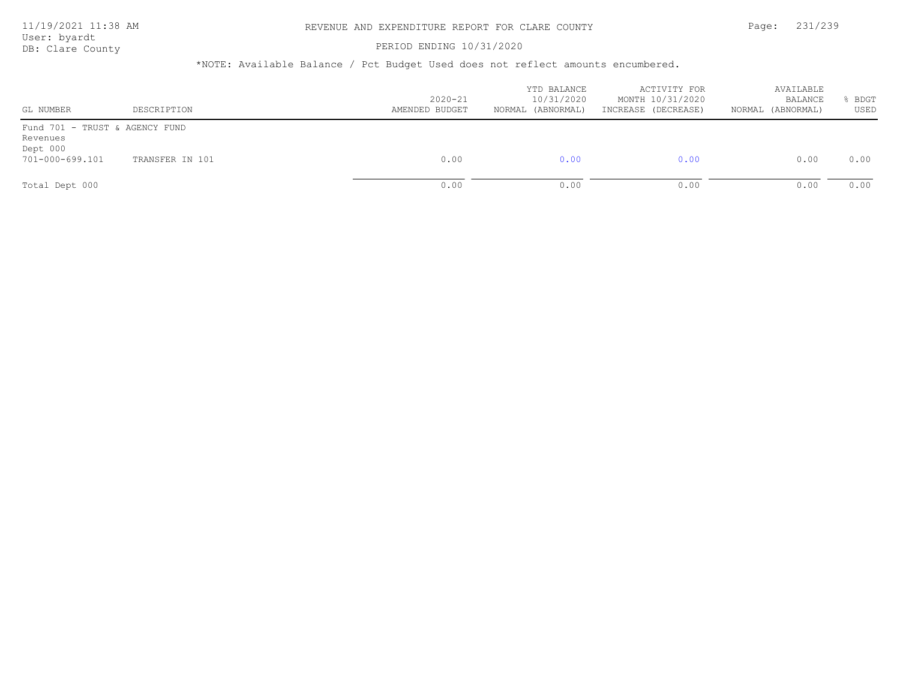#### PERIOD ENDING 10/31/2020

| GL NUMBER                                                                 | DESCRIPTION     | $2020 - 21$<br>AMENDED BUDGET | YTD BALANCE<br>10/31/2020<br>(ABNORMAL)<br>NORMAL | ACTIVITY FOR<br>MONTH 10/31/2020<br>INCREASE (DECREASE) | AVAILABLE<br><b>BALANCE</b><br>NORMAL (ABNORMAL) | BDGT<br>USED |
|---------------------------------------------------------------------------|-----------------|-------------------------------|---------------------------------------------------|---------------------------------------------------------|--------------------------------------------------|--------------|
| Fund 701 - TRUST & AGENCY FUND<br>Revenues<br>Dept 000<br>701-000-699.101 | TRANSFER IN 101 | 0.00                          | 0.00                                              | 0.00                                                    | 0.00                                             | 0.00         |
| Total Dept 000                                                            |                 | 0.00                          | 0.00                                              | 0.00                                                    | 0.00                                             | 0.00         |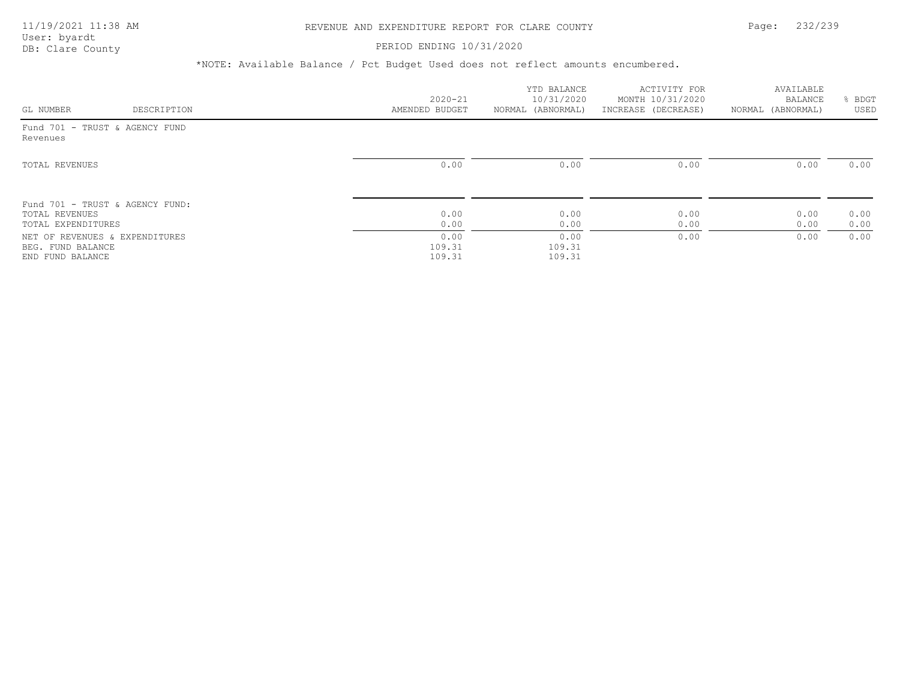## PERIOD ENDING 10/31/2020

| GL NUMBER                                                               | DESCRIPTION | $2020 - 21$<br>AMENDED BUDGET | YTD BALANCE<br>10/31/2020<br>NORMAL (ABNORMAL) | ACTIVITY FOR<br>MONTH 10/31/2020<br>INCREASE (DECREASE) | AVAILABLE<br>BALANCE<br>NORMAL (ABNORMAL) | BDGT<br>USED |
|-------------------------------------------------------------------------|-------------|-------------------------------|------------------------------------------------|---------------------------------------------------------|-------------------------------------------|--------------|
| Fund 701 - TRUST & AGENCY FUND<br>Revenues                              |             |                               |                                                |                                                         |                                           |              |
| TOTAL REVENUES                                                          |             | 0.00                          | 0.00                                           | 0.00                                                    | 0.00                                      | 0.00         |
| Fund 701 - TRUST & AGENCY FUND:<br>TOTAL REVENUES<br>TOTAL EXPENDITURES |             | 0.00<br>0.00                  | 0.00<br>0.00                                   | 0.00<br>0.00                                            | 0.00<br>0.00                              | 0.00<br>0.00 |
| NET OF REVENUES & EXPENDITURES<br>BEG. FUND BALANCE<br>END FUND BALANCE |             | 0.00<br>109.31<br>109.31      | 0.00<br>109.31<br>109.31                       | 0.00                                                    | 0.00                                      | 0.00         |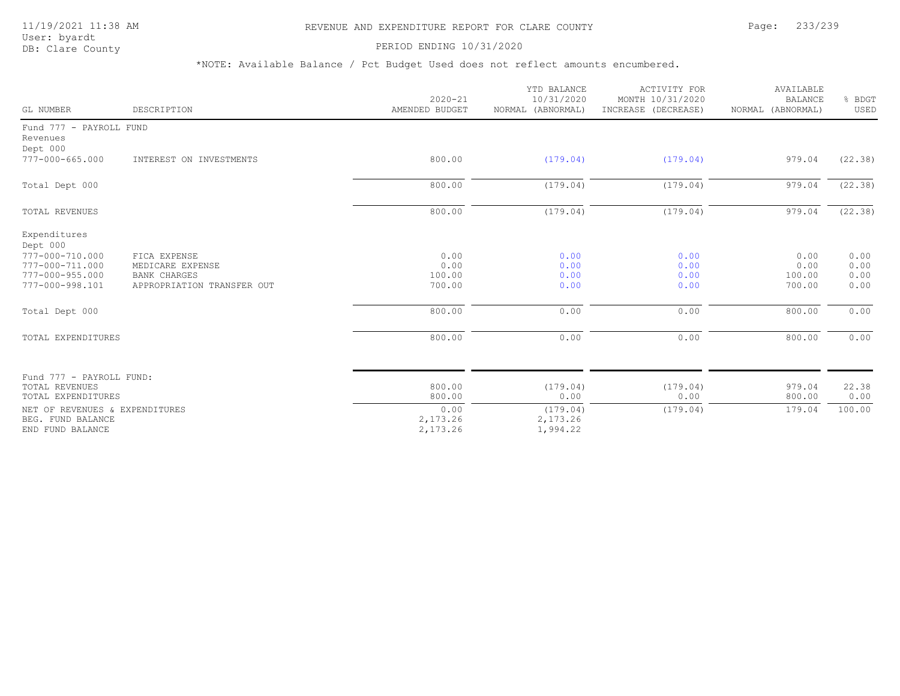## 11/19/2021 11:38 AM REVENUE AND EXPENDITURE REPORT FOR CLARE COUNTY Page: 233/239

User: byardt<br>DB: Clare County

PERIOD ENDING 10/31/2020

| GL NUMBER                                                               | DESCRIPTION                                       | $2020 - 21$<br>AMENDED BUDGET | YTD BALANCE<br>10/31/2020<br>NORMAL (ABNORMAL) | <b>ACTIVITY FOR</b><br>MONTH 10/31/2020<br>INCREASE (DECREASE) | AVAILABLE<br><b>BALANCE</b><br>NORMAL (ABNORMAL) | % BDGT<br>USED |
|-------------------------------------------------------------------------|---------------------------------------------------|-------------------------------|------------------------------------------------|----------------------------------------------------------------|--------------------------------------------------|----------------|
| Fund 777 - PAYROLL FUND<br>Revenues<br>Dept 000                         |                                                   |                               |                                                |                                                                |                                                  |                |
| $777 - 000 - 665.000$                                                   | INTEREST ON INVESTMENTS                           | 800.00                        | (179.04)                                       | (179.04)                                                       | 979.04                                           | (22.38)        |
| Total Dept 000                                                          |                                                   | 800.00                        | (179.04)                                       | (179.04)                                                       | 979.04                                           | (22.38)        |
| TOTAL REVENUES                                                          |                                                   | 800.00                        | (179.04)                                       | (179.04)                                                       | 979.04                                           | (22.38)        |
| Expenditures<br>Dept 000<br>777-000-710.000<br>777-000-711.000          | FICA EXPENSE<br>MEDICARE EXPENSE                  | 0.00<br>0.00                  | 0.00<br>0.00                                   | 0.00<br>0.00                                                   | 0.00<br>0.00                                     | 0.00<br>0.00   |
| $777 - 000 - 955.000$<br>777-000-998.101                                | <b>BANK CHARGES</b><br>APPROPRIATION TRANSFER OUT | 100.00<br>700.00              | 0.00<br>0.00                                   | 0.00<br>0.00                                                   | 100.00<br>700.00                                 | 0.00<br>0.00   |
| Total Dept 000                                                          |                                                   | 800.00                        | 0.00                                           | 0.00                                                           | 800.00                                           | 0.00           |
| TOTAL EXPENDITURES                                                      |                                                   | 800.00                        | 0.00                                           | 0.00                                                           | 800.00                                           | 0.00           |
| Fund 777 - PAYROLL FUND:                                                |                                                   |                               |                                                |                                                                |                                                  |                |
| TOTAL REVENUES<br>TOTAL EXPENDITURES                                    |                                                   | 800.00<br>800.00              | (179.04)<br>0.00                               | (179.04)<br>0.00                                               | 979.04<br>800.00                                 | 22.38<br>0.00  |
| NET OF REVENUES & EXPENDITURES<br>BEG. FUND BALANCE<br>END FUND BALANCE |                                                   | 0.00<br>2,173.26<br>2,173.26  | (179.04)<br>2,173.26<br>1,994.22               | (179.04)                                                       | 179.04                                           | 100.00         |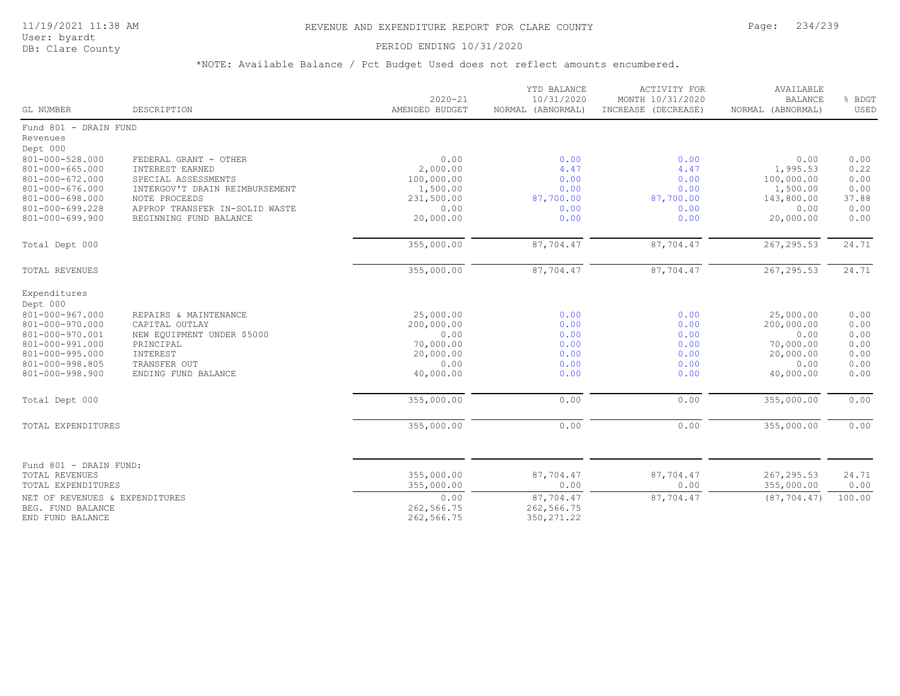## PERIOD ENDING 10/31/2020

| GL NUMBER                                   | DESCRIPTION                              | $2020 - 21$<br>AMENDED BUDGET | YTD BALANCE<br>10/31/2020<br>NORMAL (ABNORMAL) | <b>ACTIVITY FOR</b><br>MONTH 10/31/2020<br>INCREASE (DECREASE) | AVAILABLE<br><b>BALANCE</b><br>NORMAL (ABNORMAL) | % BDGT<br>USED |
|---------------------------------------------|------------------------------------------|-------------------------------|------------------------------------------------|----------------------------------------------------------------|--------------------------------------------------|----------------|
| Fund 801 - DRAIN FUND                       |                                          |                               |                                                |                                                                |                                                  |                |
| Revenues                                    |                                          |                               |                                                |                                                                |                                                  |                |
| Dept 000<br>801-000-528.000                 |                                          |                               |                                                |                                                                |                                                  |                |
| 801-000-665.000                             | FEDERAL GRANT - OTHER<br>INTEREST EARNED | 0.00<br>2,000.00              | 0.00<br>4.47                                   | 0.00<br>4.47                                                   | 0.00<br>1,995.53                                 | 0.00<br>0.22   |
| 801-000-672.000                             | SPECIAL ASSESSMENTS                      | 100,000.00                    | 0.00                                           | 0.00                                                           | 100,000.00                                       | 0.00           |
| 801-000-676.000                             | INTERGOV'T DRAIN REIMBURSEMENT           | 1,500.00                      | 0.00                                           | 0.00                                                           | 1,500.00                                         | 0.00           |
| 801-000-698.000                             | NOTE PROCEEDS                            | 231,500.00                    | 87,700.00                                      | 87,700.00                                                      | 143,800.00                                       | 37.88          |
| 801-000-699.228                             | APPROP TRANSFER IN-SOLID WASTE           | 0.00                          | 0.00                                           | 0.00                                                           | 0.00                                             | 0.00           |
| $801 - 000 - 699.900$                       | BEGINNING FUND BALANCE                   | 20,000.00                     | 0.00                                           | 0.00                                                           | 20,000.00                                        | 0.00           |
| Total Dept 000                              |                                          | 355,000.00                    | 87,704.47                                      | 87,704.47                                                      | 267, 295.53                                      | 24.71          |
|                                             |                                          |                               |                                                |                                                                |                                                  |                |
| TOTAL REVENUES                              |                                          | 355,000.00                    | 87,704.47                                      | 87,704.47                                                      | 267, 295.53                                      | 24.71          |
| Expenditures                                |                                          |                               |                                                |                                                                |                                                  |                |
| Dept 000                                    |                                          |                               |                                                |                                                                |                                                  |                |
| 801-000-967.000                             | REPAIRS & MAINTENANCE                    | 25,000.00                     | 0.00                                           | 0.00                                                           | 25,000.00                                        | 0.00           |
| 801-000-970.000                             | CAPITAL OUTLAY                           | 200,000.00                    | 0.00                                           | 0.00                                                           | 200,000.00                                       | 0.00           |
| 801-000-970.001                             | NEW EQUIPMENT UNDER \$5000               | 0.00                          | 0.00                                           | 0.00                                                           | 0.00                                             | 0.00           |
| 801-000-991.000                             | PRINCIPAL                                | 70,000.00                     | 0.00                                           | 0.00                                                           | 70,000.00                                        | 0.00           |
| 801-000-995.000<br>801-000-998.805          | INTEREST                                 | 20,000.00<br>0.00             | 0.00<br>0.00                                   | 0.00<br>0.00                                                   | 20,000.00<br>0.00                                | 0.00<br>0.00   |
| 801-000-998.900                             | TRANSFER OUT<br>ENDING FUND BALANCE      | 40,000.00                     | 0.00                                           | 0.00                                                           | 40,000.00                                        | 0.00           |
|                                             |                                          |                               |                                                |                                                                |                                                  |                |
| Total Dept 000                              |                                          | 355,000.00                    | 0.00                                           | 0.00                                                           | 355,000.00                                       | 0.00           |
| TOTAL EXPENDITURES                          |                                          | 355,000.00                    | 0.00                                           | 0.00                                                           | 355,000.00                                       | 0.00           |
|                                             |                                          |                               |                                                |                                                                |                                                  |                |
| Fund 801 - DRAIN FUND:                      |                                          |                               |                                                |                                                                |                                                  |                |
| <b>TOTAL REVENUES</b><br>TOTAL EXPENDITURES |                                          | 355,000.00<br>355,000.00      | 87,704.47<br>0.00                              | 87,704.47<br>0.00                                              | 267, 295.53<br>355,000.00                        | 24.71<br>0.00  |
| NET OF REVENUES & EXPENDITURES              |                                          | 0.00                          | 87,704.47                                      | 87,704.47                                                      | (87, 704.47)                                     | 100.00         |
| BEG. FUND BALANCE<br>END FUND BALANCE       |                                          | 262,566.75<br>262,566.75      | 262,566.75<br>350, 271.22                      |                                                                |                                                  |                |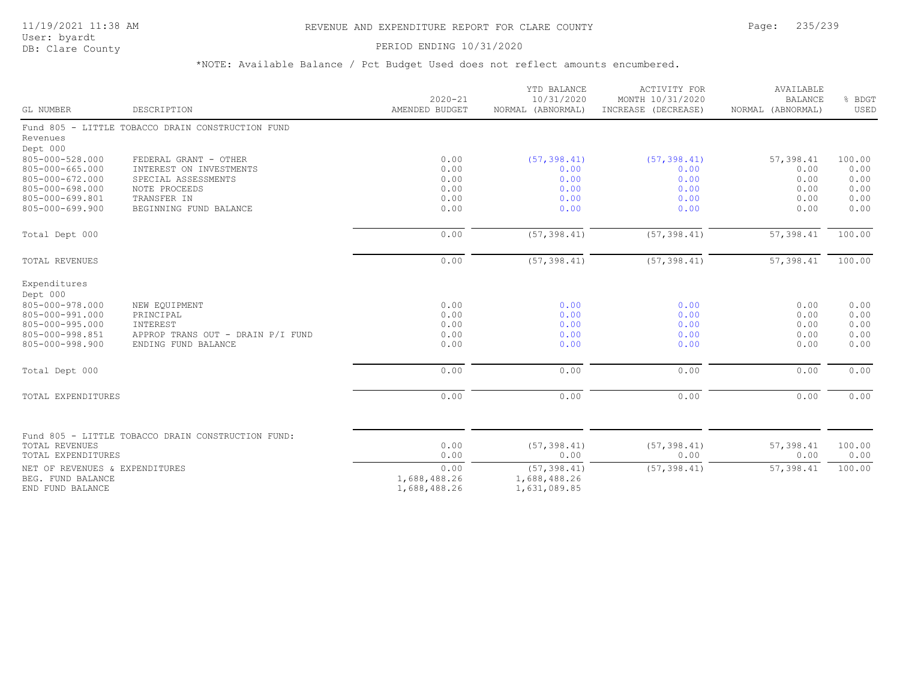#### PERIOD ENDING 10/31/2020

|                                    |                                                          | $2020 - 21$    | YTD BALANCE<br>10/31/2020 | ACTIVITY FOR<br>MONTH 10/31/2020 | AVAILABLE<br><b>BALANCE</b> | % BDGT       |
|------------------------------------|----------------------------------------------------------|----------------|---------------------------|----------------------------------|-----------------------------|--------------|
| GL NUMBER                          | DESCRIPTION                                              | AMENDED BUDGET | NORMAL (ABNORMAL)         | INCREASE (DECREASE)              | NORMAL (ABNORMAL)           | USED         |
|                                    | Fund 805 - LITTLE TOBACCO DRAIN CONSTRUCTION FUND        |                |                           |                                  |                             |              |
| Revenues                           |                                                          |                |                           |                                  |                             |              |
| Dept 000                           |                                                          |                |                           |                                  |                             |              |
| 805-000-528.000<br>805-000-665.000 | FEDERAL GRANT - OTHER<br>INTEREST ON INVESTMENTS         | 0.00<br>0.00   | (57, 398.41)<br>0.00      | (57, 398.41)<br>0.00             | 57,398.41<br>0.00           | 100.00       |
| 805-000-672.000                    | SPECIAL ASSESSMENTS                                      | 0.00           | 0.00                      | 0.00                             | 0.00                        | 0.00<br>0.00 |
| 805-000-698.000                    | NOTE PROCEEDS                                            | 0.00           | 0.00                      | 0.00                             | 0.00                        | 0.00         |
| 805-000-699.801                    | TRANSFER IN                                              | 0.00           | 0.00                      | 0.00                             | 0.00                        | 0.00         |
| 805-000-699.900                    | BEGINNING FUND BALANCE                                   | 0.00           | 0.00                      | 0.00                             | 0.00                        | 0.00         |
| Total Dept 000                     |                                                          | 0.00           | (57, 398.41)              | (57, 398.41)                     | 57,398.41                   | 100.00       |
|                                    |                                                          |                |                           |                                  |                             |              |
| TOTAL REVENUES                     |                                                          | 0.00           | (57, 398.41)              | (57, 398.41)                     | 57,398.41                   | 100.00       |
| Expenditures                       |                                                          |                |                           |                                  |                             |              |
| Dept 000                           |                                                          |                |                           |                                  |                             |              |
| 805-000-978.000                    | NEW EQUIPMENT                                            | 0.00           | 0.00                      | 0.00                             | 0.00                        | 0.00         |
| 805-000-991.000                    | PRINCIPAL                                                | 0.00           | 0.00                      | 0.00                             | 0.00                        | 0.00         |
| 805-000-995.000                    | INTEREST                                                 | 0.00           | 0.00                      | 0.00                             | 0.00                        | 0.00         |
| 805-000-998.851<br>805-000-998.900 | APPROP TRANS OUT - DRAIN P/I FUND<br>ENDING FUND BALANCE | 0.00<br>0.00   | 0.00<br>0.00              | 0.00<br>0.00                     | 0.00<br>0.00                | 0.00<br>0.00 |
|                                    |                                                          |                |                           |                                  |                             |              |
| Total Dept 000                     |                                                          | 0.00           | 0.00                      | 0.00                             | 0.00                        | 0.00         |
| TOTAL EXPENDITURES                 |                                                          | 0.00           | 0.00                      | 0.00                             | 0.00                        | 0.00         |
|                                    |                                                          |                |                           |                                  |                             |              |
|                                    | Fund 805 - LITTLE TOBACCO DRAIN CONSTRUCTION FUND:       |                |                           |                                  |                             |              |
| TOTAL REVENUES                     |                                                          | 0.00           | (57, 398.41)              | (57, 398.41)                     | 57,398.41                   | 100.00       |
| TOTAL EXPENDITURES                 |                                                          | 0.00           | 0.00                      | 0.00                             | 0.00                        | 0.00         |
| NET OF REVENUES & EXPENDITURES     |                                                          | 0.00           | (57, 398.41)              | (57, 398.41)                     | 57,398.41                   | 100.00       |
| BEG. FUND BALANCE                  |                                                          | 1,688,488.26   | 1,688,488.26              |                                  |                             |              |
| END FUND BALANCE                   |                                                          | 1,688,488.26   | 1,631,089.85              |                                  |                             |              |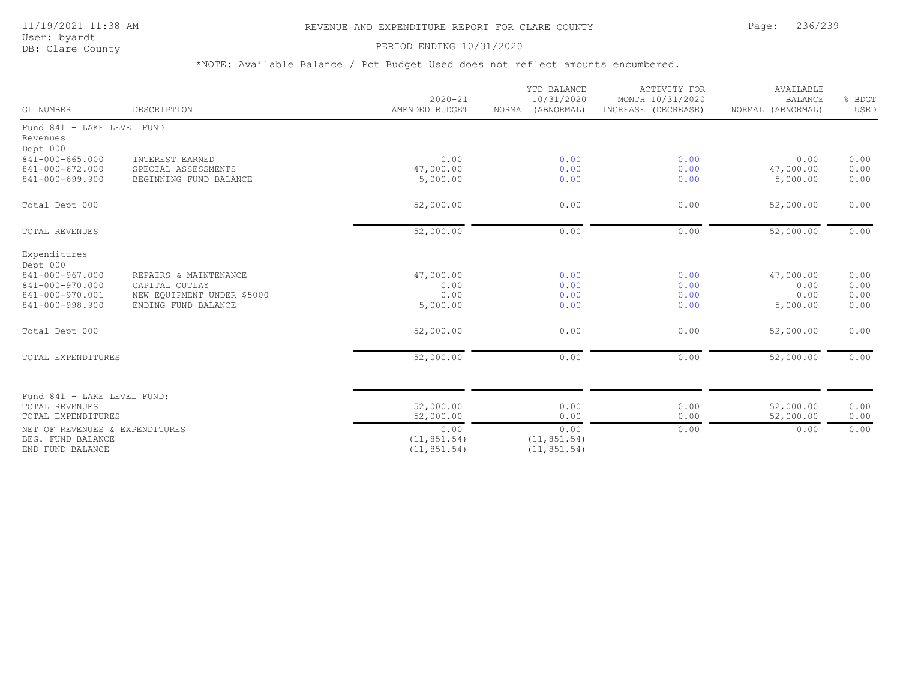## 11/19/2021 11:38 AM REVENUE AND EXPENDITURE REPORT FOR CLARE COUNTY Page: 236/239

User: byardt

# DB: Clare County **DB: Clare County**

| GL NUMBER                                                                                            | DESCRIPTION                                                                                  | $2020 - 21$<br>AMENDED BUDGET                     | YTD BALANCE<br>10/31/2020<br>NORMAL (ABNORMAL) | <b>ACTIVITY FOR</b><br>MONTH 10/31/2020<br>INCREASE (DECREASE) | AVAILABLE<br><b>BALANCE</b><br>NORMAL (ABNORMAL) | % BDGT<br>USED               |
|------------------------------------------------------------------------------------------------------|----------------------------------------------------------------------------------------------|---------------------------------------------------|------------------------------------------------|----------------------------------------------------------------|--------------------------------------------------|------------------------------|
| Fund 841 - LAKE LEVEL FUND<br>Revenues<br>Dept 000                                                   |                                                                                              |                                                   |                                                |                                                                |                                                  |                              |
| 841-000-665.000<br>841-000-672.000<br>841-000-699.900                                                | INTEREST EARNED<br>SPECIAL ASSESSMENTS<br>BEGINNING FUND BALANCE                             | 0.00<br>47,000.00<br>5,000.00                     | 0.00<br>0.00<br>0.00                           | 0.00<br>0.00<br>0.00                                           | 0.00<br>47,000.00<br>5,000.00                    | 0.00<br>0.00<br>0.00         |
| Total Dept 000                                                                                       |                                                                                              | 52,000.00                                         | 0.00                                           | 0.00                                                           | 52,000.00                                        | 0.00                         |
| <b>TOTAL REVENUES</b>                                                                                |                                                                                              | 52,000.00                                         | 0.00                                           | 0.00                                                           | 52,000.00                                        | 0.00                         |
| Expenditures<br>Dept 000<br>841-000-967.000<br>841-000-970.000<br>841-000-970.001<br>841-000-998.900 | REPAIRS & MAINTENANCE<br>CAPITAL OUTLAY<br>NEW EQUIPMENT UNDER \$5000<br>ENDING FUND BALANCE | 47,000.00<br>0.00<br>0.00<br>5,000.00             | 0.00<br>0.00<br>0.00<br>0.00                   | 0.00<br>0.00<br>0.00<br>0.00                                   | 47,000.00<br>0.00<br>0.00<br>5,000.00            | 0.00<br>0.00<br>0.00<br>0.00 |
| Total Dept 000                                                                                       |                                                                                              | 52,000.00                                         | 0.00                                           | 0.00                                                           | 52,000.00                                        | 0.00                         |
| TOTAL EXPENDITURES                                                                                   |                                                                                              | 52,000.00                                         | 0.00                                           | 0.00                                                           | 52,000.00                                        | 0.00                         |
| Fund 841 - LAKE LEVEL FUND:<br>TOTAL REVENUES                                                        |                                                                                              | 52,000.00                                         | 0.00                                           | 0.00                                                           | 52,000.00                                        | 0.00                         |
| TOTAL EXPENDITURES<br>NET OF REVENUES & EXPENDITURES<br>BEG. FUND BALANCE<br>END FUND BALANCE        |                                                                                              | 52,000.00<br>0.00<br>(11, 851.54)<br>(11, 851.54) | 0.00<br>0.00<br>(11, 851.54)<br>(11, 851.54)   | 0.00<br>0.00                                                   | 52,000.00<br>0.00                                | 0.00<br>0.00                 |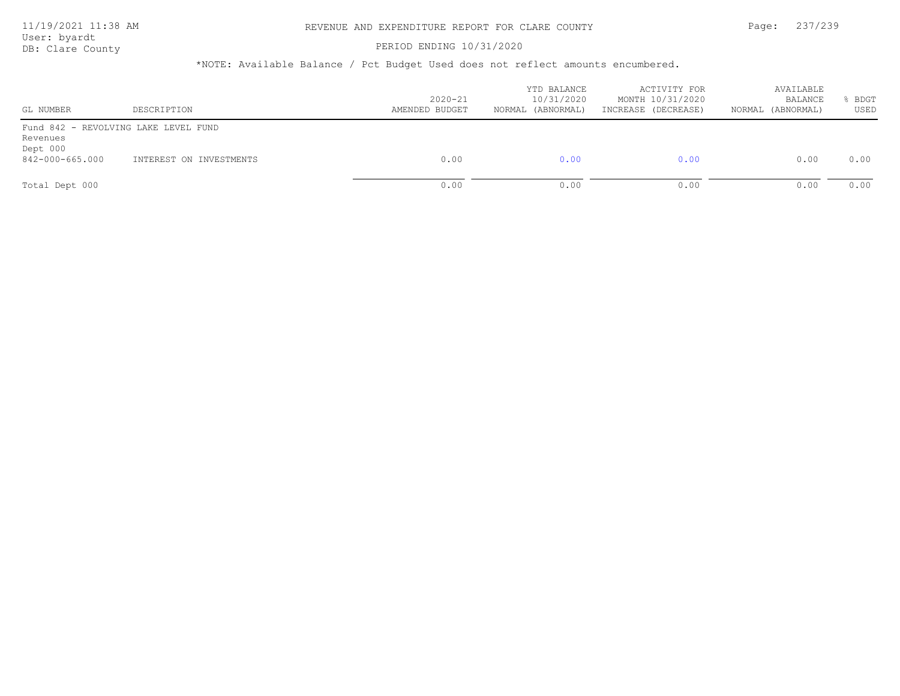## PERIOD ENDING 10/31/2020

| GL NUMBER            | DESCRIPTION                          | $2020 - 21$<br>AMENDED BUDGET | YTD BALANCE<br>10/31/2020<br>(ABNORMAL)<br>NORMAL | ACTIVITY FOR<br>MONTH 10/31/2020<br>INCREASE (DECREASE) | AVAILABLE<br>BALANCE<br>NORMAL (ABNORMAL) | BDGT<br>USED |
|----------------------|--------------------------------------|-------------------------------|---------------------------------------------------|---------------------------------------------------------|-------------------------------------------|--------------|
| Revenues<br>Dept 000 | Fund 842 - REVOLVING LAKE LEVEL FUND |                               |                                                   |                                                         |                                           |              |
| 842-000-665.000      | INTEREST ON INVESTMENTS              | 0.00                          | 0.00                                              | 0.00                                                    | 0.00                                      | 0.00         |
| Total Dept 000       |                                      | 0.00                          | 0.00                                              | 0.00                                                    | 0.00                                      | 0.00         |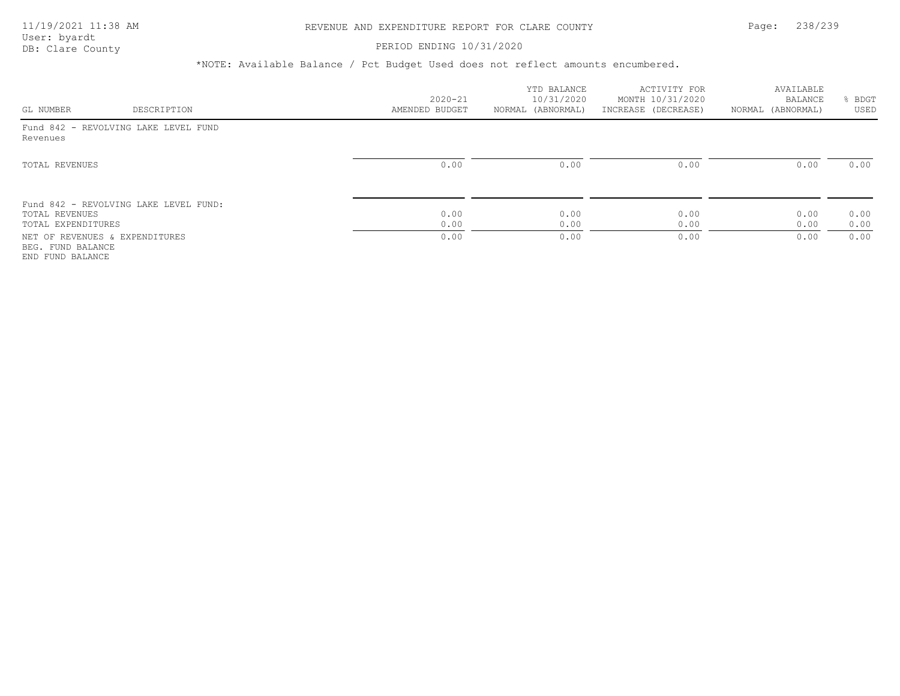#### PERIOD ENDING 10/31/2020

|                                                                         |                                       |                | YTD BALANCE       | ACTIVITY FOR        | AVAILABLE         |              |
|-------------------------------------------------------------------------|---------------------------------------|----------------|-------------------|---------------------|-------------------|--------------|
|                                                                         |                                       | $2020 - 21$    | 10/31/2020        | MONTH 10/31/2020    | BALANCE           | BDGT         |
| GL NUMBER                                                               | DESCRIPTION                           | AMENDED BUDGET | NORMAL (ABNORMAL) | INCREASE (DECREASE) | NORMAL (ABNORMAL) | USED         |
| Revenues                                                                | Fund 842 - REVOLVING LAKE LEVEL FUND  |                |                   |                     |                   |              |
| TOTAL REVENUES                                                          |                                       | 0.00           | 0.00              | 0.00                | 0.00              | 0.00         |
|                                                                         | Fund 842 - REVOLVING LAKE LEVEL FUND: |                |                   |                     |                   |              |
| TOTAL REVENUES<br>TOTAL EXPENDITURES                                    |                                       | 0.00<br>0.00   | 0.00<br>0.00      | 0.00<br>0.00        | 0.00<br>0.00      | 0.00<br>0.00 |
| NET OF REVENUES & EXPENDITURES<br>BEG. FUND BALANCE<br>END FUND BALANCE |                                       | 0.00           | 0.00              | 0.00                | 0.00              | 0.00         |